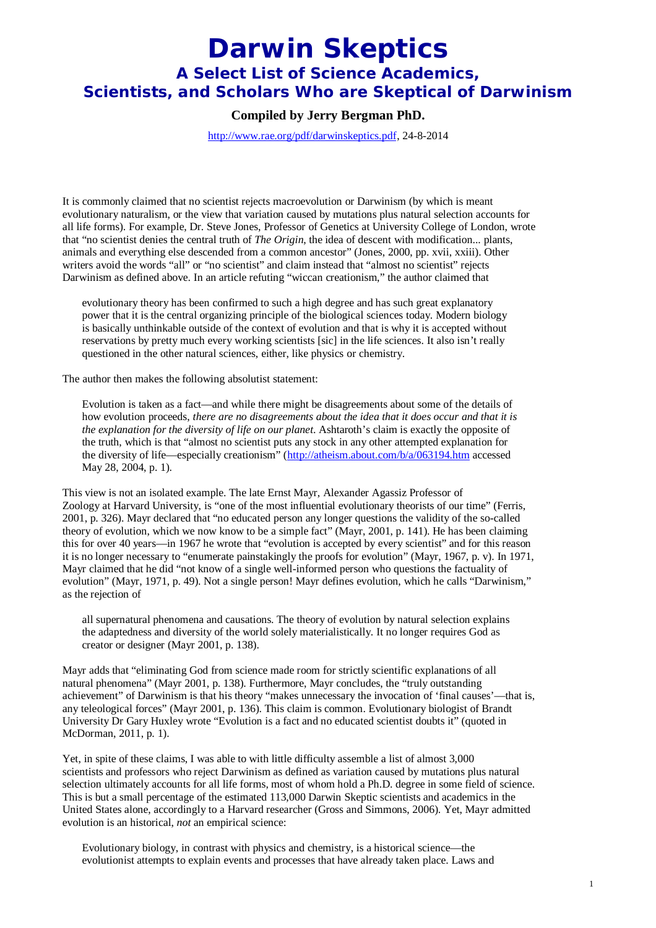## **Darwin Skeptics A Select List of Science Academics, Scientists, and Scholars Who are Skeptical of Darwinism**

## **Compiled by Jerry Bergman PhD.**

http://www.rae.org/pdf/darwinskeptics.pdf, 24-8-2014

It is commonly claimed that no scientist rejects macroevolution or Darwinism (by which is meant evolutionary naturalism, or the view that variation caused by mutations plus natural selection accounts for all life forms). For example, Dr. Steve Jones, Professor of Genetics at University College of London, wrote that "no scientist denies the central truth of *The Origin*, the idea of descent with modification... plants, animals and everything else descended from a common ancestor" (Jones, 2000, pp. xvii, xxiii). Other writers avoid the words "all" or "no scientist" and claim instead that "almost no scientist" rejects Darwinism as defined above. In an article refuting "wiccan creationism," the author claimed that

evolutionary theory has been confirmed to such a high degree and has such great explanatory power that it is the central organizing principle of the biological sciences today. Modern biology is basically unthinkable outside of the context of evolution and that is why it is accepted without reservations by pretty much every working scientists [sic] in the life sciences. It also isn't really questioned in the other natural sciences, either, like physics or chemistry.

The author then makes the following absolutist statement:

Evolution is taken as a fact—and while there might be disagreements about some of the details of how evolution proceeds, *there are no disagreements about the idea that it does occur and that it is the explanation for the diversity of life on our planet*. Ashtaroth's claim is exactly the opposite of the truth, which is that "almost no scientist puts any stock in any other attempted explanation for the diversity of life—especially creationism" (http://atheism.about.com/b/a/063194.htm accessed May 28, 2004, p. 1).

This view is not an isolated example. The late Ernst Mayr, Alexander Agassiz Professor of Zoology at Harvard University, is "one of the most influential evolutionary theorists of our time" (Ferris, 2001, p. 326). Mayr declared that "no educated person any longer questions the validity of the so-called theory of evolution, which we now know to be a simple fact" (Mayr, 2001, p. 141). He has been claiming this for over 40 years—in 1967 he wrote that "evolution is accepted by every scientist" and for this reason it is no longer necessary to "enumerate painstakingly the proofs for evolution" (Mayr, 1967, p. v). In 1971, Mayr claimed that he did "not know of a single well-informed person who questions the factuality of evolution" (Mayr, 1971, p. 49). Not a single person! Mayr defines evolution, which he calls "Darwinism," as the rejection of

all supernatural phenomena and causations. The theory of evolution by natural selection explains the adaptedness and diversity of the world solely materialistically. It no longer requires God as creator or designer (Mayr 2001, p. 138).

Mayr adds that "eliminating God from science made room for strictly scientific explanations of all natural phenomena" (Mayr 2001, p. 138). Furthermore, Mayr concludes, the "truly outstanding achievement" of Darwinism is that his theory "makes unnecessary the invocation of 'final causes'—that is, any teleological forces" (Mayr 2001, p. 136). This claim is common. Evolutionary biologist of Brandt University Dr Gary Huxley wrote "Evolution is a fact and no educated scientist doubts it" (quoted in McDorman, 2011, p. 1).

Yet, in spite of these claims, I was able to with little difficulty assemble a list of almost 3,000 scientists and professors who reject Darwinism as defined as variation caused by mutations plus natural selection ultimately accounts for all life forms, most of whom hold a Ph.D. degree in some field of science. This is but a small percentage of the estimated 113,000 Darwin Skeptic scientists and academics in the United States alone, accordingly to a Harvard researcher (Gross and Simmons, 2006). Yet, Mayr admitted evolution is an historical, *not* an empirical science:

Evolutionary biology, in contrast with physics and chemistry, is a historical science—the evolutionist attempts to explain events and processes that have already taken place. Laws and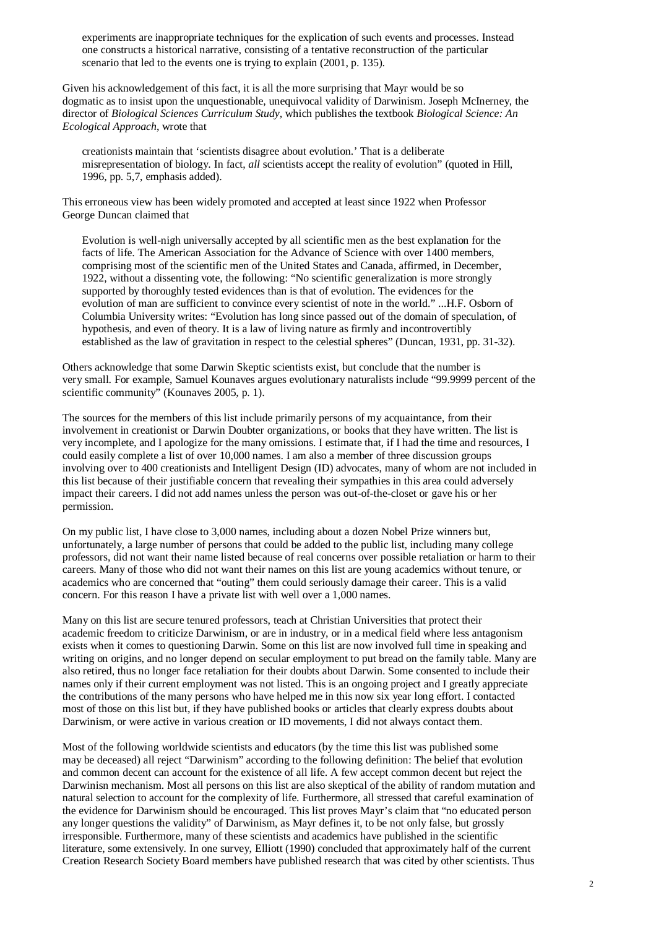experiments are inappropriate techniques for the explication of such events and processes. Instead one constructs a historical narrative, consisting of a tentative reconstruction of the particular scenario that led to the events one is trying to explain (2001, p. 135).

Given his acknowledgement of this fact, it is all the more surprising that Mayr would be so dogmatic as to insist upon the unquestionable, unequivocal validity of Darwinism. Joseph McInerney, the director of *Biological Sciences Curriculum Study,* which publishes the textbook *Biological Science: An Ecological Approach*, wrote that

creationists maintain that 'scientists disagree about evolution.' That is a deliberate misrepresentation of biology. In fact, *all* scientists accept the reality of evolution" (quoted in Hill, 1996, pp. 5,7, emphasis added).

This erroneous view has been widely promoted and accepted at least since 1922 when Professor George Duncan claimed that

Evolution is well-nigh universally accepted by all scientific men as the best explanation for the facts of life. The American Association for the Advance of Science with over 1400 members, comprising most of the scientific men of the United States and Canada, affirmed, in December, 1922, without a dissenting vote, the following: "No scientific generalization is more strongly supported by thoroughly tested evidences than is that of evolution. The evidences for the evolution of man are sufficient to convince every scientist of note in the world." ...H.F. Osborn of Columbia University writes: "Evolution has long since passed out of the domain of speculation, of hypothesis, and even of theory. It is a law of living nature as firmly and incontrovertibly established as the law of gravitation in respect to the celestial spheres" (Duncan, 1931, pp. 31-32).

Others acknowledge that some Darwin Skeptic scientists exist, but conclude that the number is very small. For example, Samuel Kounaves argues evolutionary naturalists include "99.9999 percent of the scientific community" (Kounaves 2005, p. 1).

The sources for the members of this list include primarily persons of my acquaintance, from their involvement in creationist or Darwin Doubter organizations, or books that they have written. The list is very incomplete, and I apologize for the many omissions. I estimate that, if I had the time and resources, I could easily complete a list of over 10,000 names. I am also a member of three discussion groups involving over to 400 creationists and Intelligent Design (ID) advocates, many of whom are not included in this list because of their justifiable concern that revealing their sympathies in this area could adversely impact their careers. I did not add names unless the person was out-of-the-closet or gave his or her permission.

On my public list, I have close to 3,000 names, including about a dozen Nobel Prize winners but, unfortunately, a large number of persons that could be added to the public list, including many college professors, did not want their name listed because of real concerns over possible retaliation or harm to their careers. Many of those who did not want their names on this list are young academics without tenure, or academics who are concerned that "outing" them could seriously damage their career. This is a valid concern. For this reason I have a private list with well over a 1,000 names.

Many on this list are secure tenured professors, teach at Christian Universities that protect their academic freedom to criticize Darwinism, or are in industry, or in a medical field where less antagonism exists when it comes to questioning Darwin. Some on this list are now involved full time in speaking and writing on origins, and no longer depend on secular employment to put bread on the family table. Many are also retired, thus no longer face retaliation for their doubts about Darwin. Some consented to include their names only if their current employment was not listed. This is an ongoing project and I greatly appreciate the contributions of the many persons who have helped me in this now six year long effort. I contacted most of those on this list but, if they have published books or articles that clearly express doubts about Darwinism, or were active in various creation or ID movements, I did not always contact them.

Most of the following worldwide scientists and educators (by the time this list was published some may be deceased) all reject "Darwinism" according to the following definition: The belief that evolution and common decent can account for the existence of all life. A few accept common decent but reject the Darwinisn mechanism. Most all persons on this list are also skeptical of the ability of random mutation and natural selection to account for the complexity of life. Furthermore, all stressed that careful examination of the evidence for Darwinism should be encouraged. This list proves Mayr's claim that "no educated person any longer questions the validity" of Darwinism, as Mayr defines it, to be not only false, but grossly irresponsible. Furthermore, many of these scientists and academics have published in the scientific literature, some extensively. In one survey, Elliott (1990) concluded that approximately half of the current Creation Research Society Board members have published research that was cited by other scientists. Thus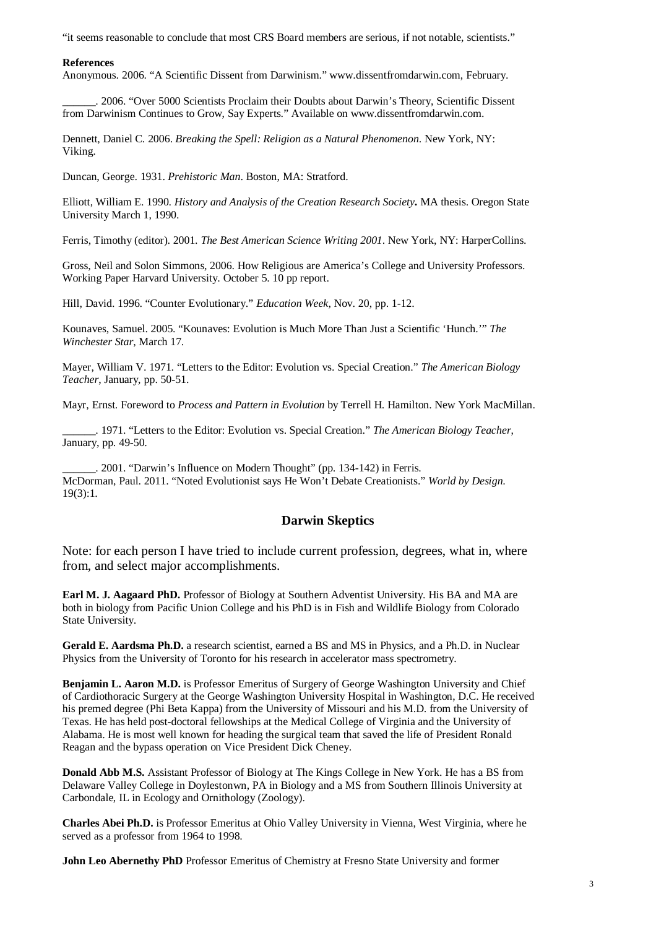"it seems reasonable to conclude that most CRS Board members are serious, if not notable, scientists."

## **References**

Anonymous. 2006. "A Scientific Dissent from Darwinism." www.dissentfromdarwin.com, February.

\_\_\_\_\_\_. 2006. "Over 5000 Scientists Proclaim their Doubts about Darwin's Theory, Scientific Dissent from Darwinism Continues to Grow, Say Experts." Available on www.dissentfromdarwin.com.

Dennett, Daniel C. 2006. *Breaking the Spell: Religion as a Natural Phenomenon*. New York, NY: Viking.

Duncan, George. 1931. *Prehistoric Man*. Boston, MA: Stratford.

Elliott, William E. 1990. *History and Analysis of the Creation Research Society***.** MA thesis. Oregon State University March 1, 1990.

Ferris, Timothy (editor). 2001. *The Best American Science Writing 2001*. New York, NY: HarperCollins.

Gross, Neil and Solon Simmons, 2006. How Religious are America's College and University Professors. Working Paper Harvard University. October 5. 10 pp report.

Hill, David. 1996. "Counter Evolutionary." *Education Week*, Nov. 20, pp. 1-12.

Kounaves, Samuel. 2005. "Kounaves: Evolution is Much More Than Just a Scientific 'Hunch.'" *The Winchester Star*, March 17.

Mayer, William V. 1971. "Letters to the Editor: Evolution vs. Special Creation." *The American Biology Teacher*, January, pp. 50-51.

Mayr, Ernst. Foreword to *Process and Pattern in Evolution* by Terrell H. Hamilton. New York MacMillan.

\_\_\_\_\_\_. 1971. "Letters to the Editor: Evolution vs. Special Creation." *The American Biology Teacher*, January, pp. 49-50.

\_\_\_\_\_\_. 2001. "Darwin's Influence on Modern Thought" (pp. 134-142) in Ferris. McDorman, Paul. 2011. "Noted Evolutionist says He Won't Debate Creationists." *World by Design*. 19(3):1.

## **Darwin Skeptics**

Note: for each person I have tried to include current profession, degrees, what in, where from, and select major accomplishments.

**Earl M. J. Aagaard PhD.** Professor of Biology at Southern Adventist University. His BA and MA are both in biology from Pacific Union College and his PhD is in Fish and Wildlife Biology from Colorado State University.

**Gerald E. Aardsma Ph.D.** a research scientist, earned a BS and MS in Physics, and a Ph.D. in Nuclear Physics from the University of Toronto for his research in accelerator mass spectrometry.

**Benjamin L. Aaron M.D.** is Professor Emeritus of Surgery of George Washington University and Chief of Cardiothoracic Surgery at the George Washington University Hospital in Washington, D.C. He received his premed degree (Phi Beta Kappa) from the University of Missouri and his M.D. from the University of Texas. He has held post-doctoral fellowships at the Medical College of Virginia and the University of Alabama. He is most well known for heading the surgical team that saved the life of President Ronald Reagan and the bypass operation on Vice President Dick Cheney.

**Donald Abb M.S.** Assistant Professor of Biology at The Kings College in New York. He has a BS from Delaware Valley College in Doylestonwn, PA in Biology and a MS from Southern Illinois University at Carbondale, IL in Ecology and Ornithology (Zoology).

**Charles Abei Ph.D.** is Professor Emeritus at Ohio Valley University in Vienna, West Virginia, where he served as a professor from 1964 to 1998.

**John Leo Abernethy PhD** Professor Emeritus of Chemistry at Fresno State University and former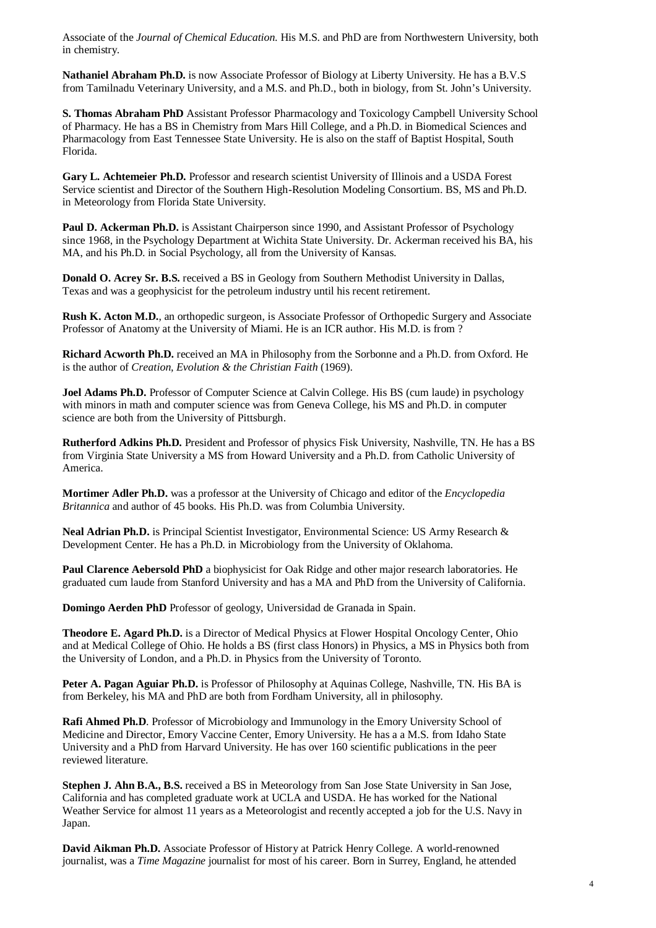Associate of the *Journal of Chemical Education*. His M.S. and PhD are from Northwestern University, both in chemistry.

**Nathaniel Abraham Ph.D.** is now Associate Professor of Biology at Liberty University. He has a B.V.S from Tamilnadu Veterinary University, and a M.S. and Ph.D., both in biology, from St. John's University.

**S. Thomas Abraham PhD** Assistant Professor Pharmacology and Toxicology Campbell University School of Pharmacy. He has a BS in Chemistry from Mars Hill College, and a Ph.D. in Biomedical Sciences and Pharmacology from East Tennessee State University. He is also on the staff of Baptist Hospital, South Florida.

**Gary L. Achtemeier Ph.D.** Professor and research scientist University of Illinois and a USDA Forest Service scientist and Director of the Southern High-Resolution Modeling Consortium. BS, MS and Ph.D. in Meteorology from Florida State University.

**Paul D. Ackerman Ph.D.** is Assistant Chairperson since 1990, and Assistant Professor of Psychology since 1968, in the Psychology Department at Wichita State University. Dr. Ackerman received his BA, his MA, and his Ph.D. in Social Psychology, all from the University of Kansas.

**Donald O. Acrey Sr. B.S.** received a BS in Geology from Southern Methodist University in Dallas, Texas and was a geophysicist for the petroleum industry until his recent retirement.

**Rush K. Acton M.D.**, an orthopedic surgeon, is Associate Professor of Orthopedic Surgery and Associate Professor of Anatomy at the University of Miami. He is an ICR author. His M.D. is from ?

**Richard Acworth Ph.D.** received an MA in Philosophy from the Sorbonne and a Ph.D. from Oxford. He is the author of *Creation, Evolution & the Christian Faith* (1969).

**Joel Adams Ph.D.** Professor of Computer Science at Calvin College. His BS (cum laude) in psychology with minors in math and computer science was from Geneva College, his MS and Ph.D. in computer science are both from the University of Pittsburgh.

**Rutherford Adkins Ph.D.** President and Professor of physics Fisk University, Nashville, TN. He has a BS from Virginia State University a MS from Howard University and a Ph.D. from Catholic University of America.

**Mortimer Adler Ph.D.** was a professor at the University of Chicago and editor of the *Encyclopedia Britannica* and author of 45 books. His Ph.D. was from Columbia University.

**Neal Adrian Ph.D.** is Principal Scientist Investigator, Environmental Science: US Army Research & Development Center. He has a Ph.D. in Microbiology from the University of Oklahoma.

**Paul Clarence Aebersold PhD** a biophysicist for Oak Ridge and other major research laboratories. He graduated cum laude from Stanford University and has a MA and PhD from the University of California.

**Domingo Aerden PhD** Professor of geology, Universidad de Granada in Spain.

**Theodore E. Agard Ph.D.** is a Director of Medical Physics at Flower Hospital Oncology Center, Ohio and at Medical College of Ohio. He holds a BS (first class Honors) in Physics, a MS in Physics both from the University of London, and a Ph.D. in Physics from the University of Toronto.

**Peter A. Pagan Aguiar Ph.D.** is Professor of Philosophy at Aquinas College, Nashville, TN. His BA is from Berkeley, his MA and PhD are both from Fordham University, all in philosophy.

**Rafi Ahmed Ph.D**. Professor of Microbiology and Immunology in the Emory University School of Medicine and Director, Emory Vaccine Center, Emory University. He has a a M.S. from Idaho State University and a PhD from Harvard University. He has over 160 scientific publications in the peer reviewed literature.

**Stephen J. Ahn B.A., B.S.** received a BS in Meteorology from San Jose State University in San Jose, California and has completed graduate work at UCLA and USDA. He has worked for the National Weather Service for almost 11 years as a Meteorologist and recently accepted a job for the U.S. Navy in Japan.

**David Aikman Ph.D.** Associate Professor of History at Patrick Henry College. A world-renowned journalist, was a *Time Magazine* journalist for most of his career. Born in Surrey, England, he attended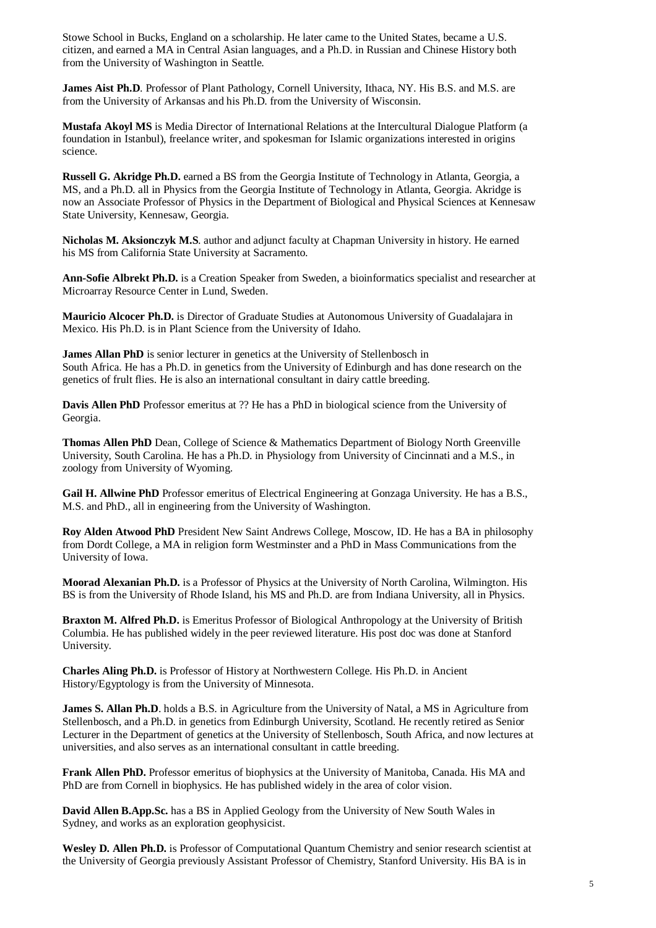Stowe School in Bucks, England on a scholarship. He later came to the United States, became a U.S. citizen, and earned a MA in Central Asian languages, and a Ph.D. in Russian and Chinese History both from the University of Washington in Seattle.

**James Aist Ph.D**. Professor of Plant Pathology, Cornell University, Ithaca, NY. His B.S. and M.S. are from the University of Arkansas and his Ph.D. from the University of Wisconsin.

**Mustafa Akoyl MS** is Media Director of International Relations at the Intercultural Dialogue Platform (a foundation in Istanbul), freelance writer, and spokesman for Islamic organizations interested in origins science.

**Russell G. Akridge Ph.D.** earned a BS from the Georgia Institute of Technology in Atlanta, Georgia, a MS, and a Ph.D. all in Physics from the Georgia Institute of Technology in Atlanta, Georgia. Akridge is now an Associate Professor of Physics in the Department of Biological and Physical Sciences at Kennesaw State University, Kennesaw, Georgia.

**Nicholas M. Aksionczyk M.S**. author and adjunct faculty at Chapman University in history. He earned his MS from California State University at Sacramento.

**Ann-Sofie Albrekt Ph.D.** is a Creation Speaker from Sweden, a bioinformatics specialist and researcher at Microarray Resource Center in Lund, Sweden.

**Mauricio Alcocer Ph.D.** is Director of Graduate Studies at Autonomous University of Guadalajara in Mexico. His Ph.D. is in Plant Science from the University of Idaho.

**James Allan PhD** is senior lecturer in genetics at the University of Stellenbosch in South Africa. He has a Ph.D. in genetics from the University of Edinburgh and has done research on the genetics of frult flies. He is also an international consultant in dairy cattle breeding.

**Davis Allen PhD** Professor emeritus at ?? He has a PhD in biological science from the University of Georgia.

**Thomas Allen PhD** Dean, College of Science & Mathematics Department of Biology North Greenville University, South Carolina. He has a Ph.D. in Physiology from University of Cincinnati and a M.S., in zoology from University of Wyoming.

**Gail H. Allwine PhD** Professor emeritus of Electrical Engineering at Gonzaga University. He has a B.S., M.S. and PhD., all in engineering from the University of Washington.

**Roy Alden Atwood PhD** President New Saint Andrews College, Moscow, ID. He has a BA in philosophy from Dordt College, a MA in religion form Westminster and a PhD in Mass Communications from the University of Iowa.

**Moorad Alexanian Ph.D.** is a Professor of Physics at the University of North Carolina, Wilmington. His BS is from the University of Rhode Island, his MS and Ph.D. are from Indiana University, all in Physics.

**Braxton M. Alfred Ph.D.** is Emeritus Professor of Biological Anthropology at the University of British Columbia. He has published widely in the peer reviewed literature. His post doc was done at Stanford University.

**Charles Aling Ph.D.** is Professor of History at Northwestern College. His Ph.D. in Ancient History/Egyptology is from the University of Minnesota.

**James S. Allan Ph.D.** holds a B.S. in Agriculture from the University of Natal, a MS in Agriculture from Stellenbosch, and a Ph.D. in genetics from Edinburgh University, Scotland. He recently retired as Senior Lecturer in the Department of genetics at the University of Stellenbosch, South Africa, and now lectures at universities, and also serves as an international consultant in cattle breeding.

**Frank Allen PhD.** Professor emeritus of biophysics at the University of Manitoba, Canada. His MA and PhD are from Cornell in biophysics. He has published widely in the area of color vision.

**David Allen B.App.Sc.** has a BS in Applied Geology from the University of New South Wales in Sydney, and works as an exploration geophysicist.

**Wesley D. Allen Ph.D.** is Professor of Computational Quantum Chemistry and senior research scientist at the University of Georgia previously Assistant Professor of Chemistry, Stanford University. His BA is in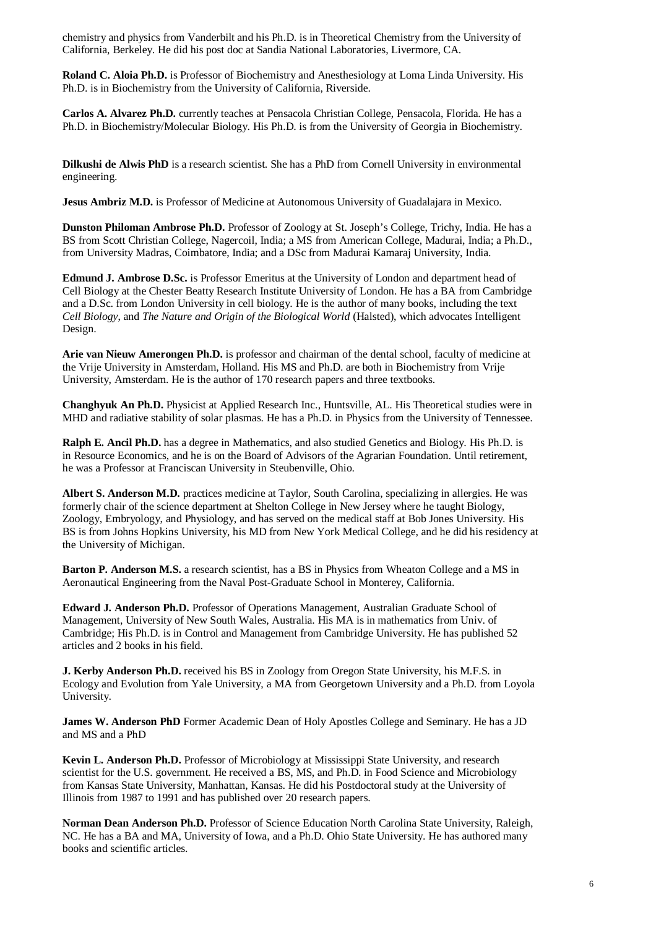chemistry and physics from Vanderbilt and his Ph.D. is in Theoretical Chemistry from the University of California, Berkeley. He did his post doc at Sandia National Laboratories, Livermore, CA.

**Roland C. Aloia Ph.D.** is Professor of Biochemistry and Anesthesiology at Loma Linda University. His Ph.D. is in Biochemistry from the University of California, Riverside.

**Carlos A. Alvarez Ph.D.** currently teaches at Pensacola Christian College, Pensacola, Florida. He has a Ph.D. in Biochemistry/Molecular Biology. His Ph.D. is from the University of Georgia in Biochemistry.

**Dilkushi de Alwis PhD** is a research scientist. She has a PhD from Cornell University in environmental engineering.

**Jesus Ambriz M.D.** is Professor of Medicine at Autonomous University of Guadalajara in Mexico.

**Dunston Philoman Ambrose Ph.D.** Professor of Zoology at St. Joseph's College, Trichy, India. He has a BS from Scott Christian College, Nagercoil, India; a MS from American College, Madurai, India; a Ph.D., from University Madras, Coimbatore, India; and a DSc from Madurai Kamaraj University, India.

**Edmund J. Ambrose D.Sc.** is Professor Emeritus at the University of London and department head of Cell Biology at the Chester Beatty Research Institute University of London. He has a BA from Cambridge and a D.Sc. from London University in cell biology. He is the author of many books, including the text *Cell Biology*, and *The Nature and Origin of the Biological World* (Halsted), which advocates Intelligent Design.

**Arie van Nieuw Amerongen Ph.D.** is professor and chairman of the dental school, faculty of medicine at the Vrije University in Amsterdam, Holland. His MS and Ph.D. are both in Biochemistry from Vrije University, Amsterdam. He is the author of 170 research papers and three textbooks.

**Changhyuk An Ph.D.** Physicist at Applied Research Inc., Huntsville, AL. His Theoretical studies were in MHD and radiative stability of solar plasmas. He has a Ph.D. in Physics from the University of Tennessee.

**Ralph E. Ancil Ph.D.** has a degree in Mathematics, and also studied Genetics and Biology. His Ph.D. is in Resource Economics, and he is on the Board of Advisors of the Agrarian Foundation. Until retirement, he was a Professor at Franciscan University in Steubenville, Ohio.

**Albert S. Anderson M.D.** practices medicine at Taylor, South Carolina, specializing in allergies. He was formerly chair of the science department at Shelton College in New Jersey where he taught Biology, Zoology, Embryology, and Physiology, and has served on the medical staff at Bob Jones University. His BS is from Johns Hopkins University, his MD from New York Medical College, and he did his residency at the University of Michigan.

**Barton P. Anderson M.S.** a research scientist, has a BS in Physics from Wheaton College and a MS in Aeronautical Engineering from the Naval Post-Graduate School in Monterey, California.

**Edward J. Anderson Ph.D.** Professor of Operations Management, Australian Graduate School of Management, University of New South Wales, Australia. His MA is in mathematics from Univ. of Cambridge; His Ph.D. is in Control and Management from Cambridge University. He has published 52 articles and 2 books in his field.

**J. Kerby Anderson Ph.D.** received his BS in Zoology from Oregon State University, his M.F.S. in Ecology and Evolution from Yale University, a MA from Georgetown University and a Ph.D. from Loyola University.

**James W. Anderson PhD** Former Academic Dean of Holy Apostles College and Seminary. He has a JD and MS and a PhD

**Kevin L. Anderson Ph.D.** Professor of Microbiology at Mississippi State University, and research scientist for the U.S. government. He received a BS, MS, and Ph.D. in Food Science and Microbiology from Kansas State University, Manhattan, Kansas. He did his Postdoctoral study at the University of Illinois from 1987 to 1991 and has published over 20 research papers.

**Norman Dean Anderson Ph.D.** Professor of Science Education North Carolina State University, Raleigh, NC. He has a BA and MA, University of Iowa, and a Ph.D. Ohio State University. He has authored many books and scientific articles.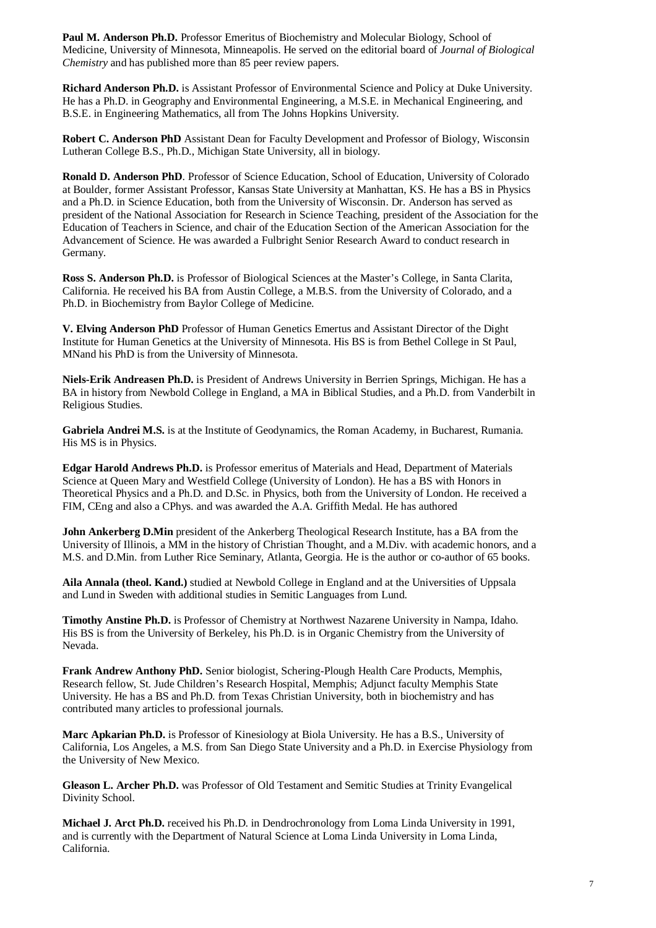Paul M. Anderson Ph.D. Professor Emeritus of Biochemistry and Molecular Biology, School of Medicine, University of Minnesota, Minneapolis. He served on the editorial board of *Journal of Biological Chemistry* and has published more than 85 peer review papers.

**Richard Anderson Ph.D.** is Assistant Professor of Environmental Science and Policy at Duke University. He has a Ph.D. in Geography and Environmental Engineering, a M.S.E. in Mechanical Engineering, and B.S.E. in Engineering Mathematics, all from The Johns Hopkins University.

**Robert C. Anderson PhD** Assistant Dean for Faculty Development and Professor of Biology, Wisconsin Lutheran College B.S., Ph.D., Michigan State University, all in biology.

**Ronald D. Anderson PhD**. Professor of Science Education, School of Education, University of Colorado at Boulder, former Assistant Professor, Kansas State University at Manhattan, KS. He has a BS in Physics and a Ph.D. in Science Education, both from the University of Wisconsin. Dr. Anderson has served as president of the National Association for Research in Science Teaching, president of the Association for the Education of Teachers in Science, and chair of the Education Section of the American Association for the Advancement of Science. He was awarded a Fulbright Senior Research Award to conduct research in Germany.

**Ross S. Anderson Ph.D.** is Professor of Biological Sciences at the Master's College, in Santa Clarita, California. He received his BA from Austin College, a M.B.S. from the University of Colorado, and a Ph.D. in Biochemistry from Baylor College of Medicine.

**V. Elving Anderson PhD** Professor of Human Genetics Emertus and Assistant Director of the Dight Institute for Human Genetics at the University of Minnesota. His BS is from Bethel College in St Paul, MNand his PhD is from the University of Minnesota.

**Niels-Erik Andreasen Ph.D.** is President of Andrews University in Berrien Springs, Michigan. He has a BA in history from Newbold College in England, a MA in Biblical Studies, and a Ph.D. from Vanderbilt in Religious Studies.

**Gabriela Andrei M.S.** is at the Institute of Geodynamics, the Roman Academy, in Bucharest, Rumania. His MS is in Physics.

**Edgar Harold Andrews Ph.D.** is Professor emeritus of Materials and Head, Department of Materials Science at Queen Mary and Westfield College (University of London). He has a BS with Honors in Theoretical Physics and a Ph.D. and D.Sc. in Physics, both from the University of London. He received a FIM, CEng and also a CPhys. and was awarded the A.A. Griffith Medal. He has authored

**John Ankerberg D.Min** president of the Ankerberg Theological Research Institute, has a BA from the University of Illinois, a MM in the history of Christian Thought, and a M.Div. with academic honors, and a M.S. and D.Min. from Luther Rice Seminary, Atlanta, Georgia. He is the author or co-author of 65 books.

**Aila Annala (theol. Kand.)** studied at Newbold College in England and at the Universities of Uppsala and Lund in Sweden with additional studies in Semitic Languages from Lund.

**Timothy Anstine Ph.D.** is Professor of Chemistry at Northwest Nazarene University in Nampa, Idaho. His BS is from the University of Berkeley, his Ph.D. is in Organic Chemistry from the University of Nevada.

**Frank Andrew Anthony PhD.** Senior biologist, Schering-Plough Health Care Products, Memphis, Research fellow, St. Jude Children's Research Hospital, Memphis; Adjunct faculty Memphis State University. He has a BS and Ph.D. from Texas Christian University, both in biochemistry and has contributed many articles to professional journals.

**Marc Apkarian Ph.D.** is Professor of Kinesiology at Biola University. He has a B.S., University of California, Los Angeles, a M.S. from San Diego State University and a Ph.D. in Exercise Physiology from the University of New Mexico.

**Gleason L. Archer Ph.D.** was Professor of Old Testament and Semitic Studies at Trinity Evangelical Divinity School.

**Michael J. Arct Ph.D.** received his Ph.D. in Dendrochronology from Loma Linda University in 1991, and is currently with the Department of Natural Science at Loma Linda University in Loma Linda, California.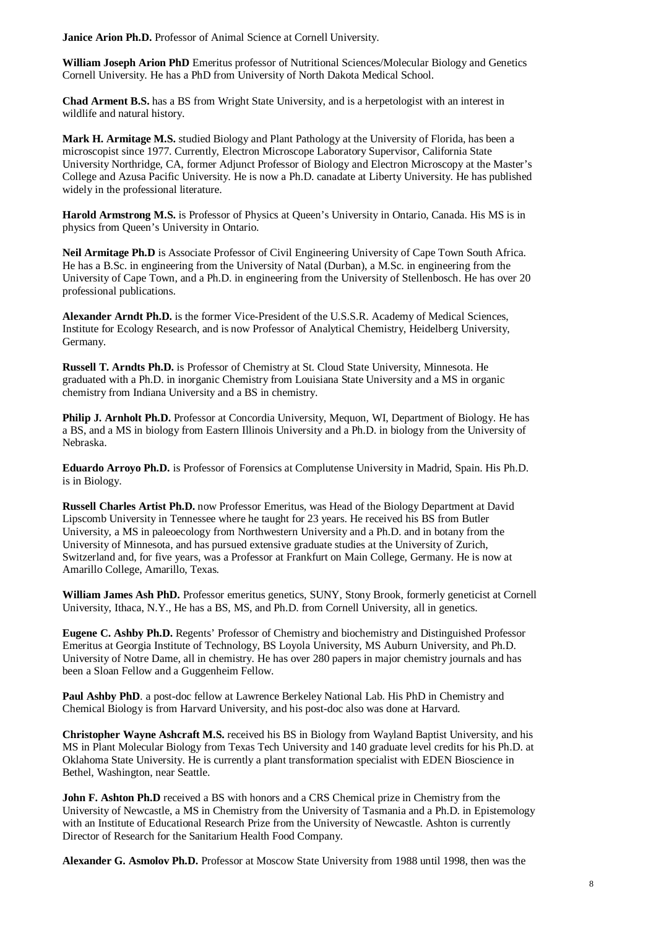**Janice Arion Ph.D.** Professor of Animal Science at Cornell University.

**William Joseph Arion PhD** Emeritus professor of Nutritional Sciences/Molecular Biology and Genetics Cornell University. He has a PhD from University of North Dakota Medical School.

**Chad Arment B.S.** has a BS from Wright State University, and is a herpetologist with an interest in wildlife and natural history.

**Mark H. Armitage M.S.** studied Biology and Plant Pathology at the University of Florida, has been a microscopist since 1977. Currently, Electron Microscope Laboratory Supervisor, California State University Northridge, CA, former Adjunct Professor of Biology and Electron Microscopy at the Master's College and Azusa Pacific University. He is now a Ph.D. canadate at Liberty University. He has published widely in the professional literature.

**Harold Armstrong M.S.** is Professor of Physics at Queen's University in Ontario, Canada. His MS is in physics from Queen's University in Ontario.

**Neil Armitage Ph.D** is Associate Professor of Civil Engineering University of Cape Town South Africa. He has a B.Sc. in engineering from the University of Natal (Durban), a M.Sc. in engineering from the University of Cape Town, and a Ph.D. in engineering from the University of Stellenbosch. He has over 20 professional publications.

**Alexander Arndt Ph.D.** is the former Vice-President of the U.S.S.R. Academy of Medical Sciences, Institute for Ecology Research, and is now Professor of Analytical Chemistry, Heidelberg University, Germany.

**Russell T. Arndts Ph.D.** is Professor of Chemistry at St. Cloud State University, Minnesota. He graduated with a Ph.D. in inorganic Chemistry from Louisiana State University and a MS in organic chemistry from Indiana University and a BS in chemistry.

**Philip J. Arnholt Ph.D.** Professor at Concordia University, Mequon, WI, Department of Biology. He has a BS, and a MS in biology from Eastern Illinois University and a Ph.D. in biology from the University of Nebraska.

**Eduardo Arroyo Ph.D.** is Professor of Forensics at Complutense University in Madrid, Spain. His Ph.D. is in Biology.

**Russell Charles Artist Ph.D.** now Professor Emeritus, was Head of the Biology Department at David Lipscomb University in Tennessee where he taught for 23 years. He received his BS from Butler University, a MS in paleoecology from Northwestern University and a Ph.D. and in botany from the University of Minnesota, and has pursued extensive graduate studies at the University of Zurich, Switzerland and, for five years, was a Professor at Frankfurt on Main College, Germany. He is now at Amarillo College, Amarillo, Texas.

**William James Ash PhD.** Professor emeritus genetics, SUNY, Stony Brook, formerly geneticist at Cornell University, Ithaca, N.Y., He has a BS, MS, and Ph.D. from Cornell University, all in genetics.

**Eugene C. Ashby Ph.D.** Regents' Professor of Chemistry and biochemistry and Distinguished Professor Emeritus at Georgia Institute of Technology, BS Loyola University, MS Auburn University, and Ph.D. University of Notre Dame, all in chemistry. He has over 280 papers in major chemistry journals and has been a Sloan Fellow and a Guggenheim Fellow.

**Paul Ashby PhD**. a post-doc fellow at Lawrence Berkeley National Lab. His PhD in Chemistry and Chemical Biology is from Harvard University, and his post-doc also was done at Harvard.

**Christopher Wayne Ashcraft M.S.** received his BS in Biology from Wayland Baptist University, and his MS in Plant Molecular Biology from Texas Tech University and 140 graduate level credits for his Ph.D. at Oklahoma State University. He is currently a plant transformation specialist with EDEN Bioscience in Bethel, Washington, near Seattle.

**John F. Ashton Ph.D** received a BS with honors and a CRS Chemical prize in Chemistry from the University of Newcastle, a MS in Chemistry from the University of Tasmania and a Ph.D. in Epistemology with an Institute of Educational Research Prize from the University of Newcastle. Ashton is currently Director of Research for the Sanitarium Health Food Company.

**Alexander G. Asmolov Ph.D.** Professor at Moscow State University from 1988 until 1998, then was the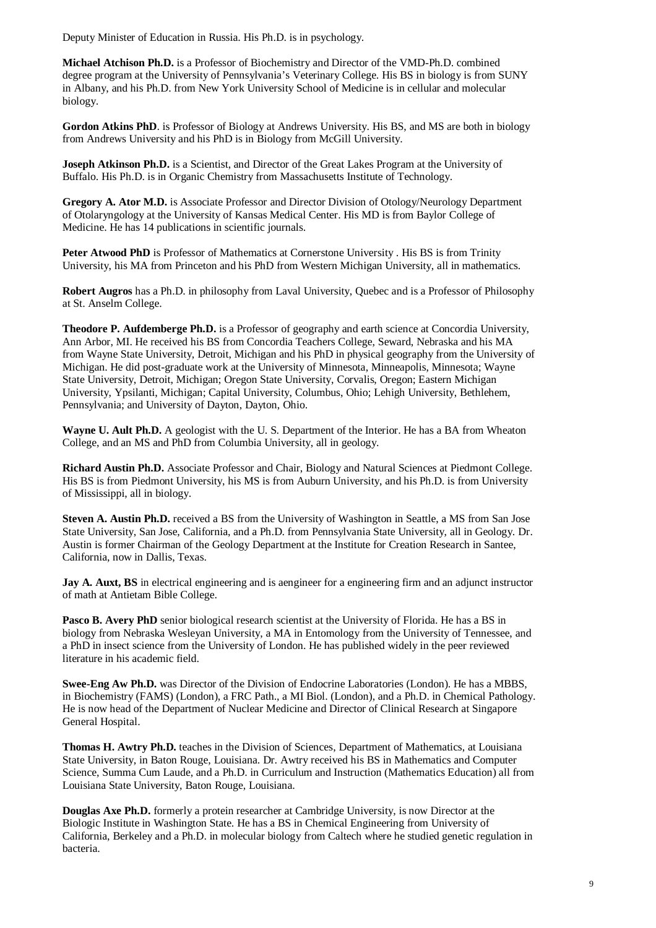Deputy Minister of Education in Russia. His Ph.D. is in psychology.

**Michael Atchison Ph.D.** is a Professor of Biochemistry and Director of the VMD-Ph.D. combined degree program at the University of Pennsylvania's Veterinary College. His BS in biology is from SUNY in Albany, and his Ph.D. from New York University School of Medicine is in cellular and molecular biology.

**Gordon Atkins PhD**. is Professor of Biology at Andrews University. His BS, and MS are both in biology from Andrews University and his PhD is in Biology from McGill University.

**Joseph Atkinson Ph.D.** is a Scientist, and Director of the Great Lakes Program at the University of Buffalo. His Ph.D. is in Organic Chemistry from Massachusetts Institute of Technology.

**Gregory A. Ator M.D.** is Associate Professor and Director Division of Otology/Neurology Department of Otolaryngology at the University of Kansas Medical Center. His MD is from Baylor College of Medicine. He has 14 publications in scientific journals.

**Peter Atwood PhD** is Professor of Mathematics at Cornerstone University . His BS is from Trinity University, his MA from Princeton and his PhD from Western Michigan University, all in mathematics.

**Robert Augros** has a Ph.D. in philosophy from Laval University, Quebec and is a Professor of Philosophy at St. Anselm College.

**Theodore P. Aufdemberge Ph.D.** is a Professor of geography and earth science at Concordia University, Ann Arbor, MI. He received his BS from Concordia Teachers College, Seward, Nebraska and his MA from Wayne State University, Detroit, Michigan and his PhD in physical geography from the University of Michigan. He did post-graduate work at the University of Minnesota, Minneapolis, Minnesota; Wayne State University, Detroit, Michigan; Oregon State University, Corvalis, Oregon; Eastern Michigan University, Ypsilanti, Michigan; Capital University, Columbus, Ohio; Lehigh University, Bethlehem, Pennsylvania; and University of Dayton, Dayton, Ohio.

**Wayne U. Ault Ph.D.** A geologist with the U. S. Department of the Interior. He has a BA from Wheaton College, and an MS and PhD from Columbia University, all in geology.

**Richard Austin Ph.D.** Associate Professor and Chair, Biology and Natural Sciences at Piedmont College. His BS is from Piedmont University, his MS is from Auburn University, and his Ph.D. is from University of Mississippi, all in biology.

**Steven A. Austin Ph.D.** received a BS from the University of Washington in Seattle, a MS from San Jose State University, San Jose, California, and a Ph.D. from Pennsylvania State University, all in Geology. Dr. Austin is former Chairman of the Geology Department at the Institute for Creation Research in Santee, California, now in Dallis, Texas.

**Jay A. Auxt, BS** in electrical engineering and is aengineer for a engineering firm and an adjunct instructor of math at Antietam Bible College.

**Pasco B. Avery PhD** senior biological research scientist at the University of Florida. He has a BS in biology from Nebraska Wesleyan University, a MA in Entomology from the University of Tennessee, and a PhD in insect science from the University of London. He has published widely in the peer reviewed literature in his academic field.

**Swee-Eng Aw Ph.D.** was Director of the Division of Endocrine Laboratories (London). He has a MBBS, in Biochemistry (FAMS) (London), a FRC Path., a MI Biol. (London), and a Ph.D. in Chemical Pathology. He is now head of the Department of Nuclear Medicine and Director of Clinical Research at Singapore General Hospital.

**Thomas H. Awtry Ph.D.** teaches in the Division of Sciences, Department of Mathematics, at Louisiana State University, in Baton Rouge, Louisiana. Dr. Awtry received his BS in Mathematics and Computer Science, Summa Cum Laude, and a Ph.D. in Curriculum and Instruction (Mathematics Education) all from Louisiana State University, Baton Rouge, Louisiana.

**Douglas Axe Ph.D.** formerly a protein researcher at Cambridge University, is now Director at the Biologic Institute in Washington State. He has a BS in Chemical Engineering from University of California, Berkeley and a Ph.D. in molecular biology from Caltech where he studied genetic regulation in bacteria.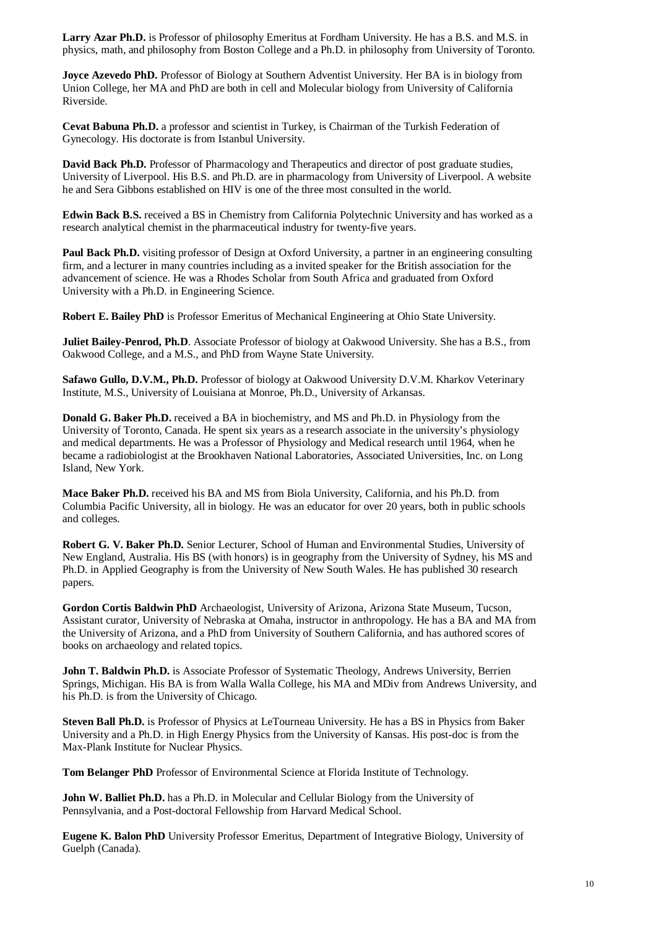**Larry Azar Ph.D.** is Professor of philosophy Emeritus at Fordham University. He has a B.S. and M.S. in physics, math, and philosophy from Boston College and a Ph.D. in philosophy from University of Toronto.

**Joyce Azevedo PhD.** Professor of Biology at Southern Adventist University. Her BA is in biology from Union College, her MA and PhD are both in cell and Molecular biology from University of California Riverside.

**Cevat Babuna Ph.D.** a professor and scientist in Turkey, is Chairman of the Turkish Federation of Gynecology. His doctorate is from Istanbul University.

**David Back Ph.D.** Professor of Pharmacology and Therapeutics and director of post graduate studies, University of Liverpool. His B.S. and Ph.D. are in pharmacology from University of Liverpool. A website he and Sera Gibbons established on HIV is one of the three most consulted in the world.

**Edwin Back B.S.** received a BS in Chemistry from California Polytechnic University and has worked as a research analytical chemist in the pharmaceutical industry for twenty-five years.

**Paul Back Ph.D.** visiting professor of Design at Oxford University, a partner in an engineering consulting firm, and a lecturer in many countries including as a invited speaker for the British association for the advancement of science. He was a Rhodes Scholar from South Africa and graduated from Oxford University with a Ph.D. in Engineering Science.

**Robert E. Bailey PhD** is Professor Emeritus of Mechanical Engineering at Ohio State University.

**Juliet Bailey-Penrod, Ph.D**. Associate Professor of biology at Oakwood University. She has a B.S., from Oakwood College, and a M.S., and PhD from Wayne State University.

**Safawo Gullo, D.V.M., Ph.D.** Professor of biology at Oakwood University D.V.M. Kharkov Veterinary Institute, M.S., University of Louisiana at Monroe, Ph.D., University of Arkansas.

**Donald G. Baker Ph.D.** received a BA in biochemistry, and MS and Ph.D. in Physiology from the University of Toronto, Canada. He spent six years as a research associate in the university's physiology and medical departments. He was a Professor of Physiology and Medical research until 1964, when he became a radiobiologist at the Brookhaven National Laboratories, Associated Universities, Inc. on Long Island, New York.

**Mace Baker Ph.D.** received his BA and MS from Biola University, California, and his Ph.D. from Columbia Pacific University, all in biology. He was an educator for over 20 years, both in public schools and colleges.

**Robert G. V. Baker Ph.D.** Senior Lecturer, School of Human and Environmental Studies, University of New England, Australia. His BS (with honors) is in geography from the University of Sydney, his MS and Ph.D. in Applied Geography is from the University of New South Wales. He has published 30 research papers.

**Gordon Cortis Baldwin PhD** Archaeologist, University of Arizona, Arizona State Museum, Tucson, Assistant curator, University of Nebraska at Omaha, instructor in anthropology. He has a BA and MA from the University of Arizona, and a PhD from University of Southern California, and has authored scores of books on archaeology and related topics.

**John T. Baldwin Ph.D.** is Associate Professor of Systematic Theology, Andrews University, Berrien Springs, Michigan. His BA is from Walla Walla College, his MA and MDiv from Andrews University, and his Ph.D. is from the University of Chicago.

**Steven Ball Ph.D.** is Professor of Physics at LeTourneau University. He has a BS in Physics from Baker University and a Ph.D. in High Energy Physics from the University of Kansas. His post-doc is from the Max-Plank Institute for Nuclear Physics.

**Tom Belanger PhD** Professor of Environmental Science at Florida Institute of Technology.

John W. Balliet Ph.D. has a Ph.D. in Molecular and Cellular Biology from the University of Pennsylvania, and a Post-doctoral Fellowship from Harvard Medical School.

**Eugene K. Balon PhD** University Professor Emeritus, Department of Integrative Biology, University of Guelph (Canada).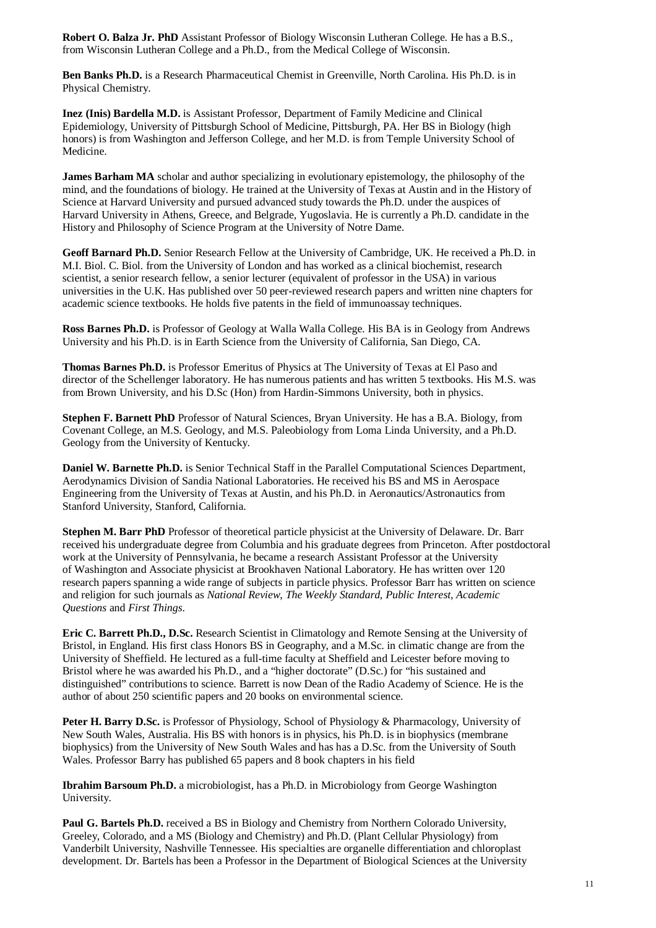**Robert O. Balza Jr. PhD** Assistant Professor of Biology Wisconsin Lutheran College. He has a B.S., from Wisconsin Lutheran College and a Ph.D., from the Medical College of Wisconsin.

**Ben Banks Ph.D.** is a Research Pharmaceutical Chemist in Greenville, North Carolina. His Ph.D. is in Physical Chemistry.

**Inez (Inis) Bardella M.D.** is Assistant Professor, Department of Family Medicine and Clinical Epidemiology, University of Pittsburgh School of Medicine, Pittsburgh, PA. Her BS in Biology (high honors) is from Washington and Jefferson College, and her M.D. is from Temple University School of Medicine.

**James Barham MA** scholar and author specializing in evolutionary epistemology, the philosophy of the mind, and the foundations of biology. He trained at the University of Texas at Austin and in the History of Science at Harvard University and pursued advanced study towards the Ph.D. under the auspices of Harvard University in Athens, Greece, and Belgrade, Yugoslavia. He is currently a Ph.D. candidate in the History and Philosophy of Science Program at the University of Notre Dame.

**Geoff Barnard Ph.D.** Senior Research Fellow at the University of Cambridge, UK. He received a Ph.D. in M.I. Biol. C. Biol. from the University of London and has worked as a clinical biochemist, research scientist, a senior research fellow, a senior lecturer (equivalent of professor in the USA) in various universities in the U.K. Has published over 50 peer-reviewed research papers and written nine chapters for academic science textbooks. He holds five patents in the field of immunoassay techniques.

**Ross Barnes Ph.D.** is Professor of Geology at Walla Walla College. His BA is in Geology from Andrews University and his Ph.D. is in Earth Science from the University of California, San Diego, CA.

**Thomas Barnes Ph.D.** is Professor Emeritus of Physics at The University of Texas at El Paso and director of the Schellenger laboratory. He has numerous patients and has written 5 textbooks. His M.S. was from Brown University, and his D.Sc (Hon) from Hardin-Simmons University, both in physics.

**Stephen F. Barnett PhD** Professor of Natural Sciences, Bryan University. He has a B.A. Biology, from Covenant College, an M.S. Geology, and M.S. Paleobiology from Loma Linda University, and a Ph.D. Geology from the University of Kentucky.

**Daniel W. Barnette Ph.D.** is Senior Technical Staff in the Parallel Computational Sciences Department, Aerodynamics Division of Sandia National Laboratories. He received his BS and MS in Aerospace Engineering from the University of Texas at Austin, and his Ph.D. in Aeronautics/Astronautics from Stanford University, Stanford, California.

**Stephen M. Barr PhD** Professor of theoretical particle physicist at the University of Delaware. Dr. Barr received his undergraduate degree from Columbia and his graduate degrees from Princeton. After postdoctoral work at the University of Pennsylvania, he became a research Assistant Professor at the University of Washington and Associate physicist at Brookhaven National Laboratory. He has written over 120 research papers spanning a wide range of subjects in particle physics. Professor Barr has written on science and religion for such journals as *National Review*, *The Weekly Standard*, *Public Interest*, *Academic Questions* and *First Things*.

**Eric C. Barrett Ph.D., D.Sc.** Research Scientist in Climatology and Remote Sensing at the University of Bristol, in England. His first class Honors BS in Geography, and a M.Sc. in climatic change are from the University of Sheffield. He lectured as a full-time faculty at Sheffield and Leicester before moving to Bristol where he was awarded his Ph.D., and a "higher doctorate" (D.Sc.) for "his sustained and distinguished" contributions to science. Barrett is now Dean of the Radio Academy of Science. He is the author of about 250 scientific papers and 20 books on environmental science.

Peter H. Barry D.Sc. is Professor of Physiology, School of Physiology & Pharmacology, University of New South Wales, Australia. His BS with honors is in physics, his Ph.D. is in biophysics (membrane biophysics) from the University of New South Wales and has has a D.Sc. from the University of South Wales. Professor Barry has published 65 papers and 8 book chapters in his field

**Ibrahim Barsoum Ph.D.** a microbiologist, has a Ph.D. in Microbiology from George Washington University.

**Paul G. Bartels Ph.D.** received a BS in Biology and Chemistry from Northern Colorado University, Greeley, Colorado, and a MS (Biology and Chemistry) and Ph.D. (Plant Cellular Physiology) from Vanderbilt University, Nashville Tennessee. His specialties are organelle differentiation and chloroplast development. Dr. Bartels has been a Professor in the Department of Biological Sciences at the University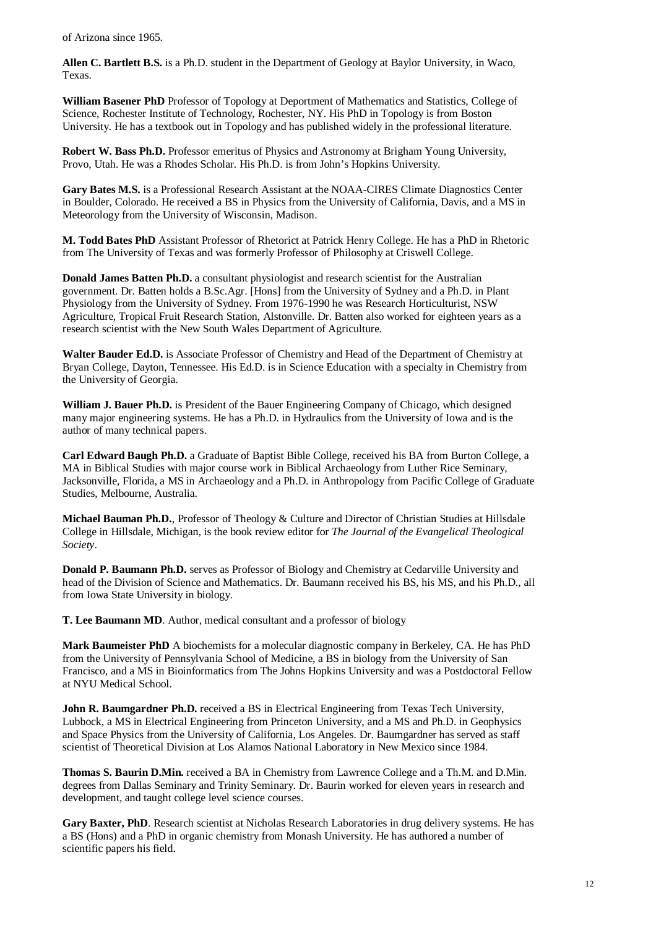of Arizona since 1965.

**Allen C. Bartlett B.S.** is a Ph.D. student in the Department of Geology at Baylor University, in Waco, Texas.

**William Basener PhD** Professor of Topology at Deportment of Mathematics and Statistics, College of Science, Rochester Institute of Technology, Rochester, NY. His PhD in Topology is from Boston University. He has a textbook out in Topology and has published widely in the professional literature.

**Robert W. Bass Ph.D.** Professor emeritus of Physics and Astronomy at Brigham Young University, Provo, Utah. He was a Rhodes Scholar. His Ph.D. is from John's Hopkins University.

**Gary Bates M.S.** is a Professional Research Assistant at the NOAA-CIRES Climate Diagnostics Center in Boulder, Colorado. He received a BS in Physics from the University of California, Davis, and a MS in Meteorology from the University of Wisconsin, Madison.

**M. Todd Bates PhD** Assistant Professor of Rhetorict at Patrick Henry College. He has a PhD in Rhetoric from The University of Texas and was formerly Professor of Philosophy at Criswell College.

**Donald James Batten Ph.D.** a consultant physiologist and research scientist for the Australian government. Dr. Batten holds a B.Sc.Agr. [Hons] from the University of Sydney and a Ph.D. in Plant Physiology from the University of Sydney. From 1976-1990 he was Research Horticulturist, NSW Agriculture, Tropical Fruit Research Station, Alstonville. Dr. Batten also worked for eighteen years as a research scientist with the New South Wales Department of Agriculture.

**Walter Bauder Ed.D.** is Associate Professor of Chemistry and Head of the Department of Chemistry at Bryan College, Dayton, Tennessee. His Ed.D. is in Science Education with a specialty in Chemistry from the University of Georgia.

**William J. Bauer Ph.D.** is President of the Bauer Engineering Company of Chicago, which designed many major engineering systems. He has a Ph.D. in Hydraulics from the University of Iowa and is the author of many technical papers.

**Carl Edward Baugh Ph.D.** a Graduate of Baptist Bible College, received his BA from Burton College, a MA in Biblical Studies with major course work in Biblical Archaeology from Luther Rice Seminary, Jacksonville, Florida, a MS in Archaeology and a Ph.D. in Anthropology from Pacific College of Graduate Studies, Melbourne, Australia.

**Michael Bauman Ph.D.**, Professor of Theology & Culture and Director of Christian Studies at Hillsdale College in Hillsdale, Michigan, is the book review editor for *The Journal of the Evangelical Theological Society*.

**Donald P. Baumann Ph.D.** serves as Professor of Biology and Chemistry at Cedarville University and head of the Division of Science and Mathematics. Dr. Baumann received his BS, his MS, and his Ph.D., all from Iowa State University in biology.

**T. Lee Baumann MD**. Author, medical consultant and a professor of biology

**Mark Baumeister PhD** A biochemists for a molecular diagnostic company in Berkeley, CA. He has PhD from the University of Pennsylvania School of Medicine, a BS in biology from the University of San Francisco, and a MS in Bioinformatics from The Johns Hopkins University and was a Postdoctoral Fellow at NYU Medical School.

**John R. Baumgardner Ph.D.** received a BS in Electrical Engineering from Texas Tech University, Lubbock, a MS in Electrical Engineering from Princeton University, and a MS and Ph.D. in Geophysics and Space Physics from the University of California, Los Angeles. Dr. Baumgardner has served as staff scientist of Theoretical Division at Los Alamos National Laboratory in New Mexico since 1984.

**Thomas S. Baurin D.Min.** received a BA in Chemistry from Lawrence College and a Th.M. and D.Min. degrees from Dallas Seminary and Trinity Seminary. Dr. Baurin worked for eleven years in research and development, and taught college level science courses.

**Gary Baxter, PhD**. Research scientist at Nicholas Research Laboratories in drug delivery systems. He has a BS (Hons) and a PhD in organic chemistry from Monash University. He has authored a number of scientific papers his field.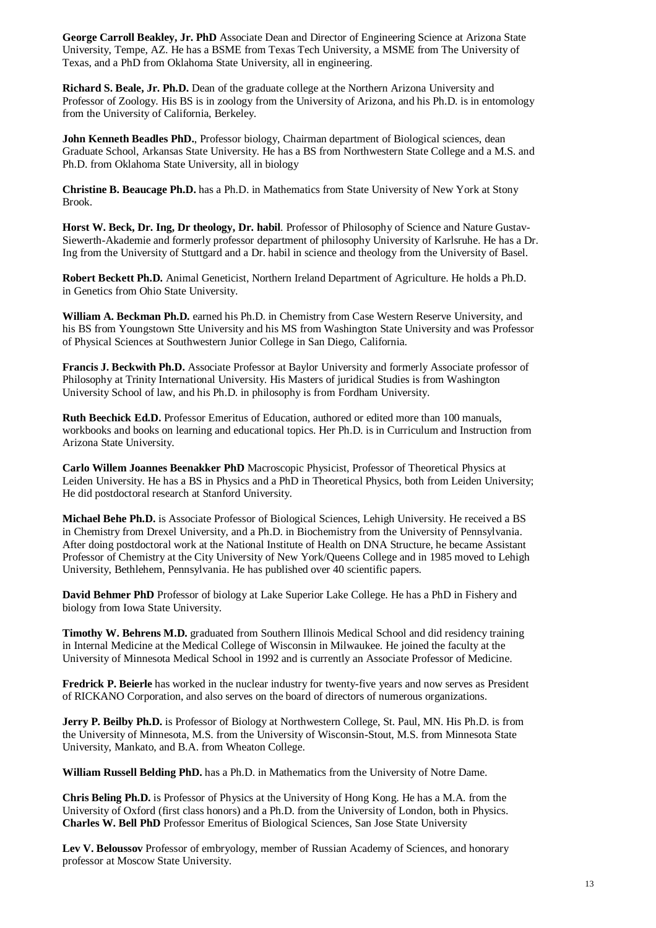**George Carroll Beakley, Jr. PhD** Associate Dean and Director of Engineering Science at Arizona State University, Tempe, AZ. He has a BSME from Texas Tech University, a MSME from The University of Texas, and a PhD from Oklahoma State University, all in engineering.

**Richard S. Beale, Jr. Ph.D.** Dean of the graduate college at the Northern Arizona University and Professor of Zoology. His BS is in zoology from the University of Arizona, and his Ph.D. is in entomology from the University of California, Berkeley.

John Kenneth Beadles PhD., Professor biology, Chairman department of Biological sciences, dean Graduate School, Arkansas State University. He has a BS from Northwestern State College and a M.S. and Ph.D. from Oklahoma State University, all in biology

**Christine B. Beaucage Ph.D.** has a Ph.D. in Mathematics from State University of New York at Stony Brook.

**Horst W. Beck, Dr. Ing, Dr theology, Dr. habil**. Professor of Philosophy of Science and Nature Gustav-Siewerth-Akademie and formerly professor department of philosophy University of Karlsruhe. He has a Dr. Ing from the University of Stuttgard and a Dr. habil in science and theology from the University of Basel.

**Robert Beckett Ph.D.** Animal Geneticist, Northern Ireland Department of Agriculture. He holds a Ph.D. in Genetics from Ohio State University.

**William A. Beckman Ph.D.** earned his Ph.D. in Chemistry from Case Western Reserve University, and his BS from Youngstown Stte University and his MS from Washington State University and was Professor of Physical Sciences at Southwestern Junior College in San Diego, California.

**Francis J. Beckwith Ph.D.** Associate Professor at Baylor University and formerly Associate professor of Philosophy at Trinity International University. His Masters of juridical Studies is from Washington University School of law, and his Ph.D. in philosophy is from Fordham University.

**Ruth Beechick Ed.D.** Professor Emeritus of Education, authored or edited more than 100 manuals, workbooks and books on learning and educational topics. Her Ph.D. is in Curriculum and Instruction from Arizona State University.

**Carlo Willem Joannes Beenakker PhD** Macroscopic Physicist, Professor of Theoretical Physics at Leiden University. He has a BS in Physics and a PhD in Theoretical Physics, both from Leiden University; He did postdoctoral research at Stanford University.

**Michael Behe Ph.D.** is Associate Professor of Biological Sciences, Lehigh University. He received a BS in Chemistry from Drexel University, and a Ph.D. in Biochemistry from the University of Pennsylvania. After doing postdoctoral work at the National Institute of Health on DNA Structure, he became Assistant Professor of Chemistry at the City University of New York/Queens College and in 1985 moved to Lehigh University, Bethlehem, Pennsylvania. He has published over 40 scientific papers.

**David Behmer PhD** Professor of biology at Lake Superior Lake College. He has a PhD in Fishery and biology from Iowa State University.

**Timothy W. Behrens M.D.** graduated from Southern Illinois Medical School and did residency training in Internal Medicine at the Medical College of Wisconsin in Milwaukee. He joined the faculty at the University of Minnesota Medical School in 1992 and is currently an Associate Professor of Medicine.

**Fredrick P. Beierle** has worked in the nuclear industry for twenty-five years and now serves as President of RICKANO Corporation, and also serves on the board of directors of numerous organizations.

**Jerry P. Beilby Ph.D.** is Professor of Biology at Northwestern College, St. Paul, MN. His Ph.D. is from the University of Minnesota, M.S. from the University of Wisconsin-Stout, M.S. from Minnesota State University, Mankato, and B.A. from Wheaton College.

**William Russell Belding PhD.** has a Ph.D. in Mathematics from the University of Notre Dame.

**Chris Beling Ph.D.** is Professor of Physics at the University of Hong Kong. He has a M.A. from the University of Oxford (first class honors) and a Ph.D. from the University of London, both in Physics. **Charles W. Bell PhD** Professor Emeritus of Biological Sciences, San Jose State University

**Lev V. Beloussov** Professor of embryology, member of Russian Academy of Sciences, and honorary professor at Moscow State University.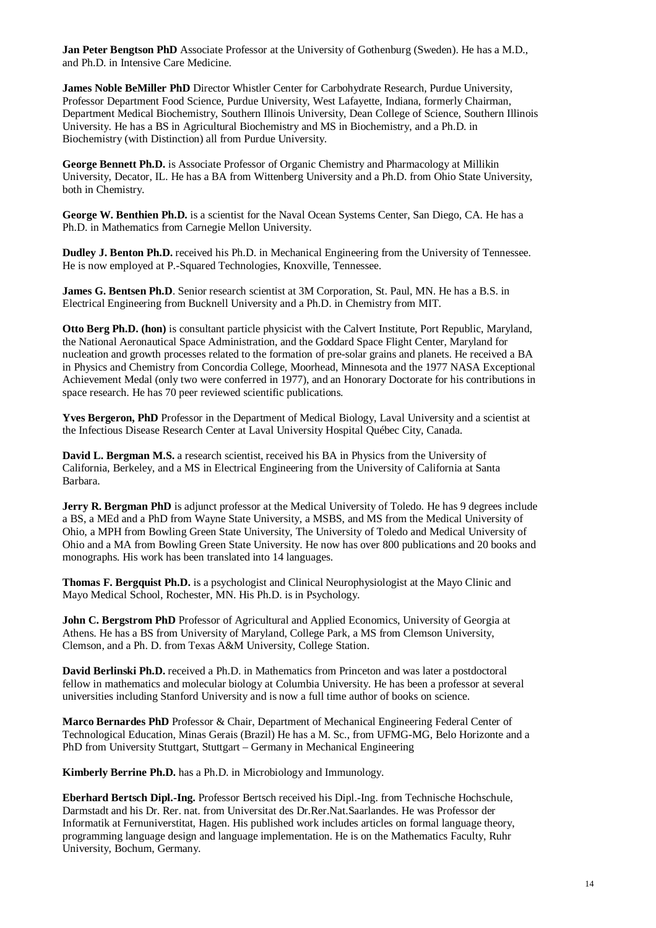**Jan Peter Bengtson PhD** Associate Professor at the University of Gothenburg (Sweden). He has a M.D., and Ph.D. in Intensive Care Medicine.

**James Noble BeMiller PhD** Director Whistler Center for Carbohydrate Research, Purdue University, Professor Department Food Science, Purdue University, West Lafayette, Indiana, formerly Chairman, Department Medical Biochemistry, Southern Illinois University, Dean College of Science, Southern Illinois University. He has a BS in Agricultural Biochemistry and MS in Biochemistry, and a Ph.D. in Biochemistry (with Distinction) all from Purdue University.

**George Bennett Ph.D.** is Associate Professor of Organic Chemistry and Pharmacology at Millikin University, Decator, IL. He has a BA from Wittenberg University and a Ph.D. from Ohio State University, both in Chemistry.

**George W. Benthien Ph.D.** is a scientist for the Naval Ocean Systems Center, San Diego, CA. He has a Ph.D. in Mathematics from Carnegie Mellon University.

**Dudley J. Benton Ph.D.** received his Ph.D. in Mechanical Engineering from the University of Tennessee. He is now employed at P.-Squared Technologies, Knoxville, Tennessee.

**James G. Bentsen Ph.D.** Senior research scientist at 3M Corporation, St. Paul, MN. He has a B.S. in Electrical Engineering from Bucknell University and a Ph.D. in Chemistry from MIT.

**Otto Berg Ph.D. (hon)** is consultant particle physicist with the Calvert Institute, Port Republic, Maryland, the National Aeronautical Space Administration, and the Goddard Space Flight Center, Maryland for nucleation and growth processes related to the formation of pre-solar grains and planets. He received a BA in Physics and Chemistry from Concordia College, Moorhead, Minnesota and the 1977 NASA Exceptional Achievement Medal (only two were conferred in 1977), and an Honorary Doctorate for his contributions in space research. He has 70 peer reviewed scientific publications.

**Yves Bergeron, PhD** Professor in the Department of Medical Biology, Laval University and a scientist at the Infectious Disease Research Center at Laval University Hospital Québec City, Canada.

**David L. Bergman M.S.** a research scientist, received his BA in Physics from the University of California, Berkeley, and a MS in Electrical Engineering from the University of California at Santa Barbara.

**Jerry R. Bergman PhD** is adjunct professor at the Medical University of Toledo. He has 9 degrees include a BS, a MEd and a PhD from Wayne State University, a MSBS, and MS from the Medical University of Ohio, a MPH from Bowling Green State University, The University of Toledo and Medical University of Ohio and a MA from Bowling Green State University. He now has over 800 publications and 20 books and monographs. His work has been translated into 14 languages.

**Thomas F. Bergquist Ph.D.** is a psychologist and Clinical Neurophysiologist at the Mayo Clinic and Mayo Medical School, Rochester, MN. His Ph.D. is in Psychology.

**John C. Bergstrom PhD** Professor of Agricultural and Applied Economics, University of Georgia at Athens. He has a BS from University of Maryland, College Park, a MS from Clemson University, Clemson, and a Ph. D. from Texas A&M University, College Station.

**David Berlinski Ph.D.** received a Ph.D. in Mathematics from Princeton and was later a postdoctoral fellow in mathematics and molecular biology at Columbia University. He has been a professor at several universities including Stanford University and is now a full time author of books on science.

**Marco Bernardes PhD** Professor & Chair, Department of Mechanical Engineering Federal Center of Technological Education, Minas Gerais (Brazil) He has a M. Sc., from UFMG-MG, Belo Horizonte and a PhD from University Stuttgart, Stuttgart – Germany in Mechanical Engineering

**Kimberly Berrine Ph.D.** has a Ph.D. in Microbiology and Immunology.

**Eberhard Bertsch Dipl.-Ing.** Professor Bertsch received his Dipl.-Ing. from Technische Hochschule, Darmstadt and his Dr. Rer. nat. from Universitat des Dr.Rer.Nat.Saarlandes. He was Professor der Informatik at Fernuniverstitat, Hagen. His published work includes articles on formal language theory, programming language design and language implementation. He is on the Mathematics Faculty, Ruhr University, Bochum, Germany.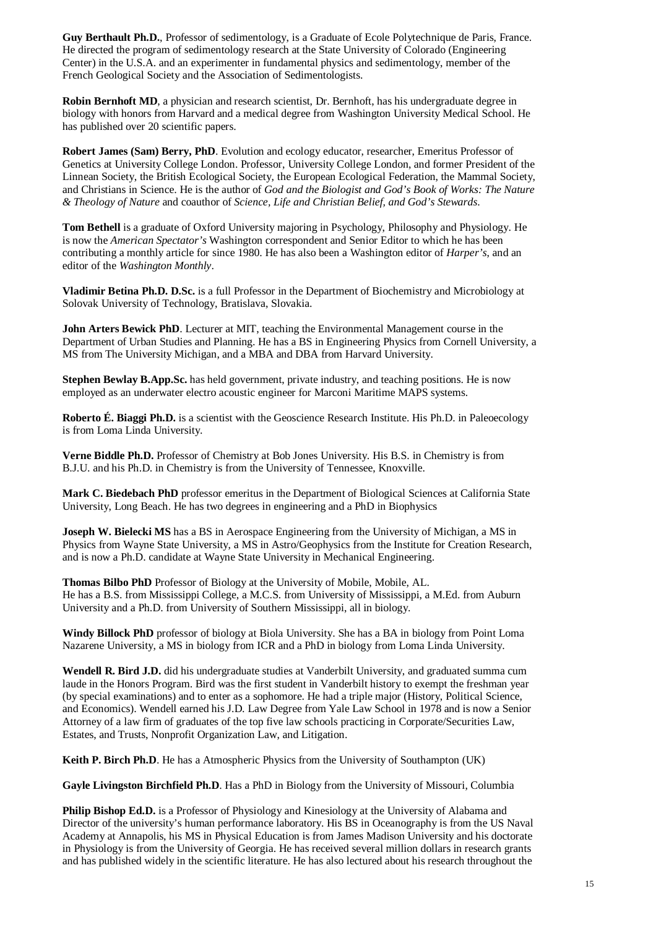Guy Berthault Ph.D., Professor of sedimentology, is a Graduate of Ecole Polytechnique de Paris, France. He directed the program of sedimentology research at the State University of Colorado (Engineering Center) in the U.S.A. and an experimenter in fundamental physics and sedimentology, member of the French Geological Society and the Association of Sedimentologists.

**Robin Bernhoft MD**, a physician and research scientist, Dr. Bernhoft, has his undergraduate degree in biology with honors from Harvard and a medical degree from Washington University Medical School. He has published over 20 scientific papers.

**Robert James (Sam) Berry, PhD**. Evolution and ecology educator, researcher, Emeritus Professor of Genetics at University College London. Professor, University College London, and former President of the Linnean Society, the British Ecological Society, the European Ecological Federation, the Mammal Society, and Christians in Science. He is the author of *God and the Biologist and God's Book of Works: The Nature & Theology of Nature* and coauthor of *Science, Life and Christian Belief, and God's Stewards*.

**Tom Bethell** is a graduate of Oxford University majoring in Psychology, Philosophy and Physiology. He is now the *American Spectator's* Washington correspondent and Senior Editor to which he has been contributing a monthly article for since 1980. He has also been a Washington editor of *Harper's*, and an editor of the *Washington Monthly*.

**Vladimir Betina Ph.D. D.Sc.** is a full Professor in the Department of Biochemistry and Microbiology at Solovak University of Technology, Bratislava, Slovakia.

**John Arters Bewick PhD**. Lecturer at MIT, teaching the Environmental Management course in the Department of Urban Studies and Planning. He has a BS in Engineering Physics from Cornell University, a MS from The University Michigan, and a MBA and DBA from Harvard University.

**Stephen Bewlay B.App.Sc.** has held government, private industry, and teaching positions. He is now employed as an underwater electro acoustic engineer for Marconi Maritime MAPS systems.

**Roberto É. Biaggi Ph.D.** is a scientist with the Geoscience Research Institute. His Ph.D. in Paleoecology is from Loma Linda University.

**Verne Biddle Ph.D.** Professor of Chemistry at Bob Jones University. His B.S. in Chemistry is from B.J.U. and his Ph.D. in Chemistry is from the University of Tennessee, Knoxville.

**Mark C. Biedebach PhD** professor emeritus in the Department of Biological Sciences at California State University, Long Beach. He has two degrees in engineering and a PhD in Biophysics

**Joseph W. Bielecki MS** has a BS in Aerospace Engineering from the University of Michigan, a MS in Physics from Wayne State University, a MS in Astro/Geophysics from the Institute for Creation Research, and is now a Ph.D. candidate at Wayne State University in Mechanical Engineering.

**Thomas Bilbo PhD** Professor of Biology at the University of Mobile, Mobile, AL. He has a B.S. from Mississippi College, a M.C.S. from University of Mississippi, a M.Ed. from Auburn University and a Ph.D. from University of Southern Mississippi, all in biology.

**Windy Billock PhD** professor of biology at Biola University. She has a BA in biology from Point Loma Nazarene University, a MS in biology from ICR and a PhD in biology from Loma Linda University.

**Wendell R. Bird J.D.** did his undergraduate studies at Vanderbilt University, and graduated summa cum laude in the Honors Program. Bird was the first student in Vanderbilt history to exempt the freshman year (by special examinations) and to enter as a sophomore. He had a triple major (History, Political Science, and Economics). Wendell earned his J.D. Law Degree from Yale Law School in 1978 and is now a Senior Attorney of a law firm of graduates of the top five law schools practicing in Corporate/Securities Law, Estates, and Trusts, Nonprofit Organization Law, and Litigation.

**Keith P. Birch Ph.D**. He has a Atmospheric Physics from the University of Southampton (UK)

**Gayle Livingston Birchfield Ph.D**. Has a PhD in Biology from the University of Missouri, Columbia

**Philip Bishop Ed.D.** is a Professor of Physiology and Kinesiology at the University of Alabama and Director of the university's human performance laboratory. His BS in Oceanography is from the US Naval Academy at Annapolis, his MS in Physical Education is from James Madison University and his doctorate in Physiology is from the University of Georgia. He has received several million dollars in research grants and has published widely in the scientific literature. He has also lectured about his research throughout the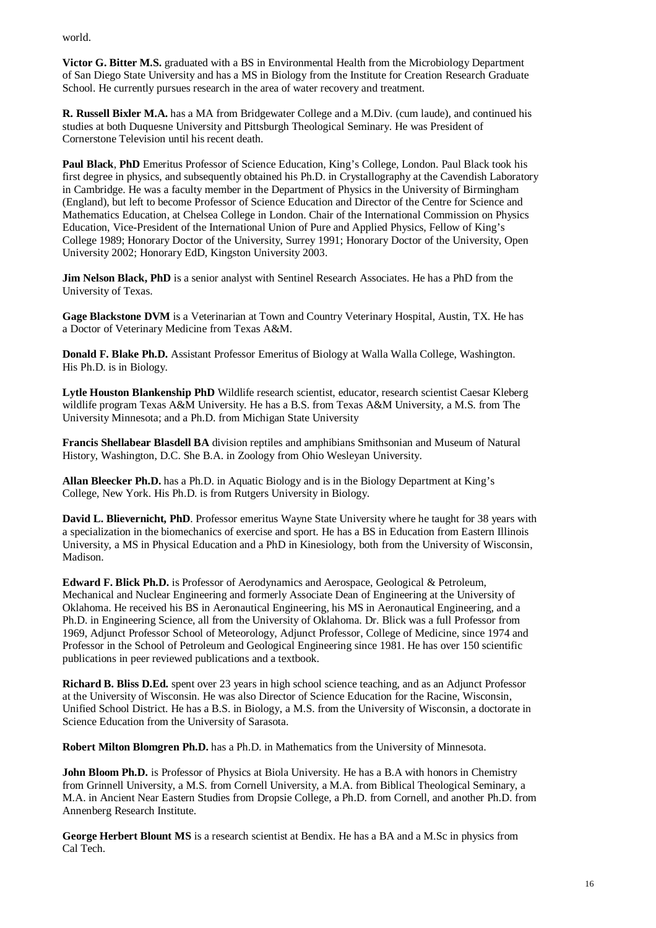world.

**Victor G. Bitter M.S.** graduated with a BS in Environmental Health from the Microbiology Department of San Diego State University and has a MS in Biology from the Institute for Creation Research Graduate School. He currently pursues research in the area of water recovery and treatment.

**R. Russell Bixler M.A.** has a MA from Bridgewater College and a M.Div. (cum laude), and continued his studies at both Duquesne University and Pittsburgh Theological Seminary. He was President of Cornerstone Television until his recent death.

**Paul Black**, **PhD** Emeritus Professor of Science Education, King's College, London. Paul Black took his first degree in physics, and subsequently obtained his Ph.D. in Crystallography at the Cavendish Laboratory in Cambridge. He was a faculty member in the Department of Physics in the University of Birmingham (England), but left to become Professor of Science Education and Director of the Centre for Science and Mathematics Education, at Chelsea College in London. Chair of the International Commission on Physics Education, Vice-President of the International Union of Pure and Applied Physics, Fellow of King's College 1989; Honorary Doctor of the University, Surrey 1991; Honorary Doctor of the University, Open University 2002; Honorary EdD, Kingston University 2003.

**Jim Nelson Black, PhD** is a senior analyst with Sentinel Research Associates. He has a PhD from the University of Texas.

**Gage Blackstone DVM** is a Veterinarian at Town and Country Veterinary Hospital, Austin, TX. He has a Doctor of Veterinary Medicine from Texas A&M.

**Donald F. Blake Ph.D.** Assistant Professor Emeritus of Biology at Walla Walla College, Washington. His Ph.D. is in Biology.

**Lytle Houston Blankenship PhD** Wildlife research scientist, educator, research scientist Caesar Kleberg wildlife program Texas A&M University. He has a B.S. from Texas A&M University, a M.S. from The University Minnesota; and a Ph.D. from Michigan State University

**Francis Shellabear Blasdell BA** division reptiles and amphibians Smithsonian and Museum of Natural History, Washington, D.C. She B.A. in Zoology from Ohio Wesleyan University.

**Allan Bleecker Ph.D.** has a Ph.D. in Aquatic Biology and is in the Biology Department at King's College, New York. His Ph.D. is from Rutgers University in Biology.

**David L. Blievernicht, PhD**. Professor emeritus Wayne State University where he taught for 38 years with a specialization in the biomechanics of exercise and sport. He has a BS in Education from Eastern Illinois University, a MS in Physical Education and a PhD in Kinesiology, both from the University of Wisconsin, Madison.

**Edward F. Blick Ph.D.** is Professor of Aerodynamics and Aerospace, Geological & Petroleum, Mechanical and Nuclear Engineering and formerly Associate Dean of Engineering at the University of Oklahoma. He received his BS in Aeronautical Engineering, his MS in Aeronautical Engineering, and a Ph.D. in Engineering Science, all from the University of Oklahoma. Dr. Blick was a full Professor from 1969, Adjunct Professor School of Meteorology, Adjunct Professor, College of Medicine, since 1974 and Professor in the School of Petroleum and Geological Engineering since 1981. He has over 150 scientific publications in peer reviewed publications and a textbook.

**Richard B. Bliss D.Ed.** spent over 23 years in high school science teaching, and as an Adjunct Professor at the University of Wisconsin. He was also Director of Science Education for the Racine, Wisconsin, Unified School District. He has a B.S. in Biology, a M.S. from the University of Wisconsin, a doctorate in Science Education from the University of Sarasota.

**Robert Milton Blomgren Ph.D.** has a Ph.D. in Mathematics from the University of Minnesota.

**John Bloom Ph.D.** is Professor of Physics at Biola University. He has a B.A with honors in Chemistry from Grinnell University, a M.S. from Cornell University, a M.A. from Biblical Theological Seminary, a M.A. in Ancient Near Eastern Studies from Dropsie College, a Ph.D. from Cornell, and another Ph.D. from Annenberg Research Institute.

**George Herbert Blount MS** is a research scientist at Bendix. He has a BA and a M.Sc in physics from Cal Tech.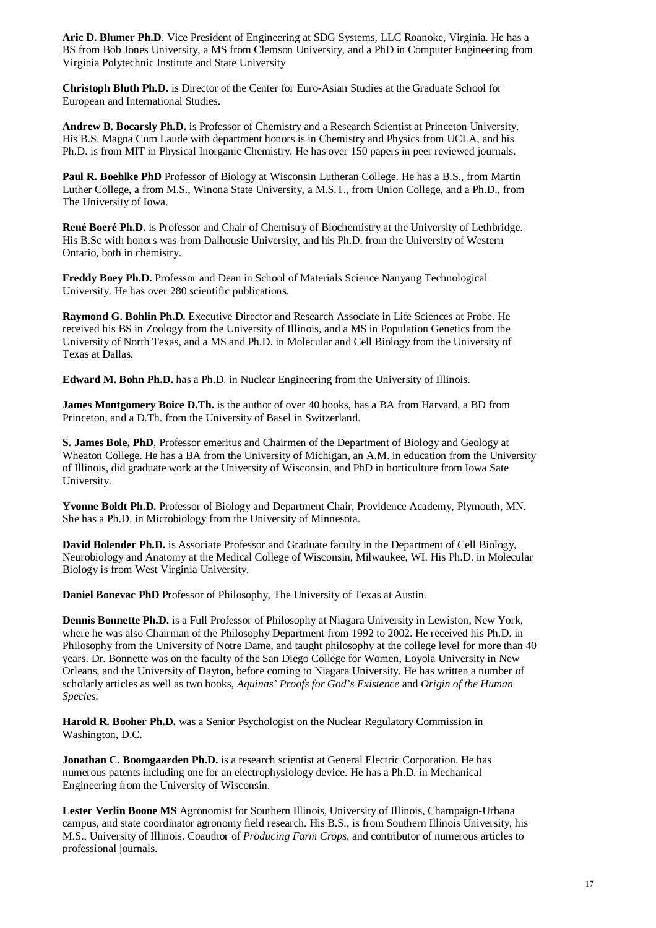**Aric D. Blumer Ph.D**. Vice President of Engineering at SDG Systems, LLC Roanoke, Virginia. He has a BS from Bob Jones University, a MS from Clemson University, and a PhD in Computer Engineering from Virginia Polytechnic Institute and State University

**Christoph Bluth Ph.D.** is Director of the Center for Euro-Asian Studies at the Graduate School for European and International Studies.

**Andrew B. Bocarsly Ph.D.** is Professor of Chemistry and a Research Scientist at Princeton University. His B.S. Magna Cum Laude with department honors is in Chemistry and Physics from UCLA, and his Ph.D. is from MIT in Physical Inorganic Chemistry. He has over 150 papers in peer reviewed journals.

**Paul R. Boehlke PhD** Professor of Biology at Wisconsin Lutheran College. He has a B.S., from Martin Luther College, a from M.S., Winona State University, a M.S.T., from Union College, and a Ph.D., from The University of Iowa.

**René Boeré Ph.D.** is Professor and Chair of Chemistry of Biochemistry at the University of Lethbridge. His B.Sc with honors was from Dalhousie University, and his Ph.D. from the University of Western Ontario, both in chemistry.

**Freddy Boey Ph.D.** Professor and Dean in School of Materials Science Nanyang Technological University. He has over 280 scientific publications.

**Raymond G. Bohlin Ph.D.** Executive Director and Research Associate in Life Sciences at Probe. He received his BS in Zoology from the University of Illinois, and a MS in Population Genetics from the University of North Texas, and a MS and Ph.D. in Molecular and Cell Biology from the University of Texas at Dallas.

**Edward M. Bohn Ph.D.** has a Ph.D. in Nuclear Engineering from the University of Illinois.

**James Montgomery Boice D.Th.** is the author of over 40 books, has a BA from Harvard, a BD from Princeton, and a D.Th. from the University of Basel in Switzerland.

**S. James Bole, PhD**, Professor emeritus and Chairmen of the Department of Biology and Geology at Wheaton College. He has a BA from the University of Michigan, an A.M. in education from the University of Illinois, did graduate work at the University of Wisconsin, and PhD in horticulture from Iowa Sate University.

**Yvonne Boldt Ph.D.** Professor of Biology and Department Chair, Providence Academy, Plymouth, MN. She has a Ph.D. in Microbiology from the University of Minnesota.

**David Bolender Ph.D.** is Associate Professor and Graduate faculty in the Department of Cell Biology, Neurobiology and Anatomy at the Medical College of Wisconsin, Milwaukee, WI. His Ph.D. in Molecular Biology is from West Virginia University.

**Daniel Bonevac PhD** Professor of Philosophy, The University of Texas at Austin.

**Dennis Bonnette Ph.D.** is a Full Professor of Philosophy at Niagara University in Lewiston, New York, where he was also Chairman of the Philosophy Department from 1992 to 2002. He received his Ph.D. in Philosophy from the University of Notre Dame, and taught philosophy at the college level for more than 40 years. Dr. Bonnette was on the faculty of the San Diego College for Women, Loyola University in New Orleans, and the University of Dayton, before coming to Niagara University. He has written a number of scholarly articles as well as two books, *Aquinas' Proofs for God's Existence* and *Origin of the Human Species*.

**Harold R. Booher Ph.D.** was a Senior Psychologist on the Nuclear Regulatory Commission in Washington, D.C.

**Jonathan C. Boomgaarden Ph.D.** is a research scientist at General Electric Corporation. He has numerous patents including one for an electrophysiology device. He has a Ph.D. in Mechanical Engineering from the University of Wisconsin.

**Lester Verlin Boone MS** Agronomist for Southern Illinois, University of Illinois, Champaign-Urbana campus, and state coordinator agronomy field research. His B.S., is from Southern Illinois University, his M.S., University of Illinois. Coauthor of *Producing Farm Crops*, and contributor of numerous articles to professional journals.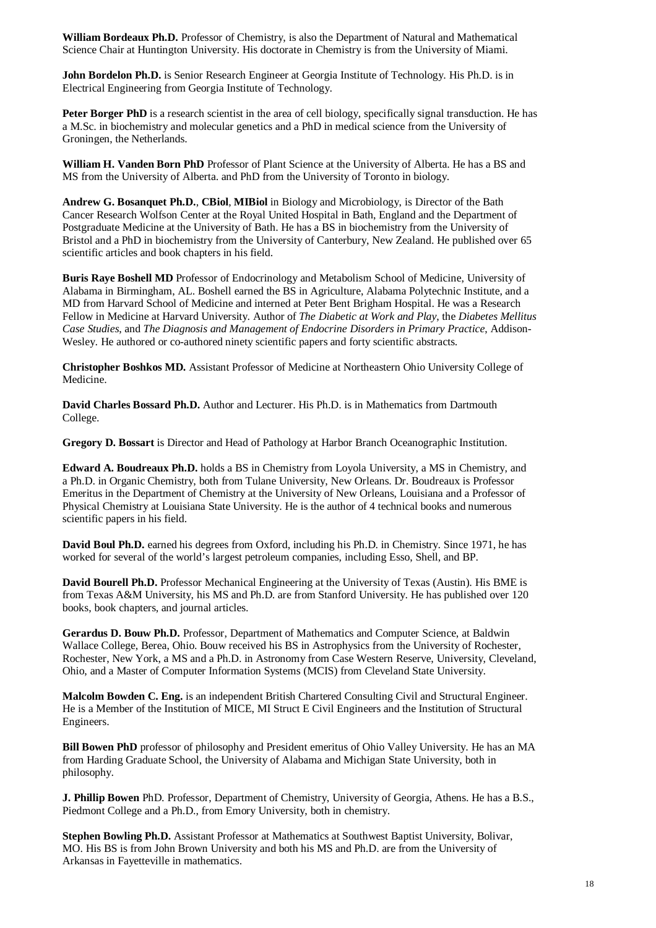**William Bordeaux Ph.D.** Professor of Chemistry, is also the Department of Natural and Mathematical Science Chair at Huntington University. His doctorate in Chemistry is from the University of Miami.

**John Bordelon Ph.D.** is Senior Research Engineer at Georgia Institute of Technology. His Ph.D. is in Electrical Engineering from Georgia Institute of Technology.

**Peter Borger PhD** is a research scientist in the area of cell biology, specifically signal transduction. He has a M.Sc. in biochemistry and molecular genetics and a PhD in medical science from the University of Groningen, the Netherlands.

**William H. Vanden Born PhD** Professor of Plant Science at the University of Alberta. He has a BS and MS from the University of Alberta. and PhD from the University of Toronto in biology.

**Andrew G. Bosanquet Ph.D.**, **CBiol**, **MIBiol** in Biology and Microbiology, is Director of the Bath Cancer Research Wolfson Center at the Royal United Hospital in Bath, England and the Department of Postgraduate Medicine at the University of Bath. He has a BS in biochemistry from the University of Bristol and a PhD in biochemistry from the University of Canterbury, New Zealand. He published over 65 scientific articles and book chapters in his field.

**Buris Raye Boshell MD** Professor of Endocrinology and Metabolism School of Medicine, University of Alabama in Birmingham, AL. Boshell earned the BS in Agriculture, Alabama Polytechnic Institute, and a MD from Harvard School of Medicine and interned at Peter Bent Brigham Hospital. He was a Research Fellow in Medicine at Harvard University. Author of *The Diabetic at Work and Play*, the *Diabetes Mellitus Case Studies*, and *The Diagnosis and Management of Endocrine Disorders in Primary Practice*, Addison-Wesley. He authored or co-authored ninety scientific papers and forty scientific abstracts.

**Christopher Boshkos MD.** Assistant Professor of Medicine at Northeastern Ohio University College of Medicine.

**David Charles Bossard Ph.D.** Author and Lecturer. His Ph.D. is in Mathematics from Dartmouth College.

**Gregory D. Bossart** is Director and Head of Pathology at Harbor Branch Oceanographic Institution.

**Edward A. Boudreaux Ph.D.** holds a BS in Chemistry from Loyola University, a MS in Chemistry, and a Ph.D. in Organic Chemistry, both from Tulane University, New Orleans. Dr. Boudreaux is Professor Emeritus in the Department of Chemistry at the University of New Orleans, Louisiana and a Professor of Physical Chemistry at Louisiana State University. He is the author of 4 technical books and numerous scientific papers in his field.

**David Boul Ph.D.** earned his degrees from Oxford, including his Ph.D. in Chemistry. Since 1971, he has worked for several of the world's largest petroleum companies, including Esso, Shell, and BP.

**David Bourell Ph.D.** Professor Mechanical Engineering at the University of Texas (Austin). His BME is from Texas A&M University, his MS and Ph.D. are from Stanford University. He has published over 120 books, book chapters, and journal articles.

**Gerardus D. Bouw Ph.D.** Professor, Department of Mathematics and Computer Science, at Baldwin Wallace College, Berea, Ohio. Bouw received his BS in Astrophysics from the University of Rochester, Rochester, New York, a MS and a Ph.D. in Astronomy from Case Western Reserve, University, Cleveland, Ohio, and a Master of Computer Information Systems (MCIS) from Cleveland State University.

**Malcolm Bowden C. Eng.** is an independent British Chartered Consulting Civil and Structural Engineer. He is a Member of the Institution of MICE, MI Struct E Civil Engineers and the Institution of Structural Engineers.

**Bill Bowen PhD** professor of philosophy and President emeritus of Ohio Valley University. He has an MA from Harding Graduate School, the University of Alabama and Michigan State University, both in philosophy.

**J. Phillip Bowen** PhD. Professor, Department of Chemistry, University of Georgia, Athens. He has a B.S., Piedmont College and a Ph.D., from Emory University, both in chemistry.

**Stephen Bowling Ph.D.** Assistant Professor at Mathematics at Southwest Baptist University, Bolivar, MO. His BS is from John Brown University and both his MS and Ph.D. are from the University of Arkansas in Fayetteville in mathematics.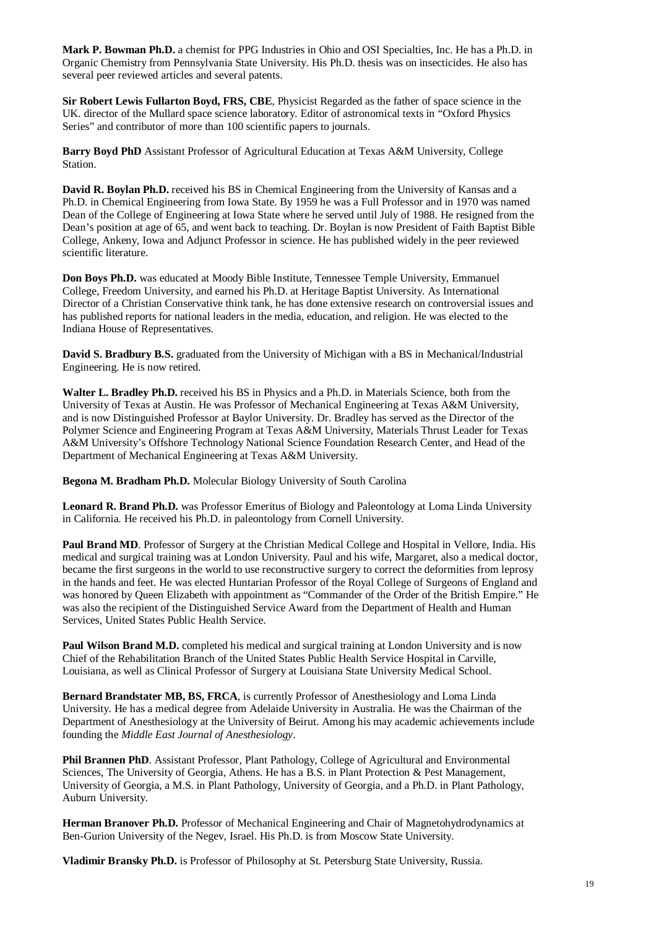**Mark P. Bowman Ph.D.** a chemist for PPG Industries in Ohio and OSI Specialties, Inc. He has a Ph.D. in Organic Chemistry from Pennsylvania State University. His Ph.D. thesis was on insecticides. He also has several peer reviewed articles and several patents.

**Sir Robert Lewis Fullarton Boyd, FRS, CBE**, Physicist Regarded as the father of space science in the UK. director of the Mullard space science laboratory. Editor of astronomical texts in "Oxford Physics Series" and contributor of more than 100 scientific papers to journals.

**Barry Boyd PhD** Assistant Professor of Agricultural Education at Texas A&M University, College Station.

**David R. Boylan Ph.D.** received his BS in Chemical Engineering from the University of Kansas and a Ph.D. in Chemical Engineering from Iowa State. By 1959 he was a Full Professor and in 1970 was named Dean of the College of Engineering at Iowa State where he served until July of 1988. He resigned from the Dean's position at age of 65, and went back to teaching. Dr. Boylan is now President of Faith Baptist Bible College, Ankeny, Iowa and Adjunct Professor in science. He has published widely in the peer reviewed scientific literature.

**Don Boys Ph.D.** was educated at Moody Bible Institute, Tennessee Temple University, Emmanuel College, Freedom University, and earned his Ph.D. at Heritage Baptist University. As International Director of a Christian Conservative think tank, he has done extensive research on controversial issues and has published reports for national leaders in the media, education, and religion. He was elected to the Indiana House of Representatives.

**David S. Bradbury B.S.** graduated from the University of Michigan with a BS in Mechanical/Industrial Engineering. He is now retired.

**Walter L. Bradley Ph.D.** received his BS in Physics and a Ph.D. in Materials Science, both from the University of Texas at Austin. He was Professor of Mechanical Engineering at Texas A&M University, and is now Distinguished Professor at Baylor University. Dr. Bradley has served as the Director of the Polymer Science and Engineering Program at Texas A&M University, Materials Thrust Leader for Texas A&M University's Offshore Technology National Science Foundation Research Center, and Head of the Department of Mechanical Engineering at Texas A&M University.

**Begona M. Bradham Ph.D.** Molecular Biology University of South Carolina

**Leonard R. Brand Ph.D.** was Professor Emeritus of Biology and Paleontology at Loma Linda University in California. He received his Ph.D. in paleontology from Cornell University.

**Paul Brand MD**. Professor of Surgery at the Christian Medical College and Hospital in Vellore, India. His medical and surgical training was at London University. Paul and his wife, Margaret, also a medical doctor, became the first surgeons in the world to use reconstructive surgery to correct the deformities from leprosy in the hands and feet. He was elected Huntarian Professor of the Royal College of Surgeons of England and was honored by Queen Elizabeth with appointment as "Commander of the Order of the British Empire." He was also the recipient of the Distinguished Service Award from the Department of Health and Human Services, United States Public Health Service.

**Paul Wilson Brand M.D.** completed his medical and surgical training at London University and is now Chief of the Rehabilitation Branch of the United States Public Health Service Hospital in Carville, Louisiana, as well as Clinical Professor of Surgery at Louisiana State University Medical School.

**Bernard Brandstater MB, BS, FRCA**, is currently Professor of Anesthesiology and Loma Linda University. He has a medical degree from Adelaide University in Australia. He was the Chairman of the Department of Anesthesiology at the University of Beirut. Among his may academic achievements include founding the *Middle East Journal of Anesthesiology*.

**Phil Brannen PhD**. Assistant Professor, Plant Pathology, College of Agricultural and Environmental Sciences, The University of Georgia, Athens. He has a B.S. in Plant Protection & Pest Management, University of Georgia, a M.S. in Plant Pathology, University of Georgia, and a Ph.D. in Plant Pathology, Auburn University.

**Herman Branover Ph.D.** Professor of Mechanical Engineering and Chair of Magnetohydrodynamics at Ben-Gurion University of the Negev, Israel. His Ph.D. is from Moscow State University.

**Vladimir Bransky Ph.D.** is Professor of Philosophy at St. Petersburg State University, Russia.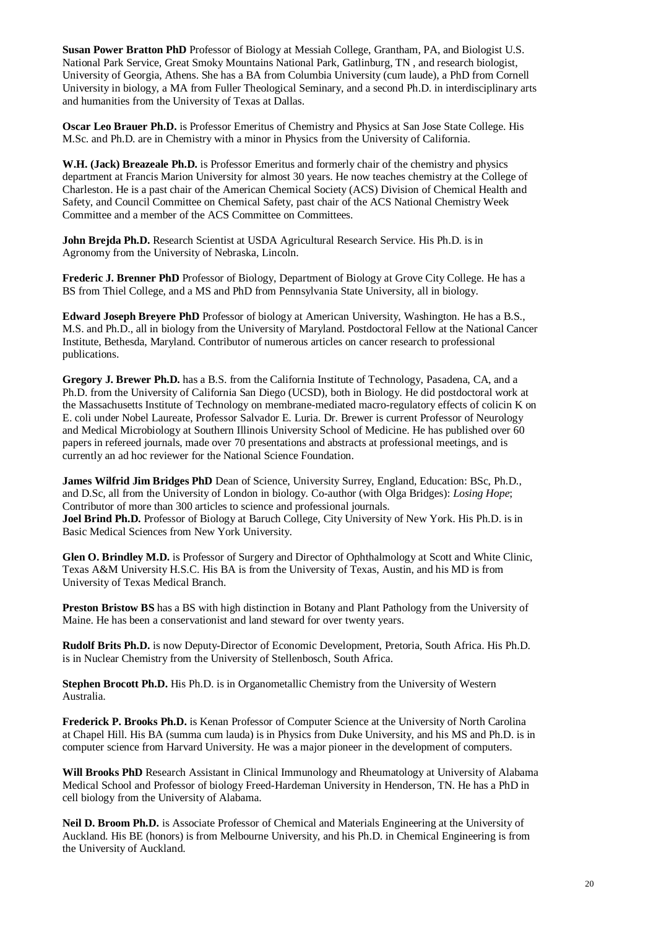**Susan Power Bratton PhD** Professor of Biology at Messiah College, Grantham, PA, and Biologist U.S. National Park Service, Great Smoky Mountains National Park, Gatlinburg, TN , and research biologist, University of Georgia, Athens. She has a BA from Columbia University (cum laude), a PhD from Cornell University in biology, a MA from Fuller Theological Seminary, and a second Ph.D. in interdisciplinary arts and humanities from the University of Texas at Dallas.

**Oscar Leo Brauer Ph.D.** is Professor Emeritus of Chemistry and Physics at San Jose State College. His M.Sc. and Ph.D. are in Chemistry with a minor in Physics from the University of California.

**W.H. (Jack) Breazeale Ph.D.** is Professor Emeritus and formerly chair of the chemistry and physics department at Francis Marion University for almost 30 years. He now teaches chemistry at the College of Charleston. He is a past chair of the American Chemical Society (ACS) Division of Chemical Health and Safety, and Council Committee on Chemical Safety, past chair of the ACS National Chemistry Week Committee and a member of the ACS Committee on Committees.

**John Brejda Ph.D.** Research Scientist at USDA Agricultural Research Service. His Ph.D. is in Agronomy from the University of Nebraska, Lincoln.

**Frederic J. Brenner PhD** Professor of Biology, Department of Biology at Grove City College. He has a BS from Thiel College, and a MS and PhD from Pennsylvania State University, all in biology.

**Edward Joseph Breyere PhD** Professor of biology at American University, Washington. He has a B.S., M.S. and Ph.D., all in biology from the University of Maryland. Postdoctoral Fellow at the National Cancer Institute, Bethesda, Maryland. Contributor of numerous articles on cancer research to professional publications.

**Gregory J. Brewer Ph.D.** has a B.S. from the California Institute of Technology, Pasadena, CA, and a Ph.D. from the University of California San Diego (UCSD), both in Biology. He did postdoctoral work at the Massachusetts Institute of Technology on membrane-mediated macro-regulatory effects of colicin K on E. coli under Nobel Laureate, Professor Salvador E. Luria. Dr. Brewer is current Professor of Neurology and Medical Microbiology at Southern Illinois University School of Medicine. He has published over 60 papers in refereed journals, made over 70 presentations and abstracts at professional meetings, and is currently an ad hoc reviewer for the National Science Foundation.

**James Wilfrid Jim Bridges PhD** Dean of Science, University Surrey, England, Education: BSc, Ph.D., and D.Sc, all from the University of London in biology. Co-author (with Olga Bridges): *Losing Hope*; Contributor of more than 300 articles to science and professional journals.

**Joel Brind Ph.D.** Professor of Biology at Baruch College, City University of New York. His Ph.D. is in Basic Medical Sciences from New York University.

**Glen O. Brindley M.D.** is Professor of Surgery and Director of Ophthalmology at Scott and White Clinic, Texas A&M University H.S.C. His BA is from the University of Texas, Austin, and his MD is from University of Texas Medical Branch.

**Preston Bristow BS** has a BS with high distinction in Botany and Plant Pathology from the University of Maine. He has been a conservationist and land steward for over twenty years.

**Rudolf Brits Ph.D.** is now Deputy-Director of Economic Development, Pretoria, South Africa. His Ph.D. is in Nuclear Chemistry from the University of Stellenbosch, South Africa.

**Stephen Brocott Ph.D.** His Ph.D. is in Organometallic Chemistry from the University of Western Australia.

**Frederick P. Brooks Ph.D.** is Kenan Professor of Computer Science at the University of North Carolina at Chapel Hill. His BA (summa cum lauda) is in Physics from Duke University, and his MS and Ph.D. is in computer science from Harvard University. He was a major pioneer in the development of computers.

**Will Brooks PhD** Research Assistant in Clinical Immunology and Rheumatology at University of Alabama Medical School and Professor of biology Freed-Hardeman University in Henderson, TN. He has a PhD in cell biology from the University of Alabama.

**Neil D. Broom Ph.D.** is Associate Professor of Chemical and Materials Engineering at the University of Auckland. His BE (honors) is from Melbourne University, and his Ph.D. in Chemical Engineering is from the University of Auckland.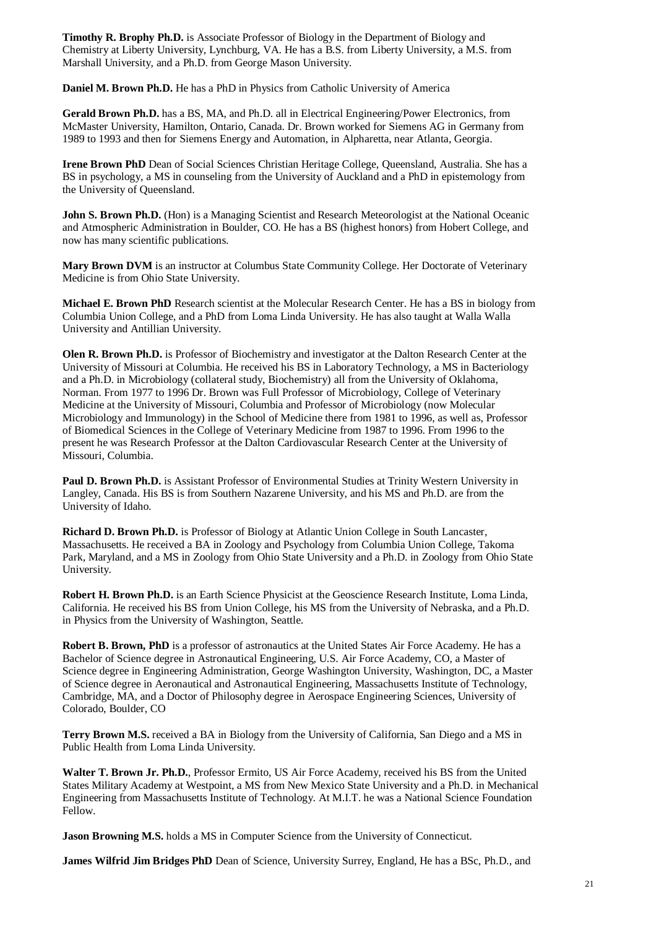**Timothy R. Brophy Ph.D.** is Associate Professor of Biology in the Department of Biology and Chemistry at Liberty University, Lynchburg, VA. He has a B.S. from Liberty University, a M.S. from Marshall University, and a Ph.D. from George Mason University.

**Daniel M. Brown Ph.D.** He has a PhD in Physics from Catholic University of America

**Gerald Brown Ph.D.** has a BS, MA, and Ph.D. all in Electrical Engineering/Power Electronics, from McMaster University, Hamilton, Ontario, Canada. Dr. Brown worked for Siemens AG in Germany from 1989 to 1993 and then for Siemens Energy and Automation, in Alpharetta, near Atlanta, Georgia.

**Irene Brown PhD** Dean of Social Sciences Christian Heritage College, Queensland, Australia. She has a BS in psychology, a MS in counseling from the University of Auckland and a PhD in epistemology from the University of Queensland.

John S. Brown Ph.D. (Hon) is a Managing Scientist and Research Meteorologist at the National Oceanic and Atmospheric Administration in Boulder, CO. He has a BS (highest honors) from Hobert College, and now has many scientific publications.

**Mary Brown DVM** is an instructor at Columbus State Community College. Her Doctorate of Veterinary Medicine is from Ohio State University.

**Michael E. Brown PhD** Research scientist at the Molecular Research Center. He has a BS in biology from Columbia Union College, and a PhD from Loma Linda University. He has also taught at Walla Walla University and Antillian University.

**Olen R. Brown Ph.D.** is Professor of Biochemistry and investigator at the Dalton Research Center at the University of Missouri at Columbia. He received his BS in Laboratory Technology, a MS in Bacteriology and a Ph.D. in Microbiology (collateral study, Biochemistry) all from the University of Oklahoma, Norman. From 1977 to 1996 Dr. Brown was Full Professor of Microbiology, College of Veterinary Medicine at the University of Missouri, Columbia and Professor of Microbiology (now Molecular Microbiology and Immunology) in the School of Medicine there from 1981 to 1996, as well as, Professor of Biomedical Sciences in the College of Veterinary Medicine from 1987 to 1996. From 1996 to the present he was Research Professor at the Dalton Cardiovascular Research Center at the University of Missouri, Columbia.

**Paul D. Brown Ph.D.** is Assistant Professor of Environmental Studies at Trinity Western University in Langley, Canada. His BS is from Southern Nazarene University, and his MS and Ph.D. are from the University of Idaho.

**Richard D. Brown Ph.D.** is Professor of Biology at Atlantic Union College in South Lancaster, Massachusetts. He received a BA in Zoology and Psychology from Columbia Union College, Takoma Park, Maryland, and a MS in Zoology from Ohio State University and a Ph.D. in Zoology from Ohio State University.

**Robert H. Brown Ph.D.** is an Earth Science Physicist at the Geoscience Research Institute, Loma Linda, California. He received his BS from Union College, his MS from the University of Nebraska, and a Ph.D. in Physics from the University of Washington, Seattle.

**Robert B. Brown, PhD** is a professor of astronautics at the United States Air Force Academy. He has a Bachelor of Science degree in Astronautical Engineering, U.S. Air Force Academy, CO, a Master of Science degree in Engineering Administration, George Washington University, Washington, DC, a Master of Science degree in Aeronautical and Astronautical Engineering, Massachusetts Institute of Technology, Cambridge, MA, and a Doctor of Philosophy degree in Aerospace Engineering Sciences, University of Colorado, Boulder, CO

**Terry Brown M.S.** received a BA in Biology from the University of California, San Diego and a MS in Public Health from Loma Linda University.

**Walter T. Brown Jr. Ph.D.**, Professor Ermito, US Air Force Academy, received his BS from the United States Military Academy at Westpoint, a MS from New Mexico State University and a Ph.D. in Mechanical Engineering from Massachusetts Institute of Technology. At M.I.T. he was a National Science Foundation Fellow.

**Jason Browning M.S.** holds a MS in Computer Science from the University of Connecticut.

**James Wilfrid Jim Bridges PhD** Dean of Science, University Surrey, England, He has a BSc, Ph.D., and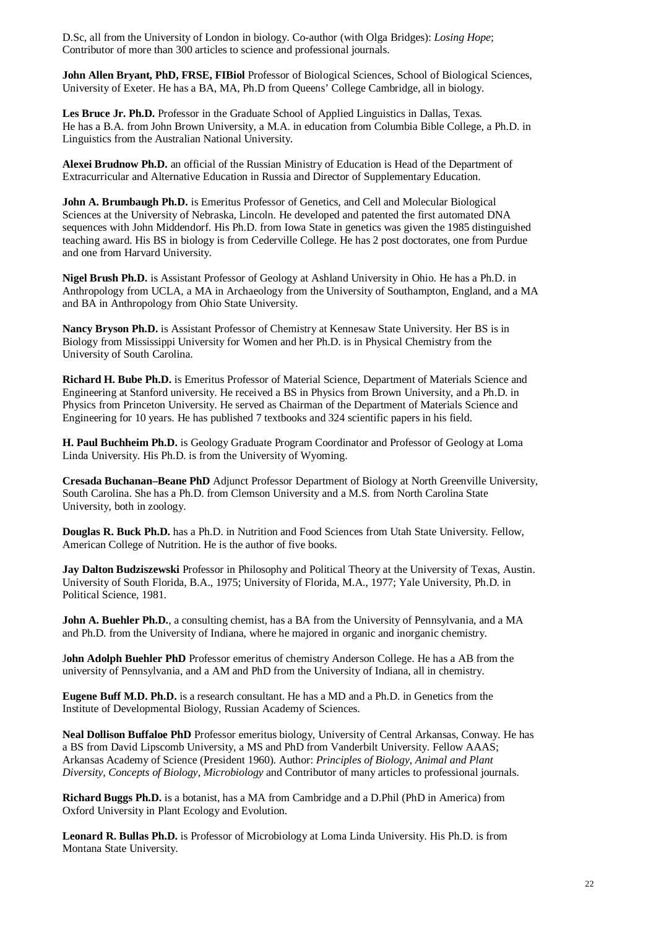D.Sc, all from the University of London in biology. Co-author (with Olga Bridges): *Losing Hope*; Contributor of more than 300 articles to science and professional journals.

**John Allen Bryant, PhD, FRSE, FIBiol** Professor of Biological Sciences, School of Biological Sciences, University of Exeter. He has a BA, MA, Ph.D from Queens' College Cambridge, all in biology.

Les Bruce Jr. Ph.D. Professor in the Graduate School of Applied Linguistics in Dallas, Texas. He has a B.A. from John Brown University, a M.A. in education from Columbia Bible College, a Ph.D. in Linguistics from the Australian National University.

**Alexei Brudnow Ph.D.** an official of the Russian Ministry of Education is Head of the Department of Extracurricular and Alternative Education in Russia and Director of Supplementary Education.

**John A. Brumbaugh Ph.D.** is Emeritus Professor of Genetics, and Cell and Molecular Biological Sciences at the University of Nebraska, Lincoln. He developed and patented the first automated DNA sequences with John Middendorf. His Ph.D. from Iowa State in genetics was given the 1985 distinguished teaching award. His BS in biology is from Cederville College. He has 2 post doctorates, one from Purdue and one from Harvard University.

**Nigel Brush Ph.D.** is Assistant Professor of Geology at Ashland University in Ohio. He has a Ph.D. in Anthropology from UCLA, a MA in Archaeology from the University of Southampton, England, and a MA and BA in Anthropology from Ohio State University.

**Nancy Bryson Ph.D.** is Assistant Professor of Chemistry at Kennesaw State University. Her BS is in Biology from Mississippi University for Women and her Ph.D. is in Physical Chemistry from the University of South Carolina.

**Richard H. Bube Ph.D.** is Emeritus Professor of Material Science, Department of Materials Science and Engineering at Stanford university. He received a BS in Physics from Brown University, and a Ph.D. in Physics from Princeton University. He served as Chairman of the Department of Materials Science and Engineering for 10 years. He has published 7 textbooks and 324 scientific papers in his field.

**H. Paul Buchheim Ph.D.** is Geology Graduate Program Coordinator and Professor of Geology at Loma Linda University. His Ph.D. is from the University of Wyoming.

**Cresada Buchanan–Beane PhD** Adjunct Professor Department of Biology at North Greenville University, South Carolina. She has a Ph.D. from Clemson University and a M.S. from North Carolina State University, both in zoology.

**Douglas R. Buck Ph.D.** has a Ph.D. in Nutrition and Food Sciences from Utah State University. Fellow, American College of Nutrition. He is the author of five books.

**Jay Dalton Budziszewski** Professor in Philosophy and Political Theory at the University of Texas, Austin. University of South Florida, B.A., 1975; University of Florida, M.A., 1977; Yale University, Ph.D. in Political Science, 1981.

**John A. Buehler Ph.D.**, a consulting chemist, has a BA from the University of Pennsylvania, and a MA and Ph.D. from the University of Indiana, where he majored in organic and inorganic chemistry.

J**ohn Adolph Buehler PhD** Professor emeritus of chemistry Anderson College. He has a AB from the university of Pennsylvania, and a AM and PhD from the University of Indiana, all in chemistry.

**Eugene Buff M.D. Ph.D.** is a research consultant. He has a MD and a Ph.D. in Genetics from the Institute of Developmental Biology, Russian Academy of Sciences.

**Neal Dollison Buffaloe PhD** Professor emeritus biology, University of Central Arkansas, Conway. He has a BS from David Lipscomb University, a MS and PhD from Vanderbilt University. Fellow AAAS; Arkansas Academy of Science (President 1960). Author: *Principles of Biology*, *Animal and Plant Diversity*, *Concepts of Biology*, *Microbiology* and Contributor of many articles to professional journals.

**Richard Buggs Ph.D.** is a botanist, has a MA from Cambridge and a D.Phil (PhD in America) from Oxford University in Plant Ecology and Evolution.

**Leonard R. Bullas Ph.D.** is Professor of Microbiology at Loma Linda University. His Ph.D. is from Montana State University.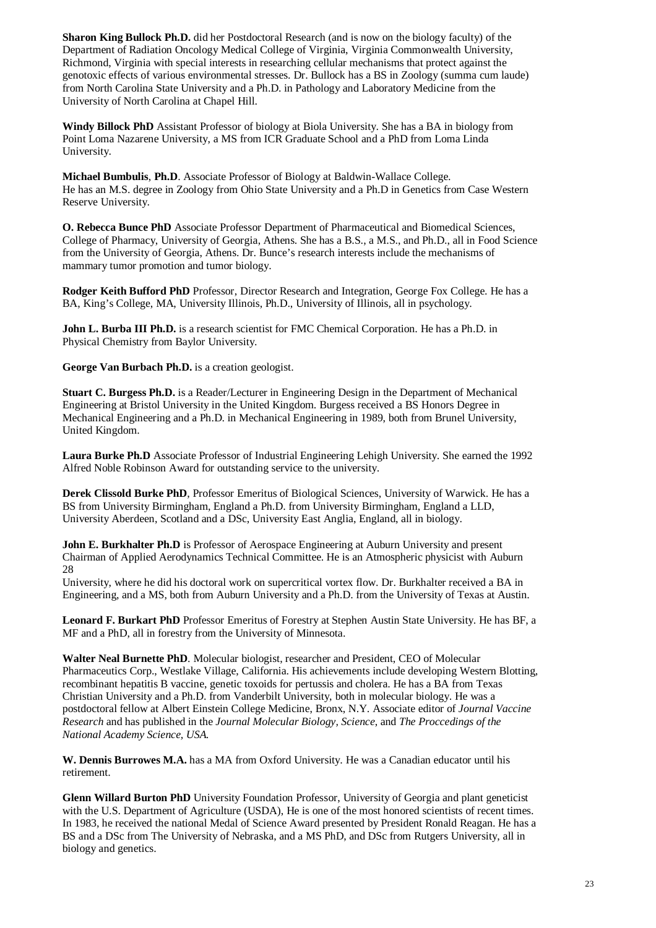**Sharon King Bullock Ph.D.** did her Postdoctoral Research (and is now on the biology faculty) of the Department of Radiation Oncology Medical College of Virginia, Virginia Commonwealth University, Richmond, Virginia with special interests in researching cellular mechanisms that protect against the genotoxic effects of various environmental stresses. Dr. Bullock has a BS in Zoology (summa cum laude) from North Carolina State University and a Ph.D. in Pathology and Laboratory Medicine from the University of North Carolina at Chapel Hill.

**Windy Billock PhD** Assistant Professor of biology at Biola University. She has a BA in biology from Point Loma Nazarene University, a MS from ICR Graduate School and a PhD from Loma Linda University.

**Michael Bumbulis**, **Ph.D**. Associate Professor of Biology at Baldwin-Wallace College. He has an M.S. degree in Zoology from Ohio State University and a Ph.D in Genetics from Case Western Reserve University.

**O. Rebecca Bunce PhD** Associate Professor Department of Pharmaceutical and Biomedical Sciences, College of Pharmacy, University of Georgia, Athens. She has a B.S., a M.S., and Ph.D., all in Food Science from the University of Georgia, Athens. Dr. Bunce's research interests include the mechanisms of mammary tumor promotion and tumor biology.

**Rodger Keith Bufford PhD** Professor, Director Research and Integration, George Fox College. He has a BA, King's College, MA, University Illinois, Ph.D., University of Illinois, all in psychology.

**John L. Burba III Ph.D.** is a research scientist for FMC Chemical Corporation. He has a Ph.D. in Physical Chemistry from Baylor University.

**George Van Burbach Ph.D.** is a creation geologist.

**Stuart C. Burgess Ph.D.** is a Reader/Lecturer in Engineering Design in the Department of Mechanical Engineering at Bristol University in the United Kingdom. Burgess received a BS Honors Degree in Mechanical Engineering and a Ph.D. in Mechanical Engineering in 1989, both from Brunel University, United Kingdom.

**Laura Burke Ph.D** Associate Professor of Industrial Engineering Lehigh University. She earned the 1992 Alfred Noble Robinson Award for outstanding service to the university.

**Derek Clissold Burke PhD**, Professor Emeritus of Biological Sciences, University of Warwick. He has a BS from University Birmingham, England a Ph.D. from University Birmingham, England a LLD, University Aberdeen, Scotland and a DSc, University East Anglia, England, all in biology.

**John E. Burkhalter Ph.D** is Professor of Aerospace Engineering at Auburn University and present Chairman of Applied Aerodynamics Technical Committee. He is an Atmospheric physicist with Auburn 28

University, where he did his doctoral work on supercritical vortex flow. Dr. Burkhalter received a BA in Engineering, and a MS, both from Auburn University and a Ph.D. from the University of Texas at Austin.

**Leonard F. Burkart PhD** Professor Emeritus of Forestry at Stephen Austin State University. He has BF, a MF and a PhD, all in forestry from the University of Minnesota.

**Walter Neal Burnette PhD**. Molecular biologist, researcher and President, CEO of Molecular Pharmaceutics Corp., Westlake Village, California. His achievements include developing Western Blotting, recombinant hepatitis B vaccine, genetic toxoids for pertussis and cholera. He has a BA from Texas Christian University and a Ph.D. from Vanderbilt University, both in molecular biology. He was a postdoctoral fellow at Albert Einstein College Medicine, Bronx, N.Y. Associate editor of *Journal Vaccine Research* and has published in the *Journal Molecular Biology, Science*, and *The Proccedings of the National Academy Science, USA.*

**W. Dennis Burrowes M.A.** has a MA from Oxford University. He was a Canadian educator until his retirement.

**Glenn Willard Burton PhD** University Foundation Professor, University of Georgia and plant geneticist with the U.S. Department of Agriculture (USDA), He is one of the most honored scientists of recent times. In 1983, he received the national Medal of Science Award presented by President Ronald Reagan. He has a BS and a DSc from The University of Nebraska, and a MS PhD, and DSc from Rutgers University, all in biology and genetics.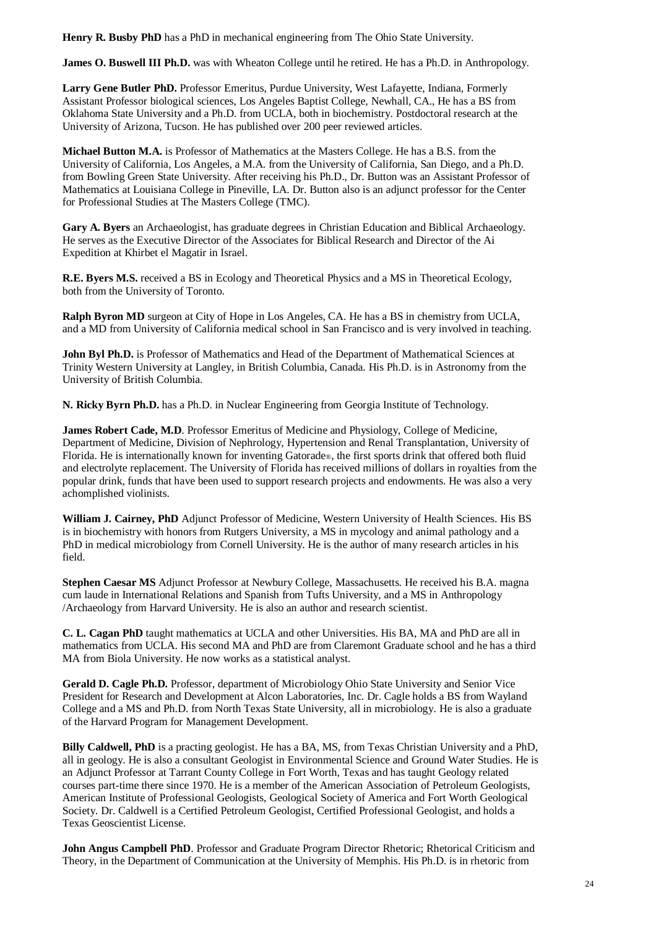**Henry R. Busby PhD** has a PhD in mechanical engineering from The Ohio State University.

**James O. Buswell III Ph.D.** was with Wheaton College until he retired. He has a Ph.D. in Anthropology.

**Larry Gene Butler PhD.** Professor Emeritus, Purdue University, West Lafayette, Indiana, Formerly Assistant Professor biological sciences, Los Angeles Baptist College, Newhall, CA., He has a BS from Oklahoma State University and a Ph.D. from UCLA, both in biochemistry. Postdoctoral research at the University of Arizona, Tucson. He has published over 200 peer reviewed articles.

**Michael Button M.A.** is Professor of Mathematics at the Masters College. He has a B.S. from the University of California, Los Angeles, a M.A. from the University of California, San Diego, and a Ph.D. from Bowling Green State University. After receiving his Ph.D., Dr. Button was an Assistant Professor of Mathematics at Louisiana College in Pineville, LA. Dr. Button also is an adjunct professor for the Center for Professional Studies at The Masters College (TMC).

**Gary A. Byers** an Archaeologist, has graduate degrees in Christian Education and Biblical Archaeology. He serves as the Executive Director of the Associates for Biblical Research and Director of the Ai Expedition at Khirbet el Magatir in Israel.

**R.E. Byers M.S.** received a BS in Ecology and Theoretical Physics and a MS in Theoretical Ecology, both from the University of Toronto.

**Ralph Byron MD** surgeon at City of Hope in Los Angeles, CA. He has a BS in chemistry from UCLA, and a MD from University of California medical school in San Francisco and is very involved in teaching.

John Byl Ph.D. is Professor of Mathematics and Head of the Department of Mathematical Sciences at Trinity Western University at Langley, in British Columbia, Canada. His Ph.D. is in Astronomy from the University of British Columbia.

**N. Ricky Byrn Ph.D.** has a Ph.D. in Nuclear Engineering from Georgia Institute of Technology.

**James Robert Cade, M.D**. Professor Emeritus of Medicine and Physiology, College of Medicine, Department of Medicine, Division of Nephrology, Hypertension and Renal Transplantation, University of Florida. He is internationally known for inventing Gatorade®, the first sports drink that offered both fluid and electrolyte replacement. The University of Florida has received millions of dollars in royalties from the popular drink, funds that have been used to support research projects and endowments. He was also a very achomplished violinists.

**William J. Cairney, PhD** Adjunct Professor of Medicine, Western University of Health Sciences. His BS is in biochemistry with honors from Rutgers University, a MS in mycology and animal pathology and a PhD in medical microbiology from Cornell University. He is the author of many research articles in his field.

**Stephen Caesar MS** Adjunct Professor at Newbury College, Massachusetts. He received his B.A. magna cum laude in International Relations and Spanish from Tufts University, and a MS in Anthropology /Archaeology from Harvard University. He is also an author and research scientist.

**C. L. Cagan PhD** taught mathematics at UCLA and other Universities. His BA, MA and PhD are all in mathematics from UCLA. His second MA and PhD are from Claremont Graduate school and he has a third MA from Biola University. He now works as a statistical analyst.

**Gerald D. Cagle Ph.D.** Professor, department of Microbiology Ohio State University and Senior Vice President for Research and Development at Alcon Laboratories, Inc. Dr. Cagle holds a BS from Wayland College and a MS and Ph.D. from North Texas State University, all in microbiology. He is also a graduate of the Harvard Program for Management Development.

**Billy Caldwell, PhD** is a practing geologist. He has a BA, MS, from Texas Christian University and a PhD, all in geology. He is also a consultant Geologist in Environmental Science and Ground Water Studies. He is an Adjunct Professor at Tarrant County College in Fort Worth, Texas and has taught Geology related courses part-time there since 1970. He is a member of the American Association of Petroleum Geologists, American Institute of Professional Geologists, Geological Society of America and Fort Worth Geological Society. Dr. Caldwell is a Certified Petroleum Geologist, Certified Professional Geologist, and holds a Texas Geoscientist License.

**John Angus Campbell PhD**. Professor and Graduate Program Director Rhetoric; Rhetorical Criticism and Theory, in the Department of Communication at the University of Memphis. His Ph.D. is in rhetoric from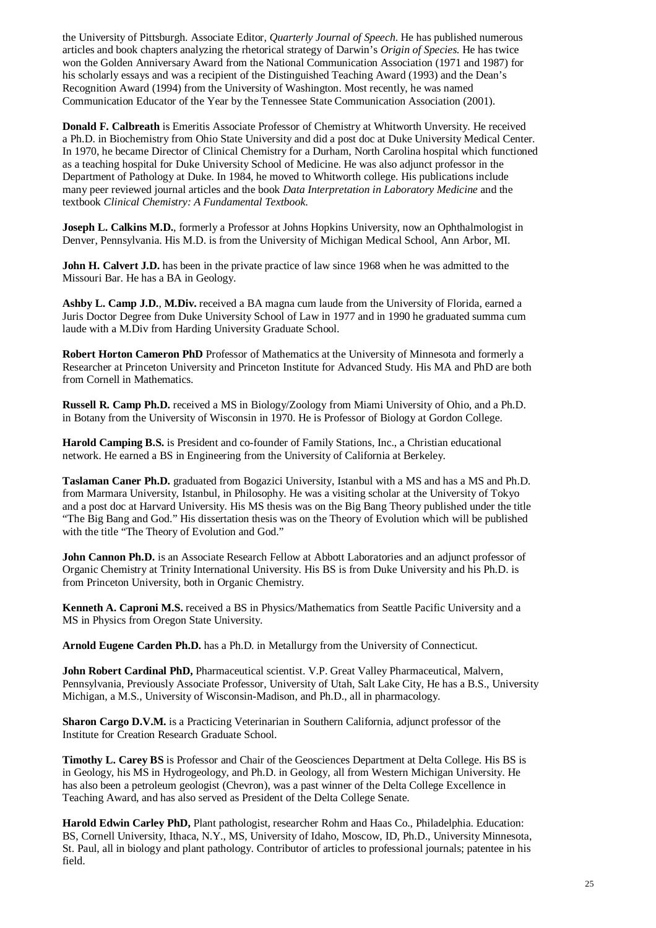the University of Pittsburgh. Associate Editor, *Quarterly Journal of Speech*. He has published numerous articles and book chapters analyzing the rhetorical strategy of Darwin's *Origin of Species*. He has twice won the Golden Anniversary Award from the National Communication Association (1971 and 1987) for his scholarly essays and was a recipient of the Distinguished Teaching Award (1993) and the Dean's Recognition Award (1994) from the University of Washington. Most recently, he was named Communication Educator of the Year by the Tennessee State Communication Association (2001).

**Donald F. Calbreath** is Emeritis Associate Professor of Chemistry at Whitworth Unversity. He received a Ph.D. in Biochemistry from Ohio State University and did a post doc at Duke University Medical Center. In 1970, he became Director of Clinical Chemistry for a Durham, North Carolina hospital which functioned as a teaching hospital for Duke University School of Medicine. He was also adjunct professor in the Department of Pathology at Duke. In 1984, he moved to Whitworth college. His publications include many peer reviewed journal articles and the book *Data Interpretation in Laboratory Medicine* and the textbook *Clinical Chemistry: A Fundamental Textbook*.

**Joseph L. Calkins M.D.**, formerly a Professor at Johns Hopkins University, now an Ophthalmologist in Denver, Pennsylvania. His M.D. is from the University of Michigan Medical School, Ann Arbor, MI.

**John H. Calvert J.D.** has been in the private practice of law since 1968 when he was admitted to the Missouri Bar. He has a BA in Geology.

**Ashby L. Camp J.D.**, **M.Div.** received a BA magna cum laude from the University of Florida, earned a Juris Doctor Degree from Duke University School of Law in 1977 and in 1990 he graduated summa cum laude with a M.Div from Harding University Graduate School.

**Robert Horton Cameron PhD** Professor of Mathematics at the University of Minnesota and formerly a Researcher at Princeton University and Princeton Institute for Advanced Study. His MA and PhD are both from Cornell in Mathematics.

**Russell R. Camp Ph.D.** received a MS in Biology/Zoology from Miami University of Ohio, and a Ph.D. in Botany from the University of Wisconsin in 1970. He is Professor of Biology at Gordon College.

**Harold Camping B.S.** is President and co-founder of Family Stations, Inc., a Christian educational network. He earned a BS in Engineering from the University of California at Berkeley.

**Taslaman Caner Ph.D.** graduated from Bogazici University, Istanbul with a MS and has a MS and Ph.D. from Marmara University, Istanbul, in Philosophy. He was a visiting scholar at the University of Tokyo and a post doc at Harvard University. His MS thesis was on the Big Bang Theory published under the title "The Big Bang and God." His dissertation thesis was on the Theory of Evolution which will be published with the title "The Theory of Evolution and God."

**John Cannon Ph.D.** is an Associate Research Fellow at Abbott Laboratories and an adjunct professor of Organic Chemistry at Trinity International University. His BS is from Duke University and his Ph.D. is from Princeton University, both in Organic Chemistry.

**Kenneth A. Caproni M.S.** received a BS in Physics/Mathematics from Seattle Pacific University and a MS in Physics from Oregon State University.

**Arnold Eugene Carden Ph.D.** has a Ph.D. in Metallurgy from the University of Connecticut.

**John Robert Cardinal PhD,** Pharmaceutical scientist. V.P. Great Valley Pharmaceutical, Malvern, Pennsylvania, Previously Associate Professor, University of Utah, Salt Lake City, He has a B.S., University Michigan, a M.S., University of Wisconsin-Madison, and Ph.D., all in pharmacology.

**Sharon Cargo D.V.M.** is a Practicing Veterinarian in Southern California, adjunct professor of the Institute for Creation Research Graduate School.

**Timothy L. Carey BS** is Professor and Chair of the Geosciences Department at Delta College. His BS is in Geology, his MS in Hydrogeology, and Ph.D. in Geology, all from Western Michigan University. He has also been a petroleum geologist (Chevron), was a past winner of the Delta College Excellence in Teaching Award, and has also served as President of the Delta College Senate.

**Harold Edwin Carley PhD,** Plant pathologist, researcher Rohm and Haas Co., Philadelphia. Education: BS, Cornell University, Ithaca, N.Y., MS, University of Idaho, Moscow, ID, Ph.D., University Minnesota, St. Paul, all in biology and plant pathology. Contributor of articles to professional journals; patentee in his field.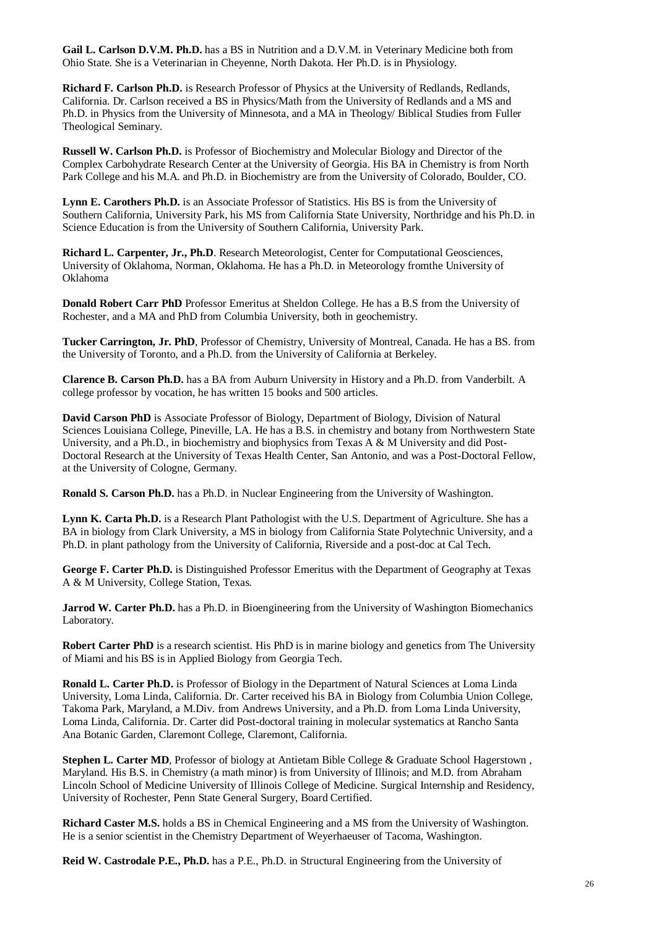**Gail L. Carlson D.V.M. Ph.D.** has a BS in Nutrition and a D.V.M. in Veterinary Medicine both from Ohio State. She is a Veterinarian in Cheyenne, North Dakota. Her Ph.D. is in Physiology.

**Richard F. Carlson Ph.D.** is Research Professor of Physics at the University of Redlands, Redlands, California. Dr. Carlson received a BS in Physics/Math from the University of Redlands and a MS and Ph.D. in Physics from the University of Minnesota, and a MA in Theology/ Biblical Studies from Fuller Theological Seminary.

**Russell W. Carlson Ph.D.** is Professor of Biochemistry and Molecular Biology and Director of the Complex Carbohydrate Research Center at the University of Georgia. His BA in Chemistry is from North Park College and his M.A. and Ph.D. in Biochemistry are from the University of Colorado, Boulder, CO.

**Lynn E. Carothers Ph.D.** is an Associate Professor of Statistics. His BS is from the University of Southern California, University Park, his MS from California State University, Northridge and his Ph.D. in Science Education is from the University of Southern California, University Park.

**Richard L. Carpenter, Jr., Ph.D**. Research Meteorologist, Center for Computational Geosciences, University of Oklahoma, Norman, Oklahoma. He has a Ph.D. in Meteorology fromthe University of Oklahoma

**Donald Robert Carr PhD** Professor Emeritus at Sheldon College. He has a B.S from the University of Rochester, and a MA and PhD from Columbia University, both in geochemistry.

**Tucker Carrington, Jr. PhD**, Professor of Chemistry, University of Montreal, Canada. He has a BS. from the University of Toronto, and a Ph.D. from the University of California at Berkeley.

**Clarence B. Carson Ph.D.** has a BA from Auburn University in History and a Ph.D. from Vanderbilt. A college professor by vocation, he has written 15 books and 500 articles.

**David Carson PhD** is Associate Professor of Biology, Department of Biology, Division of Natural Sciences Louisiana College, Pineville, LA. He has a B.S. in chemistry and botany from Northwestern State University, and a Ph.D., in biochemistry and biophysics from Texas A & M University and did Post-Doctoral Research at the University of Texas Health Center, San Antonio, and was a Post-Doctoral Fellow, at the University of Cologne, Germany.

**Ronald S. Carson Ph.D.** has a Ph.D. in Nuclear Engineering from the University of Washington.

**Lynn K. Carta Ph.D.** is a Research Plant Pathologist with the U.S. Department of Agriculture. She has a BA in biology from Clark University, a MS in biology from California State Polytechnic University, and a Ph.D. in plant pathology from the University of California, Riverside and a post-doc at Cal Tech.

**George F. Carter Ph.D.** is Distinguished Professor Emeritus with the Department of Geography at Texas A & M University, College Station, Texas.

**Jarrod W. Carter Ph.D.** has a Ph.D. in Bioengineering from the University of Washington Biomechanics Laboratory.

**Robert Carter PhD** is a research scientist. His PhD is in marine biology and genetics from The University of Miami and his BS is in Applied Biology from Georgia Tech.

**Ronald L. Carter Ph.D.** is Professor of Biology in the Department of Natural Sciences at Loma Linda University, Loma Linda, California. Dr. Carter received his BA in Biology from Columbia Union College, Takoma Park, Maryland, a M.Div. from Andrews University, and a Ph.D. from Loma Linda University, Loma Linda, California. Dr. Carter did Post-doctoral training in molecular systematics at Rancho Santa Ana Botanic Garden, Claremont College, Claremont, California.

Stephen L. Carter MD, Professor of biology at Antietam Bible College & Graduate School Hagerstown, Maryland. His B.S. in Chemistry (a math minor) is from University of Illinois; and M.D. from Abraham Lincoln School of Medicine University of Illinois College of Medicine. Surgical Internship and Residency, University of Rochester, Penn State General Surgery, Board Certified.

**Richard Caster M.S.** holds a BS in Chemical Engineering and a MS from the University of Washington. He is a senior scientist in the Chemistry Department of Weyerhaeuser of Tacoma, Washington.

**Reid W. Castrodale P.E., Ph.D.** has a P.E., Ph.D. in Structural Engineering from the University of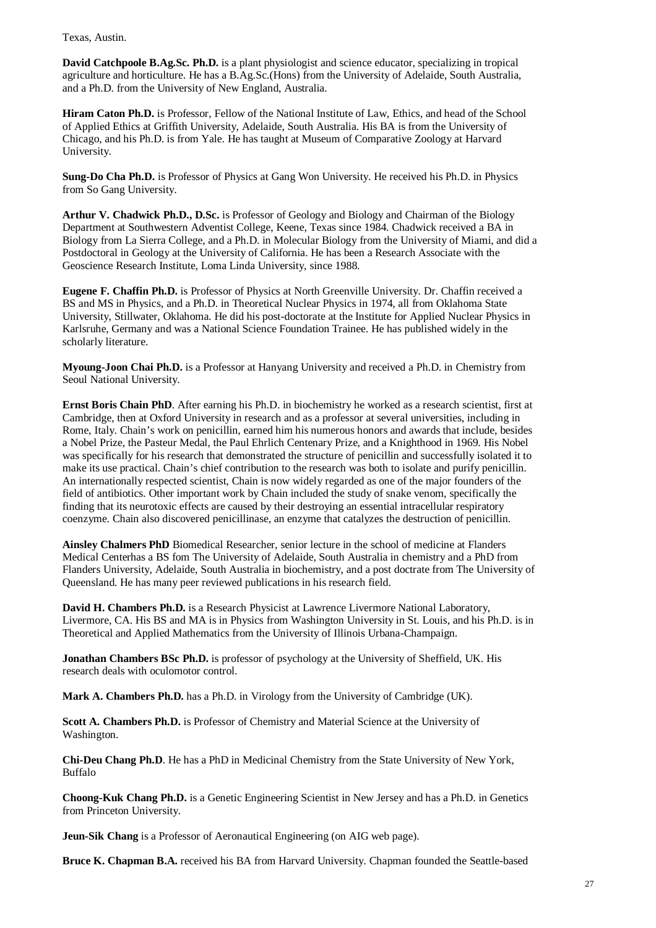Texas, Austin.

**David Catchpoole B.Ag.Sc. Ph.D.** is a plant physiologist and science educator, specializing in tropical agriculture and horticulture. He has a B.Ag.Sc.(Hons) from the University of Adelaide, South Australia, and a Ph.D. from the University of New England, Australia.

**Hiram Caton Ph.D.** is Professor, Fellow of the National Institute of Law, Ethics, and head of the School of Applied Ethics at Griffith University, Adelaide, South Australia. His BA is from the University of Chicago, and his Ph.D. is from Yale. He has taught at Museum of Comparative Zoology at Harvard University.

**Sung-Do Cha Ph.D.** is Professor of Physics at Gang Won University. He received his Ph.D. in Physics from So Gang University.

**Arthur V. Chadwick Ph.D., D.Sc.** is Professor of Geology and Biology and Chairman of the Biology Department at Southwestern Adventist College, Keene, Texas since 1984. Chadwick received a BA in Biology from La Sierra College, and a Ph.D. in Molecular Biology from the University of Miami, and did a Postdoctoral in Geology at the University of California. He has been a Research Associate with the Geoscience Research Institute, Loma Linda University, since 1988.

**Eugene F. Chaffin Ph.D.** is Professor of Physics at North Greenville University. Dr. Chaffin received a BS and MS in Physics, and a Ph.D. in Theoretical Nuclear Physics in 1974, all from Oklahoma State University, Stillwater, Oklahoma. He did his post-doctorate at the Institute for Applied Nuclear Physics in Karlsruhe, Germany and was a National Science Foundation Trainee. He has published widely in the scholarly literature.

**Myoung-Joon Chai Ph.D.** is a Professor at Hanyang University and received a Ph.D. in Chemistry from Seoul National University.

**Ernst Boris Chain PhD**. After earning his Ph.D. in biochemistry he worked as a research scientist, first at Cambridge, then at Oxford University in research and as a professor at several universities, including in Rome, Italy. Chain's work on penicillin, earned him his numerous honors and awards that include, besides a Nobel Prize, the Pasteur Medal, the Paul Ehrlich Centenary Prize, and a Knighthood in 1969. His Nobel was specifically for his research that demonstrated the structure of penicillin and successfully isolated it to make its use practical. Chain's chief contribution to the research was both to isolate and purify penicillin. An internationally respected scientist, Chain is now widely regarded as one of the major founders of the field of antibiotics. Other important work by Chain included the study of snake venom, specifically the finding that its neurotoxic effects are caused by their destroying an essential intracellular respiratory coenzyme. Chain also discovered penicillinase, an enzyme that catalyzes the destruction of penicillin.

**Ainsley Chalmers PhD** Biomedical Researcher, senior lecture in the school of medicine at Flanders Medical Centerhas a BS fom The University of Adelaide, South Australia in chemistry and a PhD from Flanders University, Adelaide, South Australia in biochemistry, and a post doctrate from The University of Queensland. He has many peer reviewed publications in his research field.

**David H. Chambers Ph.D.** is a Research Physicist at Lawrence Livermore National Laboratory, Livermore, CA. His BS and MA is in Physics from Washington University in St. Louis, and his Ph.D. is in Theoretical and Applied Mathematics from the University of Illinois Urbana-Champaign.

**Jonathan Chambers BSc Ph.D.** is professor of psychology at the University of Sheffield, UK. His research deals with oculomotor control.

**Mark A. Chambers Ph.D.** has a Ph.D. in Virology from the University of Cambridge (UK).

**Scott A. Chambers Ph.D.** is Professor of Chemistry and Material Science at the University of Washington.

**Chi-Deu Chang Ph.D**. He has a PhD in Medicinal Chemistry from the State University of New York, Buffalo

**Choong-Kuk Chang Ph.D.** is a Genetic Engineering Scientist in New Jersey and has a Ph.D. in Genetics from Princeton University.

**Jeun-Sik Chang** is a Professor of Aeronautical Engineering (on AIG web page).

**Bruce K. Chapman B.A.** received his BA from Harvard University. Chapman founded the Seattle-based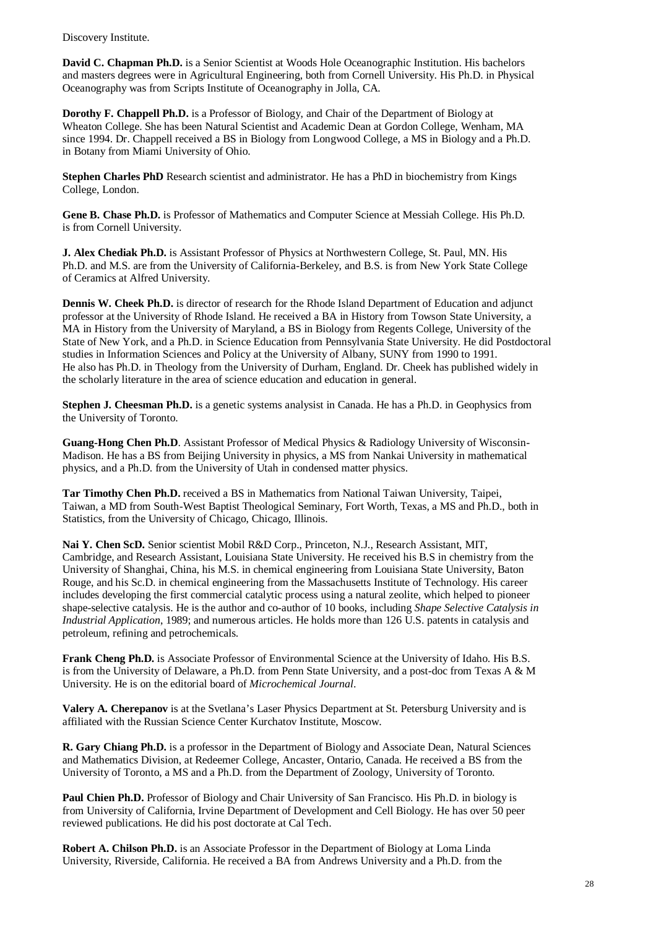Discovery Institute.

**David C. Chapman Ph.D.** is a Senior Scientist at Woods Hole Oceanographic Institution. His bachelors and masters degrees were in Agricultural Engineering, both from Cornell University. His Ph.D. in Physical Oceanography was from Scripts Institute of Oceanography in Jolla, CA.

**Dorothy F. Chappell Ph.D.** is a Professor of Biology, and Chair of the Department of Biology at Wheaton College. She has been Natural Scientist and Academic Dean at Gordon College, Wenham, MA since 1994. Dr. Chappell received a BS in Biology from Longwood College, a MS in Biology and a Ph.D. in Botany from Miami University of Ohio.

**Stephen Charles PhD** Research scientist and administrator. He has a PhD in biochemistry from Kings College, London.

**Gene B. Chase Ph.D.** is Professor of Mathematics and Computer Science at Messiah College. His Ph.D. is from Cornell University.

**J. Alex Chediak Ph.D.** is Assistant Professor of Physics at Northwestern College, St. Paul, MN. His Ph.D. and M.S. are from the University of California-Berkeley, and B.S. is from New York State College of Ceramics at Alfred University.

**Dennis W. Cheek Ph.D.** is director of research for the Rhode Island Department of Education and adjunct professor at the University of Rhode Island. He received a BA in History from Towson State University, a MA in History from the University of Maryland, a BS in Biology from Regents College, University of the State of New York, and a Ph.D. in Science Education from Pennsylvania State University. He did Postdoctoral studies in Information Sciences and Policy at the University of Albany, SUNY from 1990 to 1991. He also has Ph.D. in Theology from the University of Durham, England. Dr. Cheek has published widely in the scholarly literature in the area of science education and education in general.

**Stephen J. Cheesman Ph.D.** is a genetic systems analysist in Canada. He has a Ph.D. in Geophysics from the University of Toronto.

**Guang-Hong Chen Ph.D**. Assistant Professor of Medical Physics & Radiology University of Wisconsin-Madison. He has a BS from Beijing University in physics, a MS from Nankai University in mathematical physics, and a Ph.D. from the University of Utah in condensed matter physics.

**Tar Timothy Chen Ph.D.** received a BS in Mathematics from National Taiwan University, Taipei, Taiwan, a MD from South-West Baptist Theological Seminary, Fort Worth, Texas, a MS and Ph.D., both in Statistics, from the University of Chicago, Chicago, Illinois.

**Nai Y. Chen ScD.** Senior scientist Mobil R&D Corp., Princeton, N.J., Research Assistant, MIT, Cambridge, and Research Assistant, Louisiana State University. He received his B.S in chemistry from the University of Shanghai, China, his M.S. in chemical engineering from Louisiana State University, Baton Rouge, and his Sc.D. in chemical engineering from the Massachusetts Institute of Technology. His career includes developing the first commercial catalytic process using a natural zeolite, which helped to pioneer shape-selective catalysis. He is the author and co-author of 10 books, including *Shape Selective Catalysis in Industrial Application*, 1989; and numerous articles. He holds more than 126 U.S. patents in catalysis and petroleum, refining and petrochemicals.

**Frank Cheng Ph.D.** is Associate Professor of Environmental Science at the University of Idaho. His B.S. is from the University of Delaware, a Ph.D. from Penn State University, and a post-doc from Texas A & M University. He is on the editorial board of *Microchemical Journal*.

**Valery A. Cherepanov** is at the Svetlana's Laser Physics Department at St. Petersburg University and is affiliated with the Russian Science Center Kurchatov Institute, Moscow.

**R. Gary Chiang Ph.D.** is a professor in the Department of Biology and Associate Dean, Natural Sciences and Mathematics Division, at Redeemer College, Ancaster, Ontario, Canada. He received a BS from the University of Toronto, a MS and a Ph.D. from the Department of Zoology, University of Toronto.

**Paul Chien Ph.D.** Professor of Biology and Chair University of San Francisco. His Ph.D. in biology is from University of California, Irvine Department of Development and Cell Biology. He has over 50 peer reviewed publications. He did his post doctorate at Cal Tech.

**Robert A. Chilson Ph.D.** is an Associate Professor in the Department of Biology at Loma Linda University, Riverside, California. He received a BA from Andrews University and a Ph.D. from the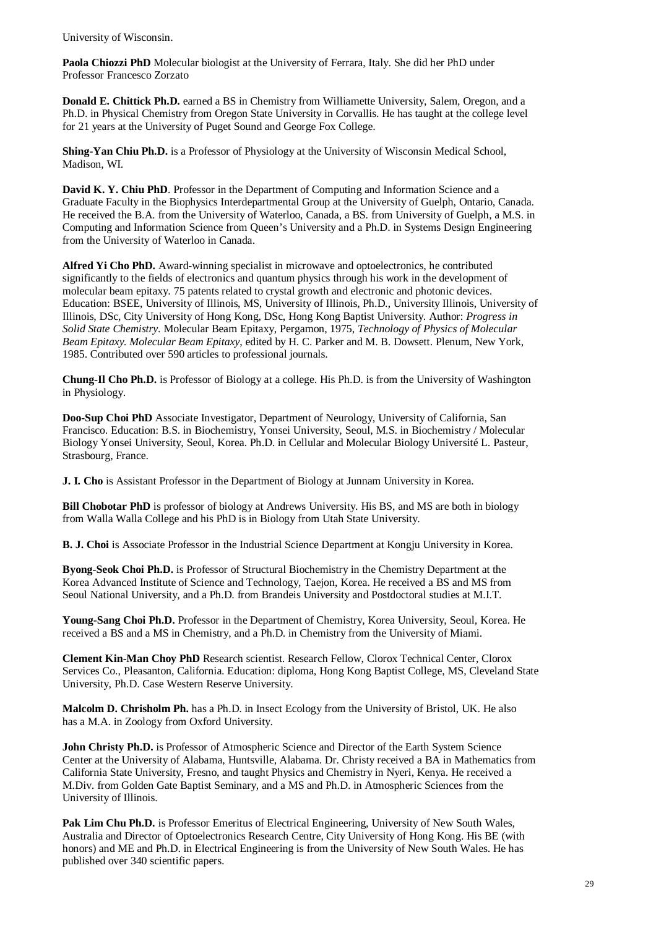University of Wisconsin.

**Paola Chiozzi PhD** Molecular biologist at the University of Ferrara, Italy. She did her PhD under Professor Francesco Zorzato

**Donald E. Chittick Ph.D.** earned a BS in Chemistry from Williamette University, Salem, Oregon, and a Ph.D. in Physical Chemistry from Oregon State University in Corvallis. He has taught at the college level for 21 years at the University of Puget Sound and George Fox College.

**Shing-Yan Chiu Ph.D.** is a Professor of Physiology at the University of Wisconsin Medical School, Madison, WI.

**David K. Y. Chiu PhD**. Professor in the Department of Computing and Information Science and a Graduate Faculty in the Biophysics Interdepartmental Group at the University of Guelph, Ontario, Canada. He received the B.A. from the University of Waterloo, Canada, a BS. from University of Guelph, a M.S. in Computing and Information Science from Queen's University and a Ph.D. in Systems Design Engineering from the University of Waterloo in Canada.

**Alfred Yi Cho PhD.** Award-winning specialist in microwave and optoelectronics, he contributed significantly to the fields of electronics and quantum physics through his work in the development of molecular beam epitaxy. 75 patents related to crystal growth and electronic and photonic devices. Education: BSEE, University of Illinois, MS, University of Illinois, Ph.D., University Illinois, University of Illinois, DSc, City University of Hong Kong, DSc, Hong Kong Baptist University. Author: *Progress in Solid State Chemistry*. Molecular Beam Epitaxy, Pergamon, 1975, *Technology of Physics of Molecular Beam Epitaxy. Molecular Beam Epitaxy*, edited by H. C. Parker and M. B. Dowsett. Plenum, New York, 1985. Contributed over 590 articles to professional journals.

**Chung-Il Cho Ph.D.** is Professor of Biology at a college. His Ph.D. is from the University of Washington in Physiology.

**Doo-Sup Choi PhD** Associate Investigator, Department of Neurology, University of California, San Francisco. Education: B.S. in Biochemistry, Yonsei University, Seoul, M.S. in Biochemistry / Molecular Biology Yonsei University, Seoul, Korea. Ph.D. in Cellular and Molecular Biology Université L. Pasteur, Strasbourg, France.

**J. I. Cho** is Assistant Professor in the Department of Biology at Junnam University in Korea.

**Bill Chobotar PhD** is professor of biology at Andrews University. His BS, and MS are both in biology from Walla Walla College and his PhD is in Biology from Utah State University.

**B. J. Choi** is Associate Professor in the Industrial Science Department at Kongju University in Korea.

**Byong-Seok Choi Ph.D.** is Professor of Structural Biochemistry in the Chemistry Department at the Korea Advanced Institute of Science and Technology, Taejon, Korea. He received a BS and MS from Seoul National University, and a Ph.D. from Brandeis University and Postdoctoral studies at M.I.T.

**Young-Sang Choi Ph.D.** Professor in the Department of Chemistry, Korea University, Seoul, Korea. He received a BS and a MS in Chemistry, and a Ph.D. in Chemistry from the University of Miami.

**Clement Kin-Man Choy PhD** Research scientist. Research Fellow, Clorox Technical Center, Clorox Services Co., Pleasanton, California. Education: diploma, Hong Kong Baptist College, MS, Cleveland State University, Ph.D. Case Western Reserve University.

**Malcolm D. Chrisholm Ph.** has a Ph.D. in Insect Ecology from the University of Bristol, UK. He also has a M.A. in Zoology from Oxford University.

**John Christy Ph.D.** is Professor of Atmospheric Science and Director of the Earth System Science Center at the University of Alabama, Huntsville, Alabama. Dr. Christy received a BA in Mathematics from California State University, Fresno, and taught Physics and Chemistry in Nyeri, Kenya. He received a M.Div. from Golden Gate Baptist Seminary, and a MS and Ph.D. in Atmospheric Sciences from the University of Illinois.

Pak Lim Chu Ph.D. is Professor Emeritus of Electrical Engineering, University of New South Wales, Australia and Director of Optoelectronics Research Centre, City University of Hong Kong. His BE (with honors) and ME and Ph.D. in Electrical Engineering is from the University of New South Wales. He has published over 340 scientific papers.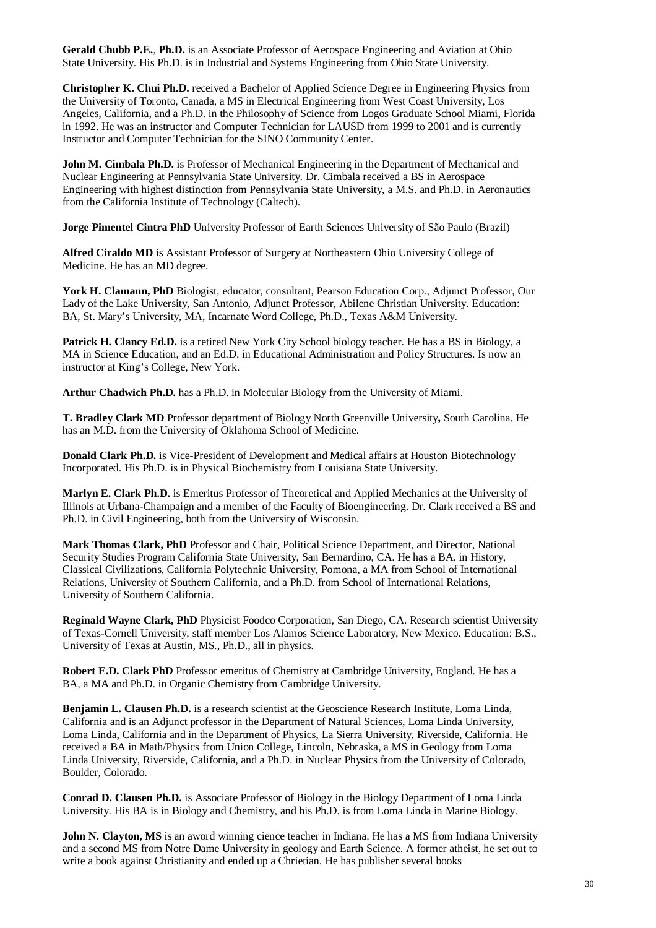**Gerald Chubb P.E.**, **Ph.D.** is an Associate Professor of Aerospace Engineering and Aviation at Ohio State University. His Ph.D. is in Industrial and Systems Engineering from Ohio State University.

**Christopher K. Chui Ph.D.** received a Bachelor of Applied Science Degree in Engineering Physics from the University of Toronto, Canada, a MS in Electrical Engineering from West Coast University, Los Angeles, California, and a Ph.D. in the Philosophy of Science from Logos Graduate School Miami, Florida in 1992. He was an instructor and Computer Technician for LAUSD from 1999 to 2001 and is currently Instructor and Computer Technician for the SINO Community Center.

**John M. Cimbala Ph.D.** is Professor of Mechanical Engineering in the Department of Mechanical and Nuclear Engineering at Pennsylvania State University. Dr. Cimbala received a BS in Aerospace Engineering with highest distinction from Pennsylvania State University, a M.S. and Ph.D. in Aeronautics from the California Institute of Technology (Caltech).

**Jorge Pimentel Cintra PhD** University Professor of Earth Sciences University of São Paulo (Brazil)

**Alfred Ciraldo MD** is Assistant Professor of Surgery at Northeastern Ohio University College of Medicine. He has an MD degree.

**York H. Clamann, PhD** Biologist, educator, consultant, Pearson Education Corp., Adjunct Professor, Our Lady of the Lake University, San Antonio, Adjunct Professor, Abilene Christian University. Education: BA, St. Mary's University, MA, Incarnate Word College, Ph.D., Texas A&M University.

**Patrick H. Clancy Ed.D.** is a retired New York City School biology teacher. He has a BS in Biology, a MA in Science Education, and an Ed.D. in Educational Administration and Policy Structures. Is now an instructor at King's College, New York.

**Arthur Chadwich Ph.D.** has a Ph.D. in Molecular Biology from the University of Miami.

**T. Bradley Clark MD** Professor department of Biology North Greenville University**,** South Carolina. He has an M.D. from the University of Oklahoma School of Medicine.

**Donald Clark Ph.D.** is Vice-President of Development and Medical affairs at Houston Biotechnology Incorporated. His Ph.D. is in Physical Biochemistry from Louisiana State University.

**Marlyn E. Clark Ph.D.** is Emeritus Professor of Theoretical and Applied Mechanics at the University of Illinois at Urbana-Champaign and a member of the Faculty of Bioengineering. Dr. Clark received a BS and Ph.D. in Civil Engineering, both from the University of Wisconsin.

**Mark Thomas Clark, PhD** Professor and Chair, Political Science Department, and Director, National Security Studies Program California State University, San Bernardino, CA. He has a BA. in History, Classical Civilizations, California Polytechnic University, Pomona, a MA from School of International Relations, University of Southern California, and a Ph.D. from School of International Relations, University of Southern California.

**Reginald Wayne Clark, PhD** Physicist Foodco Corporation, San Diego, CA. Research scientist University of Texas-Cornell University, staff member Los Alamos Science Laboratory, New Mexico. Education: B.S., University of Texas at Austin, MS., Ph.D., all in physics.

**Robert E.D. Clark PhD** Professor emeritus of Chemistry at Cambridge University, England. He has a BA, a MA and Ph.D. in Organic Chemistry from Cambridge University.

**Benjamin L. Clausen Ph.D.** is a research scientist at the Geoscience Research Institute, Loma Linda, California and is an Adjunct professor in the Department of Natural Sciences, Loma Linda University, Loma Linda, California and in the Department of Physics, La Sierra University, Riverside, California. He received a BA in Math/Physics from Union College, Lincoln, Nebraska, a MS in Geology from Loma Linda University, Riverside, California, and a Ph.D. in Nuclear Physics from the University of Colorado, Boulder, Colorado.

**Conrad D. Clausen Ph.D.** is Associate Professor of Biology in the Biology Department of Loma Linda University. His BA is in Biology and Chemistry, and his Ph.D. is from Loma Linda in Marine Biology.

**John N. Clayton, MS** is an aword winning cience teacher in Indiana. He has a MS from Indiana University and a second MS from Notre Dame University in geology and Earth Science. A former atheist, he set out to write a book against Christianity and ended up a Chrietian. He has publisher several books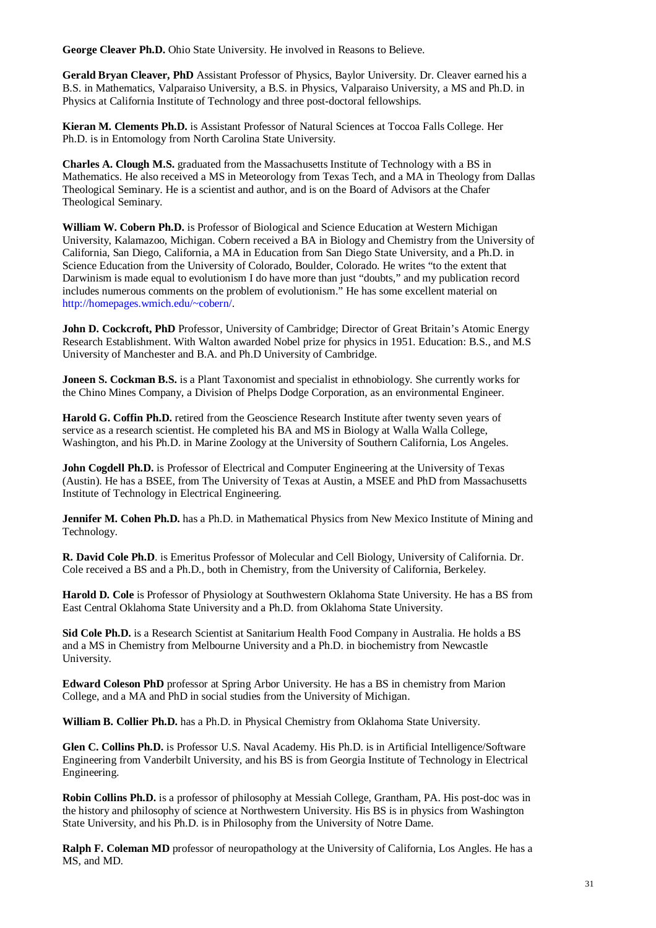**George Cleaver Ph.D.** Ohio State University. He involved in Reasons to Believe.

**Gerald Bryan Cleaver, PhD** Assistant Professor of Physics, Baylor University. Dr. Cleaver earned his a B.S. in Mathematics, Valparaiso University, a B.S. in Physics, Valparaiso University, a MS and Ph.D. in Physics at California Institute of Technology and three post-doctoral fellowships.

**Kieran M. Clements Ph.D.** is Assistant Professor of Natural Sciences at Toccoa Falls College. Her Ph.D. is in Entomology from North Carolina State University.

**Charles A. Clough M.S.** graduated from the Massachusetts Institute of Technology with a BS in Mathematics. He also received a MS in Meteorology from Texas Tech, and a MA in Theology from Dallas Theological Seminary. He is a scientist and author, and is on the Board of Advisors at the Chafer Theological Seminary.

**William W. Cobern Ph.D.** is Professor of Biological and Science Education at Western Michigan University, Kalamazoo, Michigan. Cobern received a BA in Biology and Chemistry from the University of California, San Diego, California, a MA in Education from San Diego State University, and a Ph.D. in Science Education from the University of Colorado, Boulder, Colorado. He writes "to the extent that Darwinism is made equal to evolutionism I do have more than just "doubts," and my publication record includes numerous comments on the problem of evolutionism." He has some excellent material on http://homepages.wmich.edu/~cobern/.

**John D. Cockcroft, PhD** Professor, University of Cambridge; Director of Great Britain's Atomic Energy Research Establishment. With Walton awarded Nobel prize for physics in 1951. Education: B.S., and M.S University of Manchester and B.A. and Ph.D University of Cambridge.

**Joneen S. Cockman B.S.** is a Plant Taxonomist and specialist in ethnobiology. She currently works for the Chino Mines Company, a Division of Phelps Dodge Corporation, as an environmental Engineer.

**Harold G. Coffin Ph.D.** retired from the Geoscience Research Institute after twenty seven years of service as a research scientist. He completed his BA and MS in Biology at Walla Walla College, Washington, and his Ph.D. in Marine Zoology at the University of Southern California, Los Angeles.

**John Cogdell Ph.D.** is Professor of Electrical and Computer Engineering at the University of Texas (Austin). He has a BSEE, from The University of Texas at Austin, a MSEE and PhD from Massachusetts Institute of Technology in Electrical Engineering.

**Jennifer M. Cohen Ph.D.** has a Ph.D. in Mathematical Physics from New Mexico Institute of Mining and Technology.

**R. David Cole Ph.D**. is Emeritus Professor of Molecular and Cell Biology, University of California. Dr. Cole received a BS and a Ph.D., both in Chemistry, from the University of California, Berkeley.

**Harold D. Cole** is Professor of Physiology at Southwestern Oklahoma State University. He has a BS from East Central Oklahoma State University and a Ph.D. from Oklahoma State University.

**Sid Cole Ph.D.** is a Research Scientist at Sanitarium Health Food Company in Australia. He holds a BS and a MS in Chemistry from Melbourne University and a Ph.D. in biochemistry from Newcastle University.

**Edward Coleson PhD** professor at Spring Arbor University. He has a BS in chemistry from Marion College, and a MA and PhD in social studies from the University of Michigan.

**William B. Collier Ph.D.** has a Ph.D. in Physical Chemistry from Oklahoma State University.

**Glen C. Collins Ph.D.** is Professor U.S. Naval Academy. His Ph.D. is in Artificial Intelligence/Software Engineering from Vanderbilt University, and his BS is from Georgia Institute of Technology in Electrical Engineering.

**Robin Collins Ph.D.** is a professor of philosophy at Messiah College, Grantham, PA. His post-doc was in the history and philosophy of science at Northwestern University. His BS is in physics from Washington State University, and his Ph.D. is in Philosophy from the University of Notre Dame.

**Ralph F. Coleman MD** professor of neuropathology at the University of California, Los Angles. He has a MS, and MD.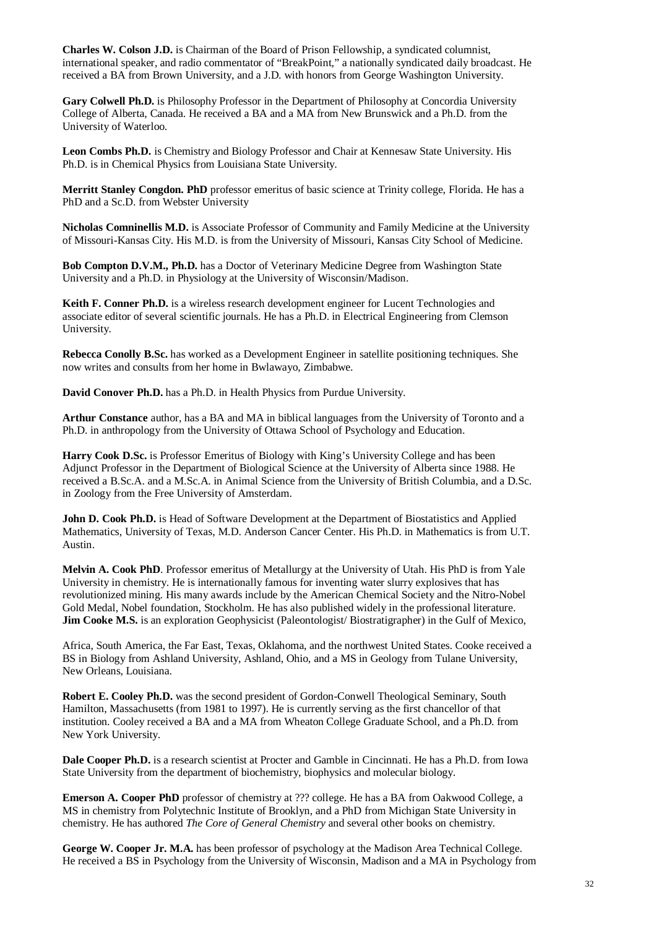**Charles W. Colson J.D.** is Chairman of the Board of Prison Fellowship, a syndicated columnist, international speaker, and radio commentator of "BreakPoint," a nationally syndicated daily broadcast. He received a BA from Brown University, and a J.D. with honors from George Washington University.

**Gary Colwell Ph.D.** is Philosophy Professor in the Department of Philosophy at Concordia University College of Alberta, Canada. He received a BA and a MA from New Brunswick and a Ph.D. from the University of Waterloo.

**Leon Combs Ph.D.** is Chemistry and Biology Professor and Chair at Kennesaw State University. His Ph.D. is in Chemical Physics from Louisiana State University.

**Merritt Stanley Congdon. PhD** professor emeritus of basic science at Trinity college, Florida. He has a PhD and a Sc.D. from Webster University

**Nicholas Comninellis M.D.** is Associate Professor of Community and Family Medicine at the University of Missouri-Kansas City. His M.D. is from the University of Missouri, Kansas City School of Medicine.

**Bob Compton D.V.M., Ph.D.** has a Doctor of Veterinary Medicine Degree from Washington State University and a Ph.D. in Physiology at the University of Wisconsin/Madison.

**Keith F. Conner Ph.D.** is a wireless research development engineer for Lucent Technologies and associate editor of several scientific journals. He has a Ph.D. in Electrical Engineering from Clemson University.

**Rebecca Conolly B.Sc.** has worked as a Development Engineer in satellite positioning techniques. She now writes and consults from her home in Bwlawayo, Zimbabwe.

**David Conover Ph.D.** has a Ph.D. in Health Physics from Purdue University.

**Arthur Constance** author, has a BA and MA in biblical languages from the University of Toronto and a Ph.D. in anthropology from the University of Ottawa School of Psychology and Education.

**Harry Cook D.Sc.** is Professor Emeritus of Biology with King's University College and has been Adjunct Professor in the Department of Biological Science at the University of Alberta since 1988. He received a B.Sc.A. and a M.Sc.A. in Animal Science from the University of British Columbia, and a D.Sc. in Zoology from the Free University of Amsterdam.

**John D. Cook Ph.D.** is Head of Software Development at the Department of Biostatistics and Applied Mathematics, University of Texas, M.D. Anderson Cancer Center. His Ph.D. in Mathematics is from U.T. Austin.

**Melvin A. Cook PhD**. Professor emeritus of Metallurgy at the University of Utah. His PhD is from Yale University in chemistry. He is internationally famous for inventing water slurry explosives that has revolutionized mining. His many awards include by the American Chemical Society and the Nitro-Nobel Gold Medal, Nobel foundation, Stockholm. He has also published widely in the professional literature. **Jim Cooke M.S.** is an exploration Geophysicist (Paleontologist/Biostratigrapher) in the Gulf of Mexico,

Africa, South America, the Far East, Texas, Oklahoma, and the northwest United States. Cooke received a BS in Biology from Ashland University, Ashland, Ohio, and a MS in Geology from Tulane University, New Orleans, Louisiana.

**Robert E. Cooley Ph.D.** was the second president of Gordon-Conwell Theological Seminary, South Hamilton, Massachusetts (from 1981 to 1997). He is currently serving as the first chancellor of that institution. Cooley received a BA and a MA from Wheaton College Graduate School, and a Ph.D. from New York University.

**Dale Cooper Ph.D.** is a research scientist at Procter and Gamble in Cincinnati. He has a Ph.D. from Iowa State University from the department of biochemistry, biophysics and molecular biology.

**Emerson A. Cooper PhD** professor of chemistry at ??? college. He has a BA from Oakwood College, a MS in chemistry from Polytechnic Institute of Brooklyn, and a PhD from Michigan State University in chemistry. He has authored *The Core of General Chemistry* and several other books on chemistry.

**George W. Cooper Jr. M.A.** has been professor of psychology at the Madison Area Technical College. He received a BS in Psychology from the University of Wisconsin, Madison and a MA in Psychology from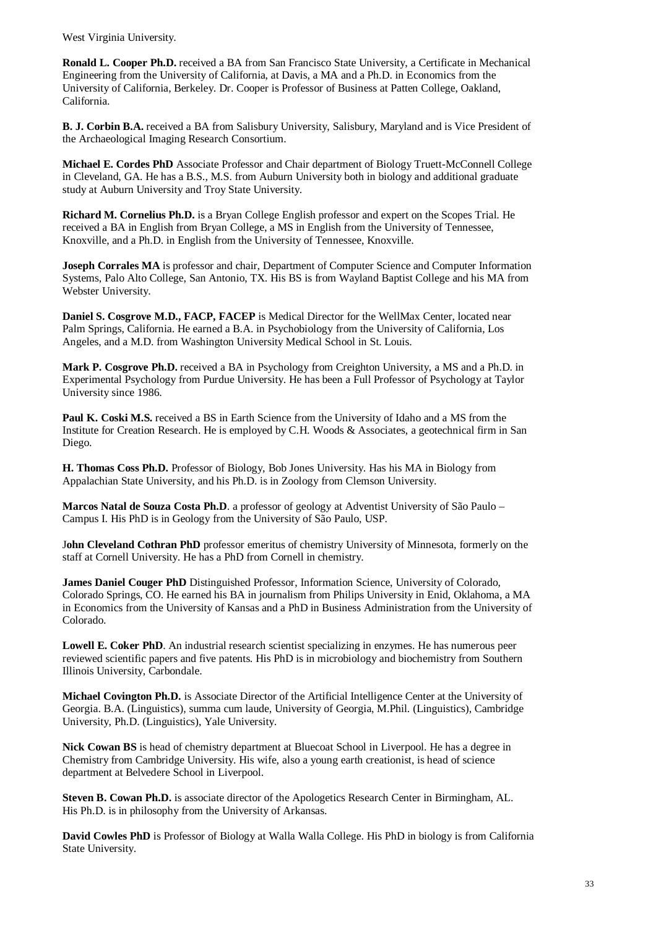West Virginia University.

**Ronald L. Cooper Ph.D.** received a BA from San Francisco State University, a Certificate in Mechanical Engineering from the University of California, at Davis, a MA and a Ph.D. in Economics from the University of California, Berkeley. Dr. Cooper is Professor of Business at Patten College, Oakland, California.

**B. J. Corbin B.A.** received a BA from Salisbury University, Salisbury, Maryland and is Vice President of the Archaeological Imaging Research Consortium.

**Michael E. Cordes PhD** Associate Professor and Chair department of Biology Truett-McConnell College in Cleveland, GA. He has a B.S., M.S. from Auburn University both in biology and additional graduate study at Auburn University and Troy State University.

**Richard M. Cornelius Ph.D.** is a Bryan College English professor and expert on the Scopes Trial. He received a BA in English from Bryan College, a MS in English from the University of Tennessee, Knoxville, and a Ph.D. in English from the University of Tennessee, Knoxville.

**Joseph Corrales MA** is professor and chair, Department of Computer Science and Computer Information Systems, Palo Alto College, San Antonio, TX. His BS is from Wayland Baptist College and his MA from Webster University.

**Daniel S. Cosgrove M.D., FACP, FACEP** is Medical Director for the WellMax Center, located near Palm Springs, California. He earned a B.A. in Psychobiology from the University of California, Los Angeles, and a M.D. from Washington University Medical School in St. Louis.

**Mark P. Cosgrove Ph.D.** received a BA in Psychology from Creighton University, a MS and a Ph.D. in Experimental Psychology from Purdue University. He has been a Full Professor of Psychology at Taylor University since 1986.

**Paul K. Coski M.S.** received a BS in Earth Science from the University of Idaho and a MS from the Institute for Creation Research. He is employed by C.H. Woods & Associates, a geotechnical firm in San Diego.

**H. Thomas Coss Ph.D.** Professor of Biology, Bob Jones University. Has his MA in Biology from Appalachian State University, and his Ph.D. is in Zoology from Clemson University.

**Marcos Natal de Souza Costa Ph.D**. a professor of geology at Adventist University of São Paulo – Campus I. His PhD is in Geology from the University of São Paulo, USP.

J**ohn Cleveland Cothran PhD** professor emeritus of chemistry University of Minnesota, formerly on the staff at Cornell University. He has a PhD from Cornell in chemistry.

**James Daniel Couger PhD** Distinguished Professor, Information Science, University of Colorado, Colorado Springs, CO. He earned his BA in journalism from Philips University in Enid, Oklahoma, a MA in Economics from the University of Kansas and a PhD in Business Administration from the University of Colorado.

**Lowell E. Coker PhD**. An industrial research scientist specializing in enzymes. He has numerous peer reviewed scientific papers and five patents. His PhD is in microbiology and biochemistry from Southern Illinois University, Carbondale.

**Michael Covington Ph.D.** is Associate Director of the Artificial Intelligence Center at the University of Georgia. B.A. (Linguistics), summa cum laude, University of Georgia, M.Phil. (Linguistics), Cambridge University, Ph.D. (Linguistics), Yale University.

**Nick Cowan BS** is head of chemistry department at Bluecoat School in Liverpool. He has a degree in Chemistry from Cambridge University. His wife, also a young earth creationist, is head of science department at Belvedere School in Liverpool.

**Steven B. Cowan Ph.D.** is associate director of the Apologetics Research Center in Birmingham, AL. His Ph.D. is in philosophy from the University of Arkansas.

**David Cowles PhD** is Professor of Biology at Walla Walla College. His PhD in biology is from California State University.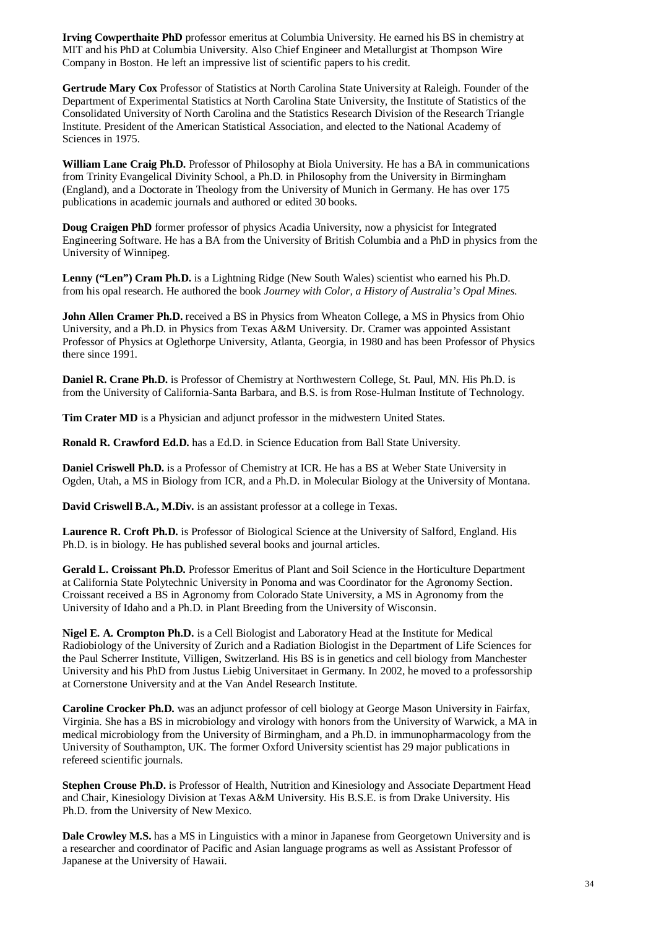**Irving Cowperthaite PhD** professor emeritus at Columbia University. He earned his BS in chemistry at MIT and his PhD at Columbia University. Also Chief Engineer and Metallurgist at Thompson Wire Company in Boston. He left an impressive list of scientific papers to his credit.

**Gertrude Mary Cox** Professor of Statistics at North Carolina State University at Raleigh. Founder of the Department of Experimental Statistics at North Carolina State University, the Institute of Statistics of the Consolidated University of North Carolina and the Statistics Research Division of the Research Triangle Institute. President of the American Statistical Association, and elected to the National Academy of Sciences in 1975.

**William Lane Craig Ph.D.** Professor of Philosophy at Biola University. He has a BA in communications from Trinity Evangelical Divinity School, a Ph.D. in Philosophy from the University in Birmingham (England), and a Doctorate in Theology from the University of Munich in Germany. He has over 175 publications in academic journals and authored or edited 30 books.

**Doug Craigen PhD** former professor of physics Acadia University, now a physicist for Integrated Engineering Software. He has a BA from the University of British Columbia and a PhD in physics from the University of Winnipeg.

Lenny ("Len") Cram Ph.D. is a Lightning Ridge (New South Wales) scientist who earned his Ph.D. from his opal research. He authored the book *Journey with Color, a History of Australia's Opal Mines*.

**John Allen Cramer Ph.D.** received a BS in Physics from Wheaton College, a MS in Physics from Ohio University, and a Ph.D. in Physics from Texas A&M University. Dr. Cramer was appointed Assistant Professor of Physics at Oglethorpe University, Atlanta, Georgia, in 1980 and has been Professor of Physics there since 1991.

**Daniel R. Crane Ph.D.** is Professor of Chemistry at Northwestern College, St. Paul, MN. His Ph.D. is from the University of California-Santa Barbara, and B.S. is from Rose-Hulman Institute of Technology.

**Tim Crater MD** is a Physician and adjunct professor in the midwestern United States.

**Ronald R. Crawford Ed.D.** has a Ed.D. in Science Education from Ball State University.

**Daniel Criswell Ph.D.** is a Professor of Chemistry at ICR. He has a BS at Weber State University in Ogden, Utah, a MS in Biology from ICR, and a Ph.D. in Molecular Biology at the University of Montana.

**David Criswell B.A., M.Div.** is an assistant professor at a college in Texas.

**Laurence R. Croft Ph.D.** is Professor of Biological Science at the University of Salford, England. His Ph.D. is in biology. He has published several books and journal articles.

**Gerald L. Croissant Ph.D.** Professor Emeritus of Plant and Soil Science in the Horticulture Department at California State Polytechnic University in Ponoma and was Coordinator for the Agronomy Section. Croissant received a BS in Agronomy from Colorado State University, a MS in Agronomy from the University of Idaho and a Ph.D. in Plant Breeding from the University of Wisconsin.

**Nigel E. A. Crompton Ph.D.** is a Cell Biologist and Laboratory Head at the Institute for Medical Radiobiology of the University of Zurich and a Radiation Biologist in the Department of Life Sciences for the Paul Scherrer Institute, Villigen, Switzerland. His BS is in genetics and cell biology from Manchester University and his PhD from Justus Liebig Universitaet in Germany. In 2002, he moved to a professorship at Cornerstone University and at the Van Andel Research Institute.

**Caroline Crocker Ph.D.** was an adjunct professor of cell biology at George Mason University in Fairfax, Virginia. She has a BS in microbiology and virology with honors from the University of Warwick, a MA in medical microbiology from the University of Birmingham, and a Ph.D. in immunopharmacology from the University of Southampton, UK. The former Oxford University scientist has 29 major publications in refereed scientific journals.

**Stephen Crouse Ph.D.** is Professor of Health, Nutrition and Kinesiology and Associate Department Head and Chair, Kinesiology Division at Texas A&M University. His B.S.E. is from Drake University. His Ph.D. from the University of New Mexico.

**Dale Crowley M.S.** has a MS in Linguistics with a minor in Japanese from Georgetown University and is a researcher and coordinator of Pacific and Asian language programs as well as Assistant Professor of Japanese at the University of Hawaii.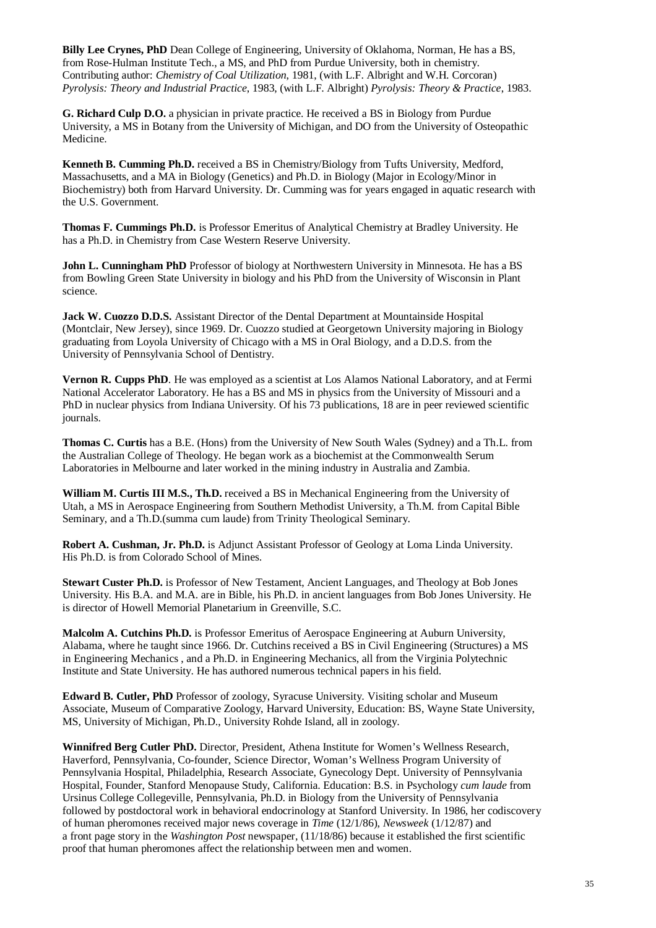**Billy Lee Crynes, PhD** Dean College of Engineering, University of Oklahoma, Norman, He has a BS, from Rose-Hulman Institute Tech., a MS, and PhD from Purdue University, both in chemistry. Contributing author: *Chemistry of Coal Utilization*, 1981, (with L.F. Albright and W.H. Corcoran) *Pyrolysis: Theory and Industrial Practice*, 1983, (with L.F. Albright) *Pyrolysis: Theory & Practice*, 1983.

**G. Richard Culp D.O.** a physician in private practice. He received a BS in Biology from Purdue University, a MS in Botany from the University of Michigan, and DO from the University of Osteopathic Medicine.

**Kenneth B. Cumming Ph.D.** received a BS in Chemistry/Biology from Tufts University, Medford, Massachusetts, and a MA in Biology (Genetics) and Ph.D. in Biology (Major in Ecology/Minor in Biochemistry) both from Harvard University. Dr. Cumming was for years engaged in aquatic research with the U.S. Government.

**Thomas F. Cummings Ph.D.** is Professor Emeritus of Analytical Chemistry at Bradley University. He has a Ph.D. in Chemistry from Case Western Reserve University.

**John L. Cunningham PhD** Professor of biology at Northwestern University in Minnesota. He has a BS from Bowling Green State University in biology and his PhD from the University of Wisconsin in Plant science.

Jack W. Cuozzo D.D.S. Assistant Director of the Dental Department at Mountainside Hospital (Montclair, New Jersey), since 1969. Dr. Cuozzo studied at Georgetown University majoring in Biology graduating from Loyola University of Chicago with a MS in Oral Biology, and a D.D.S. from the University of Pennsylvania School of Dentistry.

**Vernon R. Cupps PhD**. He was employed as a scientist at Los Alamos National Laboratory, and at Fermi National Accelerator Laboratory. He has a BS and MS in physics from the University of Missouri and a PhD in nuclear physics from Indiana University. Of his 73 publications, 18 are in peer reviewed scientific journals.

**Thomas C. Curtis** has a B.E. (Hons) from the University of New South Wales (Sydney) and a Th.L. from the Australian College of Theology. He began work as a biochemist at the Commonwealth Serum Laboratories in Melbourne and later worked in the mining industry in Australia and Zambia.

**William M. Curtis III M.S., Th.D.** received a BS in Mechanical Engineering from the University of Utah, a MS in Aerospace Engineering from Southern Methodist University, a Th.M. from Capital Bible Seminary, and a Th.D.(summa cum laude) from Trinity Theological Seminary.

**Robert A. Cushman, Jr. Ph.D.** is Adjunct Assistant Professor of Geology at Loma Linda University. His Ph.D. is from Colorado School of Mines.

**Stewart Custer Ph.D.** is Professor of New Testament, Ancient Languages, and Theology at Bob Jones University. His B.A. and M.A. are in Bible, his Ph.D. in ancient languages from Bob Jones University. He is director of Howell Memorial Planetarium in Greenville, S.C.

**Malcolm A. Cutchins Ph.D.** is Professor Emeritus of Aerospace Engineering at Auburn University, Alabama, where he taught since 1966. Dr. Cutchins received a BS in Civil Engineering (Structures) a MS in Engineering Mechanics , and a Ph.D. in Engineering Mechanics, all from the Virginia Polytechnic Institute and State University. He has authored numerous technical papers in his field.

**Edward B. Cutler, PhD** Professor of zoology, Syracuse University. Visiting scholar and Museum Associate, Museum of Comparative Zoology, Harvard University, Education: BS, Wayne State University, MS, University of Michigan, Ph.D., University Rohde Island, all in zoology.

**Winnifred Berg Cutler PhD.** Director, President, Athena Institute for Women's Wellness Research, Haverford, Pennsylvania, Co-founder, Science Director, Woman's Wellness Program University of Pennsylvania Hospital, Philadelphia, Research Associate, Gynecology Dept. University of Pennsylvania Hospital, Founder, Stanford Menopause Study, California. Education: B.S. in Psychology *cum laude* from Ursinus College Collegeville, Pennsylvania, Ph.D. in Biology from the University of Pennsylvania followed by postdoctoral work in behavioral endocrinology at Stanford University. In 1986, her codiscovery of human pheromones received major news coverage in *Time* (12/1/86), *Newsweek* (1/12/87) and a front page story in the *Washington Post* newspaper, (11/18/86) because it established the first scientific proof that human pheromones affect the relationship between men and women.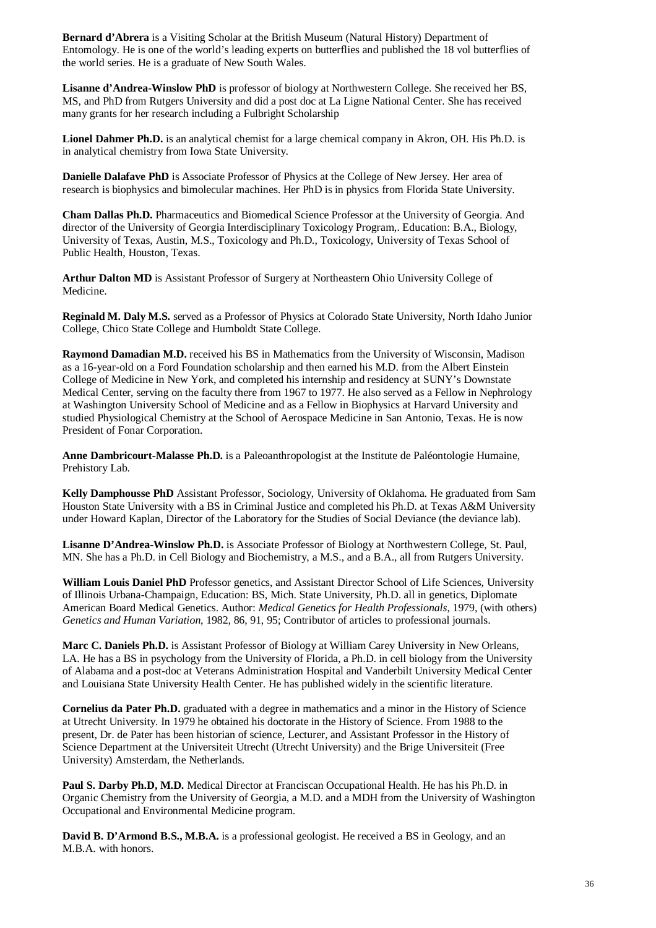**Bernard d'Abrera** is a Visiting Scholar at the British Museum (Natural History) Department of Entomology. He is one of the world's leading experts on butterflies and published the 18 vol butterflies of the world series. He is a graduate of New South Wales.

**Lisanne d'Andrea-Winslow PhD** is professor of biology at Northwestern College. She received her BS, MS, and PhD from Rutgers University and did a post doc at La Ligne National Center. She has received many grants for her research including a Fulbright Scholarship

**Lionel Dahmer Ph.D.** is an analytical chemist for a large chemical company in Akron, OH. His Ph.D. is in analytical chemistry from Iowa State University.

**Danielle Dalafave PhD** is Associate Professor of Physics at the College of New Jersey. Her area of research is biophysics and bimolecular machines. Her PhD is in physics from Florida State University.

**Cham Dallas Ph.D.** Pharmaceutics and Biomedical Science Professor at the University of Georgia. And director of the University of Georgia Interdisciplinary Toxicology Program,. Education: B.A., Biology, University of Texas, Austin, M.S., Toxicology and Ph.D., Toxicology, University of Texas School of Public Health, Houston, Texas.

**Arthur Dalton MD** is Assistant Professor of Surgery at Northeastern Ohio University College of Medicine.

**Reginald M. Daly M.S.** served as a Professor of Physics at Colorado State University, North Idaho Junior College, Chico State College and Humboldt State College.

**Raymond Damadian M.D.** received his BS in Mathematics from the University of Wisconsin, Madison as a 16-year-old on a Ford Foundation scholarship and then earned his M.D. from the Albert Einstein College of Medicine in New York, and completed his internship and residency at SUNY's Downstate Medical Center, serving on the faculty there from 1967 to 1977. He also served as a Fellow in Nephrology at Washington University School of Medicine and as a Fellow in Biophysics at Harvard University and studied Physiological Chemistry at the School of Aerospace Medicine in San Antonio, Texas. He is now President of Fonar Corporation.

**Anne Dambricourt-Malasse Ph.D.** is a Paleoanthropologist at the Institute de Paléontologie Humaine, Prehistory Lab.

**Kelly Damphousse PhD** Assistant Professor, Sociology, University of Oklahoma. He graduated from Sam Houston State University with a BS in Criminal Justice and completed his Ph.D. at Texas A&M University under Howard Kaplan, Director of the Laboratory for the Studies of Social Deviance (the deviance lab).

**Lisanne D'Andrea-Winslow Ph.D.** is Associate Professor of Biology at Northwestern College, St. Paul, MN. She has a Ph.D. in Cell Biology and Biochemistry, a M.S., and a B.A., all from Rutgers University.

**William Louis Daniel PhD** Professor genetics, and Assistant Director School of Life Sciences, University of Illinois Urbana-Champaign, Education: BS, Mich. State University, Ph.D. all in genetics, Diplomate American Board Medical Genetics. Author: *Medical Genetics for Health Professionals*, 1979, (with others) *Genetics and Human Variation*, 1982, 86, 91, 95; Contributor of articles to professional journals.

**Marc C. Daniels Ph.D.** is Assistant Professor of Biology at William Carey University in New Orleans, LA. He has a BS in psychology from the University of Florida, a Ph.D. in cell biology from the University of Alabama and a post-doc at Veterans Administration Hospital and Vanderbilt University Medical Center and Louisiana State University Health Center. He has published widely in the scientific literature.

**Cornelius da Pater Ph.D.** graduated with a degree in mathematics and a minor in the History of Science at Utrecht University. In 1979 he obtained his doctorate in the History of Science. From 1988 to the present, Dr. de Pater has been historian of science, Lecturer, and Assistant Professor in the History of Science Department at the Universiteit Utrecht (Utrecht University) and the Brige Universiteit (Free University) Amsterdam, the Netherlands.

**Paul S. Darby Ph.D, M.D.** Medical Director at Franciscan Occupational Health. He has his Ph.D. in Organic Chemistry from the University of Georgia, a M.D. and a MDH from the University of Washington Occupational and Environmental Medicine program.

**David B. D'Armond B.S., M.B.A.** is a professional geologist. He received a BS in Geology, and an M.B.A. with honors.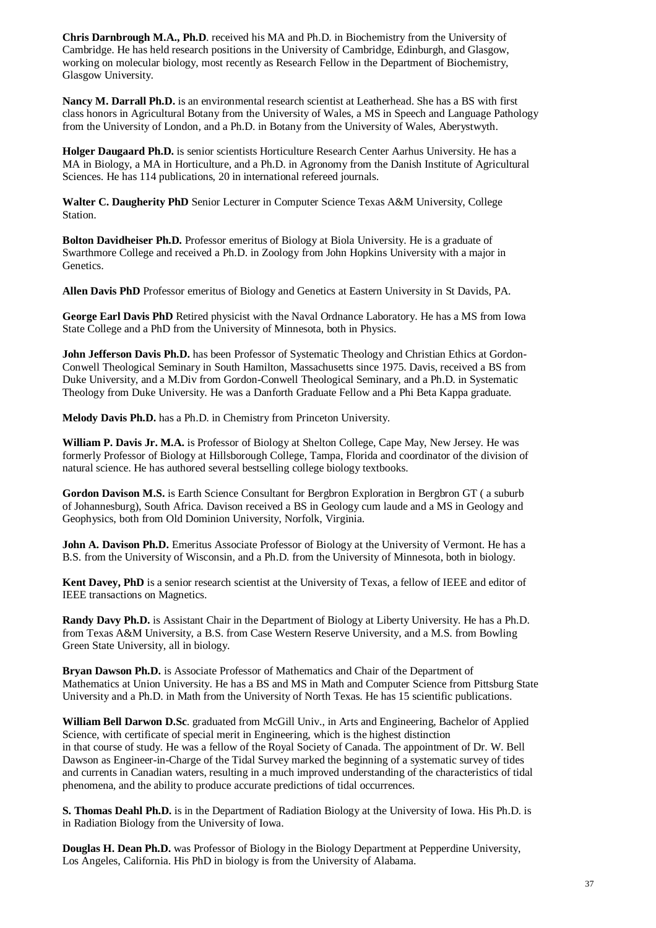**Chris Darnbrough M.A., Ph.D**. received his MA and Ph.D. in Biochemistry from the University of Cambridge. He has held research positions in the University of Cambridge, Edinburgh, and Glasgow, working on molecular biology, most recently as Research Fellow in the Department of Biochemistry, Glasgow University.

**Nancy M. Darrall Ph.D.** is an environmental research scientist at Leatherhead. She has a BS with first class honors in Agricultural Botany from the University of Wales, a MS in Speech and Language Pathology from the University of London, and a Ph.D. in Botany from the University of Wales, Aberystwyth.

**Holger Daugaard Ph.D.** is senior scientists Horticulture Research Center Aarhus University. He has a MA in Biology, a MA in Horticulture, and a Ph.D. in Agronomy from the Danish Institute of Agricultural Sciences. He has 114 publications, 20 in international refereed journals.

**Walter C. Daugherity PhD** Senior Lecturer in Computer Science Texas A&M University, College Station.

**Bolton Davidheiser Ph.D.** Professor emeritus of Biology at Biola University. He is a graduate of Swarthmore College and received a Ph.D. in Zoology from John Hopkins University with a major in Genetics.

**Allen Davis PhD** Professor emeritus of Biology and Genetics at Eastern University in St Davids, PA.

**George Earl Davis PhD** Retired physicist with the Naval Ordnance Laboratory. He has a MS from Iowa State College and a PhD from the University of Minnesota, both in Physics.

**John Jefferson Davis Ph.D.** has been Professor of Systematic Theology and Christian Ethics at Gordon-Conwell Theological Seminary in South Hamilton, Massachusetts since 1975. Davis, received a BS from Duke University, and a M.Div from Gordon-Conwell Theological Seminary, and a Ph.D. in Systematic Theology from Duke University. He was a Danforth Graduate Fellow and a Phi Beta Kappa graduate.

**Melody Davis Ph.D.** has a Ph.D. in Chemistry from Princeton University.

**William P. Davis Jr. M.A.** is Professor of Biology at Shelton College, Cape May, New Jersey. He was formerly Professor of Biology at Hillsborough College, Tampa, Florida and coordinator of the division of natural science. He has authored several bestselling college biology textbooks.

**Gordon Davison M.S.** is Earth Science Consultant for Bergbron Exploration in Bergbron GT ( a suburb of Johannesburg), South Africa. Davison received a BS in Geology cum laude and a MS in Geology and Geophysics, both from Old Dominion University, Norfolk, Virginia.

**John A. Davison Ph.D.** Emeritus Associate Professor of Biology at the University of Vermont. He has a B.S. from the University of Wisconsin, and a Ph.D. from the University of Minnesota, both in biology.

**Kent Davey, PhD** is a senior research scientist at the University of Texas, a fellow of IEEE and editor of IEEE transactions on Magnetics.

**Randy Davy Ph.D.** is Assistant Chair in the Department of Biology at Liberty University. He has a Ph.D. from Texas A&M University, a B.S. from Case Western Reserve University, and a M.S. from Bowling Green State University, all in biology.

**Bryan Dawson Ph.D.** is Associate Professor of Mathematics and Chair of the Department of Mathematics at Union University. He has a BS and MS in Math and Computer Science from Pittsburg State University and a Ph.D. in Math from the University of North Texas. He has 15 scientific publications.

**William Bell Darwon D.Sc**. graduated from McGill Univ., in Arts and Engineering, Bachelor of Applied Science, with certificate of special merit in Engineering, which is the highest distinction in that course of study. He was a fellow of the Royal Society of Canada. The appointment of Dr. W. Bell Dawson as Engineer-in-Charge of the Tidal Survey marked the beginning of a systematic survey of tides and currents in Canadian waters, resulting in a much improved understanding of the characteristics of tidal phenomena, and the ability to produce accurate predictions of tidal occurrences.

**S. Thomas Deahl Ph.D.** is in the Department of Radiation Biology at the University of Iowa. His Ph.D. is in Radiation Biology from the University of Iowa.

**Douglas H. Dean Ph.D.** was Professor of Biology in the Biology Department at Pepperdine University, Los Angeles, California. His PhD in biology is from the University of Alabama.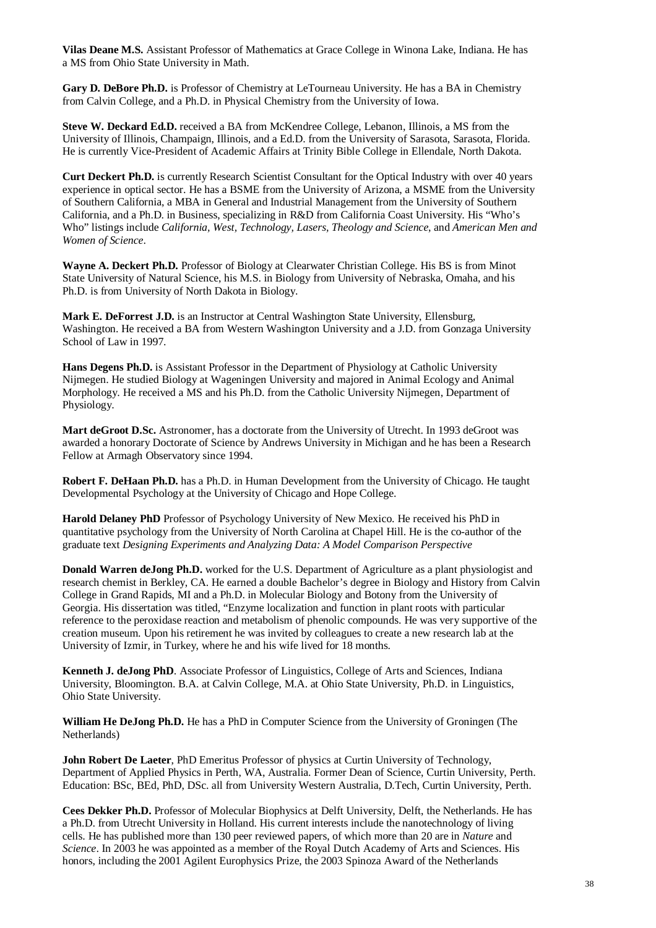**Vilas Deane M.S.** Assistant Professor of Mathematics at Grace College in Winona Lake, Indiana. He has a MS from Ohio State University in Math.

**Gary D. DeBore Ph.D.** is Professor of Chemistry at LeTourneau University. He has a BA in Chemistry from Calvin College, and a Ph.D. in Physical Chemistry from the University of Iowa.

**Steve W. Deckard Ed.D.** received a BA from McKendree College, Lebanon, Illinois, a MS from the University of Illinois, Champaign, Illinois, and a Ed.D. from the University of Sarasota, Sarasota, Florida. He is currently Vice-President of Academic Affairs at Trinity Bible College in Ellendale, North Dakota.

**Curt Deckert Ph.D.** is currently Research Scientist Consultant for the Optical Industry with over 40 years experience in optical sector. He has a BSME from the University of Arizona, a MSME from the University of Southern California, a MBA in General and Industrial Management from the University of Southern California, and a Ph.D. in Business, specializing in R&D from California Coast University. His "Who's Who" listings include *California, West, Technology, Lasers, Theology and Science*, and *American Men and Women of Science*.

**Wayne A. Deckert Ph.D.** Professor of Biology at Clearwater Christian College. His BS is from Minot State University of Natural Science, his M.S. in Biology from University of Nebraska, Omaha, and his Ph.D. is from University of North Dakota in Biology.

**Mark E. DeForrest J.D.** is an Instructor at Central Washington State University, Ellensburg, Washington. He received a BA from Western Washington University and a J.D. from Gonzaga University School of Law in 1997.

**Hans Degens Ph.D.** is Assistant Professor in the Department of Physiology at Catholic University Nijmegen. He studied Biology at Wageningen University and majored in Animal Ecology and Animal Morphology. He received a MS and his Ph.D. from the Catholic University Nijmegen, Department of Physiology.

**Mart deGroot D.Sc.** Astronomer, has a doctorate from the University of Utrecht. In 1993 deGroot was awarded a honorary Doctorate of Science by Andrews University in Michigan and he has been a Research Fellow at Armagh Observatory since 1994.

**Robert F. DeHaan Ph.D.** has a Ph.D. in Human Development from the University of Chicago. He taught Developmental Psychology at the University of Chicago and Hope College.

**Harold Delaney PhD** Professor of Psychology University of New Mexico. He received his PhD in quantitative psychology from the University of North Carolina at Chapel Hill. He is the co-author of the graduate text *Designing Experiments and Analyzing Data: A Model Comparison Perspective*

**Donald Warren deJong Ph.D.** worked for the U.S. Department of Agriculture as a plant physiologist and research chemist in Berkley, CA. He earned a double Bachelor's degree in Biology and History from Calvin College in Grand Rapids, MI and a Ph.D. in Molecular Biology and Botony from the University of Georgia. His dissertation was titled, "Enzyme localization and function in plant roots with particular reference to the peroxidase reaction and metabolism of phenolic compounds. He was very supportive of the creation museum. Upon his retirement he was invited by colleagues to create a new research lab at the University of Izmir, in Turkey, where he and his wife lived for 18 months.

**Kenneth J. deJong PhD**. Associate Professor of Linguistics, College of Arts and Sciences, Indiana University, Bloomington. B.A. at Calvin College, M.A. at Ohio State University, Ph.D. in Linguistics, Ohio State University.

**William He DeJong Ph.D.** He has a PhD in Computer Science from the University of Groningen (The Netherlands)

**John Robert De Laeter**, PhD Emeritus Professor of physics at Curtin University of Technology, Department of Applied Physics in Perth, WA, Australia. Former Dean of Science, Curtin University, Perth. Education: BSc, BEd, PhD, DSc. all from University Western Australia, D.Tech, Curtin University, Perth.

**Cees Dekker Ph.D.** Professor of Molecular Biophysics at Delft University, Delft, the Netherlands. He has a Ph.D. from Utrecht University in Holland. His current interests include the nanotechnology of living cells. He has published more than 130 peer reviewed papers, of which more than 20 are in *Nature* and *Science*. In 2003 he was appointed as a member of the Royal Dutch Academy of Arts and Sciences. His honors, including the 2001 Agilent Europhysics Prize, the 2003 Spinoza Award of the Netherlands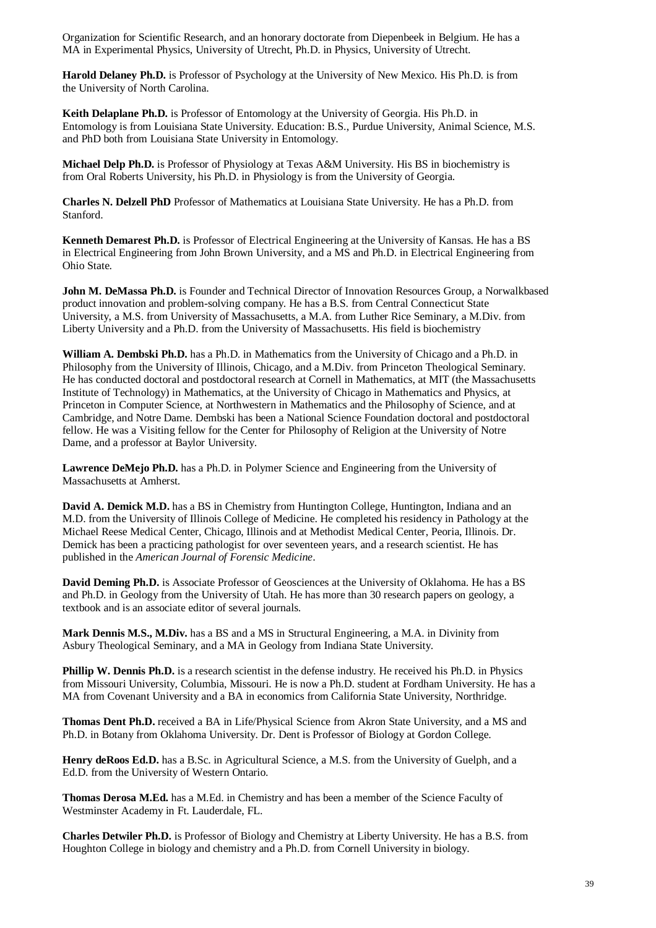Organization for Scientific Research, and an honorary doctorate from Diepenbeek in Belgium. He has a MA in Experimental Physics, University of Utrecht, Ph.D. in Physics, University of Utrecht.

**Harold Delaney Ph.D.** is Professor of Psychology at the University of New Mexico. His Ph.D. is from the University of North Carolina.

**Keith Delaplane Ph.D.** is Professor of Entomology at the University of Georgia. His Ph.D. in Entomology is from Louisiana State University. Education: B.S., Purdue University, Animal Science, M.S. and PhD both from Louisiana State University in Entomology.

**Michael Delp Ph.D.** is Professor of Physiology at Texas A&M University. His BS in biochemistry is from Oral Roberts University, his Ph.D. in Physiology is from the University of Georgia.

**Charles N. Delzell PhD** Professor of Mathematics at Louisiana State University. He has a Ph.D. from Stanford.

**Kenneth Demarest Ph.D.** is Professor of Electrical Engineering at the University of Kansas. He has a BS in Electrical Engineering from John Brown University, and a MS and Ph.D. in Electrical Engineering from Ohio State.

**John M. DeMassa Ph.D.** is Founder and Technical Director of Innovation Resources Group, a Norwalkbased product innovation and problem-solving company. He has a B.S. from Central Connecticut State University, a M.S. from University of Massachusetts, a M.A. from Luther Rice Seminary, a M.Div. from Liberty University and a Ph.D. from the University of Massachusetts. His field is biochemistry

**William A. Dembski Ph.D.** has a Ph.D. in Mathematics from the University of Chicago and a Ph.D. in Philosophy from the University of Illinois, Chicago, and a M.Div. from Princeton Theological Seminary. He has conducted doctoral and postdoctoral research at Cornell in Mathematics, at MIT (the Massachusetts Institute of Technology) in Mathematics, at the University of Chicago in Mathematics and Physics, at Princeton in Computer Science, at Northwestern in Mathematics and the Philosophy of Science, and at Cambridge, and Notre Dame. Dembski has been a National Science Foundation doctoral and postdoctoral fellow. He was a Visiting fellow for the Center for Philosophy of Religion at the University of Notre Dame, and a professor at Baylor University.

**Lawrence DeMejo Ph.D.** has a Ph.D. in Polymer Science and Engineering from the University of Massachusetts at Amherst.

**David A. Demick M.D.** has a BS in Chemistry from Huntington College, Huntington, Indiana and an M.D. from the University of Illinois College of Medicine. He completed his residency in Pathology at the Michael Reese Medical Center, Chicago, Illinois and at Methodist Medical Center, Peoria, Illinois. Dr. Demick has been a practicing pathologist for over seventeen years, and a research scientist. He has published in the *American Journal of Forensic Medicine*.

**David Deming Ph.D.** is Associate Professor of Geosciences at the University of Oklahoma. He has a BS and Ph.D. in Geology from the University of Utah. He has more than 30 research papers on geology, a textbook and is an associate editor of several journals.

**Mark Dennis M.S., M.Div.** has a BS and a MS in Structural Engineering, a M.A. in Divinity from Asbury Theological Seminary, and a MA in Geology from Indiana State University.

**Phillip W. Dennis Ph.D.** is a research scientist in the defense industry. He received his Ph.D. in Physics from Missouri University, Columbia, Missouri. He is now a Ph.D. student at Fordham University. He has a MA from Covenant University and a BA in economics from California State University, Northridge.

**Thomas Dent Ph.D.** received a BA in Life/Physical Science from Akron State University, and a MS and Ph.D. in Botany from Oklahoma University. Dr. Dent is Professor of Biology at Gordon College.

**Henry deRoos Ed.D.** has a B.Sc. in Agricultural Science, a M.S. from the University of Guelph, and a Ed.D. from the University of Western Ontario.

**Thomas Derosa M.Ed.** has a M.Ed. in Chemistry and has been a member of the Science Faculty of Westminster Academy in Ft. Lauderdale, FL.

**Charles Detwiler Ph.D.** is Professor of Biology and Chemistry at Liberty University. He has a B.S. from Houghton College in biology and chemistry and a Ph.D. from Cornell University in biology.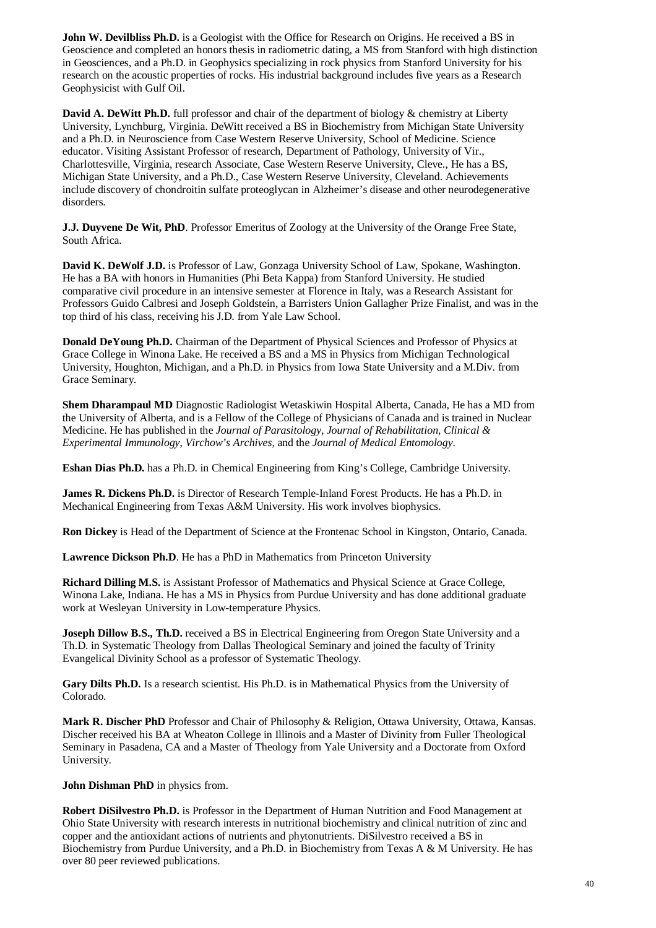**John W. Devilbliss Ph.D.** is a Geologist with the Office for Research on Origins. He received a BS in Geoscience and completed an honors thesis in radiometric dating, a MS from Stanford with high distinction in Geosciences, and a Ph.D. in Geophysics specializing in rock physics from Stanford University for his research on the acoustic properties of rocks. His industrial background includes five years as a Research Geophysicist with Gulf Oil.

**David A. DeWitt Ph.D.** full professor and chair of the department of biology & chemistry at Liberty University, Lynchburg, Virginia. DeWitt received a BS in Biochemistry from Michigan State University and a Ph.D. in Neuroscience from Case Western Reserve University, School of Medicine. Science educator. Visiting Assistant Professor of research, Department of Pathology, University of Vir., Charlottesville, Virginia, research Associate, Case Western Reserve University, Cleve., He has a BS, Michigan State University, and a Ph.D., Case Western Reserve University, Cleveland. Achievements include discovery of chondroitin sulfate proteoglycan in Alzheimer's disease and other neurodegenerative disorders.

**J.J. Duyvene De Wit, PhD**. Professor Emeritus of Zoology at the University of the Orange Free State, South Africa.

**David K. DeWolf J.D.** is Professor of Law, Gonzaga University School of Law, Spokane, Washington. He has a BA with honors in Humanities (Phi Beta Kappa) from Stanford University. He studied comparative civil procedure in an intensive semester at Florence in Italy, was a Research Assistant for Professors Guido Calbresi and Joseph Goldstein, a Barristers Union Gallagher Prize Finalist, and was in the top third of his class, receiving his J.D. from Yale Law School.

**Donald DeYoung Ph.D.** Chairman of the Department of Physical Sciences and Professor of Physics at Grace College in Winona Lake. He received a BS and a MS in Physics from Michigan Technological University, Houghton, Michigan, and a Ph.D. in Physics from Iowa State University and a M.Div. from Grace Seminary.

**Shem Dharampaul MD** Diagnostic Radiologist Wetaskiwin Hospital Alberta, Canada, He has a MD from the University of Alberta, and is a Fellow of the College of Physicians of Canada and is trained in Nuclear Medicine. He has published in the *Journal of Parasitology*, *Journal of Rehabilitation*, *Clinical & Experimental Immunology*, *Virchow's Archives*, and the *Journal of Medical Entomology*.

**Eshan Dias Ph.D.** has a Ph.D. in Chemical Engineering from King's College, Cambridge University.

**James R. Dickens Ph.D.** is Director of Research Temple-Inland Forest Products. He has a Ph.D. in Mechanical Engineering from Texas A&M University. His work involves biophysics.

**Ron Dickey** is Head of the Department of Science at the Frontenac School in Kingston, Ontario, Canada.

**Lawrence Dickson Ph.D**. He has a PhD in Mathematics from Princeton University

**Richard Dilling M.S.** is Assistant Professor of Mathematics and Physical Science at Grace College, Winona Lake, Indiana. He has a MS in Physics from Purdue University and has done additional graduate work at Wesleyan University in Low-temperature Physics.

**Joseph Dillow B.S., Th.D.** received a BS in Electrical Engineering from Oregon State University and a Th.D. in Systematic Theology from Dallas Theological Seminary and joined the faculty of Trinity Evangelical Divinity School as a professor of Systematic Theology.

**Gary Dilts Ph.D.** Is a research scientist. His Ph.D. is in Mathematical Physics from the University of Colorado.

**Mark R. Discher PhD** Professor and Chair of Philosophy & Religion, Ottawa University, Ottawa, Kansas. Discher received his BA at Wheaton College in Illinois and a Master of Divinity from Fuller Theological Seminary in Pasadena, CA and a Master of Theology from Yale University and a Doctorate from Oxford University.

**John Dishman PhD** in physics from.

**Robert DiSilvestro Ph.D.** is Professor in the Department of Human Nutrition and Food Management at Ohio State University with research interests in nutritional biochemistry and clinical nutrition of zinc and copper and the antioxidant actions of nutrients and phytonutrients. DiSilvestro received a BS in Biochemistry from Purdue University, and a Ph.D. in Biochemistry from Texas A & M University. He has over 80 peer reviewed publications.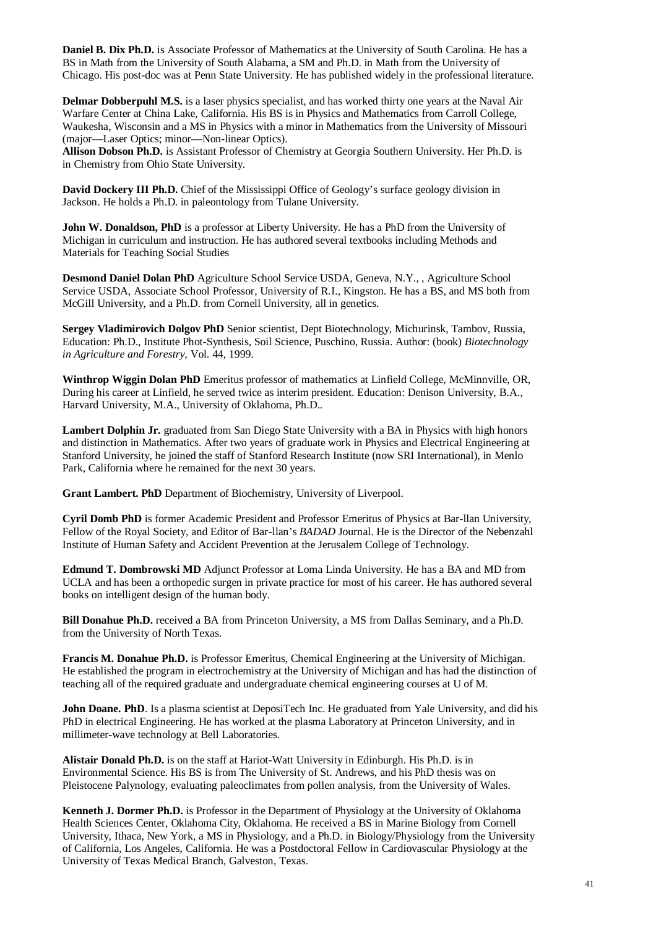**Daniel B. Dix Ph.D.** is Associate Professor of Mathematics at the University of South Carolina. He has a BS in Math from the University of South Alabama, a SM and Ph.D. in Math from the University of Chicago. His post-doc was at Penn State University. He has published widely in the professional literature.

**Delmar Dobberpuhl M.S.** is a laser physics specialist, and has worked thirty one years at the Naval Air Warfare Center at China Lake, California. His BS is in Physics and Mathematics from Carroll College, Waukesha, Wisconsin and a MS in Physics with a minor in Mathematics from the University of Missouri (major—Laser Optics; minor—Non-linear Optics).

**Allison Dobson Ph.D.** is Assistant Professor of Chemistry at Georgia Southern University. Her Ph.D. is in Chemistry from Ohio State University.

**David Dockery III Ph.D.** Chief of the Mississippi Office of Geology's surface geology division in Jackson. He holds a Ph.D. in paleontology from Tulane University.

**John W. Donaldson, PhD** is a professor at Liberty University. He has a PhD from the University of Michigan in curriculum and instruction. He has authored several textbooks including Methods and Materials for Teaching Social Studies

**Desmond Daniel Dolan PhD** Agriculture School Service USDA, Geneva, N.Y., , Agriculture School Service USDA, Associate School Professor, University of R.I., Kingston. He has a BS, and MS both from McGill University, and a Ph.D. from Cornell University, all in genetics.

**Sergey Vladimirovich Dolgov PhD** Senior scientist, Dept Biotechnology, Michurinsk, Tambov, Russia, Education: Ph.D., Institute Phot-Synthesis, Soil Science, Puschino, Russia. Author: (book) *Biotechnology in Agriculture and Forestry*, Vol. 44, 1999.

**Winthrop Wiggin Dolan PhD** Emeritus professor of mathematics at Linfield College, McMinnville, OR, During his career at Linfield, he served twice as interim president. Education: Denison University, B.A., Harvard University, M.A., University of Oklahoma, Ph.D..

Lambert Dolphin Jr. graduated from San Diego State University with a BA in Physics with high honors and distinction in Mathematics. After two years of graduate work in Physics and Electrical Engineering at Stanford University, he joined the staff of Stanford Research Institute (now SRI International), in Menlo Park, California where he remained for the next 30 years.

**Grant Lambert. PhD** Department of Biochemistry, University of Liverpool.

**Cyril Domb PhD** is former Academic President and Professor Emeritus of Physics at Bar-llan University, Fellow of the Royal Society, and Editor of Bar-llan's *BADAD* Journal. He is the Director of the Nebenzahl Institute of Human Safety and Accident Prevention at the Jerusalem College of Technology.

**Edmund T. Dombrowski MD** Adjunct Professor at Loma Linda University. He has a BA and MD from UCLA and has been a orthopedic surgen in private practice for most of his career. He has authored several books on intelligent design of the human body.

**Bill Donahue Ph.D.** received a BA from Princeton University, a MS from Dallas Seminary, and a Ph.D. from the University of North Texas.

**Francis M. Donahue Ph.D.** is Professor Emeritus, Chemical Engineering at the University of Michigan. He established the program in electrochemistry at the University of Michigan and has had the distinction of teaching all of the required graduate and undergraduate chemical engineering courses at U of M.

**John Doane. PhD**. Is a plasma scientist at DeposiTech Inc. He graduated from Yale University, and did his PhD in electrical Engineering. He has worked at the plasma Laboratory at Princeton University, and in millimeter-wave technology at Bell Laboratories.

**Alistair Donald Ph.D.** is on the staff at Hariot-Watt University in Edinburgh. His Ph.D. is in Environmental Science. His BS is from The University of St. Andrews, and his PhD thesis was on Pleistocene Palynology, evaluating paleoclimates from pollen analysis, from the University of Wales.

**Kenneth J. Dormer Ph.D.** is Professor in the Department of Physiology at the University of Oklahoma Health Sciences Center, Oklahoma City, Oklahoma. He received a BS in Marine Biology from Cornell University, Ithaca, New York, a MS in Physiology, and a Ph.D. in Biology/Physiology from the University of California, Los Angeles, California. He was a Postdoctoral Fellow in Cardiovascular Physiology at the University of Texas Medical Branch, Galveston, Texas.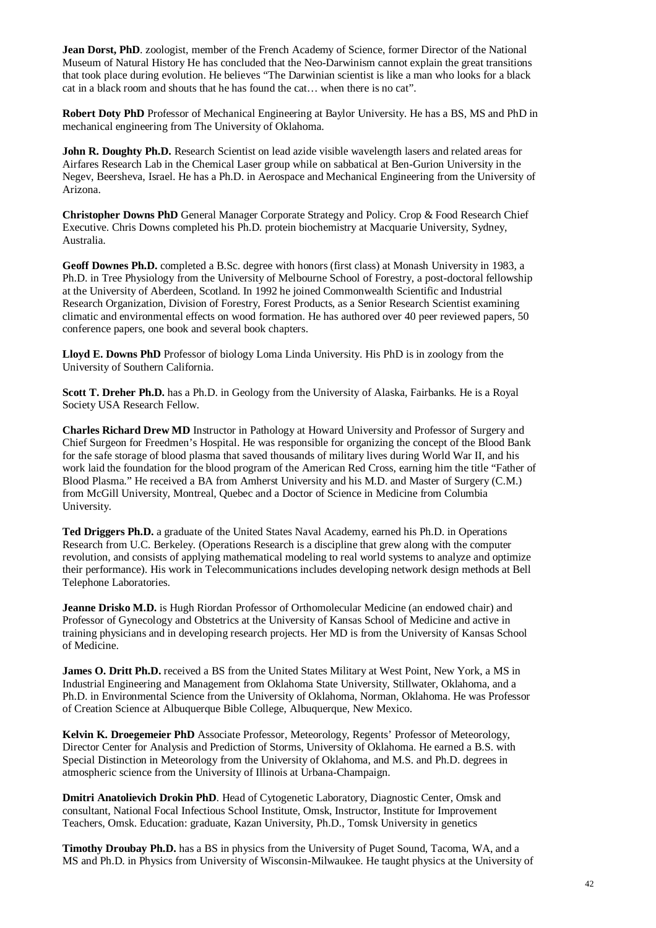Jean Dorst, PhD. zoologist, member of the French Academy of Science, former Director of the National Museum of Natural History He has concluded that the Neo-Darwinism cannot explain the great transitions that took place during evolution. He believes "The Darwinian scientist is like a man who looks for a black cat in a black room and shouts that he has found the cat… when there is no cat".

**Robert Doty PhD** Professor of Mechanical Engineering at Baylor University. He has a BS, MS and PhD in mechanical engineering from The University of Oklahoma.

**John R. Doughty Ph.D.** Research Scientist on lead azide visible wavelength lasers and related areas for Airfares Research Lab in the Chemical Laser group while on sabbatical at Ben-Gurion University in the Negev, Beersheva, Israel. He has a Ph.D. in Aerospace and Mechanical Engineering from the University of Arizona.

**Christopher Downs PhD** General Manager Corporate Strategy and Policy. Crop & Food Research Chief Executive. Chris Downs completed his Ph.D. protein biochemistry at Macquarie University, Sydney, Australia.

**Geoff Downes Ph.D.** completed a B.Sc. degree with honors (first class) at Monash University in 1983, a Ph.D. in Tree Physiology from the University of Melbourne School of Forestry, a post-doctoral fellowship at the University of Aberdeen, Scotland. In 1992 he joined Commonwealth Scientific and Industrial Research Organization, Division of Forestry, Forest Products, as a Senior Research Scientist examining climatic and environmental effects on wood formation. He has authored over 40 peer reviewed papers, 50 conference papers, one book and several book chapters.

**Lloyd E. Downs PhD** Professor of biology Loma Linda University. His PhD is in zoology from the University of Southern California.

**Scott T. Dreher Ph.D.** has a Ph.D. in Geology from the University of Alaska, Fairbanks. He is a Royal Society USA Research Fellow.

**Charles Richard Drew MD** Instructor in Pathology at Howard University and Professor of Surgery and Chief Surgeon for Freedmen's Hospital. He was responsible for organizing the concept of the Blood Bank for the safe storage of blood plasma that saved thousands of military lives during World War II, and his work laid the foundation for the blood program of the American Red Cross, earning him the title "Father of Blood Plasma." He received a BA from Amherst University and his M.D. and Master of Surgery (C.M.) from McGill University, Montreal, Quebec and a Doctor of Science in Medicine from Columbia University.

**Ted Driggers Ph.D.** a graduate of the United States Naval Academy, earned his Ph.D. in Operations Research from U.C. Berkeley. (Operations Research is a discipline that grew along with the computer revolution, and consists of applying mathematical modeling to real world systems to analyze and optimize their performance). His work in Telecommunications includes developing network design methods at Bell Telephone Laboratories.

**Jeanne Drisko M.D.** is Hugh Riordan Professor of Orthomolecular Medicine (an endowed chair) and Professor of Gynecology and Obstetrics at the University of Kansas School of Medicine and active in training physicians and in developing research projects. Her MD is from the University of Kansas School of Medicine.

**James O. Dritt Ph.D.** received a BS from the United States Military at West Point, New York, a MS in Industrial Engineering and Management from Oklahoma State University, Stillwater, Oklahoma, and a Ph.D. in Environmental Science from the University of Oklahoma, Norman, Oklahoma. He was Professor of Creation Science at Albuquerque Bible College, Albuquerque, New Mexico.

**Kelvin K. Droegemeier PhD** Associate Professor, Meteorology, Regents' Professor of Meteorology, Director Center for Analysis and Prediction of Storms, University of Oklahoma. He earned a B.S. with Special Distinction in Meteorology from the University of Oklahoma, and M.S. and Ph.D. degrees in atmospheric science from the University of Illinois at Urbana-Champaign.

**Dmitri Anatolievich Drokin PhD**. Head of Cytogenetic Laboratory, Diagnostic Center, Omsk and consultant, National Focal Infectious School Institute, Omsk, Instructor, Institute for Improvement Teachers, Omsk. Education: graduate, Kazan University, Ph.D., Tomsk University in genetics

**Timothy Droubay Ph.D.** has a BS in physics from the University of Puget Sound, Tacoma, WA, and a MS and Ph.D. in Physics from University of Wisconsin-Milwaukee. He taught physics at the University of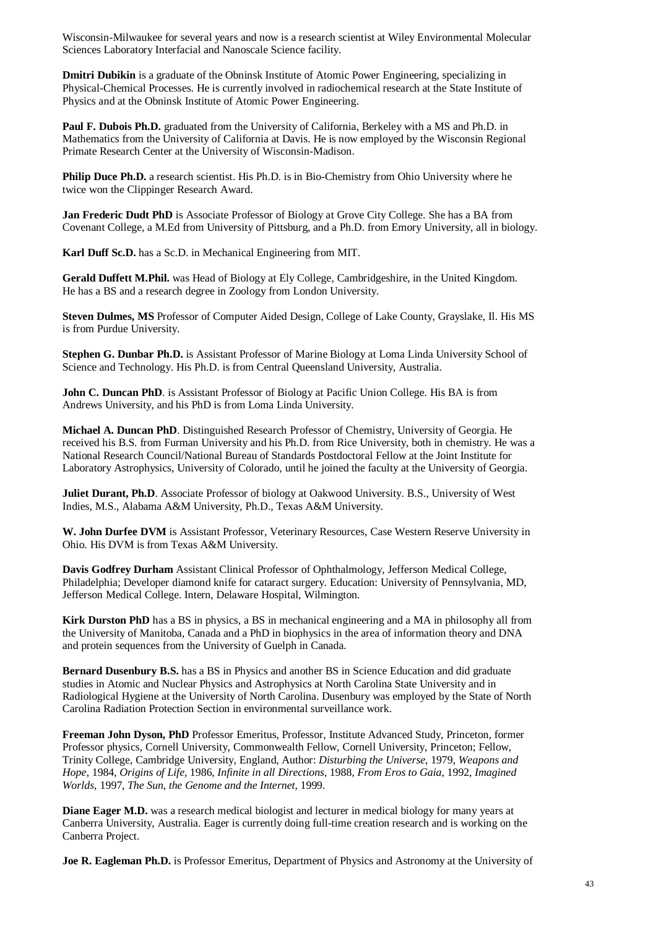Wisconsin-Milwaukee for several years and now is a research scientist at Wiley Environmental Molecular Sciences Laboratory Interfacial and Nanoscale Science facility.

**Dmitri Dubikin** is a graduate of the Obninsk Institute of Atomic Power Engineering, specializing in Physical-Chemical Processes. He is currently involved in radiochemical research at the State Institute of Physics and at the Obninsk Institute of Atomic Power Engineering.

**Paul F. Dubois Ph.D.** graduated from the University of California, Berkeley with a MS and Ph.D. in Mathematics from the University of California at Davis. He is now employed by the Wisconsin Regional Primate Research Center at the University of Wisconsin-Madison.

**Philip Duce Ph.D.** a research scientist. His Ph.D. is in Bio-Chemistry from Ohio University where he twice won the Clippinger Research Award.

**Jan Frederic Dudt PhD** is Associate Professor of Biology at Grove City College. She has a BA from Covenant College, a M.Ed from University of Pittsburg, and a Ph.D. from Emory University, all in biology.

**Karl Duff Sc.D.** has a Sc.D. in Mechanical Engineering from MIT.

**Gerald Duffett M.Phil.** was Head of Biology at Ely College, Cambridgeshire, in the United Kingdom. He has a BS and a research degree in Zoology from London University.

**Steven Dulmes, MS** Professor of Computer Aided Design, College of Lake County, Grayslake, Il. His MS is from Purdue University.

**Stephen G. Dunbar Ph.D.** is Assistant Professor of Marine Biology at Loma Linda University School of Science and Technology. His Ph.D. is from Central Queensland University, Australia.

**John C. Duncan PhD**. is Assistant Professor of Biology at Pacific Union College. His BA is from Andrews University, and his PhD is from Loma Linda University.

**Michael A. Duncan PhD**. Distinguished Research Professor of Chemistry, University of Georgia. He received his B.S. from Furman University and his Ph.D. from Rice University, both in chemistry. He was a National Research Council/National Bureau of Standards Postdoctoral Fellow at the Joint Institute for Laboratory Astrophysics, University of Colorado, until he joined the faculty at the University of Georgia.

**Juliet Durant, Ph.D**. Associate Professor of biology at Oakwood University. B.S., University of West Indies, M.S., Alabama A&M University, Ph.D., Texas A&M University.

**W. John Durfee DVM** is Assistant Professor, Veterinary Resources, Case Western Reserve University in Ohio. His DVM is from Texas A&M University.

**Davis Godfrey Durham** Assistant Clinical Professor of Ophthalmology, Jefferson Medical College, Philadelphia; Developer diamond knife for cataract surgery. Education: University of Pennsylvania, MD, Jefferson Medical College. Intern, Delaware Hospital, Wilmington.

**Kirk Durston PhD** has a BS in physics, a BS in mechanical engineering and a MA in philosophy all from the University of Manitoba, Canada and a PhD in biophysics in the area of information theory and DNA and protein sequences from the University of Guelph in Canada.

**Bernard Dusenbury B.S.** has a BS in Physics and another BS in Science Education and did graduate studies in Atomic and Nuclear Physics and Astrophysics at North Carolina State University and in Radiological Hygiene at the University of North Carolina. Dusenbury was employed by the State of North Carolina Radiation Protection Section in environmental surveillance work.

**Freeman John Dyson, PhD** Professor Emeritus, Professor, Institute Advanced Study, Princeton, former Professor physics, Cornell University, Commonwealth Fellow, Cornell University, Princeton; Fellow, Trinity College, Cambridge University, England, Author: *Disturbing the Universe*, 1979, *Weapons and Hope*, 1984, *Origins of Life*, 1986, *Infinite in all Directions*, 1988, *From Eros to Gaia*, 1992, *Imagined Worlds*, 1997, *The Sun, the Genome and the Internet*, 1999.

**Diane Eager M.D.** was a research medical biologist and lecturer in medical biology for many years at Canberra University, Australia. Eager is currently doing full-time creation research and is working on the Canberra Project.

**Joe R. Eagleman Ph.D.** is Professor Emeritus, Department of Physics and Astronomy at the University of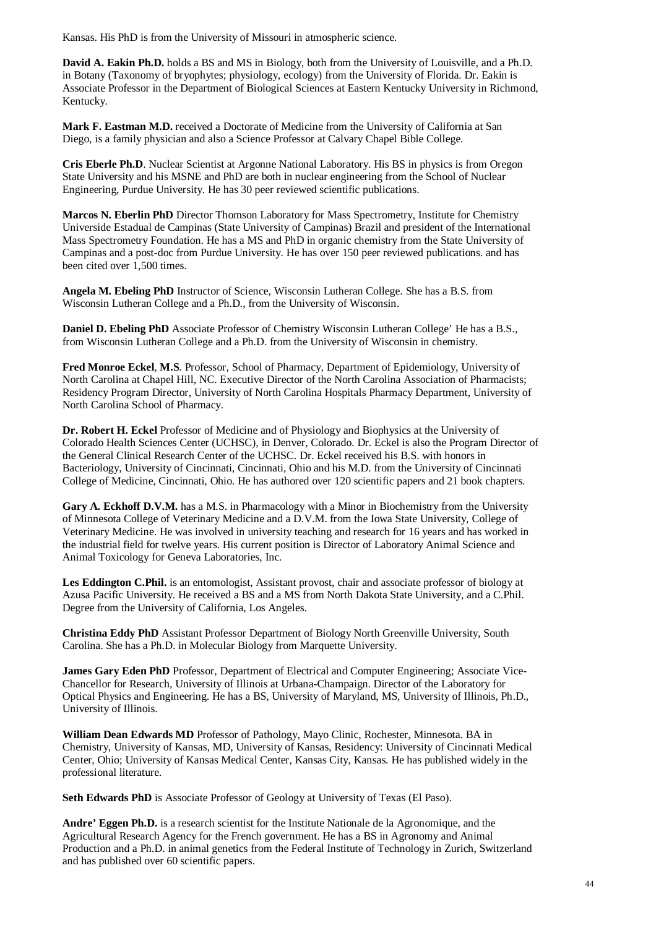Kansas. His PhD is from the University of Missouri in atmospheric science.

**David A. Eakin Ph.D.** holds a BS and MS in Biology, both from the University of Louisville, and a Ph.D. in Botany (Taxonomy of bryophytes; physiology, ecology) from the University of Florida. Dr. Eakin is Associate Professor in the Department of Biological Sciences at Eastern Kentucky University in Richmond, Kentucky.

**Mark F. Eastman M.D.** received a Doctorate of Medicine from the University of California at San Diego, is a family physician and also a Science Professor at Calvary Chapel Bible College.

**Cris Eberle Ph.D**. Nuclear Scientist at Argonne National Laboratory. His BS in physics is from Oregon State University and his MSNE and PhD are both in nuclear engineering from the School of Nuclear Engineering, Purdue University. He has 30 peer reviewed scientific publications.

**Marcos N. Eberlin PhD** Director Thomson Laboratory for Mass Spectrometry, Institute for Chemistry Universide Estadual de Campinas (State University of Campinas) Brazil and president of the International Mass Spectrometry Foundation. He has a MS and PhD in organic chemistry from the State University of Campinas and a post-doc from Purdue University. He has over 150 peer reviewed publications. and has been cited over 1,500 times.

**Angela M. Ebeling PhD** Instructor of Science, Wisconsin Lutheran College. She has a B.S. from Wisconsin Lutheran College and a Ph.D., from the University of Wisconsin.

**Daniel D. Ebeling PhD** Associate Professor of Chemistry Wisconsin Lutheran College' He has a B.S., from Wisconsin Lutheran College and a Ph.D. from the University of Wisconsin in chemistry.

**Fred Monroe Eckel**, **M.S**. Professor, School of Pharmacy, Department of Epidemiology, University of North Carolina at Chapel Hill, NC. Executive Director of the North Carolina Association of Pharmacists; Residency Program Director, University of North Carolina Hospitals Pharmacy Department, University of North Carolina School of Pharmacy.

**Dr. Robert H. Eckel** Professor of Medicine and of Physiology and Biophysics at the University of Colorado Health Sciences Center (UCHSC), in Denver, Colorado. Dr. Eckel is also the Program Director of the General Clinical Research Center of the UCHSC. Dr. Eckel received his B.S. with honors in Bacteriology, University of Cincinnati, Cincinnati, Ohio and his M.D. from the University of Cincinnati College of Medicine, Cincinnati, Ohio. He has authored over 120 scientific papers and 21 book chapters.

**Gary A. Eckhoff D.V.M.** has a M.S. in Pharmacology with a Minor in Biochemistry from the University of Minnesota College of Veterinary Medicine and a D.V.M. from the Iowa State University, College of Veterinary Medicine. He was involved in university teaching and research for 16 years and has worked in the industrial field for twelve years. His current position is Director of Laboratory Animal Science and Animal Toxicology for Geneva Laboratories, Inc.

Les Eddington C.Phil. is an entomologist, Assistant provost, chair and associate professor of biology at Azusa Pacific University. He received a BS and a MS from North Dakota State University, and a C.Phil. Degree from the University of California, Los Angeles.

**Christina Eddy PhD** Assistant Professor Department of Biology North Greenville University, South Carolina. She has a Ph.D. in Molecular Biology from Marquette University.

**James Gary Eden PhD** Professor, Department of Electrical and Computer Engineering; Associate Vice-Chancellor for Research, University of Illinois at Urbana-Champaign. Director of the Laboratory for Optical Physics and Engineering. He has a BS, University of Maryland, MS, University of Illinois, Ph.D., University of Illinois.

**William Dean Edwards MD** Professor of Pathology, Mayo Clinic, Rochester, Minnesota. BA in Chemistry, University of Kansas, MD, University of Kansas, Residency: University of Cincinnati Medical Center, Ohio; University of Kansas Medical Center, Kansas City, Kansas. He has published widely in the professional literature.

**Seth Edwards PhD** is Associate Professor of Geology at University of Texas (El Paso).

**Andre' Eggen Ph.D.** is a research scientist for the Institute Nationale de la Agronomique, and the Agricultural Research Agency for the French government. He has a BS in Agronomy and Animal Production and a Ph.D. in animal genetics from the Federal Institute of Technology in Zurich, Switzerland and has published over 60 scientific papers.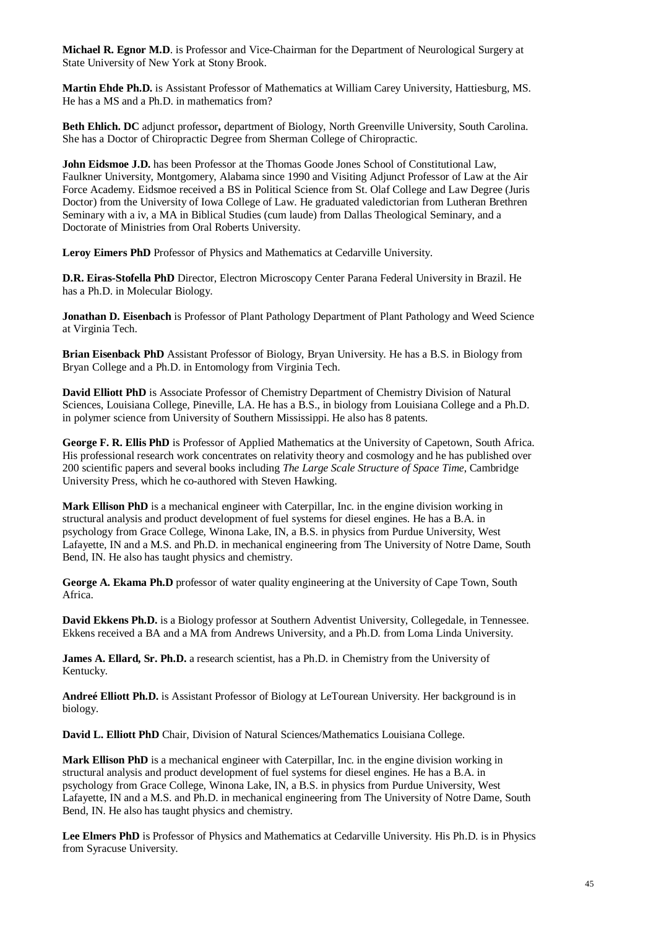**Michael R. Egnor M.D**. is Professor and Vice-Chairman for the Department of Neurological Surgery at State University of New York at Stony Brook.

**Martin Ehde Ph.D.** is Assistant Professor of Mathematics at William Carey University, Hattiesburg, MS. He has a MS and a Ph.D. in mathematics from?

**Beth Ehlich. DC** adjunct professor**,** department of Biology, North Greenville University, South Carolina. She has a Doctor of Chiropractic Degree from Sherman College of Chiropractic.

**John Eidsmoe J.D.** has been Professor at the Thomas Goode Jones School of Constitutional Law, Faulkner University, Montgomery, Alabama since 1990 and Visiting Adjunct Professor of Law at the Air Force Academy. Eidsmoe received a BS in Political Science from St. Olaf College and Law Degree (Juris Doctor) from the University of Iowa College of Law. He graduated valedictorian from Lutheran Brethren Seminary with a iv, a MA in Biblical Studies (cum laude) from Dallas Theological Seminary, and a Doctorate of Ministries from Oral Roberts University.

**Leroy Eimers PhD** Professor of Physics and Mathematics at Cedarville University.

**D.R. Eiras-Stofella PhD** Director, Electron Microscopy Center Parana Federal University in Brazil. He has a Ph.D. in Molecular Biology.

**Jonathan D. Eisenbach** is Professor of Plant Pathology Department of Plant Pathology and Weed Science at Virginia Tech.

**Brian Eisenback PhD** Assistant Professor of Biology, Bryan University. He has a B.S. in Biology from Bryan College and a Ph.D. in Entomology from Virginia Tech.

**David Elliott PhD** is Associate Professor of Chemistry Department of Chemistry Division of Natural Sciences, Louisiana College, Pineville, LA. He has a B.S., in biology from Louisiana College and a Ph.D. in polymer science from University of Southern Mississippi. He also has 8 patents.

**George F. R. Ellis PhD** is Professor of Applied Mathematics at the University of Capetown, South Africa. His professional research work concentrates on relativity theory and cosmology and he has published over 200 scientific papers and several books including *The Large Scale Structure of Space Time*, Cambridge University Press, which he co-authored with Steven Hawking.

**Mark Ellison PhD** is a mechanical engineer with Caterpillar, Inc. in the engine division working in structural analysis and product development of fuel systems for diesel engines. He has a B.A. in psychology from Grace College, Winona Lake, IN, a B.S. in physics from Purdue University, West Lafayette, IN and a M.S. and Ph.D. in mechanical engineering from The University of Notre Dame, South Bend, IN. He also has taught physics and chemistry.

**George A. Ekama Ph.D** professor of water quality engineering at the University of Cape Town, South Africa.

**David Ekkens Ph.D.** is a Biology professor at Southern Adventist University, Collegedale, in Tennessee. Ekkens received a BA and a MA from Andrews University, and a Ph.D. from Loma Linda University.

**James A. Ellard, Sr. Ph.D.** a research scientist, has a Ph.D. in Chemistry from the University of Kentucky.

**Andreé Elliott Ph.D.** is Assistant Professor of Biology at LeTourean University. Her background is in biology.

**David L. Elliott PhD** Chair, Division of Natural Sciences/Mathematics Louisiana College.

**Mark Ellison PhD** is a mechanical engineer with Caterpillar, Inc. in the engine division working in structural analysis and product development of fuel systems for diesel engines. He has a B.A. in psychology from Grace College, Winona Lake, IN, a B.S. in physics from Purdue University, West Lafayette, IN and a M.S. and Ph.D. in mechanical engineering from The University of Notre Dame, South Bend, IN. He also has taught physics and chemistry.

**Lee Elmers PhD** is Professor of Physics and Mathematics at Cedarville University. His Ph.D. is in Physics from Syracuse University.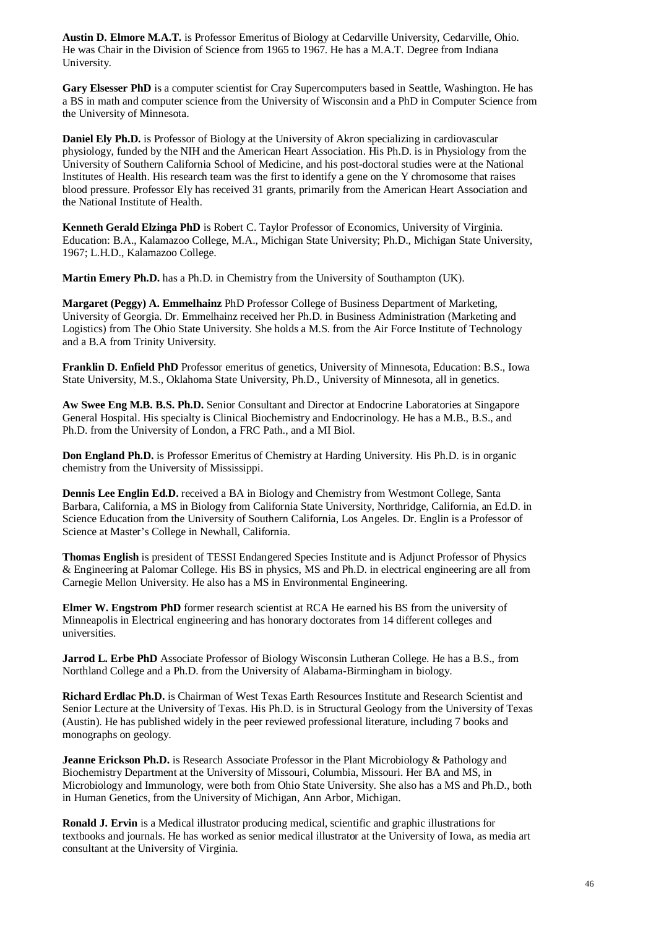**Austin D. Elmore M.A.T.** is Professor Emeritus of Biology at Cedarville University, Cedarville, Ohio. He was Chair in the Division of Science from 1965 to 1967. He has a M.A.T. Degree from Indiana University.

**Gary Elsesser PhD** is a computer scientist for Cray Supercomputers based in Seattle, Washington. He has a BS in math and computer science from the University of Wisconsin and a PhD in Computer Science from the University of Minnesota.

**Daniel Ely Ph.D.** is Professor of Biology at the University of Akron specializing in cardiovascular physiology, funded by the NIH and the American Heart Association. His Ph.D. is in Physiology from the University of Southern California School of Medicine, and his post-doctoral studies were at the National Institutes of Health. His research team was the first to identify a gene on the Y chromosome that raises blood pressure. Professor Ely has received 31 grants, primarily from the American Heart Association and the National Institute of Health.

**Kenneth Gerald Elzinga PhD** is Robert C. Taylor Professor of Economics, University of Virginia. Education: B.A., Kalamazoo College, M.A., Michigan State University; Ph.D., Michigan State University, 1967; L.H.D., Kalamazoo College.

**Martin Emery Ph.D.** has a Ph.D. in Chemistry from the University of Southampton (UK).

**Margaret (Peggy) A. Emmelhainz** PhD Professor College of Business Department of Marketing, University of Georgia. Dr. Emmelhainz received her Ph.D. in Business Administration (Marketing and Logistics) from The Ohio State University. She holds a M.S. from the Air Force Institute of Technology and a B.A from Trinity University.

**Franklin D. Enfield PhD** Professor emeritus of genetics, University of Minnesota, Education: B.S., Iowa State University, M.S., Oklahoma State University, Ph.D., University of Minnesota, all in genetics.

**Aw Swee Eng M.B. B.S. Ph.D.** Senior Consultant and Director at Endocrine Laboratories at Singapore General Hospital. His specialty is Clinical Biochemistry and Endocrinology. He has a M.B., B.S., and Ph.D. from the University of London, a FRC Path., and a MI Biol.

**Don England Ph.D.** is Professor Emeritus of Chemistry at Harding University. His Ph.D. is in organic chemistry from the University of Mississippi.

**Dennis Lee Englin Ed.D.** received a BA in Biology and Chemistry from Westmont College, Santa Barbara, California, a MS in Biology from California State University, Northridge, California, an Ed.D. in Science Education from the University of Southern California, Los Angeles. Dr. Englin is a Professor of Science at Master's College in Newhall, California.

**Thomas English** is president of TESSI Endangered Species Institute and is Adjunct Professor of Physics & Engineering at Palomar College. His BS in physics, MS and Ph.D. in electrical engineering are all from Carnegie Mellon University. He also has a MS in Environmental Engineering.

**Elmer W. Engstrom PhD** former research scientist at RCA He earned his BS from the university of Minneapolis in Electrical engineering and has honorary doctorates from 14 different colleges and universities.

**Jarrod L. Erbe PhD** Associate Professor of Biology Wisconsin Lutheran College. He has a B.S., from Northland College and a Ph.D. from the University of Alabama-Birmingham in biology.

**Richard Erdlac Ph.D.** is Chairman of West Texas Earth Resources Institute and Research Scientist and Senior Lecture at the University of Texas. His Ph.D. is in Structural Geology from the University of Texas (Austin). He has published widely in the peer reviewed professional literature, including 7 books and monographs on geology.

**Jeanne Erickson Ph.D.** is Research Associate Professor in the Plant Microbiology & Pathology and Biochemistry Department at the University of Missouri, Columbia, Missouri. Her BA and MS, in Microbiology and Immunology, were both from Ohio State University. She also has a MS and Ph.D., both in Human Genetics, from the University of Michigan, Ann Arbor, Michigan.

**Ronald J. Ervin** is a Medical illustrator producing medical, scientific and graphic illustrations for textbooks and journals. He has worked as senior medical illustrator at the University of Iowa, as media art consultant at the University of Virginia.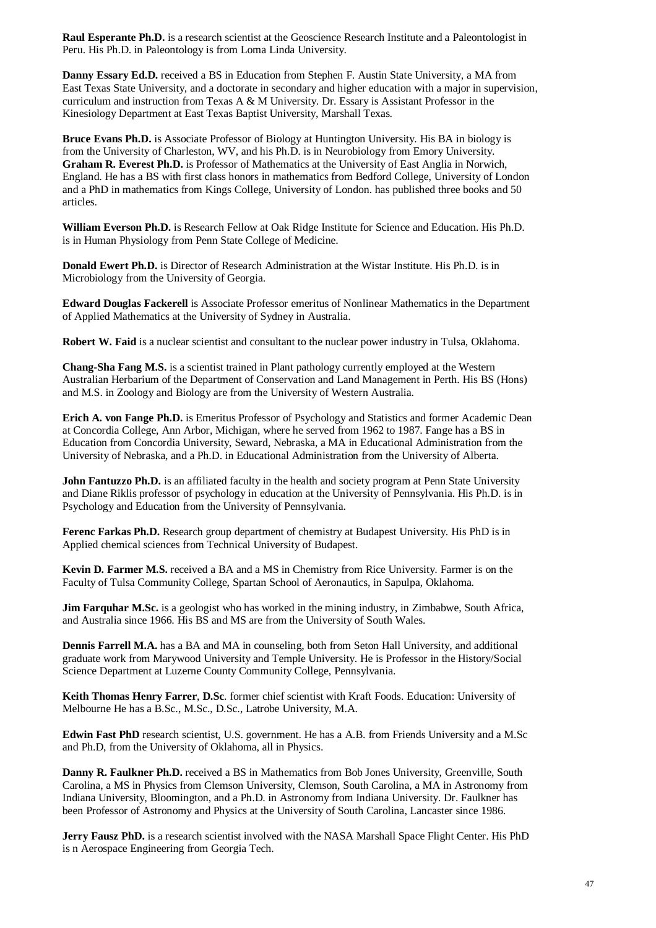**Raul Esperante Ph.D.** is a research scientist at the Geoscience Research Institute and a Paleontologist in Peru. His Ph.D. in Paleontology is from Loma Linda University.

**Danny Essary Ed.D.** received a BS in Education from Stephen F. Austin State University, a MA from East Texas State University, and a doctorate in secondary and higher education with a major in supervision, curriculum and instruction from Texas A & M University. Dr. Essary is Assistant Professor in the Kinesiology Department at East Texas Baptist University, Marshall Texas.

**Bruce Evans Ph.D.** is Associate Professor of Biology at Huntington University. His BA in biology is from the University of Charleston, WV, and his Ph.D. is in Neurobiology from Emory University. **Graham R. Everest Ph.D.** is Professor of Mathematics at the University of East Anglia in Norwich, England. He has a BS with first class honors in mathematics from Bedford College, University of London and a PhD in mathematics from Kings College, University of London. has published three books and 50 articles.

**William Everson Ph.D.** is Research Fellow at Oak Ridge Institute for Science and Education. His Ph.D. is in Human Physiology from Penn State College of Medicine.

**Donald Ewert Ph.D.** is Director of Research Administration at the Wistar Institute. His Ph.D. is in Microbiology from the University of Georgia.

**Edward Douglas Fackerell** is Associate Professor emeritus of Nonlinear Mathematics in the Department of Applied Mathematics at the University of Sydney in Australia.

**Robert W. Faid** is a nuclear scientist and consultant to the nuclear power industry in Tulsa, Oklahoma.

**Chang-Sha Fang M.S.** is a scientist trained in Plant pathology currently employed at the Western Australian Herbarium of the Department of Conservation and Land Management in Perth. His BS (Hons) and M.S. in Zoology and Biology are from the University of Western Australia.

**Erich A. von Fange Ph.D.** is Emeritus Professor of Psychology and Statistics and former Academic Dean at Concordia College, Ann Arbor, Michigan, where he served from 1962 to 1987. Fange has a BS in Education from Concordia University, Seward, Nebraska, a MA in Educational Administration from the University of Nebraska, and a Ph.D. in Educational Administration from the University of Alberta.

**John Fantuzzo Ph.D.** is an affiliated faculty in the health and society program at Penn State University and Diane Riklis professor of psychology in education at the University of Pennsylvania. His Ph.D. is in Psychology and Education from the University of Pennsylvania.

**Ferenc Farkas Ph.D.** Research group department of chemistry at Budapest University. His PhD is in Applied chemical sciences from Technical University of Budapest.

**Kevin D. Farmer M.S.** received a BA and a MS in Chemistry from Rice University. Farmer is on the Faculty of Tulsa Community College, Spartan School of Aeronautics, in Sapulpa, Oklahoma.

**Jim Farquhar M.Sc.** is a geologist who has worked in the mining industry, in Zimbabwe, South Africa, and Australia since 1966. His BS and MS are from the University of South Wales.

**Dennis Farrell M.A.** has a BA and MA in counseling, both from Seton Hall University, and additional graduate work from Marywood University and Temple University. He is Professor in the History/Social Science Department at Luzerne County Community College, Pennsylvania.

**Keith Thomas Henry Farrer**, **D.Sc**. former chief scientist with Kraft Foods. Education: University of Melbourne He has a B.Sc., M.Sc., D.Sc., Latrobe University, M.A.

**Edwin Fast PhD** research scientist, U.S. government. He has a A.B. from Friends University and a M.Sc and Ph.D, from the University of Oklahoma, all in Physics.

**Danny R. Faulkner Ph.D.** received a BS in Mathematics from Bob Jones University, Greenville, South Carolina, a MS in Physics from Clemson University, Clemson, South Carolina, a MA in Astronomy from Indiana University, Bloomington, and a Ph.D. in Astronomy from Indiana University. Dr. Faulkner has been Professor of Astronomy and Physics at the University of South Carolina, Lancaster since 1986.

**Jerry Fausz PhD.** is a research scientist involved with the NASA Marshall Space Flight Center. His PhD is n Aerospace Engineering from Georgia Tech.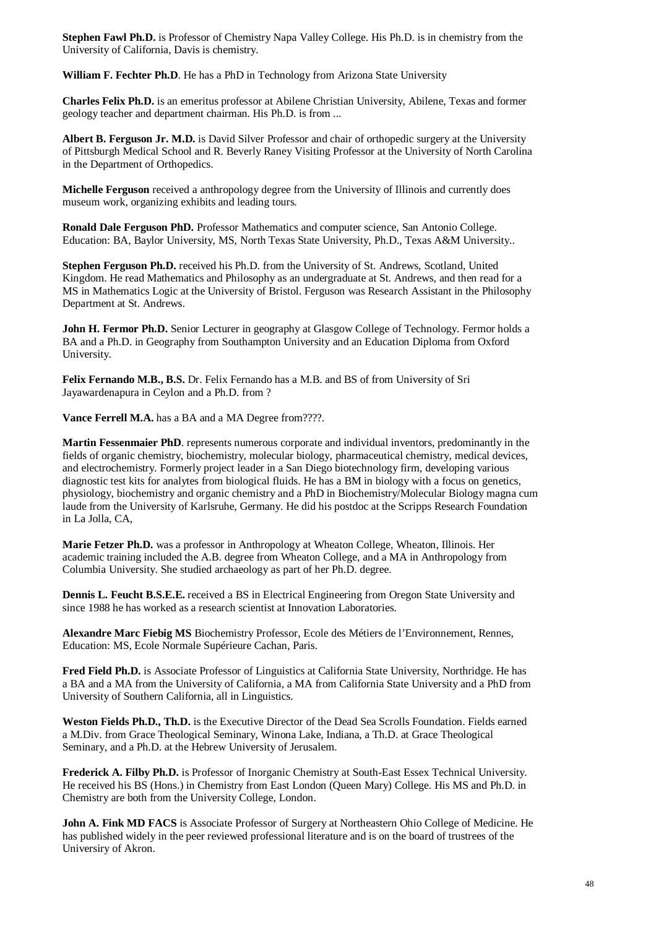**Stephen Fawl Ph.D.** is Professor of Chemistry Napa Valley College. His Ph.D. is in chemistry from the University of California, Davis is chemistry.

**William F. Fechter Ph.D**. He has a PhD in Technology from Arizona State University

**Charles Felix Ph.D.** is an emeritus professor at Abilene Christian University, Abilene, Texas and former geology teacher and department chairman. His Ph.D. is from ...

**Albert B. Ferguson Jr. M.D.** is David Silver Professor and chair of orthopedic surgery at the University of Pittsburgh Medical School and R. Beverly Raney Visiting Professor at the University of North Carolina in the Department of Orthopedics.

**Michelle Ferguson** received a anthropology degree from the University of Illinois and currently does museum work, organizing exhibits and leading tours.

**Ronald Dale Ferguson PhD.** Professor Mathematics and computer science, San Antonio College. Education: BA, Baylor University, MS, North Texas State University, Ph.D., Texas A&M University..

**Stephen Ferguson Ph.D.** received his Ph.D. from the University of St. Andrews, Scotland, United Kingdom. He read Mathematics and Philosophy as an undergraduate at St. Andrews, and then read for a MS in Mathematics Logic at the University of Bristol. Ferguson was Research Assistant in the Philosophy Department at St. Andrews.

**John H. Fermor Ph.D.** Senior Lecturer in geography at Glasgow College of Technology. Fermor holds a BA and a Ph.D. in Geography from Southampton University and an Education Diploma from Oxford University.

**Felix Fernando M.B., B.S.** Dr. Felix Fernando has a M.B. and BS of from University of Sri Jayawardenapura in Ceylon and a Ph.D. from ?

Vance Ferrell M.A. has a BA and a MA Degree from????.

**Martin Fessenmaier PhD**. represents numerous corporate and individual inventors, predominantly in the fields of organic chemistry, biochemistry, molecular biology, pharmaceutical chemistry, medical devices, and electrochemistry. Formerly project leader in a San Diego biotechnology firm, developing various diagnostic test kits for analytes from biological fluids. He has a BM in biology with a focus on genetics, physiology, biochemistry and organic chemistry and a PhD in Biochemistry/Molecular Biology magna cum laude from the University of Karlsruhe, Germany. He did his postdoc at the Scripps Research Foundation in La Jolla, CA,

**Marie Fetzer Ph.D.** was a professor in Anthropology at Wheaton College, Wheaton, Illinois. Her academic training included the A.B. degree from Wheaton College, and a MA in Anthropology from Columbia University. She studied archaeology as part of her Ph.D. degree.

**Dennis L. Feucht B.S.E.E.** received a BS in Electrical Engineering from Oregon State University and since 1988 he has worked as a research scientist at Innovation Laboratories.

**Alexandre Marc Fiebig MS** Biochemistry Professor, Ecole des Métiers de l'Environnement, Rennes, Education: MS, Ecole Normale Supérieure Cachan, Paris.

**Fred Field Ph.D.** is Associate Professor of Linguistics at California State University, Northridge. He has a BA and a MA from the University of California, a MA from California State University and a PhD from University of Southern California, all in Linguistics.

**Weston Fields Ph.D., Th.D.** is the Executive Director of the Dead Sea Scrolls Foundation. Fields earned a M.Div. from Grace Theological Seminary, Winona Lake, Indiana, a Th.D. at Grace Theological Seminary, and a Ph.D. at the Hebrew University of Jerusalem.

**Frederick A. Filby Ph.D.** is Professor of Inorganic Chemistry at South-East Essex Technical University. He received his BS (Hons.) in Chemistry from East London (Queen Mary) College. His MS and Ph.D. in Chemistry are both from the University College, London.

**John A. Fink MD FACS** is Associate Professor of Surgery at Northeastern Ohio College of Medicine. He has published widely in the peer reviewed professional literature and is on the board of trustrees of the Universiry of Akron.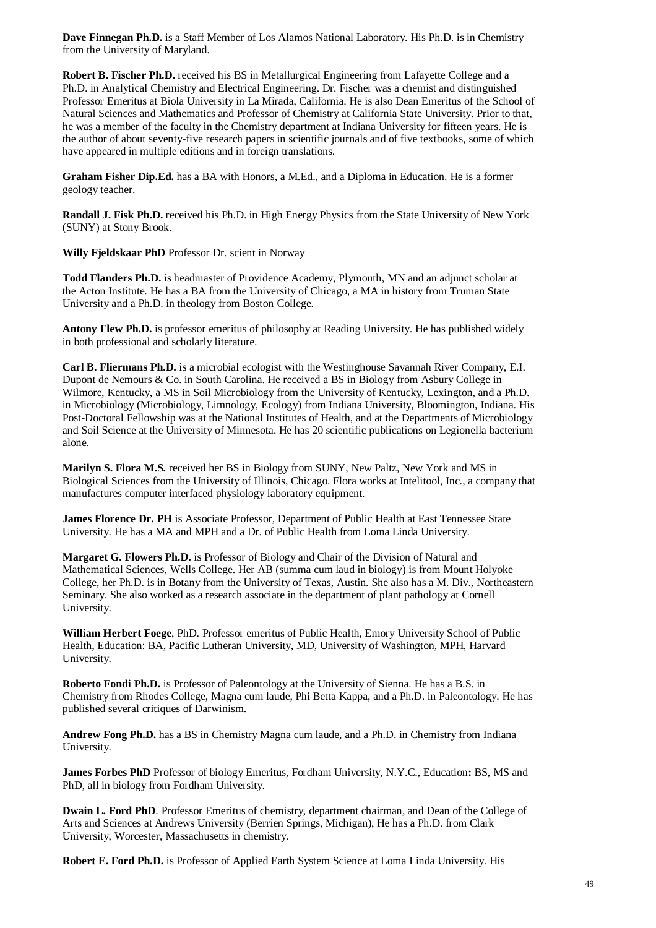**Dave Finnegan Ph.D.** is a Staff Member of Los Alamos National Laboratory. His Ph.D. is in Chemistry from the University of Maryland.

**Robert B. Fischer Ph.D.** received his BS in Metallurgical Engineering from Lafayette College and a Ph.D. in Analytical Chemistry and Electrical Engineering. Dr. Fischer was a chemist and distinguished Professor Emeritus at Biola University in La Mirada, California. He is also Dean Emeritus of the School of Natural Sciences and Mathematics and Professor of Chemistry at California State University. Prior to that, he was a member of the faculty in the Chemistry department at Indiana University for fifteen years. He is the author of about seventy-five research papers in scientific journals and of five textbooks, some of which have appeared in multiple editions and in foreign translations.

**Graham Fisher Dip.Ed.** has a BA with Honors, a M.Ed., and a Diploma in Education. He is a former geology teacher.

**Randall J. Fisk Ph.D.** received his Ph.D. in High Energy Physics from the State University of New York (SUNY) at Stony Brook.

**Willy Fjeldskaar PhD** Professor Dr. scient in Norway

**Todd Flanders Ph.D.** is headmaster of Providence Academy, Plymouth, MN and an adjunct scholar at the Acton Institute. He has a BA from the University of Chicago, a MA in history from Truman State University and a Ph.D. in theology from Boston College.

**Antony Flew Ph.D.** is professor emeritus of philosophy at Reading University. He has published widely in both professional and scholarly literature.

**Carl B. Fliermans Ph.D.** is a microbial ecologist with the Westinghouse Savannah River Company, E.I. Dupont de Nemours & Co. in South Carolina. He received a BS in Biology from Asbury College in Wilmore, Kentucky, a MS in Soil Microbiology from the University of Kentucky, Lexington, and a Ph.D. in Microbiology (Microbiology, Limnology, Ecology) from Indiana University, Bloomington, Indiana. His Post-Doctoral Fellowship was at the National Institutes of Health, and at the Departments of Microbiology and Soil Science at the University of Minnesota. He has 20 scientific publications on Legionella bacterium alone.

**Marilyn S. Flora M.S.** received her BS in Biology from SUNY, New Paltz, New York and MS in Biological Sciences from the University of Illinois, Chicago. Flora works at Intelitool, Inc., a company that manufactures computer interfaced physiology laboratory equipment.

**James Florence Dr. PH** is Associate Professor, Department of Public Health at East Tennessee State University. He has a MA and MPH and a Dr. of Public Health from Loma Linda University.

**Margaret G. Flowers Ph.D.** is Professor of Biology and Chair of the Division of Natural and Mathematical Sciences, Wells College. Her AB (summa cum laud in biology) is from Mount Holyoke College, her Ph.D. is in Botany from the University of Texas, Austin. She also has a M. Div., Northeastern Seminary. She also worked as a research associate in the department of plant pathology at Cornell University.

**William Herbert Foege**, PhD. Professor emeritus of Public Health, Emory University School of Public Health, Education: BA, Pacific Lutheran University, MD, University of Washington, MPH, Harvard University.

**Roberto Fondi Ph.D.** is Professor of Paleontology at the University of Sienna. He has a B.S. in Chemistry from Rhodes College, Magna cum laude, Phi Betta Kappa, and a Ph.D. in Paleontology. He has published several critiques of Darwinism.

**Andrew Fong Ph.D.** has a BS in Chemistry Magna cum laude, and a Ph.D. in Chemistry from Indiana University.

**James Forbes PhD** Professor of biology Emeritus, Fordham University, N.Y.C., Education**:** BS, MS and PhD, all in biology from Fordham University.

**Dwain L. Ford PhD**. Professor Emeritus of chemistry, department chairman, and Dean of the College of Arts and Sciences at Andrews University (Berrien Springs, Michigan), He has a Ph.D. from Clark University, Worcester, Massachusetts in chemistry.

**Robert E. Ford Ph.D.** is Professor of Applied Earth System Science at Loma Linda University. His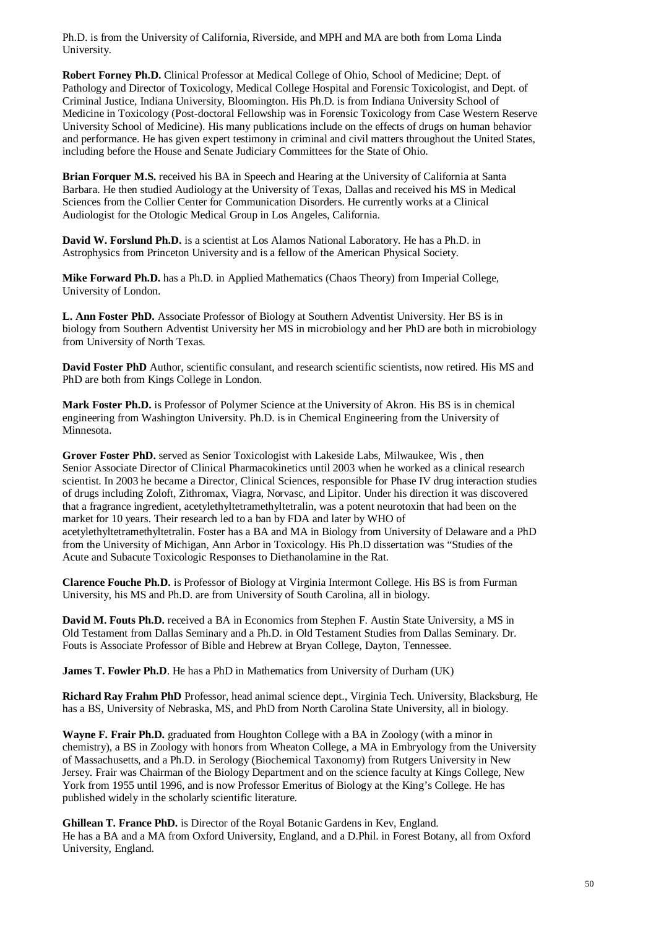Ph.D. is from the University of California, Riverside, and MPH and MA are both from Loma Linda University.

**Robert Forney Ph.D.** Clinical Professor at Medical College of Ohio, School of Medicine; Dept. of Pathology and Director of Toxicology, Medical College Hospital and Forensic Toxicologist, and Dept. of Criminal Justice, Indiana University, Bloomington. His Ph.D. is from Indiana University School of Medicine in Toxicology (Post-doctoral Fellowship was in Forensic Toxicology from Case Western Reserve University School of Medicine). His many publications include on the effects of drugs on human behavior and performance. He has given expert testimony in criminal and civil matters throughout the United States, including before the House and Senate Judiciary Committees for the State of Ohio.

**Brian Forquer M.S.** received his BA in Speech and Hearing at the University of California at Santa Barbara. He then studied Audiology at the University of Texas, Dallas and received his MS in Medical Sciences from the Collier Center for Communication Disorders. He currently works at a Clinical Audiologist for the Otologic Medical Group in Los Angeles, California.

**David W. Forslund Ph.D.** is a scientist at Los Alamos National Laboratory. He has a Ph.D. in Astrophysics from Princeton University and is a fellow of the American Physical Society.

**Mike Forward Ph.D.** has a Ph.D. in Applied Mathematics (Chaos Theory) from Imperial College, University of London.

**L. Ann Foster PhD.** Associate Professor of Biology at Southern Adventist University. Her BS is in biology from Southern Adventist University her MS in microbiology and her PhD are both in microbiology from University of North Texas.

**David Foster PhD** Author, scientific consulant, and research scientific scientists, now retired. His MS and PhD are both from Kings College in London.

**Mark Foster Ph.D.** is Professor of Polymer Science at the University of Akron. His BS is in chemical engineering from Washington University. Ph.D. is in Chemical Engineering from the University of Minnesota.

**Grover Foster PhD.** served as Senior Toxicologist with Lakeside Labs, Milwaukee, Wis , then Senior Associate Director of Clinical Pharmacokinetics until 2003 when he worked as a clinical research scientist. In 2003 he became a Director, Clinical Sciences, responsible for Phase IV drug interaction studies of drugs including Zoloft, Zithromax, Viagra, Norvasc, and Lipitor. Under his direction it was discovered that a fragrance ingredient, acetylethyltetramethyltetralin, was a potent neurotoxin that had been on the market for 10 years. Their research led to a ban by FDA and later by WHO of acetylethyltetramethyltetralin. Foster has a BA and MA in Biology from University of Delaware and a PhD from the University of Michigan, Ann Arbor in Toxicology. His Ph.D dissertation was "Studies of the Acute and Subacute Toxicologic Responses to Diethanolamine in the Rat.

**Clarence Fouche Ph.D.** is Professor of Biology at Virginia Intermont College. His BS is from Furman University, his MS and Ph.D. are from University of South Carolina, all in biology.

**David M. Fouts Ph.D.** received a BA in Economics from Stephen F. Austin State University, a MS in Old Testament from Dallas Seminary and a Ph.D. in Old Testament Studies from Dallas Seminary. Dr. Fouts is Associate Professor of Bible and Hebrew at Bryan College, Dayton, Tennessee.

**James T. Fowler Ph.D**. He has a PhD in Mathematics from University of Durham (UK)

**Richard Ray Frahm PhD** Professor, head animal science dept., Virginia Tech. University, Blacksburg, He has a BS, University of Nebraska, MS, and PhD from North Carolina State University, all in biology.

**Wayne F. Frair Ph.D.** graduated from Houghton College with a BA in Zoology (with a minor in chemistry), a BS in Zoology with honors from Wheaton College, a MA in Embryology from the University of Massachusetts, and a Ph.D. in Serology (Biochemical Taxonomy) from Rutgers University in New Jersey. Frair was Chairman of the Biology Department and on the science faculty at Kings College, New York from 1955 until 1996, and is now Professor Emeritus of Biology at the King's College. He has published widely in the scholarly scientific literature.

**Ghillean T. France PhD.** is Director of the Royal Botanic Gardens in Kev, England. He has a BA and a MA from Oxford University, England, and a D.Phil. in Forest Botany, all from Oxford University, England.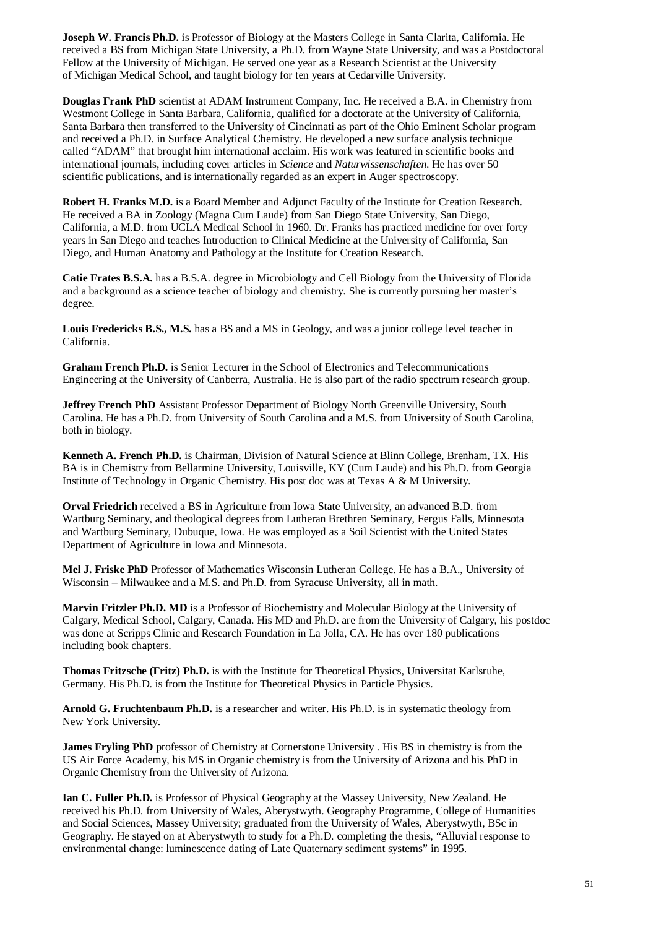**Joseph W. Francis Ph.D.** is Professor of Biology at the Masters College in Santa Clarita, California. He received a BS from Michigan State University, a Ph.D. from Wayne State University, and was a Postdoctoral Fellow at the University of Michigan. He served one year as a Research Scientist at the University of Michigan Medical School, and taught biology for ten years at Cedarville University.

**Douglas Frank PhD** scientist at ADAM Instrument Company, Inc. He received a B.A. in Chemistry from Westmont College in Santa Barbara, California, qualified for a doctorate at the University of California, Santa Barbara then transferred to the University of Cincinnati as part of the Ohio Eminent Scholar program and received a Ph.D. in Surface Analytical Chemistry. He developed a new surface analysis technique called "ADAM" that brought him international acclaim. His work was featured in scientific books and international journals, including cover articles in *Science* and *Naturwissenschaften*. He has over 50 scientific publications, and is internationally regarded as an expert in Auger spectroscopy.

**Robert H. Franks M.D.** is a Board Member and Adjunct Faculty of the Institute for Creation Research. He received a BA in Zoology (Magna Cum Laude) from San Diego State University, San Diego, California, a M.D. from UCLA Medical School in 1960. Dr. Franks has practiced medicine for over forty years in San Diego and teaches Introduction to Clinical Medicine at the University of California, San Diego, and Human Anatomy and Pathology at the Institute for Creation Research.

**Catie Frates B.S.A.** has a B.S.A. degree in Microbiology and Cell Biology from the University of Florida and a background as a science teacher of biology and chemistry. She is currently pursuing her master's degree.

**Louis Fredericks B.S., M.S.** has a BS and a MS in Geology, and was a junior college level teacher in California.

**Graham French Ph.D.** is Senior Lecturer in the School of Electronics and Telecommunications Engineering at the University of Canberra, Australia. He is also part of the radio spectrum research group.

**Jeffrey French PhD** Assistant Professor Department of Biology North Greenville University, South Carolina. He has a Ph.D. from University of South Carolina and a M.S. from University of South Carolina, both in biology.

**Kenneth A. French Ph.D.** is Chairman, Division of Natural Science at Blinn College, Brenham, TX. His BA is in Chemistry from Bellarmine University, Louisville, KY (Cum Laude) and his Ph.D. from Georgia Institute of Technology in Organic Chemistry. His post doc was at Texas A & M University.

**Orval Friedrich** received a BS in Agriculture from Iowa State University, an advanced B.D. from Wartburg Seminary, and theological degrees from Lutheran Brethren Seminary, Fergus Falls, Minnesota and Wartburg Seminary, Dubuque, Iowa. He was employed as a Soil Scientist with the United States Department of Agriculture in Iowa and Minnesota.

**Mel J. Friske PhD** Professor of Mathematics Wisconsin Lutheran College. He has a B.A., University of Wisconsin – Milwaukee and a M.S. and Ph.D. from Syracuse University, all in math.

**Marvin Fritzler Ph.D. MD** is a Professor of Biochemistry and Molecular Biology at the University of Calgary, Medical School, Calgary, Canada. His MD and Ph.D. are from the University of Calgary, his postdoc was done at Scripps Clinic and Research Foundation in La Jolla, CA. He has over 180 publications including book chapters.

**Thomas Fritzsche (Fritz) Ph.D.** is with the Institute for Theoretical Physics, Universitat Karlsruhe, Germany. His Ph.D. is from the Institute for Theoretical Physics in Particle Physics.

**Arnold G. Fruchtenbaum Ph.D.** is a researcher and writer. His Ph.D. is in systematic theology from New York University.

**James Fryling PhD** professor of Chemistry at Cornerstone University . His BS in chemistry is from the US Air Force Academy, his MS in Organic chemistry is from the University of Arizona and his PhD in Organic Chemistry from the University of Arizona.

**Ian C. Fuller Ph.D.** is Professor of Physical Geography at the Massey University, New Zealand. He received his Ph.D. from University of Wales, Aberystwyth. Geography Programme, College of Humanities and Social Sciences, Massey University; graduated from the University of Wales, Aberystwyth, BSc in Geography. He stayed on at Aberystwyth to study for a Ph.D. completing the thesis, "Alluvial response to environmental change: luminescence dating of Late Quaternary sediment systems" in 1995.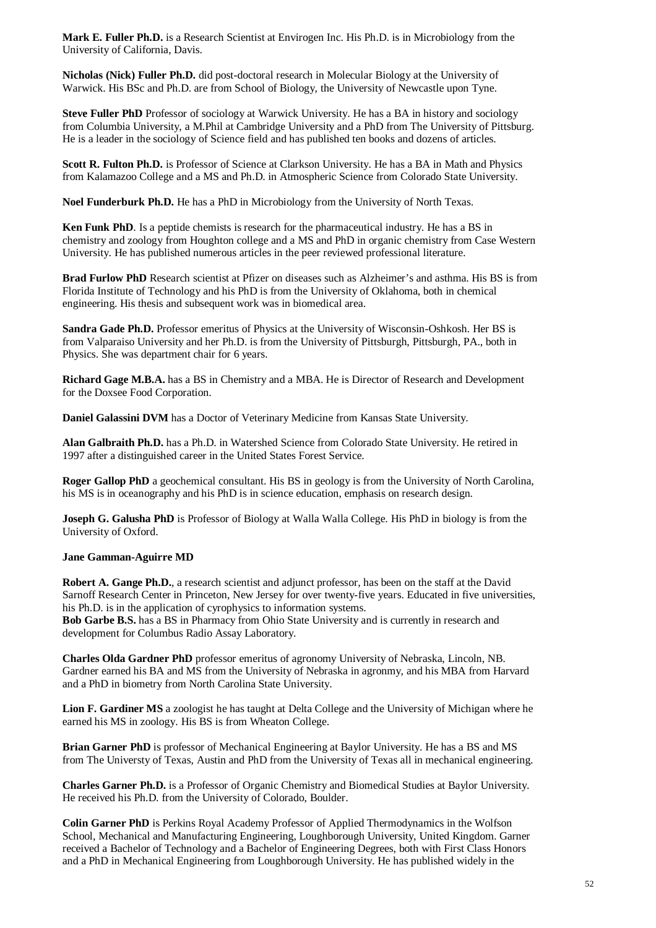**Mark E. Fuller Ph.D.** is a Research Scientist at Envirogen Inc. His Ph.D. is in Microbiology from the University of California, Davis.

**Nicholas (Nick) Fuller Ph.D.** did post-doctoral research in Molecular Biology at the University of Warwick. His BSc and Ph.D. are from School of Biology, the University of Newcastle upon Tyne.

**Steve Fuller PhD** Professor of sociology at Warwick University. He has a BA in history and sociology from Columbia University, a M.Phil at Cambridge University and a PhD from The University of Pittsburg. He is a leader in the sociology of Science field and has published ten books and dozens of articles.

**Scott R. Fulton Ph.D.** is Professor of Science at Clarkson University. He has a BA in Math and Physics from Kalamazoo College and a MS and Ph.D. in Atmospheric Science from Colorado State University.

**Noel Funderburk Ph.D.** He has a PhD in Microbiology from the University of North Texas.

**Ken Funk PhD**. Is a peptide chemists is research for the pharmaceutical industry. He has a BS in chemistry and zoology from Houghton college and a MS and PhD in organic chemistry from Case Western University. He has published numerous articles in the peer reviewed professional literature.

**Brad Furlow PhD** Research scientist at Pfizer on diseases such as Alzheimer's and asthma. His BS is from Florida Institute of Technology and his PhD is from the University of Oklahoma, both in chemical engineering. His thesis and subsequent work was in biomedical area.

**Sandra Gade Ph.D.** Professor emeritus of Physics at the University of Wisconsin-Oshkosh. Her BS is from Valparaiso University and her Ph.D. is from the University of Pittsburgh, Pittsburgh, PA., both in Physics. She was department chair for 6 years.

**Richard Gage M.B.A.** has a BS in Chemistry and a MBA. He is Director of Research and Development for the Doxsee Food Corporation.

**Daniel Galassini DVM** has a Doctor of Veterinary Medicine from Kansas State University.

**Alan Galbraith Ph.D.** has a Ph.D. in Watershed Science from Colorado State University. He retired in 1997 after a distinguished career in the United States Forest Service.

**Roger Gallop PhD** a geochemical consultant. His BS in geology is from the University of North Carolina, his MS is in oceanography and his PhD is in science education, emphasis on research design.

**Joseph G. Galusha PhD** is Professor of Biology at Walla Walla College. His PhD in biology is from the University of Oxford.

## **Jane Gamman-Aguirre MD**

**Robert A. Gange Ph.D.**, a research scientist and adjunct professor, has been on the staff at the David Sarnoff Research Center in Princeton, New Jersey for over twenty-five years. Educated in five universities, his Ph.D. is in the application of cyrophysics to information systems.

**Bob Garbe B.S.** has a BS in Pharmacy from Ohio State University and is currently in research and development for Columbus Radio Assay Laboratory.

**Charles Olda Gardner PhD** professor emeritus of agronomy University of Nebraska, Lincoln, NB. Gardner earned his BA and MS from the University of Nebraska in agronmy, and his MBA from Harvard and a PhD in biometry from North Carolina State University.

**Lion F. Gardiner MS** a zoologist he has taught at Delta College and the University of Michigan where he earned his MS in zoology. His BS is from Wheaton College.

**Brian Garner PhD** is professor of Mechanical Engineering at Baylor University. He has a BS and MS from The Universty of Texas, Austin and PhD from the University of Texas all in mechanical engineering.

**Charles Garner Ph.D.** is a Professor of Organic Chemistry and Biomedical Studies at Baylor University. He received his Ph.D. from the University of Colorado, Boulder.

**Colin Garner PhD** is Perkins Royal Academy Professor of Applied Thermodynamics in the Wolfson School, Mechanical and Manufacturing Engineering, Loughborough University, United Kingdom. Garner received a Bachelor of Technology and a Bachelor of Engineering Degrees, both with First Class Honors and a PhD in Mechanical Engineering from Loughborough University. He has published widely in the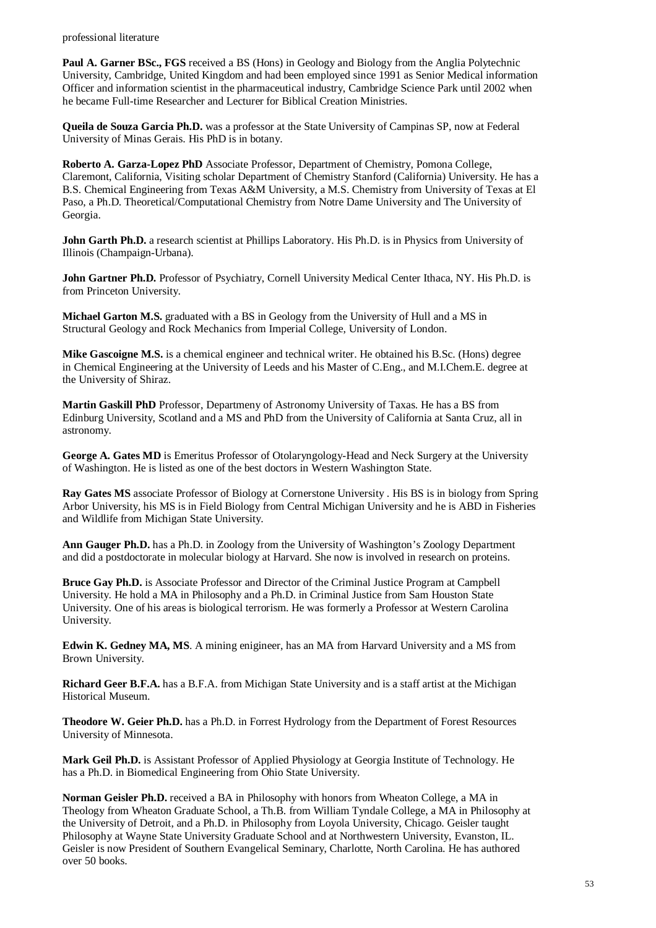professional literature

**Paul A. Garner BSc., FGS** received a BS (Hons) in Geology and Biology from the Anglia Polytechnic University, Cambridge, United Kingdom and had been employed since 1991 as Senior Medical information Officer and information scientist in the pharmaceutical industry, Cambridge Science Park until 2002 when he became Full-time Researcher and Lecturer for Biblical Creation Ministries.

**Queila de Souza Garcia Ph.D.** was a professor at the State University of Campinas SP, now at Federal University of Minas Gerais. His PhD is in botany.

**Roberto A. Garza-Lopez PhD** Associate Professor, Department of Chemistry, Pomona College, Claremont, California, Visiting scholar Department of Chemistry Stanford (California) University. He has a B.S. Chemical Engineering from Texas A&M University, a M.S. Chemistry from University of Texas at El Paso, a Ph.D. Theoretical/Computational Chemistry from Notre Dame University and The University of Georgia.

**John Garth Ph.D.** a research scientist at Phillips Laboratory. His Ph.D. is in Physics from University of Illinois (Champaign-Urbana).

**John Gartner Ph.D.** Professor of Psychiatry, Cornell University Medical Center Ithaca, NY. His Ph.D. is from Princeton University.

**Michael Garton M.S.** graduated with a BS in Geology from the University of Hull and a MS in Structural Geology and Rock Mechanics from Imperial College, University of London.

**Mike Gascoigne M.S.** is a chemical engineer and technical writer. He obtained his B.Sc. (Hons) degree in Chemical Engineering at the University of Leeds and his Master of C.Eng., and M.I.Chem.E. degree at the University of Shiraz.

**Martin Gaskill PhD** Professor, Departmeny of Astronomy University of Taxas. He has a BS from Edinburg University, Scotland and a MS and PhD from the University of California at Santa Cruz, all in astronomy.

**George A. Gates MD** is Emeritus Professor of Otolaryngology-Head and Neck Surgery at the University of Washington. He is listed as one of the best doctors in Western Washington State.

**Ray Gates MS** associate Professor of Biology at Cornerstone University . His BS is in biology from Spring Arbor University, his MS is in Field Biology from Central Michigan University and he is ABD in Fisheries and Wildlife from Michigan State University.

**Ann Gauger Ph.D.** has a Ph.D. in Zoology from the University of Washington's Zoology Department and did a postdoctorate in molecular biology at Harvard. She now is involved in research on proteins.

**Bruce Gay Ph.D.** is Associate Professor and Director of the Criminal Justice Program at Campbell University. He hold a MA in Philosophy and a Ph.D. in Criminal Justice from Sam Houston State University. One of his areas is biological terrorism. He was formerly a Professor at Western Carolina University.

**Edwin K. Gedney MA, MS**. A mining enigineer, has an MA from Harvard University and a MS from Brown University.

**Richard Geer B.F.A.** has a B.F.A. from Michigan State University and is a staff artist at the Michigan Historical Museum.

**Theodore W. Geier Ph.D.** has a Ph.D. in Forrest Hydrology from the Department of Forest Resources University of Minnesota.

**Mark Geil Ph.D.** is Assistant Professor of Applied Physiology at Georgia Institute of Technology. He has a Ph.D. in Biomedical Engineering from Ohio State University.

**Norman Geisler Ph.D.** received a BA in Philosophy with honors from Wheaton College, a MA in Theology from Wheaton Graduate School, a Th.B. from William Tyndale College, a MA in Philosophy at the University of Detroit, and a Ph.D. in Philosophy from Loyola University, Chicago. Geisler taught Philosophy at Wayne State University Graduate School and at Northwestern University, Evanston, IL. Geisler is now President of Southern Evangelical Seminary, Charlotte, North Carolina. He has authored over 50 books.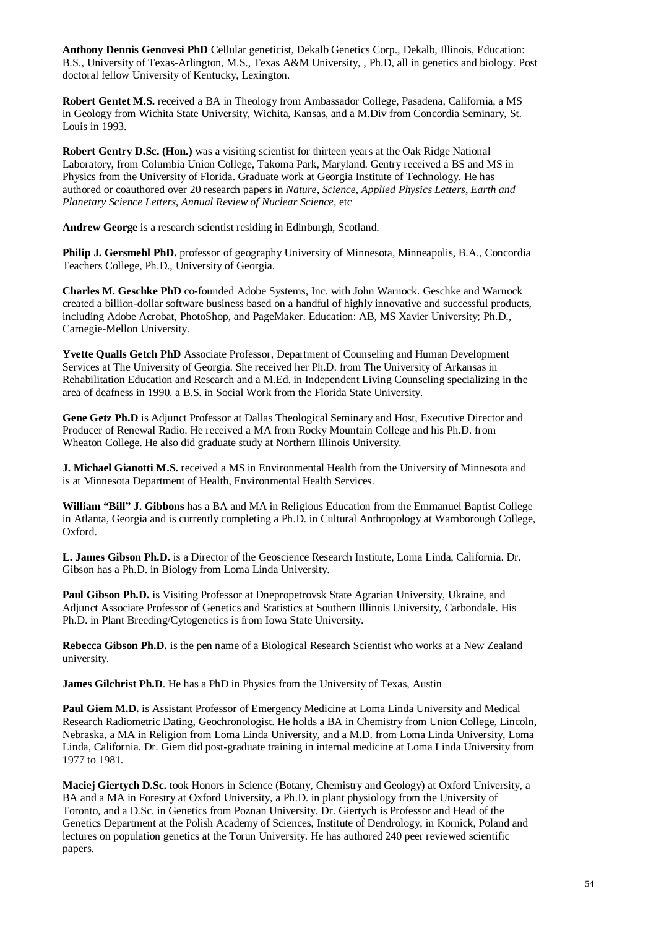**Anthony Dennis Genovesi PhD** Cellular geneticist, Dekalb Genetics Corp., Dekalb, Illinois, Education: B.S., University of Texas-Arlington, M.S., Texas A&M University, , Ph.D, all in genetics and biology. Post doctoral fellow University of Kentucky, Lexington.

**Robert Gentet M.S.** received a BA in Theology from Ambassador College, Pasadena, California, a MS in Geology from Wichita State University, Wichita, Kansas, and a M.Div from Concordia Seminary, St. Louis in 1993.

**Robert Gentry D.Sc. (Hon.)** was a visiting scientist for thirteen years at the Oak Ridge National Laboratory, from Columbia Union College, Takoma Park, Maryland. Gentry received a BS and MS in Physics from the University of Florida. Graduate work at Georgia Institute of Technology. He has authored or coauthored over 20 research papers in *Nature*, *Science*, *Applied Physics Letters*, *Earth and Planetary Science Letters*, *Annual Review of Nuclear Science*, etc

**Andrew George** is a research scientist residing in Edinburgh, Scotland.

**Philip J. Gersmehl PhD.** professor of geography University of Minnesota, Minneapolis, B.A., Concordia Teachers College, Ph.D., University of Georgia.

**Charles M. Geschke PhD** co-founded Adobe Systems, Inc. with John Warnock. Geschke and Warnock created a billion-dollar software business based on a handful of highly innovative and successful products, including Adobe Acrobat, PhotoShop, and PageMaker. Education: AB, MS Xavier University; Ph.D., Carnegie-Mellon University.

**Yvette Qualls Getch PhD** Associate Professor, Department of Counseling and Human Development Services at The University of Georgia. She received her Ph.D. from The University of Arkansas in Rehabilitation Education and Research and a M.Ed. in Independent Living Counseling specializing in the area of deafness in 1990. a B.S. in Social Work from the Florida State University.

**Gene Getz Ph.D** is Adjunct Professor at Dallas Theological Seminary and Host, Executive Director and Producer of Renewal Radio. He received a MA from Rocky Mountain College and his Ph.D. from Wheaton College. He also did graduate study at Northern Illinois University.

**J. Michael Gianotti M.S.** received a MS in Environmental Health from the University of Minnesota and is at Minnesota Department of Health, Environmental Health Services.

**William "Bill" J. Gibbons** has a BA and MA in Religious Education from the Emmanuel Baptist College in Atlanta, Georgia and is currently completing a Ph.D. in Cultural Anthropology at Warnborough College, Oxford.

**L. James Gibson Ph.D.** is a Director of the Geoscience Research Institute, Loma Linda, California. Dr. Gibson has a Ph.D. in Biology from Loma Linda University.

**Paul Gibson Ph.D.** is Visiting Professor at Dnepropetrovsk State Agrarian University, Ukraine, and Adjunct Associate Professor of Genetics and Statistics at Southern Illinois University, Carbondale. His Ph.D. in Plant Breeding/Cytogenetics is from Iowa State University.

**Rebecca Gibson Ph.D.** is the pen name of a Biological Research Scientist who works at a New Zealand university.

**James Gilchrist Ph.D.** He has a PhD in Physics from the University of Texas, Austin

**Paul Giem M.D.** is Assistant Professor of Emergency Medicine at Loma Linda University and Medical Research Radiometric Dating, Geochronologist. He holds a BA in Chemistry from Union College, Lincoln, Nebraska, a MA in Religion from Loma Linda University, and a M.D. from Loma Linda University, Loma Linda, California. Dr. Giem did post-graduate training in internal medicine at Loma Linda University from 1977 to 1981.

**Maciej Giertych D.Sc.** took Honors in Science (Botany, Chemistry and Geology) at Oxford University, a BA and a MA in Forestry at Oxford University, a Ph.D. in plant physiology from the University of Toronto, and a D.Sc. in Genetics from Poznan University. Dr. Giertych is Professor and Head of the Genetics Department at the Polish Academy of Sciences, Institute of Dendrology, in Kornick, Poland and lectures on population genetics at the Torun University. He has authored 240 peer reviewed scientific papers.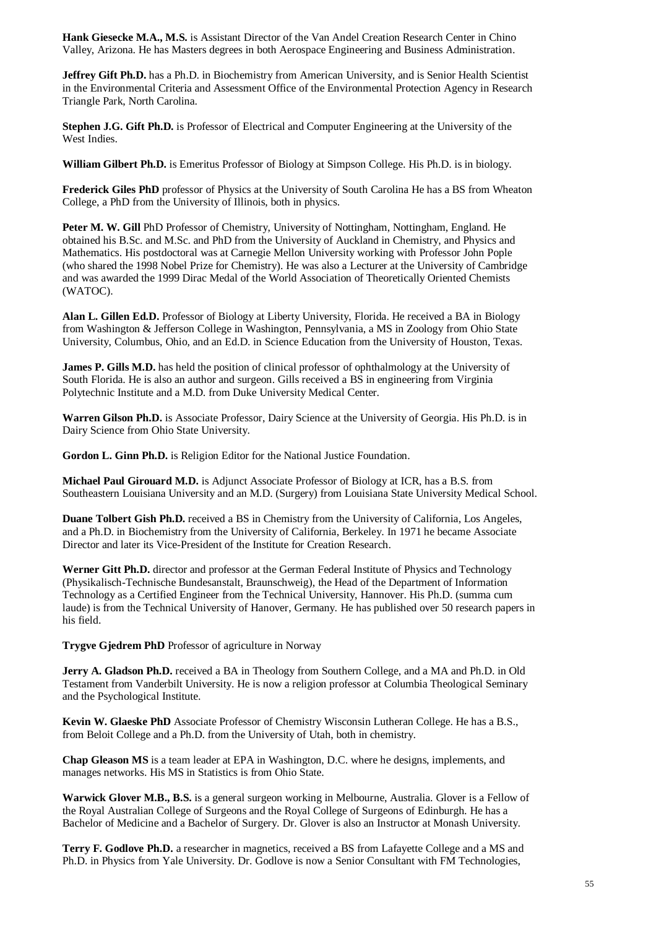**Hank Giesecke M.A., M.S.** is Assistant Director of the Van Andel Creation Research Center in Chino Valley, Arizona. He has Masters degrees in both Aerospace Engineering and Business Administration.

**Jeffrey Gift Ph.D.** has a Ph.D. in Biochemistry from American University, and is Senior Health Scientist in the Environmental Criteria and Assessment Office of the Environmental Protection Agency in Research Triangle Park, North Carolina.

**Stephen J.G. Gift Ph.D.** is Professor of Electrical and Computer Engineering at the University of the West Indies.

**William Gilbert Ph.D.** is Emeritus Professor of Biology at Simpson College. His Ph.D. is in biology.

**Frederick Giles PhD** professor of Physics at the University of South Carolina He has a BS from Wheaton College, a PhD from the University of Illinois, both in physics.

**Peter M. W. Gill** PhD Professor of Chemistry, University of Nottingham, Nottingham, England. He obtained his B.Sc. and M.Sc. and PhD from the University of Auckland in Chemistry, and Physics and Mathematics. His postdoctoral was at Carnegie Mellon University working with Professor John Pople (who shared the 1998 Nobel Prize for Chemistry). He was also a Lecturer at the University of Cambridge and was awarded the 1999 Dirac Medal of the World Association of Theoretically Oriented Chemists (WATOC).

**Alan L. Gillen Ed.D.** Professor of Biology at Liberty University, Florida. He received a BA in Biology from Washington & Jefferson College in Washington, Pennsylvania, a MS in Zoology from Ohio State University, Columbus, Ohio, and an Ed.D. in Science Education from the University of Houston, Texas.

**James P. Gills M.D.** has held the position of clinical professor of ophthalmology at the University of South Florida. He is also an author and surgeon. Gills received a BS in engineering from Virginia Polytechnic Institute and a M.D. from Duke University Medical Center.

**Warren Gilson Ph.D.** is Associate Professor, Dairy Science at the University of Georgia. His Ph.D. is in Dairy Science from Ohio State University.

**Gordon L. Ginn Ph.D.** is Religion Editor for the National Justice Foundation.

**Michael Paul Girouard M.D.** is Adjunct Associate Professor of Biology at ICR, has a B.S. from Southeastern Louisiana University and an M.D. (Surgery) from Louisiana State University Medical School.

**Duane Tolbert Gish Ph.D.** received a BS in Chemistry from the University of California, Los Angeles, and a Ph.D. in Biochemistry from the University of California, Berkeley. In 1971 he became Associate Director and later its Vice-President of the Institute for Creation Research.

**Werner Gitt Ph.D.** director and professor at the German Federal Institute of Physics and Technology (Physikalisch-Technische Bundesanstalt, Braunschweig), the Head of the Department of Information Technology as a Certified Engineer from the Technical University, Hannover. His Ph.D. (summa cum laude) is from the Technical University of Hanover, Germany. He has published over 50 research papers in his field.

**Trygve Gjedrem PhD** Professor of agriculture in Norway

**Jerry A. Gladson Ph.D.** received a BA in Theology from Southern College, and a MA and Ph.D. in Old Testament from Vanderbilt University. He is now a religion professor at Columbia Theological Seminary and the Psychological Institute.

**Kevin W. Glaeske PhD** Associate Professor of Chemistry Wisconsin Lutheran College. He has a B.S., from Beloit College and a Ph.D. from the University of Utah, both in chemistry.

**Chap Gleason MS** is a team leader at EPA in Washington, D.C. where he designs, implements, and manages networks. His MS in Statistics is from Ohio State.

**Warwick Glover M.B., B.S.** is a general surgeon working in Melbourne, Australia. Glover is a Fellow of the Royal Australian College of Surgeons and the Royal College of Surgeons of Edinburgh. He has a Bachelor of Medicine and a Bachelor of Surgery. Dr. Glover is also an Instructor at Monash University.

**Terry F. Godlove Ph.D.** a researcher in magnetics, received a BS from Lafayette College and a MS and Ph.D. in Physics from Yale University. Dr. Godlove is now a Senior Consultant with FM Technologies,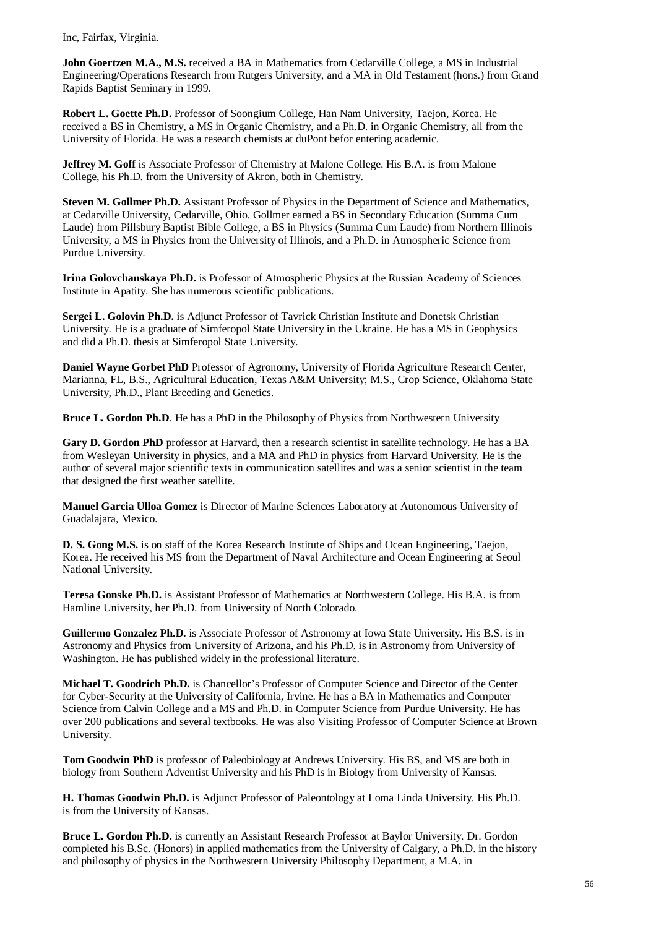Inc, Fairfax, Virginia.

**John Goertzen M.A., M.S.** received a BA in Mathematics from Cedarville College, a MS in Industrial Engineering/Operations Research from Rutgers University, and a MA in Old Testament (hons.) from Grand Rapids Baptist Seminary in 1999.

**Robert L. Goette Ph.D.** Professor of Soongium College, Han Nam University, Taejon, Korea. He received a BS in Chemistry, a MS in Organic Chemistry, and a Ph.D. in Organic Chemistry, all from the University of Florida. He was a research chemists at duPont befor entering academic.

**Jeffrey M. Goff** is Associate Professor of Chemistry at Malone College. His B.A. is from Malone College, his Ph.D. from the University of Akron, both in Chemistry.

**Steven M. Gollmer Ph.D.** Assistant Professor of Physics in the Department of Science and Mathematics, at Cedarville University, Cedarville, Ohio. Gollmer earned a BS in Secondary Education (Summa Cum Laude) from Pillsbury Baptist Bible College, a BS in Physics (Summa Cum Laude) from Northern Illinois University, a MS in Physics from the University of Illinois, and a Ph.D. in Atmospheric Science from Purdue University.

**Irina Golovchanskaya Ph.D.** is Professor of Atmospheric Physics at the Russian Academy of Sciences Institute in Apatity. She has numerous scientific publications.

**Sergei L. Golovin Ph.D.** is Adjunct Professor of Tavrick Christian Institute and Donetsk Christian University. He is a graduate of Simferopol State University in the Ukraine. He has a MS in Geophysics and did a Ph.D. thesis at Simferopol State University.

**Daniel Wayne Gorbet PhD** Professor of Agronomy, University of Florida Agriculture Research Center, Marianna, FL, B.S., Agricultural Education, Texas A&M University; M.S., Crop Science, Oklahoma State University, Ph.D., Plant Breeding and Genetics.

**Bruce L. Gordon Ph.D**. He has a PhD in the Philosophy of Physics from Northwestern University

**Gary D. Gordon PhD** professor at Harvard, then a research scientist in satellite technology. He has a BA from Wesleyan University in physics, and a MA and PhD in physics from Harvard University. He is the author of several major scientific texts in communication satellites and was a senior scientist in the team that designed the first weather satellite.

**Manuel Garcia Ulloa Gomez** is Director of Marine Sciences Laboratory at Autonomous University of Guadalajara, Mexico.

**D. S. Gong M.S.** is on staff of the Korea Research Institute of Ships and Ocean Engineering, Taejon, Korea. He received his MS from the Department of Naval Architecture and Ocean Engineering at Seoul National University.

**Teresa Gonske Ph.D.** is Assistant Professor of Mathematics at Northwestern College. His B.A. is from Hamline University, her Ph.D. from University of North Colorado.

**Guillermo Gonzalez Ph.D.** is Associate Professor of Astronomy at Iowa State University. His B.S. is in Astronomy and Physics from University of Arizona, and his Ph.D. is in Astronomy from University of Washington. He has published widely in the professional literature.

**Michael T. Goodrich Ph.D.** is Chancellor's Professor of Computer Science and Director of the Center for Cyber-Security at the University of California, Irvine. He has a BA in Mathematics and Computer Science from Calvin College and a MS and Ph.D. in Computer Science from Purdue University. He has over 200 publications and several textbooks. He was also Visiting Professor of Computer Science at Brown University.

**Tom Goodwin PhD** is professor of Paleobiology at Andrews University. His BS, and MS are both in biology from Southern Adventist University and his PhD is in Biology from University of Kansas.

**H. Thomas Goodwin Ph.D.** is Adjunct Professor of Paleontology at Loma Linda University. His Ph.D. is from the University of Kansas.

**Bruce L. Gordon Ph.D.** is currently an Assistant Research Professor at Baylor University. Dr. Gordon completed his B.Sc. (Honors) in applied mathematics from the University of Calgary, a Ph.D. in the history and philosophy of physics in the Northwestern University Philosophy Department, a M.A. in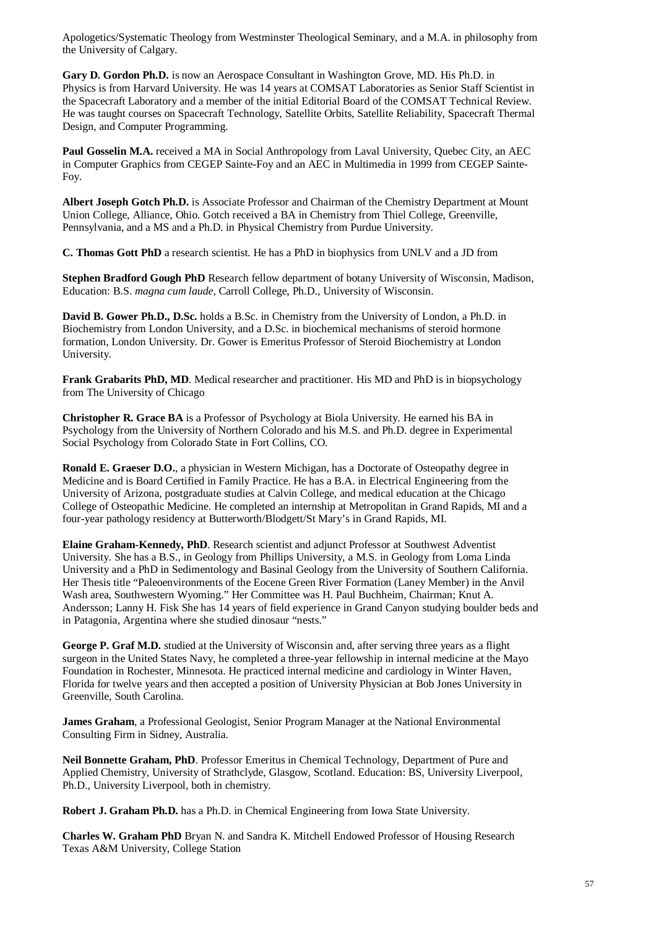Apologetics/Systematic Theology from Westminster Theological Seminary, and a M.A. in philosophy from the University of Calgary.

**Gary D. Gordon Ph.D.** is now an Aerospace Consultant in Washington Grove, MD. His Ph.D. in Physics is from Harvard University. He was 14 years at COMSAT Laboratories as Senior Staff Scientist in the Spacecraft Laboratory and a member of the initial Editorial Board of the COMSAT Technical Review. He was taught courses on Spacecraft Technology, Satellite Orbits, Satellite Reliability, Spacecraft Thermal Design, and Computer Programming.

**Paul Gosselin M.A.** received a MA in Social Anthropology from Laval University, Quebec City, an AEC in Computer Graphics from CEGEP Sainte-Foy and an AEC in Multimedia in 1999 from CEGEP Sainte-Foy.

**Albert Joseph Gotch Ph.D.** is Associate Professor and Chairman of the Chemistry Department at Mount Union College, Alliance, Ohio. Gotch received a BA in Chemistry from Thiel College, Greenville, Pennsylvania, and a MS and a Ph.D. in Physical Chemistry from Purdue University.

**C. Thomas Gott PhD** a research scientist. He has a PhD in biophysics from UNLV and a JD from

**Stephen Bradford Gough PhD** Research fellow department of botany University of Wisconsin, Madison, Education: B.S. *magna cum laude*, Carroll College, Ph.D., University of Wisconsin.

**David B. Gower Ph.D., D.Sc.** holds a B.Sc. in Chemistry from the University of London, a Ph.D. in Biochemistry from London University, and a D.Sc. in biochemical mechanisms of steroid hormone formation, London University. Dr. Gower is Emeritus Professor of Steroid Biochemistry at London University.

**Frank Grabarits PhD, MD**. Medical researcher and practitioner. His MD and PhD is in biopsychology from The University of Chicago

**Christopher R. Grace BA** is a Professor of Psychology at Biola University. He earned his BA in Psychology from the University of Northern Colorado and his M.S. and Ph.D. degree in Experimental Social Psychology from Colorado State in Fort Collins, CO.

**Ronald E. Graeser D.O.**, a physician in Western Michigan, has a Doctorate of Osteopathy degree in Medicine and is Board Certified in Family Practice. He has a B.A. in Electrical Engineering from the University of Arizona, postgraduate studies at Calvin College, and medical education at the Chicago College of Osteopathic Medicine. He completed an internship at Metropolitan in Grand Rapids, MI and a four-year pathology residency at Butterworth/Blodgett/St Mary's in Grand Rapids, MI.

**Elaine Graham-Kennedy, PhD**. Research scientist and adjunct Professor at Southwest Adventist University. She has a B.S., in Geology from Phillips University, a M.S. in Geology from Loma Linda University and a PhD in Sedimentology and Basinal Geology from the University of Southern California. Her Thesis title "Paleoenvironments of the Eocene Green River Formation (Laney Member) in the Anvil Wash area, Southwestern Wyoming." Her Committee was H. Paul Buchheim, Chairman; Knut A. Andersson; Lanny H. Fisk She has 14 years of field experience in Grand Canyon studying boulder beds and in Patagonia, Argentina where she studied dinosaur "nests."

**George P. Graf M.D.** studied at the University of Wisconsin and, after serving three years as a flight surgeon in the United States Navy, he completed a three-year fellowship in internal medicine at the Mayo Foundation in Rochester, Minnesota. He practiced internal medicine and cardiology in Winter Haven, Florida for twelve years and then accepted a position of University Physician at Bob Jones University in Greenville, South Carolina.

**James Graham**, a Professional Geologist, Senior Program Manager at the National Environmental Consulting Firm in Sidney, Australia.

**Neil Bonnette Graham, PhD**. Professor Emeritus in Chemical Technology, Department of Pure and Applied Chemistry, University of Strathclyde, Glasgow, Scotland. Education: BS, University Liverpool, Ph.D., University Liverpool, both in chemistry.

**Robert J. Graham Ph.D.** has a Ph.D. in Chemical Engineering from Iowa State University.

**Charles W. Graham PhD** Bryan N. and Sandra K. Mitchell Endowed Professor of Housing Research Texas A&M University, College Station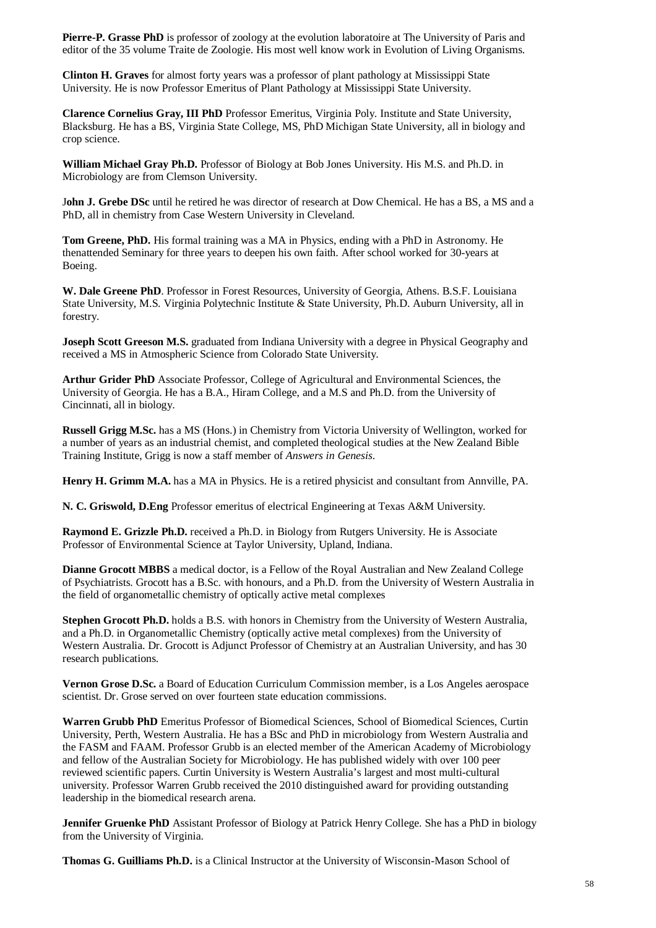**Pierre-P. Grasse PhD** is professor of zoology at the evolution laboratoire at The University of Paris and editor of the 35 volume Traite de Zoologie. His most well know work in Evolution of Living Organisms.

**Clinton H. Graves** for almost forty years was a professor of plant pathology at Mississippi State University. He is now Professor Emeritus of Plant Pathology at Mississippi State University.

**Clarence Cornelius Gray, III PhD** Professor Emeritus, Virginia Poly. Institute and State University, Blacksburg. He has a BS, Virginia State College, MS, PhD Michigan State University, all in biology and crop science.

**William Michael Gray Ph.D.** Professor of Biology at Bob Jones University. His M.S. and Ph.D. in Microbiology are from Clemson University.

J**ohn J. Grebe DSc** until he retired he was director of research at Dow Chemical. He has a BS, a MS and a PhD, all in chemistry from Case Western University in Cleveland.

**Tom Greene, PhD.** His formal training was a MA in Physics, ending with a PhD in Astronomy. He thenattended Seminary for three years to deepen his own faith. After school worked for 30-years at Boeing.

**W. Dale Greene PhD**. Professor in Forest Resources, University of Georgia, Athens. B.S.F. Louisiana State University, M.S. Virginia Polytechnic Institute & State University, Ph.D. Auburn University, all in forestry.

**Joseph Scott Greeson M.S.** graduated from Indiana University with a degree in Physical Geography and received a MS in Atmospheric Science from Colorado State University.

**Arthur Grider PhD** Associate Professor, College of Agricultural and Environmental Sciences, the University of Georgia. He has a B.A., Hiram College, and a M.S and Ph.D. from the University of Cincinnati, all in biology.

**Russell Grigg M.Sc.** has a MS (Hons.) in Chemistry from Victoria University of Wellington, worked for a number of years as an industrial chemist, and completed theological studies at the New Zealand Bible Training Institute, Grigg is now a staff member of *Answers in Genesis*.

**Henry H. Grimm M.A.** has a MA in Physics. He is a retired physicist and consultant from Annville, PA.

**N. C. Griswold, D.Eng** Professor emeritus of electrical Engineering at Texas A&M University.

**Raymond E. Grizzle Ph.D.** received a Ph.D. in Biology from Rutgers University. He is Associate Professor of Environmental Science at Taylor University, Upland, Indiana.

**Dianne Grocott MBBS** a medical doctor, is a Fellow of the Royal Australian and New Zealand College of Psychiatrists. Grocott has a B.Sc. with honours, and a Ph.D. from the University of Western Australia in the field of organometallic chemistry of optically active metal complexes

**Stephen Grocott Ph.D.** holds a B.S. with honors in Chemistry from the University of Western Australia, and a Ph.D. in Organometallic Chemistry (optically active metal complexes) from the University of Western Australia. Dr. Grocott is Adjunct Professor of Chemistry at an Australian University, and has 30 research publications.

**Vernon Grose D.Sc.** a Board of Education Curriculum Commission member, is a Los Angeles aerospace scientist. Dr. Grose served on over fourteen state education commissions.

**Warren Grubb PhD** Emeritus Professor of Biomedical Sciences, School of Biomedical Sciences, Curtin University, Perth, Western Australia. He has a BSc and PhD in microbiology from Western Australia and the FASM and FAAM. Professor Grubb is an elected member of the American Academy of Microbiology and fellow of the Australian Society for Microbiology. He has published widely with over 100 peer reviewed scientific papers. Curtin University is Western Australia's largest and most multi-cultural university. Professor Warren Grubb received the 2010 distinguished award for providing outstanding leadership in the biomedical research arena.

**Jennifer Gruenke PhD** Assistant Professor of Biology at Patrick Henry College. She has a PhD in biology from the University of Virginia.

**Thomas G. Guilliams Ph.D.** is a Clinical Instructor at the University of Wisconsin-Mason School of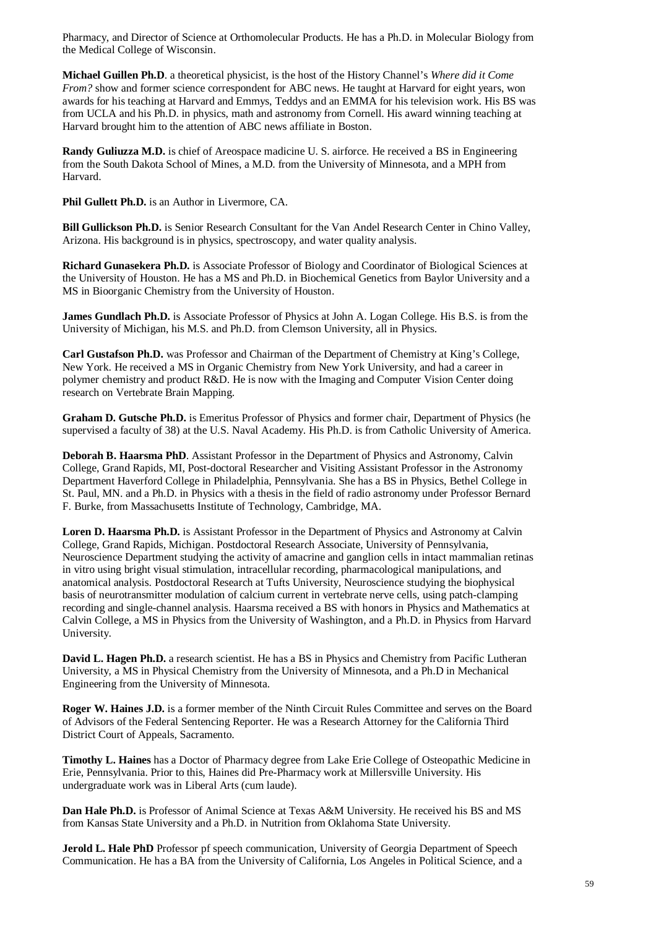Pharmacy, and Director of Science at Orthomolecular Products. He has a Ph.D. in Molecular Biology from the Medical College of Wisconsin.

**Michael Guillen Ph.D**. a theoretical physicist, is the host of the History Channel's *Where did it Come From?* show and former science correspondent for ABC news. He taught at Harvard for eight years, won awards for his teaching at Harvard and Emmys, Teddys and an EMMA for his television work. His BS was from UCLA and his Ph.D. in physics, math and astronomy from Cornell. His award winning teaching at Harvard brought him to the attention of ABC news affiliate in Boston.

**Randy Guliuzza M.D.** is chief of Areospace madicine U. S. airforce. He received a BS in Engineering from the South Dakota School of Mines, a M.D. from the University of Minnesota, and a MPH from Harvard.

**Phil Gullett Ph.D.** is an Author in Livermore, CA.

**Bill Gullickson Ph.D.** is Senior Research Consultant for the Van Andel Research Center in Chino Valley, Arizona. His background is in physics, spectroscopy, and water quality analysis.

**Richard Gunasekera Ph.D.** is Associate Professor of Biology and Coordinator of Biological Sciences at the University of Houston. He has a MS and Ph.D. in Biochemical Genetics from Baylor University and a MS in Bioorganic Chemistry from the University of Houston.

**James Gundlach Ph.D.** is Associate Professor of Physics at John A. Logan College. His B.S. is from the University of Michigan, his M.S. and Ph.D. from Clemson University, all in Physics.

**Carl Gustafson Ph.D.** was Professor and Chairman of the Department of Chemistry at King's College, New York. He received a MS in Organic Chemistry from New York University, and had a career in polymer chemistry and product R&D. He is now with the Imaging and Computer Vision Center doing research on Vertebrate Brain Mapping.

**Graham D. Gutsche Ph.D.** is Emeritus Professor of Physics and former chair, Department of Physics (he supervised a faculty of 38) at the U.S. Naval Academy. His Ph.D. is from Catholic University of America.

**Deborah B. Haarsma PhD**. Assistant Professor in the Department of Physics and Astronomy, Calvin College, Grand Rapids, MI, Post-doctoral Researcher and Visiting Assistant Professor in the Astronomy Department Haverford College in Philadelphia, Pennsylvania. She has a BS in Physics, Bethel College in St. Paul, MN. and a Ph.D. in Physics with a thesis in the field of radio astronomy under Professor Bernard F. Burke, from Massachusetts Institute of Technology, Cambridge, MA.

**Loren D. Haarsma Ph.D.** is Assistant Professor in the Department of Physics and Astronomy at Calvin College, Grand Rapids, Michigan. Postdoctoral Research Associate, University of Pennsylvania, Neuroscience Department studying the activity of amacrine and ganglion cells in intact mammalian retinas in vitro using bright visual stimulation, intracellular recording, pharmacological manipulations, and anatomical analysis. Postdoctoral Research at Tufts University, Neuroscience studying the biophysical basis of neurotransmitter modulation of calcium current in vertebrate nerve cells, using patch-clamping recording and single-channel analysis. Haarsma received a BS with honors in Physics and Mathematics at Calvin College, a MS in Physics from the University of Washington, and a Ph.D. in Physics from Harvard University.

**David L. Hagen Ph.D.** a research scientist. He has a BS in Physics and Chemistry from Pacific Lutheran University, a MS in Physical Chemistry from the University of Minnesota, and a Ph.D in Mechanical Engineering from the University of Minnesota.

**Roger W. Haines J.D.** is a former member of the Ninth Circuit Rules Committee and serves on the Board of Advisors of the Federal Sentencing Reporter. He was a Research Attorney for the California Third District Court of Appeals, Sacramento.

**Timothy L. Haines** has a Doctor of Pharmacy degree from Lake Erie College of Osteopathic Medicine in Erie, Pennsylvania. Prior to this, Haines did Pre-Pharmacy work at Millersville University. His undergraduate work was in Liberal Arts (cum laude).

**Dan Hale Ph.D.** is Professor of Animal Science at Texas A&M University. He received his BS and MS from Kansas State University and a Ph.D. in Nutrition from Oklahoma State University.

**Jerold L. Hale PhD** Professor pf speech communication, University of Georgia Department of Speech Communication. He has a BA from the University of California, Los Angeles in Political Science, and a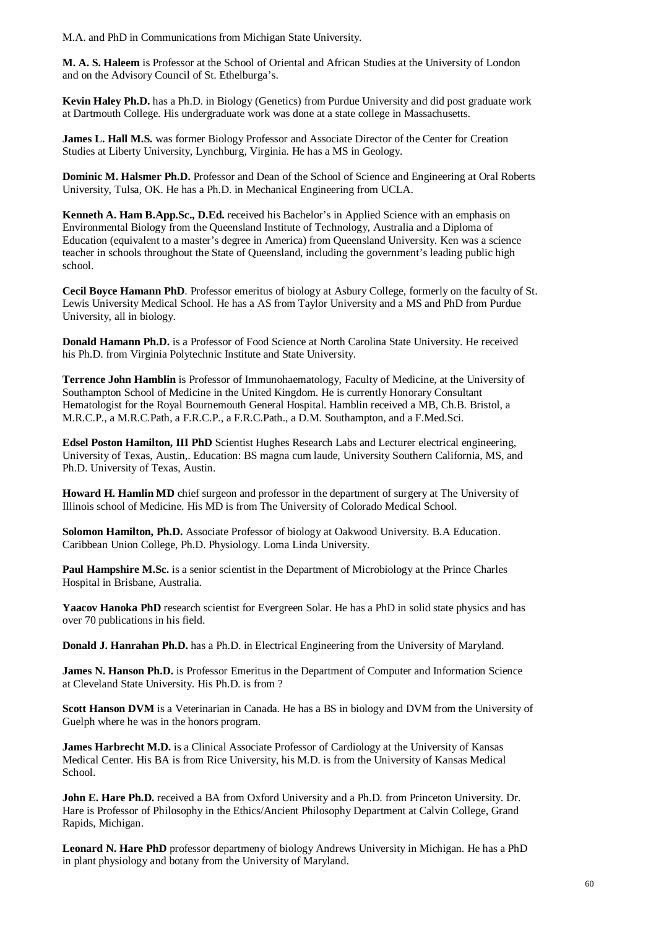M.A. and PhD in Communications from Michigan State University.

**M. A. S. Haleem** is Professor at the School of Oriental and African Studies at the University of London and on the Advisory Council of St. Ethelburga's.

**Kevin Haley Ph.D.** has a Ph.D. in Biology (Genetics) from Purdue University and did post graduate work at Dartmouth College. His undergraduate work was done at a state college in Massachusetts.

James L. Hall M.S. was former Biology Professor and Associate Director of the Center for Creation Studies at Liberty University, Lynchburg, Virginia. He has a MS in Geology.

**Dominic M. Halsmer Ph.D.** Professor and Dean of the School of Science and Engineering at Oral Roberts University, Tulsa, OK. He has a Ph.D. in Mechanical Engineering from UCLA.

**Kenneth A. Ham B.App.Sc., D.Ed.** received his Bachelor's in Applied Science with an emphasis on Environmental Biology from the Queensland Institute of Technology, Australia and a Diploma of Education (equivalent to a master's degree in America) from Queensland University. Ken was a science teacher in schools throughout the State of Queensland, including the government's leading public high school.

**Cecil Boyce Hamann PhD**. Professor emeritus of biology at Asbury College, formerly on the faculty of St. Lewis University Medical School. He has a AS from Taylor University and a MS and PhD from Purdue University, all in biology.

**Donald Hamann Ph.D.** is a Professor of Food Science at North Carolina State University. He received his Ph.D. from Virginia Polytechnic Institute and State University.

**Terrence John Hamblin** is Professor of Immunohaematology, Faculty of Medicine, at the University of Southampton School of Medicine in the United Kingdom. He is currently Honorary Consultant Hematologist for the Royal Bournemouth General Hospital. Hamblin received a MB, Ch.B. Bristol, a M.R.C.P., a M.R.C.Path, a F.R.C.P., a F.R.C.Path., a D.M. Southampton, and a F.Med.Sci.

**Edsel Poston Hamilton, III PhD** Scientist Hughes Research Labs and Lecturer electrical engineering, University of Texas, Austin,. Education: BS magna cum laude, University Southern California, MS, and Ph.D. University of Texas, Austin.

**Howard H. Hamlin MD** chief surgeon and professor in the department of surgery at The University of Illinois school of Medicine. His MD is from The University of Colorado Medical School.

**Solomon Hamilton, Ph.D.** Associate Professor of biology at Oakwood University. B.A Education. Caribbean Union College, Ph.D. Physiology. Loma Linda University.

**Paul Hampshire M.Sc.** is a senior scientist in the Department of Microbiology at the Prince Charles Hospital in Brisbane, Australia.

**Yaacov Hanoka PhD** research scientist for Evergreen Solar. He has a PhD in solid state physics and has over 70 publications in his field.

**Donald J. Hanrahan Ph.D.** has a Ph.D. in Electrical Engineering from the University of Maryland.

**James N. Hanson Ph.D.** is Professor Emeritus in the Department of Computer and Information Science at Cleveland State University. His Ph.D. is from ?

**Scott Hanson DVM** is a Veterinarian in Canada. He has a BS in biology and DVM from the University of Guelph where he was in the honors program.

**James Harbrecht M.D.** is a Clinical Associate Professor of Cardiology at the University of Kansas Medical Center. His BA is from Rice University, his M.D. is from the University of Kansas Medical School.

**John E. Hare Ph.D.** received a BA from Oxford University and a Ph.D. from Princeton University. Dr. Hare is Professor of Philosophy in the Ethics/Ancient Philosophy Department at Calvin College, Grand Rapids, Michigan.

**Leonard N. Hare PhD** professor departmeny of biology Andrews University in Michigan. He has a PhD in plant physiology and botany from the University of Maryland.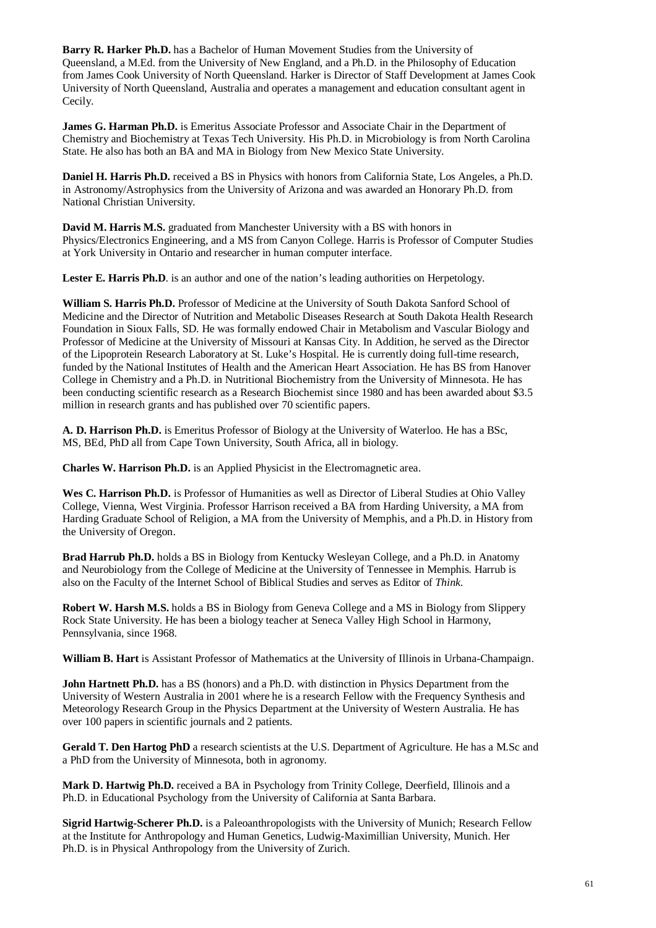**Barry R. Harker Ph.D.** has a Bachelor of Human Movement Studies from the University of Queensland, a M.Ed. from the University of New England, and a Ph.D. in the Philosophy of Education from James Cook University of North Queensland. Harker is Director of Staff Development at James Cook University of North Queensland, Australia and operates a management and education consultant agent in Cecily.

**James G. Harman Ph.D.** is Emeritus Associate Professor and Associate Chair in the Department of Chemistry and Biochemistry at Texas Tech University. His Ph.D. in Microbiology is from North Carolina State. He also has both an BA and MA in Biology from New Mexico State University.

**Daniel H. Harris Ph.D.** received a BS in Physics with honors from California State, Los Angeles, a Ph.D. in Astronomy/Astrophysics from the University of Arizona and was awarded an Honorary Ph.D. from National Christian University.

**David M. Harris M.S.** graduated from Manchester University with a BS with honors in Physics/Electronics Engineering, and a MS from Canyon College. Harris is Professor of Computer Studies at York University in Ontario and researcher in human computer interface.

Lester E. Harris Ph.D. is an author and one of the nation's leading authorities on Herpetology.

**William S. Harris Ph.D.** Professor of Medicine at the University of South Dakota Sanford School of Medicine and the Director of Nutrition and Metabolic Diseases Research at South Dakota Health Research Foundation in Sioux Falls, SD. He was formally endowed Chair in Metabolism and Vascular Biology and Professor of Medicine at the University of Missouri at Kansas City. In Addition, he served as the Director of the Lipoprotein Research Laboratory at St. Luke's Hospital. He is currently doing full-time research, funded by the National Institutes of Health and the American Heart Association. He has BS from Hanover College in Chemistry and a Ph.D. in Nutritional Biochemistry from the University of Minnesota. He has been conducting scientific research as a Research Biochemist since 1980 and has been awarded about \$3.5 million in research grants and has published over 70 scientific papers.

**A. D. Harrison Ph.D.** is Emeritus Professor of Biology at the University of Waterloo. He has a BSc, MS, BEd, PhD all from Cape Town University, South Africa, all in biology.

**Charles W. Harrison Ph.D.** is an Applied Physicist in the Electromagnetic area.

**Wes C. Harrison Ph.D.** is Professor of Humanities as well as Director of Liberal Studies at Ohio Valley College, Vienna, West Virginia. Professor Harrison received a BA from Harding University, a MA from Harding Graduate School of Religion, a MA from the University of Memphis, and a Ph.D. in History from the University of Oregon.

**Brad Harrub Ph.D.** holds a BS in Biology from Kentucky Wesleyan College, and a Ph.D. in Anatomy and Neurobiology from the College of Medicine at the University of Tennessee in Memphis. Harrub is also on the Faculty of the Internet School of Biblical Studies and serves as Editor of *Think*.

**Robert W. Harsh M.S.** holds a BS in Biology from Geneva College and a MS in Biology from Slippery Rock State University. He has been a biology teacher at Seneca Valley High School in Harmony, Pennsylvania, since 1968.

**William B. Hart** is Assistant Professor of Mathematics at the University of Illinois in Urbana-Champaign.

**John Hartnett Ph.D.** has a BS (honors) and a Ph.D. with distinction in Physics Department from the University of Western Australia in 2001 where he is a research Fellow with the Frequency Synthesis and Meteorology Research Group in the Physics Department at the University of Western Australia. He has over 100 papers in scientific journals and 2 patients.

**Gerald T. Den Hartog PhD** a research scientists at the U.S. Department of Agriculture. He has a M.Sc and a PhD from the University of Minnesota, both in agronomy.

**Mark D. Hartwig Ph.D.** received a BA in Psychology from Trinity College, Deerfield, Illinois and a Ph.D. in Educational Psychology from the University of California at Santa Barbara.

**Sigrid Hartwig-Scherer Ph.D.** is a Paleoanthropologists with the University of Munich; Research Fellow at the Institute for Anthropology and Human Genetics, Ludwig-Maximillian University, Munich. Her Ph.D. is in Physical Anthropology from the University of Zurich.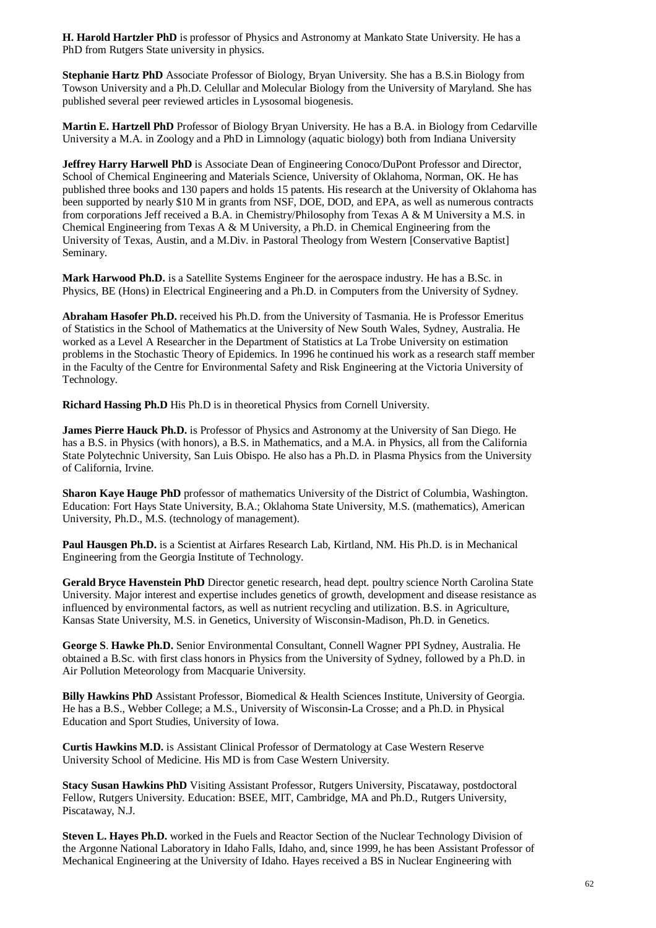**H. Harold Hartzler PhD** is professor of Physics and Astronomy at Mankato State University. He has a PhD from Rutgers State university in physics.

**Stephanie Hartz PhD** Associate Professor of Biology, Bryan University. She has a B.S.in Biology from Towson University and a Ph.D. Celullar and Molecular Biology from the University of Maryland. She has published several peer reviewed articles in Lysosomal biogenesis.

**Martin E. Hartzell PhD** Professor of Biology Bryan University. He has a B.A. in Biology from Cedarville University a M.A. in Zoology and a PhD in Limnology (aquatic biology) both from Indiana University

**Jeffrey Harry Harwell PhD** is Associate Dean of Engineering Conoco/DuPont Professor and Director, School of Chemical Engineering and Materials Science, University of Oklahoma, Norman, OK. He has published three books and 130 papers and holds 15 patents. His research at the University of Oklahoma has been supported by nearly \$10 M in grants from NSF, DOE, DOD, and EPA, as well as numerous contracts from corporations Jeff received a B.A. in Chemistry/Philosophy from Texas A & M University a M.S. in Chemical Engineering from Texas A & M University, a Ph.D. in Chemical Engineering from the University of Texas, Austin, and a M.Div. in Pastoral Theology from Western [Conservative Baptist] Seminary.

**Mark Harwood Ph.D.** is a Satellite Systems Engineer for the aerospace industry. He has a B.Sc. in Physics, BE (Hons) in Electrical Engineering and a Ph.D. in Computers from the University of Sydney.

**Abraham Hasofer Ph.D.** received his Ph.D. from the University of Tasmania. He is Professor Emeritus of Statistics in the School of Mathematics at the University of New South Wales, Sydney, Australia. He worked as a Level A Researcher in the Department of Statistics at La Trobe University on estimation problems in the Stochastic Theory of Epidemics. In 1996 he continued his work as a research staff member in the Faculty of the Centre for Environmental Safety and Risk Engineering at the Victoria University of Technology.

**Richard Hassing Ph.D** His Ph.D is in theoretical Physics from Cornell University.

**James Pierre Hauck Ph.D.** is Professor of Physics and Astronomy at the University of San Diego. He has a B.S. in Physics (with honors), a B.S. in Mathematics, and a M.A. in Physics, all from the California State Polytechnic University, San Luis Obispo. He also has a Ph.D. in Plasma Physics from the University of California, Irvine.

**Sharon Kaye Hauge PhD** professor of mathematics University of the District of Columbia, Washington. Education: Fort Hays State University, B.A.; Oklahoma State University, M.S. (mathematics), American University, Ph.D., M.S. (technology of management).

**Paul Hausgen Ph.D.** is a Scientist at Airfares Research Lab, Kirtland, NM. His Ph.D. is in Mechanical Engineering from the Georgia Institute of Technology.

**Gerald Bryce Havenstein PhD** Director genetic research, head dept. poultry science North Carolina State University. Major interest and expertise includes genetics of growth, development and disease resistance as influenced by environmental factors, as well as nutrient recycling and utilization. B.S. in Agriculture, Kansas State University, M.S. in Genetics, University of Wisconsin-Madison, Ph.D. in Genetics.

**George S**. **Hawke Ph.D.** Senior Environmental Consultant, Connell Wagner PPI Sydney, Australia. He obtained a B.Sc. with first class honors in Physics from the University of Sydney, followed by a Ph.D. in Air Pollution Meteorology from Macquarie University.

**Billy Hawkins PhD** Assistant Professor, Biomedical & Health Sciences Institute, University of Georgia. He has a B.S., Webber College; a M.S., University of Wisconsin-La Crosse; and a Ph.D. in Physical Education and Sport Studies, University of Iowa.

**Curtis Hawkins M.D.** is Assistant Clinical Professor of Dermatology at Case Western Reserve University School of Medicine. His MD is from Case Western University.

**Stacy Susan Hawkins PhD** Visiting Assistant Professor, Rutgers University, Piscataway, postdoctoral Fellow, Rutgers University. Education: BSEE, MIT, Cambridge, MA and Ph.D., Rutgers University, Piscataway, N.J.

**Steven L. Hayes Ph.D.** worked in the Fuels and Reactor Section of the Nuclear Technology Division of the Argonne National Laboratory in Idaho Falls, Idaho, and, since 1999, he has been Assistant Professor of Mechanical Engineering at the University of Idaho. Hayes received a BS in Nuclear Engineering with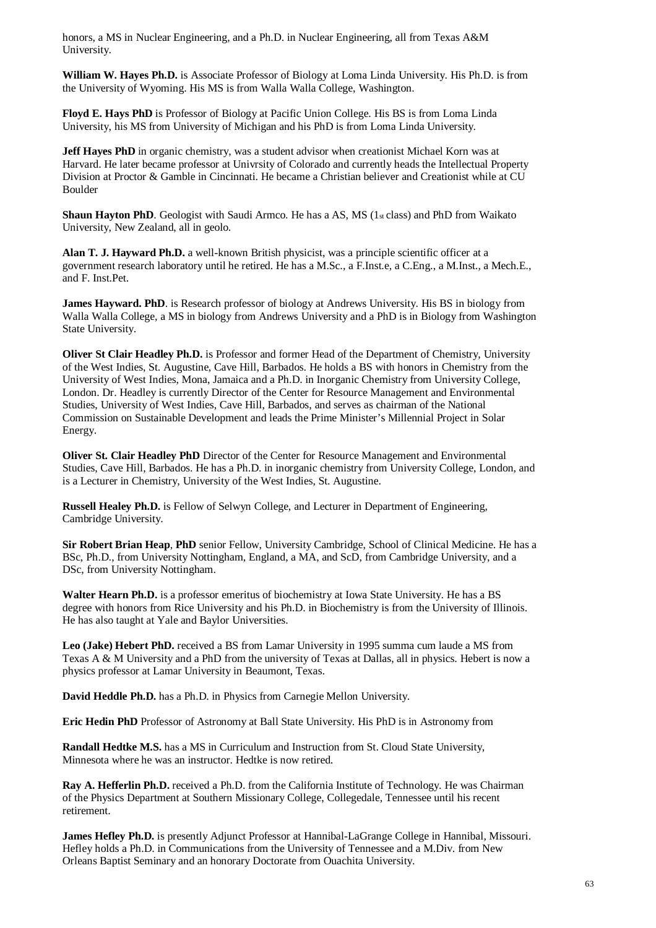honors, a MS in Nuclear Engineering, and a Ph.D. in Nuclear Engineering, all from Texas A&M University.

**William W. Hayes Ph.D.** is Associate Professor of Biology at Loma Linda University. His Ph.D. is from the University of Wyoming. His MS is from Walla Walla College, Washington.

**Floyd E. Hays PhD** is Professor of Biology at Pacific Union College. His BS is from Loma Linda University, his MS from University of Michigan and his PhD is from Loma Linda University.

**Jeff Hayes PhD** in organic chemistry, was a student advisor when creationist Michael Korn was at Harvard. He later became professor at Univrsity of Colorado and currently heads the Intellectual Property Division at Proctor & Gamble in Cincinnati. He became a Christian believer and Creationist while at CU Boulder

**Shaun Hayton PhD**. Geologist with Saudi Armco. He has a AS, MS (1st class) and PhD from Waikato University, New Zealand, all in geolo.

**Alan T. J. Hayward Ph.D.** a well-known British physicist, was a principle scientific officer at a government research laboratory until he retired. He has a M.Sc., a F.Inst.e, a C.Eng., a M.Inst., a Mech.E., and F. Inst.Pet.

**James Hayward. PhD**. is Research professor of biology at Andrews University. His BS in biology from Walla Walla College, a MS in biology from Andrews University and a PhD is in Biology from Washington State University.

**Oliver St Clair Headley Ph.D.** is Professor and former Head of the Department of Chemistry, University of the West Indies, St. Augustine, Cave Hill, Barbados. He holds a BS with honors in Chemistry from the University of West Indies, Mona, Jamaica and a Ph.D. in Inorganic Chemistry from University College, London. Dr. Headley is currently Director of the Center for Resource Management and Environmental Studies, University of West Indies, Cave Hill, Barbados, and serves as chairman of the National Commission on Sustainable Development and leads the Prime Minister's Millennial Project in Solar Energy.

**Oliver St. Clair Headley PhD** Director of the Center for Resource Management and Environmental Studies, Cave Hill, Barbados. He has a Ph.D. in inorganic chemistry from University College, London, and is a Lecturer in Chemistry, University of the West Indies, St. Augustine.

**Russell Healey Ph.D.** is Fellow of Selwyn College, and Lecturer in Department of Engineering, Cambridge University.

**Sir Robert Brian Heap**, **PhD** senior Fellow, University Cambridge, School of Clinical Medicine. He has a BSc, Ph.D., from University Nottingham, England, a MA, and ScD, from Cambridge University, and a DSc, from University Nottingham.

**Walter Hearn Ph.D.** is a professor emeritus of biochemistry at Iowa State University. He has a BS degree with honors from Rice University and his Ph.D. in Biochemistry is from the University of Illinois. He has also taught at Yale and Baylor Universities.

**Leo (Jake) Hebert PhD.** received a BS from Lamar University in 1995 summa cum laude a MS from Texas A & M University and a PhD from the university of Texas at Dallas, all in physics. Hebert is now a physics professor at Lamar University in Beaumont, Texas.

**David Heddle Ph.D.** has a Ph.D. in Physics from Carnegie Mellon University.

**Eric Hedin PhD** Professor of Astronomy at Ball State University. His PhD is in Astronomy from

**Randall Hedtke M.S.** has a MS in Curriculum and Instruction from St. Cloud State University, Minnesota where he was an instructor. Hedtke is now retired.

**Ray A. Hefferlin Ph.D.** received a Ph.D. from the California Institute of Technology. He was Chairman of the Physics Department at Southern Missionary College, Collegedale, Tennessee until his recent retirement.

**James Hefley Ph.D.** is presently Adjunct Professor at Hannibal-LaGrange College in Hannibal, Missouri. Hefley holds a Ph.D. in Communications from the University of Tennessee and a M.Div. from New Orleans Baptist Seminary and an honorary Doctorate from Ouachita University.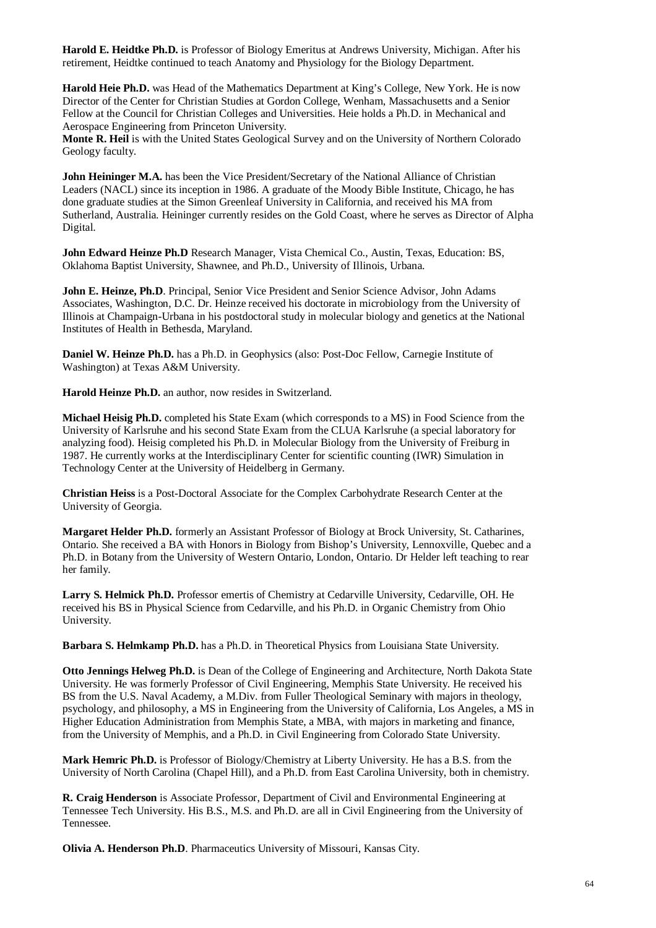**Harold E. Heidtke Ph.D.** is Professor of Biology Emeritus at Andrews University, Michigan. After his retirement, Heidtke continued to teach Anatomy and Physiology for the Biology Department.

**Harold Heie Ph.D.** was Head of the Mathematics Department at King's College, New York. He is now Director of the Center for Christian Studies at Gordon College, Wenham, Massachusetts and a Senior Fellow at the Council for Christian Colleges and Universities. Heie holds a Ph.D. in Mechanical and Aerospace Engineering from Princeton University.

**Monte R. Heil** is with the United States Geological Survey and on the University of Northern Colorado Geology faculty.

**John Heininger M.A.** has been the Vice President/Secretary of the National Alliance of Christian Leaders (NACL) since its inception in 1986. A graduate of the Moody Bible Institute, Chicago, he has done graduate studies at the Simon Greenleaf University in California, and received his MA from Sutherland, Australia. Heininger currently resides on the Gold Coast, where he serves as Director of Alpha Digital.

**John Edward Heinze Ph.D** Research Manager, Vista Chemical Co., Austin, Texas, Education: BS, Oklahoma Baptist University, Shawnee, and Ph.D., University of Illinois, Urbana.

**John E. Heinze, Ph.D**. Principal, Senior Vice President and Senior Science Advisor, John Adams Associates, Washington, D.C. Dr. Heinze received his doctorate in microbiology from the University of Illinois at Champaign-Urbana in his postdoctoral study in molecular biology and genetics at the National Institutes of Health in Bethesda, Maryland.

**Daniel W. Heinze Ph.D.** has a Ph.D. in Geophysics (also: Post-Doc Fellow, Carnegie Institute of Washington) at Texas A&M University.

**Harold Heinze Ph.D.** an author, now resides in Switzerland.

**Michael Heisig Ph.D.** completed his State Exam (which corresponds to a MS) in Food Science from the University of Karlsruhe and his second State Exam from the CLUA Karlsruhe (a special laboratory for analyzing food). Heisig completed his Ph.D. in Molecular Biology from the University of Freiburg in 1987. He currently works at the Interdisciplinary Center for scientific counting (IWR) Simulation in Technology Center at the University of Heidelberg in Germany.

**Christian Heiss** is a Post-Doctoral Associate for the Complex Carbohydrate Research Center at the University of Georgia.

**Margaret Helder Ph.D.** formerly an Assistant Professor of Biology at Brock University, St. Catharines, Ontario. She received a BA with Honors in Biology from Bishop's University, Lennoxville, Quebec and a Ph.D. in Botany from the University of Western Ontario, London, Ontario. Dr Helder left teaching to rear her family.

**Larry S. Helmick Ph.D.** Professor emertis of Chemistry at Cedarville University, Cedarville, OH. He received his BS in Physical Science from Cedarville, and his Ph.D. in Organic Chemistry from Ohio University.

**Barbara S. Helmkamp Ph.D.** has a Ph.D. in Theoretical Physics from Louisiana State University.

**Otto Jennings Helweg Ph.D.** is Dean of the College of Engineering and Architecture, North Dakota State University. He was formerly Professor of Civil Engineering, Memphis State University. He received his BS from the U.S. Naval Academy, a M.Div. from Fuller Theological Seminary with majors in theology, psychology, and philosophy, a MS in Engineering from the University of California, Los Angeles, a MS in Higher Education Administration from Memphis State, a MBA, with majors in marketing and finance, from the University of Memphis, and a Ph.D. in Civil Engineering from Colorado State University.

**Mark Hemric Ph.D.** is Professor of Biology/Chemistry at Liberty University. He has a B.S. from the University of North Carolina (Chapel Hill), and a Ph.D. from East Carolina University, both in chemistry.

**R. Craig Henderson** is Associate Professor, Department of Civil and Environmental Engineering at Tennessee Tech University. His B.S., M.S. and Ph.D. are all in Civil Engineering from the University of Tennessee.

**Olivia A. Henderson Ph.D**. Pharmaceutics University of Missouri, Kansas City.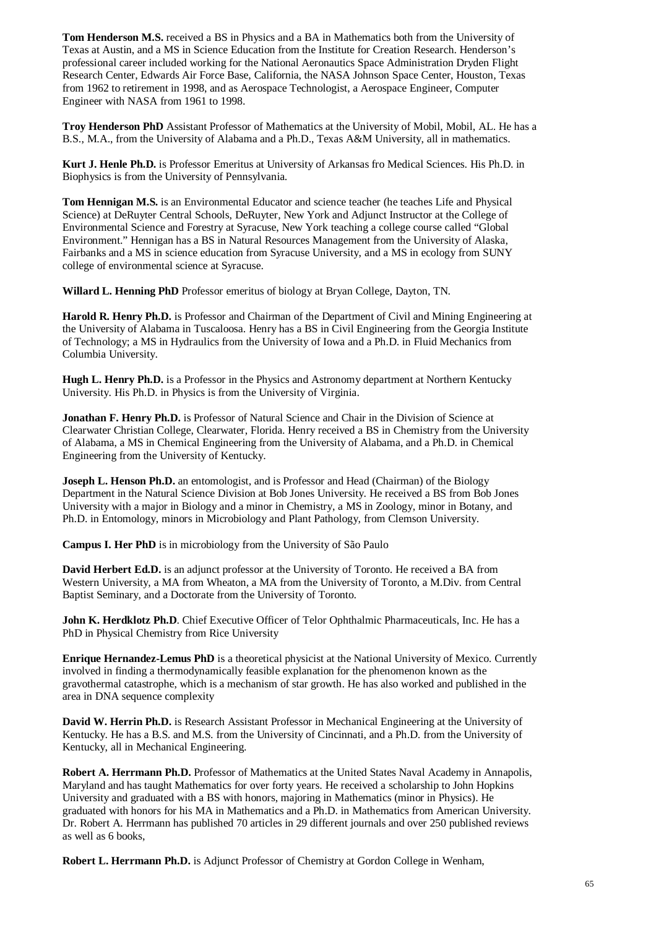**Tom Henderson M.S.** received a BS in Physics and a BA in Mathematics both from the University of Texas at Austin, and a MS in Science Education from the Institute for Creation Research. Henderson's professional career included working for the National Aeronautics Space Administration Dryden Flight Research Center, Edwards Air Force Base, California, the NASA Johnson Space Center, Houston, Texas from 1962 to retirement in 1998, and as Aerospace Technologist, a Aerospace Engineer, Computer Engineer with NASA from 1961 to 1998.

**Troy Henderson PhD** Assistant Professor of Mathematics at the University of Mobil, Mobil, AL. He has a B.S., M.A., from the University of Alabama and a Ph.D., Texas A&M University, all in mathematics.

**Kurt J. Henle Ph.D.** is Professor Emeritus at University of Arkansas fro Medical Sciences. His Ph.D. in Biophysics is from the University of Pennsylvania.

**Tom Hennigan M.S.** is an Environmental Educator and science teacher (he teaches Life and Physical Science) at DeRuyter Central Schools, DeRuyter, New York and Adjunct Instructor at the College of Environmental Science and Forestry at Syracuse, New York teaching a college course called "Global Environment." Hennigan has a BS in Natural Resources Management from the University of Alaska, Fairbanks and a MS in science education from Syracuse University, and a MS in ecology from SUNY college of environmental science at Syracuse.

**Willard L. Henning PhD** Professor emeritus of biology at Bryan College, Dayton, TN.

**Harold R. Henry Ph.D.** is Professor and Chairman of the Department of Civil and Mining Engineering at the University of Alabama in Tuscaloosa. Henry has a BS in Civil Engineering from the Georgia Institute of Technology; a MS in Hydraulics from the University of Iowa and a Ph.D. in Fluid Mechanics from Columbia University.

**Hugh L. Henry Ph.D.** is a Professor in the Physics and Astronomy department at Northern Kentucky University. His Ph.D. in Physics is from the University of Virginia.

**Jonathan F. Henry Ph.D.** is Professor of Natural Science and Chair in the Division of Science at Clearwater Christian College, Clearwater, Florida. Henry received a BS in Chemistry from the University of Alabama, a MS in Chemical Engineering from the University of Alabama, and a Ph.D. in Chemical Engineering from the University of Kentucky.

**Joseph L. Henson Ph.D.** an entomologist, and is Professor and Head (Chairman) of the Biology Department in the Natural Science Division at Bob Jones University. He received a BS from Bob Jones University with a major in Biology and a minor in Chemistry, a MS in Zoology, minor in Botany, and Ph.D. in Entomology, minors in Microbiology and Plant Pathology, from Clemson University.

**Campus I. Her PhD** is in microbiology from the University of São Paulo

**David Herbert Ed.D.** is an adjunct professor at the University of Toronto. He received a BA from Western University, a MA from Wheaton, a MA from the University of Toronto, a M.Div. from Central Baptist Seminary, and a Doctorate from the University of Toronto.

**John K. Herdklotz Ph.D**. Chief Executive Officer of Telor Ophthalmic Pharmaceuticals, Inc. He has a PhD in Physical Chemistry from Rice University

**Enrique Hernandez-Lemus PhD** is a theoretical physicist at the National University of Mexico. Currently involved in finding a thermodynamically feasible explanation for the phenomenon known as the gravothermal catastrophe, which is a mechanism of star growth. He has also worked and published in the area in DNA sequence complexity

**David W. Herrin Ph.D.** is Research Assistant Professor in Mechanical Engineering at the University of Kentucky. He has a B.S. and M.S. from the University of Cincinnati, and a Ph.D. from the University of Kentucky, all in Mechanical Engineering.

**Robert A. Herrmann Ph.D.** Professor of Mathematics at the United States Naval Academy in Annapolis, Maryland and has taught Mathematics for over forty years. He received a scholarship to John Hopkins University and graduated with a BS with honors, majoring in Mathematics (minor in Physics). He graduated with honors for his MA in Mathematics and a Ph.D. in Mathematics from American University. Dr. Robert A. Herrmann has published 70 articles in 29 different journals and over 250 published reviews as well as 6 books,

**Robert L. Herrmann Ph.D.** is Adjunct Professor of Chemistry at Gordon College in Wenham,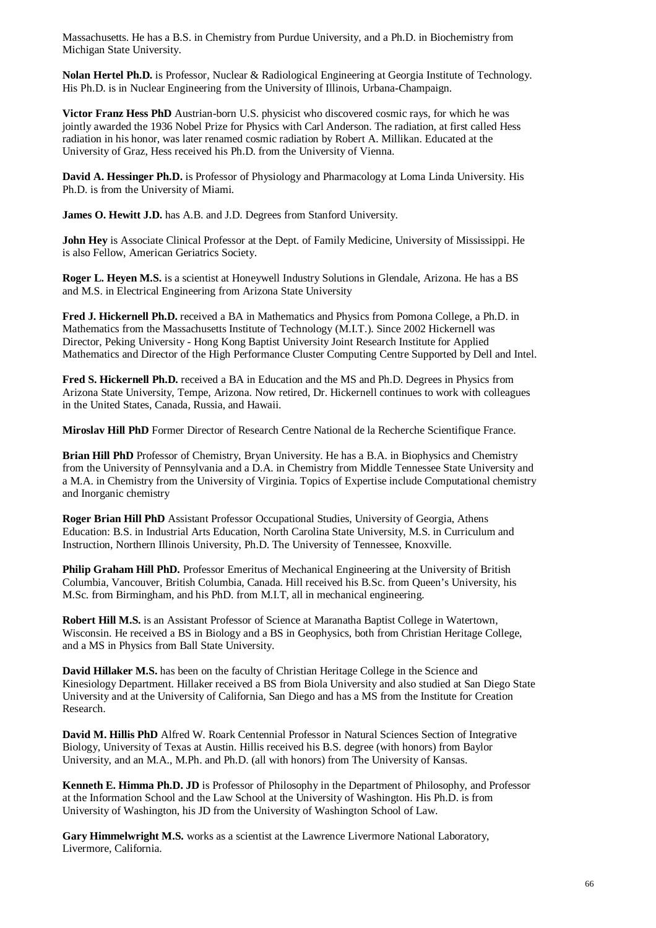Massachusetts. He has a B.S. in Chemistry from Purdue University, and a Ph.D. in Biochemistry from Michigan State University.

**Nolan Hertel Ph.D.** is Professor, Nuclear & Radiological Engineering at Georgia Institute of Technology. His Ph.D. is in Nuclear Engineering from the University of Illinois, Urbana-Champaign.

**Victor Franz Hess PhD** Austrian-born U.S. physicist who discovered cosmic rays, for which he was jointly awarded the 1936 Nobel Prize for Physics with Carl Anderson. The radiation, at first called Hess radiation in his honor, was later renamed cosmic radiation by Robert A. Millikan. Educated at the University of Graz, Hess received his Ph.D. from the University of Vienna.

**David A. Hessinger Ph.D.** is Professor of Physiology and Pharmacology at Loma Linda University. His Ph.D. is from the University of Miami.

**James O. Hewitt J.D.** has A.B. and J.D. Degrees from Stanford University.

**John Hey** is Associate Clinical Professor at the Dept. of Family Medicine, University of Mississippi. He is also Fellow, American Geriatrics Society.

**Roger L. Heyen M.S.** is a scientist at Honeywell Industry Solutions in Glendale, Arizona. He has a BS and M.S. in Electrical Engineering from Arizona State University

**Fred J. Hickernell Ph.D.** received a BA in Mathematics and Physics from Pomona College, a Ph.D. in Mathematics from the Massachusetts Institute of Technology (M.I.T.). Since 2002 Hickernell was Director, Peking University - Hong Kong Baptist University Joint Research Institute for Applied Mathematics and Director of the High Performance Cluster Computing Centre Supported by Dell and Intel.

**Fred S. Hickernell Ph.D.** received a BA in Education and the MS and Ph.D. Degrees in Physics from Arizona State University, Tempe, Arizona. Now retired, Dr. Hickernell continues to work with colleagues in the United States, Canada, Russia, and Hawaii.

**Miroslav Hill PhD** Former Director of Research Centre National de la Recherche Scientifique France.

**Brian Hill PhD** Professor of Chemistry, Bryan University. He has a B.A. in Biophysics and Chemistry from the University of Pennsylvania and a D.A. in Chemistry from Middle Tennessee State University and a M.A. in Chemistry from the University of Virginia. Topics of Expertise include Computational chemistry and Inorganic chemistry

**Roger Brian Hill PhD** Assistant Professor Occupational Studies, University of Georgia, Athens Education: B.S. in Industrial Arts Education, North Carolina State University, M.S. in Curriculum and Instruction, Northern Illinois University, Ph.D. The University of Tennessee, Knoxville.

**Philip Graham Hill PhD.** Professor Emeritus of Mechanical Engineering at the University of British Columbia, Vancouver, British Columbia, Canada. Hill received his B.Sc. from Queen's University, his M.Sc. from Birmingham, and his PhD. from M.I.T, all in mechanical engineering.

**Robert Hill M.S.** is an Assistant Professor of Science at Maranatha Baptist College in Watertown, Wisconsin. He received a BS in Biology and a BS in Geophysics, both from Christian Heritage College, and a MS in Physics from Ball State University.

**David Hillaker M.S.** has been on the faculty of Christian Heritage College in the Science and Kinesiology Department. Hillaker received a BS from Biola University and also studied at San Diego State University and at the University of California, San Diego and has a MS from the Institute for Creation Research.

**David M. Hillis PhD** Alfred W. Roark Centennial Professor in Natural Sciences Section of Integrative Biology, University of Texas at Austin. Hillis received his B.S. degree (with honors) from Baylor University, and an M.A., M.Ph. and Ph.D. (all with honors) from The University of Kansas.

**Kenneth E. Himma Ph.D. JD** is Professor of Philosophy in the Department of Philosophy, and Professor at the Information School and the Law School at the University of Washington. His Ph.D. is from University of Washington, his JD from the University of Washington School of Law.

Gary Himmelwright M.S. works as a scientist at the Lawrence Livermore National Laboratory, Livermore, California.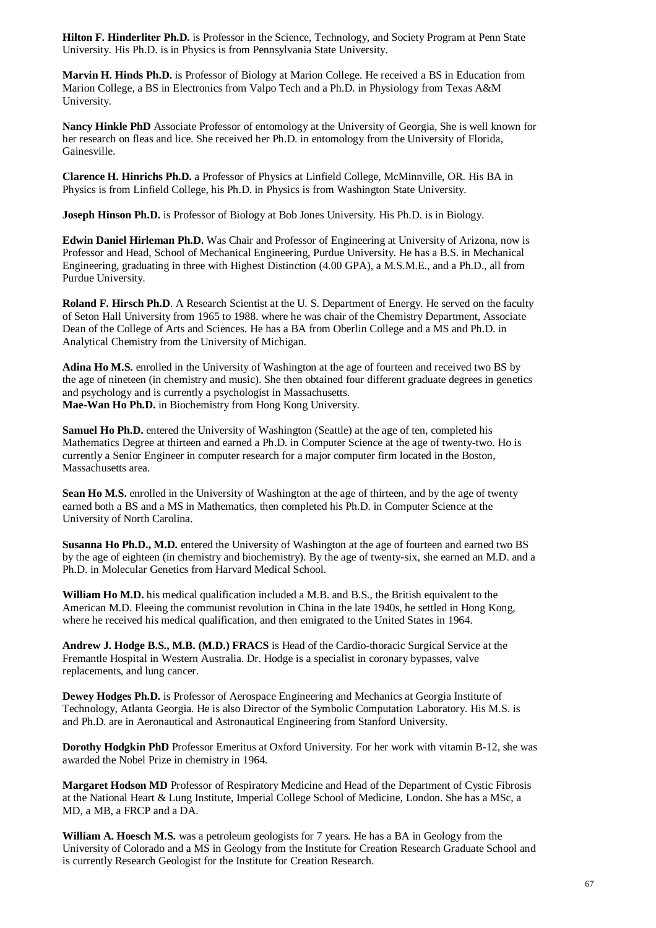**Hilton F. Hinderliter Ph.D.** is Professor in the Science, Technology, and Society Program at Penn State University. His Ph.D. is in Physics is from Pennsylvania State University.

**Marvin H. Hinds Ph.D.** is Professor of Biology at Marion College. He received a BS in Education from Marion College, a BS in Electronics from Valpo Tech and a Ph.D. in Physiology from Texas A&M University.

**Nancy Hinkle PhD** Associate Professor of entomology at the University of Georgia, She is well known for her research on fleas and lice. She received her Ph.D. in entomology from the University of Florida, Gainesville.

**Clarence H. Hinrichs Ph.D.** a Professor of Physics at Linfield College, McMinnville, OR. His BA in Physics is from Linfield College, his Ph.D. in Physics is from Washington State University.

**Joseph Hinson Ph.D.** is Professor of Biology at Bob Jones University. His Ph.D. is in Biology.

**Edwin Daniel Hirleman Ph.D.** Was Chair and Professor of Engineering at University of Arizona, now is Professor and Head, School of Mechanical Engineering, Purdue University. He has a B.S. in Mechanical Engineering, graduating in three with Highest Distinction (4.00 GPA), a M.S.M.E., and a Ph.D., all from Purdue University.

**Roland F. Hirsch Ph.D**. A Research Scientist at the U. S. Department of Energy. He served on the faculty of Seton Hall University from 1965 to 1988. where he was chair of the Chemistry Department, Associate Dean of the College of Arts and Sciences. He has a BA from Oberlin College and a MS and Ph.D. in Analytical Chemistry from the University of Michigan.

**Adina Ho M.S.** enrolled in the University of Washington at the age of fourteen and received two BS by the age of nineteen (in chemistry and music). She then obtained four different graduate degrees in genetics and psychology and is currently a psychologist in Massachusetts. **Mae-Wan Ho Ph.D.** in Biochemistry from Hong Kong University.

**Samuel Ho Ph.D.** entered the University of Washington (Seattle) at the age of ten, completed his Mathematics Degree at thirteen and earned a Ph.D. in Computer Science at the age of twenty-two. Ho is currently a Senior Engineer in computer research for a major computer firm located in the Boston, Massachusetts area.

**Sean Ho M.S.** enrolled in the University of Washington at the age of thirteen, and by the age of twenty earned both a BS and a MS in Mathematics, then completed his Ph.D. in Computer Science at the University of North Carolina.

**Susanna Ho Ph.D., M.D.** entered the University of Washington at the age of fourteen and earned two BS by the age of eighteen (in chemistry and biochemistry). By the age of twenty-six, she earned an M.D. and a Ph.D. in Molecular Genetics from Harvard Medical School.

**William Ho M.D.** his medical qualification included a M.B. and B.S., the British equivalent to the American M.D. Fleeing the communist revolution in China in the late 1940s, he settled in Hong Kong, where he received his medical qualification, and then emigrated to the United States in 1964.

**Andrew J. Hodge B.S., M.B. (M.D.) FRACS** is Head of the Cardio-thoracic Surgical Service at the Fremantle Hospital in Western Australia. Dr. Hodge is a specialist in coronary bypasses, valve replacements, and lung cancer.

**Dewey Hodges Ph.D.** is Professor of Aerospace Engineering and Mechanics at Georgia Institute of Technology, Atlanta Georgia. He is also Director of the Symbolic Computation Laboratory. His M.S. is and Ph.D. are in Aeronautical and Astronautical Engineering from Stanford University.

**Dorothy Hodgkin PhD** Professor Emeritus at Oxford University. For her work with vitamin B-12, she was awarded the Nobel Prize in chemistry in 1964.

**Margaret Hodson MD** Professor of Respiratory Medicine and Head of the Department of Cystic Fibrosis at the National Heart & Lung Institute, Imperial College School of Medicine, London. She has a MSc, a MD, a MB, a FRCP and a DA.

**William A. Hoesch M.S.** was a petroleum geologists for 7 years. He has a BA in Geology from the University of Colorado and a MS in Geology from the Institute for Creation Research Graduate School and is currently Research Geologist for the Institute for Creation Research.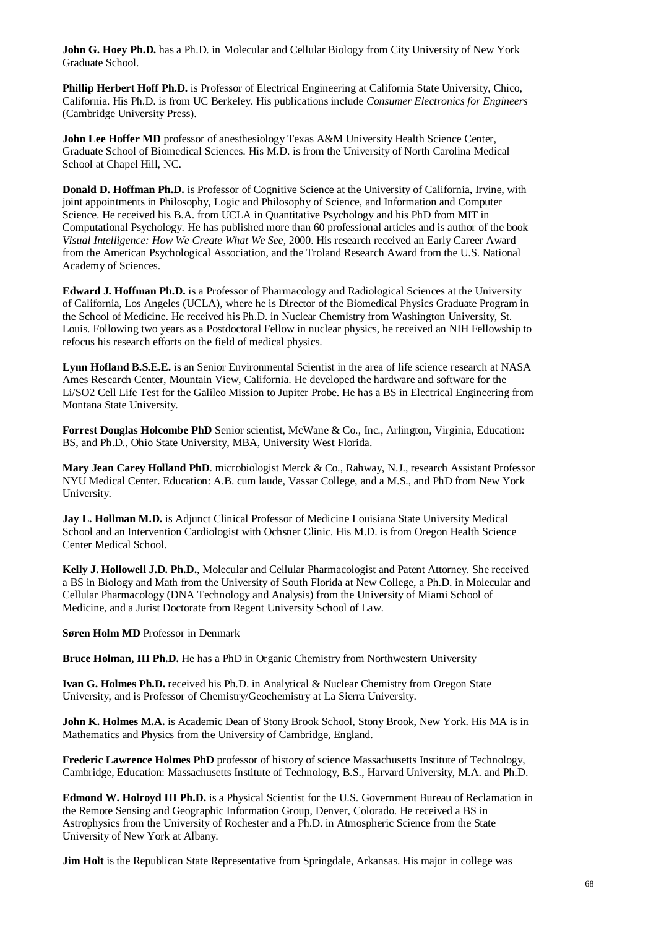**John G. Hoey Ph.D.** has a Ph.D. in Molecular and Cellular Biology from City University of New York Graduate School.

**Phillip Herbert Hoff Ph.D.** is Professor of Electrical Engineering at California State University, Chico, California. His Ph.D. is from UC Berkeley. His publications include *Consumer Electronics for Engineers* (Cambridge University Press).

John Lee Hoffer MD professor of anesthesiology Texas A&M University Health Science Center, Graduate School of Biomedical Sciences. His M.D. is from the University of North Carolina Medical School at Chapel Hill, NC.

**Donald D. Hoffman Ph.D.** is Professor of Cognitive Science at the University of California, Irvine, with joint appointments in Philosophy, Logic and Philosophy of Science, and Information and Computer Science. He received his B.A. from UCLA in Quantitative Psychology and his PhD from MIT in Computational Psychology. He has published more than 60 professional articles and is author of the book *Visual Intelligence: How We Create What We See*, 2000. His research received an Early Career Award from the American Psychological Association, and the Troland Research Award from the U.S. National Academy of Sciences.

**Edward J. Hoffman Ph.D.** is a Professor of Pharmacology and Radiological Sciences at the University of California, Los Angeles (UCLA), where he is Director of the Biomedical Physics Graduate Program in the School of Medicine. He received his Ph.D. in Nuclear Chemistry from Washington University, St. Louis. Following two years as a Postdoctoral Fellow in nuclear physics, he received an NIH Fellowship to refocus his research efforts on the field of medical physics.

**Lynn Hofland B.S.E.E.** is an Senior Environmental Scientist in the area of life science research at NASA Ames Research Center, Mountain View, California. He developed the hardware and software for the Li/SO2 Cell Life Test for the Galileo Mission to Jupiter Probe. He has a BS in Electrical Engineering from Montana State University.

**Forrest Douglas Holcombe PhD** Senior scientist, McWane & Co., Inc., Arlington, Virginia, Education: BS, and Ph.D., Ohio State University, MBA, University West Florida.

**Mary Jean Carey Holland PhD**. microbiologist Merck & Co., Rahway, N.J., research Assistant Professor NYU Medical Center. Education: A.B. cum laude, Vassar College, and a M.S., and PhD from New York University.

**Jay L. Hollman M.D.** is Adjunct Clinical Professor of Medicine Louisiana State University Medical School and an Intervention Cardiologist with Ochsner Clinic. His M.D. is from Oregon Health Science Center Medical School.

**Kelly J. Hollowell J.D. Ph.D.**, Molecular and Cellular Pharmacologist and Patent Attorney. She received a BS in Biology and Math from the University of South Florida at New College, a Ph.D. in Molecular and Cellular Pharmacology (DNA Technology and Analysis) from the University of Miami School of Medicine, and a Jurist Doctorate from Regent University School of Law.

**Søren Holm MD** Professor in Denmark

**Bruce Holman, III Ph.D.** He has a PhD in Organic Chemistry from Northwestern University

**Ivan G. Holmes Ph.D.** received his Ph.D. in Analytical & Nuclear Chemistry from Oregon State University, and is Professor of Chemistry/Geochemistry at La Sierra University.

**John K. Holmes M.A.** is Academic Dean of Stony Brook School, Stony Brook, New York. His MA is in Mathematics and Physics from the University of Cambridge, England.

**Frederic Lawrence Holmes PhD** professor of history of science Massachusetts Institute of Technology, Cambridge, Education: Massachusetts Institute of Technology, B.S., Harvard University, M.A. and Ph.D.

**Edmond W. Holroyd III Ph.D.** is a Physical Scientist for the U.S. Government Bureau of Reclamation in the Remote Sensing and Geographic Information Group, Denver, Colorado. He received a BS in Astrophysics from the University of Rochester and a Ph.D. in Atmospheric Science from the State University of New York at Albany.

**Jim Holt** is the Republican State Representative from Springdale, Arkansas. His major in college was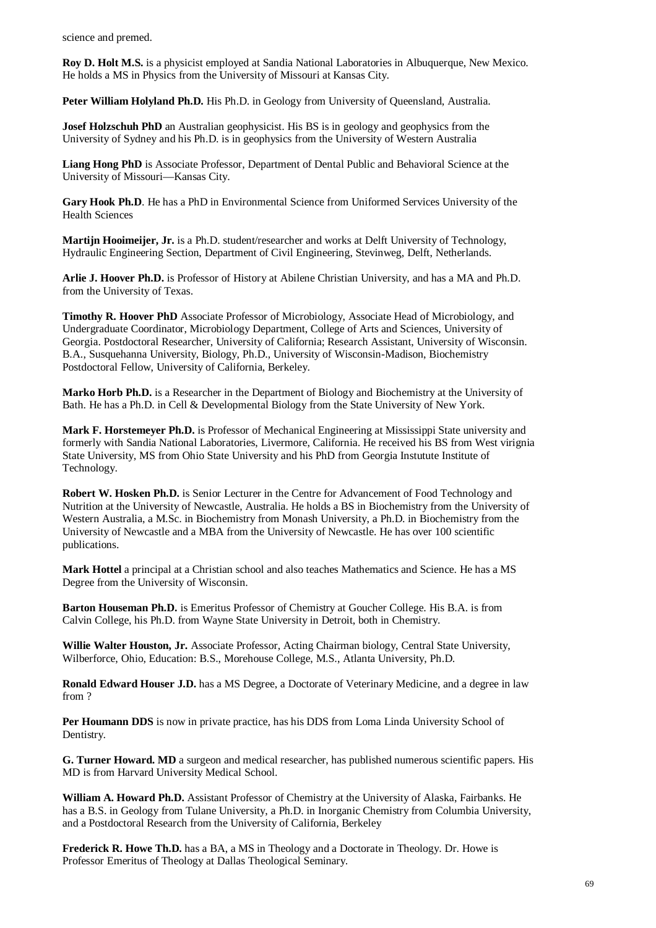science and premed.

**Roy D. Holt M.S.** is a physicist employed at Sandia National Laboratories in Albuquerque, New Mexico. He holds a MS in Physics from the University of Missouri at Kansas City.

Peter William Holyland Ph.D. His Ph.D. in Geology from University of Queensland, Australia.

**Josef Holzschuh PhD** an Australian geophysicist. His BS is in geology and geophysics from the University of Sydney and his Ph.D. is in geophysics from the University of Western Australia

**Liang Hong PhD** is Associate Professor, Department of Dental Public and Behavioral Science at the University of Missouri—Kansas City.

**Gary Hook Ph.D**. He has a PhD in Environmental Science from Uniformed Services University of the Health Sciences

**Martijn Hooimeijer, Jr.** is a Ph.D. student/researcher and works at Delft University of Technology, Hydraulic Engineering Section, Department of Civil Engineering, Stevinweg, Delft, Netherlands.

**Arlie J. Hoover Ph.D.** is Professor of History at Abilene Christian University, and has a MA and Ph.D. from the University of Texas.

**Timothy R. Hoover PhD** Associate Professor of Microbiology, Associate Head of Microbiology, and Undergraduate Coordinator, Microbiology Department, College of Arts and Sciences, University of Georgia. Postdoctoral Researcher, University of California; Research Assistant, University of Wisconsin. B.A., Susquehanna University, Biology, Ph.D., University of Wisconsin-Madison, Biochemistry Postdoctoral Fellow, University of California, Berkeley.

**Marko Horb Ph.D.** is a Researcher in the Department of Biology and Biochemistry at the University of Bath. He has a Ph.D. in Cell & Developmental Biology from the State University of New York.

**Mark F. Horstemeyer Ph.D.** is Professor of Mechanical Engineering at Mississippi State university and formerly with Sandia National Laboratories, Livermore, California. He received his BS from West virignia State University, MS from Ohio State University and his PhD from Georgia Instutute Institute of Technology.

**Robert W. Hosken Ph.D.** is Senior Lecturer in the Centre for Advancement of Food Technology and Nutrition at the University of Newcastle, Australia. He holds a BS in Biochemistry from the University of Western Australia, a M.Sc. in Biochemistry from Monash University, a Ph.D. in Biochemistry from the University of Newcastle and a MBA from the University of Newcastle. He has over 100 scientific publications.

**Mark Hottel** a principal at a Christian school and also teaches Mathematics and Science. He has a MS Degree from the University of Wisconsin.

**Barton Houseman Ph.D.** is Emeritus Professor of Chemistry at Goucher College. His B.A. is from Calvin College, his Ph.D. from Wayne State University in Detroit, both in Chemistry.

**Willie Walter Houston, Jr.** Associate Professor, Acting Chairman biology, Central State University, Wilberforce, Ohio, Education: B.S., Morehouse College, M.S., Atlanta University, Ph.D.

**Ronald Edward Houser J.D.** has a MS Degree, a Doctorate of Veterinary Medicine, and a degree in law from ?

**Per Houmann DDS** is now in private practice, has his DDS from Loma Linda University School of Dentistry.

**G. Turner Howard. MD** a surgeon and medical researcher, has published numerous scientific papers. His MD is from Harvard University Medical School.

**William A. Howard Ph.D.** Assistant Professor of Chemistry at the University of Alaska, Fairbanks. He has a B.S. in Geology from Tulane University, a Ph.D. in Inorganic Chemistry from Columbia University, and a Postdoctoral Research from the University of California, Berkeley

**Frederick R. Howe Th.D.** has a BA, a MS in Theology and a Doctorate in Theology. Dr. Howe is Professor Emeritus of Theology at Dallas Theological Seminary.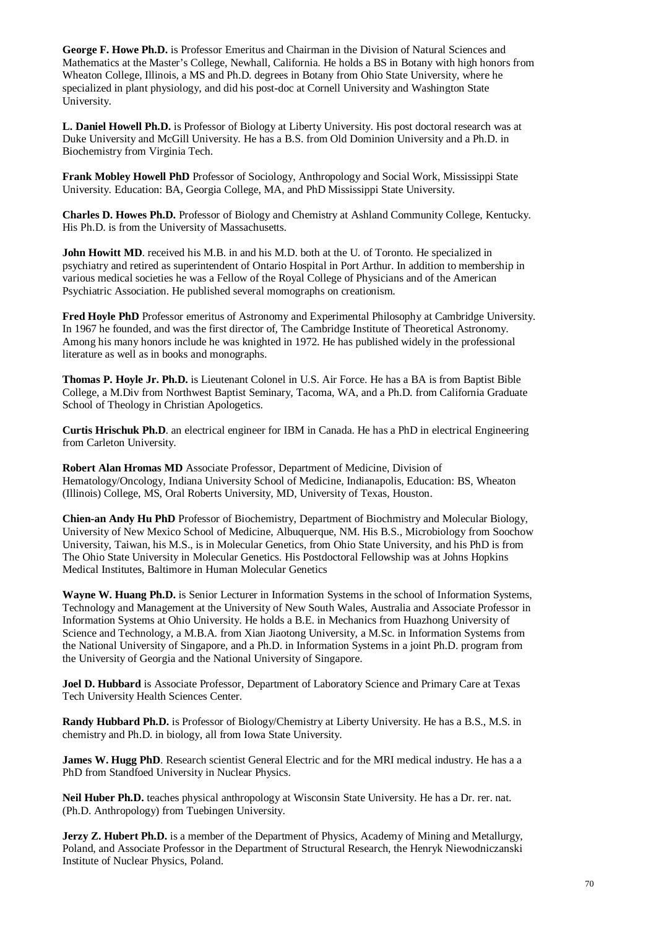**George F. Howe Ph.D.** is Professor Emeritus and Chairman in the Division of Natural Sciences and Mathematics at the Master's College, Newhall, California. He holds a BS in Botany with high honors from Wheaton College, Illinois, a MS and Ph.D. degrees in Botany from Ohio State University, where he specialized in plant physiology, and did his post-doc at Cornell University and Washington State University.

**L. Daniel Howell Ph.D.** is Professor of Biology at Liberty University. His post doctoral research was at Duke University and McGill University. He has a B.S. from Old Dominion University and a Ph.D. in Biochemistry from Virginia Tech.

**Frank Mobley Howell PhD** Professor of Sociology, Anthropology and Social Work, Mississippi State University. Education: BA, Georgia College, MA, and PhD Mississippi State University.

**Charles D. Howes Ph.D.** Professor of Biology and Chemistry at Ashland Community College, Kentucky. His Ph.D. is from the University of Massachusetts.

**John Howitt MD**. received his M.B. in and his M.D. both at the U. of Toronto. He specialized in psychiatry and retired as superintendent of Ontario Hospital in Port Arthur. In addition to membership in various medical societies he was a Fellow of the Royal College of Physicians and of the American Psychiatric Association. He published several momographs on creationism.

**Fred Hoyle PhD** Professor emeritus of Astronomy and Experimental Philosophy at Cambridge University. In 1967 he founded, and was the first director of, The Cambridge Institute of Theoretical Astronomy. Among his many honors include he was knighted in 1972. He has published widely in the professional literature as well as in books and monographs.

**Thomas P. Hoyle Jr. Ph.D.** is Lieutenant Colonel in U.S. Air Force. He has a BA is from Baptist Bible College, a M.Div from Northwest Baptist Seminary, Tacoma, WA, and a Ph.D. from California Graduate School of Theology in Christian Apologetics.

**Curtis Hrischuk Ph.D**. an electrical engineer for IBM in Canada. He has a PhD in electrical Engineering from Carleton University.

**Robert Alan Hromas MD** Associate Professor, Department of Medicine, Division of Hematology/Oncology, Indiana University School of Medicine, Indianapolis, Education: BS, Wheaton (Illinois) College, MS, Oral Roberts University, MD, University of Texas, Houston.

**Chien-an Andy Hu PhD** Professor of Biochemistry, Department of Biochmistry and Molecular Biology, University of New Mexico School of Medicine, Albuquerque, NM. His B.S., Microbiology from Soochow University, Taiwan, his M.S., is in Molecular Genetics, from Ohio State University, and his PhD is from The Ohio State University in Molecular Genetics. His Postdoctoral Fellowship was at Johns Hopkins Medical Institutes, Baltimore in Human Molecular Genetics

**Wayne W. Huang Ph.D.** is Senior Lecturer in Information Systems in the school of Information Systems, Technology and Management at the University of New South Wales, Australia and Associate Professor in Information Systems at Ohio University. He holds a B.E. in Mechanics from Huazhong University of Science and Technology, a M.B.A. from Xian Jiaotong University, a M.Sc. in Information Systems from the National University of Singapore, and a Ph.D. in Information Systems in a joint Ph.D. program from the University of Georgia and the National University of Singapore.

**Joel D. Hubbard** is Associate Professor, Department of Laboratory Science and Primary Care at Texas Tech University Health Sciences Center.

**Randy Hubbard Ph.D.** is Professor of Biology/Chemistry at Liberty University. He has a B.S., M.S. in chemistry and Ph.D. in biology, all from Iowa State University.

**James W. Hugg PhD**. Research scientist General Electric and for the MRI medical industry. He has a a PhD from Standfoed University in Nuclear Physics.

**Neil Huber Ph.D.** teaches physical anthropology at Wisconsin State University. He has a Dr. rer. nat. (Ph.D. Anthropology) from Tuebingen University.

**Jerzy Z. Hubert Ph.D.** is a member of the Department of Physics, Academy of Mining and Metallurgy, Poland, and Associate Professor in the Department of Structural Research, the Henryk Niewodniczanski Institute of Nuclear Physics, Poland.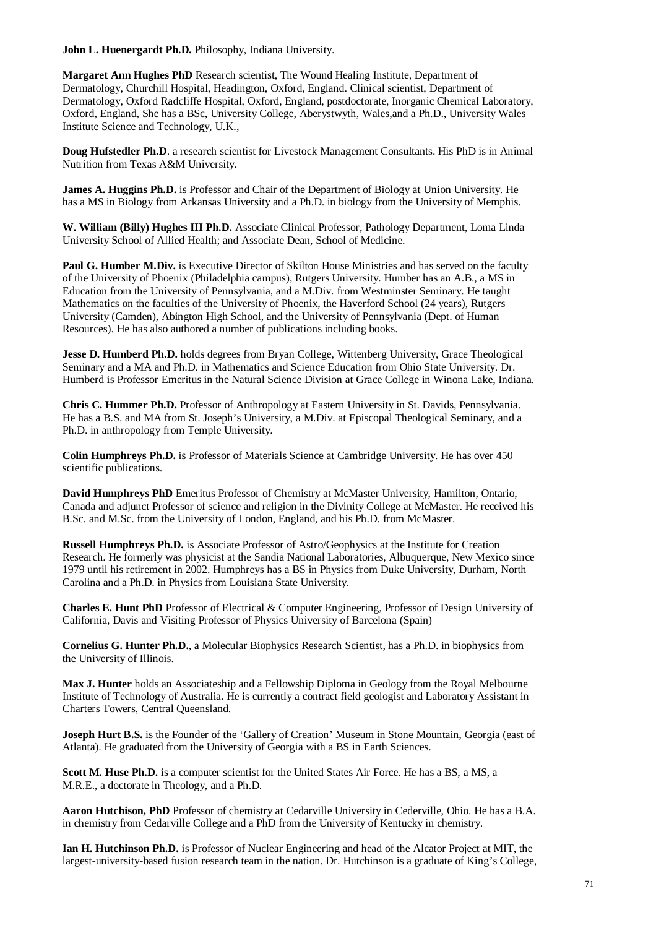**John L. Huenergardt Ph.D.** Philosophy, Indiana University.

**Margaret Ann Hughes PhD** Research scientist, The Wound Healing Institute, Department of Dermatology, Churchill Hospital, Headington, Oxford, England. Clinical scientist, Department of Dermatology, Oxford Radcliffe Hospital, Oxford, England, postdoctorate, Inorganic Chemical Laboratory, Oxford, England, She has a BSc, University College, Aberystwyth, Wales,and a Ph.D., University Wales Institute Science and Technology, U.K.,

**Doug Hufstedler Ph.D.** a research scientist for Livestock Management Consultants. His PhD is in Animal Nutrition from Texas A&M University.

**James A. Huggins Ph.D.** is Professor and Chair of the Department of Biology at Union University. He has a MS in Biology from Arkansas University and a Ph.D. in biology from the University of Memphis.

**W. William (Billy) Hughes III Ph.D.** Associate Clinical Professor, Pathology Department, Loma Linda University School of Allied Health; and Associate Dean, School of Medicine.

**Paul G. Humber M.Div.** is Executive Director of Skilton House Ministries and has served on the faculty of the University of Phoenix (Philadelphia campus), Rutgers University. Humber has an A.B., a MS in Education from the University of Pennsylvania, and a M.Div. from Westminster Seminary. He taught Mathematics on the faculties of the University of Phoenix, the Haverford School (24 years), Rutgers University (Camden), Abington High School, and the University of Pennsylvania (Dept. of Human Resources). He has also authored a number of publications including books.

**Jesse D. Humberd Ph.D.** holds degrees from Bryan College, Wittenberg University, Grace Theological Seminary and a MA and Ph.D. in Mathematics and Science Education from Ohio State University. Dr. Humberd is Professor Emeritus in the Natural Science Division at Grace College in Winona Lake, Indiana.

**Chris C. Hummer Ph.D.** Professor of Anthropology at Eastern University in St. Davids, Pennsylvania. He has a B.S. and MA from St. Joseph's University, a M.Div. at Episcopal Theological Seminary, and a Ph.D. in anthropology from Temple University.

**Colin Humphreys Ph.D.** is Professor of Materials Science at Cambridge University. He has over 450 scientific publications.

**David Humphreys PhD** Emeritus Professor of Chemistry at McMaster University, Hamilton, Ontario, Canada and adjunct Professor of science and religion in the Divinity College at McMaster. He received his B.Sc. and M.Sc. from the University of London, England, and his Ph.D. from McMaster.

**Russell Humphreys Ph.D.** is Associate Professor of Astro/Geophysics at the Institute for Creation Research. He formerly was physicist at the Sandia National Laboratories, Albuquerque, New Mexico since 1979 until his retirement in 2002. Humphreys has a BS in Physics from Duke University, Durham, North Carolina and a Ph.D. in Physics from Louisiana State University.

**Charles E. Hunt PhD** Professor of Electrical & Computer Engineering, Professor of Design University of California, Davis and Visiting Professor of Physics University of Barcelona (Spain)

**Cornelius G. Hunter Ph.D.**, a Molecular Biophysics Research Scientist, has a Ph.D. in biophysics from the University of Illinois.

**Max J. Hunter** holds an Associateship and a Fellowship Diploma in Geology from the Royal Melbourne Institute of Technology of Australia. He is currently a contract field geologist and Laboratory Assistant in Charters Towers, Central Queensland.

**Joseph Hurt B.S.** is the Founder of the 'Gallery of Creation' Museum in Stone Mountain, Georgia (east of Atlanta). He graduated from the University of Georgia with a BS in Earth Sciences.

**Scott M. Huse Ph.D.** is a computer scientist for the United States Air Force. He has a BS, a MS, a M.R.E., a doctorate in Theology, and a Ph.D.

**Aaron Hutchison, PhD** Professor of chemistry at Cedarville University in Cederville, Ohio. He has a B.A. in chemistry from Cedarville College and a PhD from the University of Kentucky in chemistry.

**Ian H. Hutchinson Ph.D.** is Professor of Nuclear Engineering and head of the Alcator Project at MIT, the largest-university-based fusion research team in the nation. Dr. Hutchinson is a graduate of King's College,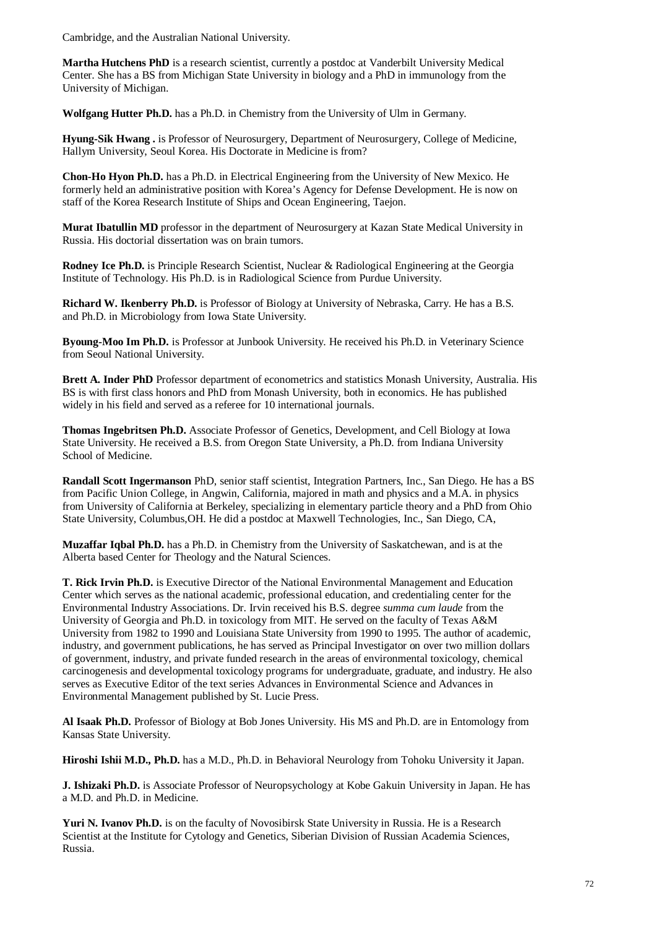Cambridge, and the Australian National University.

**Martha Hutchens PhD** is a research scientist, currently a postdoc at Vanderbilt University Medical Center. She has a BS from Michigan State University in biology and a PhD in immunology from the University of Michigan.

**Wolfgang Hutter Ph.D.** has a Ph.D. in Chemistry from the University of Ulm in Germany.

**Hyung-Sik Hwang .** is Professor of Neurosurgery, Department of Neurosurgery, College of Medicine, Hallym University, Seoul Korea. His Doctorate in Medicine is from?

**Chon-Ho Hyon Ph.D.** has a Ph.D. in Electrical Engineering from the University of New Mexico. He formerly held an administrative position with Korea's Agency for Defense Development. He is now on staff of the Korea Research Institute of Ships and Ocean Engineering, Taejon.

**Murat Ibatullin MD** professor in the department of Neurosurgery at Kazan State Medical University in Russia. His doctorial dissertation was on brain tumors.

**Rodney Ice Ph.D.** is Principle Research Scientist, Nuclear & Radiological Engineering at the Georgia Institute of Technology. His Ph.D. is in Radiological Science from Purdue University.

**Richard W. Ikenberry Ph.D.** is Professor of Biology at University of Nebraska, Carry. He has a B.S. and Ph.D. in Microbiology from Iowa State University.

**Byoung-Moo Im Ph.D.** is Professor at Junbook University. He received his Ph.D. in Veterinary Science from Seoul National University.

**Brett A. Inder PhD** Professor department of econometrics and statistics Monash University, Australia. His BS is with first class honors and PhD from Monash University, both in economics. He has published widely in his field and served as a referee for 10 international journals.

**Thomas Ingebritsen Ph.D.** Associate Professor of Genetics, Development, and Cell Biology at Iowa State University. He received a B.S. from Oregon State University, a Ph.D. from Indiana University School of Medicine.

**Randall Scott Ingermanson** PhD, senior staff scientist, Integration Partners, Inc., San Diego. He has a BS from Pacific Union College, in Angwin, California, majored in math and physics and a M.A. in physics from University of California at Berkeley, specializing in elementary particle theory and a PhD from Ohio State University, Columbus,OH. He did a postdoc at Maxwell Technologies, Inc., San Diego, CA,

**Muzaffar Iqbal Ph.D.** has a Ph.D. in Chemistry from the University of Saskatchewan, and is at the Alberta based Center for Theology and the Natural Sciences.

**T. Rick Irvin Ph.D.** is Executive Director of the National Environmental Management and Education Center which serves as the national academic, professional education, and credentialing center for the Environmental Industry Associations. Dr. Irvin received his B.S. degree *summa cum laude* from the University of Georgia and Ph.D. in toxicology from MIT. He served on the faculty of Texas A&M University from 1982 to 1990 and Louisiana State University from 1990 to 1995. The author of academic, industry, and government publications, he has served as Principal Investigator on over two million dollars of government, industry, and private funded research in the areas of environmental toxicology, chemical carcinogenesis and developmental toxicology programs for undergraduate, graduate, and industry. He also serves as Executive Editor of the text series Advances in Environmental Science and Advances in Environmental Management published by St. Lucie Press.

**Al Isaak Ph.D.** Professor of Biology at Bob Jones University. His MS and Ph.D. are in Entomology from Kansas State University.

**Hiroshi Ishii M.D., Ph.D.** has a M.D., Ph.D. in Behavioral Neurology from Tohoku University it Japan.

**J. Ishizaki Ph.D.** is Associate Professor of Neuropsychology at Kobe Gakuin University in Japan. He has a M.D. and Ph.D. in Medicine.

**Yuri N. Ivanov Ph.D.** is on the faculty of Novosibirsk State University in Russia. He is a Research Scientist at the Institute for Cytology and Genetics, Siberian Division of Russian Academia Sciences, Russia.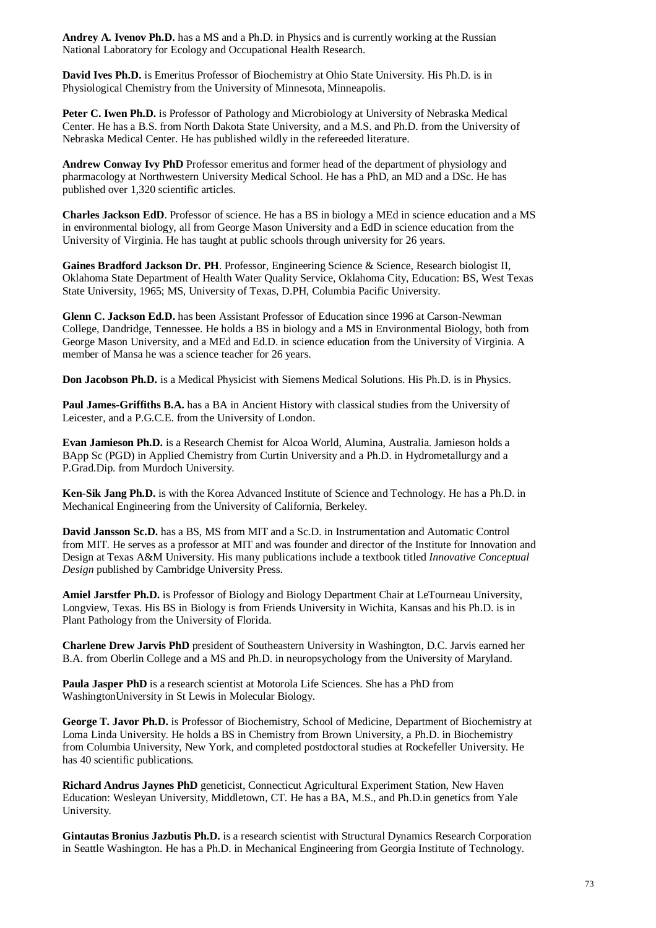**Andrey A. Ivenov Ph.D.** has a MS and a Ph.D. in Physics and is currently working at the Russian National Laboratory for Ecology and Occupational Health Research.

**David Ives Ph.D.** is Emeritus Professor of Biochemistry at Ohio State University. His Ph.D. is in Physiological Chemistry from the University of Minnesota, Minneapolis.

**Peter C. Iwen Ph.D.** is Professor of Pathology and Microbiology at University of Nebraska Medical Center. He has a B.S. from North Dakota State University, and a M.S. and Ph.D. from the University of Nebraska Medical Center. He has published wildly in the refereeded literature.

**Andrew Conway Ivy PhD** Professor emeritus and former head of the department of physiology and pharmacology at Northwestern University Medical School. He has a PhD, an MD and a DSc. He has published over 1,320 scientific articles.

**Charles Jackson EdD**. Professor of science. He has a BS in biology a MEd in science education and a MS in environmental biology, all from George Mason University and a EdD in science education from the University of Virginia. He has taught at public schools through university for 26 years.

**Gaines Bradford Jackson Dr. PH**. Professor, Engineering Science & Science, Research biologist II, Oklahoma State Department of Health Water Quality Service, Oklahoma City, Education: BS, West Texas State University, 1965; MS, University of Texas, D.PH, Columbia Pacific University.

**Glenn C. Jackson Ed.D.** has been Assistant Professor of Education since 1996 at Carson-Newman College, Dandridge, Tennessee. He holds a BS in biology and a MS in Environmental Biology, both from George Mason University, and a MEd and Ed.D. in science education from the University of Virginia. A member of Mansa he was a science teacher for 26 years.

**Don Jacobson Ph.D.** is a Medical Physicist with Siemens Medical Solutions. His Ph.D. is in Physics.

**Paul James-Griffiths B.A.** has a BA in Ancient History with classical studies from the University of Leicester, and a P.G.C.E. from the University of London.

**Evan Jamieson Ph.D.** is a Research Chemist for Alcoa World, Alumina, Australia. Jamieson holds a BApp Sc (PGD) in Applied Chemistry from Curtin University and a Ph.D. in Hydrometallurgy and a P.Grad.Dip. from Murdoch University.

**Ken-Sik Jang Ph.D.** is with the Korea Advanced Institute of Science and Technology. He has a Ph.D. in Mechanical Engineering from the University of California, Berkeley.

**David Jansson Sc.D.** has a BS, MS from MIT and a Sc.D. in Instrumentation and Automatic Control from MIT. He serves as a professor at MIT and was founder and director of the Institute for Innovation and Design at Texas A&M University. His many publications include a textbook titled *Innovative Conceptual Design* published by Cambridge University Press.

**Amiel Jarstfer Ph.D.** is Professor of Biology and Biology Department Chair at LeTourneau University, Longview, Texas. His BS in Biology is from Friends University in Wichita, Kansas and his Ph.D. is in Plant Pathology from the University of Florida.

**Charlene Drew Jarvis PhD** president of Southeastern University in Washington, D.C. Jarvis earned her B.A. from Oberlin College and a MS and Ph.D. in neuropsychology from the University of Maryland.

**Paula Jasper PhD** is a research scientist at Motorola Life Sciences. She has a PhD from WashingtonUniversity in St Lewis in Molecular Biology.

**George T. Javor Ph.D.** is Professor of Biochemistry, School of Medicine, Department of Biochemistry at Loma Linda University. He holds a BS in Chemistry from Brown University, a Ph.D. in Biochemistry from Columbia University, New York, and completed postdoctoral studies at Rockefeller University. He has 40 scientific publications.

**Richard Andrus Jaynes PhD** geneticist, Connecticut Agricultural Experiment Station, New Haven Education: Wesleyan University, Middletown, CT. He has a BA, M.S., and Ph.D.in genetics from Yale University.

**Gintautas Bronius Jazbutis Ph.D.** is a research scientist with Structural Dynamics Research Corporation in Seattle Washington. He has a Ph.D. in Mechanical Engineering from Georgia Institute of Technology.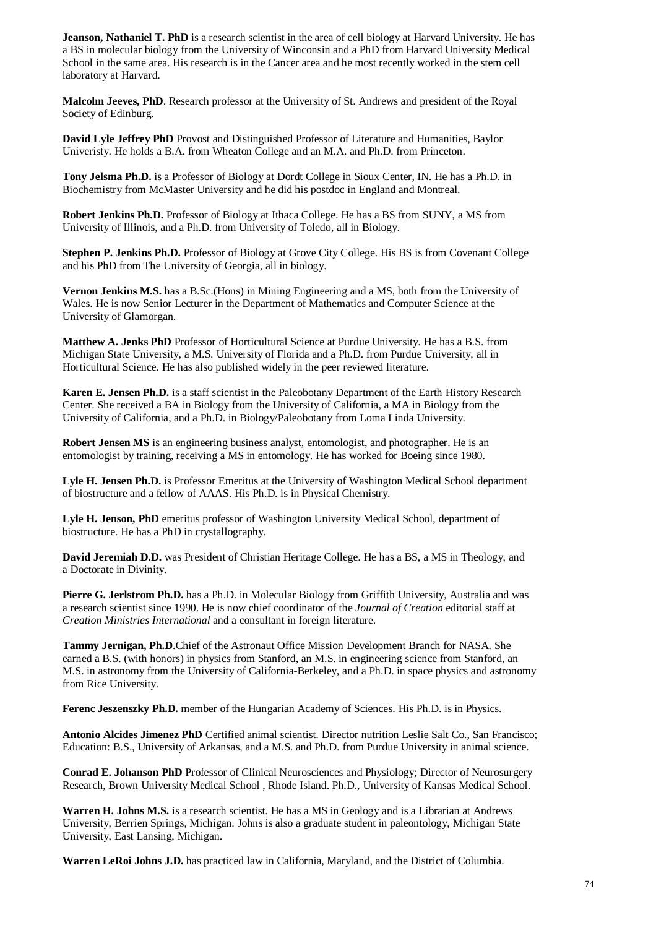**Jeanson, Nathaniel T. PhD** is a research scientist in the area of cell biology at Harvard University. He has a BS in molecular biology from the University of Winconsin and a PhD from Harvard University Medical School in the same area. His research is in the Cancer area and he most recently worked in the stem cell laboratory at Harvard.

**Malcolm Jeeves, PhD**. Research professor at the University of St. Andrews and president of the Royal Society of Edinburg.

**David Lyle Jeffrey PhD** Provost and Distinguished Professor of Literature and Humanities, Baylor Univeristy. He holds a B.A. from Wheaton College and an M.A. and Ph.D. from Princeton.

**Tony Jelsma Ph.D.** is a Professor of Biology at Dordt College in Sioux Center, IN. He has a Ph.D. in Biochemistry from McMaster University and he did his postdoc in England and Montreal.

**Robert Jenkins Ph.D.** Professor of Biology at Ithaca College. He has a BS from SUNY, a MS from University of Illinois, and a Ph.D. from University of Toledo, all in Biology.

**Stephen P. Jenkins Ph.D.** Professor of Biology at Grove City College. His BS is from Covenant College and his PhD from The University of Georgia, all in biology.

**Vernon Jenkins M.S.** has a B.Sc.(Hons) in Mining Engineering and a MS, both from the University of Wales. He is now Senior Lecturer in the Department of Mathematics and Computer Science at the University of Glamorgan.

**Matthew A. Jenks PhD** Professor of Horticultural Science at Purdue University. He has a B.S. from Michigan State University, a M.S. University of Florida and a Ph.D. from Purdue University, all in Horticultural Science. He has also published widely in the peer reviewed literature.

**Karen E. Jensen Ph.D.** is a staff scientist in the Paleobotany Department of the Earth History Research Center. She received a BA in Biology from the University of California, a MA in Biology from the University of California, and a Ph.D. in Biology/Paleobotany from Loma Linda University.

**Robert Jensen MS** is an engineering business analyst, entomologist, and photographer. He is an entomologist by training, receiving a MS in entomology. He has worked for Boeing since 1980.

**Lyle H. Jensen Ph.D.** is Professor Emeritus at the University of Washington Medical School department of biostructure and a fellow of AAAS. His Ph.D. is in Physical Chemistry.

**Lyle H. Jenson, PhD** emeritus professor of Washington University Medical School, department of biostructure. He has a PhD in crystallography.

**David Jeremiah D.D.** was President of Christian Heritage College. He has a BS, a MS in Theology, and a Doctorate in Divinity.

**Pierre G. Jerlstrom Ph.D.** has a Ph.D. in Molecular Biology from Griffith University, Australia and was a research scientist since 1990. He is now chief coordinator of the *Journal of Creation* editorial staff at *Creation Ministries International* and a consultant in foreign literature.

**Tammy Jernigan, Ph.D**.Chief of the Astronaut Office Mission Development Branch for NASA. She earned a B.S. (with honors) in physics from Stanford, an M.S. in engineering science from Stanford, an M.S. in astronomy from the University of California-Berkeley, and a Ph.D. in space physics and astronomy from Rice University.

**Ferenc Jeszenszky Ph.D.** member of the Hungarian Academy of Sciences. His Ph.D. is in Physics.

**Antonio Alcides Jimenez PhD** Certified animal scientist. Director nutrition Leslie Salt Co., San Francisco; Education: B.S., University of Arkansas, and a M.S. and Ph.D. from Purdue University in animal science.

**Conrad E. Johanson PhD** Professor of Clinical Neurosciences and Physiology; Director of Neurosurgery Research, Brown University Medical School , Rhode Island. Ph.D., University of Kansas Medical School.

**Warren H. Johns M.S.** is a research scientist. He has a MS in Geology and is a Librarian at Andrews University, Berrien Springs, Michigan. Johns is also a graduate student in paleontology, Michigan State University, East Lansing, Michigan.

**Warren LeRoi Johns J.D.** has practiced law in California, Maryland, and the District of Columbia.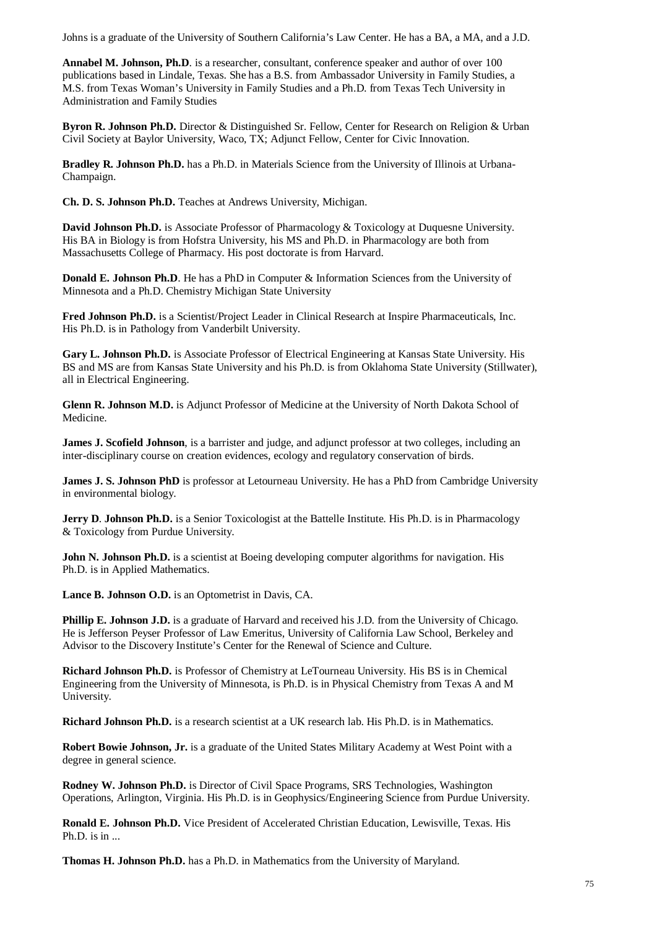Johns is a graduate of the University of Southern California's Law Center. He has a BA, a MA, and a J.D.

**Annabel M. Johnson, Ph.D**. is a researcher, consultant, conference speaker and author of over 100 publications based in Lindale, Texas. She has a B.S. from Ambassador University in Family Studies, a M.S. from Texas Woman's University in Family Studies and a Ph.D. from Texas Tech University in Administration and Family Studies

**Byron R. Johnson Ph.D.** Director & Distinguished Sr. Fellow, Center for Research on Religion & Urban Civil Society at Baylor University, Waco, TX; Adjunct Fellow, Center for Civic Innovation.

**Bradley R. Johnson Ph.D.** has a Ph.D. in Materials Science from the University of Illinois at Urbana-Champaign.

**Ch. D. S. Johnson Ph.D.** Teaches at Andrews University, Michigan.

**David Johnson Ph.D.** is Associate Professor of Pharmacology & Toxicology at Duquesne University. His BA in Biology is from Hofstra University, his MS and Ph.D. in Pharmacology are both from Massachusetts College of Pharmacy. His post doctorate is from Harvard.

**Donald E. Johnson Ph.D**. He has a PhD in Computer & Information Sciences from the University of Minnesota and a Ph.D. Chemistry Michigan State University

**Fred Johnson Ph.D.** is a Scientist/Project Leader in Clinical Research at Inspire Pharmaceuticals, Inc. His Ph.D. is in Pathology from Vanderbilt University.

**Gary L. Johnson Ph.D.** is Associate Professor of Electrical Engineering at Kansas State University. His BS and MS are from Kansas State University and his Ph.D. is from Oklahoma State University (Stillwater), all in Electrical Engineering.

**Glenn R. Johnson M.D.** is Adjunct Professor of Medicine at the University of North Dakota School of Medicine.

**James J. Scofield Johnson**, is a barrister and judge, and adjunct professor at two colleges, including an inter-disciplinary course on creation evidences, ecology and regulatory conservation of birds.

**James J. S. Johnson PhD** is professor at Letourneau University. He has a PhD from Cambridge University in environmental biology.

**Jerry D. Johnson Ph.D.** is a Senior Toxicologist at the Battelle Institute. His Ph.D. is in Pharmacology & Toxicology from Purdue University.

**John N. Johnson Ph.D.** is a scientist at Boeing developing computer algorithms for navigation. His Ph.D. is in Applied Mathematics.

**Lance B. Johnson O.D.** is an Optometrist in Davis, CA.

**Phillip E. Johnson J.D.** is a graduate of Harvard and received his J.D. from the University of Chicago. He is Jefferson Peyser Professor of Law Emeritus, University of California Law School, Berkeley and Advisor to the Discovery Institute's Center for the Renewal of Science and Culture.

**Richard Johnson Ph.D.** is Professor of Chemistry at LeTourneau University. His BS is in Chemical Engineering from the University of Minnesota, is Ph.D. is in Physical Chemistry from Texas A and M University.

**Richard Johnson Ph.D.** is a research scientist at a UK research lab. His Ph.D. is in Mathematics.

**Robert Bowie Johnson, Jr.** is a graduate of the United States Military Academy at West Point with a degree in general science.

**Rodney W. Johnson Ph.D.** is Director of Civil Space Programs, SRS Technologies, Washington Operations, Arlington, Virginia. His Ph.D. is in Geophysics/Engineering Science from Purdue University.

**Ronald E. Johnson Ph.D.** Vice President of Accelerated Christian Education, Lewisville, Texas. His Ph.D. is in ...

**Thomas H. Johnson Ph.D.** has a Ph.D. in Mathematics from the University of Maryland.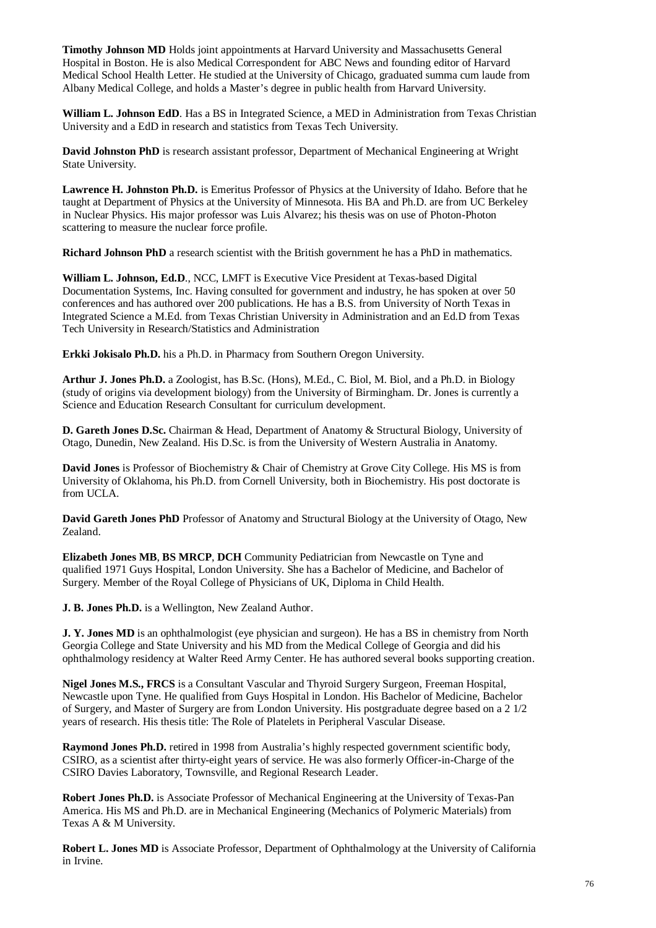**Timothy Johnson MD** Holds joint appointments at Harvard University and Massachusetts General Hospital in Boston. He is also Medical Correspondent for ABC News and founding editor of Harvard Medical School Health Letter. He studied at the University of Chicago, graduated summa cum laude from Albany Medical College, and holds a Master's degree in public health from Harvard University.

**William L. Johnson EdD**. Has a BS in Integrated Science, a MED in Administration from Texas Christian University and a EdD in research and statistics from Texas Tech University.

**David Johnston PhD** is research assistant professor, Department of Mechanical Engineering at Wright State University.

**Lawrence H. Johnston Ph.D.** is Emeritus Professor of Physics at the University of Idaho. Before that he taught at Department of Physics at the University of Minnesota. His BA and Ph.D. are from UC Berkeley in Nuclear Physics. His major professor was Luis Alvarez; his thesis was on use of Photon-Photon scattering to measure the nuclear force profile.

**Richard Johnson PhD** a research scientist with the British government he has a PhD in mathematics.

**William L. Johnson, Ed.D**., NCC, LMFT is Executive Vice President at Texas-based Digital Documentation Systems, Inc. Having consulted for government and industry, he has spoken at over 50 conferences and has authored over 200 publications. He has a B.S. from University of North Texas in Integrated Science a M.Ed. from Texas Christian University in Administration and an Ed.D from Texas Tech University in Research/Statistics and Administration

**Erkki Jokisalo Ph.D.** his a Ph.D. in Pharmacy from Southern Oregon University.

**Arthur J. Jones Ph.D.** a Zoologist, has B.Sc. (Hons), M.Ed., C. Biol, M. Biol, and a Ph.D. in Biology (study of origins via development biology) from the University of Birmingham. Dr. Jones is currently a Science and Education Research Consultant for curriculum development.

**D. Gareth Jones D.Sc.** Chairman & Head, Department of Anatomy & Structural Biology, University of Otago, Dunedin, New Zealand. His D.Sc. is from the University of Western Australia in Anatomy.

**David Jones** is Professor of Biochemistry & Chair of Chemistry at Grove City College. His MS is from University of Oklahoma, his Ph.D. from Cornell University, both in Biochemistry. His post doctorate is from UCLA.

**David Gareth Jones PhD** Professor of Anatomy and Structural Biology at the University of Otago, New Zealand.

**Elizabeth Jones MB**, **BS MRCP**, **DCH** Community Pediatrician from Newcastle on Tyne and qualified 1971 Guys Hospital, London University. She has a Bachelor of Medicine, and Bachelor of Surgery. Member of the Royal College of Physicians of UK, Diploma in Child Health.

**J. B. Jones Ph.D.** is a Wellington, New Zealand Author.

**J. Y. Jones MD** is an ophthalmologist (eye physician and surgeon). He has a BS in chemistry from North Georgia College and State University and his MD from the Medical College of Georgia and did his ophthalmology residency at Walter Reed Army Center. He has authored several books supporting creation.

**Nigel Jones M.S., FRCS** is a Consultant Vascular and Thyroid Surgery Surgeon, Freeman Hospital, Newcastle upon Tyne. He qualified from Guys Hospital in London. His Bachelor of Medicine, Bachelor of Surgery, and Master of Surgery are from London University. His postgraduate degree based on a 2 1/2 years of research. His thesis title: The Role of Platelets in Peripheral Vascular Disease.

**Raymond Jones Ph.D.** retired in 1998 from Australia's highly respected government scientific body, CSIRO, as a scientist after thirty-eight years of service. He was also formerly Officer-in-Charge of the CSIRO Davies Laboratory, Townsville, and Regional Research Leader.

**Robert Jones Ph.D.** is Associate Professor of Mechanical Engineering at the University of Texas-Pan America. His MS and Ph.D. are in Mechanical Engineering (Mechanics of Polymeric Materials) from Texas A & M University.

**Robert L. Jones MD** is Associate Professor, Department of Ophthalmology at the University of California in Irvine.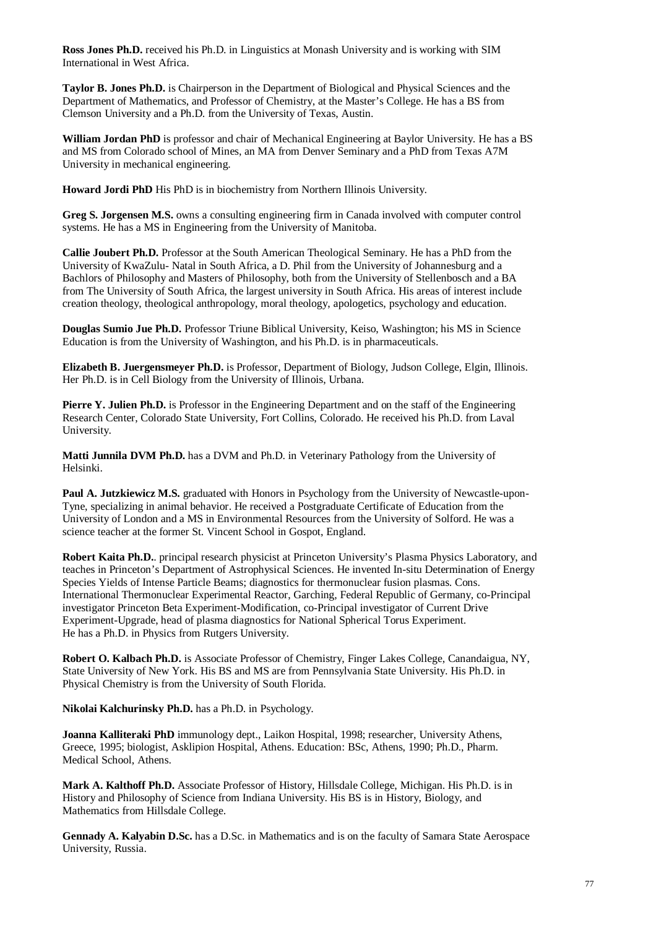**Ross Jones Ph.D.** received his Ph.D. in Linguistics at Monash University and is working with SIM International in West Africa.

**Taylor B. Jones Ph.D.** is Chairperson in the Department of Biological and Physical Sciences and the Department of Mathematics, and Professor of Chemistry, at the Master's College. He has a BS from Clemson University and a Ph.D. from the University of Texas, Austin.

**William Jordan PhD** is professor and chair of Mechanical Engineering at Baylor University. He has a BS and MS from Colorado school of Mines, an MA from Denver Seminary and a PhD from Texas A7M University in mechanical engineering.

**Howard Jordi PhD** His PhD is in biochemistry from Northern Illinois University.

**Greg S. Jorgensen M.S.** owns a consulting engineering firm in Canada involved with computer control systems. He has a MS in Engineering from the University of Manitoba.

**Callie Joubert Ph.D.** Professor at the South American Theological Seminary. He has a PhD from the University of KwaZulu- Natal in South Africa, a D. Phil from the University of Johannesburg and a Bachlors of Philosophy and Masters of Philosophy, both from the University of Stellenbosch and a BA from The University of South Africa, the largest university in South Africa. His areas of interest include creation theology, theological anthropology, moral theology, apologetics, psychology and education.

**Douglas Sumio Jue Ph.D.** Professor Triune Biblical University, Keiso, Washington; his MS in Science Education is from the University of Washington, and his Ph.D. is in pharmaceuticals.

**Elizabeth B. Juergensmeyer Ph.D.** is Professor, Department of Biology, Judson College, Elgin, Illinois. Her Ph.D. is in Cell Biology from the University of Illinois, Urbana.

**Pierre Y. Julien Ph.D.** is Professor in the Engineering Department and on the staff of the Engineering Research Center, Colorado State University, Fort Collins, Colorado. He received his Ph.D. from Laval University.

Matti Junnila DVM Ph.D. has a DVM and Ph.D. in Veterinary Pathology from the University of Helsinki.

**Paul A. Jutzkiewicz M.S.** graduated with Honors in Psychology from the University of Newcastle-upon-Tyne, specializing in animal behavior. He received a Postgraduate Certificate of Education from the University of London and a MS in Environmental Resources from the University of Solford. He was a science teacher at the former St. Vincent School in Gospot, England.

**Robert Kaita Ph.D.**. principal research physicist at Princeton University's Plasma Physics Laboratory, and teaches in Princeton's Department of Astrophysical Sciences. He invented In-situ Determination of Energy Species Yields of Intense Particle Beams; diagnostics for thermonuclear fusion plasmas. Cons. International Thermonuclear Experimental Reactor, Garching, Federal Republic of Germany, co-Principal investigator Princeton Beta Experiment-Modification, co-Principal investigator of Current Drive Experiment-Upgrade, head of plasma diagnostics for National Spherical Torus Experiment. He has a Ph.D. in Physics from Rutgers University.

**Robert O. Kalbach Ph.D.** is Associate Professor of Chemistry, Finger Lakes College, Canandaigua, NY, State University of New York. His BS and MS are from Pennsylvania State University. His Ph.D. in Physical Chemistry is from the University of South Florida.

**Nikolai Kalchurinsky Ph.D.** has a Ph.D. in Psychology.

**Joanna Kalliteraki PhD** immunology dept., Laikon Hospital, 1998; researcher, University Athens, Greece, 1995; biologist, Asklipion Hospital, Athens. Education: BSc, Athens, 1990; Ph.D., Pharm. Medical School, Athens.

**Mark A. Kalthoff Ph.D.** Associate Professor of History, Hillsdale College, Michigan. His Ph.D. is in History and Philosophy of Science from Indiana University. His BS is in History, Biology, and Mathematics from Hillsdale College.

**Gennady A. Kalyabin D.Sc.** has a D.Sc. in Mathematics and is on the faculty of Samara State Aerospace University, Russia.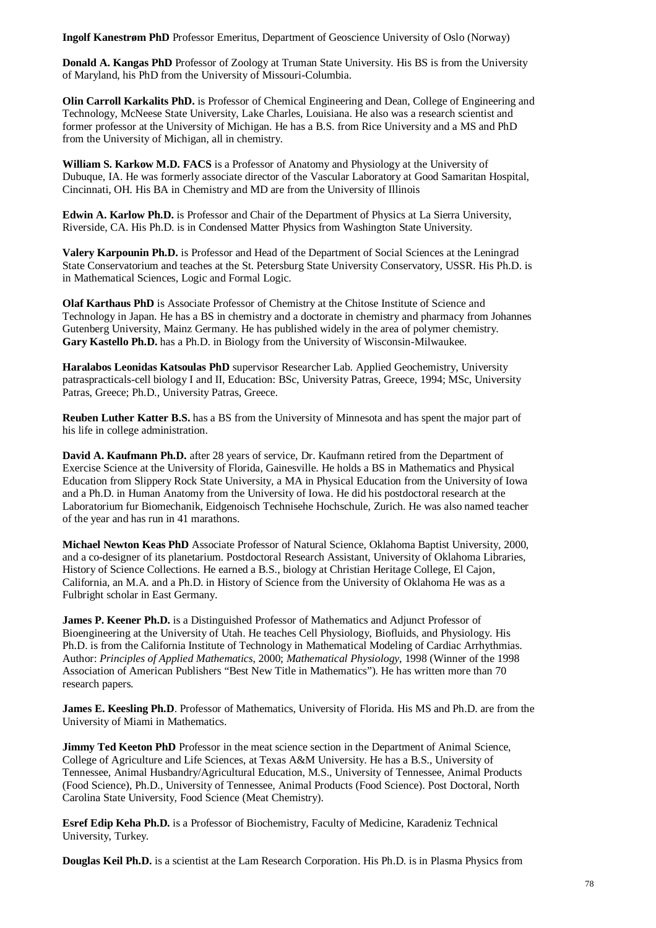**Ingolf Kanestrøm PhD** Professor Emeritus, Department of Geoscience University of Oslo (Norway)

**Donald A. Kangas PhD** Professor of Zoology at Truman State University. His BS is from the University of Maryland, his PhD from the University of Missouri-Columbia.

**Olin Carroll Karkalits PhD.** is Professor of Chemical Engineering and Dean, College of Engineering and Technology, McNeese State University, Lake Charles, Louisiana. He also was a research scientist and former professor at the University of Michigan. He has a B.S. from Rice University and a MS and PhD from the University of Michigan, all in chemistry.

**William S. Karkow M.D. FACS** is a Professor of Anatomy and Physiology at the University of Dubuque, IA. He was formerly associate director of the Vascular Laboratory at Good Samaritan Hospital, Cincinnati, OH. His BA in Chemistry and MD are from the University of Illinois

**Edwin A. Karlow Ph.D.** is Professor and Chair of the Department of Physics at La Sierra University, Riverside, CA. His Ph.D. is in Condensed Matter Physics from Washington State University.

**Valery Karpounin Ph.D.** is Professor and Head of the Department of Social Sciences at the Leningrad State Conservatorium and teaches at the St. Petersburg State University Conservatory, USSR. His Ph.D. is in Mathematical Sciences, Logic and Formal Logic.

**Olaf Karthaus PhD** is Associate Professor of Chemistry at the Chitose Institute of Science and Technology in Japan. He has a BS in chemistry and a doctorate in chemistry and pharmacy from Johannes Gutenberg University, Mainz Germany. He has published widely in the area of polymer chemistry. **Gary Kastello Ph.D.** has a Ph.D. in Biology from the University of Wisconsin-Milwaukee.

**Haralabos Leonidas Katsoulas PhD** supervisor Researcher Lab. Applied Geochemistry, University patraspracticals-cell biology I and II, Education: BSc, University Patras, Greece, 1994; MSc, University Patras, Greece; Ph.D., University Patras, Greece.

**Reuben Luther Katter B.S.** has a BS from the University of Minnesota and has spent the major part of his life in college administration.

**David A. Kaufmann Ph.D.** after 28 years of service, Dr. Kaufmann retired from the Department of Exercise Science at the University of Florida, Gainesville. He holds a BS in Mathematics and Physical Education from Slippery Rock State University, a MA in Physical Education from the University of Iowa and a Ph.D. in Human Anatomy from the University of Iowa. He did his postdoctoral research at the Laboratorium fur Biomechanik, Eidgenoisch Technisehe Hochschule, Zurich. He was also named teacher of the year and has run in 41 marathons.

**Michael Newton Keas PhD** Associate Professor of Natural Science, Oklahoma Baptist University, 2000, and a co-designer of its planetarium. Postdoctoral Research Assistant, University of Oklahoma Libraries, History of Science Collections. He earned a B.S., biology at Christian Heritage College, El Cajon, California, an M.A. and a Ph.D. in History of Science from the University of Oklahoma He was as a Fulbright scholar in East Germany.

**James P. Keener Ph.D.** is a Distinguished Professor of Mathematics and Adjunct Professor of Bioengineering at the University of Utah. He teaches Cell Physiology, Biofluids, and Physiology. His Ph.D. is from the California Institute of Technology in Mathematical Modeling of Cardiac Arrhythmias. Author: *Principles of Applied Mathematics*, 2000; *Mathematical Physiology*, 1998 (Winner of the 1998 Association of American Publishers "Best New Title in Mathematics"). He has written more than 70 research papers.

**James E. Keesling Ph.D.** Professor of Mathematics, University of Florida. His MS and Ph.D. are from the University of Miami in Mathematics.

**Jimmy Ted Keeton PhD** Professor in the meat science section in the Department of Animal Science, College of Agriculture and Life Sciences, at Texas A&M University. He has a B.S., University of Tennessee, Animal Husbandry/Agricultural Education, M.S., University of Tennessee, Animal Products (Food Science), Ph.D., University of Tennessee, Animal Products (Food Science). Post Doctoral, North Carolina State University, Food Science (Meat Chemistry).

**Esref Edip Keha Ph.D.** is a Professor of Biochemistry, Faculty of Medicine, Karadeniz Technical University, Turkey.

**Douglas Keil Ph.D.** is a scientist at the Lam Research Corporation. His Ph.D. is in Plasma Physics from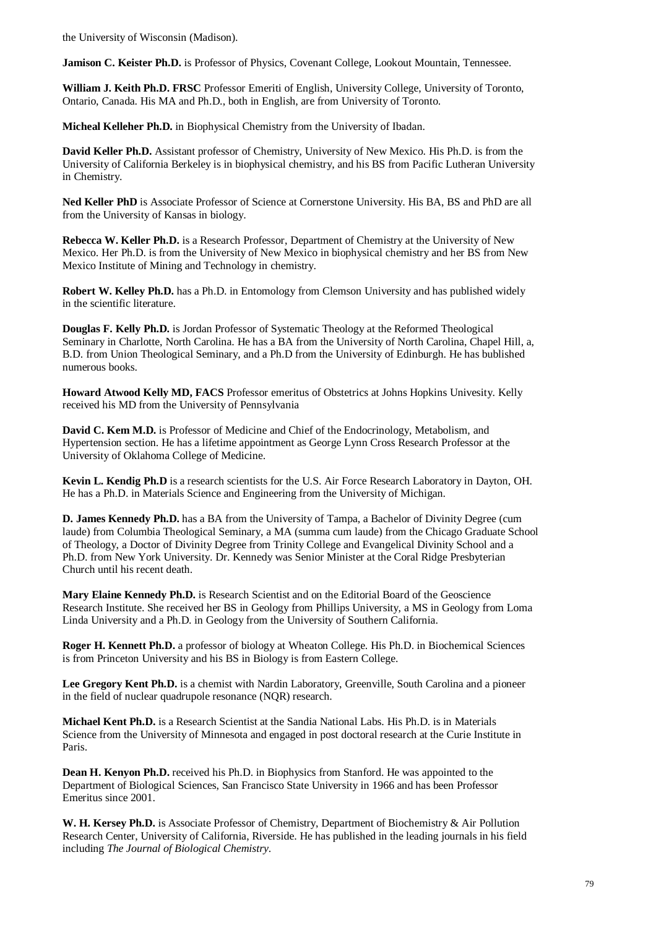the University of Wisconsin (Madison).

**Jamison C. Keister Ph.D.** is Professor of Physics, Covenant College, Lookout Mountain, Tennessee.

**William J. Keith Ph.D. FRSC** Professor Emeriti of English, University College, University of Toronto, Ontario, Canada. His MA and Ph.D., both in English, are from University of Toronto.

**Micheal Kelleher Ph.D.** in Biophysical Chemistry from the University of Ibadan.

**David Keller Ph.D.** Assistant professor of Chemistry, University of New Mexico. His Ph.D. is from the University of California Berkeley is in biophysical chemistry, and his BS from Pacific Lutheran University in Chemistry.

**Ned Keller PhD** is Associate Professor of Science at Cornerstone University. His BA, BS and PhD are all from the University of Kansas in biology.

**Rebecca W. Keller Ph.D.** is a Research Professor, Department of Chemistry at the University of New Mexico. Her Ph.D. is from the University of New Mexico in biophysical chemistry and her BS from New Mexico Institute of Mining and Technology in chemistry.

**Robert W. Kelley Ph.D.** has a Ph.D. in Entomology from Clemson University and has published widely in the scientific literature.

**Douglas F. Kelly Ph.D.** is Jordan Professor of Systematic Theology at the Reformed Theological Seminary in Charlotte, North Carolina. He has a BA from the University of North Carolina, Chapel Hill, a, B.D. from Union Theological Seminary, and a Ph.D from the University of Edinburgh. He has bublished numerous books.

**Howard Atwood Kelly MD, FACS** Professor emeritus of Obstetrics at Johns Hopkins Univesity. Kelly received his MD from the University of Pennsylvania

**David C. Kem M.D.** is Professor of Medicine and Chief of the Endocrinology, Metabolism, and Hypertension section. He has a lifetime appointment as George Lynn Cross Research Professor at the University of Oklahoma College of Medicine.

**Kevin L. Kendig Ph.D** is a research scientists for the U.S. Air Force Research Laboratory in Dayton, OH. He has a Ph.D. in Materials Science and Engineering from the University of Michigan.

**D. James Kennedy Ph.D.** has a BA from the University of Tampa, a Bachelor of Divinity Degree (cum laude) from Columbia Theological Seminary, a MA (summa cum laude) from the Chicago Graduate School of Theology, a Doctor of Divinity Degree from Trinity College and Evangelical Divinity School and a Ph.D. from New York University. Dr. Kennedy was Senior Minister at the Coral Ridge Presbyterian Church until his recent death.

**Mary Elaine Kennedy Ph.D.** is Research Scientist and on the Editorial Board of the Geoscience Research Institute. She received her BS in Geology from Phillips University, a MS in Geology from Loma Linda University and a Ph.D. in Geology from the University of Southern California.

**Roger H. Kennett Ph.D.** a professor of biology at Wheaton College. His Ph.D. in Biochemical Sciences is from Princeton University and his BS in Biology is from Eastern College.

**Lee Gregory Kent Ph.D.** is a chemist with Nardin Laboratory, Greenville, South Carolina and a pioneer in the field of nuclear quadrupole resonance (NQR) research.

**Michael Kent Ph.D.** is a Research Scientist at the Sandia National Labs. His Ph.D. is in Materials Science from the University of Minnesota and engaged in post doctoral research at the Curie Institute in Paris.

**Dean H. Kenyon Ph.D.** received his Ph.D. in Biophysics from Stanford. He was appointed to the Department of Biological Sciences, San Francisco State University in 1966 and has been Professor Emeritus since 2001.

**W. H. Kersey Ph.D.** is Associate Professor of Chemistry, Department of Biochemistry & Air Pollution Research Center, University of California, Riverside. He has published in the leading journals in his field including *The Journal of Biological Chemistry*.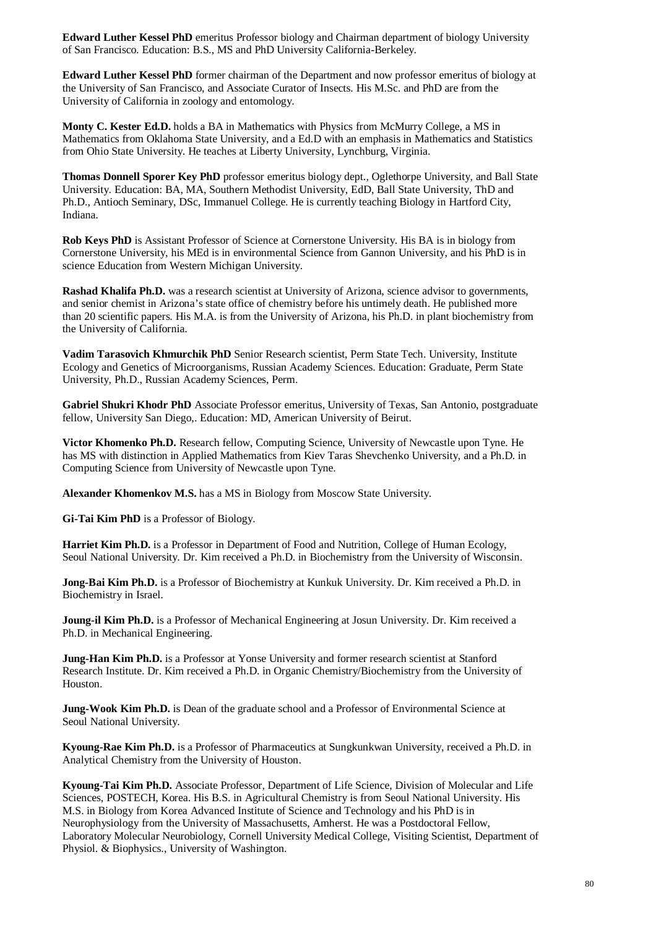**Edward Luther Kessel PhD** emeritus Professor biology and Chairman department of biology University of San Francisco. Education: B.S., MS and PhD University California-Berkeley.

**Edward Luther Kessel PhD** former chairman of the Department and now professor emeritus of biology at the University of San Francisco, and Associate Curator of Insects. His M.Sc. and PhD are from the University of California in zoology and entomology.

**Monty C. Kester Ed.D.** holds a BA in Mathematics with Physics from McMurry College, a MS in Mathematics from Oklahoma State University, and a Ed.D with an emphasis in Mathematics and Statistics from Ohio State University. He teaches at Liberty University, Lynchburg, Virginia.

**Thomas Donnell Sporer Key PhD** professor emeritus biology dept., Oglethorpe University, and Ball State University. Education: BA, MA, Southern Methodist University, EdD, Ball State University, ThD and Ph.D., Antioch Seminary, DSc, Immanuel College. He is currently teaching Biology in Hartford City, Indiana.

**Rob Keys PhD** is Assistant Professor of Science at Cornerstone University. His BA is in biology from Cornerstone University, his MEd is in environmental Science from Gannon University, and his PhD is in science Education from Western Michigan University.

**Rashad Khalifa Ph.D.** was a research scientist at University of Arizona, science advisor to governments, and senior chemist in Arizona's state office of chemistry before his untimely death. He published more than 20 scientific papers. His M.A. is from the University of Arizona, his Ph.D. in plant biochemistry from the University of California.

**Vadim Tarasovich Khmurchik PhD** Senior Research scientist, Perm State Tech. University, Institute Ecology and Genetics of Microorganisms, Russian Academy Sciences. Education: Graduate, Perm State University, Ph.D., Russian Academy Sciences, Perm.

**Gabriel Shukri Khodr PhD** Associate Professor emeritus, University of Texas, San Antonio, postgraduate fellow, University San Diego,. Education: MD, American University of Beirut.

**Victor Khomenko Ph.D.** Research fellow, Computing Science, University of Newcastle upon Tyne. He has MS with distinction in Applied Mathematics from Kiev Taras Shevchenko University, and a Ph.D. in Computing Science from University of Newcastle upon Tyne.

**Alexander Khomenkov M.S.** has a MS in Biology from Moscow State University.

**Gi-Tai Kim PhD** is a Professor of Biology.

**Harriet Kim Ph.D.** is a Professor in Department of Food and Nutrition, College of Human Ecology, Seoul National University. Dr. Kim received a Ph.D. in Biochemistry from the University of Wisconsin.

**Jong-Bai Kim Ph.D.** is a Professor of Biochemistry at Kunkuk University. Dr. Kim received a Ph.D. in Biochemistry in Israel.

**Joung-il Kim Ph.D.** is a Professor of Mechanical Engineering at Josun University. Dr. Kim received a Ph.D. in Mechanical Engineering.

**Jung-Han Kim Ph.D.** is a Professor at Yonse University and former research scientist at Stanford Research Institute. Dr. Kim received a Ph.D. in Organic Chemistry/Biochemistry from the University of Houston.

**Jung-Wook Kim Ph.D.** is Dean of the graduate school and a Professor of Environmental Science at Seoul National University.

**Kyoung-Rae Kim Ph.D.** is a Professor of Pharmaceutics at Sungkunkwan University, received a Ph.D. in Analytical Chemistry from the University of Houston.

**Kyoung-Tai Kim Ph.D.** Associate Professor, Department of Life Science, Division of Molecular and Life Sciences, POSTECH, Korea. His B.S. in Agricultural Chemistry is from Seoul National University. His M.S. in Biology from Korea Advanced Institute of Science and Technology and his PhD is in Neurophysiology from the University of Massachusetts, Amherst. He was a Postdoctoral Fellow, Laboratory Molecular Neurobiology, Cornell University Medical College, Visiting Scientist, Department of Physiol. & Biophysics., University of Washington.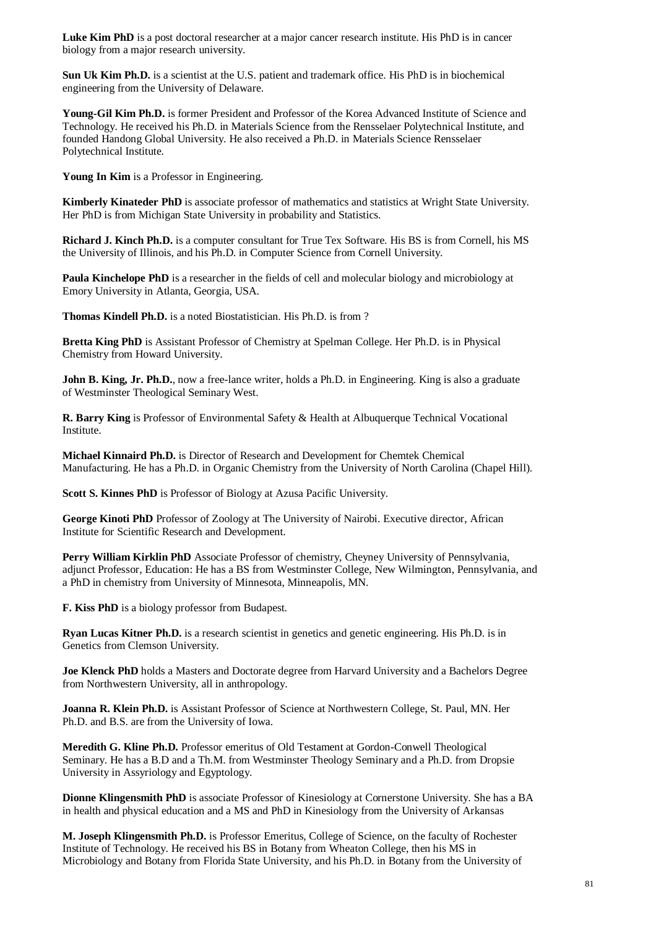Luke Kim PhD is a post doctoral researcher at a major cancer research institute. His PhD is in cancer biology from a major research university.

**Sun Uk Kim Ph.D.** is a scientist at the U.S. patient and trademark office. His PhD is in biochemical engineering from the University of Delaware.

**Young-Gil Kim Ph.D.** is former President and Professor of the Korea Advanced Institute of Science and Technology. He received his Ph.D. in Materials Science from the Rensselaer Polytechnical Institute, and founded Handong Global University. He also received a Ph.D. in Materials Science Rensselaer Polytechnical Institute.

**Young In Kim** is a Professor in Engineering.

**Kimberly Kinateder PhD** is associate professor of mathematics and statistics at Wright State University. Her PhD is from Michigan State University in probability and Statistics.

**Richard J. Kinch Ph.D.** is a computer consultant for True Tex Software. His BS is from Cornell, his MS the University of Illinois, and his Ph.D. in Computer Science from Cornell University.

**Paula Kinchelope PhD** is a researcher in the fields of cell and molecular biology and microbiology at Emory University in Atlanta, Georgia, USA.

**Thomas Kindell Ph.D.** is a noted Biostatistician. His Ph.D. is from ?

**Bretta King PhD** is Assistant Professor of Chemistry at Spelman College. Her Ph.D. is in Physical Chemistry from Howard University.

**John B. King, Jr. Ph.D.**, now a free-lance writer, holds a Ph.D. in Engineering. King is also a graduate of Westminster Theological Seminary West.

**R. Barry King** is Professor of Environmental Safety & Health at Albuquerque Technical Vocational Institute.

**Michael Kinnaird Ph.D.** is Director of Research and Development for Chemtek Chemical Manufacturing. He has a Ph.D. in Organic Chemistry from the University of North Carolina (Chapel Hill).

**Scott S. Kinnes PhD** is Professor of Biology at Azusa Pacific University.

**George Kinoti PhD** Professor of Zoology at The University of Nairobi. Executive director, African Institute for Scientific Research and Development.

**Perry William Kirklin PhD** Associate Professor of chemistry, Cheyney University of Pennsylvania, adjunct Professor, Education: He has a BS from Westminster College, New Wilmington, Pennsylvania, and a PhD in chemistry from University of Minnesota, Minneapolis, MN.

**F. Kiss PhD** is a biology professor from Budapest.

**Ryan Lucas Kitner Ph.D.** is a research scientist in genetics and genetic engineering. His Ph.D. is in Genetics from Clemson University.

**Joe Klenck PhD** holds a Masters and Doctorate degree from Harvard University and a Bachelors Degree from Northwestern University, all in anthropology.

**Joanna R. Klein Ph.D.** is Assistant Professor of Science at Northwestern College, St. Paul, MN. Her Ph.D. and B.S. are from the University of Iowa.

**Meredith G. Kline Ph.D.** Professor emeritus of Old Testament at Gordon-Conwell Theological Seminary. He has a B.D and a Th.M. from Westminster Theology Seminary and a Ph.D. from Dropsie University in Assyriology and Egyptology.

**Dionne Klingensmith PhD** is associate Professor of Kinesiology at Cornerstone University. She has a BA in health and physical education and a MS and PhD in Kinesiology from the University of Arkansas

**M. Joseph Klingensmith Ph.D.** is Professor Emeritus, College of Science, on the faculty of Rochester Institute of Technology. He received his BS in Botany from Wheaton College, then his MS in Microbiology and Botany from Florida State University, and his Ph.D. in Botany from the University of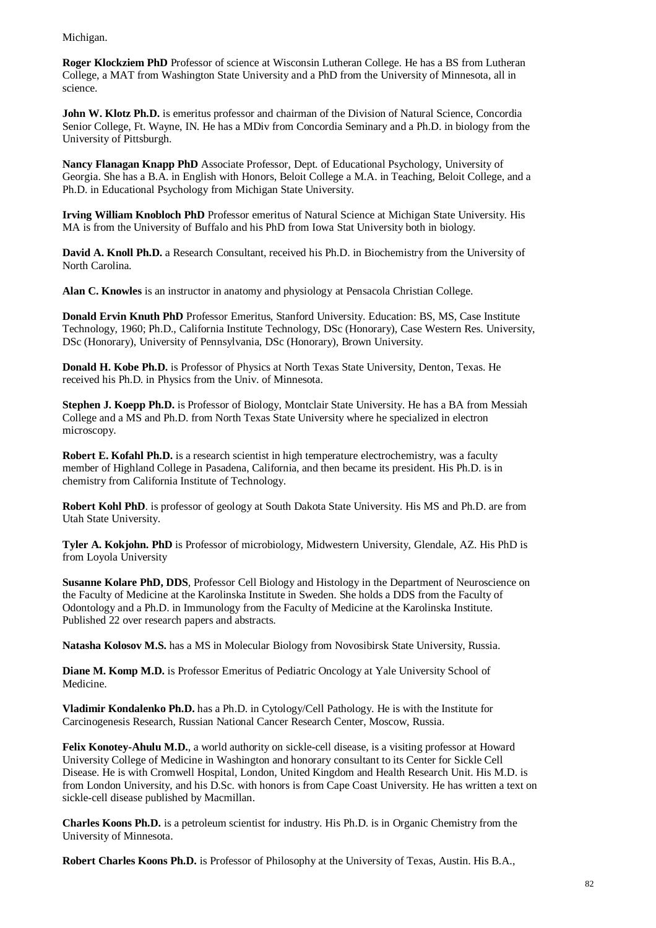Michigan.

**Roger Klockziem PhD** Professor of science at Wisconsin Lutheran College. He has a BS from Lutheran College, a MAT from Washington State University and a PhD from the University of Minnesota, all in science.

**John W. Klotz Ph.D.** is emeritus professor and chairman of the Division of Natural Science, Concordia Senior College, Ft. Wayne, IN. He has a MDiv from Concordia Seminary and a Ph.D. in biology from the University of Pittsburgh.

**Nancy Flanagan Knapp PhD** Associate Professor, Dept. of Educational Psychology, University of Georgia. She has a B.A. in English with Honors, Beloit College a M.A. in Teaching, Beloit College, and a Ph.D. in Educational Psychology from Michigan State University.

**Irving William Knobloch PhD** Professor emeritus of Natural Science at Michigan State University. His MA is from the University of Buffalo and his PhD from Iowa Stat University both in biology.

**David A. Knoll Ph.D.** a Research Consultant, received his Ph.D. in Biochemistry from the University of North Carolina.

**Alan C. Knowles** is an instructor in anatomy and physiology at Pensacola Christian College.

**Donald Ervin Knuth PhD** Professor Emeritus, Stanford University. Education: BS, MS, Case Institute Technology, 1960; Ph.D., California Institute Technology, DSc (Honorary), Case Western Res. University, DSc (Honorary), University of Pennsylvania, DSc (Honorary), Brown University.

**Donald H. Kobe Ph.D.** is Professor of Physics at North Texas State University, Denton, Texas. He received his Ph.D. in Physics from the Univ. of Minnesota.

**Stephen J. Koepp Ph.D.** is Professor of Biology, Montclair State University. He has a BA from Messiah College and a MS and Ph.D. from North Texas State University where he specialized in electron microscopy.

**Robert E. Kofahl Ph.D.** is a research scientist in high temperature electrochemistry, was a faculty member of Highland College in Pasadena, California, and then became its president. His Ph.D. is in chemistry from California Institute of Technology.

**Robert Kohl PhD**. is professor of geology at South Dakota State University. His MS and Ph.D. are from Utah State University.

**Tyler A. Kokjohn. PhD** is Professor of microbiology, Midwestern University, Glendale, AZ. His PhD is from Loyola University

**Susanne Kolare PhD, DDS**, Professor Cell Biology and Histology in the Department of Neuroscience on the Faculty of Medicine at the Karolinska Institute in Sweden. She holds a DDS from the Faculty of Odontology and a Ph.D. in Immunology from the Faculty of Medicine at the Karolinska Institute. Published 22 over research papers and abstracts.

**Natasha Kolosov M.S.** has a MS in Molecular Biology from Novosibirsk State University, Russia.

**Diane M. Komp M.D.** is Professor Emeritus of Pediatric Oncology at Yale University School of Medicine.

**Vladimir Kondalenko Ph.D.** has a Ph.D. in Cytology/Cell Pathology. He is with the Institute for Carcinogenesis Research, Russian National Cancer Research Center, Moscow, Russia.

**Felix Konotey-Ahulu M.D.**, a world authority on sickle-cell disease, is a visiting professor at Howard University College of Medicine in Washington and honorary consultant to its Center for Sickle Cell Disease. He is with Cromwell Hospital, London, United Kingdom and Health Research Unit. His M.D. is from London University, and his D.Sc. with honors is from Cape Coast University. He has written a text on sickle-cell disease published by Macmillan.

**Charles Koons Ph.D.** is a petroleum scientist for industry. His Ph.D. is in Organic Chemistry from the University of Minnesota.

**Robert Charles Koons Ph.D.** is Professor of Philosophy at the University of Texas, Austin. His B.A.,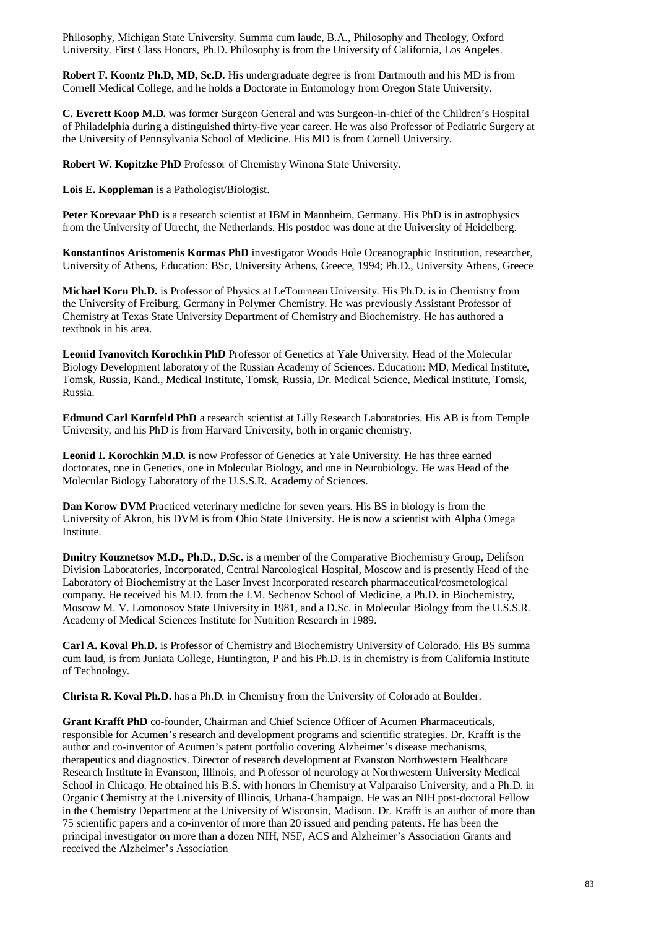Philosophy, Michigan State University. Summa cum laude, B.A., Philosophy and Theology, Oxford University. First Class Honors, Ph.D. Philosophy is from the University of California, Los Angeles.

**Robert F. Koontz Ph.D, MD, Sc.D.** His undergraduate degree is from Dartmouth and his MD is from Cornell Medical College, and he holds a Doctorate in Entomology from Oregon State University.

**C. Everett Koop M.D.** was former Surgeon General and was Surgeon-in-chief of the Children's Hospital of Philadelphia during a distinguished thirty-five year career. He was also Professor of Pediatric Surgery at the University of Pennsylvania School of Medicine. His MD is from Cornell University.

**Robert W. Kopitzke PhD** Professor of Chemistry Winona State University.

**Lois E. Koppleman** is a Pathologist/Biologist.

**Peter Korevaar PhD** is a research scientist at IBM in Mannheim, Germany. His PhD is in astrophysics from the University of Utrecht, the Netherlands. His postdoc was done at the University of Heidelberg.

**Konstantinos Aristomenis Kormas PhD** investigator Woods Hole Oceanographic Institution, researcher, University of Athens, Education: BSc, University Athens, Greece, 1994; Ph.D., University Athens, Greece

**Michael Korn Ph.D.** is Professor of Physics at LeTourneau University. His Ph.D. is in Chemistry from the University of Freiburg, Germany in Polymer Chemistry. He was previously Assistant Professor of Chemistry at Texas State University Department of Chemistry and Biochemistry. He has authored a textbook in his area.

**Leonid Ivanovitch Korochkin PhD** Professor of Genetics at Yale University. Head of the Molecular Biology Development laboratory of the Russian Academy of Sciences. Education: MD, Medical Institute, Tomsk, Russia, Kand., Medical Institute, Tomsk, Russia, Dr. Medical Science, Medical Institute, Tomsk, Russia.

**Edmund Carl Kornfeld PhD** a research scientist at Lilly Research Laboratories. His AB is from Temple University, and his PhD is from Harvard University, both in organic chemistry.

**Leonid I. Korochkin M.D.** is now Professor of Genetics at Yale University. He has three earned doctorates, one in Genetics, one in Molecular Biology, and one in Neurobiology. He was Head of the Molecular Biology Laboratory of the U.S.S.R. Academy of Sciences.

**Dan Korow DVM** Practiced veterinary medicine for seven years. His BS in biology is from the University of Akron, his DVM is from Ohio State University. He is now a scientist with Alpha Omega Institute.

**Dmitry Kouznetsov M.D., Ph.D., D.Sc.** is a member of the Comparative Biochemistry Group, Delifson Division Laboratories, Incorporated, Central Narcological Hospital, Moscow and is presently Head of the Laboratory of Biochemistry at the Laser Invest Incorporated research pharmaceutical/cosmetological company. He received his M.D. from the I.M. Sechenov School of Medicine, a Ph.D. in Biochemistry, Moscow M. V. Lomonosov State University in 1981, and a D.Sc. in Molecular Biology from the U.S.S.R. Academy of Medical Sciences Institute for Nutrition Research in 1989.

**Carl A. Koval Ph.D.** is Professor of Chemistry and Biochemistry University of Colorado. His BS summa cum laud, is from Juniata College, Huntington, P and his Ph.D. is in chemistry is from California Institute of Technology.

**Christa R. Koval Ph.D.** has a Ph.D. in Chemistry from the University of Colorado at Boulder.

**Grant Krafft PhD** co-founder, Chairman and Chief Science Officer of Acumen Pharmaceuticals, responsible for Acumen's research and development programs and scientific strategies. Dr. Krafft is the author and co-inventor of Acumen's patent portfolio covering Alzheimer's disease mechanisms, therapeutics and diagnostics. Director of research development at Evanston Northwestern Healthcare Research Institute in Evanston, Illinois, and Professor of neurology at Northwestern University Medical School in Chicago. He obtained his B.S. with honors in Chemistry at Valparaiso University, and a Ph.D. in Organic Chemistry at the University of Illinois, Urbana-Champaign. He was an NIH post-doctoral Fellow in the Chemistry Department at the University of Wisconsin, Madison. Dr. Krafft is an author of more than 75 scientific papers and a co-inventor of more than 20 issued and pending patents. He has been the principal investigator on more than a dozen NIH, NSF, ACS and Alzheimer's Association Grants and received the Alzheimer's Association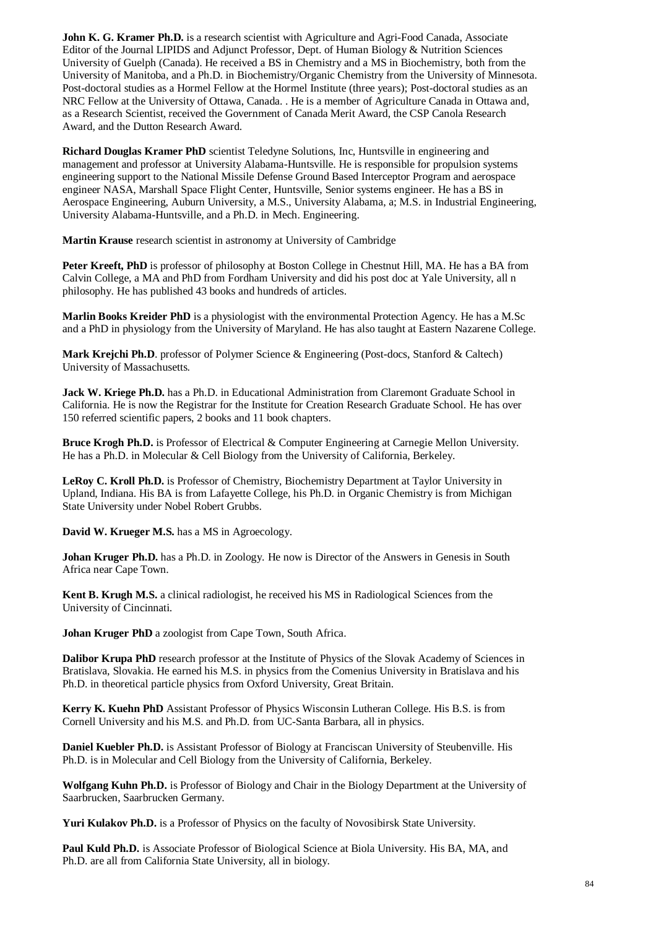**John K. G. Kramer Ph.D.** is a research scientist with Agriculture and Agri-Food Canada, Associate Editor of the Journal LIPIDS and Adjunct Professor, Dept. of Human Biology & Nutrition Sciences University of Guelph (Canada). He received a BS in Chemistry and a MS in Biochemistry, both from the University of Manitoba, and a Ph.D. in Biochemistry/Organic Chemistry from the University of Minnesota. Post-doctoral studies as a Hormel Fellow at the Hormel Institute (three years); Post-doctoral studies as an NRC Fellow at the University of Ottawa, Canada. . He is a member of Agriculture Canada in Ottawa and, as a Research Scientist, received the Government of Canada Merit Award, the CSP Canola Research Award, and the Dutton Research Award.

**Richard Douglas Kramer PhD** scientist Teledyne Solutions, Inc, Huntsville in engineering and management and professor at University Alabama-Huntsville. He is responsible for propulsion systems engineering support to the National Missile Defense Ground Based Interceptor Program and aerospace engineer NASA, Marshall Space Flight Center, Huntsville, Senior systems engineer. He has a BS in Aerospace Engineering, Auburn University, a M.S., University Alabama, a; M.S. in Industrial Engineering, University Alabama-Huntsville, and a Ph.D. in Mech. Engineering.

**Martin Krause** research scientist in astronomy at University of Cambridge

**Peter Kreeft, PhD** is professor of philosophy at Boston College in Chestnut Hill, MA. He has a BA from Calvin College, a MA and PhD from Fordham University and did his post doc at Yale University, all n philosophy. He has published 43 books and hundreds of articles.

**Marlin Books Kreider PhD** is a physiologist with the environmental Protection Agency. He has a M.Sc and a PhD in physiology from the University of Maryland. He has also taught at Eastern Nazarene College.

**Mark Krejchi Ph.D**. professor of Polymer Science & Engineering (Post-docs, Stanford & Caltech) University of Massachusetts.

Jack W. Kriege Ph.D. has a Ph.D. in Educational Administration from Claremont Graduate School in California. He is now the Registrar for the Institute for Creation Research Graduate School. He has over 150 referred scientific papers, 2 books and 11 book chapters.

**Bruce Krogh Ph.D.** is Professor of Electrical & Computer Engineering at Carnegie Mellon University. He has a Ph.D. in Molecular & Cell Biology from the University of California, Berkeley.

**LeRoy C. Kroll Ph.D.** is Professor of Chemistry, Biochemistry Department at Taylor University in Upland, Indiana. His BA is from Lafayette College, his Ph.D. in Organic Chemistry is from Michigan State University under Nobel Robert Grubbs.

**David W. Krueger M.S.** has a MS in Agroecology.

**Johan Kruger Ph.D.** has a Ph.D. in Zoology. He now is Director of the Answers in Genesis in South Africa near Cape Town.

**Kent B. Krugh M.S.** a clinical radiologist, he received his MS in Radiological Sciences from the University of Cincinnati.

**Johan Kruger PhD** a zoologist from Cape Town, South Africa.

**Dalibor Krupa PhD** research professor at the Institute of Physics of the Slovak Academy of Sciences in Bratislava, Slovakia. He earned his M.S. in physics from the Comenius University in Bratislava and his Ph.D. in theoretical particle physics from Oxford University, Great Britain.

**Kerry K. Kuehn PhD** Assistant Professor of Physics Wisconsin Lutheran College. His B.S. is from Cornell University and his M.S. and Ph.D. from UC-Santa Barbara, all in physics.

**Daniel Kuebler Ph.D.** is Assistant Professor of Biology at Franciscan University of Steubenville. His Ph.D. is in Molecular and Cell Biology from the University of California, Berkeley.

**Wolfgang Kuhn Ph.D.** is Professor of Biology and Chair in the Biology Department at the University of Saarbrucken, Saarbrucken Germany.

**Yuri Kulakov Ph.D.** is a Professor of Physics on the faculty of Novosibirsk State University.

**Paul Kuld Ph.D.** is Associate Professor of Biological Science at Biola University. His BA, MA, and Ph.D. are all from California State University, all in biology.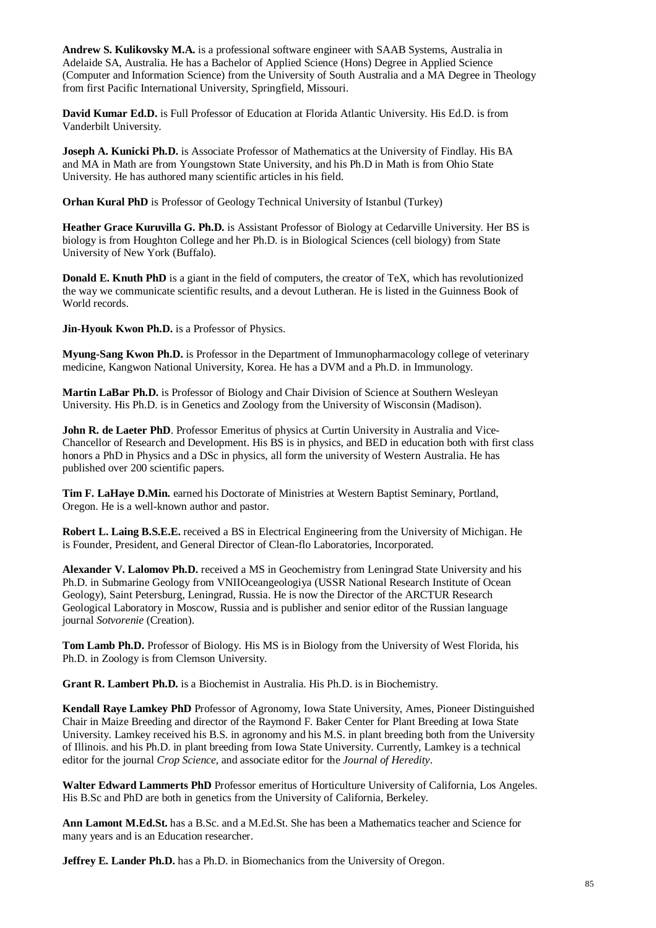**Andrew S. Kulikovsky M.A.** is a professional software engineer with SAAB Systems, Australia in Adelaide SA, Australia. He has a Bachelor of Applied Science (Hons) Degree in Applied Science (Computer and Information Science) from the University of South Australia and a MA Degree in Theology from first Pacific International University, Springfield, Missouri.

**David Kumar Ed.D.** is Full Professor of Education at Florida Atlantic University. His Ed.D. is from Vanderbilt University.

**Joseph A. Kunicki Ph.D.** is Associate Professor of Mathematics at the University of Findlay. His BA and MA in Math are from Youngstown State University, and his Ph.D in Math is from Ohio State University. He has authored many scientific articles in his field.

**Orhan Kural PhD** is Professor of Geology Technical University of Istanbul (Turkey)

**Heather Grace Kuruvilla G. Ph.D.** is Assistant Professor of Biology at Cedarville University. Her BS is biology is from Houghton College and her Ph.D. is in Biological Sciences (cell biology) from State University of New York (Buffalo).

**Donald E. Knuth PhD** is a giant in the field of computers, the creator of TeX, which has revolutionized the way we communicate scientific results, and a devout Lutheran. He is listed in the Guinness Book of World records.

**Jin-Hyouk Kwon Ph.D.** is a Professor of Physics.

**Myung-Sang Kwon Ph.D.** is Professor in the Department of Immunopharmacology college of veterinary medicine, Kangwon National University, Korea. He has a DVM and a Ph.D. in Immunology.

**Martin LaBar Ph.D.** is Professor of Biology and Chair Division of Science at Southern Wesleyan University. His Ph.D. is in Genetics and Zoology from the University of Wisconsin (Madison).

**John R. de Laeter PhD.** Professor Emeritus of physics at Curtin University in Australia and Vice-Chancellor of Research and Development. His BS is in physics, and BED in education both with first class honors a PhD in Physics and a DSc in physics, all form the university of Western Australia. He has published over 200 scientific papers.

**Tim F. LaHaye D.Min.** earned his Doctorate of Ministries at Western Baptist Seminary, Portland, Oregon. He is a well-known author and pastor.

**Robert L. Laing B.S.E.E.** received a BS in Electrical Engineering from the University of Michigan. He is Founder, President, and General Director of Clean-flo Laboratories, Incorporated.

**Alexander V. Lalomov Ph.D.** received a MS in Geochemistry from Leningrad State University and his Ph.D. in Submarine Geology from VNIIOceangeologiya (USSR National Research Institute of Ocean Geology), Saint Petersburg, Leningrad, Russia. He is now the Director of the ARCTUR Research Geological Laboratory in Moscow, Russia and is publisher and senior editor of the Russian language journal *Sotvorenie* (Creation).

**Tom Lamb Ph.D.** Professor of Biology. His MS is in Biology from the University of West Florida, his Ph.D. in Zoology is from Clemson University.

**Grant R. Lambert Ph.D.** is a Biochemist in Australia. His Ph.D. is in Biochemistry.

**Kendall Raye Lamkey PhD** Professor of Agronomy, Iowa State University, Ames, Pioneer Distinguished Chair in Maize Breeding and director of the Raymond F. Baker Center for Plant Breeding at Iowa State University. Lamkey received his B.S. in agronomy and his M.S. in plant breeding both from the University of Illinois. and his Ph.D. in plant breeding from Iowa State University. Currently, Lamkey is a technical editor for the journal *Crop Science*, and associate editor for the *Journal of Heredity*.

**Walter Edward Lammerts PhD** Professor emeritus of Horticulture University of California, Los Angeles. His B.Sc and PhD are both in genetics from the University of California, Berkeley.

**Ann Lamont M.Ed.St.** has a B.Sc. and a M.Ed.St. She has been a Mathematics teacher and Science for many years and is an Education researcher.

**Jeffrey E. Lander Ph.D.** has a Ph.D. in Biomechanics from the University of Oregon.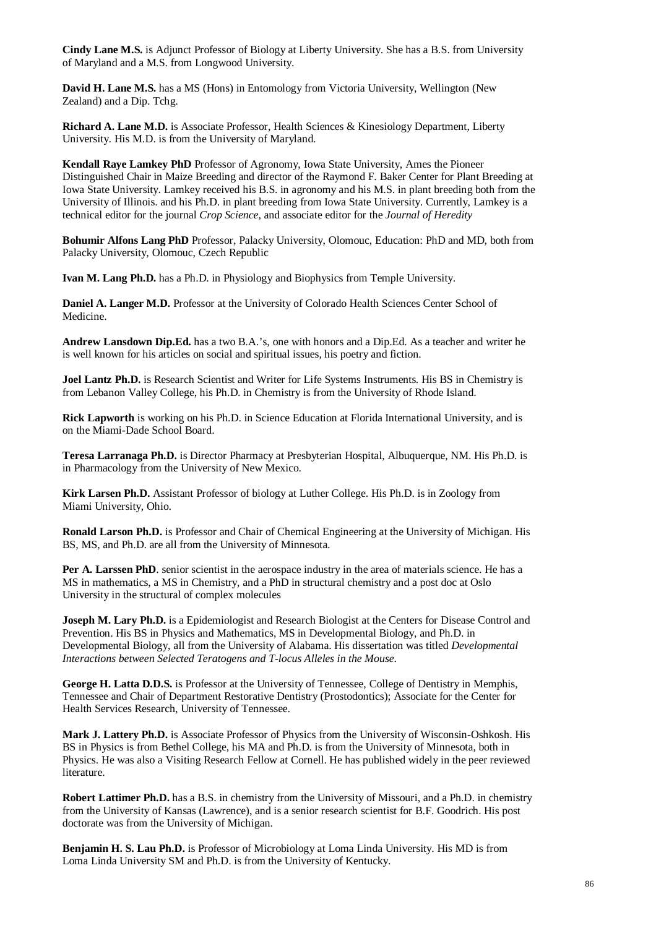**Cindy Lane M.S.** is Adjunct Professor of Biology at Liberty University. She has a B.S. from University of Maryland and a M.S. from Longwood University.

**David H. Lane M.S.** has a MS (Hons) in Entomology from Victoria University, Wellington (New Zealand) and a Dip. Tchg.

**Richard A. Lane M.D.** is Associate Professor, Health Sciences & Kinesiology Department, Liberty University. His M.D. is from the University of Maryland.

**Kendall Raye Lamkey PhD** Professor of Agronomy, Iowa State University, Ames the Pioneer Distinguished Chair in Maize Breeding and director of the Raymond F. Baker Center for Plant Breeding at Iowa State University. Lamkey received his B.S. in agronomy and his M.S. in plant breeding both from the University of Illinois. and his Ph.D. in plant breeding from Iowa State University. Currently, Lamkey is a technical editor for the journal *Crop Science*, and associate editor for the *Journal of Heredity*

**Bohumir Alfons Lang PhD** Professor, Palacky University, Olomouc, Education: PhD and MD, both from Palacky University, Olomouc, Czech Republic

**Ivan M. Lang Ph.D.** has a Ph.D. in Physiology and Biophysics from Temple University.

**Daniel A. Langer M.D.** Professor at the University of Colorado Health Sciences Center School of Medicine.

**Andrew Lansdown Dip.Ed.** has a two B.A.'s, one with honors and a Dip.Ed. As a teacher and writer he is well known for his articles on social and spiritual issues, his poetry and fiction.

**Joel Lantz Ph.D.** is Research Scientist and Writer for Life Systems Instruments. His BS in Chemistry is from Lebanon Valley College, his Ph.D. in Chemistry is from the University of Rhode Island.

**Rick Lapworth** is working on his Ph.D. in Science Education at Florida International University, and is on the Miami-Dade School Board.

**Teresa Larranaga Ph.D.** is Director Pharmacy at Presbyterian Hospital, Albuquerque, NM. His Ph.D. is in Pharmacology from the University of New Mexico.

**Kirk Larsen Ph.D.** Assistant Professor of biology at Luther College. His Ph.D. is in Zoology from Miami University, Ohio.

**Ronald Larson Ph.D.** is Professor and Chair of Chemical Engineering at the University of Michigan. His BS, MS, and Ph.D. are all from the University of Minnesota.

Per A. Larssen PhD. senior scientist in the aerospace industry in the area of materials science. He has a MS in mathematics, a MS in Chemistry, and a PhD in structural chemistry and a post doc at Oslo University in the structural of complex molecules

**Joseph M. Lary Ph.D.** is a Epidemiologist and Research Biologist at the Centers for Disease Control and Prevention. His BS in Physics and Mathematics, MS in Developmental Biology, and Ph.D. in Developmental Biology, all from the University of Alabama. His dissertation was titled *Developmental Interactions between Selected Teratogens and T-locus Alleles in the Mouse*.

**George H. Latta D.D.S.** is Professor at the University of Tennessee, College of Dentistry in Memphis, Tennessee and Chair of Department Restorative Dentistry (Prostodontics); Associate for the Center for Health Services Research, University of Tennessee.

**Mark J. Lattery Ph.D.** is Associate Professor of Physics from the University of Wisconsin-Oshkosh. His BS in Physics is from Bethel College, his MA and Ph.D. is from the University of Minnesota, both in Physics. He was also a Visiting Research Fellow at Cornell. He has published widely in the peer reviewed literature.

**Robert Lattimer Ph.D.** has a B.S. in chemistry from the University of Missouri, and a Ph.D. in chemistry from the University of Kansas (Lawrence), and is a senior research scientist for B.F. Goodrich. His post doctorate was from the University of Michigan.

**Benjamin H. S. Lau Ph.D.** is Professor of Microbiology at Loma Linda University. His MD is from Loma Linda University SM and Ph.D. is from the University of Kentucky.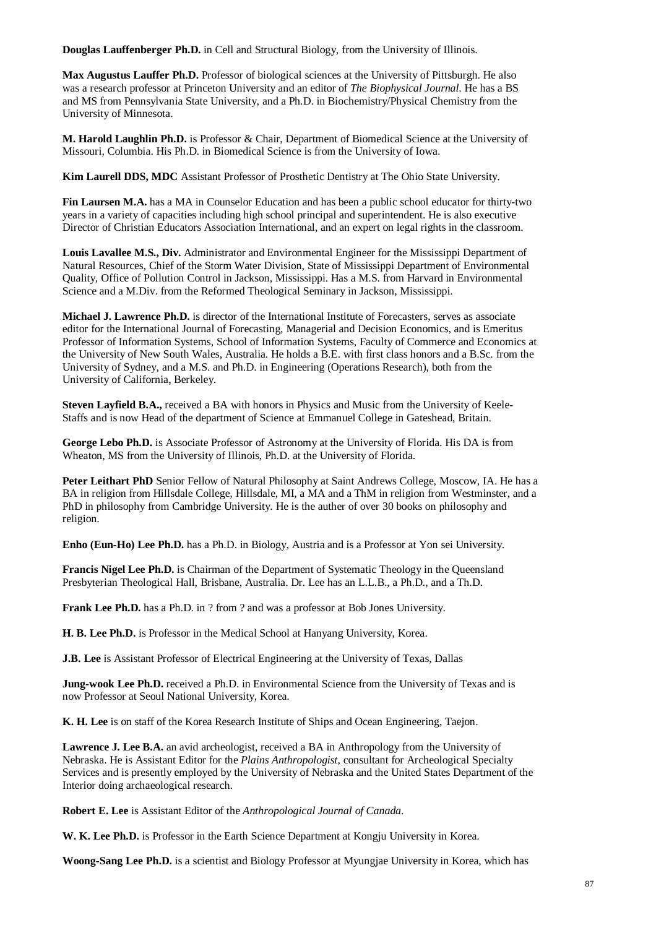**Douglas Lauffenberger Ph.D.** in Cell and Structural Biology, from the University of Illinois.

**Max Augustus Lauffer Ph.D.** Professor of biological sciences at the University of Pittsburgh. He also was a research professor at Princeton University and an editor of *The Biophysical Journal*. He has a BS and MS from Pennsylvania State University, and a Ph.D. in Biochemistry/Physical Chemistry from the University of Minnesota.

**M. Harold Laughlin Ph.D.** is Professor & Chair, Department of Biomedical Science at the University of Missouri, Columbia. His Ph.D. in Biomedical Science is from the University of Iowa.

**Kim Laurell DDS, MDC** Assistant Professor of Prosthetic Dentistry at The Ohio State University.

**Fin Laursen M.A.** has a MA in Counselor Education and has been a public school educator for thirty-two years in a variety of capacities including high school principal and superintendent. He is also executive Director of Christian Educators Association International, and an expert on legal rights in the classroom.

**Louis Lavallee M.S., Div.** Administrator and Environmental Engineer for the Mississippi Department of Natural Resources, Chief of the Storm Water Division, State of Mississippi Department of Environmental Quality, Office of Pollution Control in Jackson, Mississippi. Has a M.S. from Harvard in Environmental Science and a M.Div. from the Reformed Theological Seminary in Jackson, Mississippi.

**Michael J. Lawrence Ph.D.** is director of the International Institute of Forecasters, serves as associate editor for the International Journal of Forecasting, Managerial and Decision Economics, and is Emeritus Professor of Information Systems, School of Information Systems, Faculty of Commerce and Economics at the University of New South Wales, Australia. He holds a B.E. with first class honors and a B.Sc. from the University of Sydney, and a M.S. and Ph.D. in Engineering (Operations Research), both from the University of California, Berkeley.

**Steven Layfield B.A.,** received a BA with honors in Physics and Music from the University of Keele-Staffs and is now Head of the department of Science at Emmanuel College in Gateshead, Britain.

**George Lebo Ph.D.** is Associate Professor of Astronomy at the University of Florida. His DA is from Wheaton, MS from the University of Illinois, Ph.D. at the University of Florida.

**Peter Leithart PhD** Senior Fellow of Natural Philosophy at Saint Andrews College, Moscow, IA. He has a BA in religion from Hillsdale College, Hillsdale, MI, a MA and a ThM in religion from Westminster, and a PhD in philosophy from Cambridge University. He is the auther of over 30 books on philosophy and religion.

**Enho (Eun-Ho) Lee Ph.D.** has a Ph.D. in Biology, Austria and is a Professor at Yon sei University.

**Francis Nigel Lee Ph.D.** is Chairman of the Department of Systematic Theology in the Queensland Presbyterian Theological Hall, Brisbane, Australia. Dr. Lee has an L.L.B., a Ph.D., and a Th.D.

**Frank Lee Ph.D.** has a Ph.D. in ? from ? and was a professor at Bob Jones University.

**H. B. Lee Ph.D.** is Professor in the Medical School at Hanyang University, Korea.

**J.B. Lee** is Assistant Professor of Electrical Engineering at the University of Texas, Dallas

**Jung-wook Lee Ph.D.** received a Ph.D. in Environmental Science from the University of Texas and is now Professor at Seoul National University, Korea.

**K. H. Lee** is on staff of the Korea Research Institute of Ships and Ocean Engineering, Taejon.

**Lawrence J. Lee B.A.** an avid archeologist, received a BA in Anthropology from the University of Nebraska. He is Assistant Editor for the *Plains Anthropologist*, consultant for Archeological Specialty Services and is presently employed by the University of Nebraska and the United States Department of the Interior doing archaeological research.

**Robert E. Lee** is Assistant Editor of the *Anthropological Journal of Canada*.

**W. K. Lee Ph.D.** is Professor in the Earth Science Department at Kongju University in Korea.

**Woong-Sang Lee Ph.D.** is a scientist and Biology Professor at Myungjae University in Korea, which has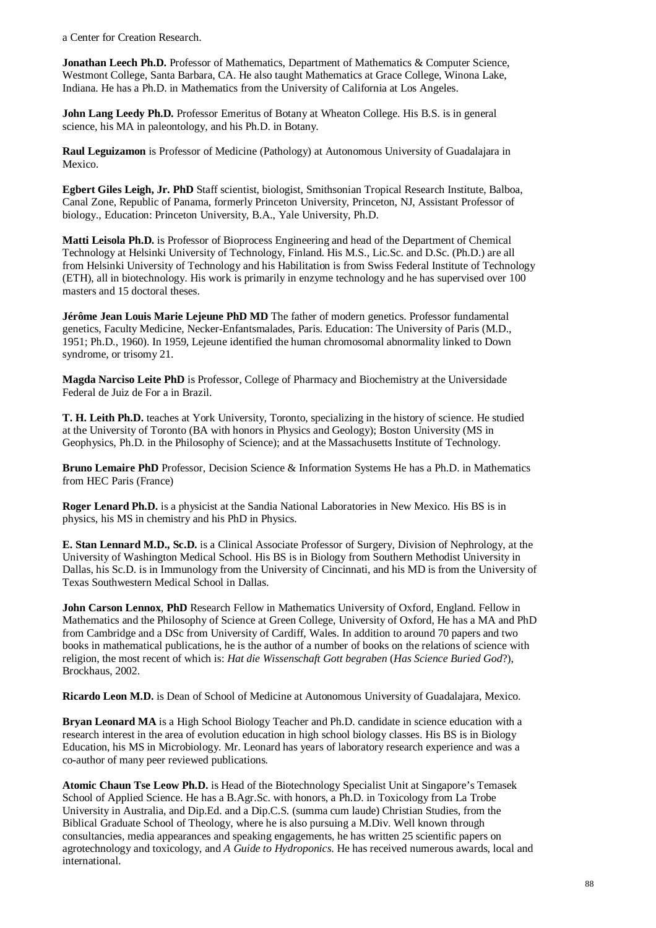a Center for Creation Research.

**Jonathan Leech Ph.D.** Professor of Mathematics, Department of Mathematics & Computer Science, Westmont College, Santa Barbara, CA. He also taught Mathematics at Grace College, Winona Lake, Indiana. He has a Ph.D. in Mathematics from the University of California at Los Angeles.

John Lang Leedy Ph.D. Professor Emeritus of Botany at Wheaton College. His B.S. is in general science, his MA in paleontology, and his Ph.D. in Botany.

**Raul Leguizamon** is Professor of Medicine (Pathology) at Autonomous University of Guadalajara in Mexico.

**Egbert Giles Leigh, Jr. PhD** Staff scientist, biologist, Smithsonian Tropical Research Institute, Balboa, Canal Zone, Republic of Panama, formerly Princeton University, Princeton, NJ, Assistant Professor of biology., Education: Princeton University, B.A., Yale University, Ph.D.

**Matti Leisola Ph.D.** is Professor of Bioprocess Engineering and head of the Department of Chemical Technology at Helsinki University of Technology, Finland. His M.S., Lic.Sc. and D.Sc. (Ph.D.) are all from Helsinki University of Technology and his Habilitation is from Swiss Federal Institute of Technology (ETH), all in biotechnology. His work is primarily in enzyme technology and he has supervised over 100 masters and 15 doctoral theses.

**Jérôme Jean Louis Marie Lejeune PhD MD** The father of modern genetics. Professor fundamental genetics, Faculty Medicine, Necker-Enfantsmalades, Paris. Education: The University of Paris (M.D., 1951; Ph.D., 1960). In 1959, Lejeune identified the human chromosomal abnormality linked to Down syndrome, or trisomy 21.

**Magda Narciso Leite PhD** is Professor, College of Pharmacy and Biochemistry at the Universidade Federal de Juiz de For a in Brazil.

**T. H. Leith Ph.D.** teaches at York University, Toronto, specializing in the history of science. He studied at the University of Toronto (BA with honors in Physics and Geology); Boston University (MS in Geophysics, Ph.D. in the Philosophy of Science); and at the Massachusetts Institute of Technology.

**Bruno Lemaire PhD** Professor, Decision Science & Information Systems He has a Ph.D. in Mathematics from HEC Paris (France)

**Roger Lenard Ph.D.** is a physicist at the Sandia National Laboratories in New Mexico. His BS is in physics, his MS in chemistry and his PhD in Physics.

**E. Stan Lennard M.D., Sc.D.** is a Clinical Associate Professor of Surgery, Division of Nephrology, at the University of Washington Medical School. His BS is in Biology from Southern Methodist University in Dallas, his Sc.D. is in Immunology from the University of Cincinnati, and his MD is from the University of Texas Southwestern Medical School in Dallas.

**John Carson Lennox**, **PhD** Research Fellow in Mathematics University of Oxford, England. Fellow in Mathematics and the Philosophy of Science at Green College, University of Oxford, He has a MA and PhD from Cambridge and a DSc from University of Cardiff, Wales. In addition to around 70 papers and two books in mathematical publications, he is the author of a number of books on the relations of science with religion, the most recent of which is: *Hat die Wissenschaft Gott begraben* (*Has Science Buried God*?), Brockhaus, 2002.

**Ricardo Leon M.D.** is Dean of School of Medicine at Autonomous University of Guadalajara, Mexico.

**Bryan Leonard MA** is a High School Biology Teacher and Ph.D. candidate in science education with a research interest in the area of evolution education in high school biology classes. His BS is in Biology Education, his MS in Microbiology. Mr. Leonard has years of laboratory research experience and was a co-author of many peer reviewed publications.

**Atomic Chaun Tse Leow Ph.D.** is Head of the Biotechnology Specialist Unit at Singapore's Temasek School of Applied Science. He has a B.Agr.Sc. with honors, a Ph.D. in Toxicology from La Trobe University in Australia, and Dip.Ed. and a Dip.C.S. (summa cum laude) Christian Studies, from the Biblical Graduate School of Theology, where he is also pursuing a M.Div. Well known through consultancies, media appearances and speaking engagements, he has written 25 scientific papers on agrotechnology and toxicology, and *A Guide to Hydroponics*. He has received numerous awards, local and international.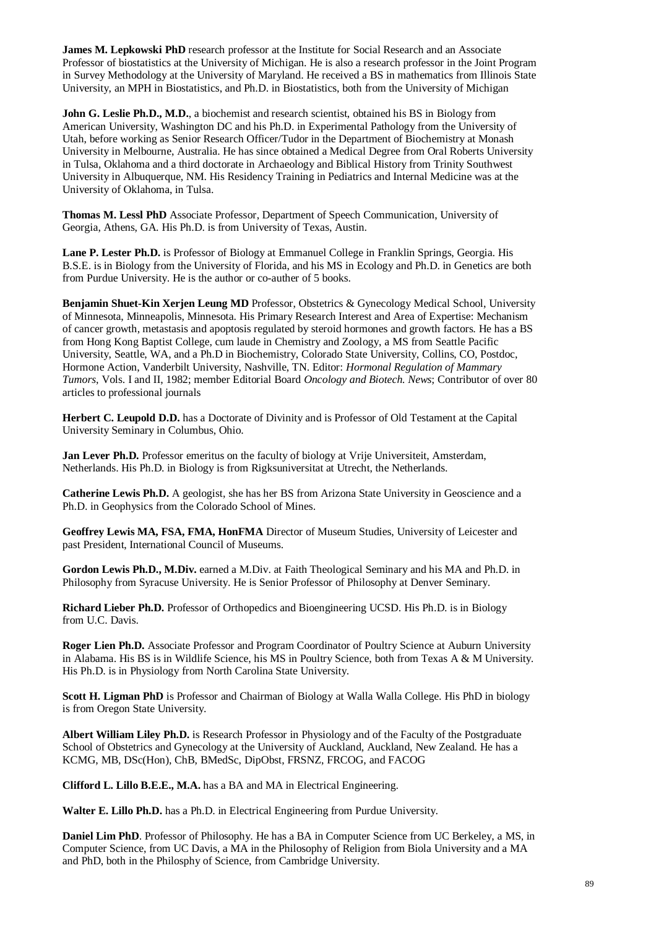**James M. Lepkowski PhD** research professor at the Institute for Social Research and an Associate Professor of biostatistics at the University of Michigan. He is also a research professor in the Joint Program in Survey Methodology at the University of Maryland. He received a BS in mathematics from Illinois State University, an MPH in Biostatistics, and Ph.D. in Biostatistics, both from the University of Michigan

**John G. Leslie Ph.D., M.D.**, a biochemist and research scientist, obtained his BS in Biology from American University, Washington DC and his Ph.D. in Experimental Pathology from the University of Utah, before working as Senior Research Officer/Tudor in the Department of Biochemistry at Monash University in Melbourne, Australia. He has since obtained a Medical Degree from Oral Roberts University in Tulsa, Oklahoma and a third doctorate in Archaeology and Biblical History from Trinity Southwest University in Albuquerque, NM. His Residency Training in Pediatrics and Internal Medicine was at the University of Oklahoma, in Tulsa.

**Thomas M. Lessl PhD** Associate Professor, Department of Speech Communication, University of Georgia, Athens, GA. His Ph.D. is from University of Texas, Austin.

**Lane P. Lester Ph.D.** is Professor of Biology at Emmanuel College in Franklin Springs, Georgia. His B.S.E. is in Biology from the University of Florida, and his MS in Ecology and Ph.D. in Genetics are both from Purdue University. He is the author or co-auther of 5 books.

**Benjamin Shuet-Kin Xerjen Leung MD** Professor, Obstetrics & Gynecology Medical School, University of Minnesota, Minneapolis, Minnesota. His Primary Research Interest and Area of Expertise: Mechanism of cancer growth, metastasis and apoptosis regulated by steroid hormones and growth factors. He has a BS from Hong Kong Baptist College, cum laude in Chemistry and Zoology, a MS from Seattle Pacific University, Seattle, WA, and a Ph.D in Biochemistry, Colorado State University, Collins, CO, Postdoc, Hormone Action, Vanderbilt University, Nashville, TN. Editor: *Hormonal Regulation of Mammary Tumors*, Vols. I and II, 1982; member Editorial Board *Oncology and Biotech. News*; Contributor of over 80 articles to professional journals

**Herbert C. Leupold D.D.** has a Doctorate of Divinity and is Professor of Old Testament at the Capital University Seminary in Columbus, Ohio.

Jan Lever Ph.D. Professor emeritus on the faculty of biology at Vrije Universiteit, Amsterdam, Netherlands. His Ph.D. in Biology is from Rigksuniversitat at Utrecht, the Netherlands.

**Catherine Lewis Ph.D.** A geologist, she has her BS from Arizona State University in Geoscience and a Ph.D. in Geophysics from the Colorado School of Mines.

**Geoffrey Lewis MA, FSA, FMA, HonFMA** Director of Museum Studies, University of Leicester and past President, International Council of Museums.

**Gordon Lewis Ph.D., M.Div.** earned a M.Div. at Faith Theological Seminary and his MA and Ph.D. in Philosophy from Syracuse University. He is Senior Professor of Philosophy at Denver Seminary.

**Richard Lieber Ph.D.** Professor of Orthopedics and Bioengineering UCSD. His Ph.D. is in Biology from U.C. Davis.

**Roger Lien Ph.D.** Associate Professor and Program Coordinator of Poultry Science at Auburn University in Alabama. His BS is in Wildlife Science, his MS in Poultry Science, both from Texas A & M University. His Ph.D. is in Physiology from North Carolina State University.

**Scott H. Ligman PhD** is Professor and Chairman of Biology at Walla Walla College. His PhD in biology is from Oregon State University.

**Albert William Liley Ph.D.** is Research Professor in Physiology and of the Faculty of the Postgraduate School of Obstetrics and Gynecology at the University of Auckland, Auckland, New Zealand. He has a KCMG, MB, DSc(Hon), ChB, BMedSc, DipObst, FRSNZ, FRCOG, and FACOG

**Clifford L. Lillo B.E.E., M.A.** has a BA and MA in Electrical Engineering.

**Walter E. Lillo Ph.D.** has a Ph.D. in Electrical Engineering from Purdue University.

**Daniel Lim PhD**. Professor of Philosophy. He has a BA in Computer Science from UC Berkeley, a MS, in Computer Science, from UC Davis, a MA in the Philosophy of Religion from Biola University and a MA and PhD, both in the Philosphy of Science, from Cambridge University.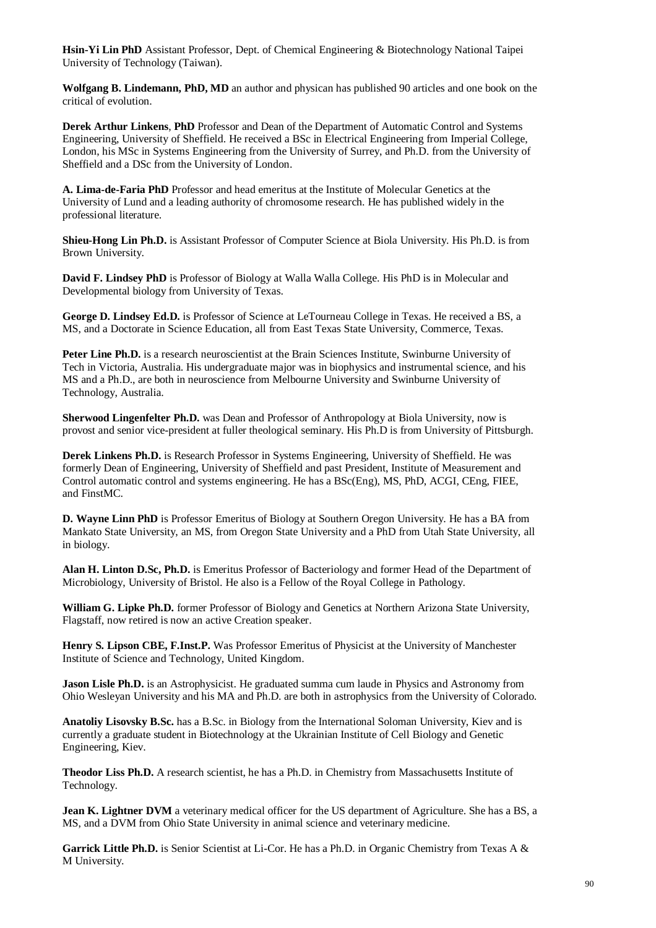**Hsin-Yi Lin PhD** Assistant Professor, Dept. of Chemical Engineering & Biotechnology National Taipei University of Technology (Taiwan).

**Wolfgang B. Lindemann, PhD, MD** an author and physican has published 90 articles and one book on the critical of evolution.

**Derek Arthur Linkens**, **PhD** Professor and Dean of the Department of Automatic Control and Systems Engineering, University of Sheffield. He received a BSc in Electrical Engineering from Imperial College, London, his MSc in Systems Engineering from the University of Surrey, and Ph.D. from the University of Sheffield and a DSc from the University of London.

**A. Lima-de-Faria PhD** Professor and head emeritus at the Institute of Molecular Genetics at the University of Lund and a leading authority of chromosome research. He has published widely in the professional literature.

**Shieu-Hong Lin Ph.D.** is Assistant Professor of Computer Science at Biola University. His Ph.D. is from Brown University.

**David F. Lindsey PhD** is Professor of Biology at Walla Walla College. His PhD is in Molecular and Developmental biology from University of Texas.

**George D. Lindsey Ed.D.** is Professor of Science at LeTourneau College in Texas. He received a BS, a MS, and a Doctorate in Science Education, all from East Texas State University, Commerce, Texas.

**Peter Line Ph.D.** is a research neuroscientist at the Brain Sciences Institute, Swinburne University of Tech in Victoria, Australia. His undergraduate major was in biophysics and instrumental science, and his MS and a Ph.D., are both in neuroscience from Melbourne University and Swinburne University of Technology, Australia.

**Sherwood Lingenfelter Ph.D.** was Dean and Professor of Anthropology at Biola University, now is provost and senior vice-president at fuller theological seminary. His Ph.D is from University of Pittsburgh.

**Derek Linkens Ph.D.** is Research Professor in Systems Engineering, University of Sheffield. He was formerly Dean of Engineering, University of Sheffield and past President, Institute of Measurement and Control automatic control and systems engineering. He has a BSc(Eng), MS, PhD, ACGI, CEng, FIEE, and FinstMC.

**D. Wayne Linn PhD** is Professor Emeritus of Biology at Southern Oregon University. He has a BA from Mankato State University, an MS, from Oregon State University and a PhD from Utah State University, all in biology.

**Alan H. Linton D.Sc, Ph.D.** is Emeritus Professor of Bacteriology and former Head of the Department of Microbiology, University of Bristol. He also is a Fellow of the Royal College in Pathology.

**William G. Lipke Ph.D.** former Professor of Biology and Genetics at Northern Arizona State University, Flagstaff, now retired is now an active Creation speaker.

**Henry S. Lipson CBE, F.Inst.P.** Was Professor Emeritus of Physicist at the University of Manchester Institute of Science and Technology, United Kingdom.

**Jason Lisle Ph.D.** is an Astrophysicist. He graduated summa cum laude in Physics and Astronomy from Ohio Wesleyan University and his MA and Ph.D. are both in astrophysics from the University of Colorado.

**Anatoliy Lisovsky B.Sc.** has a B.Sc. in Biology from the International Soloman University, Kiev and is currently a graduate student in Biotechnology at the Ukrainian Institute of Cell Biology and Genetic Engineering, Kiev.

**Theodor Liss Ph.D.** A research scientist, he has a Ph.D. in Chemistry from Massachusetts Institute of Technology.

**Jean K. Lightner DVM** a veterinary medical officer for the US department of Agriculture. She has a BS, a MS, and a DVM from Ohio State University in animal science and veterinary medicine.

**Garrick Little Ph.D.** is Senior Scientist at Li-Cor. He has a Ph.D. in Organic Chemistry from Texas A & M University.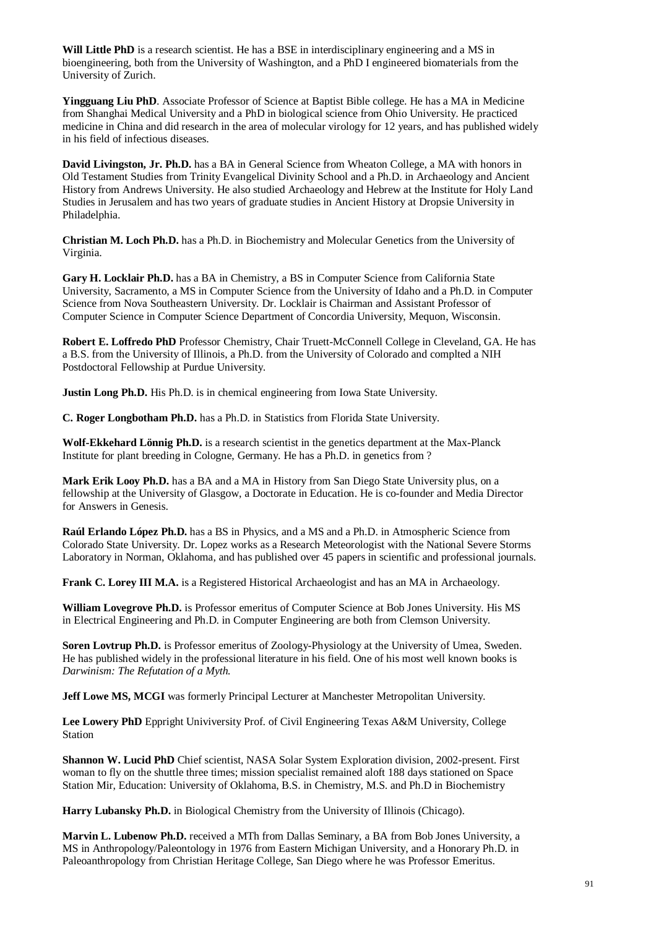**Will Little PhD** is a research scientist. He has a BSE in interdisciplinary engineering and a MS in bioengineering, both from the University of Washington, and a PhD I engineered biomaterials from the University of Zurich.

**Yingguang Liu PhD**. Associate Professor of Science at Baptist Bible college. He has a MA in Medicine from Shanghai Medical University and a PhD in biological science from Ohio University. He practiced medicine in China and did research in the area of molecular virology for 12 years, and has published widely in his field of infectious diseases.

**David Livingston, Jr. Ph.D.** has a BA in General Science from Wheaton College, a MA with honors in Old Testament Studies from Trinity Evangelical Divinity School and a Ph.D. in Archaeology and Ancient History from Andrews University. He also studied Archaeology and Hebrew at the Institute for Holy Land Studies in Jerusalem and has two years of graduate studies in Ancient History at Dropsie University in Philadelphia.

**Christian M. Loch Ph.D.** has a Ph.D. in Biochemistry and Molecular Genetics from the University of Virginia.

Gary H. Locklair Ph.D. has a BA in Chemistry, a BS in Computer Science from California State University, Sacramento, a MS in Computer Science from the University of Idaho and a Ph.D. in Computer Science from Nova Southeastern University. Dr. Locklair is Chairman and Assistant Professor of Computer Science in Computer Science Department of Concordia University, Mequon, Wisconsin.

**Robert E. Loffredo PhD** Professor Chemistry, Chair Truett-McConnell College in Cleveland, GA. He has a B.S. from the University of Illinois, a Ph.D. from the University of Colorado and complted a NIH Postdoctoral Fellowship at Purdue University.

**Justin Long Ph.D.** His Ph.D. is in chemical engineering from Iowa State University.

**C. Roger Longbotham Ph.D.** has a Ph.D. in Statistics from Florida State University.

**Wolf-Ekkehard Lönnig Ph.D.** is a research scientist in the genetics department at the Max-Planck Institute for plant breeding in Cologne, Germany. He has a Ph.D. in genetics from ?

**Mark Erik Looy Ph.D.** has a BA and a MA in History from San Diego State University plus, on a fellowship at the University of Glasgow, a Doctorate in Education. He is co-founder and Media Director for Answers in Genesis.

**Raúl Erlando López Ph.D.** has a BS in Physics, and a MS and a Ph.D. in Atmospheric Science from Colorado State University. Dr. Lopez works as a Research Meteorologist with the National Severe Storms Laboratory in Norman, Oklahoma, and has published over 45 papers in scientific and professional journals.

**Frank C. Lorey III M.A.** is a Registered Historical Archaeologist and has an MA in Archaeology.

**William Lovegrove Ph.D.** is Professor emeritus of Computer Science at Bob Jones University. His MS in Electrical Engineering and Ph.D. in Computer Engineering are both from Clemson University.

**Soren Lovtrup Ph.D.** is Professor emeritus of Zoology-Physiology at the University of Umea, Sweden. He has published widely in the professional literature in his field. One of his most well known books is *Darwinism: The Refutation of a Myth.*

**Jeff Lowe MS, MCGI** was formerly Principal Lecturer at Manchester Metropolitan University.

**Lee Lowery PhD** Eppright Univiversity Prof. of Civil Engineering Texas A&M University, College Station

**Shannon W. Lucid PhD** Chief scientist, NASA Solar System Exploration division, 2002-present. First woman to fly on the shuttle three times; mission specialist remained aloft 188 days stationed on Space Station Mir, Education: University of Oklahoma, B.S. in Chemistry, M.S. and Ph.D in Biochemistry

**Harry Lubansky Ph.D.** in Biological Chemistry from the University of Illinois (Chicago).

**Marvin L. Lubenow Ph.D.** received a MTh from Dallas Seminary, a BA from Bob Jones University, a MS in Anthropology/Paleontology in 1976 from Eastern Michigan University, and a Honorary Ph.D. in Paleoanthropology from Christian Heritage College, San Diego where he was Professor Emeritus.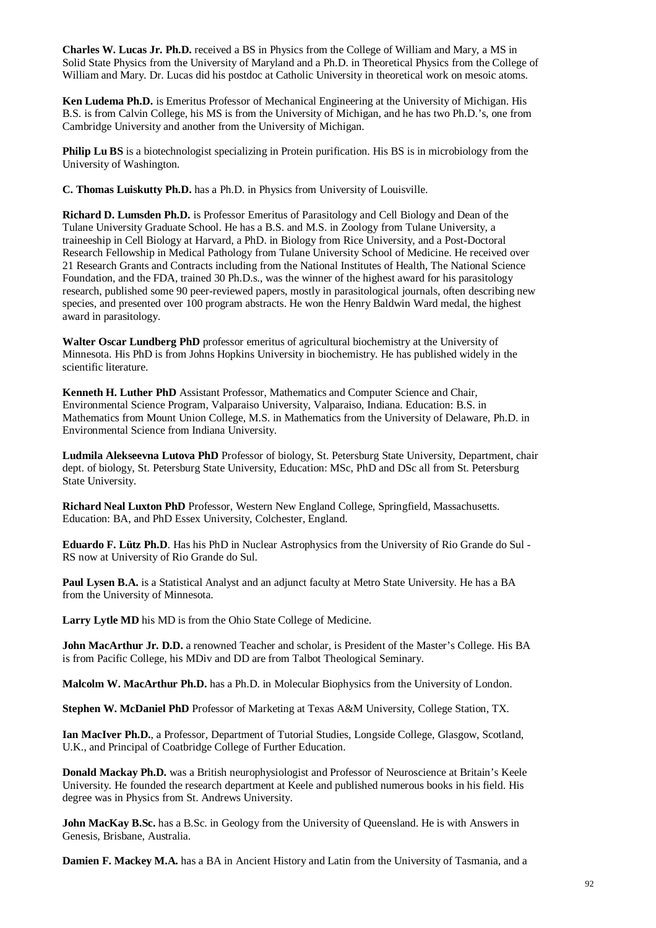**Charles W. Lucas Jr. Ph.D.** received a BS in Physics from the College of William and Mary, a MS in Solid State Physics from the University of Maryland and a Ph.D. in Theoretical Physics from the College of William and Mary. Dr. Lucas did his postdoc at Catholic University in theoretical work on mesoic atoms.

**Ken Ludema Ph.D.** is Emeritus Professor of Mechanical Engineering at the University of Michigan. His B.S. is from Calvin College, his MS is from the University of Michigan, and he has two Ph.D.'s, one from Cambridge University and another from the University of Michigan.

**Philip Lu BS** is a biotechnologist specializing in Protein purification. His BS is in microbiology from the University of Washington.

**C. Thomas Luiskutty Ph.D.** has a Ph.D. in Physics from University of Louisville.

**Richard D. Lumsden Ph.D.** is Professor Emeritus of Parasitology and Cell Biology and Dean of the Tulane University Graduate School. He has a B.S. and M.S. in Zoology from Tulane University, a traineeship in Cell Biology at Harvard, a PhD. in Biology from Rice University, and a Post-Doctoral Research Fellowship in Medical Pathology from Tulane University School of Medicine. He received over 21 Research Grants and Contracts including from the National Institutes of Health, The National Science Foundation, and the FDA, trained 30 Ph.D.s., was the winner of the highest award for his parasitology research, published some 90 peer-reviewed papers, mostly in parasitological journals, often describing new species, and presented over 100 program abstracts. He won the Henry Baldwin Ward medal, the highest award in parasitology.

**Walter Oscar Lundberg PhD** professor emeritus of agricultural biochemistry at the University of Minnesota. His PhD is from Johns Hopkins University in biochemistry. He has published widely in the scientific literature.

**Kenneth H. Luther PhD** Assistant Professor, Mathematics and Computer Science and Chair, Environmental Science Program, Valparaiso University, Valparaiso, Indiana. Education: B.S. in Mathematics from Mount Union College, M.S. in Mathematics from the University of Delaware, Ph.D. in Environmental Science from Indiana University.

**Ludmila Alekseevna Lutova PhD** Professor of biology, St. Petersburg State University, Department, chair dept. of biology, St. Petersburg State University, Education: MSc, PhD and DSc all from St. Petersburg State University.

**Richard Neal Luxton PhD** Professor, Western New England College, Springfield, Massachusetts. Education: BA, and PhD Essex University, Colchester, England.

**Eduardo F. Lütz Ph.D**. Has his PhD in Nuclear Astrophysics from the University of Rio Grande do Sul - RS now at University of Rio Grande do Sul.

**Paul Lysen B.A.** is a Statistical Analyst and an adjunct faculty at Metro State University. He has a BA from the University of Minnesota.

**Larry Lytle MD** his MD is from the Ohio State College of Medicine.

**John MacArthur Jr. D.D.** a renowned Teacher and scholar, is President of the Master's College. His BA is from Pacific College, his MDiv and DD are from Talbot Theological Seminary.

**Malcolm W. MacArthur Ph.D.** has a Ph.D. in Molecular Biophysics from the University of London.

**Stephen W. McDaniel PhD** Professor of Marketing at Texas A&M University, College Station, TX.

**Ian MacIver Ph.D.**, a Professor, Department of Tutorial Studies, Longside College, Glasgow, Scotland, U.K., and Principal of Coatbridge College of Further Education.

**Donald Mackay Ph.D.** was a British neurophysiologist and Professor of Neuroscience at Britain's Keele University. He founded the research department at Keele and published numerous books in his field. His degree was in Physics from St. Andrews University.

**John MacKay B.Sc.** has a B.Sc. in Geology from the University of Queensland. He is with Answers in Genesis, Brisbane, Australia.

**Damien F. Mackey M.A.** has a BA in Ancient History and Latin from the University of Tasmania, and a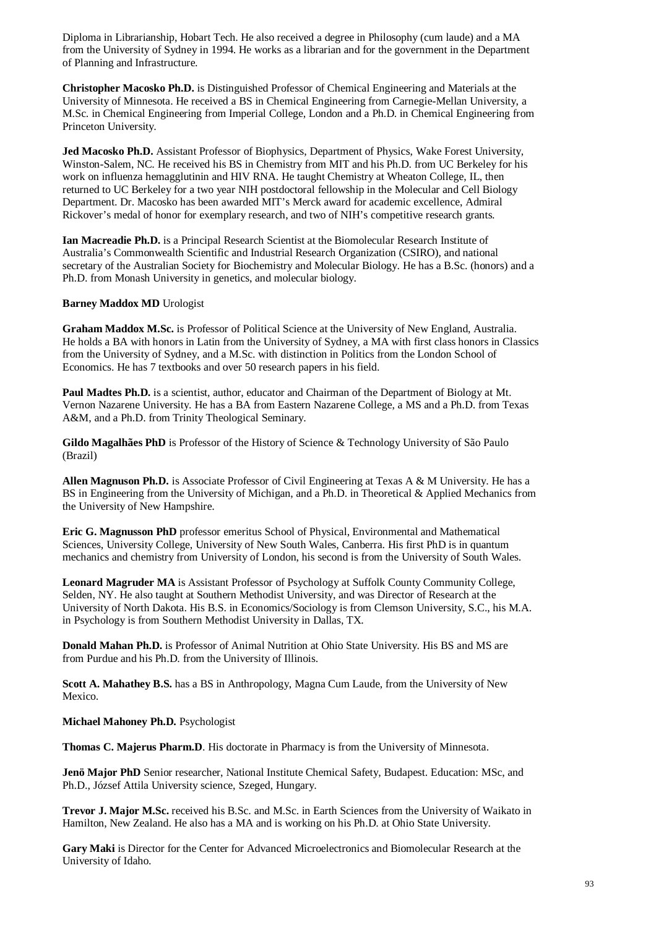Diploma in Librarianship, Hobart Tech. He also received a degree in Philosophy (cum laude) and a MA from the University of Sydney in 1994. He works as a librarian and for the government in the Department of Planning and Infrastructure.

**Christopher Macosko Ph.D.** is Distinguished Professor of Chemical Engineering and Materials at the University of Minnesota. He received a BS in Chemical Engineering from Carnegie-Mellan University, a M.Sc. in Chemical Engineering from Imperial College, London and a Ph.D. in Chemical Engineering from Princeton University.

**Jed Macosko Ph.D.** Assistant Professor of Biophysics, Department of Physics, Wake Forest University, Winston-Salem, NC. He received his BS in Chemistry from MIT and his Ph.D. from UC Berkeley for his work on influenza hemagglutinin and HIV RNA. He taught Chemistry at Wheaton College, IL, then returned to UC Berkeley for a two year NIH postdoctoral fellowship in the Molecular and Cell Biology Department. Dr. Macosko has been awarded MIT's Merck award for academic excellence, Admiral Rickover's medal of honor for exemplary research, and two of NIH's competitive research grants.

**Ian Macreadie Ph.D.** is a Principal Research Scientist at the Biomolecular Research Institute of Australia's Commonwealth Scientific and Industrial Research Organization (CSIRO), and national secretary of the Australian Society for Biochemistry and Molecular Biology. He has a B.Sc. (honors) and a Ph.D. from Monash University in genetics, and molecular biology.

## **Barney Maddox MD** Urologist

**Graham Maddox M.Sc.** is Professor of Political Science at the University of New England, Australia. He holds a BA with honors in Latin from the University of Sydney, a MA with first class honors in Classics from the University of Sydney, and a M.Sc. with distinction in Politics from the London School of Economics. He has 7 textbooks and over 50 research papers in his field.

**Paul Madtes Ph.D.** is a scientist, author, educator and Chairman of the Department of Biology at Mt. Vernon Nazarene University. He has a BA from Eastern Nazarene College, a MS and a Ph.D. from Texas A&M, and a Ph.D. from Trinity Theological Seminary.

**Gildo Magalhães PhD** is Professor of the History of Science & Technology University of São Paulo (Brazil)

**Allen Magnuson Ph.D.** is Associate Professor of Civil Engineering at Texas A & M University. He has a BS in Engineering from the University of Michigan, and a Ph.D. in Theoretical & Applied Mechanics from the University of New Hampshire.

**Eric G. Magnusson PhD** professor emeritus School of Physical, Environmental and Mathematical Sciences, University College, University of New South Wales, Canberra. His first PhD is in quantum mechanics and chemistry from University of London, his second is from the University of South Wales.

**Leonard Magruder MA** is Assistant Professor of Psychology at Suffolk County Community College, Selden, NY. He also taught at Southern Methodist University, and was Director of Research at the University of North Dakota. His B.S. in Economics/Sociology is from Clemson University, S.C., his M.A. in Psychology is from Southern Methodist University in Dallas, TX.

**Donald Mahan Ph.D.** is Professor of Animal Nutrition at Ohio State University. His BS and MS are from Purdue and his Ph.D. from the University of Illinois.

**Scott A. Mahathey B.S.** has a BS in Anthropology, Magna Cum Laude, from the University of New Mexico.

**Michael Mahoney Ph.D.** Psychologist

**Thomas C. Majerus Pharm.D**. His doctorate in Pharmacy is from the University of Minnesota.

**Jenö Major PhD** Senior researcher, National Institute Chemical Safety, Budapest. Education: MSc, and Ph.D., József Attila University science, Szeged, Hungary.

**Trevor J. Major M.Sc.** received his B.Sc. and M.Sc. in Earth Sciences from the University of Waikato in Hamilton, New Zealand. He also has a MA and is working on his Ph.D. at Ohio State University.

**Gary Maki** is Director for the Center for Advanced Microelectronics and Biomolecular Research at the University of Idaho.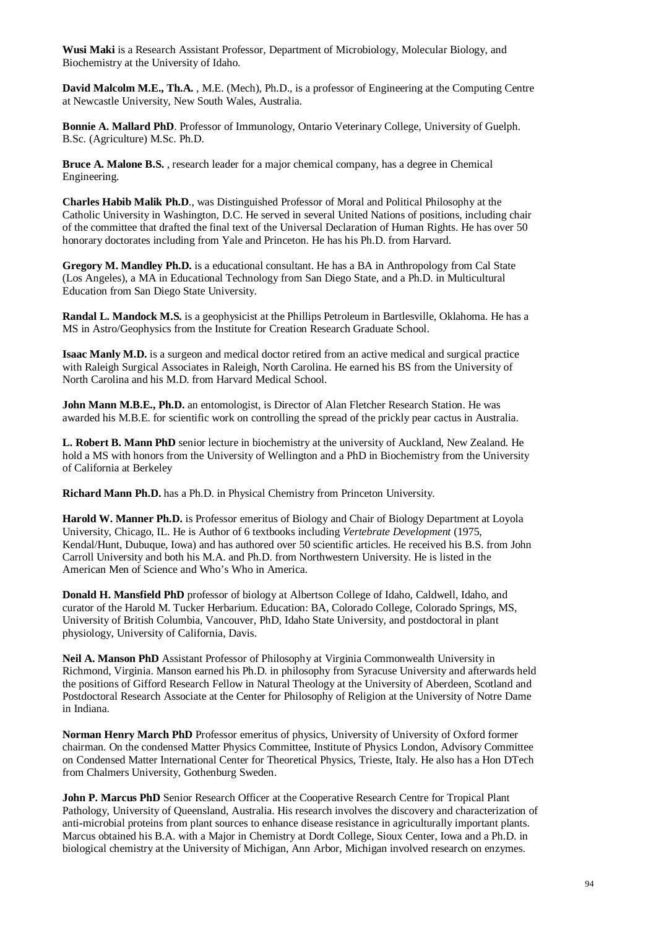**Wusi Maki** is a Research Assistant Professor, Department of Microbiology, Molecular Biology, and Biochemistry at the University of Idaho.

**David Malcolm M.E., Th.A.** , M.E. (Mech), Ph.D., is a professor of Engineering at the Computing Centre at Newcastle University, New South Wales, Australia.

**Bonnie A. Mallard PhD**. Professor of Immunology, Ontario Veterinary College, University of Guelph. B.Sc. (Agriculture) M.Sc. Ph.D.

**Bruce A. Malone B.S.** , research leader for a major chemical company, has a degree in Chemical Engineering.

**Charles Habib Malik Ph.D**., was Distinguished Professor of Moral and Political Philosophy at the Catholic University in Washington, D.C. He served in several United Nations of positions, including chair of the committee that drafted the final text of the Universal Declaration of Human Rights. He has over 50 honorary doctorates including from Yale and Princeton. He has his Ph.D. from Harvard.

**Gregory M. Mandley Ph.D.** is a educational consultant. He has a BA in Anthropology from Cal State (Los Angeles), a MA in Educational Technology from San Diego State, and a Ph.D. in Multicultural Education from San Diego State University.

**Randal L. Mandock M.S.** is a geophysicist at the Phillips Petroleum in Bartlesville, Oklahoma. He has a MS in Astro/Geophysics from the Institute for Creation Research Graduate School.

**Isaac Manly M.D.** is a surgeon and medical doctor retired from an active medical and surgical practice with Raleigh Surgical Associates in Raleigh, North Carolina. He earned his BS from the University of North Carolina and his M.D. from Harvard Medical School.

**John Mann M.B.E., Ph.D.** an entomologist, is Director of Alan Fletcher Research Station. He was awarded his M.B.E. for scientific work on controlling the spread of the prickly pear cactus in Australia.

**L. Robert B. Mann PhD** senior lecture in biochemistry at the university of Auckland, New Zealand. He hold a MS with honors from the University of Wellington and a PhD in Biochemistry from the University of California at Berkeley

**Richard Mann Ph.D.** has a Ph.D. in Physical Chemistry from Princeton University.

**Harold W. Manner Ph.D.** is Professor emeritus of Biology and Chair of Biology Department at Loyola University, Chicago, IL. He is Author of 6 textbooks including *Vertebrate Development* (1975, Kendal/Hunt, Dubuque, Iowa) and has authored over 50 scientific articles. He received his B.S. from John Carroll University and both his M.A. and Ph.D. from Northwestern University. He is listed in the American Men of Science and Who's Who in America.

**Donald H. Mansfield PhD** professor of biology at Albertson College of Idaho, Caldwell, Idaho, and curator of the Harold M. Tucker Herbarium. Education: BA, Colorado College, Colorado Springs, MS, University of British Columbia, Vancouver, PhD, Idaho State University, and postdoctoral in plant physiology, University of California, Davis.

**Neil A. Manson PhD** Assistant Professor of Philosophy at Virginia Commonwealth University in Richmond, Virginia. Manson earned his Ph.D. in philosophy from Syracuse University and afterwards held the positions of Gifford Research Fellow in Natural Theology at the University of Aberdeen, Scotland and Postdoctoral Research Associate at the Center for Philosophy of Religion at the University of Notre Dame in Indiana.

**Norman Henry March PhD** Professor emeritus of physics, University of University of Oxford former chairman. On the condensed Matter Physics Committee, Institute of Physics London, Advisory Committee on Condensed Matter International Center for Theoretical Physics, Trieste, Italy. He also has a Hon DTech from Chalmers University, Gothenburg Sweden.

**John P. Marcus PhD** Senior Research Officer at the Cooperative Research Centre for Tropical Plant Pathology, University of Queensland, Australia. His research involves the discovery and characterization of anti-microbial proteins from plant sources to enhance disease resistance in agriculturally important plants. Marcus obtained his B.A. with a Major in Chemistry at Dordt College, Sioux Center, Iowa and a Ph.D. in biological chemistry at the University of Michigan, Ann Arbor, Michigan involved research on enzymes.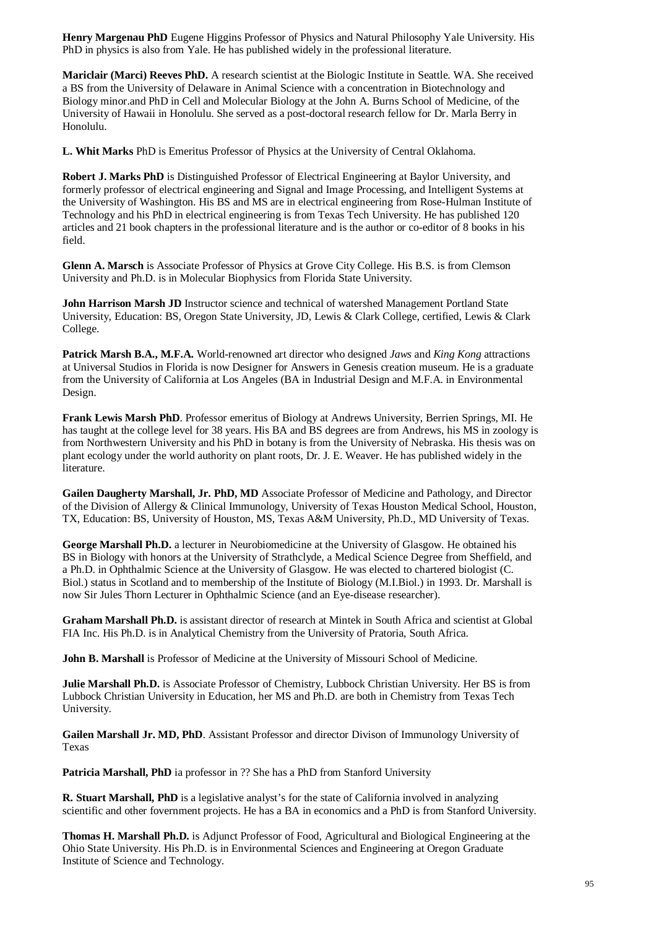**Henry Margenau PhD** Eugene Higgins Professor of Physics and Natural Philosophy Yale University. His PhD in physics is also from Yale. He has published widely in the professional literature.

**Mariclair (Marci) Reeves PhD.** A research scientist at the Biologic Institute in Seattle. WA. She received a BS from the University of Delaware in Animal Science with a concentration in Biotechnology and Biology minor.and PhD in Cell and Molecular Biology at the John A. Burns School of Medicine, of the University of Hawaii in Honolulu. She served as a post-doctoral research fellow for Dr. Marla Berry in Honolulu.

**L. Whit Marks** PhD is Emeritus Professor of Physics at the University of Central Oklahoma.

**Robert J. Marks PhD** is Distinguished Professor of Electrical Engineering at Baylor University, and formerly professor of electrical engineering and Signal and Image Processing, and Intelligent Systems at the University of Washington. His BS and MS are in electrical engineering from Rose-Hulman Institute of Technology and his PhD in electrical engineering is from Texas Tech University. He has published 120 articles and 21 book chapters in the professional literature and is the author or co-editor of 8 books in his field.

**Glenn A. Marsch** is Associate Professor of Physics at Grove City College. His B.S. is from Clemson University and Ph.D. is in Molecular Biophysics from Florida State University.

**John Harrison Marsh JD** Instructor science and technical of watershed Management Portland State University, Education: BS, Oregon State University, JD, Lewis & Clark College, certified, Lewis & Clark College.

**Patrick Marsh B.A., M.F.A.** World-renowned art director who designed *Jaws* and *King Kong* attractions at Universal Studios in Florida is now Designer for Answers in Genesis creation museum. He is a graduate from the University of California at Los Angeles (BA in Industrial Design and M.F.A. in Environmental Design.

**Frank Lewis Marsh PhD**. Professor emeritus of Biology at Andrews University, Berrien Springs, MI. He has taught at the college level for 38 years. His BA and BS degrees are from Andrews, his MS in zoology is from Northwestern University and his PhD in botany is from the University of Nebraska. His thesis was on plant ecology under the world authority on plant roots, Dr. J. E. Weaver. He has published widely in the literature.

**Gailen Daugherty Marshall, Jr. PhD, MD** Associate Professor of Medicine and Pathology, and Director of the Division of Allergy & Clinical Immunology, University of Texas Houston Medical School, Houston, TX, Education: BS, University of Houston, MS, Texas A&M University, Ph.D., MD University of Texas.

**George Marshall Ph.D.** a lecturer in Neurobiomedicine at the University of Glasgow. He obtained his BS in Biology with honors at the University of Strathclyde, a Medical Science Degree from Sheffield, and a Ph.D. in Ophthalmic Science at the University of Glasgow. He was elected to chartered biologist (C. Biol.) status in Scotland and to membership of the Institute of Biology (M.I.Biol.) in 1993. Dr. Marshall is now Sir Jules Thorn Lecturer in Ophthalmic Science (and an Eye-disease researcher).

**Graham Marshall Ph.D.** is assistant director of research at Mintek in South Africa and scientist at Global FIA Inc. His Ph.D. is in Analytical Chemistry from the University of Pratoria, South Africa.

**John B. Marshall** is Professor of Medicine at the University of Missouri School of Medicine.

**Julie Marshall Ph.D.** is Associate Professor of Chemistry, Lubbock Christian University. Her BS is from Lubbock Christian University in Education, her MS and Ph.D. are both in Chemistry from Texas Tech University.

**Gailen Marshall Jr. MD, PhD**. Assistant Professor and director Divison of Immunology University of Texas

**Patricia Marshall, PhD** ia professor in ?? She has a PhD from Stanford University

**R. Stuart Marshall, PhD** is a legislative analyst's for the state of California involved in analyzing scientific and other fovernment projects. He has a BA in economics and a PhD is from Stanford University.

**Thomas H. Marshall Ph.D.** is Adjunct Professor of Food, Agricultural and Biological Engineering at the Ohio State University. His Ph.D. is in Environmental Sciences and Engineering at Oregon Graduate Institute of Science and Technology.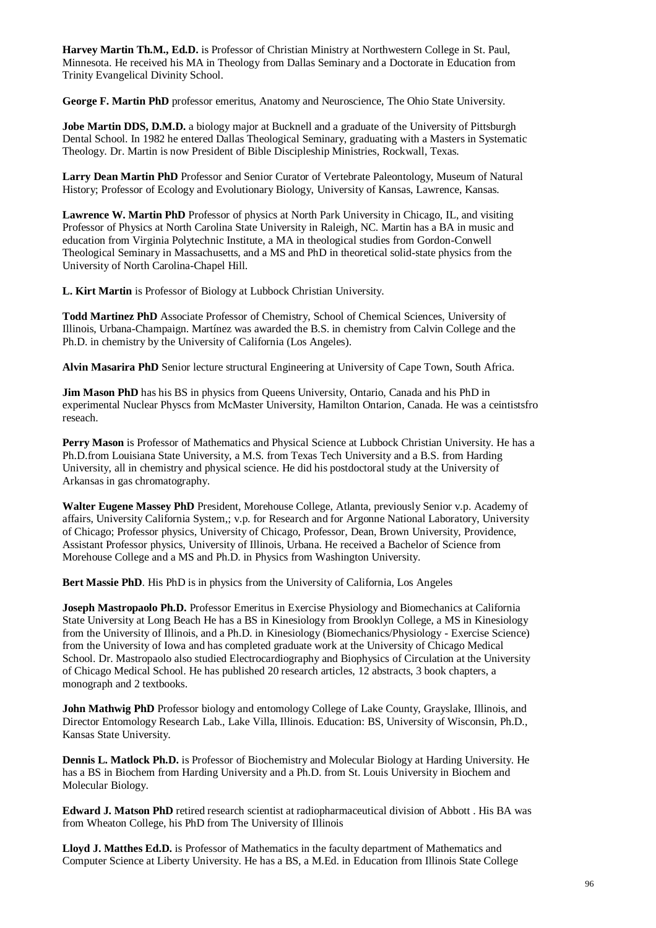**Harvey Martin Th.M., Ed.D.** is Professor of Christian Ministry at Northwestern College in St. Paul, Minnesota. He received his MA in Theology from Dallas Seminary and a Doctorate in Education from Trinity Evangelical Divinity School.

**George F. Martin PhD** professor emeritus, Anatomy and Neuroscience, The Ohio State University.

**Jobe Martin DDS, D.M.D.** a biology major at Bucknell and a graduate of the University of Pittsburgh Dental School. In 1982 he entered Dallas Theological Seminary, graduating with a Masters in Systematic Theology. Dr. Martin is now President of Bible Discipleship Ministries, Rockwall, Texas.

**Larry Dean Martin PhD** Professor and Senior Curator of Vertebrate Paleontology, Museum of Natural History; Professor of Ecology and Evolutionary Biology, University of Kansas, Lawrence, Kansas.

**Lawrence W. Martin PhD** Professor of physics at North Park University in Chicago, IL, and visiting Professor of Physics at North Carolina State University in Raleigh, NC. Martin has a BA in music and education from Virginia Polytechnic Institute, a MA in theological studies from Gordon-Conwell Theological Seminary in Massachusetts, and a MS and PhD in theoretical solid-state physics from the University of North Carolina-Chapel Hill.

**L. Kirt Martin** is Professor of Biology at Lubbock Christian University.

**Todd Martinez PhD** Associate Professor of Chemistry, School of Chemical Sciences, University of Illinois, Urbana-Champaign. Martínez was awarded the B.S. in chemistry from Calvin College and the Ph.D. in chemistry by the University of California (Los Angeles).

**Alvin Masarira PhD** Senior lecture structural Engineering at University of Cape Town, South Africa.

**Jim Mason PhD** has his BS in physics from Queens University, Ontario, Canada and his PhD in experimental Nuclear Physcs from McMaster University, Hamilton Ontarion, Canada. He was a ceintistsfro reseach.

**Perry Mason** is Professor of Mathematics and Physical Science at Lubbock Christian University. He has a Ph.D.from Louisiana State University, a M.S. from Texas Tech University and a B.S. from Harding University, all in chemistry and physical science. He did his postdoctoral study at the University of Arkansas in gas chromatography.

**Walter Eugene Massey PhD** President, Morehouse College, Atlanta, previously Senior v.p. Academy of affairs, University California System,; v.p. for Research and for Argonne National Laboratory, University of Chicago; Professor physics, University of Chicago, Professor, Dean, Brown University, Providence, Assistant Professor physics, University of Illinois, Urbana. He received a Bachelor of Science from Morehouse College and a MS and Ph.D. in Physics from Washington University.

**Bert Massie PhD**. His PhD is in physics from the University of California, Los Angeles

**Joseph Mastropaolo Ph.D.** Professor Emeritus in Exercise Physiology and Biomechanics at California State University at Long Beach He has a BS in Kinesiology from Brooklyn College, a MS in Kinesiology from the University of Illinois, and a Ph.D. in Kinesiology (Biomechanics/Physiology - Exercise Science) from the University of Iowa and has completed graduate work at the University of Chicago Medical School. Dr. Mastropaolo also studied Electrocardiography and Biophysics of Circulation at the University of Chicago Medical School. He has published 20 research articles, 12 abstracts, 3 book chapters, a monograph and 2 textbooks.

**John Mathwig PhD** Professor biology and entomology College of Lake County, Grayslake, Illinois, and Director Entomology Research Lab., Lake Villa, Illinois. Education: BS, University of Wisconsin, Ph.D., Kansas State University.

**Dennis L. Matlock Ph.D.** is Professor of Biochemistry and Molecular Biology at Harding University. He has a BS in Biochem from Harding University and a Ph.D. from St. Louis University in Biochem and Molecular Biology.

**Edward J. Matson PhD** retired research scientist at radiopharmaceutical division of Abbott . His BA was from Wheaton College, his PhD from The University of Illinois

**Lloyd J. Matthes Ed.D.** is Professor of Mathematics in the faculty department of Mathematics and Computer Science at Liberty University. He has a BS, a M.Ed. in Education from Illinois State College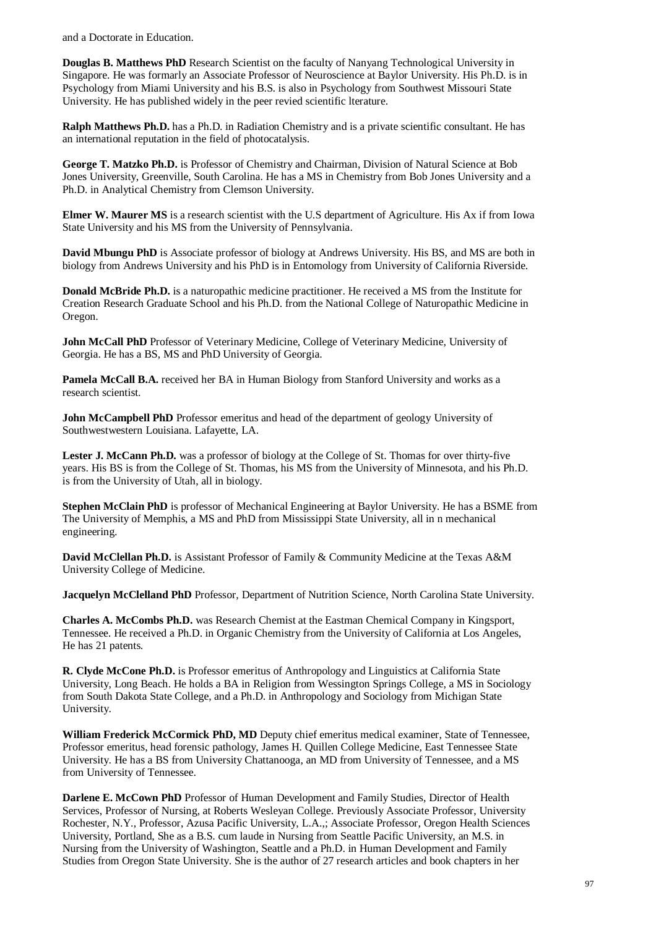and a Doctorate in Education.

**Douglas B. Matthews PhD** Research Scientist on the faculty of Nanyang Technological University in Singapore. He was formarly an Associate Professor of Neuroscience at Baylor University. His Ph.D. is in Psychology from Miami University and his B.S. is also in Psychology from Southwest Missouri State University. He has published widely in the peer revied scientific lterature.

**Ralph Matthews Ph.D.** has a Ph.D. in Radiation Chemistry and is a private scientific consultant. He has an international reputation in the field of photocatalysis.

**George T. Matzko Ph.D.** is Professor of Chemistry and Chairman, Division of Natural Science at Bob Jones University, Greenville, South Carolina. He has a MS in Chemistry from Bob Jones University and a Ph.D. in Analytical Chemistry from Clemson University.

**Elmer W. Maurer MS** is a research scientist with the U.S department of Agriculture. His Ax if from Iowa State University and his MS from the University of Pennsylvania.

**David Mbungu PhD** is Associate professor of biology at Andrews University. His BS, and MS are both in biology from Andrews University and his PhD is in Entomology from University of California Riverside.

**Donald McBride Ph.D.** is a naturopathic medicine practitioner. He received a MS from the Institute for Creation Research Graduate School and his Ph.D. from the National College of Naturopathic Medicine in Oregon.

**John McCall PhD** Professor of Veterinary Medicine, College of Veterinary Medicine, University of Georgia. He has a BS, MS and PhD University of Georgia.

**Pamela McCall B.A.** received her BA in Human Biology from Stanford University and works as a research scientist.

**John McCampbell PhD** Professor emeritus and head of the department of geology University of Southwestwestern Louisiana. Lafayette, LA.

Lester J. McCann Ph.D. was a professor of biology at the College of St. Thomas for over thirty-five years. His BS is from the College of St. Thomas, his MS from the University of Minnesota, and his Ph.D. is from the University of Utah, all in biology.

**Stephen McClain PhD** is professor of Mechanical Engineering at Baylor University. He has a BSME from The University of Memphis, a MS and PhD from Mississippi State University, all in n mechanical engineering.

**David McClellan Ph.D.** is Assistant Professor of Family & Community Medicine at the Texas A&M University College of Medicine.

**Jacquelyn McClelland PhD** Professor, Department of Nutrition Science, North Carolina State University.

**Charles A. McCombs Ph.D.** was Research Chemist at the Eastman Chemical Company in Kingsport, Tennessee. He received a Ph.D. in Organic Chemistry from the University of California at Los Angeles, He has 21 patents.

**R. Clyde McCone Ph.D.** is Professor emeritus of Anthropology and Linguistics at California State University, Long Beach. He holds a BA in Religion from Wessington Springs College, a MS in Sociology from South Dakota State College, and a Ph.D. in Anthropology and Sociology from Michigan State University.

**William Frederick McCormick PhD, MD** Deputy chief emeritus medical examiner, State of Tennessee, Professor emeritus, head forensic pathology, James H. Quillen College Medicine, East Tennessee State University. He has a BS from University Chattanooga, an MD from University of Tennessee, and a MS from University of Tennessee.

**Darlene E. McCown PhD** Professor of Human Development and Family Studies, Director of Health Services, Professor of Nursing, at Roberts Wesleyan College. Previously Associate Professor, University Rochester, N.Y., Professor, Azusa Pacific University, L.A.,; Associate Professor, Oregon Health Sciences University, Portland, She as a B.S. cum laude in Nursing from Seattle Pacific University, an M.S. in Nursing from the University of Washington, Seattle and a Ph.D. in Human Development and Family Studies from Oregon State University. She is the author of 27 research articles and book chapters in her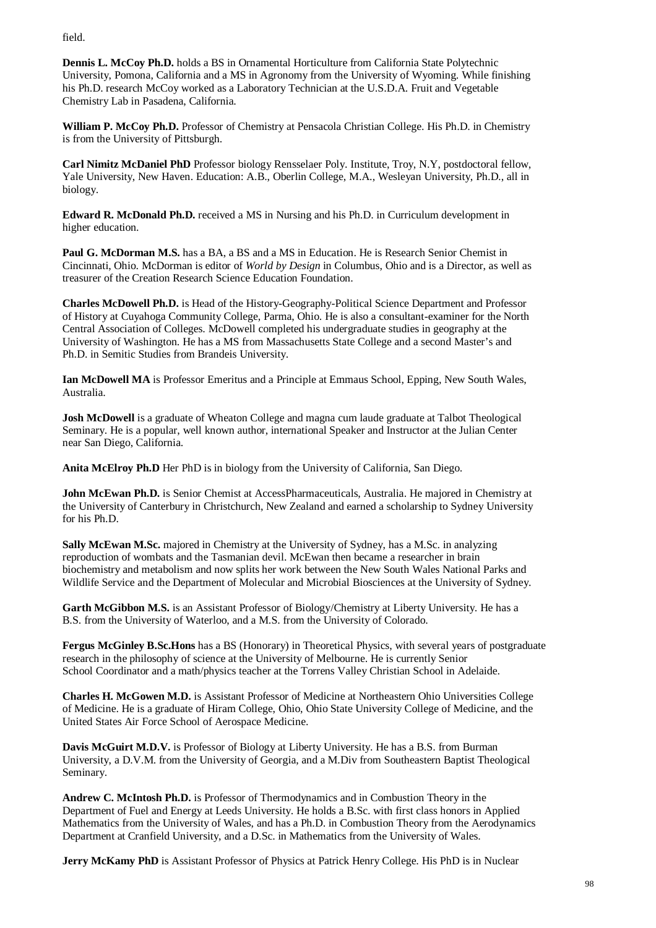field.

**Dennis L. McCoy Ph.D.** holds a BS in Ornamental Horticulture from California State Polytechnic University, Pomona, California and a MS in Agronomy from the University of Wyoming. While finishing his Ph.D. research McCoy worked as a Laboratory Technician at the U.S.D.A. Fruit and Vegetable Chemistry Lab in Pasadena, California.

**William P. McCoy Ph.D.** Professor of Chemistry at Pensacola Christian College. His Ph.D. in Chemistry is from the University of Pittsburgh.

**Carl Nimitz McDaniel PhD** Professor biology Rensselaer Poly. Institute, Troy, N.Y, postdoctoral fellow, Yale University, New Haven. Education: A.B., Oberlin College, M.A., Wesleyan University, Ph.D., all in biology.

**Edward R. McDonald Ph.D.** received a MS in Nursing and his Ph.D. in Curriculum development in higher education.

**Paul G. McDorman M.S.** has a BA, a BS and a MS in Education. He is Research Senior Chemist in Cincinnati, Ohio. McDorman is editor of *World by Design* in Columbus, Ohio and is a Director, as well as treasurer of the Creation Research Science Education Foundation.

**Charles McDowell Ph.D.** is Head of the History-Geography-Political Science Department and Professor of History at Cuyahoga Community College, Parma, Ohio. He is also a consultant-examiner for the North Central Association of Colleges. McDowell completed his undergraduate studies in geography at the University of Washington. He has a MS from Massachusetts State College and a second Master's and Ph.D. in Semitic Studies from Brandeis University.

**Ian McDowell MA** is Professor Emeritus and a Principle at Emmaus School, Epping, New South Wales, Australia.

**Josh McDowell** is a graduate of Wheaton College and magna cum laude graduate at Talbot Theological Seminary. He is a popular, well known author, international Speaker and Instructor at the Julian Center near San Diego, California.

**Anita McElroy Ph.D** Her PhD is in biology from the University of California, San Diego.

**John McEwan Ph.D.** is Senior Chemist at AccessPharmaceuticals, Australia. He majored in Chemistry at the University of Canterbury in Christchurch, New Zealand and earned a scholarship to Sydney University for his Ph.D.

**Sally McEwan M.Sc.** majored in Chemistry at the University of Sydney, has a M.Sc. in analyzing reproduction of wombats and the Tasmanian devil. McEwan then became a researcher in brain biochemistry and metabolism and now splits her work between the New South Wales National Parks and Wildlife Service and the Department of Molecular and Microbial Biosciences at the University of Sydney.

Garth McGibbon M.S. is an Assistant Professor of Biology/Chemistry at Liberty University. He has a B.S. from the University of Waterloo, and a M.S. from the University of Colorado.

**Fergus McGinley B.Sc.Hons** has a BS (Honorary) in Theoretical Physics, with several years of postgraduate research in the philosophy of science at the University of Melbourne. He is currently Senior School Coordinator and a math/physics teacher at the Torrens Valley Christian School in Adelaide.

**Charles H. McGowen M.D.** is Assistant Professor of Medicine at Northeastern Ohio Universities College of Medicine. He is a graduate of Hiram College, Ohio, Ohio State University College of Medicine, and the United States Air Force School of Aerospace Medicine.

**Davis McGuirt M.D.V.** is Professor of Biology at Liberty University. He has a B.S. from Burman University, a D.V.M. from the University of Georgia, and a M.Div from Southeastern Baptist Theological Seminary.

**Andrew C. McIntosh Ph.D.** is Professor of Thermodynamics and in Combustion Theory in the Department of Fuel and Energy at Leeds University. He holds a B.Sc. with first class honors in Applied Mathematics from the University of Wales, and has a Ph.D. in Combustion Theory from the Aerodynamics Department at Cranfield University, and a D.Sc. in Mathematics from the University of Wales.

**Jerry McKamy PhD** is Assistant Professor of Physics at Patrick Henry College. His PhD is in Nuclear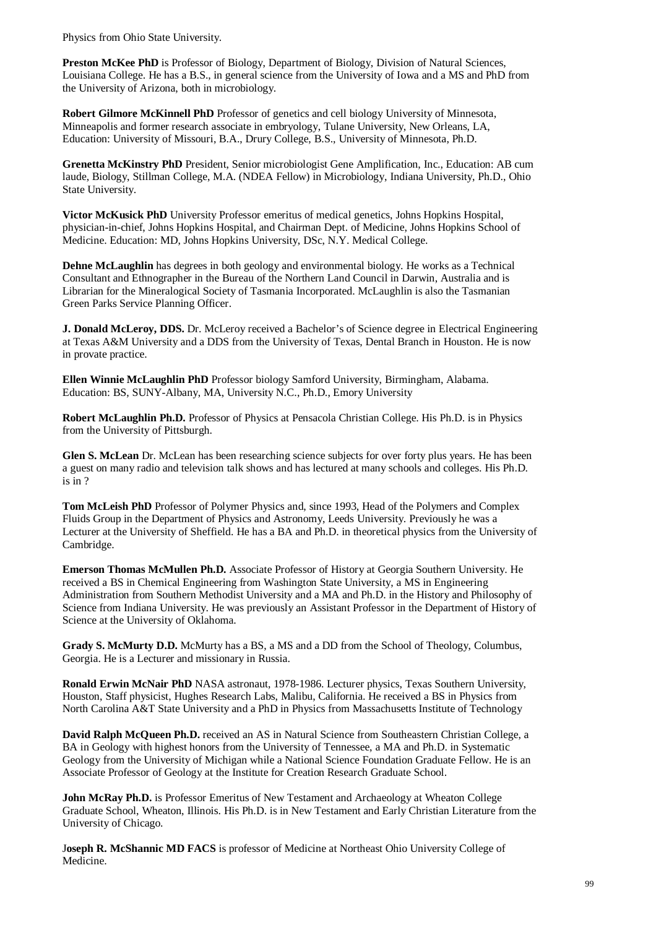Physics from Ohio State University.

**Preston McKee PhD** is Professor of Biology, Department of Biology, Division of Natural Sciences, Louisiana College. He has a B.S., in general science from the University of Iowa and a MS and PhD from the University of Arizona, both in microbiology.

**Robert Gilmore McKinnell PhD** Professor of genetics and cell biology University of Minnesota, Minneapolis and former research associate in embryology, Tulane University, New Orleans, LA, Education: University of Missouri, B.A., Drury College, B.S., University of Minnesota, Ph.D.

**Grenetta McKinstry PhD** President, Senior microbiologist Gene Amplification, Inc., Education: AB cum laude, Biology, Stillman College, M.A. (NDEA Fellow) in Microbiology, Indiana University, Ph.D., Ohio State University.

**Victor McKusick PhD** University Professor emeritus of medical genetics, Johns Hopkins Hospital, physician-in-chief, Johns Hopkins Hospital, and Chairman Dept. of Medicine, Johns Hopkins School of Medicine. Education: MD, Johns Hopkins University, DSc, N.Y. Medical College.

**Dehne McLaughlin** has degrees in both geology and environmental biology. He works as a Technical Consultant and Ethnographer in the Bureau of the Northern Land Council in Darwin, Australia and is Librarian for the Mineralogical Society of Tasmania Incorporated. McLaughlin is also the Tasmanian Green Parks Service Planning Officer.

**J. Donald McLeroy, DDS.** Dr. McLeroy received a Bachelor's of Science degree in Electrical Engineering at Texas A&M University and a DDS from the University of Texas, Dental Branch in Houston. He is now in provate practice.

**Ellen Winnie McLaughlin PhD** Professor biology Samford University, Birmingham, Alabama. Education: BS, SUNY-Albany, MA, University N.C., Ph.D., Emory University

**Robert McLaughlin Ph.D.** Professor of Physics at Pensacola Christian College. His Ph.D. is in Physics from the University of Pittsburgh.

**Glen S. McLean** Dr. McLean has been researching science subjects for over forty plus years. He has been a guest on many radio and television talk shows and has lectured at many schools and colleges. His Ph.D. is in ?

**Tom McLeish PhD** Professor of Polymer Physics and, since 1993, Head of the Polymers and Complex Fluids Group in the Department of Physics and Astronomy, Leeds University. Previously he was a Lecturer at the University of Sheffield. He has a BA and Ph.D. in theoretical physics from the University of Cambridge.

**Emerson Thomas McMullen Ph.D.** Associate Professor of History at Georgia Southern University. He received a BS in Chemical Engineering from Washington State University, a MS in Engineering Administration from Southern Methodist University and a MA and Ph.D. in the History and Philosophy of Science from Indiana University. He was previously an Assistant Professor in the Department of History of Science at the University of Oklahoma.

**Grady S. McMurty D.D.** McMurty has a BS, a MS and a DD from the School of Theology, Columbus, Georgia. He is a Lecturer and missionary in Russia.

**Ronald Erwin McNair PhD** NASA astronaut, 1978-1986. Lecturer physics, Texas Southern University, Houston, Staff physicist, Hughes Research Labs, Malibu, California. He received a BS in Physics from North Carolina A&T State University and a PhD in Physics from Massachusetts Institute of Technology

**David Ralph McQueen Ph.D.** received an AS in Natural Science from Southeastern Christian College, a BA in Geology with highest honors from the University of Tennessee, a MA and Ph.D. in Systematic Geology from the University of Michigan while a National Science Foundation Graduate Fellow. He is an Associate Professor of Geology at the Institute for Creation Research Graduate School.

**John McRay Ph.D.** is Professor Emeritus of New Testament and Archaeology at Wheaton College Graduate School, Wheaton, Illinois. His Ph.D. is in New Testament and Early Christian Literature from the University of Chicago.

J**oseph R. McShannic MD FACS** is professor of Medicine at Northeast Ohio University College of Medicine.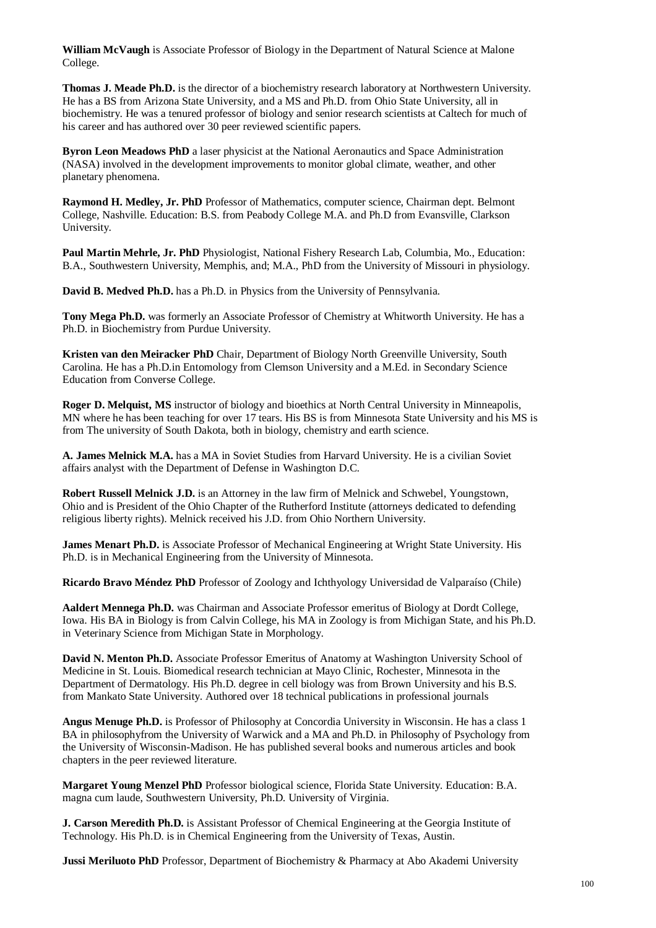**William McVaugh** is Associate Professor of Biology in the Department of Natural Science at Malone College.

**Thomas J. Meade Ph.D.** is the director of a biochemistry research laboratory at Northwestern University. He has a BS from Arizona State University, and a MS and Ph.D. from Ohio State University, all in biochemistry. He was a tenured professor of biology and senior research scientists at Caltech for much of his career and has authored over 30 peer reviewed scientific papers.

**Byron Leon Meadows PhD** a laser physicist at the National Aeronautics and Space Administration (NASA) involved in the development improvements to monitor global climate, weather, and other planetary phenomena.

**Raymond H. Medley, Jr. PhD** Professor of Mathematics, computer science, Chairman dept. Belmont College, Nashville. Education: B.S. from Peabody College M.A. and Ph.D from Evansville, Clarkson University.

**Paul Martin Mehrle, Jr. PhD** Physiologist, National Fishery Research Lab, Columbia, Mo., Education: B.A., Southwestern University, Memphis, and; M.A., PhD from the University of Missouri in physiology.

**David B. Medved Ph.D.** has a Ph.D. in Physics from the University of Pennsylvania.

**Tony Mega Ph.D.** was formerly an Associate Professor of Chemistry at Whitworth University. He has a Ph.D. in Biochemistry from Purdue University.

**Kristen van den Meiracker PhD** Chair, Department of Biology North Greenville University, South Carolina*.* He has a Ph.D.in Entomology from Clemson University and a M.Ed. in Secondary Science Education from Converse College.

**Roger D. Melquist, MS** instructor of biology and bioethics at North Central University in Minneapolis, MN where he has been teaching for over 17 tears. His BS is from Minnesota State University and his MS is from The university of South Dakota, both in biology, chemistry and earth science.

**A. James Melnick M.A.** has a MA in Soviet Studies from Harvard University. He is a civilian Soviet affairs analyst with the Department of Defense in Washington D.C.

**Robert Russell Melnick J.D.** is an Attorney in the law firm of Melnick and Schwebel, Youngstown, Ohio and is President of the Ohio Chapter of the Rutherford Institute (attorneys dedicated to defending religious liberty rights). Melnick received his J.D. from Ohio Northern University.

**James Menart Ph.D.** is Associate Professor of Mechanical Engineering at Wright State University. His Ph.D. is in Mechanical Engineering from the University of Minnesota.

**Ricardo Bravo Méndez PhD** Professor of Zoology and Ichthyology Universidad de Valparaíso (Chile)

**Aaldert Mennega Ph.D.** was Chairman and Associate Professor emeritus of Biology at Dordt College, Iowa. His BA in Biology is from Calvin College, his MA in Zoology is from Michigan State, and his Ph.D. in Veterinary Science from Michigan State in Morphology.

**David N. Menton Ph.D.** Associate Professor Emeritus of Anatomy at Washington University School of Medicine in St. Louis. Biomedical research technician at Mayo Clinic, Rochester, Minnesota in the Department of Dermatology. His Ph.D. degree in cell biology was from Brown University and his B.S. from Mankato State University. Authored over 18 technical publications in professional journals

**Angus Menuge Ph.D.** is Professor of Philosophy at Concordia University in Wisconsin. He has a class 1 BA in philosophyfrom the University of Warwick and a MA and Ph.D. in Philosophy of Psychology from the University of Wisconsin-Madison. He has published several books and numerous articles and book chapters in the peer reviewed literature.

**Margaret Young Menzel PhD** Professor biological science, Florida State University. Education: B.A. magna cum laude, Southwestern University, Ph.D. University of Virginia.

**J. Carson Meredith Ph.D.** is Assistant Professor of Chemical Engineering at the Georgia Institute of Technology. His Ph.D. is in Chemical Engineering from the University of Texas, Austin.

**Jussi Meriluoto PhD** Professor, Department of Biochemistry & Pharmacy at Abo Akademi University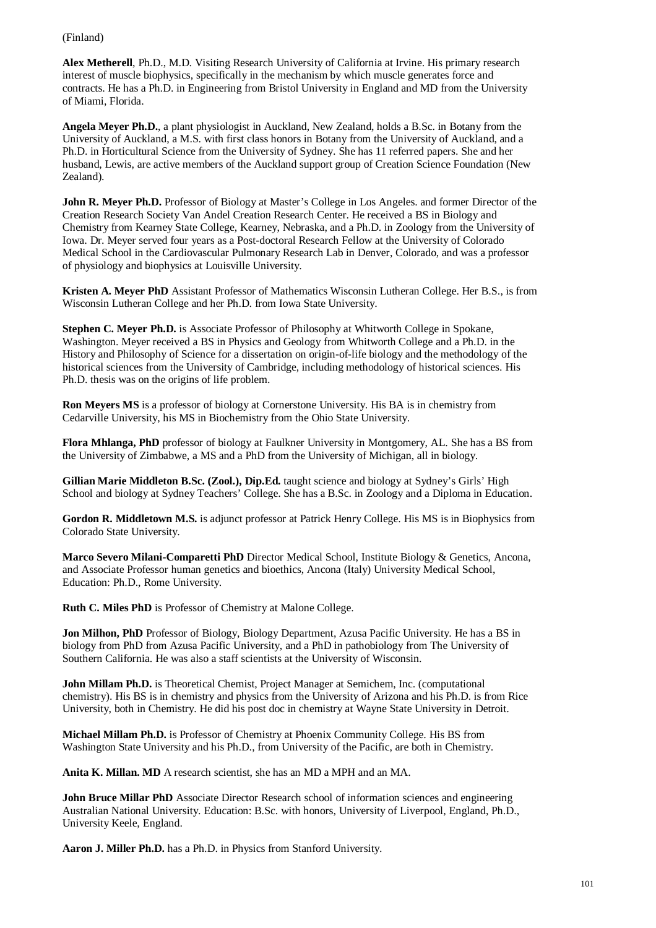(Finland)

**Alex Metherell**, Ph.D., M.D. Visiting Research University of California at Irvine. His primary research interest of muscle biophysics, specifically in the mechanism by which muscle generates force and contracts. He has a Ph.D. in Engineering from Bristol University in England and MD from the University of Miami, Florida.

**Angela Meyer Ph.D.**, a plant physiologist in Auckland, New Zealand, holds a B.Sc. in Botany from the University of Auckland, a M.S. with first class honors in Botany from the University of Auckland, and a Ph.D. in Horticultural Science from the University of Sydney. She has 11 referred papers. She and her husband, Lewis, are active members of the Auckland support group of Creation Science Foundation (New Zealand).

**John R. Meyer Ph.D.** Professor of Biology at Master's College in Los Angeles. and former Director of the Creation Research Society Van Andel Creation Research Center. He received a BS in Biology and Chemistry from Kearney State College, Kearney, Nebraska, and a Ph.D. in Zoology from the University of Iowa. Dr. Meyer served four years as a Post-doctoral Research Fellow at the University of Colorado Medical School in the Cardiovascular Pulmonary Research Lab in Denver, Colorado, and was a professor of physiology and biophysics at Louisville University.

**Kristen A. Meyer PhD** Assistant Professor of Mathematics Wisconsin Lutheran College. Her B.S., is from Wisconsin Lutheran College and her Ph.D. from Iowa State University.

**Stephen C. Meyer Ph.D.** is Associate Professor of Philosophy at Whitworth College in Spokane, Washington. Meyer received a BS in Physics and Geology from Whitworth College and a Ph.D. in the History and Philosophy of Science for a dissertation on origin-of-life biology and the methodology of the historical sciences from the University of Cambridge, including methodology of historical sciences. His Ph.D. thesis was on the origins of life problem.

**Ron Meyers MS** is a professor of biology at Cornerstone University. His BA is in chemistry from Cedarville University, his MS in Biochemistry from the Ohio State University.

**Flora Mhlanga, PhD** professor of biology at Faulkner University in Montgomery, AL. She has a BS from the University of Zimbabwe, a MS and a PhD from the University of Michigan, all in biology.

**Gillian Marie Middleton B.Sc. (Zool.), Dip.Ed.** taught science and biology at Sydney's Girls' High School and biology at Sydney Teachers' College. She has a B.Sc. in Zoology and a Diploma in Education.

**Gordon R. Middletown M.S.** is adjunct professor at Patrick Henry College. His MS is in Biophysics from Colorado State University.

**Marco Severo Milani-Comparetti PhD** Director Medical School, Institute Biology & Genetics, Ancona, and Associate Professor human genetics and bioethics, Ancona (Italy) University Medical School, Education: Ph.D., Rome University.

**Ruth C. Miles PhD** is Professor of Chemistry at Malone College.

**Jon Milhon, PhD** Professor of Biology, Biology Department, Azusa Pacific University. He has a BS in biology from PhD from Azusa Pacific University, and a PhD in pathobiology from The University of Southern California. He was also a staff scientists at the University of Wisconsin.

**John Millam Ph.D.** is Theoretical Chemist, Project Manager at Semichem, Inc. (computational chemistry). His BS is in chemistry and physics from the University of Arizona and his Ph.D. is from Rice University, both in Chemistry. He did his post doc in chemistry at Wayne State University in Detroit.

**Michael Millam Ph.D.** is Professor of Chemistry at Phoenix Community College. His BS from Washington State University and his Ph.D., from University of the Pacific, are both in Chemistry.

**Anita K. Millan. MD** A research scientist, she has an MD a MPH and an MA.

**John Bruce Millar PhD** Associate Director Research school of information sciences and engineering Australian National University. Education: B.Sc. with honors, University of Liverpool, England, Ph.D., University Keele, England.

**Aaron J. Miller Ph.D.** has a Ph.D. in Physics from Stanford University.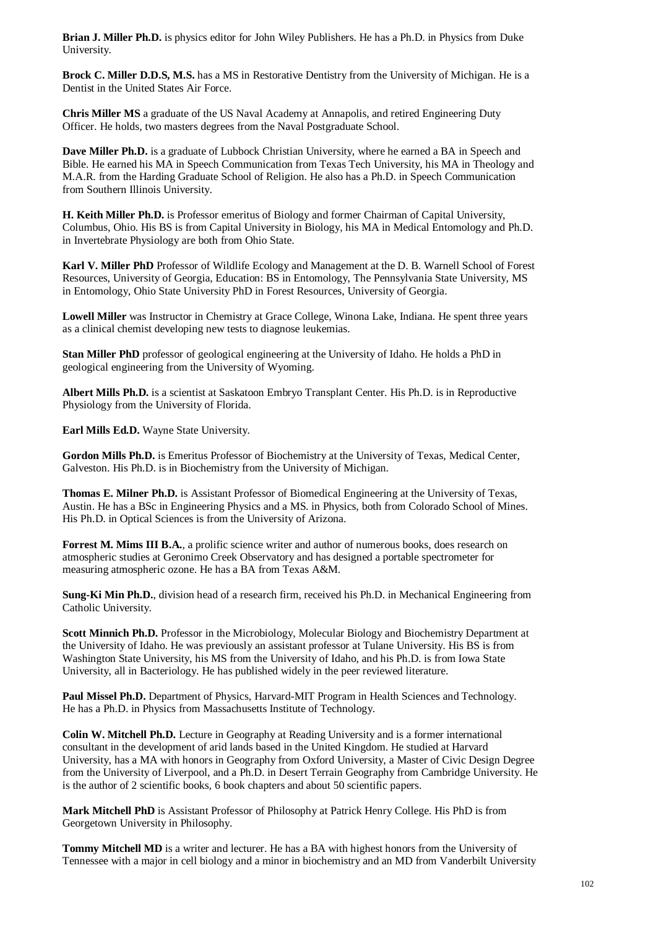**Brian J. Miller Ph.D.** is physics editor for John Wiley Publishers. He has a Ph.D. in Physics from Duke University.

**Brock C. Miller D.D.S, M.S.** has a MS in Restorative Dentistry from the University of Michigan. He is a Dentist in the United States Air Force.

**Chris Miller MS** a graduate of the US Naval Academy at Annapolis, and retired Engineering Duty Officer. He holds, two masters degrees from the Naval Postgraduate School.

**Dave Miller Ph.D.** is a graduate of Lubbock Christian University, where he earned a BA in Speech and Bible. He earned his MA in Speech Communication from Texas Tech University, his MA in Theology and M.A.R. from the Harding Graduate School of Religion. He also has a Ph.D. in Speech Communication from Southern Illinois University.

**H. Keith Miller Ph.D.** is Professor emeritus of Biology and former Chairman of Capital University, Columbus, Ohio. His BS is from Capital University in Biology, his MA in Medical Entomology and Ph.D. in Invertebrate Physiology are both from Ohio State.

**Karl V. Miller PhD** Professor of Wildlife Ecology and Management at the D. B. Warnell School of Forest Resources, University of Georgia, Education: BS in Entomology, The Pennsylvania State University, MS in Entomology, Ohio State University PhD in Forest Resources, University of Georgia.

**Lowell Miller** was Instructor in Chemistry at Grace College, Winona Lake, Indiana. He spent three years as a clinical chemist developing new tests to diagnose leukemias.

**Stan Miller PhD** professor of geological engineering at the University of Idaho. He holds a PhD in geological engineering from the University of Wyoming.

**Albert Mills Ph.D.** is a scientist at Saskatoon Embryo Transplant Center. His Ph.D. is in Reproductive Physiology from the University of Florida.

**Earl Mills Ed.D.** Wayne State University.

**Gordon Mills Ph.D.** is Emeritus Professor of Biochemistry at the University of Texas, Medical Center, Galveston. His Ph.D. is in Biochemistry from the University of Michigan.

**Thomas E. Milner Ph.D.** is Assistant Professor of Biomedical Engineering at the University of Texas, Austin. He has a BSc in Engineering Physics and a MS. in Physics, both from Colorado School of Mines. His Ph.D. in Optical Sciences is from the University of Arizona.

**Forrest M. Mims III B.A.**, a prolific science writer and author of numerous books, does research on atmospheric studies at Geronimo Creek Observatory and has designed a portable spectrometer for measuring atmospheric ozone. He has a BA from Texas A&M.

**Sung-Ki Min Ph.D.**, division head of a research firm, received his Ph.D. in Mechanical Engineering from Catholic University.

**Scott Minnich Ph.D.** Professor in the Microbiology, Molecular Biology and Biochemistry Department at the University of Idaho. He was previously an assistant professor at Tulane University. His BS is from Washington State University, his MS from the University of Idaho, and his Ph.D. is from Iowa State University, all in Bacteriology. He has published widely in the peer reviewed literature.

**Paul Missel Ph.D.** Department of Physics, Harvard-MIT Program in Health Sciences and Technology. He has a Ph.D. in Physics from Massachusetts Institute of Technology.

**Colin W. Mitchell Ph.D.** Lecture in Geography at Reading University and is a former international consultant in the development of arid lands based in the United Kingdom. He studied at Harvard University, has a MA with honors in Geography from Oxford University, a Master of Civic Design Degree from the University of Liverpool, and a Ph.D. in Desert Terrain Geography from Cambridge University. He is the author of 2 scientific books, 6 book chapters and about 50 scientific papers.

**Mark Mitchell PhD** is Assistant Professor of Philosophy at Patrick Henry College. His PhD is from Georgetown University in Philosophy.

**Tommy Mitchell MD** is a writer and lecturer. He has a BA with highest honors from the University of Tennessee with a major in cell biology and a minor in biochemistry and an MD from Vanderbilt University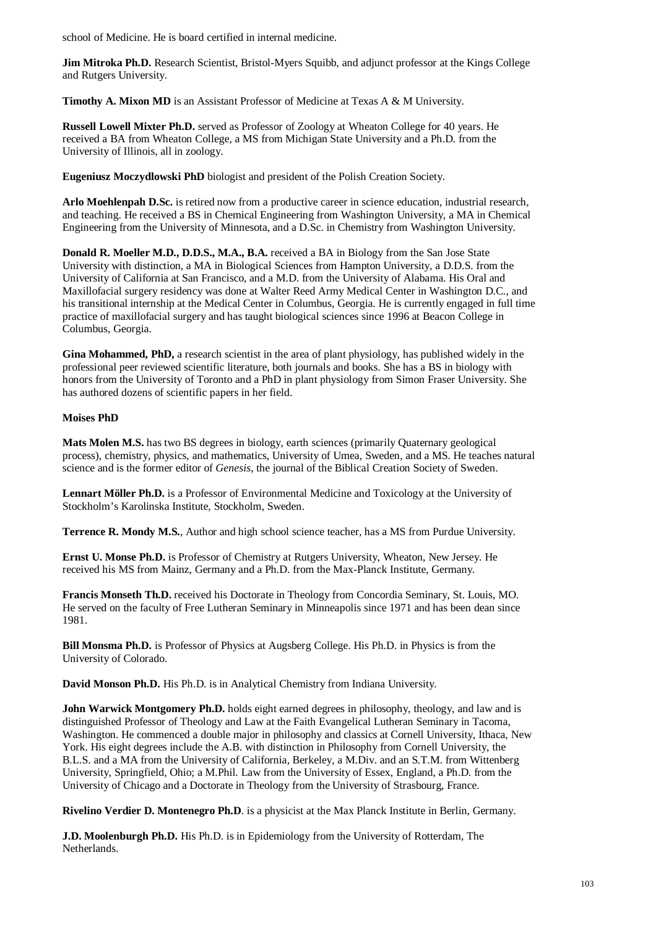school of Medicine. He is board certified in internal medicine.

**Jim Mitroka Ph.D.** Research Scientist, Bristol-Myers Squibb, and adjunct professor at the Kings College and Rutgers University.

**Timothy A. Mixon MD** is an Assistant Professor of Medicine at Texas A & M University.

**Russell Lowell Mixter Ph.D.** served as Professor of Zoology at Wheaton College for 40 years. He received a BA from Wheaton College, a MS from Michigan State University and a Ph.D. from the University of Illinois, all in zoology.

**Eugeniusz Moczydlowski PhD** biologist and president of the Polish Creation Society.

**Arlo Moehlenpah D.Sc.** is retired now from a productive career in science education, industrial research, and teaching. He received a BS in Chemical Engineering from Washington University, a MA in Chemical Engineering from the University of Minnesota, and a D.Sc. in Chemistry from Washington University.

**Donald R. Moeller M.D., D.D.S., M.A., B.A.** received a BA in Biology from the San Jose State University with distinction, a MA in Biological Sciences from Hampton University, a D.D.S. from the University of California at San Francisco, and a M.D. from the University of Alabama. His Oral and Maxillofacial surgery residency was done at Walter Reed Army Medical Center in Washington D.C., and his transitional internship at the Medical Center in Columbus, Georgia. He is currently engaged in full time practice of maxillofacial surgery and has taught biological sciences since 1996 at Beacon College in Columbus, Georgia.

**Gina Mohammed, PhD,** a research scientist in the area of plant physiology, has published widely in the professional peer reviewed scientific literature, both journals and books. She has a BS in biology with honors from the University of Toronto and a PhD in plant physiology from Simon Fraser University. She has authored dozens of scientific papers in her field.

## **Moises PhD**

**Mats Molen M.S.** has two BS degrees in biology, earth sciences (primarily Quaternary geological process), chemistry, physics, and mathematics, University of Umea, Sweden, and a MS. He teaches natural science and is the former editor of *Genesis*, the journal of the Biblical Creation Society of Sweden.

**Lennart Möller Ph.D.** is a Professor of Environmental Medicine and Toxicology at the University of Stockholm's Karolinska Institute, Stockholm, Sweden.

**Terrence R. Mondy M.S.**, Author and high school science teacher, has a MS from Purdue University.

**Ernst U. Monse Ph.D.** is Professor of Chemistry at Rutgers University, Wheaton, New Jersey. He received his MS from Mainz, Germany and a Ph.D. from the Max-Planck Institute, Germany.

**Francis Monseth Th.D.** received his Doctorate in Theology from Concordia Seminary, St. Louis, MO. He served on the faculty of Free Lutheran Seminary in Minneapolis since 1971 and has been dean since 1981.

**Bill Monsma Ph.D.** is Professor of Physics at Augsberg College. His Ph.D. in Physics is from the University of Colorado.

**David Monson Ph.D.** His Ph.D. is in Analytical Chemistry from Indiana University.

**John Warwick Montgomery Ph.D.** holds eight earned degrees in philosophy, theology, and law and is distinguished Professor of Theology and Law at the Faith Evangelical Lutheran Seminary in Tacoma, Washington. He commenced a double major in philosophy and classics at Cornell University, Ithaca, New York. His eight degrees include the A.B. with distinction in Philosophy from Cornell University, the B.L.S. and a MA from the University of California, Berkeley, a M.Div. and an S.T.M. from Wittenberg University, Springfield, Ohio; a M.Phil. Law from the University of Essex, England, a Ph.D. from the University of Chicago and a Doctorate in Theology from the University of Strasbourg, France.

**Rivelino Verdier D. Montenegro Ph.D**. is a physicist at the Max Planck Institute in Berlin, Germany.

**J.D. Moolenburgh Ph.D.** His Ph.D. is in Epidemiology from the University of Rotterdam, The Netherlands.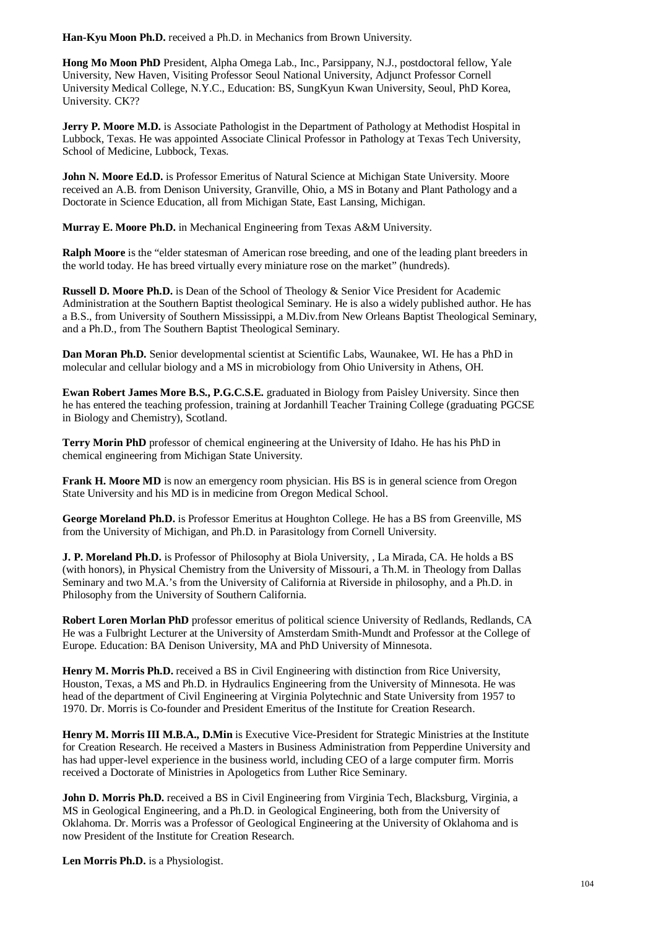**Han-Kyu Moon Ph.D.** received a Ph.D. in Mechanics from Brown University.

**Hong Mo Moon PhD** President, Alpha Omega Lab., Inc., Parsippany, N.J., postdoctoral fellow, Yale University, New Haven, Visiting Professor Seoul National University, Adjunct Professor Cornell University Medical College, N.Y.C., Education: BS, SungKyun Kwan University, Seoul, PhD Korea, University. CK??

**Jerry P. Moore M.D.** is Associate Pathologist in the Department of Pathology at Methodist Hospital in Lubbock, Texas. He was appointed Associate Clinical Professor in Pathology at Texas Tech University, School of Medicine, Lubbock, Texas.

**John N. Moore Ed.D.** is Professor Emeritus of Natural Science at Michigan State University. Moore received an A.B. from Denison University, Granville, Ohio, a MS in Botany and Plant Pathology and a Doctorate in Science Education, all from Michigan State, East Lansing, Michigan.

**Murray E. Moore Ph.D.** in Mechanical Engineering from Texas A&M University.

**Ralph Moore** is the "elder statesman of American rose breeding, and one of the leading plant breeders in the world today. He has breed virtually every miniature rose on the market" (hundreds).

**Russell D. Moore Ph.D.** is Dean of the School of Theology & Senior Vice President for Academic Administration at the Southern Baptist theological Seminary. He is also a widely published author. He has a B.S., from University of Southern Mississippi, a M.Div.from New Orleans Baptist Theological Seminary, and a Ph.D., from The Southern Baptist Theological Seminary.

**Dan Moran Ph.D.** Senior developmental scientist at Scientific Labs, Waunakee, WI. He has a PhD in molecular and cellular biology and a MS in microbiology from Ohio University in Athens, OH.

**Ewan Robert James More B.S., P.G.C.S.E.** graduated in Biology from Paisley University. Since then he has entered the teaching profession, training at Jordanhill Teacher Training College (graduating PGCSE in Biology and Chemistry), Scotland.

**Terry Morin PhD** professor of chemical engineering at the University of Idaho. He has his PhD in chemical engineering from Michigan State University.

**Frank H. Moore MD** is now an emergency room physician. His BS is in general science from Oregon State University and his MD is in medicine from Oregon Medical School.

**George Moreland Ph.D.** is Professor Emeritus at Houghton College. He has a BS from Greenville, MS from the University of Michigan, and Ph.D. in Parasitology from Cornell University.

**J. P. Moreland Ph.D.** is Professor of Philosophy at Biola University, , La Mirada, CA. He holds a BS (with honors), in Physical Chemistry from the University of Missouri, a Th.M. in Theology from Dallas Seminary and two M.A.'s from the University of California at Riverside in philosophy, and a Ph.D. in Philosophy from the University of Southern California.

**Robert Loren Morlan PhD** professor emeritus of political science University of Redlands, Redlands, CA He was a Fulbright Lecturer at the University of Amsterdam Smith-Mundt and Professor at the College of Europe. Education: BA Denison University, MA and PhD University of Minnesota.

**Henry M. Morris Ph.D.** received a BS in Civil Engineering with distinction from Rice University, Houston, Texas, a MS and Ph.D. in Hydraulics Engineering from the University of Minnesota. He was head of the department of Civil Engineering at Virginia Polytechnic and State University from 1957 to 1970. Dr. Morris is Co-founder and President Emeritus of the Institute for Creation Research.

**Henry M. Morris III M.B.A., D.Min** is Executive Vice-President for Strategic Ministries at the Institute for Creation Research. He received a Masters in Business Administration from Pepperdine University and has had upper-level experience in the business world, including CEO of a large computer firm. Morris received a Doctorate of Ministries in Apologetics from Luther Rice Seminary.

**John D. Morris Ph.D.** received a BS in Civil Engineering from Virginia Tech, Blacksburg, Virginia, a MS in Geological Engineering, and a Ph.D. in Geological Engineering, both from the University of Oklahoma. Dr. Morris was a Professor of Geological Engineering at the University of Oklahoma and is now President of the Institute for Creation Research.

**Len Morris Ph.D.** is a Physiologist.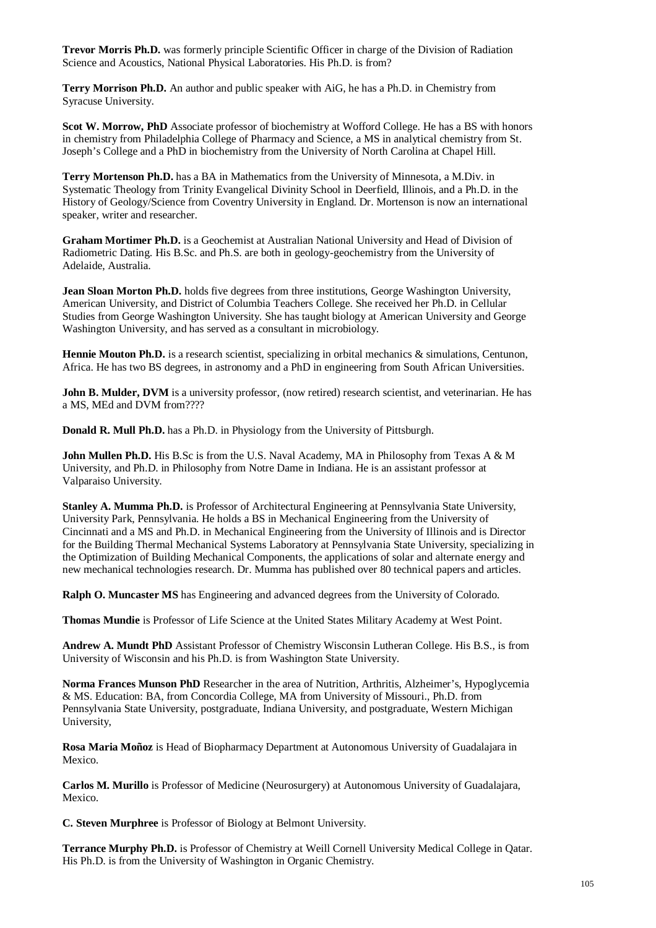**Trevor Morris Ph.D.** was formerly principle Scientific Officer in charge of the Division of Radiation Science and Acoustics, National Physical Laboratories. His Ph.D. is from?

**Terry Morrison Ph.D.** An author and public speaker with AiG, he has a Ph.D. in Chemistry from Syracuse University.

**Scot W. Morrow, PhD** Associate professor of biochemistry at Wofford College. He has a BS with honors in chemistry from Philadelphia College of Pharmacy and Science, a MS in analytical chemistry from St. Joseph's College and a PhD in biochemistry from the University of North Carolina at Chapel Hill.

**Terry Mortenson Ph.D.** has a BA in Mathematics from the University of Minnesota, a M.Div. in Systematic Theology from Trinity Evangelical Divinity School in Deerfield, Illinois, and a Ph.D. in the History of Geology/Science from Coventry University in England. Dr. Mortenson is now an international speaker, writer and researcher.

**Graham Mortimer Ph.D.** is a Geochemist at Australian National University and Head of Division of Radiometric Dating. His B.Sc. and Ph.S. are both in geology-geochemistry from the University of Adelaide, Australia.

**Jean Sloan Morton Ph.D.** holds five degrees from three institutions, George Washington University, American University, and District of Columbia Teachers College. She received her Ph.D. in Cellular Studies from George Washington University. She has taught biology at American University and George Washington University, and has served as a consultant in microbiology.

**Hennie Mouton Ph.D.** is a research scientist, specializing in orbital mechanics & simulations, Centunon, Africa. He has two BS degrees, in astronomy and a PhD in engineering from South African Universities.

**John B. Mulder, DVM** is a university professor, (now retired) research scientist, and veterinarian. He has a MS, MEd and DVM from????

**Donald R. Mull Ph.D.** has a Ph.D. in Physiology from the University of Pittsburgh.

**John Mullen Ph.D.** His B.Sc is from the U.S. Naval Academy, MA in Philosophy from Texas A & M University, and Ph.D. in Philosophy from Notre Dame in Indiana. He is an assistant professor at Valparaiso University.

**Stanley A. Mumma Ph.D.** is Professor of Architectural Engineering at Pennsylvania State University, University Park, Pennsylvania. He holds a BS in Mechanical Engineering from the University of Cincinnati and a MS and Ph.D. in Mechanical Engineering from the University of Illinois and is Director for the Building Thermal Mechanical Systems Laboratory at Pennsylvania State University, specializing in the Optimization of Building Mechanical Components, the applications of solar and alternate energy and new mechanical technologies research. Dr. Mumma has published over 80 technical papers and articles.

**Ralph O. Muncaster MS** has Engineering and advanced degrees from the University of Colorado.

**Thomas Mundie** is Professor of Life Science at the United States Military Academy at West Point.

**Andrew A. Mundt PhD** Assistant Professor of Chemistry Wisconsin Lutheran College. His B.S., is from University of Wisconsin and his Ph.D. is from Washington State University.

**Norma Frances Munson PhD** Researcher in the area of Nutrition, Arthritis, Alzheimer's, Hypoglycemia & MS. Education: BA, from Concordia College, MA from University of Missouri., Ph.D. from Pennsylvania State University, postgraduate, Indiana University, and postgraduate, Western Michigan University,

**Rosa Maria Moñoz** is Head of Biopharmacy Department at Autonomous University of Guadalajara in Mexico.

**Carlos M. Murillo** is Professor of Medicine (Neurosurgery) at Autonomous University of Guadalajara, Mexico.

**C. Steven Murphree** is Professor of Biology at Belmont University.

**Terrance Murphy Ph.D.** is Professor of Chemistry at Weill Cornell University Medical College in Qatar. His Ph.D. is from the University of Washington in Organic Chemistry.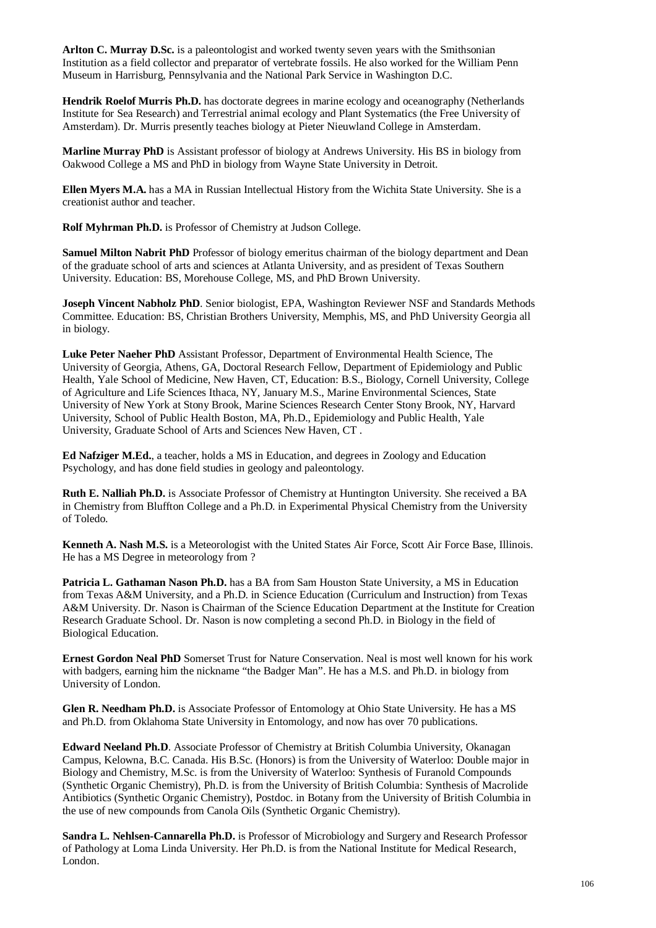**Arlton C. Murray D.Sc.** is a paleontologist and worked twenty seven years with the Smithsonian Institution as a field collector and preparator of vertebrate fossils. He also worked for the William Penn Museum in Harrisburg, Pennsylvania and the National Park Service in Washington D.C.

**Hendrik Roelof Murris Ph.D.** has doctorate degrees in marine ecology and oceanography (Netherlands Institute for Sea Research) and Terrestrial animal ecology and Plant Systematics (the Free University of Amsterdam). Dr. Murris presently teaches biology at Pieter Nieuwland College in Amsterdam.

**Marline Murray PhD** is Assistant professor of biology at Andrews University. His BS in biology from Oakwood College a MS and PhD in biology from Wayne State University in Detroit.

**Ellen Myers M.A.** has a MA in Russian Intellectual History from the Wichita State University. She is a creationist author and teacher.

**Rolf Myhrman Ph.D.** is Professor of Chemistry at Judson College.

**Samuel Milton Nabrit PhD** Professor of biology emeritus chairman of the biology department and Dean of the graduate school of arts and sciences at Atlanta University, and as president of Texas Southern University. Education: BS, Morehouse College, MS, and PhD Brown University.

**Joseph Vincent Nabholz PhD**. Senior biologist, EPA, Washington Reviewer NSF and Standards Methods Committee. Education: BS, Christian Brothers University, Memphis, MS, and PhD University Georgia all in biology.

**Luke Peter Naeher PhD** Assistant Professor, Department of Environmental Health Science, The University of Georgia, Athens, GA, Doctoral Research Fellow, Department of Epidemiology and Public Health, Yale School of Medicine, New Haven, CT, Education: B.S., Biology, Cornell University, College of Agriculture and Life Sciences Ithaca, NY, January M.S., Marine Environmental Sciences, State University of New York at Stony Brook, Marine Sciences Research Center Stony Brook, NY, Harvard University, School of Public Health Boston, MA, Ph.D., Epidemiology and Public Health, Yale University, Graduate School of Arts and Sciences New Haven, CT .

**Ed Nafziger M.Ed.**, a teacher, holds a MS in Education, and degrees in Zoology and Education Psychology, and has done field studies in geology and paleontology.

**Ruth E. Nalliah Ph.D.** is Associate Professor of Chemistry at Huntington University. She received a BA in Chemistry from Bluffton College and a Ph.D. in Experimental Physical Chemistry from the University of Toledo.

**Kenneth A. Nash M.S.** is a Meteorologist with the United States Air Force, Scott Air Force Base, Illinois. He has a MS Degree in meteorology from ?

**Patricia L. Gathaman Nason Ph.D.** has a BA from Sam Houston State University, a MS in Education from Texas A&M University, and a Ph.D. in Science Education (Curriculum and Instruction) from Texas A&M University. Dr. Nason is Chairman of the Science Education Department at the Institute for Creation Research Graduate School. Dr. Nason is now completing a second Ph.D. in Biology in the field of Biological Education.

**Ernest Gordon Neal PhD** Somerset Trust for Nature Conservation. Neal is most well known for his work with badgers, earning him the nickname "the Badger Man". He has a M.S. and Ph.D. in biology from University of London.

**Glen R. Needham Ph.D.** is Associate Professor of Entomology at Ohio State University. He has a MS and Ph.D. from Oklahoma State University in Entomology, and now has over 70 publications.

**Edward Neeland Ph.D**. Associate Professor of Chemistry at British Columbia University, Okanagan Campus, Kelowna, B.C. Canada. His B.Sc. (Honors) is from the University of Waterloo: Double major in Biology and Chemistry, M.Sc. is from the University of Waterloo: Synthesis of Furanold Compounds (Synthetic Organic Chemistry), Ph.D. is from the University of British Columbia: Synthesis of Macrolide Antibiotics (Synthetic Organic Chemistry), Postdoc. in Botany from the University of British Columbia in the use of new compounds from Canola Oils (Synthetic Organic Chemistry).

**Sandra L. Nehlsen-Cannarella Ph.D.** is Professor of Microbiology and Surgery and Research Professor of Pathology at Loma Linda University. Her Ph.D. is from the National Institute for Medical Research, London.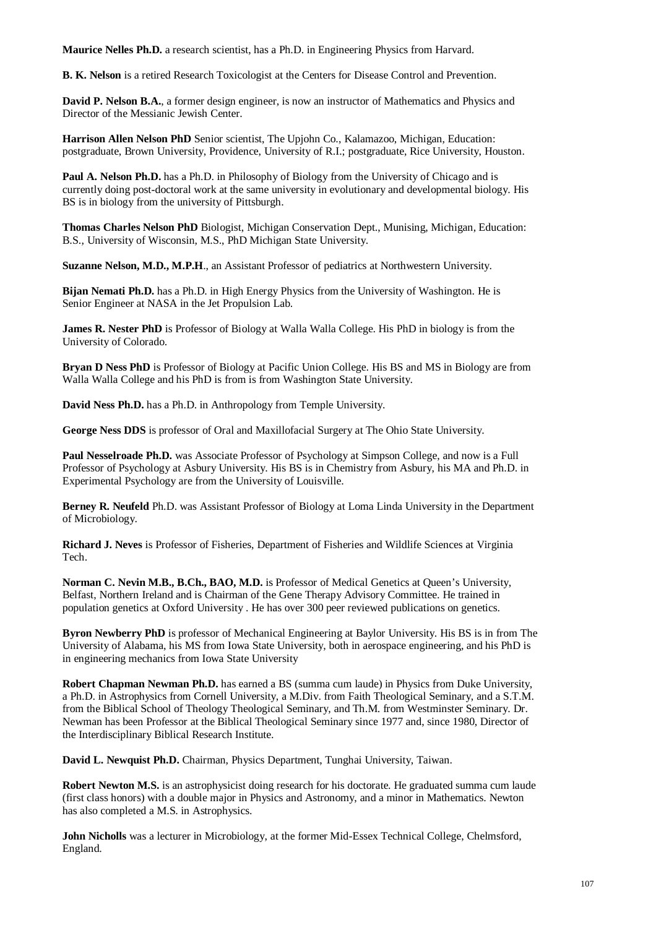**Maurice Nelles Ph.D.** a research scientist, has a Ph.D. in Engineering Physics from Harvard.

**B. K. Nelson** is a retired Research Toxicologist at the Centers for Disease Control and Prevention.

**David P. Nelson B.A.**, a former design engineer, is now an instructor of Mathematics and Physics and Director of the Messianic Jewish Center.

**Harrison Allen Nelson PhD** Senior scientist, The Upjohn Co., Kalamazoo, Michigan, Education: postgraduate, Brown University, Providence, University of R.I.; postgraduate, Rice University, Houston.

**Paul A. Nelson Ph.D.** has a Ph.D. in Philosophy of Biology from the University of Chicago and is currently doing post-doctoral work at the same university in evolutionary and developmental biology. His BS is in biology from the university of Pittsburgh.

**Thomas Charles Nelson PhD** Biologist, Michigan Conservation Dept., Munising, Michigan, Education: B.S., University of Wisconsin, M.S., PhD Michigan State University.

**Suzanne Nelson, M.D., M.P.H**., an Assistant Professor of pediatrics at Northwestern University.

**Bijan Nemati Ph.D.** has a Ph.D. in High Energy Physics from the University of Washington. He is Senior Engineer at NASA in the Jet Propulsion Lab.

**James R. Nester PhD** is Professor of Biology at Walla Walla College. His PhD in biology is from the University of Colorado.

**Bryan D Ness PhD** is Professor of Biology at Pacific Union College. His BS and MS in Biology are from Walla Walla College and his PhD is from is from Washington State University.

**David Ness Ph.D.** has a Ph.D. in Anthropology from Temple University.

**George Ness DDS** is professor of Oral and Maxillofacial Surgery at The Ohio State University.

**Paul Nesselroade Ph.D.** was Associate Professor of Psychology at Simpson College, and now is a Full Professor of Psychology at Asbury University. His BS is in Chemistry from Asbury, his MA and Ph.D. in Experimental Psychology are from the University of Louisville.

**Berney R. Neufeld** Ph.D. was Assistant Professor of Biology at Loma Linda University in the Department of Microbiology.

**Richard J. Neves** is Professor of Fisheries, Department of Fisheries and Wildlife Sciences at Virginia Tech.

**Norman C. Nevin M.B., B.Ch., BAO, M.D.** is Professor of Medical Genetics at Queen's University, Belfast, Northern Ireland and is Chairman of the Gene Therapy Advisory Committee. He trained in population genetics at Oxford University . He has over 300 peer reviewed publications on genetics.

**Byron Newberry PhD** is professor of Mechanical Engineering at Baylor University. His BS is in from The University of Alabama, his MS from Iowa State University, both in aerospace engineering, and his PhD is in engineering mechanics from Iowa State University

**Robert Chapman Newman Ph.D.** has earned a BS (summa cum laude) in Physics from Duke University, a Ph.D. in Astrophysics from Cornell University, a M.Div. from Faith Theological Seminary, and a S.T.M. from the Biblical School of Theology Theological Seminary, and Th.M. from Westminster Seminary. Dr. Newman has been Professor at the Biblical Theological Seminary since 1977 and, since 1980, Director of the Interdisciplinary Biblical Research Institute.

**David L. Newquist Ph.D.** Chairman, Physics Department, Tunghai University, Taiwan.

**Robert Newton M.S.** is an astrophysicist doing research for his doctorate. He graduated summa cum laude (first class honors) with a double major in Physics and Astronomy, and a minor in Mathematics. Newton has also completed a M.S. in Astrophysics.

**John Nicholls** was a lecturer in Microbiology, at the former Mid-Essex Technical College, Chelmsford, England.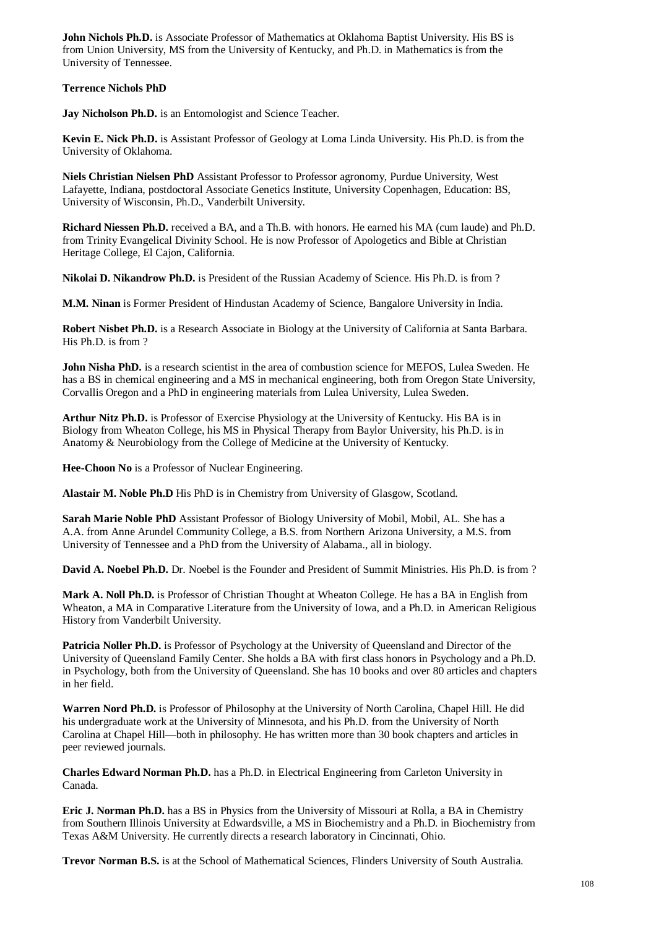**John Nichols Ph.D.** is Associate Professor of Mathematics at Oklahoma Baptist University. His BS is from Union University, MS from the University of Kentucky, and Ph.D. in Mathematics is from the University of Tennessee.

## **Terrence Nichols PhD**

**Jay Nicholson Ph.D.** is an Entomologist and Science Teacher.

**Kevin E. Nick Ph.D.** is Assistant Professor of Geology at Loma Linda University. His Ph.D. is from the University of Oklahoma.

**Niels Christian Nielsen PhD** Assistant Professor to Professor agronomy, Purdue University, West Lafayette, Indiana, postdoctoral Associate Genetics Institute, University Copenhagen, Education: BS, University of Wisconsin, Ph.D., Vanderbilt University.

**Richard Niessen Ph.D.** received a BA, and a Th.B. with honors. He earned his MA (cum laude) and Ph.D. from Trinity Evangelical Divinity School. He is now Professor of Apologetics and Bible at Christian Heritage College, El Cajon, California.

**Nikolai D. Nikandrow Ph.D.** is President of the Russian Academy of Science. His Ph.D. is from ?

**M.M. Ninan** is Former President of Hindustan Academy of Science, Bangalore University in India.

**Robert Nisbet Ph.D.** is a Research Associate in Biology at the University of California at Santa Barbara. His Ph.D. is from ?

**John Nisha PhD.** is a research scientist in the area of combustion science for MEFOS, Lulea Sweden. He has a BS in chemical engineering and a MS in mechanical engineering, both from Oregon State University, Corvallis Oregon and a PhD in engineering materials from Lulea University, Lulea Sweden.

**Arthur Nitz Ph.D.** is Professor of Exercise Physiology at the University of Kentucky. His BA is in Biology from Wheaton College, his MS in Physical Therapy from Baylor University, his Ph.D. is in Anatomy & Neurobiology from the College of Medicine at the University of Kentucky.

**Hee-Choon No** is a Professor of Nuclear Engineering.

**Alastair M. Noble Ph.D** His PhD is in Chemistry from University of Glasgow, Scotland.

**Sarah Marie Noble PhD** Assistant Professor of Biology University of Mobil, Mobil, AL. She has a A.A. from Anne Arundel Community College, a B.S. from Northern Arizona University, a M.S. from University of Tennessee and a PhD from the University of Alabama., all in biology.

**David A. Noebel Ph.D.** Dr. Noebel is the Founder and President of Summit Ministries. His Ph.D. is from ?

**Mark A. Noll Ph.D.** is Professor of Christian Thought at Wheaton College. He has a BA in English from Wheaton, a MA in Comparative Literature from the University of Iowa, and a Ph.D. in American Religious History from Vanderbilt University.

**Patricia Noller Ph.D.** is Professor of Psychology at the University of Queensland and Director of the University of Queensland Family Center. She holds a BA with first class honors in Psychology and a Ph.D. in Psychology, both from the University of Queensland. She has 10 books and over 80 articles and chapters in her field.

**Warren Nord Ph.D.** is Professor of Philosophy at the University of North Carolina, Chapel Hill. He did his undergraduate work at the University of Minnesota, and his Ph.D. from the University of North Carolina at Chapel Hill—both in philosophy. He has written more than 30 book chapters and articles in peer reviewed journals.

**Charles Edward Norman Ph.D.** has a Ph.D. in Electrical Engineering from Carleton University in Canada.

**Eric J. Norman Ph.D.** has a BS in Physics from the University of Missouri at Rolla, a BA in Chemistry from Southern Illinois University at Edwardsville, a MS in Biochemistry and a Ph.D. in Biochemistry from Texas A&M University. He currently directs a research laboratory in Cincinnati, Ohio.

**Trevor Norman B.S.** is at the School of Mathematical Sciences, Flinders University of South Australia.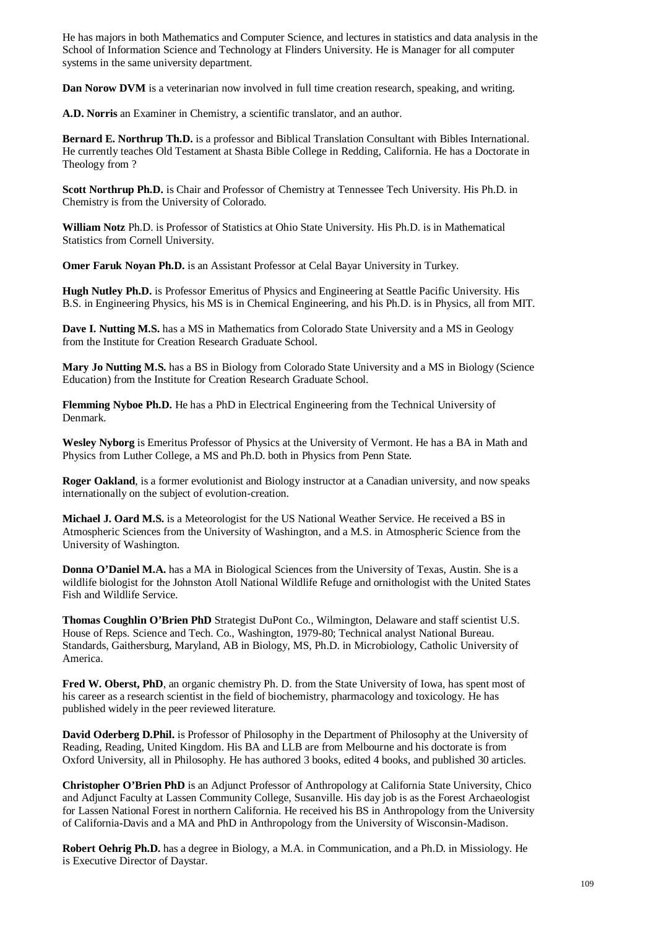He has majors in both Mathematics and Computer Science, and lectures in statistics and data analysis in the School of Information Science and Technology at Flinders University. He is Manager for all computer systems in the same university department.

**Dan Norow DVM** is a veterinarian now involved in full time creation research, speaking, and writing.

**A.D. Norris** an Examiner in Chemistry, a scientific translator, and an author.

**Bernard E. Northrup Th.D.** is a professor and Biblical Translation Consultant with Bibles International. He currently teaches Old Testament at Shasta Bible College in Redding, California. He has a Doctorate in Theology from ?

**Scott Northrup Ph.D.** is Chair and Professor of Chemistry at Tennessee Tech University. His Ph.D. in Chemistry is from the University of Colorado.

**William Notz** Ph.D. is Professor of Statistics at Ohio State University. His Ph.D. is in Mathematical Statistics from Cornell University.

**Omer Faruk Noyan Ph.D.** is an Assistant Professor at Celal Bayar University in Turkey.

**Hugh Nutley Ph.D.** is Professor Emeritus of Physics and Engineering at Seattle Pacific University. His B.S. in Engineering Physics, his MS is in Chemical Engineering, and his Ph.D. is in Physics, all from MIT.

**Dave I. Nutting M.S.** has a MS in Mathematics from Colorado State University and a MS in Geology from the Institute for Creation Research Graduate School.

**Mary Jo Nutting M.S.** has a BS in Biology from Colorado State University and a MS in Biology (Science Education) from the Institute for Creation Research Graduate School.

**Flemming Nyboe Ph.D.** He has a PhD in Electrical Engineering from the Technical University of Denmark.

**Wesley Nyborg** is Emeritus Professor of Physics at the University of Vermont. He has a BA in Math and Physics from Luther College, a MS and Ph.D. both in Physics from Penn State.

**Roger Oakland**, is a former evolutionist and Biology instructor at a Canadian university, and now speaks internationally on the subject of evolution-creation.

**Michael J. Oard M.S.** is a Meteorologist for the US National Weather Service. He received a BS in Atmospheric Sciences from the University of Washington, and a M.S. in Atmospheric Science from the University of Washington.

**Donna O'Daniel M.A.** has a MA in Biological Sciences from the University of Texas, Austin. She is a wildlife biologist for the Johnston Atoll National Wildlife Refuge and ornithologist with the United States Fish and Wildlife Service.

**Thomas Coughlin O'Brien PhD** Strategist DuPont Co., Wilmington, Delaware and staff scientist U.S. House of Reps. Science and Tech. Co., Washington, 1979-80; Technical analyst National Bureau. Standards, Gaithersburg, Maryland, AB in Biology, MS, Ph.D. in Microbiology, Catholic University of America.

**Fred W. Oberst, PhD**, an organic chemistry Ph. D. from the State University of Iowa, has spent most of his career as a research scientist in the field of biochemistry, pharmacology and toxicology. He has published widely in the peer reviewed literature.

**David Oderberg D.Phil.** is Professor of Philosophy in the Department of Philosophy at the University of Reading, Reading, United Kingdom. His BA and LLB are from Melbourne and his doctorate is from Oxford University, all in Philosophy. He has authored 3 books, edited 4 books, and published 30 articles.

**Christopher O'Brien PhD** is an Adjunct Professor of Anthropology at California State University, Chico and Adjunct Faculty at Lassen Community College, Susanville. His day job is as the Forest Archaeologist for Lassen National Forest in northern California. He received his BS in Anthropology from the University of California-Davis and a MA and PhD in Anthropology from the University of Wisconsin-Madison.

**Robert Oehrig Ph.D.** has a degree in Biology, a M.A. in Communication, and a Ph.D. in Missiology. He is Executive Director of Daystar.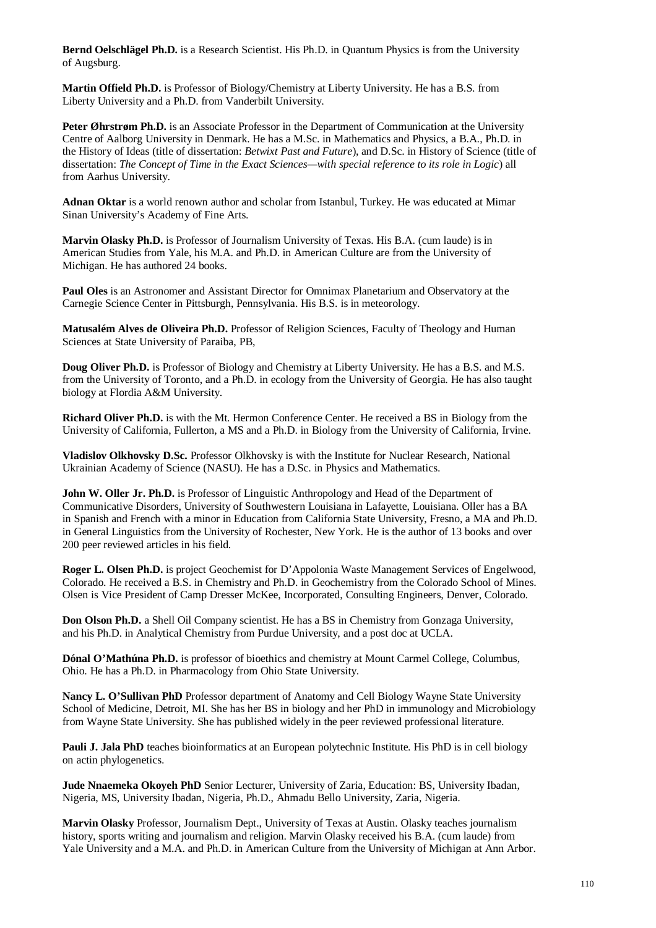**Bernd Oelschlägel Ph.D.** is a Research Scientist. His Ph.D. in Quantum Physics is from the University of Augsburg.

**Martin Offield Ph.D.** is Professor of Biology/Chemistry at Liberty University. He has a B.S. from Liberty University and a Ph.D. from Vanderbilt University.

**Peter Øhrstrøm Ph.D.** is an Associate Professor in the Department of Communication at the University Centre of Aalborg University in Denmark. He has a M.Sc. in Mathematics and Physics, a B.A., Ph.D. in the History of Ideas (title of dissertation: *Betwixt Past and Future*), and D.Sc. in History of Science (title of dissertation: *The Concept of Time in the Exact Sciences—with special reference to its role in Logic*) all from Aarhus University.

**Adnan Oktar** is a world renown author and scholar from Istanbul, Turkey. He was educated at Mimar Sinan University's Academy of Fine Arts.

**Marvin Olasky Ph.D.** is Professor of Journalism University of Texas. His B.A. (cum laude) is in American Studies from Yale, his M.A. and Ph.D. in American Culture are from the University of Michigan. He has authored 24 books.

**Paul Oles** is an Astronomer and Assistant Director for Omnimax Planetarium and Observatory at the Carnegie Science Center in Pittsburgh, Pennsylvania. His B.S. is in meteorology.

**Matusalém Alves de Oliveira Ph.D.** Professor of Religion Sciences, Faculty of Theology and Human Sciences at State University of Paraiba, PB,

**Doug Oliver Ph.D.** is Professor of Biology and Chemistry at Liberty University. He has a B.S. and M.S. from the University of Toronto, and a Ph.D. in ecology from the University of Georgia. He has also taught biology at Flordia A&M University.

**Richard Oliver Ph.D.** is with the Mt. Hermon Conference Center. He received a BS in Biology from the University of California, Fullerton, a MS and a Ph.D. in Biology from the University of California, Irvine.

**Vladislov Olkhovsky D.Sc.** Professor Olkhovsky is with the Institute for Nuclear Research, National Ukrainian Academy of Science (NASU). He has a D.Sc. in Physics and Mathematics.

**John W. Oller Jr. Ph.D.** is Professor of Linguistic Anthropology and Head of the Department of Communicative Disorders, University of Southwestern Louisiana in Lafayette, Louisiana. Oller has a BA in Spanish and French with a minor in Education from California State University, Fresno, a MA and Ph.D. in General Linguistics from the University of Rochester, New York. He is the author of 13 books and over 200 peer reviewed articles in his field.

**Roger L. Olsen Ph.D.** is project Geochemist for D'Appolonia Waste Management Services of Engelwood, Colorado. He received a B.S. in Chemistry and Ph.D. in Geochemistry from the Colorado School of Mines. Olsen is Vice President of Camp Dresser McKee, Incorporated, Consulting Engineers, Denver, Colorado.

**Don Olson Ph.D.** a Shell Oil Company scientist. He has a BS in Chemistry from Gonzaga University, and his Ph.D. in Analytical Chemistry from Purdue University, and a post doc at UCLA.

**Dónal O'Mathúna Ph.D.** is professor of bioethics and chemistry at Mount Carmel College, Columbus, Ohio. He has a Ph.D. in Pharmacology from Ohio State University.

**Nancy L. O'Sullivan PhD** Professor department of Anatomy and Cell Biology Wayne State University School of Medicine, Detroit, MI. She has her BS in biology and her PhD in immunology and Microbiology from Wayne State University. She has published widely in the peer reviewed professional literature.

**Pauli J. Jala PhD** teaches bioinformatics at an European polytechnic Institute. His PhD is in cell biology on actin phylogenetics.

**Jude Nnaemeka Okoyeh PhD** Senior Lecturer, University of Zaria, Education: BS, University Ibadan, Nigeria, MS, University Ibadan, Nigeria, Ph.D., Ahmadu Bello University, Zaria, Nigeria.

**Marvin Olasky** Professor, Journalism Dept., University of Texas at Austin. Olasky teaches journalism history, sports writing and journalism and religion. Marvin Olasky received his B.A. (cum laude) from Yale University and a M.A. and Ph.D. in American Culture from the University of Michigan at Ann Arbor.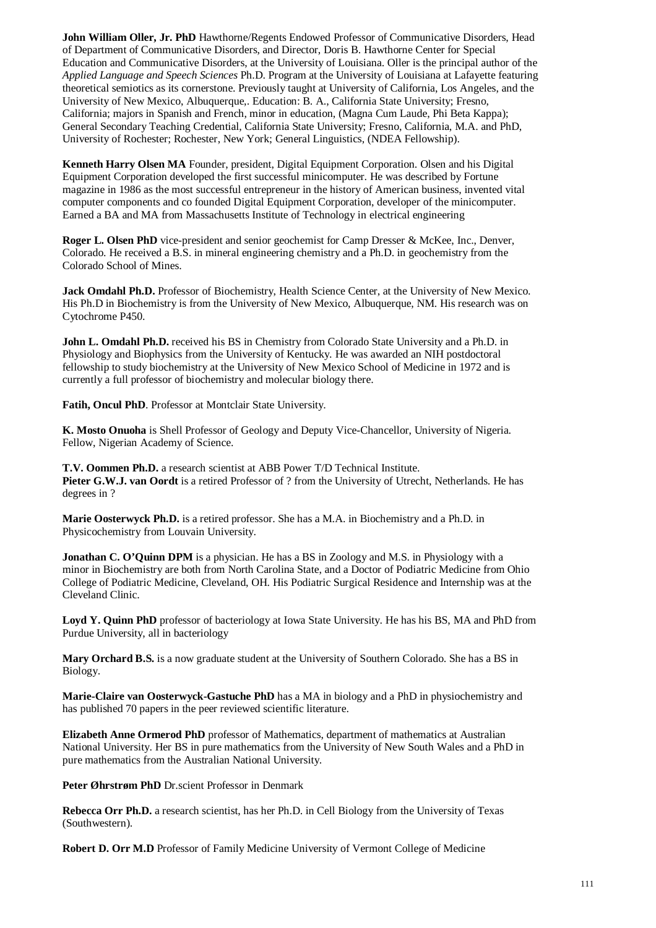**John William Oller, Jr. PhD** Hawthorne/Regents Endowed Professor of Communicative Disorders, Head of Department of Communicative Disorders, and Director, Doris B. Hawthorne Center for Special Education and Communicative Disorders, at the University of Louisiana. Oller is the principal author of the *Applied Language and Speech Sciences* Ph.D. Program at the University of Louisiana at Lafayette featuring theoretical semiotics as its cornerstone. Previously taught at University of California, Los Angeles, and the University of New Mexico, Albuquerque,. Education: B. A., California State University; Fresno, California; majors in Spanish and French, minor in education, (Magna Cum Laude, Phi Beta Kappa); General Secondary Teaching Credential, California State University; Fresno, California, M.A. and PhD, University of Rochester; Rochester, New York; General Linguistics, (NDEA Fellowship).

**Kenneth Harry Olsen MA** Founder, president, Digital Equipment Corporation. Olsen and his Digital Equipment Corporation developed the first successful minicomputer. He was described by Fortune magazine in 1986 as the most successful entrepreneur in the history of American business, invented vital computer components and co founded Digital Equipment Corporation, developer of the minicomputer. Earned a BA and MA from Massachusetts Institute of Technology in electrical engineering

**Roger L. Olsen PhD** vice-president and senior geochemist for Camp Dresser & McKee, Inc., Denver, Colorado. He received a B.S. in mineral engineering chemistry and a Ph.D. in geochemistry from the Colorado School of Mines.

**Jack Omdahl Ph.D.** Professor of Biochemistry, Health Science Center, at the University of New Mexico. His Ph.D in Biochemistry is from the University of New Mexico, Albuquerque, NM. His research was on Cytochrome P450.

**John L. Omdahl Ph.D.** received his BS in Chemistry from Colorado State University and a Ph.D. in Physiology and Biophysics from the University of Kentucky. He was awarded an NIH postdoctoral fellowship to study biochemistry at the University of New Mexico School of Medicine in 1972 and is currently a full professor of biochemistry and molecular biology there.

**Fatih, Oncul PhD**. Professor at Montclair State University.

**K. Mosto Onuoha** is Shell Professor of Geology and Deputy Vice-Chancellor, University of Nigeria. Fellow, Nigerian Academy of Science.

**T.V. Oommen Ph.D.** a research scientist at ABB Power T/D Technical Institute. **Pieter G.W.J. van Oordt** is a retired Professor of ? from the University of Utrecht, Netherlands. He has degrees in ?

**Marie Oosterwyck Ph.D.** is a retired professor. She has a M.A. in Biochemistry and a Ph.D. in Physicochemistry from Louvain University.

**Jonathan C. O'Quinn DPM** is a physician. He has a BS in Zoology and M.S. in Physiology with a minor in Biochemistry are both from North Carolina State, and a Doctor of Podiatric Medicine from Ohio College of Podiatric Medicine, Cleveland, OH. His Podiatric Surgical Residence and Internship was at the Cleveland Clinic.

**Loyd Y. Quinn PhD** professor of bacteriology at Iowa State University. He has his BS, MA and PhD from Purdue University, all in bacteriology

**Mary Orchard B.S.** is a now graduate student at the University of Southern Colorado. She has a BS in Biology.

**Marie-Claire van Oosterwyck-Gastuche PhD** has a MA in biology and a PhD in physiochemistry and has published 70 papers in the peer reviewed scientific literature.

**Elizabeth Anne Ormerod PhD** professor of Mathematics, department of mathematics at Australian National University. Her BS in pure mathematics from the University of New South Wales and a PhD in pure mathematics from the Australian National University.

**Peter Øhrstrøm PhD** Dr.scient Professor in Denmark

**Rebecca Orr Ph.D.** a research scientist, has her Ph.D. in Cell Biology from the University of Texas (Southwestern).

**Robert D. Orr M.D** Professor of Family Medicine University of Vermont College of Medicine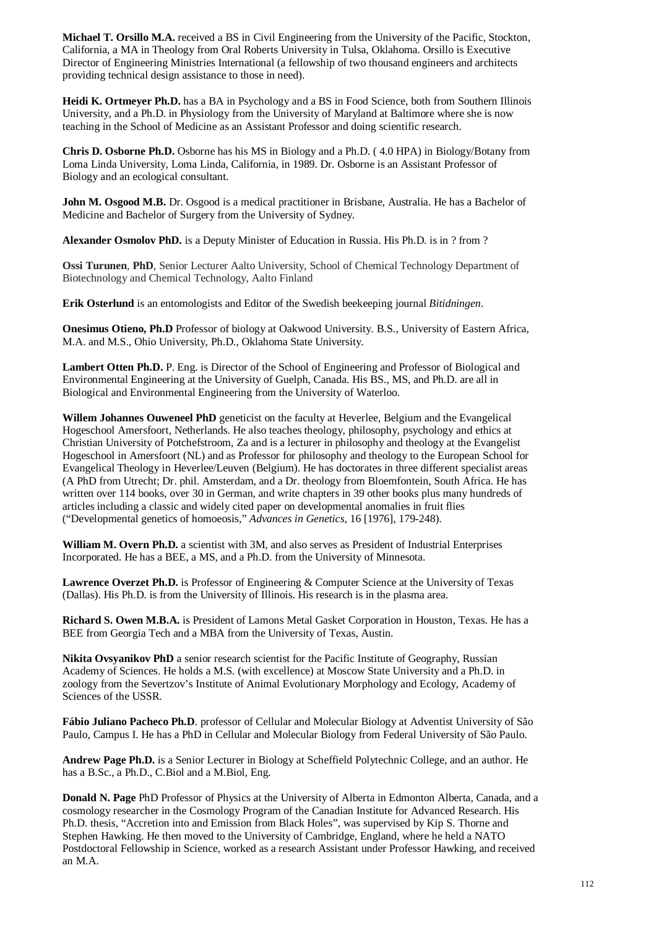**Michael T. Orsillo M.A.** received a BS in Civil Engineering from the University of the Pacific, Stockton, California, a MA in Theology from Oral Roberts University in Tulsa, Oklahoma. Orsillo is Executive Director of Engineering Ministries International (a fellowship of two thousand engineers and architects providing technical design assistance to those in need).

**Heidi K. Ortmeyer Ph.D.** has a BA in Psychology and a BS in Food Science, both from Southern Illinois University, and a Ph.D. in Physiology from the University of Maryland at Baltimore where she is now teaching in the School of Medicine as an Assistant Professor and doing scientific research.

**Chris D. Osborne Ph.D.** Osborne has his MS in Biology and a Ph.D. ( 4.0 HPA) in Biology/Botany from Loma Linda University, Loma Linda, California, in 1989. Dr. Osborne is an Assistant Professor of Biology and an ecological consultant.

**John M. Osgood M.B.** Dr. Osgood is a medical practitioner in Brisbane, Australia. He has a Bachelor of Medicine and Bachelor of Surgery from the University of Sydney.

**Alexander Osmolov PhD.** is a Deputy Minister of Education in Russia. His Ph.D. is in ? from ?

**Ossi Turunen**, **PhD**, Senior Lecturer Aalto University, School of Chemical Technology Department of Biotechnology and Chemical Technology, Aalto Finland

**Erik Osterlund** is an entomologists and Editor of the Swedish beekeeping journal *Bitidningen*.

**Onesimus Otieno, Ph.D** Professor of biology at Oakwood University. B.S., University of Eastern Africa, M.A. and M.S., Ohio University, Ph.D., Oklahoma State University.

**Lambert Otten Ph.D.** P. Eng. is Director of the School of Engineering and Professor of Biological and Environmental Engineering at the University of Guelph, Canada. His BS., MS, and Ph.D. are all in Biological and Environmental Engineering from the University of Waterloo.

**Willem Johannes Ouweneel PhD** geneticist on the faculty at Heverlee, Belgium and the Evangelical Hogeschool Amersfoort, Netherlands. He also teaches theology, philosophy, psychology and ethics at Christian University of Potchefstroom, Za and is a lecturer in philosophy and theology at the Evangelist Hogeschool in Amersfoort (NL) and as Professor for philosophy and theology to the European School for Evangelical Theology in Heverlee/Leuven (Belgium). He has doctorates in three different specialist areas (A PhD from Utrecht; Dr. phil. Amsterdam, and a Dr. theology from Bloemfontein, South Africa. He has written over 114 books, over 30 in German, and write chapters in 39 other books plus many hundreds of articles including a classic and widely cited paper on developmental anomalies in fruit flies ("Developmental genetics of homoeosis," *Advances in Genetics*, 16 [1976], 179-248).

**William M. Overn Ph.D.** a scientist with 3M, and also serves as President of Industrial Enterprises Incorporated. He has a BEE, a MS, and a Ph.D. from the University of Minnesota.

Lawrence Overzet Ph.D. is Professor of Engineering & Computer Science at the University of Texas (Dallas). His Ph.D. is from the University of Illinois. His research is in the plasma area.

**Richard S. Owen M.B.A.** is President of Lamons Metal Gasket Corporation in Houston, Texas. He has a BEE from Georgia Tech and a MBA from the University of Texas, Austin.

**Nikita Ovsyanikov PhD** a senior research scientist for the Pacific Institute of Geography, Russian Academy of Sciences. He holds a M.S. (with excellence) at Moscow State University and a Ph.D. in zoology from the Severtzov's Institute of Animal Evolutionary Morphology and Ecology, Academy of Sciences of the USSR.

**Fábio Juliano Pacheco Ph.D**. professor of Cellular and Molecular Biology at Adventist University of São Paulo, Campus I. He has a PhD in Cellular and Molecular Biology from Federal University of São Paulo.

**Andrew Page Ph.D.** is a Senior Lecturer in Biology at Scheffield Polytechnic College, and an author. He has a B.Sc., a Ph.D., C.Biol and a M.Biol, Eng.

**Donald N. Page** PhD Professor of Physics at the University of Alberta in Edmonton Alberta, Canada, and a cosmology researcher in the Cosmology Program of the Canadian Institute for Advanced Research. His Ph.D. thesis, "Accretion into and Emission from Black Holes", was supervised by Kip S. Thorne and Stephen Hawking. He then moved to the University of Cambridge, England, where he held a NATO Postdoctoral Fellowship in Science, worked as a research Assistant under Professor Hawking, and received an M.A.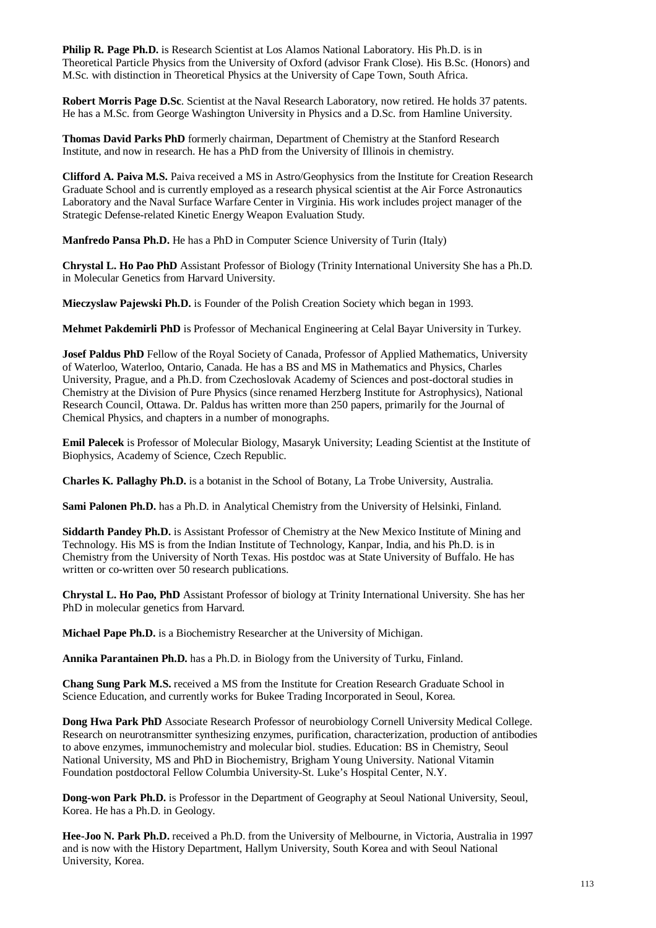**Philip R. Page Ph.D.** is Research Scientist at Los Alamos National Laboratory. His Ph.D. is in Theoretical Particle Physics from the University of Oxford (advisor Frank Close). His B.Sc. (Honors) and M.Sc. with distinction in Theoretical Physics at the University of Cape Town, South Africa.

**Robert Morris Page D.Sc**. Scientist at the Naval Research Laboratory, now retired. He holds 37 patents. He has a M.Sc. from George Washington University in Physics and a D.Sc. from Hamline University.

**Thomas David Parks PhD** formerly chairman, Department of Chemistry at the Stanford Research Institute, and now in research. He has a PhD from the University of Illinois in chemistry.

**Clifford A. Paiva M.S.** Paiva received a MS in Astro/Geophysics from the Institute for Creation Research Graduate School and is currently employed as a research physical scientist at the Air Force Astronautics Laboratory and the Naval Surface Warfare Center in Virginia. His work includes project manager of the Strategic Defense-related Kinetic Energy Weapon Evaluation Study.

**Manfredo Pansa Ph.D.** He has a PhD in Computer Science University of Turin (Italy)

**Chrystal L. Ho Pao PhD** Assistant Professor of Biology (Trinity International University She has a Ph.D. in Molecular Genetics from Harvard University.

**Mieczyslaw Pajewski Ph.D.** is Founder of the Polish Creation Society which began in 1993.

**Mehmet Pakdemirli PhD** is Professor of Mechanical Engineering at Celal Bayar University in Turkey.

**Josef Paldus PhD** Fellow of the Royal Society of Canada, Professor of Applied Mathematics, University of Waterloo, Waterloo, Ontario, Canada. He has a BS and MS in Mathematics and Physics, Charles University, Prague, and a Ph.D. from Czechoslovak Academy of Sciences and post-doctoral studies in Chemistry at the Division of Pure Physics (since renamed Herzberg Institute for Astrophysics), National Research Council, Ottawa. Dr. Paldus has written more than 250 papers, primarily for the Journal of Chemical Physics, and chapters in a number of monographs.

**Emil Palecek** is Professor of Molecular Biology, Masaryk University; Leading Scientist at the Institute of Biophysics, Academy of Science, Czech Republic.

**Charles K. Pallaghy Ph.D.** is a botanist in the School of Botany, La Trobe University, Australia.

**Sami Palonen Ph.D.** has a Ph.D. in Analytical Chemistry from the University of Helsinki, Finland.

**Siddarth Pandey Ph.D.** is Assistant Professor of Chemistry at the New Mexico Institute of Mining and Technology. His MS is from the Indian Institute of Technology, Kanpar, India, and his Ph.D. is in Chemistry from the University of North Texas. His postdoc was at State University of Buffalo. He has written or co-written over 50 research publications.

**Chrystal L. Ho Pao, PhD** Assistant Professor of biology at Trinity International University. She has her PhD in molecular genetics from Harvard.

**Michael Pape Ph.D.** is a Biochemistry Researcher at the University of Michigan.

**Annika Parantainen Ph.D.** has a Ph.D. in Biology from the University of Turku, Finland.

**Chang Sung Park M.S.** received a MS from the Institute for Creation Research Graduate School in Science Education, and currently works for Bukee Trading Incorporated in Seoul, Korea.

**Dong Hwa Park PhD** Associate Research Professor of neurobiology Cornell University Medical College. Research on neurotransmitter synthesizing enzymes, purification, characterization, production of antibodies to above enzymes, immunochemistry and molecular biol. studies. Education: BS in Chemistry, Seoul National University, MS and PhD in Biochemistry, Brigham Young University. National Vitamin Foundation postdoctoral Fellow Columbia University-St. Luke's Hospital Center, N.Y.

**Dong-won Park Ph.D.** is Professor in the Department of Geography at Seoul National University, Seoul, Korea. He has a Ph.D. in Geology.

**Hee-Joo N. Park Ph.D.** received a Ph.D. from the University of Melbourne, in Victoria, Australia in 1997 and is now with the History Department, Hallym University, South Korea and with Seoul National University, Korea.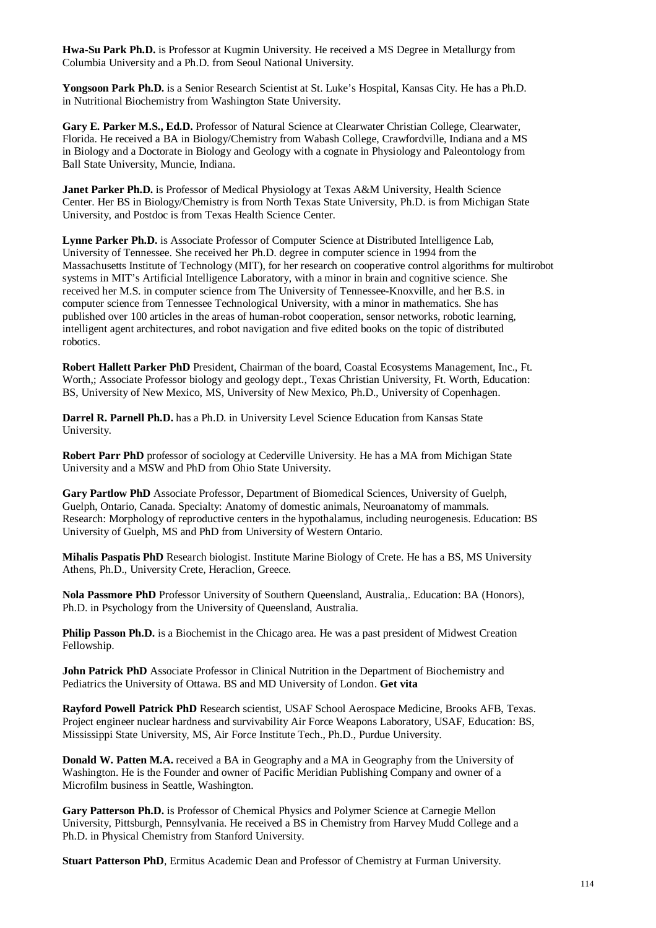**Hwa-Su Park Ph.D.** is Professor at Kugmin University. He received a MS Degree in Metallurgy from Columbia University and a Ph.D. from Seoul National University.

**Yongsoon Park Ph.D.** is a Senior Research Scientist at St. Luke's Hospital, Kansas City. He has a Ph.D. in Nutritional Biochemistry from Washington State University.

**Gary E. Parker M.S., Ed.D.** Professor of Natural Science at Clearwater Christian College, Clearwater, Florida. He received a BA in Biology/Chemistry from Wabash College, Crawfordville, Indiana and a MS in Biology and a Doctorate in Biology and Geology with a cognate in Physiology and Paleontology from Ball State University, Muncie, Indiana.

**Janet Parker Ph.D.** is Professor of Medical Physiology at Texas A&M University, Health Science Center. Her BS in Biology/Chemistry is from North Texas State University, Ph.D. is from Michigan State University, and Postdoc is from Texas Health Science Center.

**Lynne Parker Ph.D.** is Associate Professor of Computer Science at Distributed Intelligence Lab, University of Tennessee. She received her Ph.D. degree in computer science in 1994 from the Massachusetts Institute of Technology (MIT), for her research on cooperative control algorithms for multirobot systems in MIT's Artificial Intelligence Laboratory, with a minor in brain and cognitive science. She received her M.S. in computer science from The University of Tennessee-Knoxville, and her B.S. in computer science from Tennessee Technological University, with a minor in mathematics. She has published over 100 articles in the areas of human-robot cooperation, sensor networks, robotic learning, intelligent agent architectures, and robot navigation and five edited books on the topic of distributed robotics.

**Robert Hallett Parker PhD** President, Chairman of the board, Coastal Ecosystems Management, Inc., Ft. Worth,; Associate Professor biology and geology dept., Texas Christian University, Ft. Worth, Education: BS, University of New Mexico, MS, University of New Mexico, Ph.D., University of Copenhagen.

**Darrel R. Parnell Ph.D.** has a Ph.D. in University Level Science Education from Kansas State University.

**Robert Parr PhD** professor of sociology at Cederville University. He has a MA from Michigan State University and a MSW and PhD from Ohio State University.

**Gary Partlow PhD** Associate Professor, Department of Biomedical Sciences, University of Guelph, Guelph, Ontario, Canada. Specialty: Anatomy of domestic animals, Neuroanatomy of mammals. Research: Morphology of reproductive centers in the hypothalamus, including neurogenesis. Education: BS University of Guelph, MS and PhD from University of Western Ontario.

**Mihalis Paspatis PhD** Research biologist. Institute Marine Biology of Crete. He has a BS, MS University Athens, Ph.D., University Crete, Heraclion, Greece.

**Nola Passmore PhD** Professor University of Southern Queensland, Australia,. Education: BA (Honors), Ph.D. in Psychology from the University of Queensland, Australia.

**Philip Passon Ph.D.** is a Biochemist in the Chicago area. He was a past president of Midwest Creation Fellowship.

**John Patrick PhD** Associate Professor in Clinical Nutrition in the Department of Biochemistry and Pediatrics the University of Ottawa. BS and MD University of London. **Get vita**

**Rayford Powell Patrick PhD** Research scientist, USAF School Aerospace Medicine, Brooks AFB, Texas. Project engineer nuclear hardness and survivability Air Force Weapons Laboratory, USAF, Education: BS, Mississippi State University, MS, Air Force Institute Tech., Ph.D., Purdue University.

**Donald W. Patten M.A.** received a BA in Geography and a MA in Geography from the University of Washington. He is the Founder and owner of Pacific Meridian Publishing Company and owner of a Microfilm business in Seattle, Washington.

**Gary Patterson Ph.D.** is Professor of Chemical Physics and Polymer Science at Carnegie Mellon University, Pittsburgh, Pennsylvania. He received a BS in Chemistry from Harvey Mudd College and a Ph.D. in Physical Chemistry from Stanford University.

**Stuart Patterson PhD**, Ermitus Academic Dean and Professor of Chemistry at Furman University.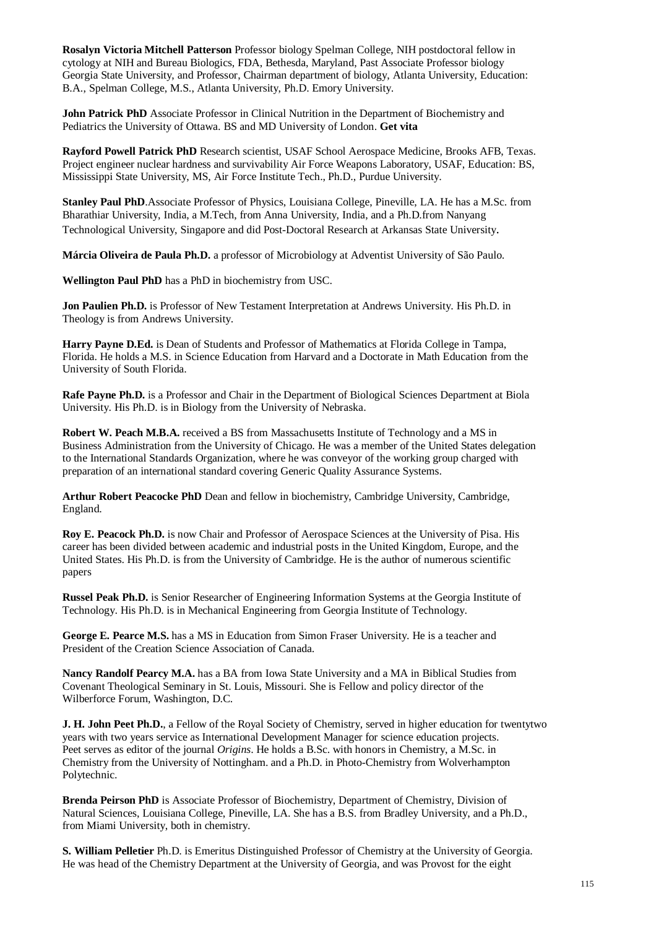**Rosalyn Victoria Mitchell Patterson** Professor biology Spelman College, NIH postdoctoral fellow in cytology at NIH and Bureau Biologics, FDA, Bethesda, Maryland, Past Associate Professor biology Georgia State University, and Professor, Chairman department of biology, Atlanta University, Education: B.A., Spelman College, M.S., Atlanta University, Ph.D. Emory University.

**John Patrick PhD** Associate Professor in Clinical Nutrition in the Department of Biochemistry and Pediatrics the University of Ottawa. BS and MD University of London. **Get vita**

**Rayford Powell Patrick PhD** Research scientist, USAF School Aerospace Medicine, Brooks AFB, Texas. Project engineer nuclear hardness and survivability Air Force Weapons Laboratory, USAF, Education: BS, Mississippi State University, MS, Air Force Institute Tech., Ph.D., Purdue University.

**Stanley Paul PhD**.Associate Professor of Physics, Louisiana College, Pineville, LA. He has a M.Sc. from Bharathiar University, India, a M.Tech, from Anna University, India, and a Ph.D.from Nanyang Technological University, Singapore and did Post-Doctoral Research at Arkansas State University.

**Márcia Oliveira de Paula Ph.D.** a professor of Microbiology at Adventist University of São Paulo.

**Wellington Paul PhD** has a PhD in biochemistry from USC.

**Jon Paulien Ph.D.** is Professor of New Testament Interpretation at Andrews University. His Ph.D. in Theology is from Andrews University.

**Harry Payne D.Ed.** is Dean of Students and Professor of Mathematics at Florida College in Tampa, Florida. He holds a M.S. in Science Education from Harvard and a Doctorate in Math Education from the University of South Florida.

**Rafe Payne Ph.D.** is a Professor and Chair in the Department of Biological Sciences Department at Biola University. His Ph.D. is in Biology from the University of Nebraska.

**Robert W. Peach M.B.A.** received a BS from Massachusetts Institute of Technology and a MS in Business Administration from the University of Chicago. He was a member of the United States delegation to the International Standards Organization, where he was conveyor of the working group charged with preparation of an international standard covering Generic Quality Assurance Systems.

Arthur Robert Peacocke PhD Dean and fellow in biochemistry, Cambridge University, Cambridge, England.

**Roy E. Peacock Ph.D.** is now Chair and Professor of Aerospace Sciences at the University of Pisa. His career has been divided between academic and industrial posts in the United Kingdom, Europe, and the United States. His Ph.D. is from the University of Cambridge. He is the author of numerous scientific papers

**Russel Peak Ph.D.** is Senior Researcher of Engineering Information Systems at the Georgia Institute of Technology. His Ph.D. is in Mechanical Engineering from Georgia Institute of Technology.

**George E. Pearce M.S.** has a MS in Education from Simon Fraser University. He is a teacher and President of the Creation Science Association of Canada.

**Nancy Randolf Pearcy M.A.** has a BA from Iowa State University and a MA in Biblical Studies from Covenant Theological Seminary in St. Louis, Missouri. She is Fellow and policy director of the Wilberforce Forum, Washington, D.C.

**J. H. John Peet Ph.D.**, a Fellow of the Royal Society of Chemistry, served in higher education for twentytwo years with two years service as International Development Manager for science education projects. Peet serves as editor of the journal *Origins*. He holds a B.Sc. with honors in Chemistry, a M.Sc. in Chemistry from the University of Nottingham. and a Ph.D. in Photo-Chemistry from Wolverhampton Polytechnic.

**Brenda Peirson PhD** is Associate Professor of Biochemistry, Department of Chemistry, Division of Natural Sciences, Louisiana College, Pineville, LA. She has a B.S. from Bradley University, and a Ph.D., from Miami University, both in chemistry.

**S. William Pelletier** Ph.D. is Emeritus Distinguished Professor of Chemistry at the University of Georgia. He was head of the Chemistry Department at the University of Georgia, and was Provost for the eight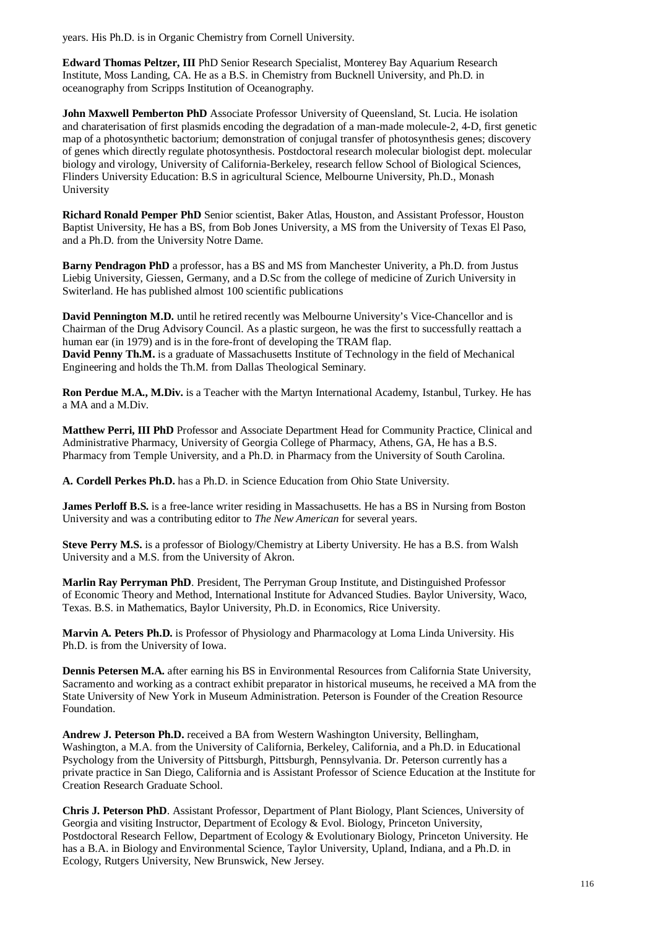years. His Ph.D. is in Organic Chemistry from Cornell University.

**Edward Thomas Peltzer, III** PhD Senior Research Specialist, Monterey Bay Aquarium Research Institute, Moss Landing, CA. He as a B.S. in Chemistry from Bucknell University, and Ph.D. in oceanography from Scripps Institution of Oceanography.

**John Maxwell Pemberton PhD** Associate Professor University of Queensland, St. Lucia. He isolation and charaterisation of first plasmids encoding the degradation of a man-made molecule-2, 4-D, first genetic map of a photosynthetic bactorium; demonstration of conjugal transfer of photosynthesis genes; discovery of genes which directly regulate photosynthesis. Postdoctoral research molecular biologist dept. molecular biology and virology, University of California-Berkeley, research fellow School of Biological Sciences, Flinders University Education: B.S in agricultural Science, Melbourne University, Ph.D., Monash University

**Richard Ronald Pemper PhD** Senior scientist, Baker Atlas, Houston, and Assistant Professor, Houston Baptist University, He has a BS, from Bob Jones University, a MS from the University of Texas El Paso, and a Ph.D. from the University Notre Dame.

**Barny Pendragon PhD** a professor, has a BS and MS from Manchester Univerity, a Ph.D. from Justus Liebig University, Giessen, Germany, and a D.Sc from the college of medicine of Zurich University in Switerland. He has published almost 100 scientific publications

**David Pennington M.D.** until he retired recently was Melbourne University's Vice-Chancellor and is Chairman of the Drug Advisory Council. As a plastic surgeon, he was the first to successfully reattach a human ear (in 1979) and is in the fore-front of developing the TRAM flap.

**David Penny Th.M.** is a graduate of Massachusetts Institute of Technology in the field of Mechanical Engineering and holds the Th.M. from Dallas Theological Seminary.

**Ron Perdue M.A., M.Div.** is a Teacher with the Martyn International Academy, Istanbul, Turkey. He has a MA and a M.Div.

**Matthew Perri, III PhD** Professor and Associate Department Head for Community Practice, Clinical and Administrative Pharmacy, University of Georgia College of Pharmacy, Athens, GA, He has a B.S. Pharmacy from Temple University, and a Ph.D. in Pharmacy from the University of South Carolina.

**A. Cordell Perkes Ph.D.** has a Ph.D. in Science Education from Ohio State University.

**James Perloff B.S.** is a free-lance writer residing in Massachusetts. He has a BS in Nursing from Boston University and was a contributing editor to *The New American* for several years.

**Steve Perry M.S.** is a professor of Biology/Chemistry at Liberty University. He has a B.S. from Walsh University and a M.S. from the University of Akron.

**Marlin Ray Perryman PhD**. President, The Perryman Group Institute, and Distinguished Professor of Economic Theory and Method, International Institute for Advanced Studies. Baylor University, Waco, Texas. B.S. in Mathematics, Baylor University, Ph.D. in Economics, Rice University.

**Marvin A. Peters Ph.D.** is Professor of Physiology and Pharmacology at Loma Linda University. His Ph.D. is from the University of Iowa.

**Dennis Petersen M.A.** after earning his BS in Environmental Resources from California State University, Sacramento and working as a contract exhibit preparator in historical museums, he received a MA from the State University of New York in Museum Administration. Peterson is Founder of the Creation Resource Foundation.

**Andrew J. Peterson Ph.D.** received a BA from Western Washington University, Bellingham, Washington, a M.A. from the University of California, Berkeley, California, and a Ph.D. in Educational Psychology from the University of Pittsburgh, Pittsburgh, Pennsylvania. Dr. Peterson currently has a private practice in San Diego, California and is Assistant Professor of Science Education at the Institute for Creation Research Graduate School.

**Chris J. Peterson PhD**. Assistant Professor, Department of Plant Biology, Plant Sciences, University of Georgia and visiting Instructor, Department of Ecology & Evol. Biology, Princeton University, Postdoctoral Research Fellow, Department of Ecology & Evolutionary Biology, Princeton University. He has a B.A. in Biology and Environmental Science, Taylor University, Upland, Indiana, and a Ph.D. in Ecology, Rutgers University, New Brunswick, New Jersey.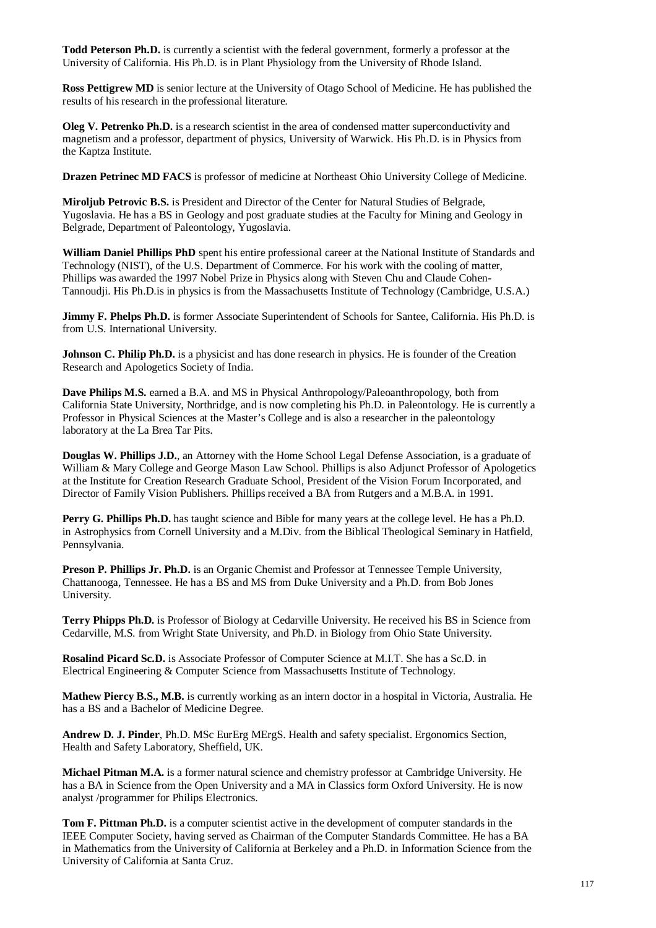**Todd Peterson Ph.D.** is currently a scientist with the federal government, formerly a professor at the University of California. His Ph.D. is in Plant Physiology from the University of Rhode Island.

**Ross Pettigrew MD** is senior lecture at the University of Otago School of Medicine. He has published the results of his research in the professional literature.

**Oleg V. Petrenko Ph.D.** is a research scientist in the area of condensed matter superconductivity and magnetism and a professor, department of physics, University of Warwick. His Ph.D. is in Physics from the Kaptza Institute.

**Drazen Petrinec MD FACS** is professor of medicine at Northeast Ohio University College of Medicine.

**Miroljub Petrovic B.S.** is President and Director of the Center for Natural Studies of Belgrade, Yugoslavia. He has a BS in Geology and post graduate studies at the Faculty for Mining and Geology in Belgrade, Department of Paleontology, Yugoslavia.

**William Daniel Phillips PhD** spent his entire professional career at the National Institute of Standards and Technology (NIST), of the U.S. Department of Commerce. For his work with the cooling of matter, Phillips was awarded the 1997 Nobel Prize in Physics along with Steven Chu and Claude Cohen-Tannoudji. His Ph.D.is in physics is from the Massachusetts Institute of Technology (Cambridge, U.S.A.)

**Jimmy F. Phelps Ph.D.** is former Associate Superintendent of Schools for Santee, California. His Ph.D. is from U.S. International University.

**Johnson C. Philip Ph.D.** is a physicist and has done research in physics. He is founder of the Creation Research and Apologetics Society of India.

**Dave Philips M.S.** earned a B.A. and MS in Physical Anthropology/Paleoanthropology, both from California State University, Northridge, and is now completing his Ph.D. in Paleontology. He is currently a Professor in Physical Sciences at the Master's College and is also a researcher in the paleontology laboratory at the La Brea Tar Pits.

**Douglas W. Phillips J.D.**, an Attorney with the Home School Legal Defense Association, is a graduate of William & Mary College and George Mason Law School. Phillips is also Adjunct Professor of Apologetics at the Institute for Creation Research Graduate School, President of the Vision Forum Incorporated, and Director of Family Vision Publishers. Phillips received a BA from Rutgers and a M.B.A. in 1991.

**Perry G. Phillips Ph.D.** has taught science and Bible for many years at the college level. He has a Ph.D. in Astrophysics from Cornell University and a M.Div. from the Biblical Theological Seminary in Hatfield, Pennsylvania.

**Preson P. Phillips Jr. Ph.D.** is an Organic Chemist and Professor at Tennessee Temple University, Chattanooga, Tennessee. He has a BS and MS from Duke University and a Ph.D. from Bob Jones University.

**Terry Phipps Ph.D.** is Professor of Biology at Cedarville University. He received his BS in Science from Cedarville, M.S. from Wright State University, and Ph.D. in Biology from Ohio State University.

**Rosalind Picard Sc.D.** is Associate Professor of Computer Science at M.I.T. She has a Sc.D. in Electrical Engineering & Computer Science from Massachusetts Institute of Technology.

**Mathew Piercy B.S., M.B.** is currently working as an intern doctor in a hospital in Victoria, Australia. He has a BS and a Bachelor of Medicine Degree.

**Andrew D. J. Pinder**, Ph.D. MSc EurErg MErgS. Health and safety specialist. Ergonomics Section, Health and Safety Laboratory, Sheffield, UK.

**Michael Pitman M.A.** is a former natural science and chemistry professor at Cambridge University. He has a BA in Science from the Open University and a MA in Classics form Oxford University. He is now analyst /programmer for Philips Electronics.

**Tom F. Pittman Ph.D.** is a computer scientist active in the development of computer standards in the IEEE Computer Society, having served as Chairman of the Computer Standards Committee. He has a BA in Mathematics from the University of California at Berkeley and a Ph.D. in Information Science from the University of California at Santa Cruz.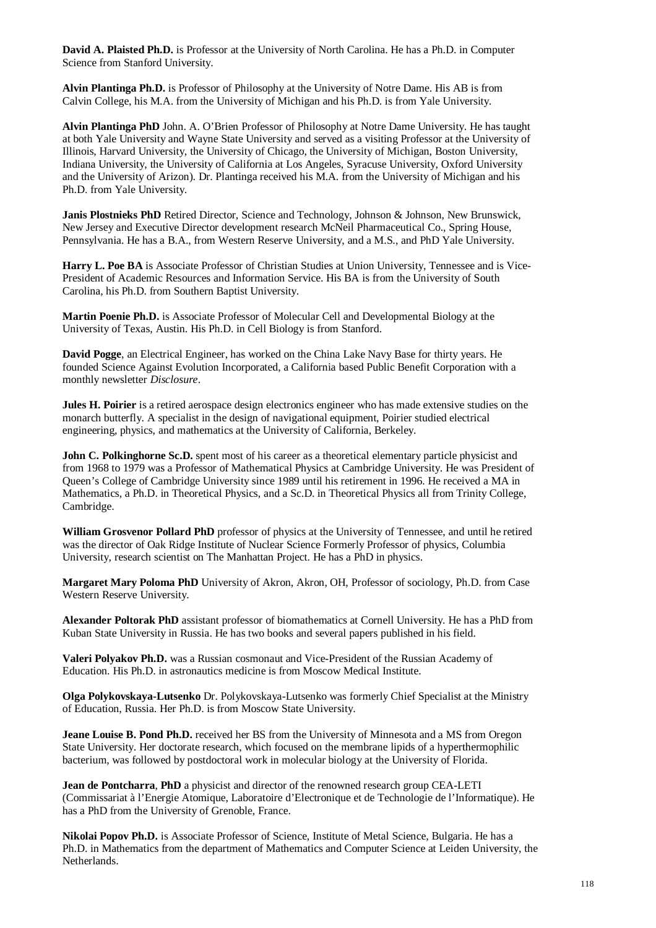**David A. Plaisted Ph.D.** is Professor at the University of North Carolina. He has a Ph.D. in Computer Science from Stanford University.

**Alvin Plantinga Ph.D.** is Professor of Philosophy at the University of Notre Dame. His AB is from Calvin College, his M.A. from the University of Michigan and his Ph.D. is from Yale University.

**Alvin Plantinga PhD** John. A. O'Brien Professor of Philosophy at Notre Dame University. He has taught at both Yale University and Wayne State University and served as a visiting Professor at the University of Illinois, Harvard University, the University of Chicago, the University of Michigan, Boston University, Indiana University, the University of California at Los Angeles, Syracuse University, Oxford University and the University of Arizon). Dr. Plantinga received his M.A. from the University of Michigan and his Ph.D. from Yale University.

**Janis Plostnieks PhD** Retired Director, Science and Technology, Johnson & Johnson, New Brunswick, New Jersey and Executive Director development research McNeil Pharmaceutical Co., Spring House, Pennsylvania. He has a B.A., from Western Reserve University, and a M.S., and PhD Yale University.

**Harry L. Poe BA** is Associate Professor of Christian Studies at Union University, Tennessee and is Vice-President of Academic Resources and Information Service. His BA is from the University of South Carolina, his Ph.D. from Southern Baptist University.

**Martin Poenie Ph.D.** is Associate Professor of Molecular Cell and Developmental Biology at the University of Texas, Austin. His Ph.D. in Cell Biology is from Stanford.

**David Pogge**, an Electrical Engineer, has worked on the China Lake Navy Base for thirty years. He founded Science Against Evolution Incorporated, a California based Public Benefit Corporation with a monthly newsletter *Disclosure*.

**Jules H. Poirier** is a retired aerospace design electronics engineer who has made extensive studies on the monarch butterfly. A specialist in the design of navigational equipment, Poirier studied electrical engineering, physics, and mathematics at the University of California, Berkeley.

**John C. Polkinghorne Sc.D.** spent most of his career as a theoretical elementary particle physicist and from 1968 to 1979 was a Professor of Mathematical Physics at Cambridge University. He was President of Queen's College of Cambridge University since 1989 until his retirement in 1996. He received a MA in Mathematics, a Ph.D. in Theoretical Physics, and a Sc.D. in Theoretical Physics all from Trinity College, Cambridge.

**William Grosvenor Pollard PhD** professor of physics at the University of Tennessee, and until he retired was the director of Oak Ridge Institute of Nuclear Science Formerly Professor of physics, Columbia University, research scientist on The Manhattan Project. He has a PhD in physics.

**Margaret Mary Poloma PhD** University of Akron, Akron, OH, Professor of sociology, Ph.D. from Case Western Reserve University.

**Alexander Poltorak PhD** assistant professor of biomathematics at Cornell University. He has a PhD from Kuban State University in Russia. He has two books and several papers published in his field.

**Valeri Polyakov Ph.D.** was a Russian cosmonaut and Vice-President of the Russian Academy of Education. His Ph.D. in astronautics medicine is from Moscow Medical Institute.

**Olga Polykovskaya-Lutsenko** Dr. Polykovskaya-Lutsenko was formerly Chief Specialist at the Ministry of Education, Russia. Her Ph.D. is from Moscow State University.

**Jeane Louise B. Pond Ph.D.** received her BS from the University of Minnesota and a MS from Oregon State University. Her doctorate research, which focused on the membrane lipids of a hyperthermophilic bacterium, was followed by postdoctoral work in molecular biology at the University of Florida.

**Jean de Pontcharra**, **PhD** a physicist and director of the renowned research group CEA-LETI (Commissariat à l'Energie Atomique, Laboratoire d'Electronique et de Technologie de l'Informatique). He has a PhD from the University of Grenoble, France.

**Nikolai Popov Ph.D.** is Associate Professor of Science, Institute of Metal Science, Bulgaria. He has a Ph.D. in Mathematics from the department of Mathematics and Computer Science at Leiden University, the Netherlands.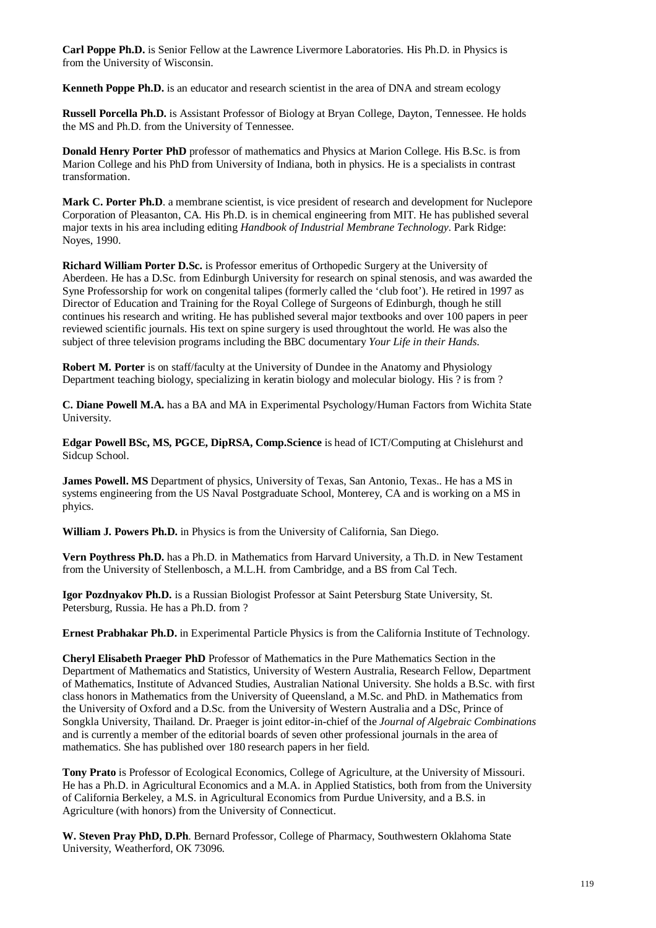**Carl Poppe Ph.D.** is Senior Fellow at the Lawrence Livermore Laboratories. His Ph.D. in Physics is from the University of Wisconsin.

**Kenneth Poppe Ph.D.** is an educator and research scientist in the area of DNA and stream ecology

**Russell Porcella Ph.D.** is Assistant Professor of Biology at Bryan College, Dayton, Tennessee. He holds the MS and Ph.D. from the University of Tennessee.

**Donald Henry Porter PhD** professor of mathematics and Physics at Marion College. His B.Sc. is from Marion College and his PhD from University of Indiana, both in physics. He is a specialists in contrast transformation.

**Mark C. Porter Ph.D**. a membrane scientist, is vice president of research and development for Nuclepore Corporation of Pleasanton, CA. His Ph.D. is in chemical engineering from MIT. He has published several major texts in his area including editing *Handbook of Industrial Membrane Technology*. Park Ridge: Noyes, 1990.

**Richard William Porter D.Sc.** is Professor emeritus of Orthopedic Surgery at the University of Aberdeen. He has a D.Sc. from Edinburgh University for research on spinal stenosis, and was awarded the Syne Professorship for work on congenital talipes (formerly called the 'club foot'). He retired in 1997 as Director of Education and Training for the Royal College of Surgeons of Edinburgh, though he still continues his research and writing. He has published several major textbooks and over 100 papers in peer reviewed scientific journals. His text on spine surgery is used throughtout the world. He was also the subject of three television programs including the BBC documentary *Your Life in their Hands*.

**Robert M. Porter** is on staff/faculty at the University of Dundee in the Anatomy and Physiology Department teaching biology, specializing in keratin biology and molecular biology. His ? is from ?

**C. Diane Powell M.A.** has a BA and MA in Experimental Psychology/Human Factors from Wichita State University.

**Edgar Powell BSc, MS, PGCE, DipRSA, Comp.Science** is head of ICT/Computing at Chislehurst and Sidcup School.

**James Powell. MS** Department of physics, University of Texas, San Antonio, Texas.. He has a MS in systems engineering from the US Naval Postgraduate School, Monterey, CA and is working on a MS in phyics.

**William J. Powers Ph.D.** in Physics is from the University of California, San Diego.

**Vern Poythress Ph.D.** has a Ph.D. in Mathematics from Harvard University, a Th.D. in New Testament from the University of Stellenbosch, a M.L.H. from Cambridge, and a BS from Cal Tech.

**Igor Pozdnyakov Ph.D.** is a Russian Biologist Professor at Saint Petersburg State University, St. Petersburg, Russia. He has a Ph.D. from ?

**Ernest Prabhakar Ph.D.** in Experimental Particle Physics is from the California Institute of Technology.

**Cheryl Elisabeth Praeger PhD** Professor of Mathematics in the Pure Mathematics Section in the Department of Mathematics and Statistics, University of Western Australia, Research Fellow, Department of Mathematics, Institute of Advanced Studies, Australian National University. She holds a B.Sc. with first class honors in Mathematics from the University of Queensland, a M.Sc. and PhD. in Mathematics from the University of Oxford and a D.Sc. from the University of Western Australia and a DSc, Prince of Songkla University, Thailand. Dr. Praeger is joint editor-in-chief of the *Journal of Algebraic Combinations* and is currently a member of the editorial boards of seven other professional journals in the area of mathematics. She has published over 180 research papers in her field.

**Tony Prato** is Professor of Ecological Economics, College of Agriculture, at the University of Missouri. He has a Ph.D. in Agricultural Economics and a M.A. in Applied Statistics, both from from the University of California Berkeley, a M.S. in Agricultural Economics from Purdue University, and a B.S. in Agriculture (with honors) from the University of Connecticut.

**W. Steven Pray PhD, D.Ph**. Bernard Professor, College of Pharmacy, Southwestern Oklahoma State University, Weatherford, OK 73096.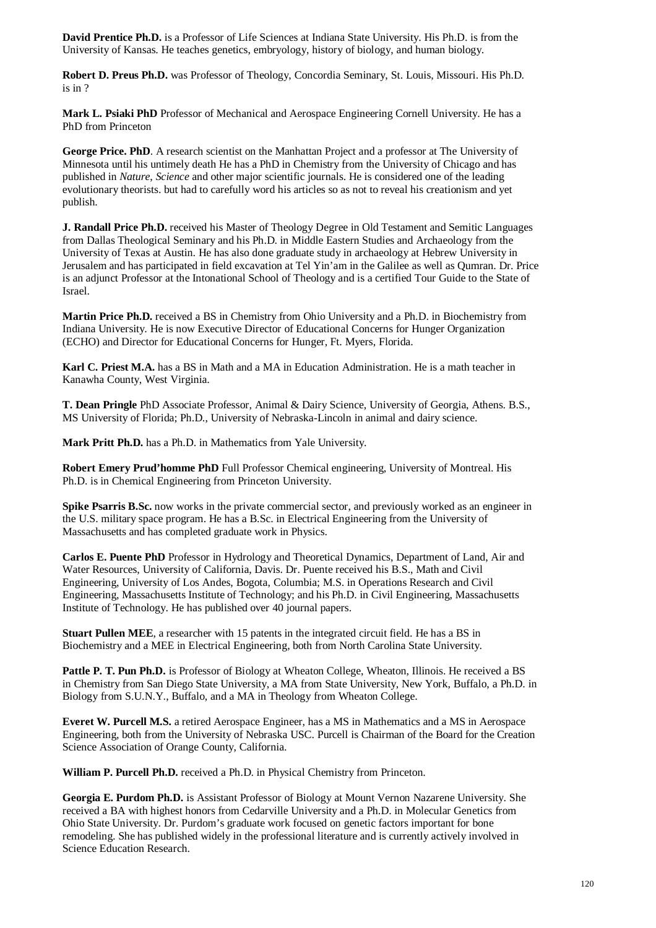**David Prentice Ph.D.** is a Professor of Life Sciences at Indiana State University. His Ph.D. is from the University of Kansas. He teaches genetics, embryology, history of biology, and human biology.

**Robert D. Preus Ph.D.** was Professor of Theology, Concordia Seminary, St. Louis, Missouri. His Ph.D. is in ?

**Mark L. Psiaki PhD** Professor of Mechanical and Aerospace Engineering Cornell University. He has a PhD from Princeton

**George Price. PhD**. A research scientist on the Manhattan Project and a professor at The University of Minnesota until his untimely death He has a PhD in Chemistry from the University of Chicago and has published in *Nature*, *Science* and other major scientific journals. He is considered one of the leading evolutionary theorists. but had to carefully word his articles so as not to reveal his creationism and yet publish.

**J. Randall Price Ph.D.** received his Master of Theology Degree in Old Testament and Semitic Languages from Dallas Theological Seminary and his Ph.D. in Middle Eastern Studies and Archaeology from the University of Texas at Austin. He has also done graduate study in archaeology at Hebrew University in Jerusalem and has participated in field excavation at Tel Yin'am in the Galilee as well as Qumran. Dr. Price is an adjunct Professor at the Intonational School of Theology and is a certified Tour Guide to the State of Israel.

**Martin Price Ph.D.** received a BS in Chemistry from Ohio University and a Ph.D. in Biochemistry from Indiana University. He is now Executive Director of Educational Concerns for Hunger Organization (ECHO) and Director for Educational Concerns for Hunger, Ft. Myers, Florida.

**Karl C. Priest M.A.** has a BS in Math and a MA in Education Administration. He is a math teacher in Kanawha County, West Virginia.

**T. Dean Pringle** PhD Associate Professor, Animal & Dairy Science, University of Georgia, Athens. B.S., MS University of Florida; Ph.D., University of Nebraska-Lincoln in animal and dairy science.

**Mark Pritt Ph.D.** has a Ph.D. in Mathematics from Yale University.

**Robert Emery Prud'homme PhD** Full Professor Chemical engineering, University of Montreal. His Ph.D. is in Chemical Engineering from Princeton University.

**Spike Psarris B.Sc.** now works in the private commercial sector, and previously worked as an engineer in the U.S. military space program. He has a B.Sc. in Electrical Engineering from the University of Massachusetts and has completed graduate work in Physics.

**Carlos E. Puente PhD** Professor in Hydrology and Theoretical Dynamics, Department of Land, Air and Water Resources, University of California, Davis. Dr. Puente received his B.S., Math and Civil Engineering, University of Los Andes, Bogota, Columbia; M.S. in Operations Research and Civil Engineering, Massachusetts Institute of Technology; and his Ph.D. in Civil Engineering, Massachusetts Institute of Technology. He has published over 40 journal papers.

**Stuart Pullen MEE**, a researcher with 15 patents in the integrated circuit field. He has a BS in Biochemistry and a MEE in Electrical Engineering, both from North Carolina State University.

**Pattle P. T. Pun Ph.D.** is Professor of Biology at Wheaton College, Wheaton, Illinois. He received a BS in Chemistry from San Diego State University, a MA from State University, New York, Buffalo, a Ph.D. in Biology from S.U.N.Y., Buffalo, and a MA in Theology from Wheaton College.

**Everet W. Purcell M.S.** a retired Aerospace Engineer, has a MS in Mathematics and a MS in Aerospace Engineering, both from the University of Nebraska USC. Purcell is Chairman of the Board for the Creation Science Association of Orange County, California.

**William P. Purcell Ph.D.** received a Ph.D. in Physical Chemistry from Princeton.

**Georgia E. Purdom Ph.D.** is Assistant Professor of Biology at Mount Vernon Nazarene University. She received a BA with highest honors from Cedarville University and a Ph.D. in Molecular Genetics from Ohio State University. Dr. Purdom's graduate work focused on genetic factors important for bone remodeling. She has published widely in the professional literature and is currently actively involved in Science Education Research.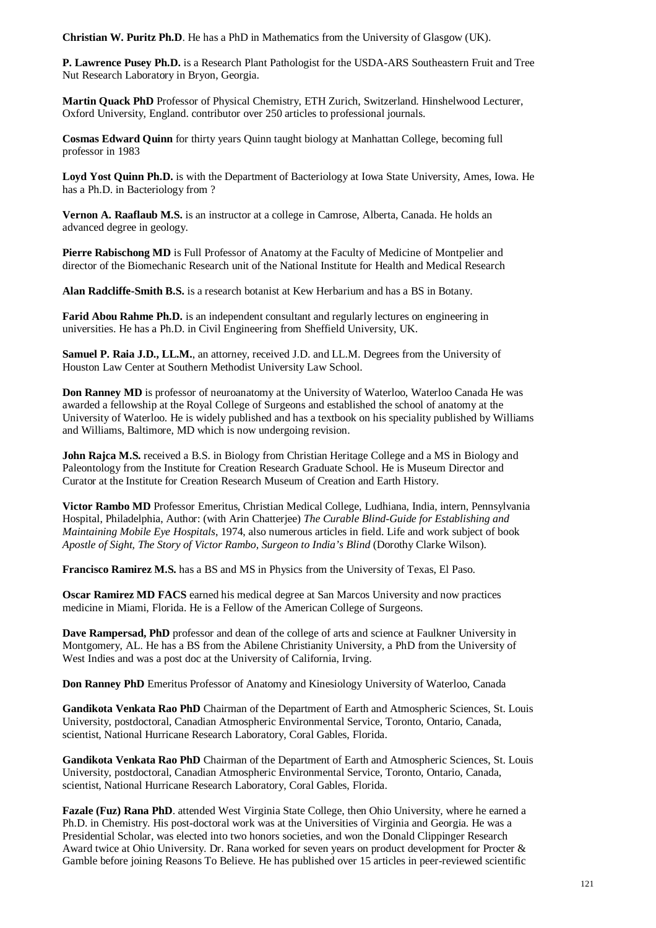**Christian W. Puritz Ph.D**. He has a PhD in Mathematics from the University of Glasgow (UK).

**P. Lawrence Pusey Ph.D.** is a Research Plant Pathologist for the USDA-ARS Southeastern Fruit and Tree Nut Research Laboratory in Bryon, Georgia.

**Martin Quack PhD** Professor of Physical Chemistry, ETH Zurich, Switzerland. Hinshelwood Lecturer, Oxford University, England. contributor over 250 articles to professional journals.

**Cosmas Edward Quinn** for thirty years Quinn taught biology at Manhattan College, becoming full professor in 1983

**Loyd Yost Quinn Ph.D.** is with the Department of Bacteriology at Iowa State University, Ames, Iowa. He has a Ph.D. in Bacteriology from ?

**Vernon A. Raaflaub M.S.** is an instructor at a college in Camrose, Alberta, Canada. He holds an advanced degree in geology.

**Pierre Rabischong MD** is Full Professor of Anatomy at the Faculty of Medicine of Montpelier and director of the Biomechanic Research unit of the National Institute for Health and Medical Research

**Alan Radcliffe-Smith B.S.** is a research botanist at Kew Herbarium and has a BS in Botany.

**Farid Abou Rahme Ph.D.** is an independent consultant and regularly lectures on engineering in universities. He has a Ph.D. in Civil Engineering from Sheffield University, UK.

**Samuel P. Raia J.D., LL.M.**, an attorney, received J.D. and LL.M. Degrees from the University of Houston Law Center at Southern Methodist University Law School.

**Don Ranney MD** is professor of neuroanatomy at the University of Waterloo, Waterloo Canada He was awarded a fellowship at the Royal College of Surgeons and established the school of anatomy at the University of Waterloo. He is widely published and has a textbook on his speciality published by Williams and Williams, Baltimore, MD which is now undergoing revision.

**John Rajca M.S.** received a B.S. in Biology from Christian Heritage College and a MS in Biology and Paleontology from the Institute for Creation Research Graduate School. He is Museum Director and Curator at the Institute for Creation Research Museum of Creation and Earth History.

**Victor Rambo MD** Professor Emeritus, Christian Medical College, Ludhiana, India, intern, Pennsylvania Hospital, Philadelphia, Author: (with Arin Chatterjee) *The Curable Blind-Guide for Establishing and Maintaining Mobile Eye Hospitals*, 1974, also numerous articles in field. Life and work subject of book *Apostle of Sight, The Story of Victor Rambo, Surgeon to India's Blind* (Dorothy Clarke Wilson).

**Francisco Ramirez M.S.** has a BS and MS in Physics from the University of Texas, El Paso.

**Oscar Ramirez MD FACS** earned his medical degree at San Marcos University and now practices medicine in Miami, Florida. He is a Fellow of the American College of Surgeons.

**Dave Rampersad, PhD** professor and dean of the college of arts and science at Faulkner University in Montgomery, AL. He has a BS from the Abilene Christianity University, a PhD from the University of West Indies and was a post doc at the University of California, Irving.

**Don Ranney PhD** Emeritus Professor of Anatomy and Kinesiology University of Waterloo, Canada

**Gandikota Venkata Rao PhD** Chairman of the Department of Earth and Atmospheric Sciences, St. Louis University, postdoctoral, Canadian Atmospheric Environmental Service, Toronto, Ontario, Canada, scientist, National Hurricane Research Laboratory, Coral Gables, Florida.

**Gandikota Venkata Rao PhD** Chairman of the Department of Earth and Atmospheric Sciences, St. Louis University, postdoctoral, Canadian Atmospheric Environmental Service, Toronto, Ontario, Canada, scientist, National Hurricane Research Laboratory, Coral Gables, Florida.

**Fazale (Fuz) Rana PhD.** attended West Virginia State College, then Ohio University, where he earned a Ph.D. in Chemistry. His post-doctoral work was at the Universities of Virginia and Georgia. He was a Presidential Scholar, was elected into two honors societies, and won the Donald Clippinger Research Award twice at Ohio University. Dr. Rana worked for seven years on product development for Procter & Gamble before joining Reasons To Believe. He has published over 15 articles in peer-reviewed scientific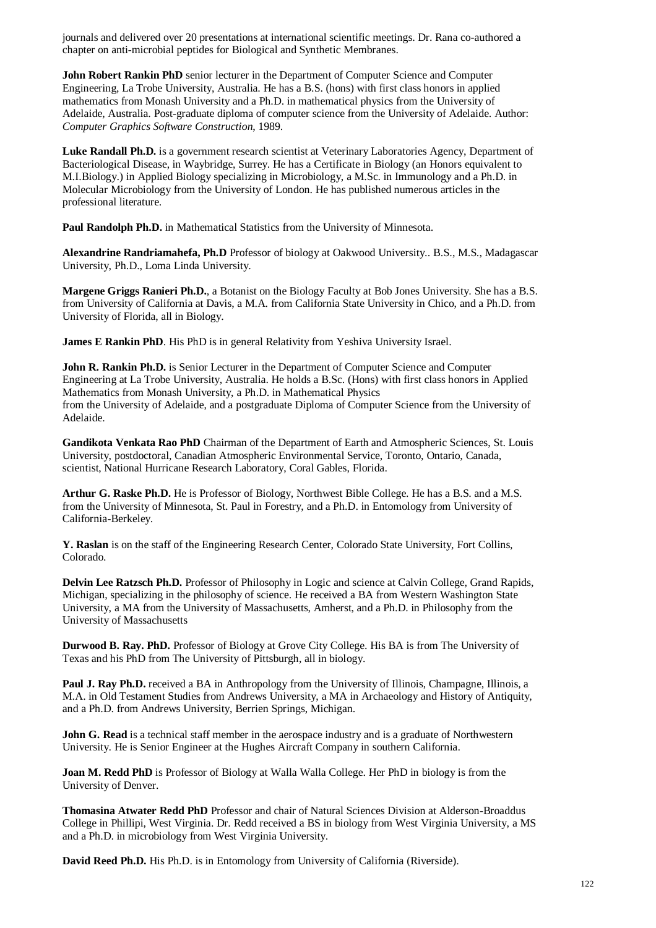journals and delivered over 20 presentations at international scientific meetings. Dr. Rana co-authored a chapter on anti-microbial peptides for Biological and Synthetic Membranes.

**John Robert Rankin PhD** senior lecturer in the Department of Computer Science and Computer Engineering, La Trobe University, Australia. He has a B.S. (hons) with first class honors in applied mathematics from Monash University and a Ph.D. in mathematical physics from the University of Adelaide, Australia. Post-graduate diploma of computer science from the University of Adelaide. Author: *Computer Graphics Software Construction*, 1989.

Luke Randall Ph.D. is a government research scientist at Veterinary Laboratories Agency, Department of Bacteriological Disease, in Waybridge, Surrey. He has a Certificate in Biology (an Honors equivalent to M.I.Biology.) in Applied Biology specializing in Microbiology, a M.Sc. in Immunology and a Ph.D. in Molecular Microbiology from the University of London. He has published numerous articles in the professional literature.

**Paul Randolph Ph.D.** in Mathematical Statistics from the University of Minnesota.

**Alexandrine Randriamahefa, Ph.D** Professor of biology at Oakwood University.. B.S., M.S., Madagascar University, Ph.D., Loma Linda University.

**Margene Griggs Ranieri Ph.D.**, a Botanist on the Biology Faculty at Bob Jones University. She has a B.S. from University of California at Davis, a M.A. from California State University in Chico, and a Ph.D. from University of Florida, all in Biology.

**James E Rankin PhD**. His PhD is in general Relativity from Yeshiva University Israel.

**John R. Rankin Ph.D.** is Senior Lecturer in the Department of Computer Science and Computer Engineering at La Trobe University, Australia. He holds a B.Sc. (Hons) with first class honors in Applied Mathematics from Monash University, a Ph.D. in Mathematical Physics from the University of Adelaide, and a postgraduate Diploma of Computer Science from the University of Adelaide.

**Gandikota Venkata Rao PhD** Chairman of the Department of Earth and Atmospheric Sciences, St. Louis University, postdoctoral, Canadian Atmospheric Environmental Service, Toronto, Ontario, Canada, scientist, National Hurricane Research Laboratory, Coral Gables, Florida.

**Arthur G. Raske Ph.D.** He is Professor of Biology, Northwest Bible College. He has a B.S. and a M.S. from the University of Minnesota, St. Paul in Forestry, and a Ph.D. in Entomology from University of California-Berkeley.

**Y. Raslan** is on the staff of the Engineering Research Center, Colorado State University, Fort Collins, Colorado.

**Delvin Lee Ratzsch Ph.D.** Professor of Philosophy in Logic and science at Calvin College, Grand Rapids, Michigan, specializing in the philosophy of science. He received a BA from Western Washington State University, a MA from the University of Massachusetts, Amherst, and a Ph.D. in Philosophy from the University of Massachusetts

**Durwood B. Ray. PhD.** Professor of Biology at Grove City College. His BA is from The University of Texas and his PhD from The University of Pittsburgh, all in biology.

**Paul J. Ray Ph.D.** received a BA in Anthropology from the University of Illinois, Champagne, Illinois, a M.A. in Old Testament Studies from Andrews University, a MA in Archaeology and History of Antiquity, and a Ph.D. from Andrews University, Berrien Springs, Michigan.

**John G. Read** is a technical staff member in the aerospace industry and is a graduate of Northwestern University. He is Senior Engineer at the Hughes Aircraft Company in southern California.

**Joan M. Redd PhD** is Professor of Biology at Walla Walla College. Her PhD in biology is from the University of Denver.

**Thomasina Atwater Redd PhD** Professor and chair of Natural Sciences Division at Alderson-Broaddus College in Phillipi, West Virginia. Dr. Redd received a BS in biology from West Virginia University, a MS and a Ph.D. in microbiology from West Virginia University.

**David Reed Ph.D.** His Ph.D. is in Entomology from University of California (Riverside).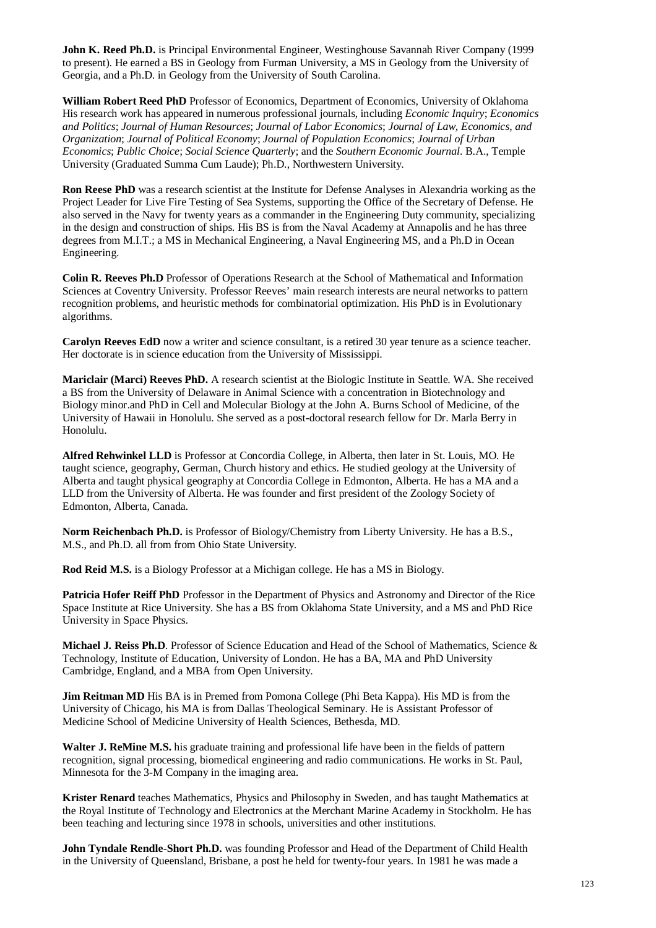**John K. Reed Ph.D.** is Principal Environmental Engineer, Westinghouse Savannah River Company (1999 to present). He earned a BS in Geology from Furman University, a MS in Geology from the University of Georgia, and a Ph.D. in Geology from the University of South Carolina.

**William Robert Reed PhD** Professor of Economics, Department of Economics, University of Oklahoma His research work has appeared in numerous professional journals, including *Economic Inquiry*; *Economics and Politics*; *Journal of Human Resources*; *Journal of Labor Economics*; *Journal of Law, Economics, and Organization*; *Journal of Political Economy*; *Journal of Population Economics*; *Journal of Urban Economics*; *Public Choice*; *Social Science Quarterly*; and the *Southern Economic Journal*. B.A., Temple University (Graduated Summa Cum Laude); Ph.D., Northwestern University.

**Ron Reese PhD** was a research scientist at the Institute for Defense Analyses in Alexandria working as the Project Leader for Live Fire Testing of Sea Systems, supporting the Office of the Secretary of Defense. He also served in the Navy for twenty years as a commander in the Engineering Duty community, specializing in the design and construction of ships. His BS is from the Naval Academy at Annapolis and he has three degrees from M.I.T.; a MS in Mechanical Engineering, a Naval Engineering MS, and a Ph.D in Ocean Engineering.

**Colin R. Reeves Ph.D** Professor of Operations Research at the School of Mathematical and Information Sciences at Coventry University. Professor Reeves' main research interests are neural networks to pattern recognition problems, and heuristic methods for combinatorial optimization. His PhD is in Evolutionary algorithms.

**Carolyn Reeves EdD** now a writer and science consultant, is a retired 30 year tenure as a science teacher. Her doctorate is in science education from the University of Mississippi.

**Mariclair (Marci) Reeves PhD.** A research scientist at the Biologic Institute in Seattle. WA. She received a BS from the University of Delaware in Animal Science with a concentration in Biotechnology and Biology minor.and PhD in Cell and Molecular Biology at the John A. Burns School of Medicine, of the University of Hawaii in Honolulu. She served as a post-doctoral research fellow for Dr. Marla Berry in Honolulu.

**Alfred Rehwinkel LLD** is Professor at Concordia College, in Alberta, then later in St. Louis, MO. He taught science, geography, German, Church history and ethics. He studied geology at the University of Alberta and taught physical geography at Concordia College in Edmonton, Alberta. He has a MA and a LLD from the University of Alberta. He was founder and first president of the Zoology Society of Edmonton, Alberta, Canada.

**Norm Reichenbach Ph.D.** is Professor of Biology/Chemistry from Liberty University. He has a B.S., M.S., and Ph.D. all from from Ohio State University.

**Rod Reid M.S.** is a Biology Professor at a Michigan college. He has a MS in Biology.

**Patricia Hofer Reiff PhD** Professor in the Department of Physics and Astronomy and Director of the Rice Space Institute at Rice University. She has a BS from Oklahoma State University, and a MS and PhD Rice University in Space Physics.

**Michael J. Reiss Ph.D**. Professor of Science Education and Head of the School of Mathematics, Science & Technology, Institute of Education, University of London. He has a BA, MA and PhD University Cambridge, England, and a MBA from Open University.

**Jim Reitman MD** His BA is in Premed from Pomona College (Phi Beta Kappa). His MD is from the University of Chicago, his MA is from Dallas Theological Seminary. He is Assistant Professor of Medicine School of Medicine University of Health Sciences, Bethesda, MD.

**Walter J. ReMine M.S.** his graduate training and professional life have been in the fields of pattern recognition, signal processing, biomedical engineering and radio communications. He works in St. Paul, Minnesota for the 3-M Company in the imaging area.

**Krister Renard** teaches Mathematics, Physics and Philosophy in Sweden, and has taught Mathematics at the Royal Institute of Technology and Electronics at the Merchant Marine Academy in Stockholm. He has been teaching and lecturing since 1978 in schools, universities and other institutions.

**John Tyndale Rendle-Short Ph.D.** was founding Professor and Head of the Department of Child Health in the University of Queensland, Brisbane, a post he held for twenty-four years. In 1981 he was made a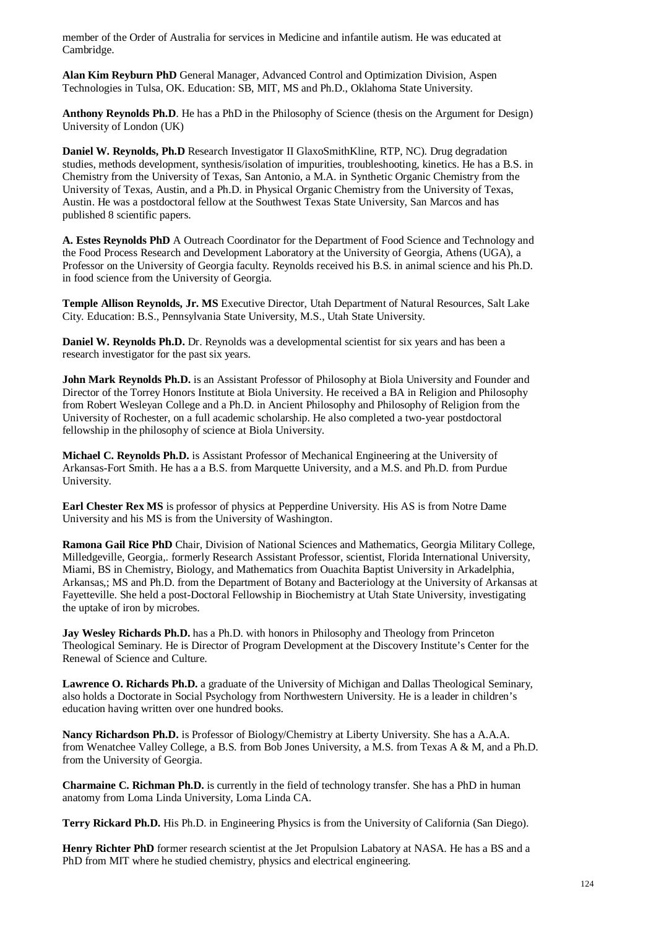member of the Order of Australia for services in Medicine and infantile autism. He was educated at Cambridge.

**Alan Kim Reyburn PhD** General Manager, Advanced Control and Optimization Division, Aspen Technologies in Tulsa, OK. Education: SB, MIT, MS and Ph.D., Oklahoma State University.

**Anthony Reynolds Ph.D**. He has a PhD in the Philosophy of Science (thesis on the Argument for Design) University of London (UK)

**Daniel W. Reynolds, Ph.D** Research Investigator II GlaxoSmithKline, RTP, NC). Drug degradation studies, methods development, synthesis/isolation of impurities, troubleshooting, kinetics. He has a B.S. in Chemistry from the University of Texas, San Antonio, a M.A. in Synthetic Organic Chemistry from the University of Texas, Austin, and a Ph.D. in Physical Organic Chemistry from the University of Texas, Austin. He was a postdoctoral fellow at the Southwest Texas State University, San Marcos and has published 8 scientific papers.

**A. Estes Reynolds PhD** A Outreach Coordinator for the Department of Food Science and Technology and the Food Process Research and Development Laboratory at the University of Georgia, Athens (UGA), a Professor on the University of Georgia faculty. Reynolds received his B.S. in animal science and his Ph.D. in food science from the University of Georgia.

**Temple Allison Reynolds, Jr. MS** Executive Director, Utah Department of Natural Resources, Salt Lake City. Education: B.S., Pennsylvania State University, M.S., Utah State University.

**Daniel W. Reynolds Ph.D.** Dr. Reynolds was a developmental scientist for six years and has been a research investigator for the past six years.

**John Mark Reynolds Ph.D.** is an Assistant Professor of Philosophy at Biola University and Founder and Director of the Torrey Honors Institute at Biola University. He received a BA in Religion and Philosophy from Robert Wesleyan College and a Ph.D. in Ancient Philosophy and Philosophy of Religion from the University of Rochester, on a full academic scholarship. He also completed a two-year postdoctoral fellowship in the philosophy of science at Biola University.

**Michael C. Reynolds Ph.D.** is Assistant Professor of Mechanical Engineering at the University of Arkansas-Fort Smith. He has a a B.S. from Marquette University, and a M.S. and Ph.D. from Purdue University.

**Earl Chester Rex MS** is professor of physics at Pepperdine University. His AS is from Notre Dame University and his MS is from the University of Washington.

**Ramona Gail Rice PhD** Chair, Division of National Sciences and Mathematics, Georgia Military College, Milledgeville, Georgia,. formerly Research Assistant Professor, scientist, Florida International University, Miami, BS in Chemistry, Biology, and Mathematics from Ouachita Baptist University in Arkadelphia, Arkansas,; MS and Ph.D. from the Department of Botany and Bacteriology at the University of Arkansas at Fayetteville. She held a post-Doctoral Fellowship in Biochemistry at Utah State University, investigating the uptake of iron by microbes.

**Jay Wesley Richards Ph.D.** has a Ph.D. with honors in Philosophy and Theology from Princeton Theological Seminary. He is Director of Program Development at the Discovery Institute's Center for the Renewal of Science and Culture.

**Lawrence O. Richards Ph.D.** a graduate of the University of Michigan and Dallas Theological Seminary, also holds a Doctorate in Social Psychology from Northwestern University. He is a leader in children's education having written over one hundred books.

**Nancy Richardson Ph.D.** is Professor of Biology/Chemistry at Liberty University. She has a A.A.A. from Wenatchee Valley College, a B.S. from Bob Jones University, a M.S. from Texas A & M, and a Ph.D. from the University of Georgia.

**Charmaine C. Richman Ph.D.** is currently in the field of technology transfer. She has a PhD in human anatomy from Loma Linda University, Loma Linda CA.

**Terry Rickard Ph.D.** His Ph.D. in Engineering Physics is from the University of California (San Diego).

**Henry Richter PhD** former research scientist at the Jet Propulsion Labatory at NASA. He has a BS and a PhD from MIT where he studied chemistry, physics and electrical engineering.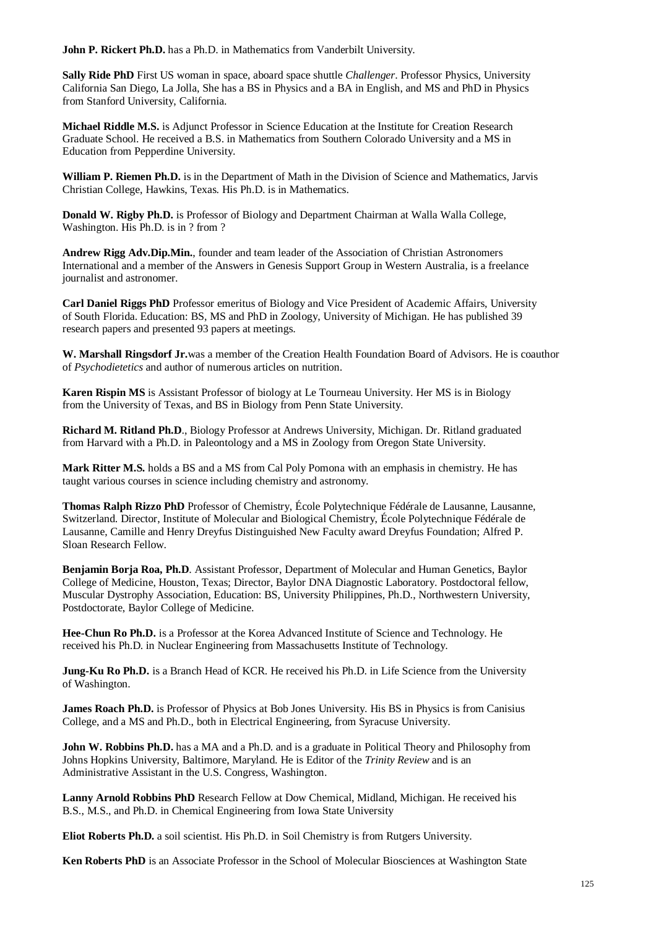**John P. Rickert Ph.D.** has a Ph.D. in Mathematics from Vanderbilt University.

**Sally Ride PhD** First US woman in space, aboard space shuttle *Challenger*. Professor Physics, University California San Diego, La Jolla, She has a BS in Physics and a BA in English, and MS and PhD in Physics from Stanford University, California.

**Michael Riddle M.S.** is Adjunct Professor in Science Education at the Institute for Creation Research Graduate School. He received a B.S. in Mathematics from Southern Colorado University and a MS in Education from Pepperdine University.

**William P. Riemen Ph.D.** is in the Department of Math in the Division of Science and Mathematics, Jarvis Christian College, Hawkins, Texas. His Ph.D. is in Mathematics.

**Donald W. Rigby Ph.D.** is Professor of Biology and Department Chairman at Walla Walla College, Washington. His Ph.D. is in ? from ?

**Andrew Rigg Adv.Dip.Min.**, founder and team leader of the Association of Christian Astronomers International and a member of the Answers in Genesis Support Group in Western Australia, is a freelance journalist and astronomer.

**Carl Daniel Riggs PhD** Professor emeritus of Biology and Vice President of Academic Affairs, University of South Florida. Education: BS, MS and PhD in Zoology, University of Michigan. He has published 39 research papers and presented 93 papers at meetings.

**W. Marshall Ringsdorf Jr.**was a member of the Creation Health Foundation Board of Advisors. He is coauthor of *Psychodietetics* and author of numerous articles on nutrition.

**Karen Rispin MS** is Assistant Professor of biology at Le Tourneau University. Her MS is in Biology from the University of Texas, and BS in Biology from Penn State University.

**Richard M. Ritland Ph.D**., Biology Professor at Andrews University, Michigan. Dr. Ritland graduated from Harvard with a Ph.D. in Paleontology and a MS in Zoology from Oregon State University.

**Mark Ritter M.S.** holds a BS and a MS from Cal Poly Pomona with an emphasis in chemistry. He has taught various courses in science including chemistry and astronomy.

**Thomas Ralph Rizzo PhD** Professor of Chemistry, École Polytechnique Fédérale de Lausanne, Lausanne, Switzerland. Director, Institute of Molecular and Biological Chemistry, École Polytechnique Fédérale de Lausanne, Camille and Henry Dreyfus Distinguished New Faculty award Dreyfus Foundation; Alfred P. Sloan Research Fellow.

**Benjamin Borja Roa, Ph.D**. Assistant Professor, Department of Molecular and Human Genetics, Baylor College of Medicine, Houston, Texas; Director, Baylor DNA Diagnostic Laboratory. Postdoctoral fellow, Muscular Dystrophy Association, Education: BS, University Philippines, Ph.D., Northwestern University, Postdoctorate, Baylor College of Medicine.

**Hee-Chun Ro Ph.D.** is a Professor at the Korea Advanced Institute of Science and Technology. He received his Ph.D. in Nuclear Engineering from Massachusetts Institute of Technology.

**Jung-Ku Ro Ph.D.** is a Branch Head of KCR. He received his Ph.D. in Life Science from the University of Washington.

**James Roach Ph.D.** is Professor of Physics at Bob Jones University. His BS in Physics is from Canisius College, and a MS and Ph.D., both in Electrical Engineering, from Syracuse University.

**John W. Robbins Ph.D.** has a MA and a Ph.D. and is a graduate in Political Theory and Philosophy from Johns Hopkins University, Baltimore, Maryland. He is Editor of the *Trinity Review* and is an Administrative Assistant in the U.S. Congress, Washington.

**Lanny Arnold Robbins PhD** Research Fellow at Dow Chemical, Midland, Michigan. He received his B.S., M.S., and Ph.D. in Chemical Engineering from Iowa State University

**Eliot Roberts Ph.D.** a soil scientist. His Ph.D. in Soil Chemistry is from Rutgers University.

**Ken Roberts PhD** is an Associate Professor in the School of Molecular Biosciences at Washington State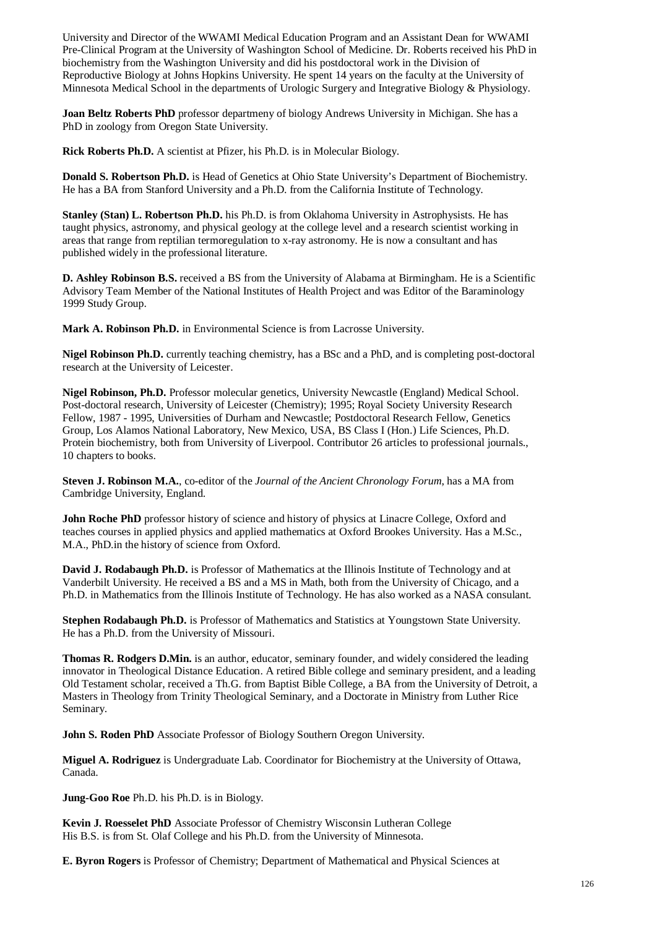University and Director of the WWAMI Medical Education Program and an Assistant Dean for WWAMI Pre-Clinical Program at the University of Washington School of Medicine. Dr. Roberts received his PhD in biochemistry from the Washington University and did his postdoctoral work in the Division of Reproductive Biology at Johns Hopkins University. He spent 14 years on the faculty at the University of Minnesota Medical School in the departments of Urologic Surgery and Integrative Biology & Physiology.

**Joan Beltz Roberts PhD** professor departmeny of biology Andrews University in Michigan. She has a PhD in zoology from Oregon State University.

**Rick Roberts Ph.D.** A scientist at Pfizer, his Ph.D. is in Molecular Biology.

**Donald S. Robertson Ph.D.** is Head of Genetics at Ohio State University's Department of Biochemistry. He has a BA from Stanford University and a Ph.D. from the California Institute of Technology.

**Stanley (Stan) L. Robertson Ph.D.** his Ph.D. is from Oklahoma University in Astrophysists. He has taught physics, astronomy, and physical geology at the college level and a research scientist working in areas that range from reptilian termoregulation to x-ray astronomy. He is now a consultant and has published widely in the professional literature.

**D. Ashley Robinson B.S.** received a BS from the University of Alabama at Birmingham. He is a Scientific Advisory Team Member of the National Institutes of Health Project and was Editor of the Baraminology 1999 Study Group.

**Mark A. Robinson Ph.D.** in Environmental Science is from Lacrosse University.

**Nigel Robinson Ph.D.** currently teaching chemistry, has a BSc and a PhD, and is completing post-doctoral research at the University of Leicester.

**Nigel Robinson, Ph.D.** Professor molecular genetics, University Newcastle (England) Medical School. Post-doctoral research, University of Leicester (Chemistry); 1995; Royal Society University Research Fellow, 1987 - 1995, Universities of Durham and Newcastle; Postdoctoral Research Fellow, Genetics Group, Los Alamos National Laboratory, New Mexico, USA, BS Class I (Hon.) Life Sciences, Ph.D. Protein biochemistry, both from University of Liverpool. Contributor 26 articles to professional journals., 10 chapters to books.

**Steven J. Robinson M.A.**, co-editor of the *Journal of the Ancient Chronology Forum*, has a MA from Cambridge University, England.

**John Roche PhD** professor history of science and history of physics at Linacre College, Oxford and teaches courses in applied physics and applied mathematics at Oxford Brookes University. Has a M.Sc., M.A., PhD.in the history of science from Oxford.

**David J. Rodabaugh Ph.D.** is Professor of Mathematics at the Illinois Institute of Technology and at Vanderbilt University. He received a BS and a MS in Math, both from the University of Chicago, and a Ph.D. in Mathematics from the Illinois Institute of Technology. He has also worked as a NASA consulant.

**Stephen Rodabaugh Ph.D.** is Professor of Mathematics and Statistics at Youngstown State University. He has a Ph.D. from the University of Missouri.

**Thomas R. Rodgers D.Min.** is an author, educator, seminary founder, and widely considered the leading innovator in Theological Distance Education. A retired Bible college and seminary president, and a leading Old Testament scholar, received a Th.G. from Baptist Bible College, a BA from the University of Detroit, a Masters in Theology from Trinity Theological Seminary, and a Doctorate in Ministry from Luther Rice Seminary.

**John S. Roden PhD** Associate Professor of Biology Southern Oregon University.

**Miguel A. Rodriguez** is Undergraduate Lab. Coordinator for Biochemistry at the University of Ottawa, Canada.

**Jung-Goo Roe** Ph.D. his Ph.D. is in Biology.

**Kevin J. Roesselet PhD** Associate Professor of Chemistry Wisconsin Lutheran College His B.S. is from St. Olaf College and his Ph.D. from the University of Minnesota.

**E. Byron Rogers** is Professor of Chemistry; Department of Mathematical and Physical Sciences at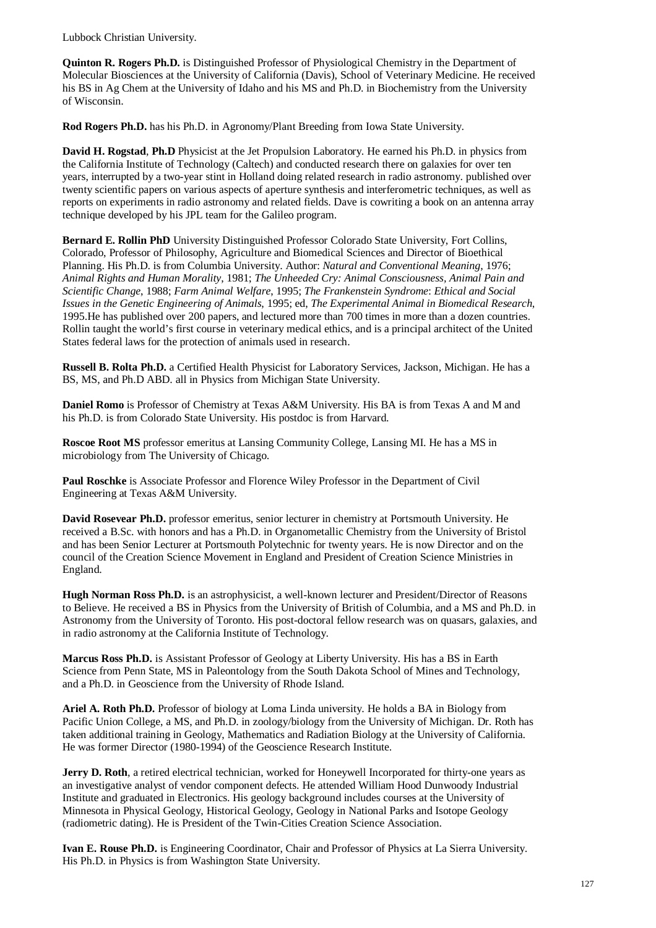Lubbock Christian University.

**Quinton R. Rogers Ph.D.** is Distinguished Professor of Physiological Chemistry in the Department of Molecular Biosciences at the University of California (Davis), School of Veterinary Medicine. He received his BS in Ag Chem at the University of Idaho and his MS and Ph.D. in Biochemistry from the University of Wisconsin.

**Rod Rogers Ph.D.** has his Ph.D. in Agronomy/Plant Breeding from Iowa State University.

**David H. Rogstad**, **Ph.D** Physicist at the Jet Propulsion Laboratory. He earned his Ph.D. in physics from the California Institute of Technology (Caltech) and conducted research there on galaxies for over ten years, interrupted by a two-year stint in Holland doing related research in radio astronomy. published over twenty scientific papers on various aspects of aperture synthesis and interferometric techniques, as well as reports on experiments in radio astronomy and related fields. Dave is cowriting a book on an antenna array technique developed by his JPL team for the Galileo program.

**Bernard E. Rollin PhD** University Distinguished Professor Colorado State University, Fort Collins, Colorado, Professor of Philosophy, Agriculture and Biomedical Sciences and Director of Bioethical Planning. His Ph.D. is from Columbia University. Author: *Natural and Conventional Meaning*, 1976; *Animal Rights and Human Morality*, 1981; *The Unheeded Cry: Animal Consciousness, Animal Pain and Scientific Change*, 1988; *Farm Animal Welfare*, 1995; *The Frankenstein Syndrome*: *Ethical and Social Issues in the Genetic Engineering of Animals*, 1995; ed, *The Experimental Animal in Biomedical Research*, 1995.He has published over 200 papers, and lectured more than 700 times in more than a dozen countries. Rollin taught the world's first course in veterinary medical ethics, and is a principal architect of the United States federal laws for the protection of animals used in research.

**Russell B. Rolta Ph.D.** a Certified Health Physicist for Laboratory Services, Jackson, Michigan. He has a BS, MS, and Ph.D ABD. all in Physics from Michigan State University.

**Daniel Romo** is Professor of Chemistry at Texas A&M University. His BA is from Texas A and M and his Ph.D. is from Colorado State University. His postdoc is from Harvard.

**Roscoe Root MS** professor emeritus at Lansing Community College, Lansing MI. He has a MS in microbiology from The University of Chicago.

**Paul Roschke** is Associate Professor and Florence Wiley Professor in the Department of Civil Engineering at Texas A&M University.

**David Rosevear Ph.D.** professor emeritus, senior lecturer in chemistry at Portsmouth University. He received a B.Sc. with honors and has a Ph.D. in Organometallic Chemistry from the University of Bristol and has been Senior Lecturer at Portsmouth Polytechnic for twenty years. He is now Director and on the council of the Creation Science Movement in England and President of Creation Science Ministries in England.

**Hugh Norman Ross Ph.D.** is an astrophysicist, a well-known lecturer and President/Director of Reasons to Believe. He received a BS in Physics from the University of British of Columbia, and a MS and Ph.D. in Astronomy from the University of Toronto. His post-doctoral fellow research was on quasars, galaxies, and in radio astronomy at the California Institute of Technology.

**Marcus Ross Ph.D.** is Assistant Professor of Geology at Liberty University. His has a BS in Earth Science from Penn State, MS in Paleontology from the South Dakota School of Mines and Technology, and a Ph.D. in Geoscience from the University of Rhode Island.

**Ariel A. Roth Ph.D.** Professor of biology at Loma Linda university. He holds a BA in Biology from Pacific Union College, a MS, and Ph.D. in zoology/biology from the University of Michigan. Dr. Roth has taken additional training in Geology, Mathematics and Radiation Biology at the University of California. He was former Director (1980-1994) of the Geoscience Research Institute.

**Jerry D. Roth**, a retired electrical technician, worked for Honeywell Incorporated for thirty-one years as an investigative analyst of vendor component defects. He attended William Hood Dunwoody Industrial Institute and graduated in Electronics. His geology background includes courses at the University of Minnesota in Physical Geology, Historical Geology, Geology in National Parks and Isotope Geology (radiometric dating). He is President of the Twin-Cities Creation Science Association.

**Ivan E. Rouse Ph.D.** is Engineering Coordinator, Chair and Professor of Physics at La Sierra University. His Ph.D. in Physics is from Washington State University.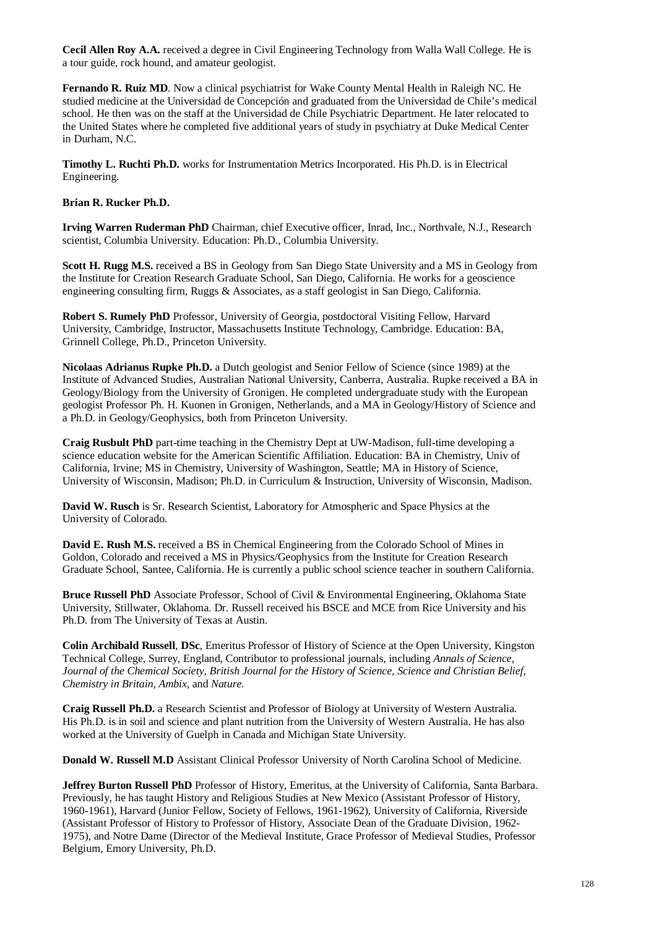**Cecil Allen Roy A.A.** received a degree in Civil Engineering Technology from Walla Wall College. He is a tour guide, rock hound, and amateur geologist.

**Fernando R. Ruiz MD**. Now a clinical psychiatrist for Wake County Mental Health in Raleigh NC. He studied medicine at the Universidad de Concepción and graduated from the Universidad de Chile's medical school. He then was on the staff at the Universidad de Chile Psychiatric Department. He later relocated to the United States where he completed five additional years of study in psychiatry at Duke Medical Center in Durham, N.C.

**Timothy L. Ruchti Ph.D.** works for Instrumentation Metrics Incorporated. His Ph.D. is in Electrical Engineering.

## **Brian R. Rucker Ph.D.**

**Irving Warren Ruderman PhD** Chairman, chief Executive officer, Inrad, Inc., Northvale, N.J., Research scientist, Columbia University. Education: Ph.D., Columbia University.

**Scott H. Rugg M.S.** received a BS in Geology from San Diego State University and a MS in Geology from the Institute for Creation Research Graduate School, San Diego, California. He works for a geoscience engineering consulting firm, Ruggs & Associates, as a staff geologist in San Diego, California.

**Robert S. Rumely PhD** Professor, University of Georgia, postdoctoral Visiting Fellow, Harvard University, Cambridge, Instructor, Massachusetts Institute Technology, Cambridge. Education: BA, Grinnell College, Ph.D., Princeton University.

**Nicolaas Adrianus Rupke Ph.D.** a Dutch geologist and Senior Fellow of Science (since 1989) at the Institute of Advanced Studies, Australian National University, Canberra, Australia. Rupke received a BA in Geology/Biology from the University of Gronigen. He completed undergraduate study with the European geologist Professor Ph. H. Kuonen in Gronigen, Netherlands, and a MA in Geology/History of Science and a Ph.D. in Geology/Geophysics, both from Princeton University.

**Craig Rusbult PhD** part-time teaching in the Chemistry Dept at UW-Madison, full-time developing a science education website for the American Scientific Affiliation. Education: BA in Chemistry, Univ of California, Irvine; MS in Chemistry, University of Washington, Seattle; MA in History of Science, University of Wisconsin, Madison; Ph.D. in Curriculum & Instruction, University of Wisconsin, Madison.

**David W. Rusch** is Sr. Research Scientist, Laboratory for Atmospheric and Space Physics at the University of Colorado.

**David E. Rush M.S.** received a BS in Chemical Engineering from the Colorado School of Mines in Goldon, Colorado and received a MS in Physics/Geophysics from the Institute for Creation Research Graduate School, Santee, California. He is currently a public school science teacher in southern California.

**Bruce Russell PhD** Associate Professor, School of Civil & Environmental Engineering, Oklahoma State University, Stillwater, Oklahoma. Dr. Russell received his BSCE and MCE from Rice University and his Ph.D. from The University of Texas at Austin.

**Colin Archibald Russell**, **DSc**, Emeritus Professor of History of Science at the Open University, Kingston Technical College, Surrey, England, Contributor to professional journals, including *Annals of Science, Journal of the Chemical Society, British Journal for the History of Science, Science and Christian Belief, Chemistry in Britain, Ambix,* and *Nature.*

**Craig Russell Ph.D.** a Research Scientist and Professor of Biology at University of Western Australia. His Ph.D. is in soil and science and plant nutrition from the University of Western Australia. He has also worked at the University of Guelph in Canada and Michigan State University.

**Donald W. Russell M.D** Assistant Clinical Professor University of North Carolina School of Medicine.

**Jeffrey Burton Russell PhD** Professor of History, Emeritus, at the University of California, Santa Barbara. Previously, he has taught History and Religious Studies at New Mexico (Assistant Professor of History, 1960-1961), Harvard (Junior Fellow, Society of Fellows, 1961-1962), University of California, Riverside (Assistant Professor of History to Professor of History, Associate Dean of the Graduate Division, 1962- 1975), and Notre Dame (Director of the Medieval Institute, Grace Professor of Medieval Studies, Professor Belgium, Emory University, Ph.D.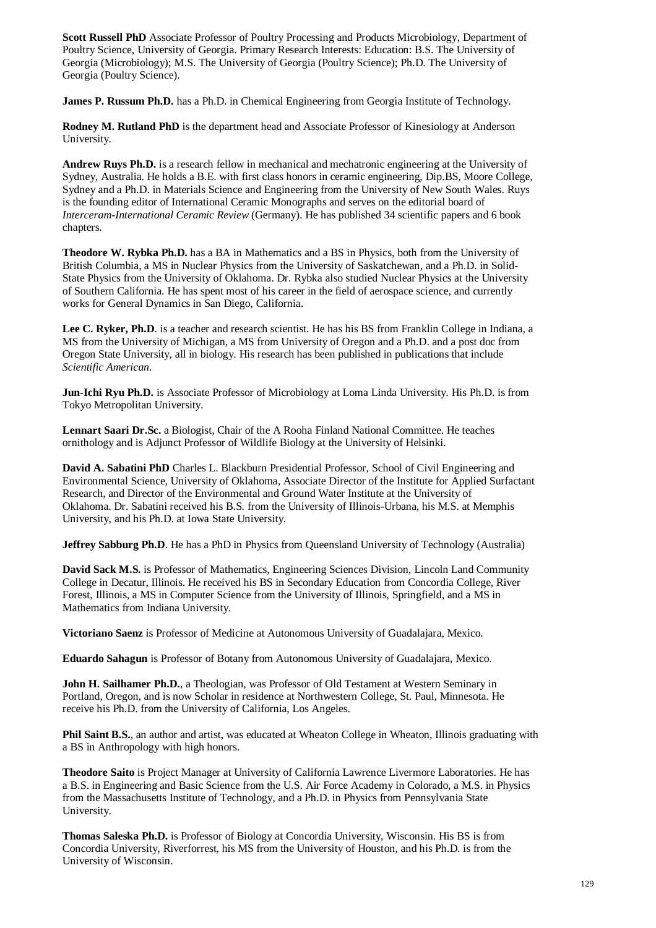**Scott Russell PhD** Associate Professor of Poultry Processing and Products Microbiology, Department of Poultry Science, University of Georgia. Primary Research Interests: Education: B.S. The University of Georgia (Microbiology); M.S. The University of Georgia (Poultry Science); Ph.D. The University of Georgia (Poultry Science).

**James P. Russum Ph.D.** has a Ph.D. in Chemical Engineering from Georgia Institute of Technology.

**Rodney M. Rutland PhD** is the department head and Associate Professor of Kinesiology at Anderson University.

**Andrew Ruys Ph.D.** is a research fellow in mechanical and mechatronic engineering at the University of Sydney, Australia. He holds a B.E. with first class honors in ceramic engineering, Dip.BS, Moore College, Sydney and a Ph.D. in Materials Science and Engineering from the University of New South Wales. Ruys is the founding editor of International Ceramic Monographs and serves on the editorial board of *Interceram-International Ceramic Review* (Germany). He has published 34 scientific papers and 6 book chapters.

**Theodore W. Rybka Ph.D.** has a BA in Mathematics and a BS in Physics, both from the University of British Columbia, a MS in Nuclear Physics from the University of Saskatchewan, and a Ph.D. in Solid-State Physics from the University of Oklahoma. Dr. Rybka also studied Nuclear Physics at the University of Southern California. He has spent most of his career in the field of aerospace science, and currently works for General Dynamics in San Diego, California.

Lee C. Ryker, Ph.D. is a teacher and research scientist. He has his BS from Franklin College in Indiana, a MS from the University of Michigan, a MS from University of Oregon and a Ph.D. and a post doc from Oregon State University, all in biology. His research has been published in publications that include *Scientific American*.

**Jun-Ichi Ryu Ph.D.** is Associate Professor of Microbiology at Loma Linda University. His Ph.D. is from Tokyo Metropolitan University.

**Lennart Saari Dr.Sc.** a Biologist, Chair of the A Rooha Finland National Committee. He teaches ornithology and is Adjunct Professor of Wildlife Biology at the University of Helsinki.

**David A. Sabatini PhD** Charles L. Blackburn Presidential Professor, School of Civil Engineering and Environmental Science, University of Oklahoma, Associate Director of the Institute for Applied Surfactant Research, and Director of the Environmental and Ground Water Institute at the University of Oklahoma. Dr. Sabatini received his B.S. from the University of Illinois-Urbana, his M.S. at Memphis University, and his Ph.D. at Iowa State University.

**Jeffrey Sabburg Ph.D**. He has a PhD in Physics from Queensland University of Technology (Australia)

**David Sack M.S.** is Professor of Mathematics, Engineering Sciences Division, Lincoln Land Community College in Decatur, Illinois. He received his BS in Secondary Education from Concordia College, River Forest, Illinois, a MS in Computer Science from the University of Illinois, Springfield, and a MS in Mathematics from Indiana University.

**Victoriano Saenz** is Professor of Medicine at Autonomous University of Guadalajara, Mexico.

**Eduardo Sahagun** is Professor of Botany from Autonomous University of Guadalajara, Mexico.

**John H. Sailhamer Ph.D.**, a Theologian, was Professor of Old Testament at Western Seminary in Portland, Oregon, and is now Scholar in residence at Northwestern College, St. Paul, Minnesota. He receive his Ph.D. from the University of California, Los Angeles.

**Phil Saint B.S.**, an author and artist, was educated at Wheaton College in Wheaton, Illinois graduating with a BS in Anthropology with high honors.

**Theodore Saito** is Project Manager at University of California Lawrence Livermore Laboratories. He has a B.S. in Engineering and Basic Science from the U.S. Air Force Academy in Colorado, a M.S. in Physics from the Massachusetts Institute of Technology, and a Ph.D. in Physics from Pennsylvania State University.

**Thomas Saleska Ph.D.** is Professor of Biology at Concordia University, Wisconsin. His BS is from Concordia University, Riverforrest, his MS from the University of Houston, and his Ph.D. is from the University of Wisconsin.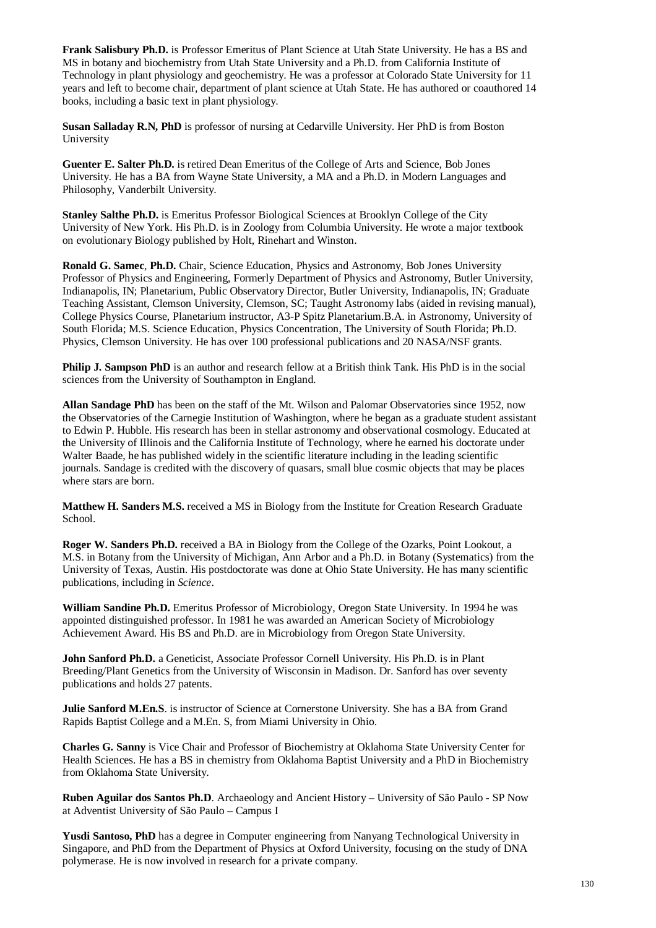**Frank Salisbury Ph.D.** is Professor Emeritus of Plant Science at Utah State University. He has a BS and MS in botany and biochemistry from Utah State University and a Ph.D. from California Institute of Technology in plant physiology and geochemistry. He was a professor at Colorado State University for 11 years and left to become chair, department of plant science at Utah State. He has authored or coauthored 14 books, including a basic text in plant physiology.

**Susan Salladay R.N, PhD** is professor of nursing at Cedarville University. Her PhD is from Boston University

**Guenter E. Salter Ph.D.** is retired Dean Emeritus of the College of Arts and Science, Bob Jones University. He has a BA from Wayne State University, a MA and a Ph.D. in Modern Languages and Philosophy, Vanderbilt University.

**Stanley Salthe Ph.D.** is Emeritus Professor Biological Sciences at Brooklyn College of the City University of New York. His Ph.D. is in Zoology from Columbia University. He wrote a major textbook on evolutionary Biology published by Holt, Rinehart and Winston.

**Ronald G. Samec**, **Ph.D.** Chair, Science Education, Physics and Astronomy, Bob Jones University Professor of Physics and Engineering, Formerly Department of Physics and Astronomy, Butler University, Indianapolis, IN; Planetarium, Public Observatory Director, Butler University, Indianapolis, IN; Graduate Teaching Assistant, Clemson University, Clemson, SC; Taught Astronomy labs (aided in revising manual), College Physics Course, Planetarium instructor, A3-P Spitz Planetarium.B.A. in Astronomy, University of South Florida; M.S. Science Education, Physics Concentration, The University of South Florida; Ph.D. Physics, Clemson University. He has over 100 professional publications and 20 NASA/NSF grants.

**Philip J. Sampson PhD** is an author and research fellow at a British think Tank. His PhD is in the social sciences from the University of Southampton in England.

**Allan Sandage PhD** has been on the staff of the Mt. Wilson and Palomar Observatories since 1952, now the Observatories of the Carnegie Institution of Washington, where he began as a graduate student assistant to Edwin P. Hubble. His research has been in stellar astronomy and observational cosmology. Educated at the University of Illinois and the California Institute of Technology, where he earned his doctorate under Walter Baade, he has published widely in the scientific literature including in the leading scientific journals. Sandage is credited with the discovery of quasars, small blue cosmic objects that may be places where stars are born.

**Matthew H. Sanders M.S.** received a MS in Biology from the Institute for Creation Research Graduate School.

**Roger W. Sanders Ph.D.** received a BA in Biology from the College of the Ozarks, Point Lookout, a M.S. in Botany from the University of Michigan, Ann Arbor and a Ph.D. in Botany (Systematics) from the University of Texas, Austin. His postdoctorate was done at Ohio State University. He has many scientific publications, including in *Science*.

**William Sandine Ph.D.** Emeritus Professor of Microbiology, Oregon State University. In 1994 he was appointed distinguished professor. In 1981 he was awarded an American Society of Microbiology Achievement Award. His BS and Ph.D. are in Microbiology from Oregon State University.

**John Sanford Ph.D.** a Geneticist, Associate Professor Cornell University. His Ph.D. is in Plant Breeding/Plant Genetics from the University of Wisconsin in Madison. Dr. Sanford has over seventy publications and holds 27 patents.

**Julie Sanford M.En.S.** is instructor of Science at Cornerstone University. She has a BA from Grand Rapids Baptist College and a M.En. S, from Miami University in Ohio.

**Charles G. Sanny** is Vice Chair and Professor of Biochemistry at Oklahoma State University Center for Health Sciences. He has a BS in chemistry from Oklahoma Baptist University and a PhD in Biochemistry from Oklahoma State University.

**Ruben Aguilar dos Santos Ph.D**. Archaeology and Ancient History – University of São Paulo - SP Now at Adventist University of São Paulo – Campus I

**Yusdi Santoso, PhD** has a degree in Computer engineering from Nanyang Technological University in Singapore, and PhD from the Department of Physics at Oxford University, focusing on the study of DNA polymerase. He is now involved in research for a private company.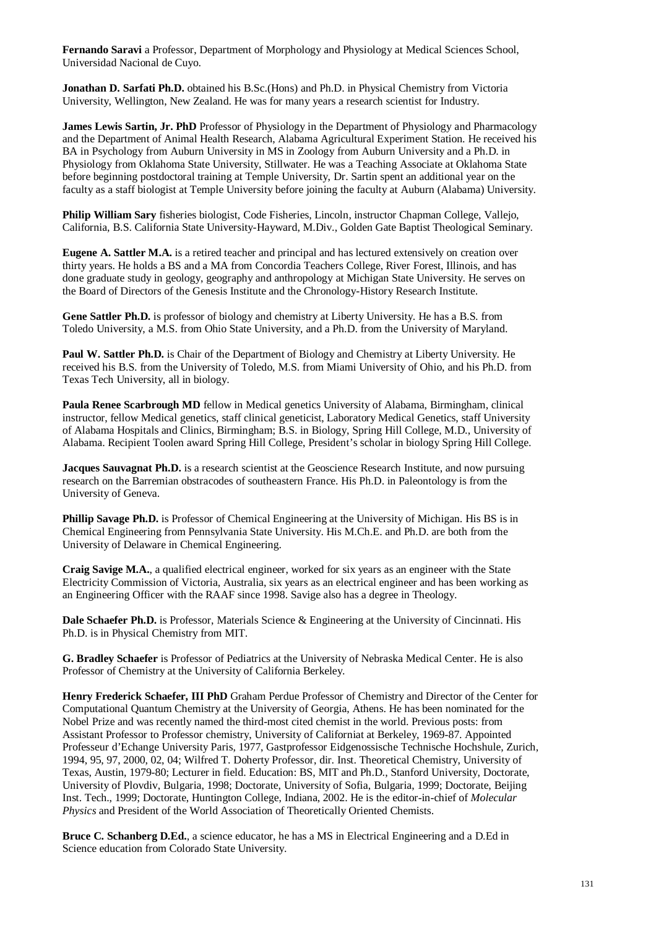**Fernando Saravi** a Professor, Department of Morphology and Physiology at Medical Sciences School, Universidad Nacional de Cuyo.

**Jonathan D. Sarfati Ph.D.** obtained his B.Sc.(Hons) and Ph.D. in Physical Chemistry from Victoria University, Wellington, New Zealand. He was for many years a research scientist for Industry.

**James Lewis Sartin, Jr. PhD** Professor of Physiology in the Department of Physiology and Pharmacology and the Department of Animal Health Research, Alabama Agricultural Experiment Station. He received his BA in Psychology from Auburn University in MS in Zoology from Auburn University and a Ph.D. in Physiology from Oklahoma State University, Stillwater. He was a Teaching Associate at Oklahoma State before beginning postdoctoral training at Temple University, Dr. Sartin spent an additional year on the faculty as a staff biologist at Temple University before joining the faculty at Auburn (Alabama) University.

**Philip William Sary** fisheries biologist, Code Fisheries, Lincoln, instructor Chapman College, Vallejo, California, B.S. California State University-Hayward, M.Div., Golden Gate Baptist Theological Seminary.

**Eugene A. Sattler M.A.** is a retired teacher and principal and has lectured extensively on creation over thirty years. He holds a BS and a MA from Concordia Teachers College, River Forest, Illinois, and has done graduate study in geology, geography and anthropology at Michigan State University. He serves on the Board of Directors of the Genesis Institute and the Chronology-History Research Institute.

**Gene Sattler Ph.D.** is professor of biology and chemistry at Liberty University. He has a B.S. from Toledo University, a M.S. from Ohio State University, and a Ph.D. from the University of Maryland.

**Paul W. Sattler Ph.D.** is Chair of the Department of Biology and Chemistry at Liberty University. He received his B.S. from the University of Toledo, M.S. from Miami University of Ohio, and his Ph.D. from Texas Tech University, all in biology.

**Paula Renee Scarbrough MD** fellow in Medical genetics University of Alabama, Birmingham, clinical instructor, fellow Medical genetics, staff clinical geneticist, Laboratory Medical Genetics, staff University of Alabama Hospitals and Clinics, Birmingham; B.S. in Biology, Spring Hill College, M.D., University of Alabama. Recipient Toolen award Spring Hill College, President's scholar in biology Spring Hill College.

**Jacques Sauvagnat Ph.D.** is a research scientist at the Geoscience Research Institute, and now pursuing research on the Barremian obstracodes of southeastern France. His Ph.D. in Paleontology is from the University of Geneva.

**Phillip Savage Ph.D.** is Professor of Chemical Engineering at the University of Michigan. His BS is in Chemical Engineering from Pennsylvania State University. His M.Ch.E. and Ph.D. are both from the University of Delaware in Chemical Engineering.

**Craig Savige M.A.**, a qualified electrical engineer, worked for six years as an engineer with the State Electricity Commission of Victoria, Australia, six years as an electrical engineer and has been working as an Engineering Officer with the RAAF since 1998. Savige also has a degree in Theology.

**Dale Schaefer Ph.D.** is Professor, Materials Science & Engineering at the University of Cincinnati. His Ph.D. is in Physical Chemistry from MIT.

**G. Bradley Schaefer** is Professor of Pediatrics at the University of Nebraska Medical Center. He is also Professor of Chemistry at the University of California Berkeley.

**Henry Frederick Schaefer, III PhD** Graham Perdue Professor of Chemistry and Director of the Center for Computational Quantum Chemistry at the University of Georgia, Athens. He has been nominated for the Nobel Prize and was recently named the third-most cited chemist in the world. Previous posts: from Assistant Professor to Professor chemistry, University of Californiat at Berkeley, 1969-87. Appointed Professeur d'Echange University Paris, 1977, Gastprofessor Eidgenossische Technische Hochshule, Zurich, 1994, 95, 97, 2000, 02, 04; Wilfred T. Doherty Professor, dir. Inst. Theoretical Chemistry, University of Texas, Austin, 1979-80; Lecturer in field. Education: BS, MIT and Ph.D., Stanford University, Doctorate, University of Plovdiv, Bulgaria, 1998; Doctorate, University of Sofia, Bulgaria, 1999; Doctorate, Beijing Inst. Tech., 1999; Doctorate, Huntington College, Indiana, 2002. He is the editor-in-chief of *Molecular Physics* and President of the World Association of Theoretically Oriented Chemists.

**Bruce C. Schanberg D.Ed.**, a science educator, he has a MS in Electrical Engineering and a D.Ed in Science education from Colorado State University.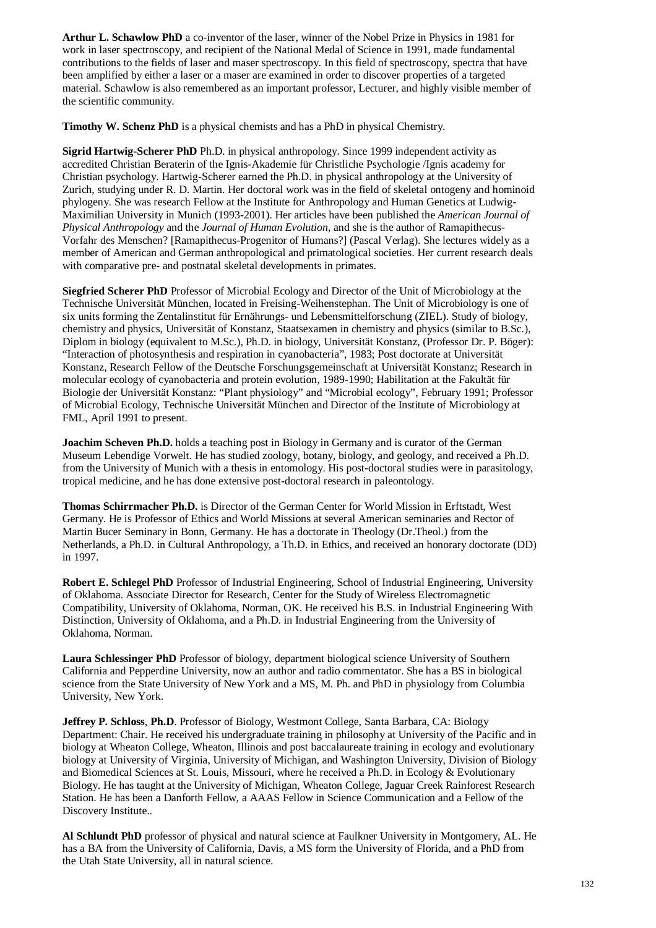**Arthur L. Schawlow PhD** a co-inventor of the laser, winner of the Nobel Prize in Physics in 1981 for work in laser spectroscopy, and recipient of the National Medal of Science in 1991, made fundamental contributions to the fields of laser and maser spectroscopy. In this field of spectroscopy, spectra that have been amplified by either a laser or a maser are examined in order to discover properties of a targeted material. Schawlow is also remembered as an important professor, Lecturer, and highly visible member of the scientific community.

**Timothy W. Schenz PhD** is a physical chemists and has a PhD in physical Chemistry.

**Sigrid Hartwig-Scherer PhD** Ph.D. in physical anthropology. Since 1999 independent activity as accredited Christian Beraterin of the Ignis-Akademie für Christliche Psychologie /Ignis academy for Christian psychology. Hartwig-Scherer earned the Ph.D. in physical anthropology at the University of Zurich, studying under R. D. Martin. Her doctoral work was in the field of skeletal ontogeny and hominoid phylogeny. She was research Fellow at the Institute for Anthropology and Human Genetics at Ludwig-Maximilian University in Munich (1993-2001). Her articles have been published the *American Journal of Physical Anthropology* and the *Journal of Human Evolution*, and she is the author of Ramapithecus-Vorfahr des Menschen? [Ramapithecus-Progenitor of Humans?] (Pascal Verlag). She lectures widely as a member of American and German anthropological and primatological societies. Her current research deals with comparative pre- and postnatal skeletal developments in primates.

**Siegfried Scherer PhD** Professor of Microbial Ecology and Director of the Unit of Microbiology at the Technische Universität München, located in Freising-Weihenstephan. The Unit of Microbiology is one of six units forming the Zentalinstitut für Ernährungs- und Lebensmittelforschung (ZIEL). Study of biology, chemistry and physics, Universität of Konstanz, Staatsexamen in chemistry and physics (similar to B.Sc.), Diplom in biology (equivalent to M.Sc.), Ph.D. in biology, Universität Konstanz, (Professor Dr. P. Böger): "Interaction of photosynthesis and respiration in cyanobacteria", 1983; Post doctorate at Universität Konstanz, Research Fellow of the Deutsche Forschungsgemeinschaft at Universität Konstanz; Research in molecular ecology of cyanobacteria and protein evolution, 1989-1990; Habilitation at the Fakultät für Biologie der Universität Konstanz: "Plant physiology" and "Microbial ecology", February 1991; Professor of Microbial Ecology, Technische Universität München and Director of the Institute of Microbiology at FML, April 1991 to present.

**Joachim Scheven Ph.D.** holds a teaching post in Biology in Germany and is curator of the German Museum Lebendige Vorwelt. He has studied zoology, botany, biology, and geology, and received a Ph.D. from the University of Munich with a thesis in entomology. His post-doctoral studies were in parasitology, tropical medicine, and he has done extensive post-doctoral research in paleontology.

**Thomas Schirrmacher Ph.D.** is Director of the German Center for World Mission in Erftstadt, West Germany. He is Professor of Ethics and World Missions at several American seminaries and Rector of Martin Bucer Seminary in Bonn, Germany. He has a doctorate in Theology (Dr.Theol.) from the Netherlands, a Ph.D. in Cultural Anthropology, a Th.D. in Ethics, and received an honorary doctorate (DD) in 1997.

**Robert E. Schlegel PhD** Professor of Industrial Engineering, School of Industrial Engineering, University of Oklahoma. Associate Director for Research, Center for the Study of Wireless Electromagnetic Compatibility, University of Oklahoma, Norman, OK. He received his B.S. in Industrial Engineering With Distinction, University of Oklahoma, and a Ph.D. in Industrial Engineering from the University of Oklahoma, Norman.

**Laura Schlessinger PhD** Professor of biology, department biological science University of Southern California and Pepperdine University, now an author and radio commentator. She has a BS in biological science from the State University of New York and a MS, M. Ph. and PhD in physiology from Columbia University, New York.

**Jeffrey P. Schloss**, **Ph.D**. Professor of Biology, Westmont College, Santa Barbara, CA: Biology Department: Chair. He received his undergraduate training in philosophy at University of the Pacific and in biology at Wheaton College, Wheaton, Illinois and post baccalaureate training in ecology and evolutionary biology at University of Virginia, University of Michigan, and Washington University, Division of Biology and Biomedical Sciences at St. Louis, Missouri, where he received a Ph.D. in Ecology & Evolutionary Biology. He has taught at the University of Michigan, Wheaton College, Jaguar Creek Rainforest Research Station. He has been a Danforth Fellow, a AAAS Fellow in Science Communication and a Fellow of the Discovery Institute..

**Al Schlundt PhD** professor of physical and natural science at Faulkner University in Montgomery, AL. He has a BA from the University of California, Davis, a MS form the University of Florida, and a PhD from the Utah State University, all in natural science.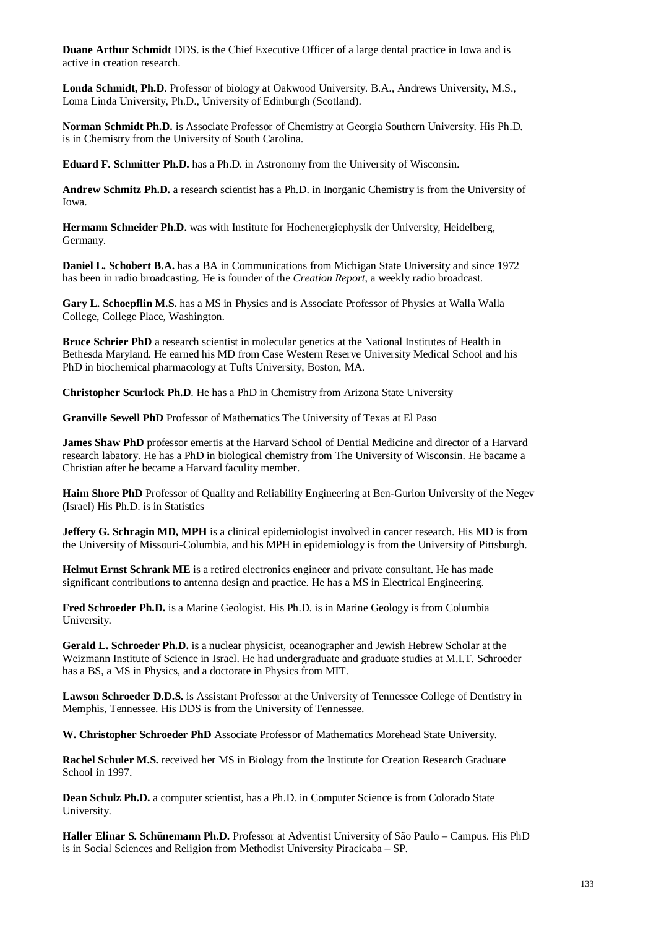**Duane Arthur Schmidt** DDS. is the Chief Executive Officer of a large dental practice in Iowa and is active in creation research.

**Londa Schmidt, Ph.D**. Professor of biology at Oakwood University. B.A., Andrews University, M.S., Loma Linda University, Ph.D., University of Edinburgh (Scotland).

**Norman Schmidt Ph.D.** is Associate Professor of Chemistry at Georgia Southern University. His Ph.D. is in Chemistry from the University of South Carolina.

**Eduard F. Schmitter Ph.D.** has a Ph.D. in Astronomy from the University of Wisconsin.

**Andrew Schmitz Ph.D.** a research scientist has a Ph.D. in Inorganic Chemistry is from the University of Iowa.

**Hermann Schneider Ph.D.** was with Institute for Hochenergiephysik der University, Heidelberg, Germany.

**Daniel L. Schobert B.A.** has a BA in Communications from Michigan State University and since 1972 has been in radio broadcasting. He is founder of the *Creation Report*, a weekly radio broadcast.

**Gary L. Schoepflin M.S.** has a MS in Physics and is Associate Professor of Physics at Walla Walla College, College Place, Washington.

**Bruce Schrier PhD** a research scientist in molecular genetics at the National Institutes of Health in Bethesda Maryland. He earned his MD from Case Western Reserve University Medical School and his PhD in biochemical pharmacology at Tufts University, Boston, MA.

**Christopher Scurlock Ph.D**. He has a PhD in Chemistry from Arizona State University

**Granville Sewell PhD** Professor of Mathematics The University of Texas at El Paso

**James Shaw PhD** professor emertis at the Harvard School of Dential Medicine and director of a Harvard research labatory. He has a PhD in biological chemistry from The University of Wisconsin. He bacame a Christian after he became a Harvard faculity member.

**Haim Shore PhD** Professor of Quality and Reliability Engineering at Ben-Gurion University of the Negev (Israel) His Ph.D. is in Statistics

**Jeffery G. Schragin MD, MPH** is a clinical epidemiologist involved in cancer research. His MD is from the University of Missouri-Columbia, and his MPH in epidemiology is from the University of Pittsburgh.

**Helmut Ernst Schrank ME** is a retired electronics engineer and private consultant. He has made significant contributions to antenna design and practice. He has a MS in Electrical Engineering.

**Fred Schroeder Ph.D.** is a Marine Geologist. His Ph.D. is in Marine Geology is from Columbia University.

**Gerald L. Schroeder Ph.D.** is a nuclear physicist, oceanographer and Jewish Hebrew Scholar at the Weizmann Institute of Science in Israel. He had undergraduate and graduate studies at M.I.T. Schroeder has a BS, a MS in Physics, and a doctorate in Physics from MIT.

**Lawson Schroeder D.D.S.** is Assistant Professor at the University of Tennessee College of Dentistry in Memphis, Tennessee. His DDS is from the University of Tennessee.

**W. Christopher Schroeder PhD** Associate Professor of Mathematics Morehead State University.

**Rachel Schuler M.S.** received her MS in Biology from the Institute for Creation Research Graduate School in 1997.

**Dean Schulz Ph.D.** a computer scientist, has a Ph.D. in Computer Science is from Colorado State University.

**Haller Elinar S. Schünemann Ph.D.** Professor at Adventist University of São Paulo – Campus. His PhD is in Social Sciences and Religion from Methodist University Piracicaba – SP.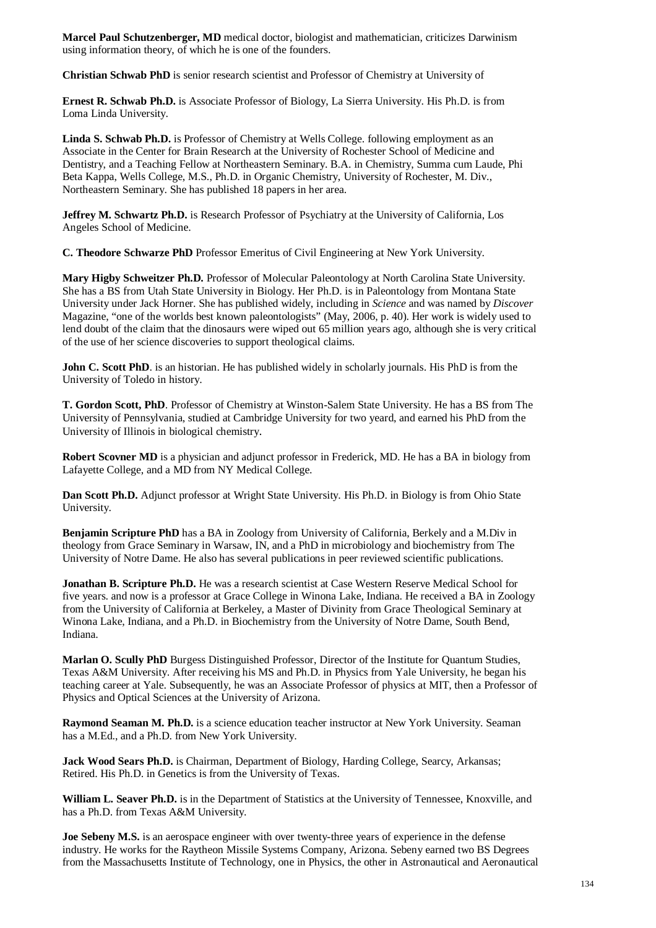**Marcel Paul Schutzenberger, MD** medical doctor, biologist and mathematician, criticizes Darwinism using information theory, of which he is one of the founders.

**Christian Schwab PhD** is senior research scientist and Professor of Chemistry at University of

**Ernest R. Schwab Ph.D.** is Associate Professor of Biology, La Sierra University. His Ph.D. is from Loma Linda University.

**Linda S. Schwab Ph.D.** is Professor of Chemistry at Wells College. following employment as an Associate in the Center for Brain Research at the University of Rochester School of Medicine and Dentistry, and a Teaching Fellow at Northeastern Seminary. B.A. in Chemistry, Summa cum Laude, Phi Beta Kappa, Wells College, M.S., Ph.D. in Organic Chemistry, University of Rochester, M. Div., Northeastern Seminary. She has published 18 papers in her area.

**Jeffrey M. Schwartz Ph.D.** is Research Professor of Psychiatry at the University of California, Los Angeles School of Medicine.

**C. Theodore Schwarze PhD** Professor Emeritus of Civil Engineering at New York University.

**Mary Higby Schweitzer Ph.D.** Professor of Molecular Paleontology at North Carolina State University. She has a BS from Utah State University in Biology. Her Ph.D. is in Paleontology from Montana State University under Jack Horner. She has published widely, including in *Science* and was named by *Discover* Magazine, "one of the worlds best known paleontologists" (May, 2006, p. 40). Her work is widely used to lend doubt of the claim that the dinosaurs were wiped out 65 million years ago, although she is very critical of the use of her science discoveries to support theological claims.

**John C. Scott PhD**. is an historian. He has published widely in scholarly journals. His PhD is from the University of Toledo in history.

**T. Gordon Scott, PhD**. Professor of Chemistry at Winston-Salem State University. He has a BS from The University of Pennsylvania, studied at Cambridge University for two yeard, and earned his PhD from the University of Illinois in biological chemistry.

**Robert Scovner MD** is a physician and adjunct professor in Frederick, MD. He has a BA in biology from Lafayette College, and a MD from NY Medical College.

**Dan Scott Ph.D.** Adjunct professor at Wright State University. His Ph.D. in Biology is from Ohio State University.

**Benjamin Scripture PhD** has a BA in Zoology from University of California, Berkely and a M.Div in theology from Grace Seminary in Warsaw, IN, and a PhD in microbiology and biochemistry from The University of Notre Dame. He also has several publications in peer reviewed scientific publications.

**Jonathan B. Scripture Ph.D.** He was a research scientist at Case Western Reserve Medical School for five years. and now is a professor at Grace College in Winona Lake, Indiana. He received a BA in Zoology from the University of California at Berkeley, a Master of Divinity from Grace Theological Seminary at Winona Lake, Indiana, and a Ph.D. in Biochemistry from the University of Notre Dame, South Bend, Indiana.

**Marlan O. Scully PhD** Burgess Distinguished Professor, Director of the Institute for Quantum Studies, Texas A&M University. After receiving his MS and Ph.D. in Physics from Yale University, he began his teaching career at Yale. Subsequently, he was an Associate Professor of physics at MIT, then a Professor of Physics and Optical Sciences at the University of Arizona.

**Raymond Seaman M. Ph.D.** is a science education teacher instructor at New York University. Seaman has a M.Ed., and a Ph.D. from New York University.

**Jack Wood Sears Ph.D.** is Chairman, Department of Biology, Harding College, Searcy, Arkansas; Retired. His Ph.D. in Genetics is from the University of Texas.

**William L. Seaver Ph.D.** is in the Department of Statistics at the University of Tennessee, Knoxville, and has a Ph.D. from Texas A&M University.

**Joe Sebeny M.S.** is an aerospace engineer with over twenty-three years of experience in the defense industry. He works for the Raytheon Missile Systems Company, Arizona. Sebeny earned two BS Degrees from the Massachusetts Institute of Technology, one in Physics, the other in Astronautical and Aeronautical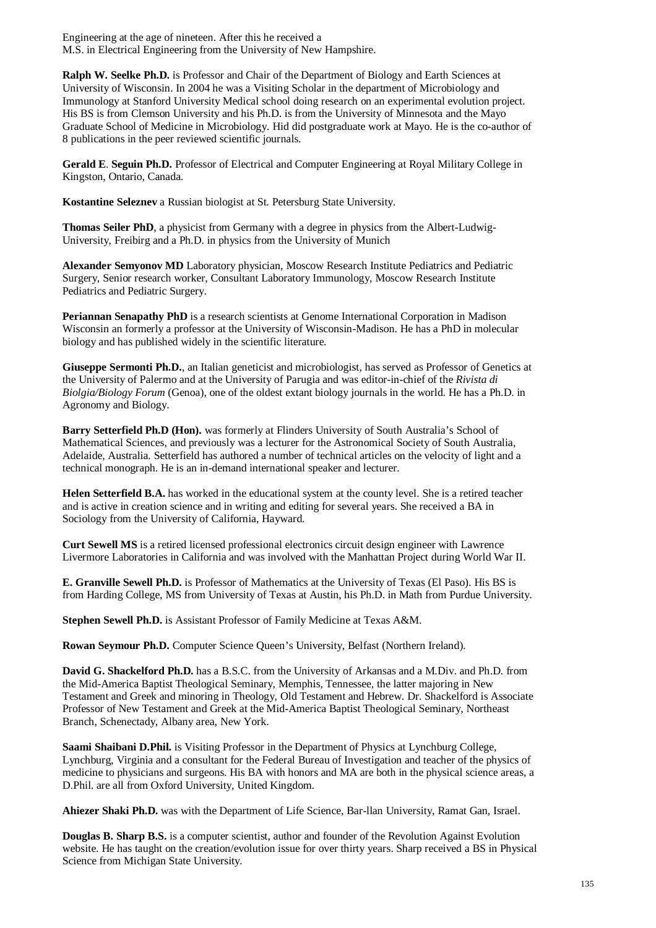Engineering at the age of nineteen. After this he received a M.S. in Electrical Engineering from the University of New Hampshire.

**Ralph W. Seelke Ph.D.** is Professor and Chair of the Department of Biology and Earth Sciences at University of Wisconsin. In 2004 he was a Visiting Scholar in the department of Microbiology and Immunology at Stanford University Medical school doing research on an experimental evolution project. His BS is from Clemson University and his Ph.D. is from the University of Minnesota and the Mayo Graduate School of Medicine in Microbiology. Hid did postgraduate work at Mayo. He is the co-author of 8 publications in the peer reviewed scientific journals.

**Gerald E**. **Seguin Ph.D.** Professor of Electrical and Computer Engineering at Royal Military College in Kingston, Ontario, Canada.

**Kostantine Seleznev** a Russian biologist at St. Petersburg State University.

**Thomas Seiler PhD**, a physicist from Germany with a degree in physics from the Albert-Ludwig-University, Freibirg and a Ph.D. in physics from the University of Munich

**Alexander Semyonov MD** Laboratory physician, Moscow Research Institute Pediatrics and Pediatric Surgery, Senior research worker, Consultant Laboratory Immunology, Moscow Research Institute Pediatrics and Pediatric Surgery.

**Periannan Senapathy PhD** is a research scientists at Genome International Corporation in Madison Wisconsin an formerly a professor at the University of Wisconsin-Madison. He has a PhD in molecular biology and has published widely in the scientific literature.

**Giuseppe Sermonti Ph.D.**, an Italian geneticist and microbiologist, has served as Professor of Genetics at the University of Palermo and at the University of Parugia and was editor-in-chief of the *Rivista di Biolgia/Biology Forum* (Genoa), one of the oldest extant biology journals in the world. He has a Ph.D. in Agronomy and Biology.

**Barry Setterfield Ph.D (Hon).** was formerly at Flinders University of South Australia's School of Mathematical Sciences, and previously was a lecturer for the Astronomical Society of South Australia, Adelaide, Australia. Setterfield has authored a number of technical articles on the velocity of light and a technical monograph. He is an in-demand international speaker and lecturer.

**Helen Setterfield B.A.** has worked in the educational system at the county level. She is a retired teacher and is active in creation science and in writing and editing for several years. She received a BA in Sociology from the University of California, Hayward.

**Curt Sewell MS** is a retired licensed professional electronics circuit design engineer with Lawrence Livermore Laboratories in California and was involved with the Manhattan Project during World War II.

**E. Granville Sewell Ph.D.** is Professor of Mathematics at the University of Texas (El Paso). His BS is from Harding College, MS from University of Texas at Austin, his Ph.D. in Math from Purdue University.

**Stephen Sewell Ph.D.** is Assistant Professor of Family Medicine at Texas A&M.

**Rowan Seymour Ph.D.** Computer Science Queen's University, Belfast (Northern Ireland).

**David G. Shackelford Ph.D.** has a B.S.C. from the University of Arkansas and a M.Div. and Ph.D. from the Mid-America Baptist Theological Seminary, Memphis, Tennessee, the latter majoring in New Testament and Greek and minoring in Theology, Old Testament and Hebrew. Dr. Shackelford is Associate Professor of New Testament and Greek at the Mid-America Baptist Theological Seminary, Northeast Branch, Schenectady, Albany area, New York.

**Saami Shaibani D.Phil.** is Visiting Professor in the Department of Physics at Lynchburg College, Lynchburg, Virginia and a consultant for the Federal Bureau of Investigation and teacher of the physics of medicine to physicians and surgeons. His BA with honors and MA are both in the physical science areas, a D.Phil. are all from Oxford University, United Kingdom.

**Ahiezer Shaki Ph.D.** was with the Department of Life Science, Bar-llan University, Ramat Gan, Israel.

**Douglas B. Sharp B.S.** is a computer scientist, author and founder of the Revolution Against Evolution website. He has taught on the creation/evolution issue for over thirty years. Sharp received a BS in Physical Science from Michigan State University.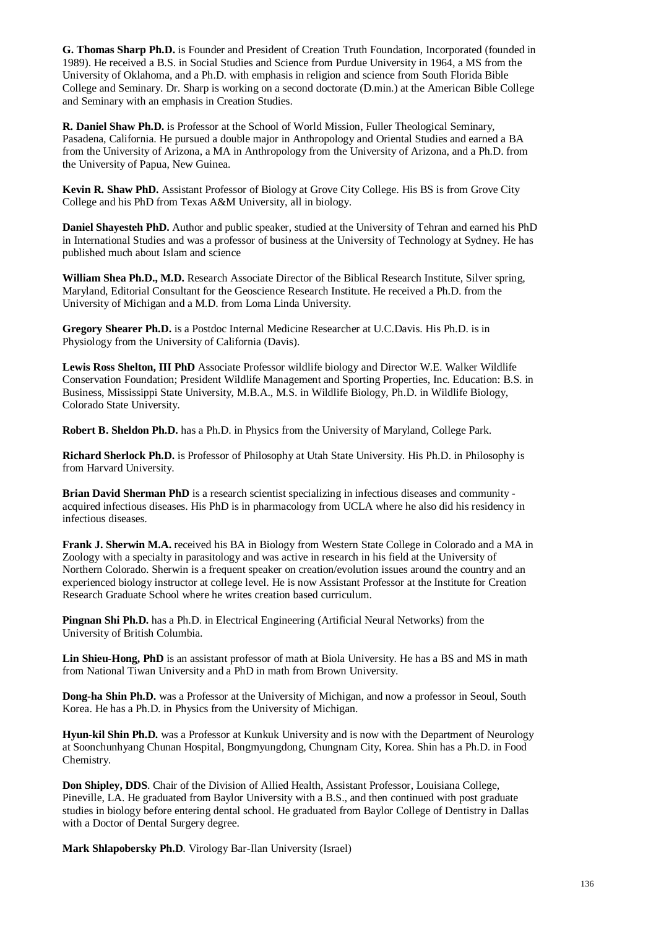**G. Thomas Sharp Ph.D.** is Founder and President of Creation Truth Foundation, Incorporated (founded in 1989). He received a B.S. in Social Studies and Science from Purdue University in 1964, a MS from the University of Oklahoma, and a Ph.D. with emphasis in religion and science from South Florida Bible College and Seminary. Dr. Sharp is working on a second doctorate (D.min.) at the American Bible College and Seminary with an emphasis in Creation Studies.

**R. Daniel Shaw Ph.D.** is Professor at the School of World Mission, Fuller Theological Seminary, Pasadena, California. He pursued a double major in Anthropology and Oriental Studies and earned a BA from the University of Arizona, a MA in Anthropology from the University of Arizona, and a Ph.D. from the University of Papua, New Guinea.

**Kevin R. Shaw PhD.** Assistant Professor of Biology at Grove City College. His BS is from Grove City College and his PhD from Texas A&M University, all in biology.

**Daniel Shayesteh PhD.** Author and public speaker, studied at the University of Tehran and earned his PhD in International Studies and was a professor of business at the University of Technology at Sydney. He has published much about Islam and science

**William Shea Ph.D., M.D.** Research Associate Director of the Biblical Research Institute, Silver spring, Maryland, Editorial Consultant for the Geoscience Research Institute. He received a Ph.D. from the University of Michigan and a M.D. from Loma Linda University.

**Gregory Shearer Ph.D.** is a Postdoc Internal Medicine Researcher at U.C.Davis. His Ph.D. is in Physiology from the University of California (Davis).

**Lewis Ross Shelton, III PhD** Associate Professor wildlife biology and Director W.E. Walker Wildlife Conservation Foundation; President Wildlife Management and Sporting Properties, Inc. Education: B.S. in Business, Mississippi State University, M.B.A., M.S. in Wildlife Biology, Ph.D. in Wildlife Biology, Colorado State University.

**Robert B. Sheldon Ph.D.** has a Ph.D. in Physics from the University of Maryland, College Park.

**Richard Sherlock Ph.D.** is Professor of Philosophy at Utah State University. His Ph.D. in Philosophy is from Harvard University.

**Brian David Sherman PhD** is a research scientist specializing in infectious diseases and community acquired infectious diseases. His PhD is in pharmacology from UCLA where he also did his residency in infectious diseases.

**Frank J. Sherwin M.A.** received his BA in Biology from Western State College in Colorado and a MA in Zoology with a specialty in parasitology and was active in research in his field at the University of Northern Colorado. Sherwin is a frequent speaker on creation/evolution issues around the country and an experienced biology instructor at college level. He is now Assistant Professor at the Institute for Creation Research Graduate School where he writes creation based curriculum.

**Pingnan Shi Ph.D.** has a Ph.D. in Electrical Engineering (Artificial Neural Networks) from the University of British Columbia.

**Lin Shieu-Hong, PhD** is an assistant professor of math at Biola University. He has a BS and MS in math from National Tiwan University and a PhD in math from Brown University.

**Dong-ha Shin Ph.D.** was a Professor at the University of Michigan, and now a professor in Seoul, South Korea. He has a Ph.D. in Physics from the University of Michigan.

**Hyun-kil Shin Ph.D.** was a Professor at Kunkuk University and is now with the Department of Neurology at Soonchunhyang Chunan Hospital, Bongmyungdong, Chungnam City, Korea. Shin has a Ph.D. in Food Chemistry.

**Don Shipley, DDS**. Chair of the Division of Allied Health, Assistant Professor, Louisiana College, Pineville, LA. He graduated from Baylor University with a B.S., and then continued with post graduate studies in biology before entering dental school. He graduated from Baylor College of Dentistry in Dallas with a Doctor of Dental Surgery degree.

**Mark Shlapobersky Ph.D**. Virology Bar-Ilan University (Israel)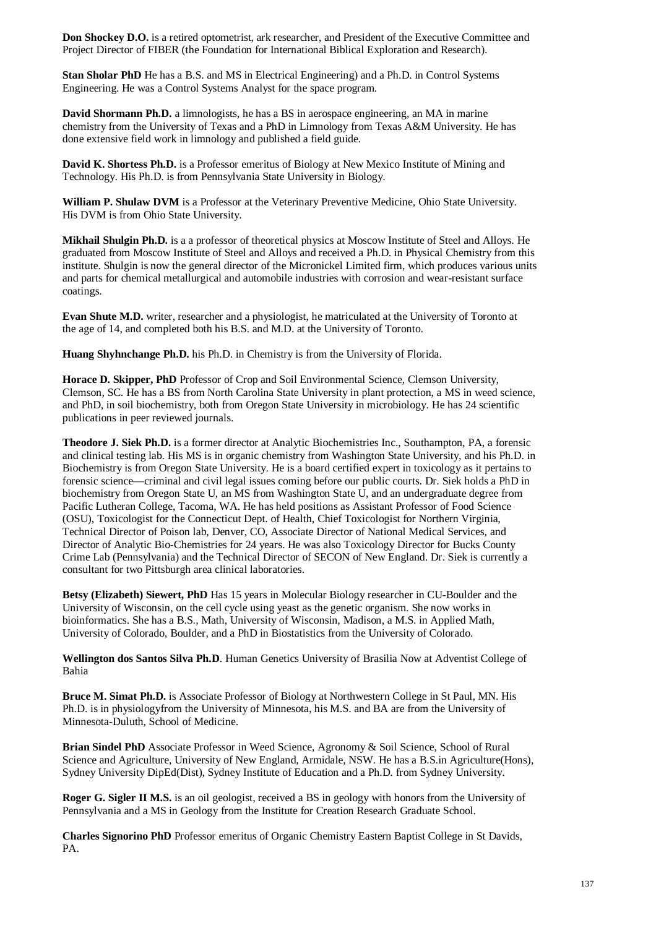**Don Shockey D.O.** is a retired optometrist, ark researcher, and President of the Executive Committee and Project Director of FIBER (the Foundation for International Biblical Exploration and Research).

**Stan Sholar PhD** He has a B.S. and MS in Electrical Engineering) and a Ph.D. in Control Systems Engineering. He was a Control Systems Analyst for the space program.

**David Shormann Ph.D.** a limnologists, he has a BS in aerospace engineering, an MA in marine chemistry from the University of Texas and a PhD in Limnology from Texas A&M University. He has done extensive field work in limnology and published a field guide.

**David K. Shortess Ph.D.** is a Professor emeritus of Biology at New Mexico Institute of Mining and Technology. His Ph.D. is from Pennsylvania State University in Biology.

**William P. Shulaw DVM** is a Professor at the Veterinary Preventive Medicine, Ohio State University. His DVM is from Ohio State University.

**Mikhail Shulgin Ph.D.** is a a professor of theoretical physics at Moscow Institute of Steel and Alloys. He graduated from Moscow Institute of Steel and Alloys and received a Ph.D. in Physical Chemistry from this institute. Shulgin is now the general director of the Micronickel Limited firm, which produces various units and parts for chemical metallurgical and automobile industries with corrosion and wear-resistant surface coatings.

**Evan Shute M.D.** writer, researcher and a physiologist, he matriculated at the University of Toronto at the age of 14, and completed both his B.S. and M.D. at the University of Toronto.

**Huang Shyhnchange Ph.D.** his Ph.D. in Chemistry is from the University of Florida.

**Horace D. Skipper, PhD** Professor of Crop and Soil Environmental Science, Clemson University, Clemson, SC. He has a BS from North Carolina State University in plant protection, a MS in weed science, and PhD, in soil biochemistry, both from Oregon State University in microbiology. He has 24 scientific publications in peer reviewed journals.

**Theodore J. Siek Ph.D.** is a former director at Analytic Biochemistries Inc., Southampton, PA, a forensic and clinical testing lab. His MS is in organic chemistry from Washington State University, and his Ph.D. in Biochemistry is from Oregon State University. He is a board certified expert in toxicology as it pertains to forensic science—criminal and civil legal issues coming before our public courts. Dr. Siek holds a PhD in biochemistry from Oregon State U, an MS from Washington State U, and an undergraduate degree from Pacific Lutheran College, Tacoma, WA. He has held positions as Assistant Professor of Food Science (OSU), Toxicologist for the Connecticut Dept. of Health, Chief Toxicologist for Northern Virginia, Technical Director of Poison lab, Denver, CO, Associate Director of National Medical Services, and Director of Analytic Bio-Chemistries for 24 years. He was also Toxicology Director for Bucks County Crime Lab (Pennsylvania) and the Technical Director of SECON of New England. Dr. Siek is currently a consultant for two Pittsburgh area clinical laboratories.

**Betsy (Elizabeth) Siewert, PhD** Has 15 years in Molecular Biology researcher in CU-Boulder and the University of Wisconsin, on the cell cycle using yeast as the genetic organism. She now works in bioinformatics. She has a B.S., Math, University of Wisconsin, Madison, a M.S. in Applied Math, University of Colorado, Boulder, and a PhD in Biostatistics from the University of Colorado.

**Wellington dos Santos Silva Ph.D**. Human Genetics University of Brasilia Now at Adventist College of Bahia

**Bruce M. Simat Ph.D.** is Associate Professor of Biology at Northwestern College in St Paul, MN. His Ph.D. is in physiologyfrom the University of Minnesota, his M.S. and BA are from the University of Minnesota-Duluth, School of Medicine.

**Brian Sindel PhD** Associate Professor in Weed Science, Agronomy & Soil Science, School of Rural Science and Agriculture, University of New England, Armidale, NSW. He has a B.S.in Agriculture(Hons), Sydney University DipEd(Dist), Sydney Institute of Education and a Ph.D. from Sydney University.

**Roger G. Sigler II M.S.** is an oil geologist, received a BS in geology with honors from the University of Pennsylvania and a MS in Geology from the Institute for Creation Research Graduate School.

**Charles Signorino PhD** Professor emeritus of Organic Chemistry Eastern Baptist College in St Davids, PA.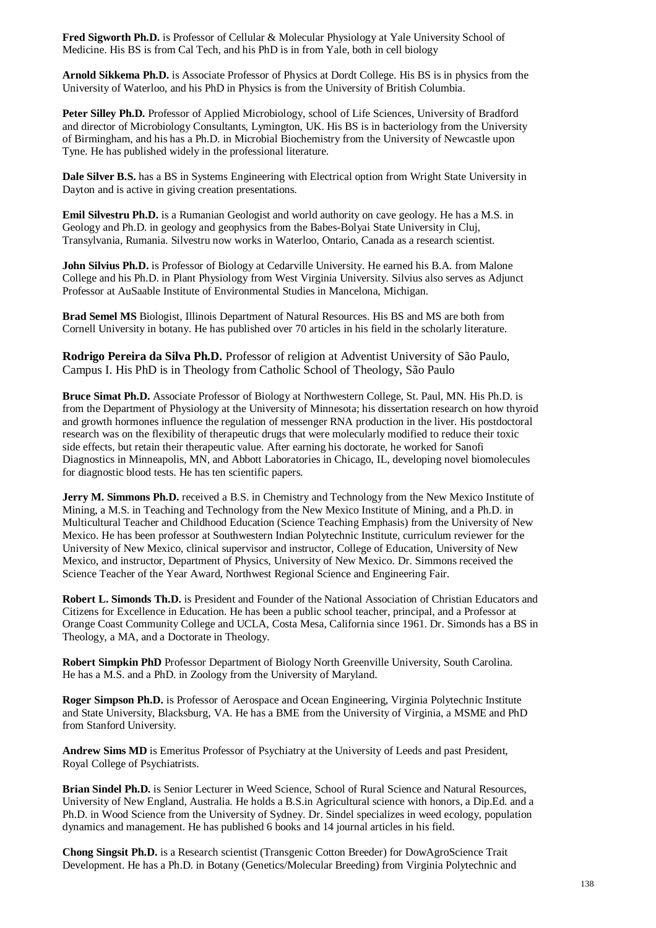**Fred Sigworth Ph.D.** is Professor of Cellular & Molecular Physiology at Yale University School of Medicine. His BS is from Cal Tech, and his PhD is in from Yale, both in cell biology

**Arnold Sikkema Ph.D.** is Associate Professor of Physics at Dordt College. His BS is in physics from the University of Waterloo, and his PhD in Physics is from the University of British Columbia.

Peter Silley Ph.D. Professor of Applied Microbiology, school of Life Sciences, University of Bradford and director of Microbiology Consultants, Lymington, UK. His BS is in bacteriology from the University of Birmingham, and his has a Ph.D. in Microbial Biochemistry from the University of Newcastle upon Tyne. He has published widely in the professional literature.

**Dale Silver B.S.** has a BS in Systems Engineering with Electrical option from Wright State University in Dayton and is active in giving creation presentations.

**Emil Silvestru Ph.D.** is a Rumanian Geologist and world authority on cave geology. He has a M.S. in Geology and Ph.D. in geology and geophysics from the Babes-Bolyai State University in Cluj, Transylvania, Rumania. Silvestru now works in Waterloo, Ontario, Canada as a research scientist.

**John Silvius Ph.D.** is Professor of Biology at Cedarville University. He earned his B.A. from Malone College and his Ph.D. in Plant Physiology from West Virginia University. Silvius also serves as Adjunct Professor at AuSaable Institute of Environmental Studies in Mancelona, Michigan.

**Brad Semel MS** Biologist, Illinois Department of Natural Resources. His BS and MS are both from Cornell University in botany. He has published over 70 articles in his field in the scholarly literature.

**Rodrigo Pereira da Silva Ph.D.** Professor of religion at Adventist University of São Paulo, Campus I. His PhD is in Theology from Catholic School of Theology, São Paulo

**Bruce Simat Ph.D.** Associate Professor of Biology at Northwestern College, St. Paul, MN. His Ph.D. is from the Department of Physiology at the University of Minnesota; his dissertation research on how thyroid and growth hormones influence the regulation of messenger RNA production in the liver. His postdoctoral research was on the flexibility of therapeutic drugs that were molecularly modified to reduce their toxic side effects, but retain their therapeutic value. After earning his doctorate, he worked for Sanofi Diagnostics in Minneapolis, MN, and Abbott Laboratories in Chicago, IL, developing novel biomolecules for diagnostic blood tests. He has ten scientific papers.

**Jerry M. Simmons Ph.D.** received a B.S. in Chemistry and Technology from the New Mexico Institute of Mining, a M.S. in Teaching and Technology from the New Mexico Institute of Mining, and a Ph.D. in Multicultural Teacher and Childhood Education (Science Teaching Emphasis) from the University of New Mexico. He has been professor at Southwestern Indian Polytechnic Institute, curriculum reviewer for the University of New Mexico, clinical supervisor and instructor, College of Education, University of New Mexico, and instructor, Department of Physics, University of New Mexico. Dr. Simmons received the Science Teacher of the Year Award, Northwest Regional Science and Engineering Fair.

**Robert L. Simonds Th.D.** is President and Founder of the National Association of Christian Educators and Citizens for Excellence in Education. He has been a public school teacher, principal, and a Professor at Orange Coast Community College and UCLA, Costa Mesa, California since 1961. Dr. Simonds has a BS in Theology, a MA, and a Doctorate in Theology.

**Robert Simpkin PhD** Professor Department of Biology North Greenville University, South Carolina. He has a M.S. and a PhD. in Zoology from the University of Maryland.

**Roger Simpson Ph.D.** is Professor of Aerospace and Ocean Engineering, Virginia Polytechnic Institute and State University, Blacksburg, VA. He has a BME from the University of Virginia, a MSME and PhD from Stanford University.

**Andrew Sims MD** is Emeritus Professor of Psychiatry at the University of Leeds and past President, Royal College of Psychiatrists.

**Brian Sindel Ph.D.** is Senior Lecturer in Weed Science, School of Rural Science and Natural Resources, University of New England, Australia. He holds a B.S.in Agricultural science with honors, a Dip.Ed. and a Ph.D. in Wood Science from the University of Sydney. Dr. Sindel specializes in weed ecology, population dynamics and management. He has published 6 books and 14 journal articles in his field.

**Chong Singsit Ph.D.** is a Research scientist (Transgenic Cotton Breeder) for DowAgroScience Trait Development. He has a Ph.D. in Botany (Genetics/Molecular Breeding) from Virginia Polytechnic and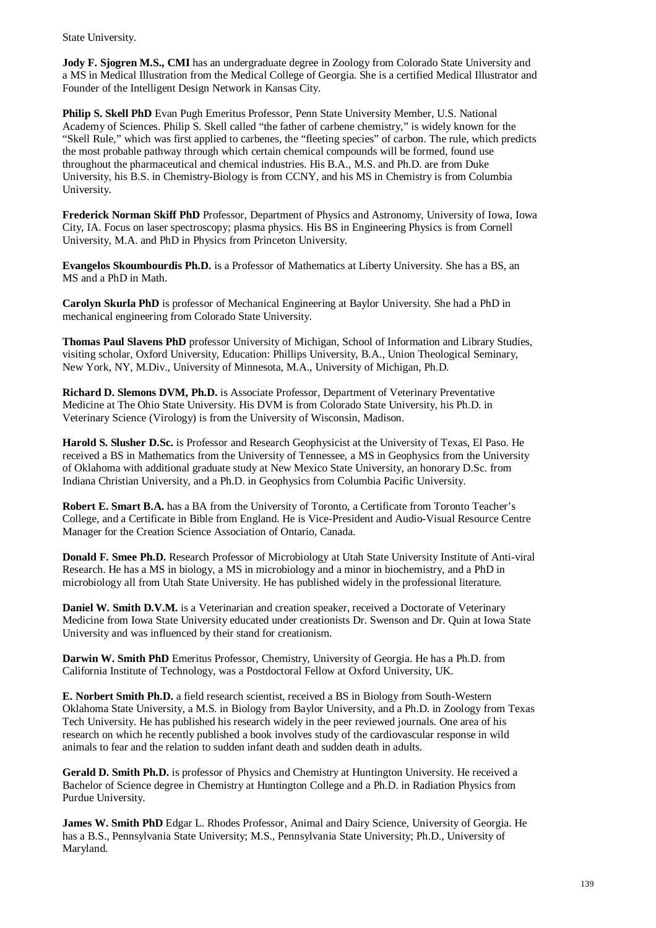State University.

**Jody F. Sjogren M.S., CMI** has an undergraduate degree in Zoology from Colorado State University and a MS in Medical Illustration from the Medical College of Georgia. She is a certified Medical Illustrator and Founder of the Intelligent Design Network in Kansas City.

**Philip S. Skell PhD** Evan Pugh Emeritus Professor, Penn State University Member, U.S. National Academy of Sciences. Philip S. Skell called "the father of carbene chemistry," is widely known for the "Skell Rule," which was first applied to carbenes, the "fleeting species" of carbon. The rule, which predicts the most probable pathway through which certain chemical compounds will be formed, found use throughout the pharmaceutical and chemical industries. His B.A., M.S. and Ph.D. are from Duke University, his B.S. in Chemistry-Biology is from CCNY, and his MS in Chemistry is from Columbia University.

**Frederick Norman Skiff PhD** Professor, Department of Physics and Astronomy, University of Iowa, Iowa City, IA. Focus on laser spectroscopy; plasma physics. His BS in Engineering Physics is from Cornell University, M.A. and PhD in Physics from Princeton University.

**Evangelos Skoumbourdis Ph.D.** is a Professor of Mathematics at Liberty University. She has a BS, an MS and a PhD in Math.

**Carolyn Skurla PhD** is professor of Mechanical Engineering at Baylor University. She had a PhD in mechanical engineering from Colorado State University.

**Thomas Paul Slavens PhD** professor University of Michigan, School of Information and Library Studies, visiting scholar, Oxford University, Education: Phillips University, B.A., Union Theological Seminary, New York, NY, M.Div., University of Minnesota, M.A., University of Michigan, Ph.D.

**Richard D. Slemons DVM, Ph.D.** is Associate Professor, Department of Veterinary Preventative Medicine at The Ohio State University. His DVM is from Colorado State University, his Ph.D. in Veterinary Science (Virology) is from the University of Wisconsin, Madison.

**Harold S. Slusher D.Sc.** is Professor and Research Geophysicist at the University of Texas, El Paso. He received a BS in Mathematics from the University of Tennessee, a MS in Geophysics from the University of Oklahoma with additional graduate study at New Mexico State University, an honorary D.Sc. from Indiana Christian University, and a Ph.D. in Geophysics from Columbia Pacific University.

**Robert E. Smart B.A.** has a BA from the University of Toronto, a Certificate from Toronto Teacher's College, and a Certificate in Bible from England. He is Vice-President and Audio-Visual Resource Centre Manager for the Creation Science Association of Ontario, Canada.

**Donald F. Smee Ph.D.** Research Professor of Microbiology at Utah State University Institute of Anti-viral Research. He has a MS in biology, a MS in microbiology and a minor in biochemistry, and a PhD in microbiology all from Utah State University. He has published widely in the professional literature.

**Daniel W. Smith D.V.M.** is a Veterinarian and creation speaker, received a Doctorate of Veterinary Medicine from Iowa State University educated under creationists Dr. Swenson and Dr. Quin at Iowa State University and was influenced by their stand for creationism.

**Darwin W. Smith PhD** Emeritus Professor, Chemistry, University of Georgia. He has a Ph.D. from California Institute of Technology, was a Postdoctoral Fellow at Oxford University, UK.

**E. Norbert Smith Ph.D.** a field research scientist, received a BS in Biology from South-Western Oklahoma State University, a M.S. in Biology from Baylor University, and a Ph.D. in Zoology from Texas Tech University. He has published his research widely in the peer reviewed journals. One area of his research on which he recently published a book involves study of the cardiovascular response in wild animals to fear and the relation to sudden infant death and sudden death in adults.

**Gerald D. Smith Ph.D.** is professor of Physics and Chemistry at Huntington University. He received a Bachelor of Science degree in Chemistry at Huntington College and a Ph.D. in Radiation Physics from Purdue University.

**James W. Smith PhD** Edgar L. Rhodes Professor, Animal and Dairy Science, University of Georgia. He has a B.S., Pennsylvania State University; M.S., Pennsylvania State University; Ph.D., University of Maryland.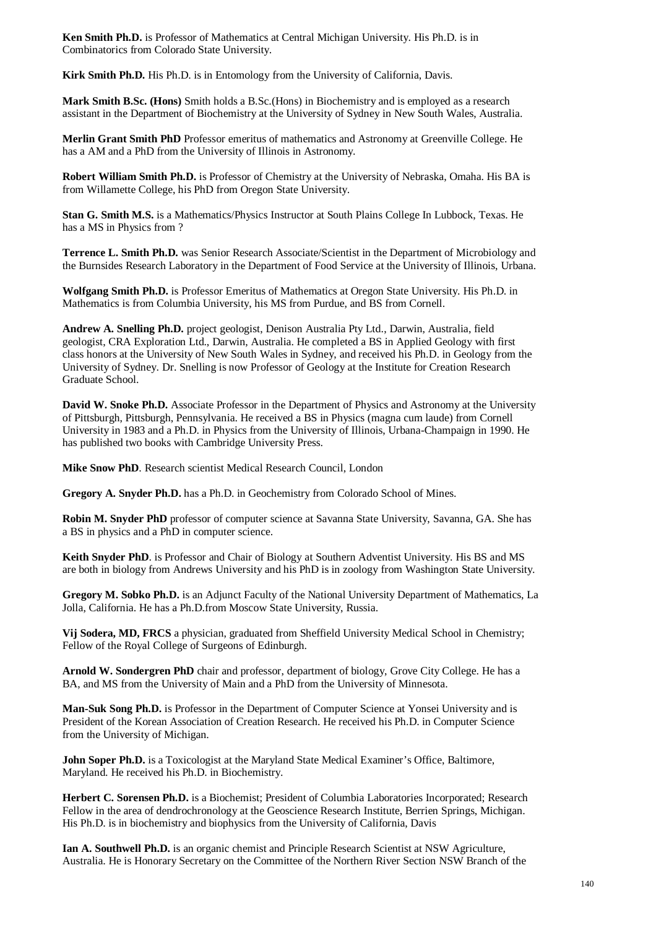**Ken Smith Ph.D.** is Professor of Mathematics at Central Michigan University. His Ph.D. is in Combinatorics from Colorado State University.

**Kirk Smith Ph.D.** His Ph.D. is in Entomology from the University of California, Davis.

**Mark Smith B.Sc. (Hons)** Smith holds a B.Sc.(Hons) in Biochemistry and is employed as a research assistant in the Department of Biochemistry at the University of Sydney in New South Wales, Australia.

**Merlin Grant Smith PhD** Professor emeritus of mathematics and Astronomy at Greenville College. He has a AM and a PhD from the University of Illinois in Astronomy.

**Robert William Smith Ph.D.** is Professor of Chemistry at the University of Nebraska, Omaha. His BA is from Willamette College, his PhD from Oregon State University.

**Stan G. Smith M.S.** is a Mathematics/Physics Instructor at South Plains College In Lubbock, Texas. He has a MS in Physics from ?

**Terrence L. Smith Ph.D.** was Senior Research Associate/Scientist in the Department of Microbiology and the Burnsides Research Laboratory in the Department of Food Service at the University of Illinois, Urbana.

**Wolfgang Smith Ph.D.** is Professor Emeritus of Mathematics at Oregon State University. His Ph.D. in Mathematics is from Columbia University, his MS from Purdue, and BS from Cornell.

**Andrew A. Snelling Ph.D.** project geologist, Denison Australia Pty Ltd., Darwin, Australia, field geologist, CRA Exploration Ltd., Darwin, Australia. He completed a BS in Applied Geology with first class honors at the University of New South Wales in Sydney, and received his Ph.D. in Geology from the University of Sydney. Dr. Snelling is now Professor of Geology at the Institute for Creation Research Graduate School.

**David W. Snoke Ph.D.** Associate Professor in the Department of Physics and Astronomy at the University of Pittsburgh, Pittsburgh, Pennsylvania. He received a BS in Physics (magna cum laude) from Cornell University in 1983 and a Ph.D. in Physics from the University of Illinois, Urbana-Champaign in 1990. He has published two books with Cambridge University Press.

**Mike Snow PhD**. Research scientist Medical Research Council, London

**Gregory A. Snyder Ph.D.** has a Ph.D. in Geochemistry from Colorado School of Mines.

**Robin M. Snyder PhD** professor of computer science at Savanna State University, Savanna, GA. She has a BS in physics and a PhD in computer science.

**Keith Snyder PhD**. is Professor and Chair of Biology at Southern Adventist University. His BS and MS are both in biology from Andrews University and his PhD is in zoology from Washington State University.

**Gregory M. Sobko Ph.D.** is an Adjunct Faculty of the National University Department of Mathematics, La Jolla, California. He has a Ph.D.from Moscow State University, Russia.

**Vij Sodera, MD, FRCS** a physician, graduated from Sheffield University Medical School in Chemistry; Fellow of the Royal College of Surgeons of Edinburgh.

**Arnold W. Sondergren PhD** chair and professor, department of biology, Grove City College. He has a BA, and MS from the University of Main and a PhD from the University of Minnesota.

**Man-Suk Song Ph.D.** is Professor in the Department of Computer Science at Yonsei University and is President of the Korean Association of Creation Research. He received his Ph.D. in Computer Science from the University of Michigan.

**John Soper Ph.D.** is a Toxicologist at the Maryland State Medical Examiner's Office, Baltimore, Maryland. He received his Ph.D. in Biochemistry.

**Herbert C. Sorensen Ph.D.** is a Biochemist; President of Columbia Laboratories Incorporated; Research Fellow in the area of dendrochronology at the Geoscience Research Institute, Berrien Springs, Michigan. His Ph.D. is in biochemistry and biophysics from the University of California, Davis

**Ian A. Southwell Ph.D.** is an organic chemist and Principle Research Scientist at NSW Agriculture, Australia. He is Honorary Secretary on the Committee of the Northern River Section NSW Branch of the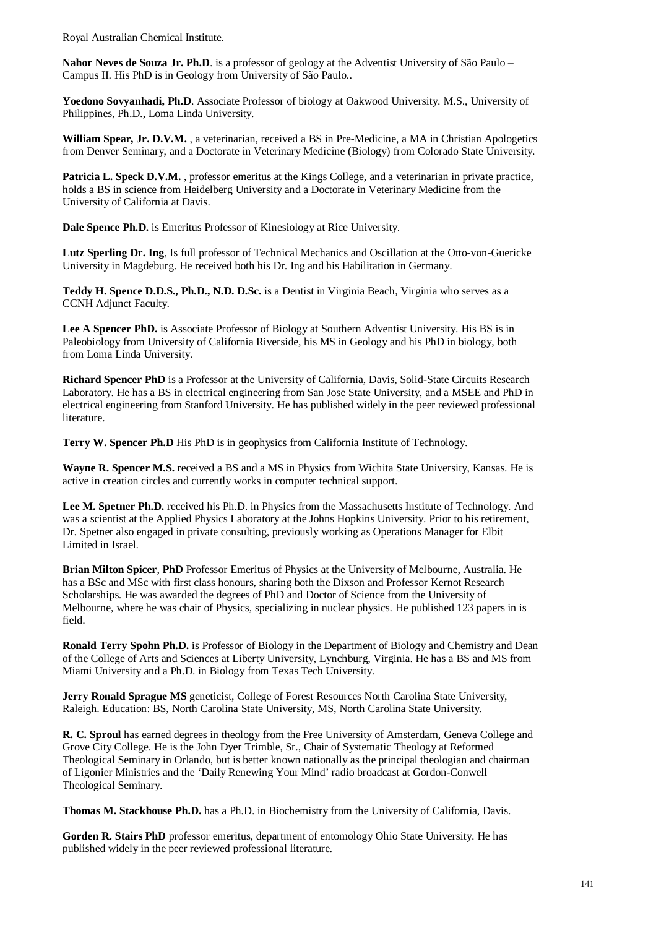Royal Australian Chemical Institute.

**Nahor Neves de Souza Jr. Ph.D**. is a professor of geology at the Adventist University of São Paulo – Campus II. His PhD is in Geology from University of São Paulo..

**Yoedono Sovyanhadi, Ph.D**. Associate Professor of biology at Oakwood University. M.S., University of Philippines, Ph.D., Loma Linda University.

**William Spear, Jr. D.V.M.** , a veterinarian, received a BS in Pre-Medicine, a MA in Christian Apologetics from Denver Seminary, and a Doctorate in Veterinary Medicine (Biology) from Colorado State University.

**Patricia L. Speck D.V.M.** , professor emeritus at the Kings College, and a veterinarian in private practice, holds a BS in science from Heidelberg University and a Doctorate in Veterinary Medicine from the University of California at Davis.

**Dale Spence Ph.D.** is Emeritus Professor of Kinesiology at Rice University.

**Lutz Sperling Dr. Ing**, Is full professor of Technical Mechanics and Oscillation at the Otto-von-Guericke University in Magdeburg. He received both his Dr. Ing and his Habilitation in Germany.

**Teddy H. Spence D.D.S., Ph.D., N.D. D.Sc.** is a Dentist in Virginia Beach, Virginia who serves as a CCNH Adjunct Faculty.

Lee A Spencer PhD. is Associate Professor of Biology at Southern Adventist University. His BS is in Paleobiology from University of California Riverside, his MS in Geology and his PhD in biology, both from Loma Linda University.

**Richard Spencer PhD** is a Professor at the University of California, Davis, Solid-State Circuits Research Laboratory. He has a BS in electrical engineering from San Jose State University, and a MSEE and PhD in electrical engineering from Stanford University. He has published widely in the peer reviewed professional literature.

**Terry W. Spencer Ph.D** His PhD is in geophysics from California Institute of Technology.

**Wayne R. Spencer M.S.** received a BS and a MS in Physics from Wichita State University, Kansas. He is active in creation circles and currently works in computer technical support.

**Lee M. Spetner Ph.D.** received his Ph.D. in Physics from the Massachusetts Institute of Technology. And was a scientist at the Applied Physics Laboratory at the Johns Hopkins University. Prior to his retirement, Dr. Spetner also engaged in private consulting, previously working as Operations Manager for Elbit Limited in Israel.

**Brian Milton Spicer**, **PhD** Professor Emeritus of Physics at the University of Melbourne, Australia. He has a BSc and MSc with first class honours, sharing both the Dixson and Professor Kernot Research Scholarships. He was awarded the degrees of PhD and Doctor of Science from the University of Melbourne, where he was chair of Physics, specializing in nuclear physics. He published 123 papers in is field.

**Ronald Terry Spohn Ph.D.** is Professor of Biology in the Department of Biology and Chemistry and Dean of the College of Arts and Sciences at Liberty University, Lynchburg, Virginia. He has a BS and MS from Miami University and a Ph.D. in Biology from Texas Tech University.

**Jerry Ronald Sprague MS** geneticist, College of Forest Resources North Carolina State University, Raleigh. Education: BS, North Carolina State University, MS, North Carolina State University.

**R. C. Sproul** has earned degrees in theology from the Free University of Amsterdam, Geneva College and Grove City College. He is the John Dyer Trimble, Sr., Chair of Systematic Theology at Reformed Theological Seminary in Orlando, but is better known nationally as the principal theologian and chairman of Ligonier Ministries and the 'Daily Renewing Your Mind' radio broadcast at Gordon-Conwell Theological Seminary.

**Thomas M. Stackhouse Ph.D.** has a Ph.D. in Biochemistry from the University of California, Davis.

**Gorden R. Stairs PhD** professor emeritus, department of entomology Ohio State University. He has published widely in the peer reviewed professional literature.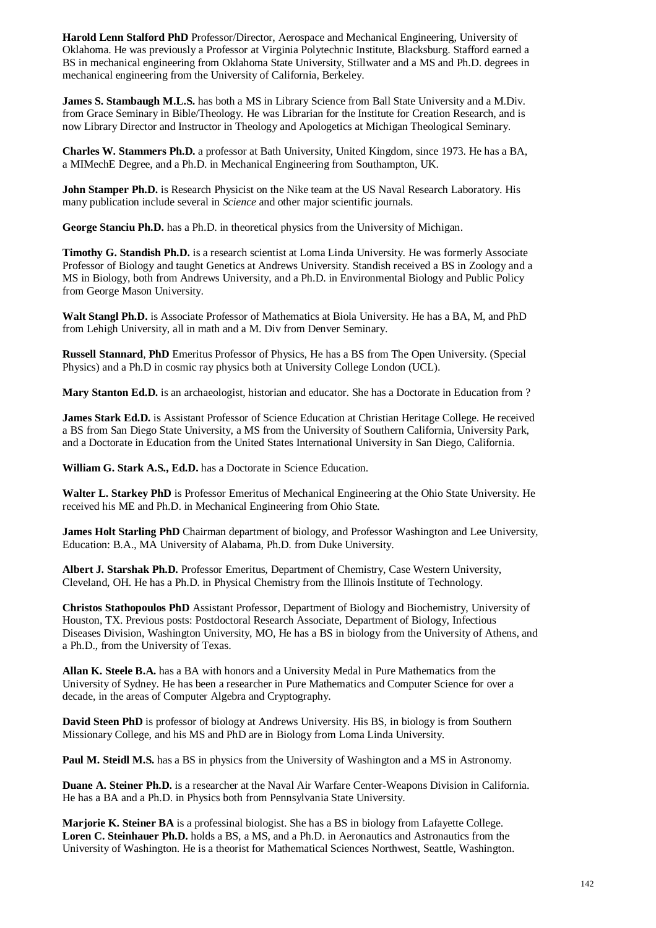**Harold Lenn Stalford PhD** Professor/Director, Aerospace and Mechanical Engineering, University of Oklahoma. He was previously a Professor at Virginia Polytechnic Institute, Blacksburg. Stafford earned a BS in mechanical engineering from Oklahoma State University, Stillwater and a MS and Ph.D. degrees in mechanical engineering from the University of California, Berkeley.

**James S. Stambaugh M.L.S.** has both a MS in Library Science from Ball State University and a M.Div. from Grace Seminary in Bible/Theology. He was Librarian for the Institute for Creation Research, and is now Library Director and Instructor in Theology and Apologetics at Michigan Theological Seminary.

**Charles W. Stammers Ph.D.** a professor at Bath University, United Kingdom, since 1973. He has a BA, a MIMechE Degree, and a Ph.D. in Mechanical Engineering from Southampton, UK.

**John Stamper Ph.D.** is Research Physicist on the Nike team at the US Naval Research Laboratory. His many publication include several in *Science* and other major scientific journals.

**George Stanciu Ph.D.** has a Ph.D. in theoretical physics from the University of Michigan.

**Timothy G. Standish Ph.D.** is a research scientist at Loma Linda University. He was formerly Associate Professor of Biology and taught Genetics at Andrews University. Standish received a BS in Zoology and a MS in Biology, both from Andrews University, and a Ph.D. in Environmental Biology and Public Policy from George Mason University.

**Walt Stangl Ph.D.** is Associate Professor of Mathematics at Biola University. He has a BA, M, and PhD from Lehigh University, all in math and a M. Div from Denver Seminary.

**Russell Stannard**, **PhD** Emeritus Professor of Physics, He has a BS from The Open University. (Special Physics) and a Ph.D in cosmic ray physics both at University College London (UCL).

**Mary Stanton Ed.D.** is an archaeologist, historian and educator. She has a Doctorate in Education from ?

**James Stark Ed.D.** is Assistant Professor of Science Education at Christian Heritage College. He received a BS from San Diego State University, a MS from the University of Southern California, University Park, and a Doctorate in Education from the United States International University in San Diego, California.

**William G. Stark A.S., Ed.D.** has a Doctorate in Science Education.

**Walter L. Starkey PhD** is Professor Emeritus of Mechanical Engineering at the Ohio State University. He received his ME and Ph.D. in Mechanical Engineering from Ohio State.

**James Holt Starling PhD** Chairman department of biology, and Professor Washington and Lee University, Education: B.A., MA University of Alabama, Ph.D. from Duke University.

**Albert J. Starshak Ph.D.** Professor Emeritus, Department of Chemistry, Case Western University, Cleveland, OH. He has a Ph.D. in Physical Chemistry from the Illinois Institute of Technology.

**Christos Stathopoulos PhD** Assistant Professor, Department of Biology and Biochemistry, University of Houston, TX. Previous posts: Postdoctoral Research Associate, Department of Biology, Infectious Diseases Division, Washington University, MO, He has a BS in biology from the University of Athens, and a Ph.D., from the University of Texas.

**Allan K. Steele B.A.** has a BA with honors and a University Medal in Pure Mathematics from the University of Sydney. He has been a researcher in Pure Mathematics and Computer Science for over a decade, in the areas of Computer Algebra and Cryptography.

**David Steen PhD** is professor of biology at Andrews University. His BS, in biology is from Southern Missionary College, and his MS and PhD are in Biology from Loma Linda University.

**Paul M. Steidl M.S.** has a BS in physics from the University of Washington and a MS in Astronomy.

**Duane A. Steiner Ph.D.** is a researcher at the Naval Air Warfare Center-Weapons Division in California. He has a BA and a Ph.D. in Physics both from Pennsylvania State University.

**Marjorie K. Steiner BA** is a professinal biologist. She has a BS in biology from Lafayette College. **Loren C. Steinhauer Ph.D.** holds a BS, a MS, and a Ph.D. in Aeronautics and Astronautics from the University of Washington. He is a theorist for Mathematical Sciences Northwest, Seattle, Washington.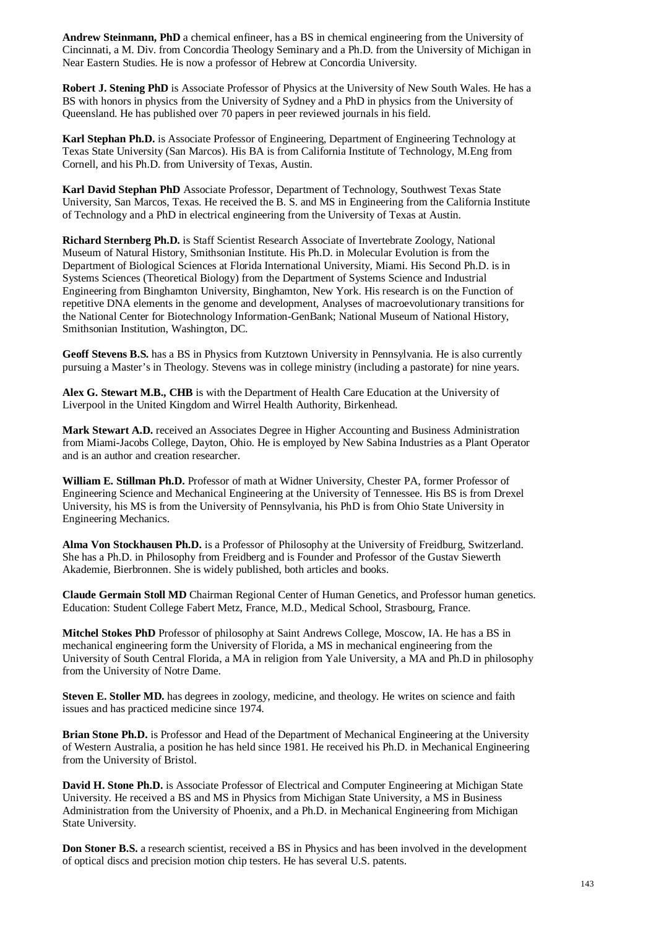**Andrew Steinmann, PhD** a chemical enfineer, has a BS in chemical engineering from the University of Cincinnati, a M. Div. from Concordia Theology Seminary and a Ph.D. from the University of Michigan in Near Eastern Studies. He is now a professor of Hebrew at Concordia University.

**Robert J. Stening PhD** is Associate Professor of Physics at the University of New South Wales. He has a BS with honors in physics from the University of Sydney and a PhD in physics from the University of Queensland. He has published over 70 papers in peer reviewed journals in his field.

**Karl Stephan Ph.D.** is Associate Professor of Engineering, Department of Engineering Technology at Texas State University (San Marcos). His BA is from California Institute of Technology, M.Eng from Cornell, and his Ph.D. from University of Texas, Austin.

**Karl David Stephan PhD** Associate Professor, Department of Technology, Southwest Texas State University, San Marcos, Texas. He received the B. S. and MS in Engineering from the California Institute of Technology and a PhD in electrical engineering from the University of Texas at Austin.

**Richard Sternberg Ph.D.** is Staff Scientist Research Associate of Invertebrate Zoology, National Museum of Natural History, Smithsonian Institute. His Ph.D. in Molecular Evolution is from the Department of Biological Sciences at Florida International University, Miami. His Second Ph.D. is in Systems Sciences (Theoretical Biology) from the Department of Systems Science and Industrial Engineering from Binghamton University, Binghamton, New York. His research is on the Function of repetitive DNA elements in the genome and development, Analyses of macroevolutionary transitions for the National Center for Biotechnology Information-GenBank; National Museum of National History, Smithsonian Institution, Washington, DC.

**Geoff Stevens B.S.** has a BS in Physics from Kutztown University in Pennsylvania. He is also currently pursuing a Master's in Theology. Stevens was in college ministry (including a pastorate) for nine years.

**Alex G. Stewart M.B., CHB** is with the Department of Health Care Education at the University of Liverpool in the United Kingdom and Wirrel Health Authority, Birkenhead.

**Mark Stewart A.D.** received an Associates Degree in Higher Accounting and Business Administration from Miami-Jacobs College, Dayton, Ohio. He is employed by New Sabina Industries as a Plant Operator and is an author and creation researcher.

**William E. Stillman Ph.D.** Professor of math at Widner University, Chester PA, former Professor of Engineering Science and Mechanical Engineering at the University of Tennessee. His BS is from Drexel University, his MS is from the University of Pennsylvania, his PhD is from Ohio State University in Engineering Mechanics.

**Alma Von Stockhausen Ph.D.** is a Professor of Philosophy at the University of Freidburg, Switzerland. She has a Ph.D. in Philosophy from Freidberg and is Founder and Professor of the Gustav Siewerth Akademie, Bierbronnen. She is widely published, both articles and books.

**Claude Germain Stoll MD** Chairman Regional Center of Human Genetics, and Professor human genetics. Education: Student College Fabert Metz, France, M.D., Medical School, Strasbourg, France.

**Mitchel Stokes PhD** Professor of philosophy at Saint Andrews College, Moscow, IA. He has a BS in mechanical engineering form the University of Florida, a MS in mechanical engineering from the University of South Central Florida, a MA in religion from Yale University, a MA and Ph.D in philosophy from the University of Notre Dame.

**Steven E. Stoller MD.** has degrees in zoology, medicine, and theology. He writes on science and faith issues and has practiced medicine since 1974.

**Brian Stone Ph.D.** is Professor and Head of the Department of Mechanical Engineering at the University of Western Australia, a position he has held since 1981. He received his Ph.D. in Mechanical Engineering from the University of Bristol.

**David H. Stone Ph.D.** is Associate Professor of Electrical and Computer Engineering at Michigan State University. He received a BS and MS in Physics from Michigan State University, a MS in Business Administration from the University of Phoenix, and a Ph.D. in Mechanical Engineering from Michigan State University.

**Don Stoner B.S.** a research scientist, received a BS in Physics and has been involved in the development of optical discs and precision motion chip testers. He has several U.S. patents.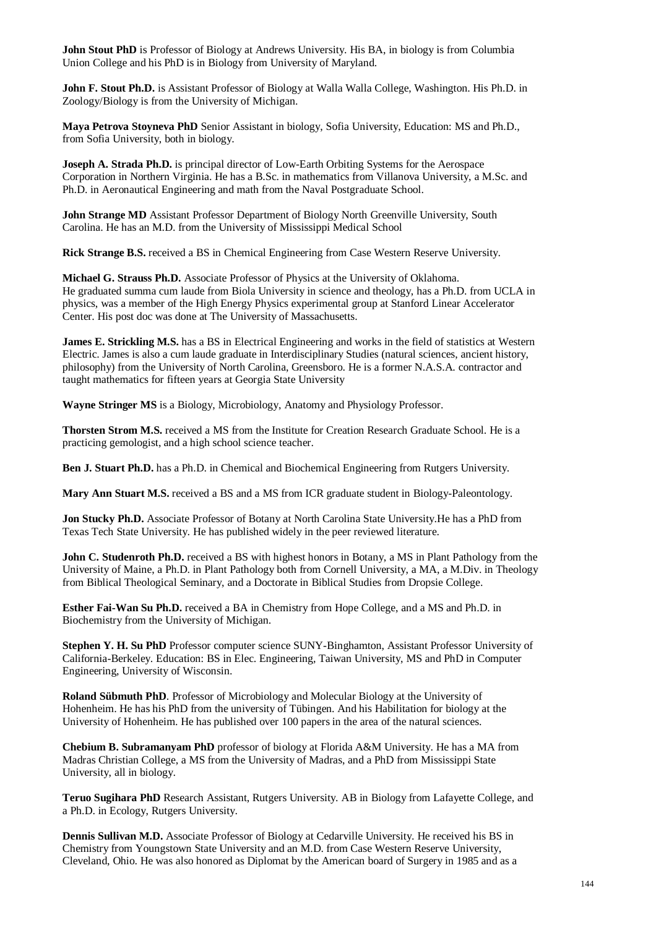**John Stout PhD** is Professor of Biology at Andrews University. His BA, in biology is from Columbia Union College and his PhD is in Biology from University of Maryland.

**John F. Stout Ph.D.** is Assistant Professor of Biology at Walla Walla College, Washington. His Ph.D. in Zoology/Biology is from the University of Michigan.

**Maya Petrova Stoyneva PhD** Senior Assistant in biology, Sofia University, Education: MS and Ph.D., from Sofia University, both in biology.

**Joseph A. Strada Ph.D.** is principal director of Low-Earth Orbiting Systems for the Aerospace Corporation in Northern Virginia. He has a B.Sc. in mathematics from Villanova University, a M.Sc. and Ph.D. in Aeronautical Engineering and math from the Naval Postgraduate School.

**John Strange MD** Assistant Professor Department of Biology North Greenville University, South Carolina. He has an M.D. from the University of Mississippi Medical School

**Rick Strange B.S.** received a BS in Chemical Engineering from Case Western Reserve University.

**Michael G. Strauss Ph.D.** Associate Professor of Physics at the University of Oklahoma. He graduated summa cum laude from Biola University in science and theology, has a Ph.D. from UCLA in physics, was a member of the High Energy Physics experimental group at Stanford Linear Accelerator Center. His post doc was done at The University of Massachusetts.

**James E. Strickling M.S.** has a BS in Electrical Engineering and works in the field of statistics at Western Electric. James is also a cum laude graduate in Interdisciplinary Studies (natural sciences, ancient history, philosophy) from the University of North Carolina, Greensboro. He is a former N.A.S.A. contractor and taught mathematics for fifteen years at Georgia State University

**Wayne Stringer MS** is a Biology, Microbiology, Anatomy and Physiology Professor.

**Thorsten Strom M.S.** received a MS from the Institute for Creation Research Graduate School. He is a practicing gemologist, and a high school science teacher.

**Ben J. Stuart Ph.D.** has a Ph.D. in Chemical and Biochemical Engineering from Rutgers University.

**Mary Ann Stuart M.S.** received a BS and a MS from ICR graduate student in Biology-Paleontology.

**Jon Stucky Ph.D.** Associate Professor of Botany at North Carolina State University.He has a PhD from Texas Tech State University. He has published widely in the peer reviewed literature.

**John C. Studenroth Ph.D.** received a BS with highest honors in Botany, a MS in Plant Pathology from the University of Maine, a Ph.D. in Plant Pathology both from Cornell University, a MA, a M.Div. in Theology from Biblical Theological Seminary, and a Doctorate in Biblical Studies from Dropsie College.

**Esther Fai-Wan Su Ph.D.** received a BA in Chemistry from Hope College, and a MS and Ph.D. in Biochemistry from the University of Michigan.

**Stephen Y. H. Su PhD** Professor computer science SUNY-Binghamton, Assistant Professor University of California-Berkeley. Education: BS in Elec. Engineering, Taiwan University, MS and PhD in Computer Engineering, University of Wisconsin.

**Roland Sübmuth PhD**. Professor of Microbiology and Molecular Biology at the University of Hohenheim. He has his PhD from the university of Tübingen. And his Habilitation for biology at the University of Hohenheim. He has published over 100 papers in the area of the natural sciences.

**Chebium B. Subramanyam PhD** professor of biology at Florida A&M University. He has a MA from Madras Christian College, a MS from the University of Madras, and a PhD from Mississippi State University, all in biology.

**Teruo Sugihara PhD** Research Assistant, Rutgers University. AB in Biology from Lafayette College, and a Ph.D. in Ecology, Rutgers University.

**Dennis Sullivan M.D.** Associate Professor of Biology at Cedarville University. He received his BS in Chemistry from Youngstown State University and an M.D. from Case Western Reserve University, Cleveland, Ohio. He was also honored as Diplomat by the American board of Surgery in 1985 and as a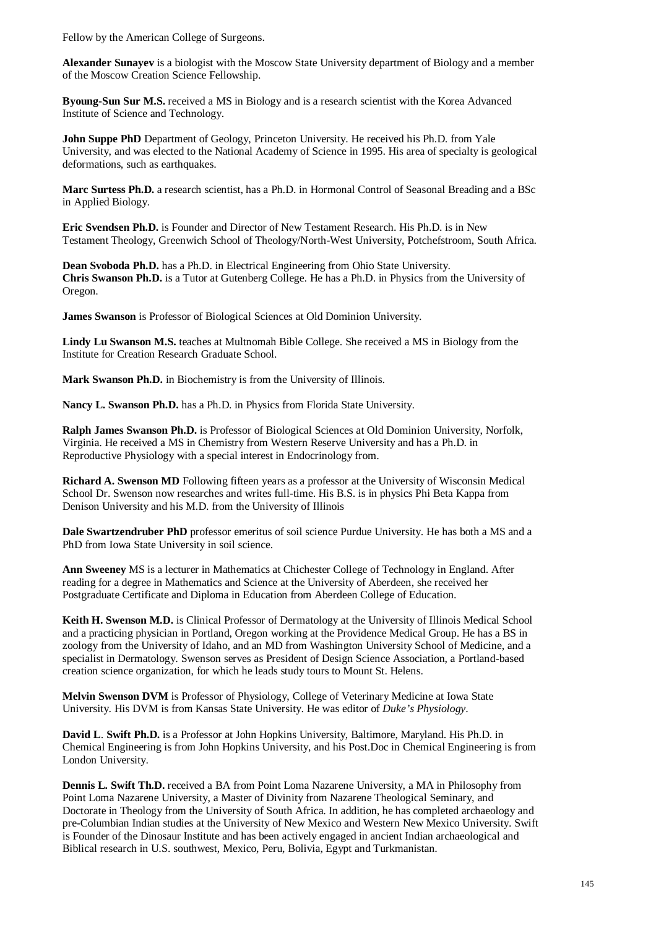Fellow by the American College of Surgeons.

**Alexander Sunayev** is a biologist with the Moscow State University department of Biology and a member of the Moscow Creation Science Fellowship.

**Byoung-Sun Sur M.S.** received a MS in Biology and is a research scientist with the Korea Advanced Institute of Science and Technology.

**John Suppe PhD** Department of Geology, Princeton University. He received his Ph.D. from Yale University, and was elected to the National Academy of Science in 1995. His area of specialty is geological deformations, such as earthquakes.

**Marc Surtess Ph.D.** a research scientist, has a Ph.D. in Hormonal Control of Seasonal Breading and a BSc in Applied Biology.

**Eric Svendsen Ph.D.** is Founder and Director of New Testament Research. His Ph.D. is in New Testament Theology, Greenwich School of Theology/North-West University, Potchefstroom, South Africa.

**Dean Svoboda Ph.D.** has a Ph.D. in Electrical Engineering from Ohio State University. **Chris Swanson Ph.D.** is a Tutor at Gutenberg College. He has a Ph.D. in Physics from the University of Oregon.

**James Swanson** is Professor of Biological Sciences at Old Dominion University.

**Lindy Lu Swanson M.S.** teaches at Multnomah Bible College. She received a MS in Biology from the Institute for Creation Research Graduate School.

**Mark Swanson Ph.D.** in Biochemistry is from the University of Illinois.

**Nancy L. Swanson Ph.D.** has a Ph.D. in Physics from Florida State University.

**Ralph James Swanson Ph.D.** is Professor of Biological Sciences at Old Dominion University, Norfolk, Virginia. He received a MS in Chemistry from Western Reserve University and has a Ph.D. in Reproductive Physiology with a special interest in Endocrinology from.

**Richard A. Swenson MD** Following fifteen years as a professor at the University of Wisconsin Medical School Dr. Swenson now researches and writes full-time. His B.S. is in physics Phi Beta Kappa from Denison University and his M.D. from the University of Illinois

**Dale Swartzendruber PhD** professor emeritus of soil science Purdue University. He has both a MS and a PhD from Iowa State University in soil science.

**Ann Sweeney** MS is a lecturer in Mathematics at Chichester College of Technology in England. After reading for a degree in Mathematics and Science at the University of Aberdeen, she received her Postgraduate Certificate and Diploma in Education from Aberdeen College of Education.

**Keith H. Swenson M.D.** is Clinical Professor of Dermatology at the University of Illinois Medical School and a practicing physician in Portland, Oregon working at the Providence Medical Group. He has a BS in zoology from the University of Idaho, and an MD from Washington University School of Medicine, and a specialist in Dermatology. Swenson serves as President of Design Science Association, a Portland-based creation science organization, for which he leads study tours to Mount St. Helens.

**Melvin Swenson DVM** is Professor of Physiology, College of Veterinary Medicine at Iowa State University. His DVM is from Kansas State University. He was editor of *Duke's Physiology*.

**David L**. **Swift Ph.D.** is a Professor at John Hopkins University, Baltimore, Maryland. His Ph.D. in Chemical Engineering is from John Hopkins University, and his Post.Doc in Chemical Engineering is from London University.

**Dennis L. Swift Th.D.** received a BA from Point Loma Nazarene University, a MA in Philosophy from Point Loma Nazarene University, a Master of Divinity from Nazarene Theological Seminary, and Doctorate in Theology from the University of South Africa. In addition, he has completed archaeology and pre-Columbian Indian studies at the University of New Mexico and Western New Mexico University. Swift is Founder of the Dinosaur Institute and has been actively engaged in ancient Indian archaeological and Biblical research in U.S. southwest, Mexico, Peru, Bolivia, Egypt and Turkmanistan.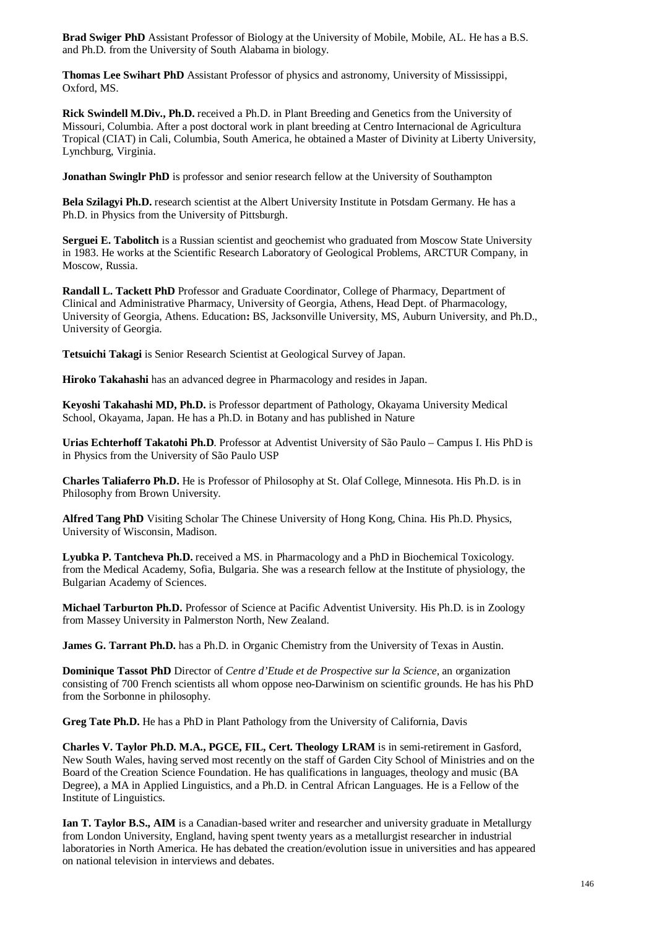**Brad Swiger PhD** Assistant Professor of Biology at the University of Mobile, Mobile, AL. He has a B.S. and Ph.D. from the University of South Alabama in biology.

**Thomas Lee Swihart PhD** Assistant Professor of physics and astronomy, University of Mississippi, Oxford, MS.

**Rick Swindell M.Div., Ph.D.** received a Ph.D. in Plant Breeding and Genetics from the University of Missouri, Columbia. After a post doctoral work in plant breeding at Centro Internacional de Agricultura Tropical (CIAT) in Cali, Columbia, South America, he obtained a Master of Divinity at Liberty University, Lynchburg, Virginia.

**Jonathan Swinglr PhD** is professor and senior research fellow at the University of Southampton

**Bela Szilagyi Ph.D.** research scientist at the Albert University Institute in Potsdam Germany. He has a Ph.D. in Physics from the University of Pittsburgh.

**Serguei E. Tabolitch** is a Russian scientist and geochemist who graduated from Moscow State University in 1983. He works at the Scientific Research Laboratory of Geological Problems, ARCTUR Company, in Moscow, Russia.

**Randall L. Tackett PhD** Professor and Graduate Coordinator, College of Pharmacy, Department of Clinical and Administrative Pharmacy, University of Georgia, Athens, Head Dept. of Pharmacology, University of Georgia, Athens. Education**:** BS, Jacksonville University, MS, Auburn University, and Ph.D., University of Georgia.

**Tetsuichi Takagi** is Senior Research Scientist at Geological Survey of Japan.

**Hiroko Takahashi** has an advanced degree in Pharmacology and resides in Japan.

**Keyoshi Takahashi MD, Ph.D.** is Professor department of Pathology, Okayama University Medical School, Okayama, Japan. He has a Ph.D. in Botany and has published in Nature

**Urias Echterhoff Takatohi Ph.D**. Professor at Adventist University of São Paulo – Campus I. His PhD is in Physics from the University of São Paulo USP

**Charles Taliaferro Ph.D.** He is Professor of Philosophy at St. Olaf College, Minnesota. His Ph.D. is in Philosophy from Brown University.

**Alfred Tang PhD** Visiting Scholar The Chinese University of Hong Kong, China. His Ph.D. Physics, University of Wisconsin, Madison.

**Lyubka P. Tantcheva Ph.D.** received a MS. in Pharmacology and a PhD in Biochemical Toxicology. from the Medical Academy, Sofia, Bulgaria. She was a research fellow at the Institute of physiology, the Bulgarian Academy of Sciences.

**Michael Tarburton Ph.D.** Professor of Science at Pacific Adventist University. His Ph.D. is in Zoology from Massey University in Palmerston North, New Zealand.

**James G. Tarrant Ph.D.** has a Ph.D. in Organic Chemistry from the University of Texas in Austin.

**Dominique Tassot PhD** Director of *Centre d'Etude et de Prospective sur la Science*, an organization consisting of 700 French scientists all whom oppose neo-Darwinism on scientific grounds. He has his PhD from the Sorbonne in philosophy.

**Greg Tate Ph.D.** He has a PhD in Plant Pathology from the University of California, Davis

**Charles V. Taylor Ph.D. M.A., PGCE, FIL, Cert. Theology LRAM** is in semi-retirement in Gasford, New South Wales, having served most recently on the staff of Garden City School of Ministries and on the Board of the Creation Science Foundation. He has qualifications in languages, theology and music (BA Degree), a MA in Applied Linguistics, and a Ph.D. in Central African Languages. He is a Fellow of the Institute of Linguistics.

**Ian T. Taylor B.S., AIM** is a Canadian-based writer and researcher and university graduate in Metallurgy from London University, England, having spent twenty years as a metallurgist researcher in industrial laboratories in North America. He has debated the creation/evolution issue in universities and has appeared on national television in interviews and debates.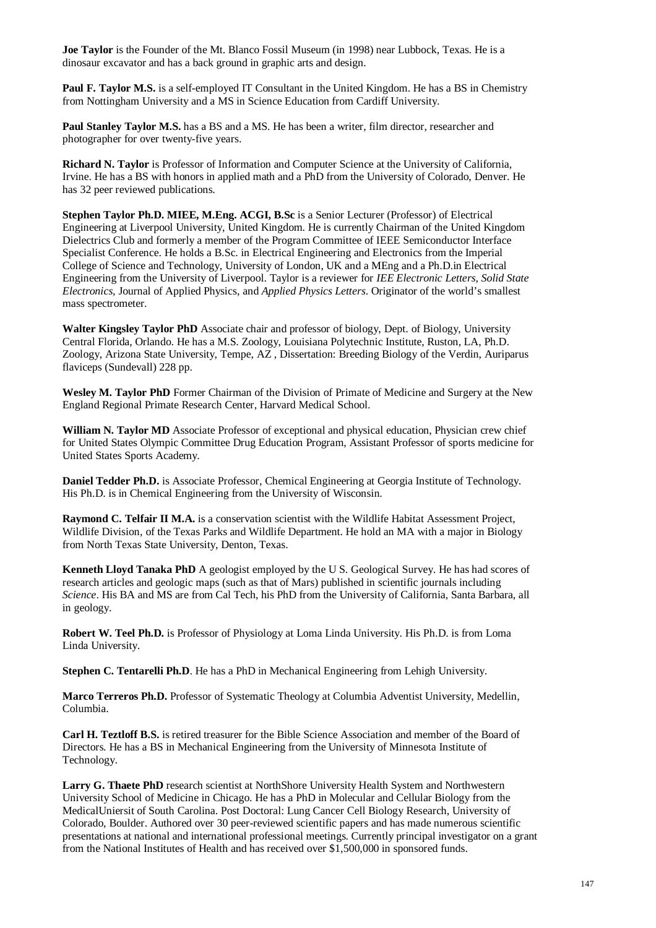**Joe Taylor** is the Founder of the Mt. Blanco Fossil Museum (in 1998) near Lubbock, Texas. He is a dinosaur excavator and has a back ground in graphic arts and design.

**Paul F. Taylor M.S.** is a self-employed IT Consultant in the United Kingdom. He has a BS in Chemistry from Nottingham University and a MS in Science Education from Cardiff University.

**Paul Stanley Taylor M.S.** has a BS and a MS. He has been a writer, film director, researcher and photographer for over twenty-five years.

**Richard N. Taylor** is Professor of Information and Computer Science at the University of California, Irvine. He has a BS with honors in applied math and a PhD from the University of Colorado, Denver. He has 32 peer reviewed publications.

**Stephen Taylor Ph.D. MIEE, M.Eng. ACGI, B.Sc** is a Senior Lecturer (Professor) of Electrical Engineering at Liverpool University, United Kingdom. He is currently Chairman of the United Kingdom Dielectrics Club and formerly a member of the Program Committee of IEEE Semiconductor Interface Specialist Conference. He holds a B.Sc. in Electrical Engineering and Electronics from the Imperial College of Science and Technology, University of London, UK and a MEng and a Ph.D.in Electrical Engineering from the University of Liverpool. Taylor is a reviewer for *IEE Electronic Letters, Solid State Electronics,* Journal of Applied Physics, and *Applied Physics Letters*. Originator of the world's smallest mass spectrometer.

**Walter Kingsley Taylor PhD** Associate chair and professor of biology, Dept. of Biology, University Central Florida, Orlando. He has a M.S. Zoology, Louisiana Polytechnic Institute, Ruston, LA, Ph.D. Zoology, Arizona State University, Tempe, AZ , Dissertation: Breeding Biology of the Verdin, Auriparus flaviceps (Sundevall) 228 pp.

**Wesley M. Taylor PhD** Former Chairman of the Division of Primate of Medicine and Surgery at the New England Regional Primate Research Center, Harvard Medical School.

**William N. Taylor MD** Associate Professor of exceptional and physical education, Physician crew chief for United States Olympic Committee Drug Education Program, Assistant Professor of sports medicine for United States Sports Academy.

**Daniel Tedder Ph.D.** is Associate Professor, Chemical Engineering at Georgia Institute of Technology. His Ph.D. is in Chemical Engineering from the University of Wisconsin.

**Raymond C. Telfair II M.A.** is a conservation scientist with the Wildlife Habitat Assessment Project, Wildlife Division, of the Texas Parks and Wildlife Department. He hold an MA with a major in Biology from North Texas State University, Denton, Texas.

**Kenneth Lloyd Tanaka PhD** A geologist employed by the U S. Geological Survey. He has had scores of research articles and geologic maps (such as that of Mars) published in scientific journals including *Science*. His BA and MS are from Cal Tech, his PhD from the University of California, Santa Barbara, all in geology.

**Robert W. Teel Ph.D.** is Professor of Physiology at Loma Linda University. His Ph.D. is from Loma Linda University.

**Stephen C. Tentarelli Ph.D**. He has a PhD in Mechanical Engineering from Lehigh University.

**Marco Terreros Ph.D.** Professor of Systematic Theology at Columbia Adventist University, Medellin, Columbia.

**Carl H. Teztloff B.S.** is retired treasurer for the Bible Science Association and member of the Board of Directors. He has a BS in Mechanical Engineering from the University of Minnesota Institute of Technology.

**Larry G. Thaete PhD** research scientist at NorthShore University Health System and Northwestern University School of Medicine in Chicago. He has a PhD in Molecular and Cellular Biology from the MedicalUniersit of South Carolina. Post Doctoral: Lung Cancer Cell Biology Research, University of Colorado, Boulder. Authored over 30 peer-reviewed scientific papers and has made numerous scientific presentations at national and international professional meetings. Currently principal investigator on a grant from the National Institutes of Health and has received over \$1,500,000 in sponsored funds.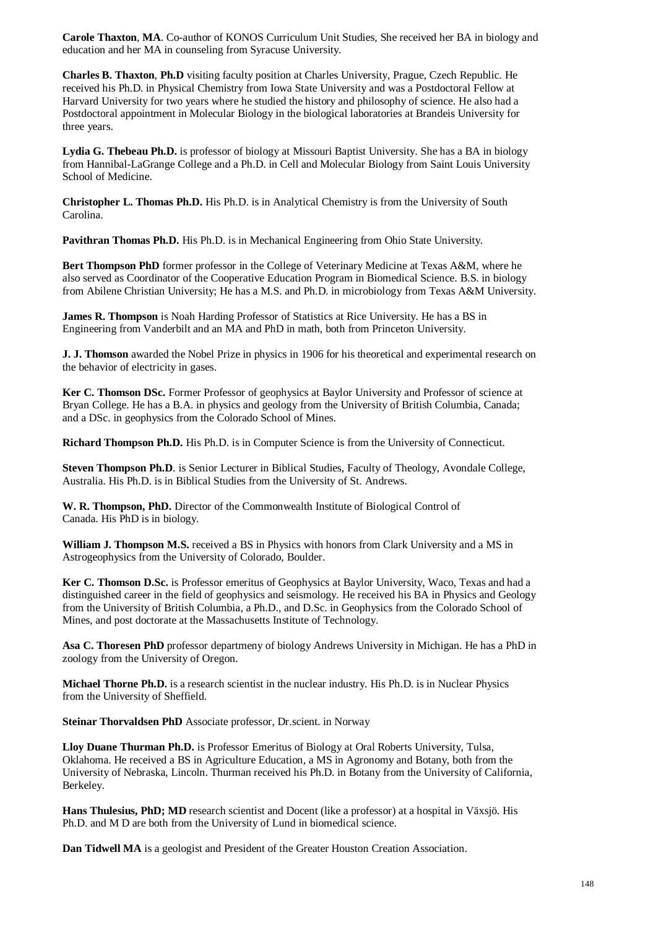**Carole Thaxton**, **MA**. Co-author of KONOS Curriculum Unit Studies, She received her BA in biology and education and her MA in counseling from Syracuse University.

**Charles B. Thaxton**, **Ph.D** visiting faculty position at Charles University, Prague, Czech Republic. He received his Ph.D. in Physical Chemistry from Iowa State University and was a Postdoctoral Fellow at Harvard University for two years where he studied the history and philosophy of science. He also had a Postdoctoral appointment in Molecular Biology in the biological laboratories at Brandeis University for three years.

**Lydia G. Thebeau Ph.D.** is professor of biology at Missouri Baptist University. She has a BA in biology from Hannibal-LaGrange College and a Ph.D. in Cell and Molecular Biology from Saint Louis University School of Medicine.

**Christopher L. Thomas Ph.D.** His Ph.D. is in Analytical Chemistry is from the University of South Carolina.

**Pavithran Thomas Ph.D.** His Ph.D. is in Mechanical Engineering from Ohio State University.

**Bert Thompson PhD** former professor in the College of Veterinary Medicine at Texas A&M, where he also served as Coordinator of the Cooperative Education Program in Biomedical Science. B.S. in biology from Abilene Christian University; He has a M.S. and Ph.D. in microbiology from Texas A&M University.

**James R. Thompson** is Noah Harding Professor of Statistics at Rice University. He has a BS in Engineering from Vanderbilt and an MA and PhD in math, both from Princeton University.

**J. J. Thomson** awarded the Nobel Prize in physics in 1906 for his theoretical and experimental research on the behavior of electricity in gases.

**Ker C. Thomson DSc.** Former Professor of geophysics at Baylor University and Professor of science at Bryan College. He has a B.A. in physics and geology from the University of British Columbia, Canada; and a DSc. in geophysics from the Colorado School of Mines.

**Richard Thompson Ph.D.** His Ph.D. is in Computer Science is from the University of Connecticut.

**Steven Thompson Ph.D**. is Senior Lecturer in Biblical Studies, Faculty of Theology, Avondale College, Australia. His Ph.D. is in Biblical Studies from the University of St. Andrews.

**W. R. Thompson, PhD.** Director of the Commonwealth Institute of Biological Control of Canada. His PhD is in biology.

**William J. Thompson M.S.** received a BS in Physics with honors from Clark University and a MS in Astrogeophysics from the University of Colorado, Boulder.

**Ker C. Thomson D.Sc.** is Professor emeritus of Geophysics at Baylor University, Waco, Texas and had a distinguished career in the field of geophysics and seismology. He received his BA in Physics and Geology from the University of British Columbia, a Ph.D., and D.Sc. in Geophysics from the Colorado School of Mines, and post doctorate at the Massachusetts Institute of Technology.

**Asa C. Thoresen PhD** professor departmeny of biology Andrews University in Michigan. He has a PhD in zoology from the University of Oregon.

**Michael Thorne Ph.D.** is a research scientist in the nuclear industry. His Ph.D. is in Nuclear Physics from the University of Sheffield.

**Steinar Thorvaldsen PhD** Associate professor, Dr.scient. in Norway

**Lloy Duane Thurman Ph.D.** is Professor Emeritus of Biology at Oral Roberts University, Tulsa, Oklahoma. He received a BS in Agriculture Education, a MS in Agronomy and Botany, both from the University of Nebraska, Lincoln. Thurman received his Ph.D. in Botany from the University of California, Berkeley.

**Hans Thulesius, PhD; MD** research scientist and Docent (like a professor) at a hospital in Växsjö. His Ph.D. and M D are both from the University of Lund in biomedical science.

**Dan Tidwell MA** is a geologist and President of the Greater Houston Creation Association.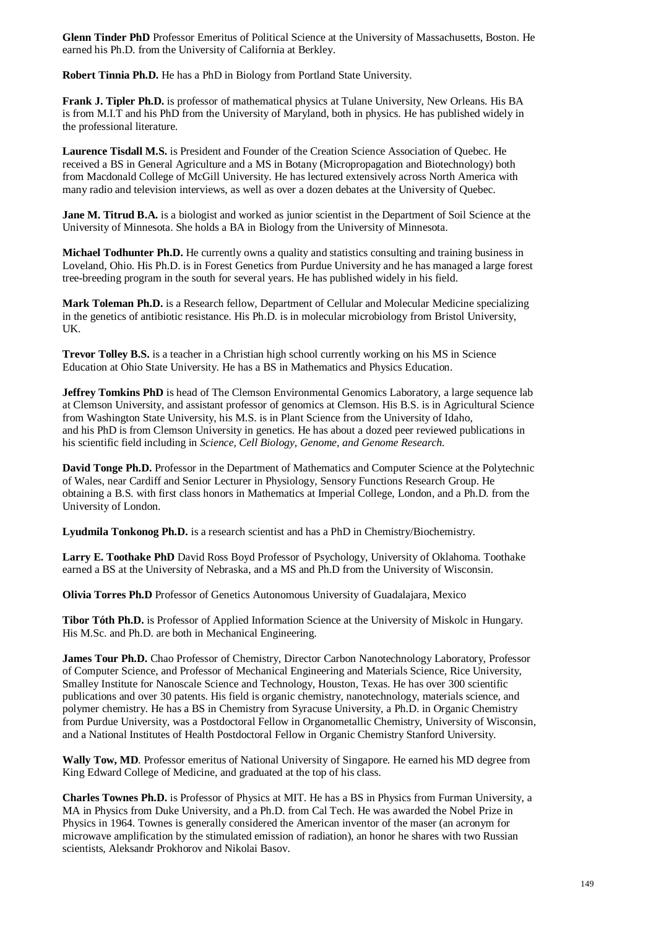**Glenn Tinder PhD** Professor Emeritus of Political Science at the University of Massachusetts, Boston. He earned his Ph.D. from the University of California at Berkley.

**Robert Tinnia Ph.D.** He has a PhD in Biology from Portland State University.

**Frank J. Tipler Ph.D.** is professor of mathematical physics at Tulane University, New Orleans. His BA is from M.I.T and his PhD from the University of Maryland, both in physics. He has published widely in the professional literature.

**Laurence Tisdall M.S.** is President and Founder of the Creation Science Association of Quebec. He received a BS in General Agriculture and a MS in Botany (Micropropagation and Biotechnology) both from Macdonald College of McGill University. He has lectured extensively across North America with many radio and television interviews, as well as over a dozen debates at the University of Quebec.

**Jane M. Titrud B.A.** is a biologist and worked as junior scientist in the Department of Soil Science at the University of Minnesota. She holds a BA in Biology from the University of Minnesota.

**Michael Todhunter Ph.D.** He currently owns a quality and statistics consulting and training business in Loveland, Ohio. His Ph.D. is in Forest Genetics from Purdue University and he has managed a large forest tree-breeding program in the south for several years. He has published widely in his field.

**Mark Toleman Ph.D.** is a Research fellow, Department of Cellular and Molecular Medicine specializing in the genetics of antibiotic resistance. His Ph.D. is in molecular microbiology from Bristol University, UK.

**Trevor Tolley B.S.** is a teacher in a Christian high school currently working on his MS in Science Education at Ohio State University. He has a BS in Mathematics and Physics Education.

**Jeffrey Tomkins PhD** is head of The Clemson Environmental Genomics Laboratory, a large sequence lab at Clemson University, and assistant professor of genomics at Clemson. His B.S. is in Agricultural Science from Washington State University, his M.S. is in Plant Science from the University of Idaho, and his PhD is from Clemson University in genetics. He has about a dozed peer reviewed publications in his scientific field including in *Science, Cell Biology, Genome, and Genome Research.*

**David Tonge Ph.D.** Professor in the Department of Mathematics and Computer Science at the Polytechnic of Wales, near Cardiff and Senior Lecturer in Physiology, Sensory Functions Research Group. He obtaining a B.S. with first class honors in Mathematics at Imperial College, London, and a Ph.D. from the University of London.

**Lyudmila Tonkonog Ph.D.** is a research scientist and has a PhD in Chemistry/Biochemistry.

**Larry E. Toothake PhD** David Ross Boyd Professor of Psychology, University of Oklahoma. Toothake earned a BS at the University of Nebraska, and a MS and Ph.D from the University of Wisconsin.

**Olivia Torres Ph.D** Professor of Genetics Autonomous University of Guadalajara, Mexico

**Tibor Tóth Ph.D.** is Professor of Applied Information Science at the University of Miskolc in Hungary. His M.Sc. and Ph.D. are both in Mechanical Engineering.

**James Tour Ph.D.** Chao Professor of Chemistry, Director Carbon Nanotechnology Laboratory, Professor of Computer Science, and Professor of Mechanical Engineering and Materials Science, Rice University, Smalley Institute for Nanoscale Science and Technology, Houston, Texas. He has over 300 scientific publications and over 30 patents. His field is organic chemistry, nanotechnology, materials science, and polymer chemistry. He has a BS in Chemistry from Syracuse University, a Ph.D. in Organic Chemistry from Purdue University, was a Postdoctoral Fellow in Organometallic Chemistry, University of Wisconsin, and a National Institutes of Health Postdoctoral Fellow in Organic Chemistry Stanford University.

**Wally Tow, MD**. Professor emeritus of National University of Singapore. He earned his MD degree from King Edward College of Medicine, and graduated at the top of his class.

**Charles Townes Ph.D.** is Professor of Physics at MIT. He has a BS in Physics from Furman University, a MA in Physics from Duke University, and a Ph.D. from Cal Tech. He was awarded the Nobel Prize in Physics in 1964. Townes is generally considered the American inventor of the maser (an acronym for microwave amplification by the stimulated emission of radiation), an honor he shares with two Russian scientists, Aleksandr Prokhorov and Nikolai Basov.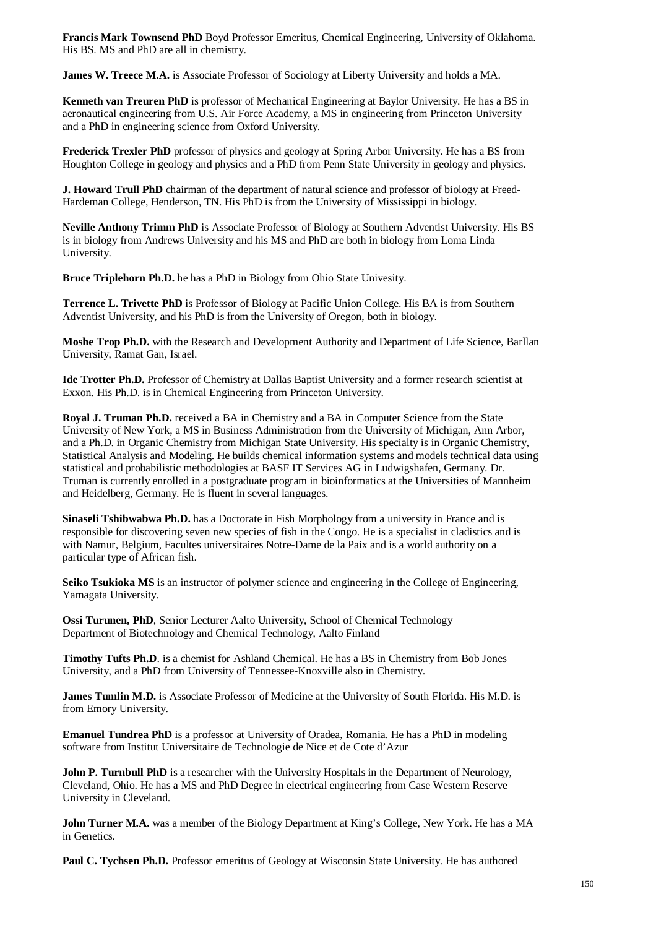**Francis Mark Townsend PhD** Boyd Professor Emeritus, Chemical Engineering, University of Oklahoma. His BS. MS and PhD are all in chemistry.

**James W. Treece M.A.** is Associate Professor of Sociology at Liberty University and holds a MA.

**Kenneth van Treuren PhD** is professor of Mechanical Engineering at Baylor University. He has a BS in aeronautical engineering from U.S. Air Force Academy, a MS in engineering from Princeton University and a PhD in engineering science from Oxford University.

**Frederick Trexler PhD** professor of physics and geology at Spring Arbor University. He has a BS from Houghton College in geology and physics and a PhD from Penn State University in geology and physics.

**J. Howard Trull PhD** chairman of the department of natural science and professor of biology at Freed-Hardeman College, Henderson, TN. His PhD is from the University of Mississippi in biology.

**Neville Anthony Trimm PhD** is Associate Professor of Biology at Southern Adventist University. His BS is in biology from Andrews University and his MS and PhD are both in biology from Loma Linda University.

**Bruce Triplehorn Ph.D.** he has a PhD in Biology from Ohio State Univesity.

**Terrence L. Trivette PhD** is Professor of Biology at Pacific Union College. His BA is from Southern Adventist University, and his PhD is from the University of Oregon, both in biology.

**Moshe Trop Ph.D.** with the Research and Development Authority and Department of Life Science, Barllan University, Ramat Gan, Israel.

**Ide Trotter Ph.D.** Professor of Chemistry at Dallas Baptist University and a former research scientist at Exxon. His Ph.D. is in Chemical Engineering from Princeton University.

**Royal J. Truman Ph.D.** received a BA in Chemistry and a BA in Computer Science from the State University of New York, a MS in Business Administration from the University of Michigan, Ann Arbor, and a Ph.D. in Organic Chemistry from Michigan State University. His specialty is in Organic Chemistry, Statistical Analysis and Modeling. He builds chemical information systems and models technical data using statistical and probabilistic methodologies at BASF IT Services AG in Ludwigshafen, Germany. Dr. Truman is currently enrolled in a postgraduate program in bioinformatics at the Universities of Mannheim and Heidelberg, Germany. He is fluent in several languages.

**Sinaseli Tshibwabwa Ph.D.** has a Doctorate in Fish Morphology from a university in France and is responsible for discovering seven new species of fish in the Congo. He is a specialist in cladistics and is with Namur, Belgium, Facultes universitaires Notre-Dame de la Paix and is a world authority on a particular type of African fish.

**Seiko Tsukioka MS** is an instructor of polymer science and engineering in the College of Engineering, Yamagata University.

**Ossi Turunen, PhD**, Senior Lecturer Aalto University, School of Chemical Technology Department of Biotechnology and Chemical Technology, Aalto Finland

**Timothy Tufts Ph.D**. is a chemist for Ashland Chemical. He has a BS in Chemistry from Bob Jones University, and a PhD from University of Tennessee-Knoxville also in Chemistry.

**James Tumlin M.D.** is Associate Professor of Medicine at the University of South Florida. His M.D. is from Emory University.

**Emanuel Tundrea PhD** is a professor at University of Oradea, Romania. He has a PhD in modeling software from Institut Universitaire de Technologie de Nice et de Cote d'Azur

**John P. Turnbull PhD** is a researcher with the University Hospitals in the Department of Neurology, Cleveland, Ohio. He has a MS and PhD Degree in electrical engineering from Case Western Reserve University in Cleveland.

**John Turner M.A.** was a member of the Biology Department at King's College, New York. He has a MA in Genetics.

Paul C. Tychsen Ph.D. Professor emeritus of Geology at Wisconsin State University. He has authored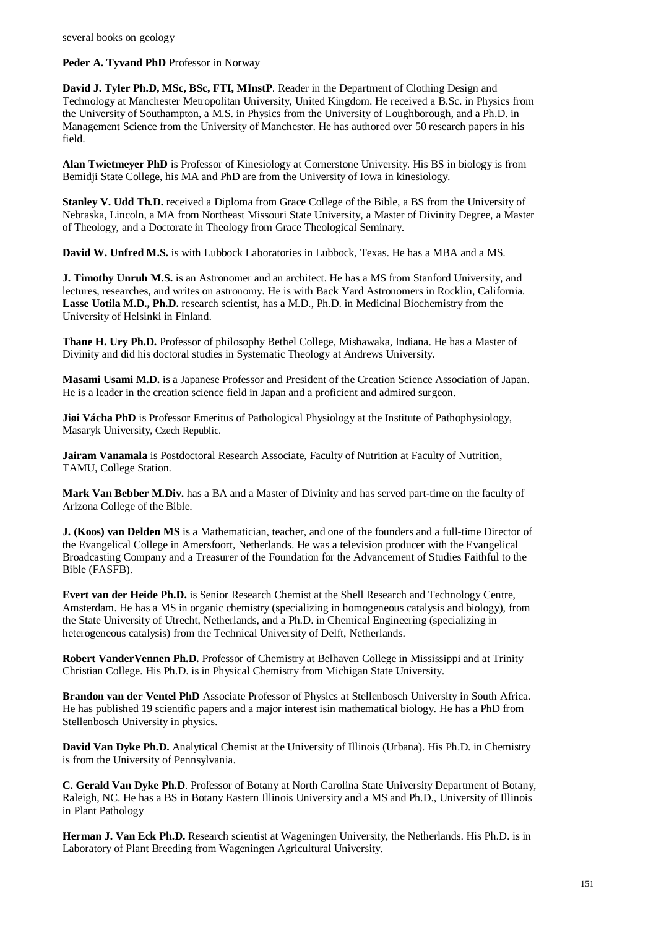**Peder A. Tyvand PhD** Professor in Norway

**David J. Tyler Ph.D, MSc, BSc, FTI, MInstP**. Reader in the Department of Clothing Design and Technology at Manchester Metropolitan University, United Kingdom. He received a B.Sc. in Physics from the University of Southampton, a M.S. in Physics from the University of Loughborough, and a Ph.D. in Management Science from the University of Manchester. He has authored over 50 research papers in his field.

**Alan Twietmeyer PhD** is Professor of Kinesiology at Cornerstone University. His BS in biology is from Bemidji State College, his MA and PhD are from the University of Iowa in kinesiology.

**Stanley V. Udd Th.D.** received a Diploma from Grace College of the Bible, a BS from the University of Nebraska, Lincoln, a MA from Northeast Missouri State University, a Master of Divinity Degree, a Master of Theology, and a Doctorate in Theology from Grace Theological Seminary.

**David W. Unfred M.S.** is with Lubbock Laboratories in Lubbock, Texas. He has a MBA and a MS.

**J. Timothy Unruh M.S.** is an Astronomer and an architect. He has a MS from Stanford University, and lectures, researches, and writes on astronomy. He is with Back Yard Astronomers in Rocklin, California. **Lasse Uotila M.D., Ph.D.** research scientist, has a M.D., Ph.D. in Medicinal Biochemistry from the University of Helsinki in Finland.

**Thane H. Ury Ph.D.** Professor of philosophy Bethel College, Mishawaka, Indiana. He has a Master of Divinity and did his doctoral studies in Systematic Theology at Andrews University.

**Masami Usami M.D.** is a Japanese Professor and President of the Creation Science Association of Japan. He is a leader in the creation science field in Japan and a proficient and admired surgeon.

**Jiøi Vácha PhD** is Professor Emeritus of Pathological Physiology at the Institute of Pathophysiology, Masaryk University, Czech Republic.

**Jairam Vanamala** is Postdoctoral Research Associate, Faculty of Nutrition at Faculty of Nutrition, TAMU, College Station.

**Mark Van Bebber M.Div.** has a BA and a Master of Divinity and has served part-time on the faculty of Arizona College of the Bible.

**J. (Koos) van Delden MS** is a Mathematician, teacher, and one of the founders and a full-time Director of the Evangelical College in Amersfoort, Netherlands. He was a television producer with the Evangelical Broadcasting Company and a Treasurer of the Foundation for the Advancement of Studies Faithful to the Bible (FASFB).

**Evert van der Heide Ph.D.** is Senior Research Chemist at the Shell Research and Technology Centre, Amsterdam. He has a MS in organic chemistry (specializing in homogeneous catalysis and biology), from the State University of Utrecht, Netherlands, and a Ph.D. in Chemical Engineering (specializing in heterogeneous catalysis) from the Technical University of Delft, Netherlands.

**Robert VanderVennen Ph.D.** Professor of Chemistry at Belhaven College in Mississippi and at Trinity Christian College. His Ph.D. is in Physical Chemistry from Michigan State University.

**Brandon van der Ventel PhD** Associate Professor of Physics at Stellenbosch University in South Africa. He has published 19 scientific papers and a major interest isin mathematical biology. He has a PhD from Stellenbosch University in physics.

**David Van Dyke Ph.D.** Analytical Chemist at the University of Illinois (Urbana). His Ph.D. in Chemistry is from the University of Pennsylvania.

**C. Gerald Van Dyke Ph.D**. Professor of Botany at North Carolina State University Department of Botany, Raleigh, NC. He has a BS in Botany Eastern Illinois University and a MS and Ph.D., University of Illinois in Plant Pathology

**Herman J. Van Eck Ph.D.** Research scientist at Wageningen University, the Netherlands. His Ph.D. is in Laboratory of Plant Breeding from Wageningen Agricultural University.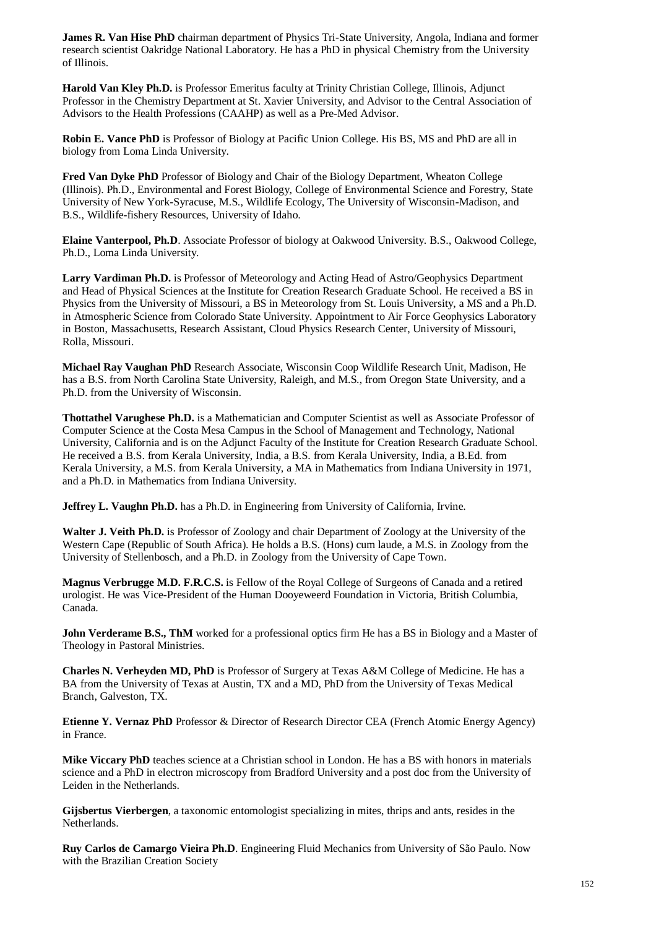**James R. Van Hise PhD** chairman department of Physics Tri-State University, Angola, Indiana and former research scientist Oakridge National Laboratory. He has a PhD in physical Chemistry from the University of Illinois.

**Harold Van Kley Ph.D.** is Professor Emeritus faculty at Trinity Christian College, Illinois, Adjunct Professor in the Chemistry Department at St. Xavier University, and Advisor to the Central Association of Advisors to the Health Professions (CAAHP) as well as a Pre-Med Advisor.

**Robin E. Vance PhD** is Professor of Biology at Pacific Union College. His BS, MS and PhD are all in biology from Loma Linda University.

**Fred Van Dyke PhD** Professor of Biology and Chair of the Biology Department, Wheaton College (Illinois). Ph.D., Environmental and Forest Biology, College of Environmental Science and Forestry, State University of New York-Syracuse, M.S., Wildlife Ecology, The University of Wisconsin-Madison, and B.S., Wildlife-fishery Resources, University of Idaho.

**Elaine Vanterpool, Ph.D**. Associate Professor of biology at Oakwood University. B.S., Oakwood College, Ph.D., Loma Linda University.

**Larry Vardiman Ph.D.** is Professor of Meteorology and Acting Head of Astro/Geophysics Department and Head of Physical Sciences at the Institute for Creation Research Graduate School. He received a BS in Physics from the University of Missouri, a BS in Meteorology from St. Louis University, a MS and a Ph.D. in Atmospheric Science from Colorado State University. Appointment to Air Force Geophysics Laboratory in Boston, Massachusetts, Research Assistant, Cloud Physics Research Center, University of Missouri, Rolla, Missouri.

**Michael Ray Vaughan PhD** Research Associate, Wisconsin Coop Wildlife Research Unit, Madison, He has a B.S. from North Carolina State University, Raleigh, and M.S., from Oregon State University, and a Ph.D. from the University of Wisconsin.

**Thottathel Varughese Ph.D.** is a Mathematician and Computer Scientist as well as Associate Professor of Computer Science at the Costa Mesa Campus in the School of Management and Technology, National University, California and is on the Adjunct Faculty of the Institute for Creation Research Graduate School. He received a B.S. from Kerala University, India, a B.S. from Kerala University, India, a B.Ed. from Kerala University, a M.S. from Kerala University, a MA in Mathematics from Indiana University in 1971, and a Ph.D. in Mathematics from Indiana University.

**Jeffrey L. Vaughn Ph.D.** has a Ph.D. in Engineering from University of California, Irvine.

**Walter J. Veith Ph.D.** is Professor of Zoology and chair Department of Zoology at the University of the Western Cape (Republic of South Africa). He holds a B.S. (Hons) cum laude, a M.S. in Zoology from the University of Stellenbosch, and a Ph.D. in Zoology from the University of Cape Town.

**Magnus Verbrugge M.D. F.R.C.S.** is Fellow of the Royal College of Surgeons of Canada and a retired urologist. He was Vice-President of the Human Dooyeweerd Foundation in Victoria, British Columbia, Canada.

**John Verderame B.S., ThM** worked for a professional optics firm He has a BS in Biology and a Master of Theology in Pastoral Ministries.

**Charles N. Verheyden MD, PhD** is Professor of Surgery at Texas A&M College of Medicine. He has a BA from the University of Texas at Austin, TX and a MD, PhD from the University of Texas Medical Branch, Galveston, TX.

**Etienne Y. Vernaz PhD** Professor & Director of Research Director CEA (French Atomic Energy Agency) in France.

**Mike Viccary PhD** teaches science at a Christian school in London. He has a BS with honors in materials science and a PhD in electron microscopy from Bradford University and a post doc from the University of Leiden in the Netherlands.

**Gijsbertus Vierbergen**, a taxonomic entomologist specializing in mites, thrips and ants, resides in the Netherlands.

**Ruy Carlos de Camargo Vieira Ph.D**. Engineering Fluid Mechanics from University of São Paulo. Now with the Brazilian Creation Society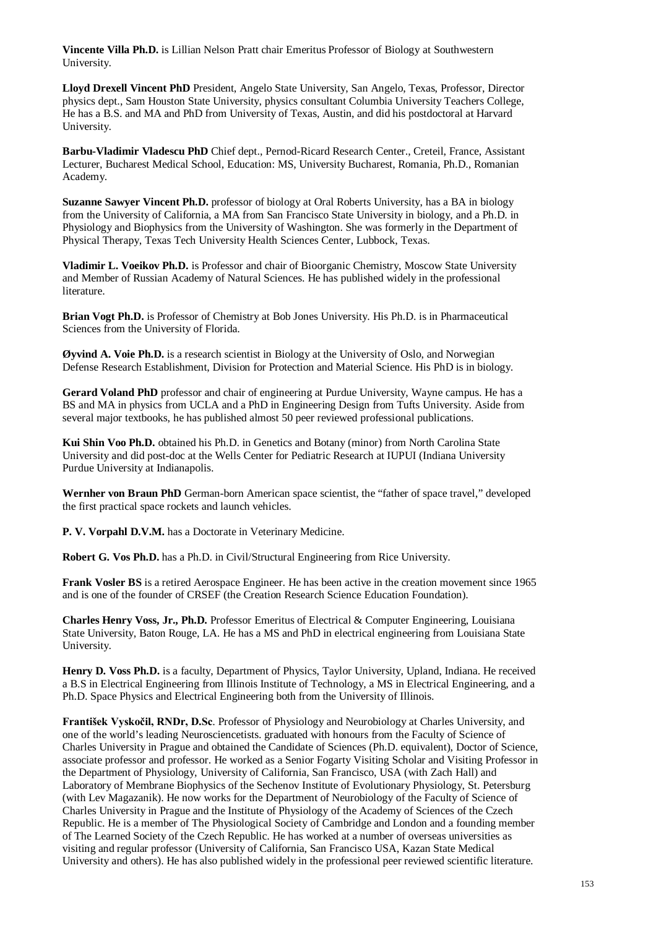**Vincente Villa Ph.D.** is Lillian Nelson Pratt chair Emeritus Professor of Biology at Southwestern University.

**Lloyd Drexell Vincent PhD** President, Angelo State University, San Angelo, Texas, Professor, Director physics dept., Sam Houston State University, physics consultant Columbia University Teachers College, He has a B.S. and MA and PhD from University of Texas, Austin, and did his postdoctoral at Harvard University.

**Barbu-Vladimir Vladescu PhD** Chief dept., Pernod-Ricard Research Center., Creteil, France, Assistant Lecturer, Bucharest Medical School, Education: MS, University Bucharest, Romania, Ph.D., Romanian Academy.

**Suzanne Sawyer Vincent Ph.D.** professor of biology at Oral Roberts University, has a BA in biology from the University of California, a MA from San Francisco State University in biology, and a Ph.D. in Physiology and Biophysics from the University of Washington. She was formerly in the Department of Physical Therapy, Texas Tech University Health Sciences Center, Lubbock, Texas.

**Vladimir L. Voeikov Ph.D.** is Professor and chair of Bioorganic Chemistry, Moscow State University and Member of Russian Academy of Natural Sciences. He has published widely in the professional literature.

**Brian Vogt Ph.D.** is Professor of Chemistry at Bob Jones University. His Ph.D. is in Pharmaceutical Sciences from the University of Florida.

**Øyvind A. Voie Ph.D.** is a research scientist in Biology at the University of Oslo, and Norwegian Defense Research Establishment, Division for Protection and Material Science. His PhD is in biology.

**Gerard Voland PhD** professor and chair of engineering at Purdue University, Wayne campus. He has a BS and MA in physics from UCLA and a PhD in Engineering Design from Tufts University. Aside from several major textbooks, he has published almost 50 peer reviewed professional publications.

**Kui Shin Voo Ph.D.** obtained his Ph.D. in Genetics and Botany (minor) from North Carolina State University and did post-doc at the Wells Center for Pediatric Research at IUPUI (Indiana University Purdue University at Indianapolis.

**Wernher von Braun PhD** German-born American space scientist, the "father of space travel," developed the first practical space rockets and launch vehicles.

**P. V. Vorpahl D.V.M.** has a Doctorate in Veterinary Medicine.

**Robert G. Vos Ph.D.** has a Ph.D. in Civil/Structural Engineering from Rice University.

**Frank Vosler BS** is a retired Aerospace Engineer. He has been active in the creation movement since 1965 and is one of the founder of CRSEF (the Creation Research Science Education Foundation).

**Charles Henry Voss, Jr., Ph.D.** Professor Emeritus of Electrical & Computer Engineering, Louisiana State University, Baton Rouge, LA. He has a MS and PhD in electrical engineering from Louisiana State University.

**Henry D. Voss Ph.D.** is a faculty, Department of Physics, Taylor University, Upland, Indiana. He received a B.S in Electrical Engineering from Illinois Institute of Technology, a MS in Electrical Engineering, and a Ph.D. Space Physics and Electrical Engineering both from the University of Illinois.

**František Vyskočil, RNDr, D.Sc**. Professor of Physiology and Neurobiology at Charles University, and one of the world's leading Neurosciencetists. graduated with honours from the Faculty of Science of Charles University in Prague and obtained the Candidate of Sciences (Ph.D. equivalent), Doctor of Science, associate professor and professor. He worked as a Senior Fogarty Visiting Scholar and Visiting Professor in the Department of Physiology, University of California, San Francisco, USA (with Zach Hall) and Laboratory of Membrane Biophysics of the Sechenov Institute of Evolutionary Physiology, St. Petersburg (with Lev Magazanik). He now works for the Department of Neurobiology of the Faculty of Science of Charles University in Prague and the Institute of Physiology of the Academy of Sciences of the Czech Republic. He is a member of The Physiological Society of Cambridge and London and a founding member of The Learned Society of the Czech Republic. He has worked at a number of overseas universities as visiting and regular professor (University of California, San Francisco USA, Kazan State Medical University and others). He has also published widely in the professional peer reviewed scientific literature.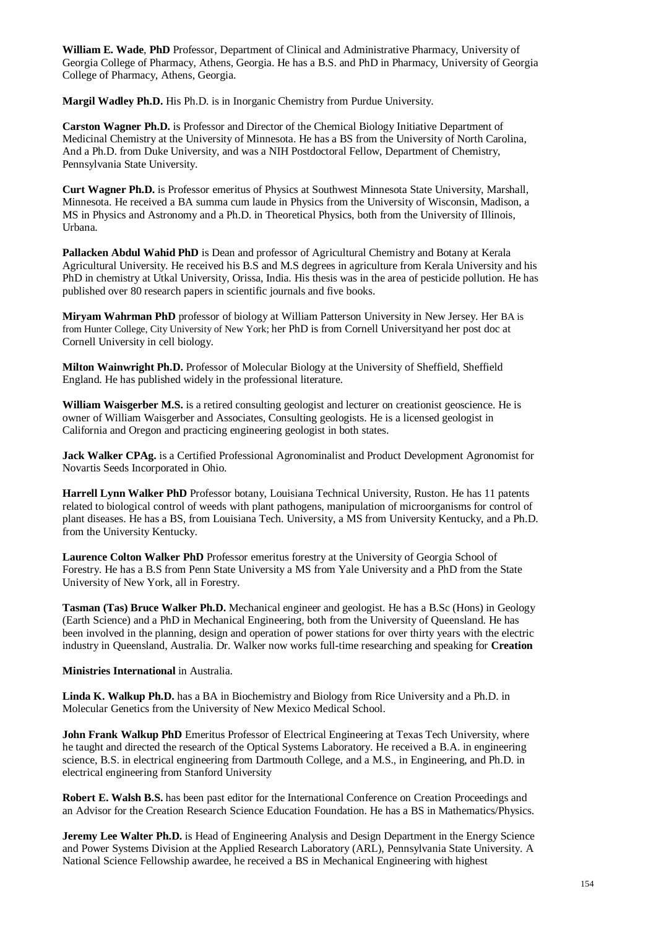**William E. Wade**, **PhD** Professor, Department of Clinical and Administrative Pharmacy, University of Georgia College of Pharmacy, Athens, Georgia. He has a B.S. and PhD in Pharmacy, University of Georgia College of Pharmacy, Athens, Georgia.

**Margil Wadley Ph.D.** His Ph.D. is in Inorganic Chemistry from Purdue University.

**Carston Wagner Ph.D.** is Professor and Director of the Chemical Biology Initiative Department of Medicinal Chemistry at the University of Minnesota. He has a BS from the University of North Carolina, And a Ph.D. from Duke University, and was a NIH Postdoctoral Fellow, Department of Chemistry, Pennsylvania State University.

**Curt Wagner Ph.D.** is Professor emeritus of Physics at Southwest Minnesota State University, Marshall, Minnesota. He received a BA summa cum laude in Physics from the University of Wisconsin, Madison, a MS in Physics and Astronomy and a Ph.D. in Theoretical Physics, both from the University of Illinois, Urbana.

**Pallacken Abdul Wahid PhD** is Dean and professor of Agricultural Chemistry and Botany at Kerala Agricultural University. He received his B.S and M.S degrees in agriculture from Kerala University and his PhD in chemistry at Utkal University, Orissa, India. His thesis was in the area of pesticide pollution. He has published over 80 research papers in scientific journals and five books.

**Miryam Wahrman PhD** professor of biology at William Patterson University in New Jersey. Her BA is from Hunter College, City University of New York; her PhD is from Cornell Universityand her post doc at Cornell University in cell biology.

**Milton Wainwright Ph.D.** Professor of Molecular Biology at the University of Sheffield, Sheffield England. He has published widely in the professional literature.

**William Waisgerber M.S.** is a retired consulting geologist and lecturer on creationist geoscience. He is owner of William Waisgerber and Associates, Consulting geologists. He is a licensed geologist in California and Oregon and practicing engineering geologist in both states.

**Jack Walker CPAg.** is a Certified Professional Agronominalist and Product Development Agronomist for Novartis Seeds Incorporated in Ohio.

**Harrell Lynn Walker PhD** Professor botany, Louisiana Technical University, Ruston. He has 11 patents related to biological control of weeds with plant pathogens, manipulation of microorganisms for control of plant diseases. He has a BS, from Louisiana Tech. University, a MS from University Kentucky, and a Ph.D. from the University Kentucky.

**Laurence Colton Walker PhD** Professor emeritus forestry at the University of Georgia School of Forestry. He has a B.S from Penn State University a MS from Yale University and a PhD from the State University of New York, all in Forestry.

**Tasman (Tas) Bruce Walker Ph.D.** Mechanical engineer and geologist. He has a B.Sc (Hons) in Geology (Earth Science) and a PhD in Mechanical Engineering, both from the University of Queensland. He has been involved in the planning, design and operation of power stations for over thirty years with the electric industry in Queensland, Australia. Dr. Walker now works full-time researching and speaking for **Creation**

## **Ministries International** in Australia.

**Linda K. Walkup Ph.D.** has a BA in Biochemistry and Biology from Rice University and a Ph.D. in Molecular Genetics from the University of New Mexico Medical School.

**John Frank Walkup PhD** Emeritus Professor of Electrical Engineering at Texas Tech University, where he taught and directed the research of the Optical Systems Laboratory. He received a B.A. in engineering science, B.S. in electrical engineering from Dartmouth College, and a M.S., in Engineering, and Ph.D. in electrical engineering from Stanford University

**Robert E. Walsh B.S.** has been past editor for the International Conference on Creation Proceedings and an Advisor for the Creation Research Science Education Foundation. He has a BS in Mathematics/Physics.

**Jeremy Lee Walter Ph.D.** is Head of Engineering Analysis and Design Department in the Energy Science and Power Systems Division at the Applied Research Laboratory (ARL), Pennsylvania State University. A National Science Fellowship awardee, he received a BS in Mechanical Engineering with highest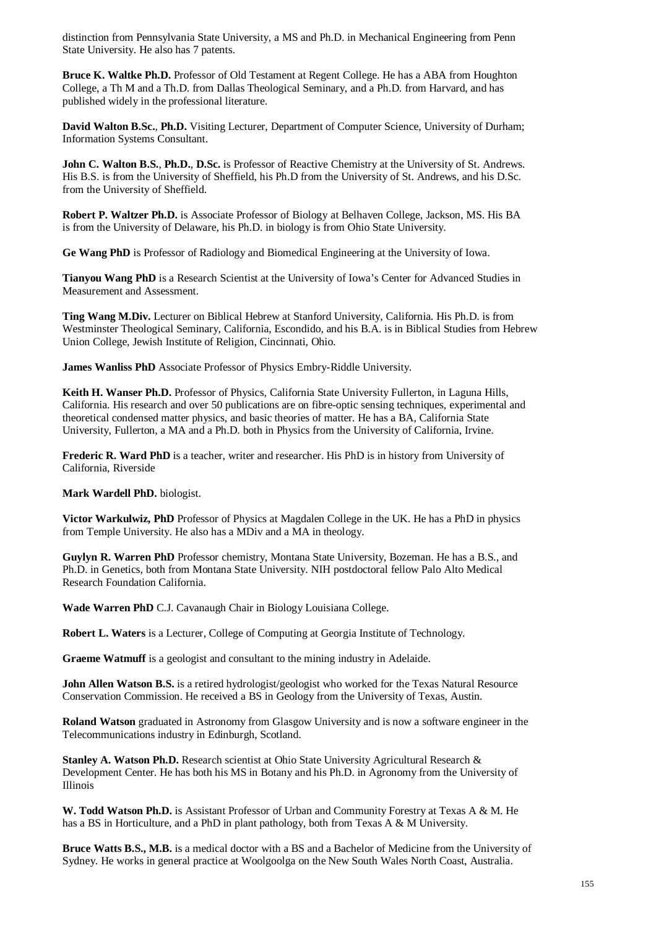distinction from Pennsylvania State University, a MS and Ph.D. in Mechanical Engineering from Penn State University. He also has 7 patents.

**Bruce K. Waltke Ph.D.** Professor of Old Testament at Regent College. He has a ABA from Houghton College, a Th M and a Th.D. from Dallas Theological Seminary, and a Ph.D. from Harvard, and has published widely in the professional literature.

**David Walton B.Sc.**, **Ph.D.** Visiting Lecturer, Department of Computer Science, University of Durham; Information Systems Consultant.

**John C. Walton B.S.**, **Ph.D.**, **D.Sc.** is Professor of Reactive Chemistry at the University of St. Andrews. His B.S. is from the University of Sheffield, his Ph.D from the University of St. Andrews, and his D.Sc. from the University of Sheffield.

**Robert P. Waltzer Ph.D.** is Associate Professor of Biology at Belhaven College, Jackson, MS. His BA is from the University of Delaware, his Ph.D. in biology is from Ohio State University.

**Ge Wang PhD** is Professor of Radiology and Biomedical Engineering at the University of Iowa.

**Tianyou Wang PhD** is a Research Scientist at the University of Iowa's Center for Advanced Studies in Measurement and Assessment.

**Ting Wang M.Div.** Lecturer on Biblical Hebrew at Stanford University, California. His Ph.D. is from Westminster Theological Seminary, California, Escondido, and his B.A. is in Biblical Studies from Hebrew Union College, Jewish Institute of Religion, Cincinnati, Ohio.

**James Wanliss PhD** Associate Professor of Physics Embry-Riddle University.

**Keith H. Wanser Ph.D.** Professor of Physics, California State University Fullerton, in Laguna Hills, California. His research and over 50 publications are on fibre-optic sensing techniques, experimental and theoretical condensed matter physics, and basic theories of matter. He has a BA, California State University, Fullerton, a MA and a Ph.D. both in Physics from the University of California, Irvine.

**Frederic R. Ward PhD** is a teacher, writer and researcher. His PhD is in history from University of California, Riverside

**Mark Wardell PhD.** biologist.

**Victor Warkulwiz, PhD** Professor of Physics at Magdalen College in the UK. He has a PhD in physics from Temple University. He also has a MDiv and a MA in theology.

**Guylyn R. Warren PhD** Professor chemistry, Montana State University, Bozeman. He has a B.S., and Ph.D. in Genetics, both from Montana State University. NIH postdoctoral fellow Palo Alto Medical Research Foundation California.

**Wade Warren PhD** C.J. Cavanaugh Chair in Biology Louisiana College.

**Robert L. Waters** is a Lecturer, College of Computing at Georgia Institute of Technology.

**Graeme Watmuff** is a geologist and consultant to the mining industry in Adelaide.

**John Allen Watson B.S.** is a retired hydrologist/geologist who worked for the Texas Natural Resource Conservation Commission. He received a BS in Geology from the University of Texas, Austin.

**Roland Watson** graduated in Astronomy from Glasgow University and is now a software engineer in the Telecommunications industry in Edinburgh, Scotland.

**Stanley A. Watson Ph.D.** Research scientist at Ohio State University Agricultural Research & Development Center. He has both his MS in Botany and his Ph.D. in Agronomy from the University of Illinois

**W. Todd Watson Ph.D.** is Assistant Professor of Urban and Community Forestry at Texas A & M. He has a BS in Horticulture, and a PhD in plant pathology, both from Texas A & M University.

**Bruce Watts B.S., M.B.** is a medical doctor with a BS and a Bachelor of Medicine from the University of Sydney. He works in general practice at Woolgoolga on the New South Wales North Coast, Australia.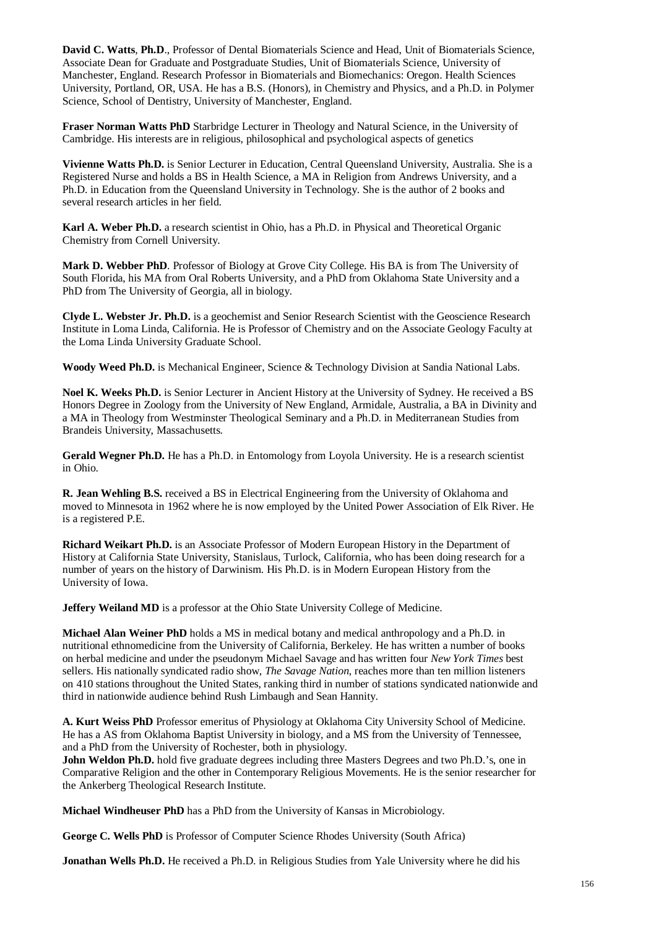**David C. Watts**, **Ph.D**., Professor of Dental Biomaterials Science and Head, Unit of Biomaterials Science, Associate Dean for Graduate and Postgraduate Studies, Unit of Biomaterials Science, University of Manchester, England. Research Professor in Biomaterials and Biomechanics: Oregon. Health Sciences University, Portland, OR, USA. He has a B.S. (Honors), in Chemistry and Physics, and a Ph.D. in Polymer Science, School of Dentistry, University of Manchester, England.

**Fraser Norman Watts PhD** Starbridge Lecturer in Theology and Natural Science, in the University of Cambridge. His interests are in religious, philosophical and psychological aspects of genetics

**Vivienne Watts Ph.D.** is Senior Lecturer in Education, Central Queensland University, Australia. She is a Registered Nurse and holds a BS in Health Science, a MA in Religion from Andrews University, and a Ph.D. in Education from the Queensland University in Technology. She is the author of 2 books and several research articles in her field.

**Karl A. Weber Ph.D.** a research scientist in Ohio, has a Ph.D. in Physical and Theoretical Organic Chemistry from Cornell University.

**Mark D. Webber PhD**. Professor of Biology at Grove City College. His BA is from The University of South Florida, his MA from Oral Roberts University, and a PhD from Oklahoma State University and a PhD from The University of Georgia, all in biology.

**Clyde L. Webster Jr. Ph.D.** is a geochemist and Senior Research Scientist with the Geoscience Research Institute in Loma Linda, California. He is Professor of Chemistry and on the Associate Geology Faculty at the Loma Linda University Graduate School.

**Woody Weed Ph.D.** is Mechanical Engineer, Science & Technology Division at Sandia National Labs.

**Noel K. Weeks Ph.D.** is Senior Lecturer in Ancient History at the University of Sydney. He received a BS Honors Degree in Zoology from the University of New England, Armidale, Australia, a BA in Divinity and a MA in Theology from Westminster Theological Seminary and a Ph.D. in Mediterranean Studies from Brandeis University, Massachusetts.

Gerald Wegner Ph.D. He has a Ph.D. in Entomology from Loyola University. He is a research scientist in Ohio.

**R. Jean Wehling B.S.** received a BS in Electrical Engineering from the University of Oklahoma and moved to Minnesota in 1962 where he is now employed by the United Power Association of Elk River. He is a registered P.E.

**Richard Weikart Ph.D.** is an Associate Professor of Modern European History in the Department of History at California State University, Stanislaus, Turlock, California, who has been doing research for a number of years on the history of Darwinism. His Ph.D. is in Modern European History from the University of Iowa.

**Jeffery Weiland MD** is a professor at the Ohio State University College of Medicine.

**Michael Alan Weiner PhD** holds a MS in medical botany and medical anthropology and a Ph.D. in nutritional ethnomedicine from the University of California, Berkeley. He has written a number of books on herbal medicine and under the pseudonym Michael Savage and has written four *New York Times* best sellers. His nationally syndicated radio show, *The Savage Nation*, reaches more than ten million listeners on 410 stations throughout the United States, ranking third in number of stations syndicated nationwide and third in nationwide audience behind Rush Limbaugh and Sean Hannity.

**A. Kurt Weiss PhD** Professor emeritus of Physiology at Oklahoma City University School of Medicine. He has a AS from Oklahoma Baptist University in biology, and a MS from the University of Tennessee, and a PhD from the University of Rochester, both in physiology.

**John Weldon Ph.D.** hold five graduate degrees including three Masters Degrees and two Ph.D.'s, one in Comparative Religion and the other in Contemporary Religious Movements. He is the senior researcher for the Ankerberg Theological Research Institute.

**Michael Windheuser PhD** has a PhD from the University of Kansas in Microbiology.

**George C. Wells PhD** is Professor of Computer Science Rhodes University (South Africa)

**Jonathan Wells Ph.D.** He received a Ph.D. in Religious Studies from Yale University where he did his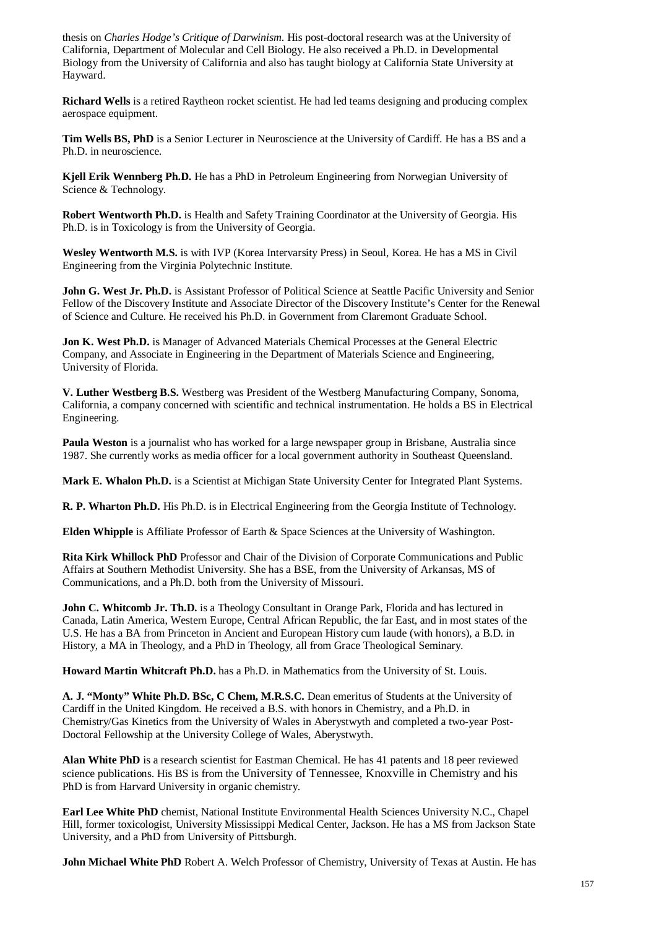thesis on *Charles Hodge's Critique of Darwinism*. His post-doctoral research was at the University of California, Department of Molecular and Cell Biology. He also received a Ph.D. in Developmental Biology from the University of California and also has taught biology at California State University at Hayward.

**Richard Wells** is a retired Raytheon rocket scientist. He had led teams designing and producing complex aerospace equipment.

**Tim Wells BS, PhD** is a Senior Lecturer in Neuroscience at the University of Cardiff. He has a BS and a Ph.D. in neuroscience.

**Kjell Erik Wennberg Ph.D.** He has a PhD in Petroleum Engineering from Norwegian University of Science & Technology.

**Robert Wentworth Ph.D.** is Health and Safety Training Coordinator at the University of Georgia. His Ph.D. is in Toxicology is from the University of Georgia.

**Wesley Wentworth M.S.** is with IVP (Korea Intervarsity Press) in Seoul, Korea. He has a MS in Civil Engineering from the Virginia Polytechnic Institute.

**John G. West Jr. Ph.D.** is Assistant Professor of Political Science at Seattle Pacific University and Senior Fellow of the Discovery Institute and Associate Director of the Discovery Institute's Center for the Renewal of Science and Culture. He received his Ph.D. in Government from Claremont Graduate School.

**Jon K. West Ph.D.** is Manager of Advanced Materials Chemical Processes at the General Electric Company, and Associate in Engineering in the Department of Materials Science and Engineering, University of Florida.

**V. Luther Westberg B.S.** Westberg was President of the Westberg Manufacturing Company, Sonoma, California, a company concerned with scientific and technical instrumentation. He holds a BS in Electrical Engineering.

**Paula Weston** is a journalist who has worked for a large newspaper group in Brisbane, Australia since 1987. She currently works as media officer for a local government authority in Southeast Queensland.

**Mark E. Whalon Ph.D.** is a Scientist at Michigan State University Center for Integrated Plant Systems.

**R. P. Wharton Ph.D.** His Ph.D. is in Electrical Engineering from the Georgia Institute of Technology.

**Elden Whipple** is Affiliate Professor of Earth & Space Sciences at the University of Washington.

**Rita Kirk Whillock PhD** Professor and Chair of the Division of Corporate Communications and Public Affairs at Southern Methodist University. She has a BSE, from the University of Arkansas, MS of Communications, and a Ph.D. both from the University of Missouri.

**John C. Whitcomb Jr. Th.D.** is a Theology Consultant in Orange Park, Florida and has lectured in Canada, Latin America, Western Europe, Central African Republic, the far East, and in most states of the U.S. He has a BA from Princeton in Ancient and European History cum laude (with honors), a B.D. in History, a MA in Theology, and a PhD in Theology, all from Grace Theological Seminary.

**Howard Martin Whitcraft Ph.D.** has a Ph.D. in Mathematics from the University of St. Louis.

**A. J. "Monty" White Ph.D. BSc, C Chem, M.R.S.C.** Dean emeritus of Students at the University of Cardiff in the United Kingdom. He received a B.S. with honors in Chemistry, and a Ph.D. in Chemistry/Gas Kinetics from the University of Wales in Aberystwyth and completed a two-year Post-Doctoral Fellowship at the University College of Wales, Aberystwyth.

**Alan White PhD** is a research scientist for Eastman Chemical. He has 41 patents and 18 peer reviewed science publications. His BS is from the University of Tennessee, Knoxville in Chemistry and his PhD is from Harvard University in organic chemistry.

**Earl Lee White PhD** chemist, National Institute Environmental Health Sciences University N.C., Chapel Hill, former toxicologist, University Mississippi Medical Center, Jackson. He has a MS from Jackson State University, and a PhD from University of Pittsburgh.

**John Michael White PhD** Robert A. Welch Professor of Chemistry, University of Texas at Austin. He has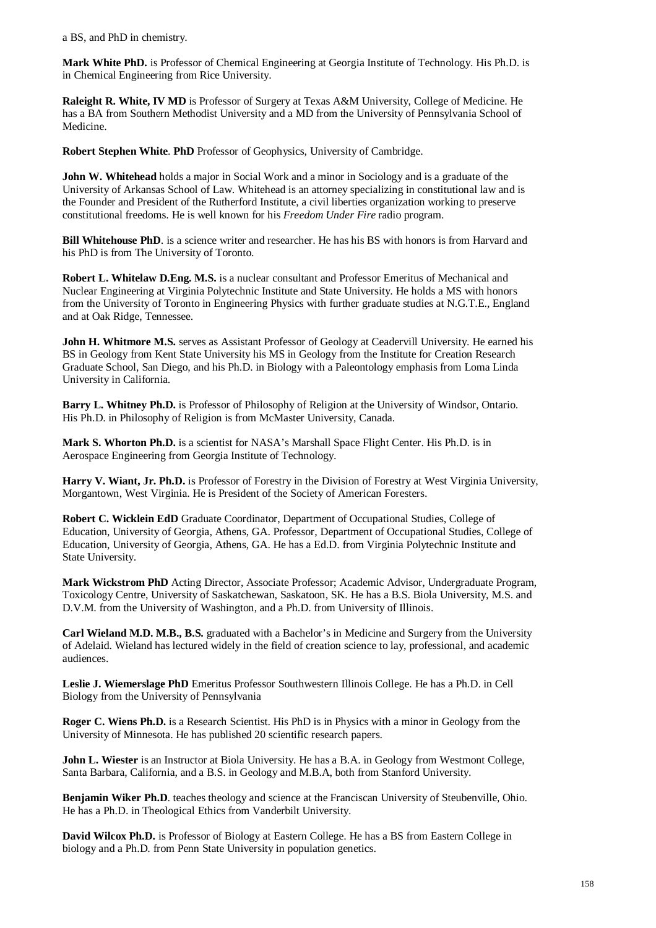a BS, and PhD in chemistry.

**Mark White PhD.** is Professor of Chemical Engineering at Georgia Institute of Technology. His Ph.D. is in Chemical Engineering from Rice University.

**Raleight R. White, IV MD** is Professor of Surgery at Texas A&M University, College of Medicine. He has a BA from Southern Methodist University and a MD from the University of Pennsylvania School of Medicine.

**Robert Stephen White**. **PhD** Professor of Geophysics, University of Cambridge.

**John W. Whitehead** holds a major in Social Work and a minor in Sociology and is a graduate of the University of Arkansas School of Law. Whitehead is an attorney specializing in constitutional law and is the Founder and President of the Rutherford Institute, a civil liberties organization working to preserve constitutional freedoms. He is well known for his *Freedom Under Fire* radio program.

**Bill Whitehouse PhD**. is a science writer and researcher. He has his BS with honors is from Harvard and his PhD is from The University of Toronto.

**Robert L. Whitelaw D.Eng. M.S.** is a nuclear consultant and Professor Emeritus of Mechanical and Nuclear Engineering at Virginia Polytechnic Institute and State University. He holds a MS with honors from the University of Toronto in Engineering Physics with further graduate studies at N.G.T.E., England and at Oak Ridge, Tennessee.

**John H. Whitmore M.S.** serves as Assistant Professor of Geology at Ceadervill University. He earned his BS in Geology from Kent State University his MS in Geology from the Institute for Creation Research Graduate School, San Diego, and his Ph.D. in Biology with a Paleontology emphasis from Loma Linda University in California.

**Barry L. Whitney Ph.D.** is Professor of Philosophy of Religion at the University of Windsor, Ontario. His Ph.D. in Philosophy of Religion is from McMaster University, Canada.

**Mark S. Whorton Ph.D.** is a scientist for NASA's Marshall Space Flight Center. His Ph.D. is in Aerospace Engineering from Georgia Institute of Technology.

**Harry V. Wiant, Jr. Ph.D.** is Professor of Forestry in the Division of Forestry at West Virginia University, Morgantown, West Virginia. He is President of the Society of American Foresters.

**Robert C. Wicklein EdD** Graduate Coordinator, Department of Occupational Studies, College of Education, University of Georgia, Athens, GA. Professor, Department of Occupational Studies, College of Education, University of Georgia, Athens, GA. He has a Ed.D. from Virginia Polytechnic Institute and State University.

**Mark Wickstrom PhD** Acting Director, Associate Professor; Academic Advisor, Undergraduate Program, Toxicology Centre, University of Saskatchewan, Saskatoon, SK. He has a B.S. Biola University, M.S. and D.V.M. from the University of Washington, and a Ph.D. from University of Illinois.

**Carl Wieland M.D. M.B., B.S.** graduated with a Bachelor's in Medicine and Surgery from the University of Adelaid. Wieland has lectured widely in the field of creation science to lay, professional, and academic audiences.

**Leslie J. Wiemerslage PhD** Emeritus Professor Southwestern Illinois College. He has a Ph.D. in Cell Biology from the University of Pennsylvania

**Roger C. Wiens Ph.D.** is a Research Scientist. His PhD is in Physics with a minor in Geology from the University of Minnesota. He has published 20 scientific research papers.

**John L. Wiester** is an Instructor at Biola University. He has a B.A. in Geology from Westmont College, Santa Barbara, California, and a B.S. in Geology and M.B.A, both from Stanford University.

**Benjamin Wiker Ph.D**. teaches theology and science at the Franciscan University of Steubenville, Ohio. He has a Ph.D. in Theological Ethics from Vanderbilt University.

**David Wilcox Ph.D.** is Professor of Biology at Eastern College. He has a BS from Eastern College in biology and a Ph.D. from Penn State University in population genetics.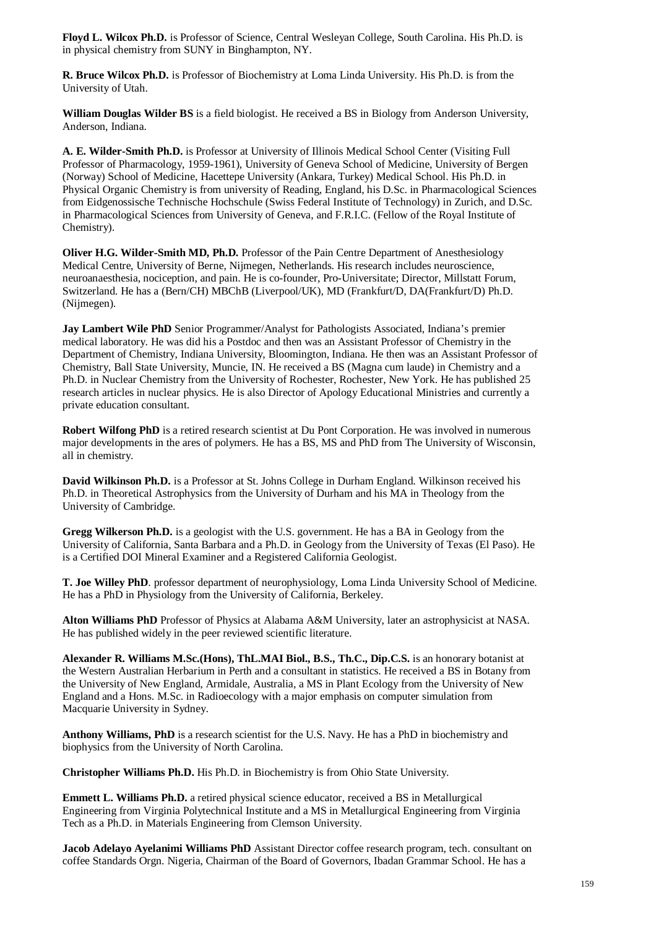**Floyd L. Wilcox Ph.D.** is Professor of Science, Central Wesleyan College, South Carolina. His Ph.D. is in physical chemistry from SUNY in Binghampton, NY.

**R. Bruce Wilcox Ph.D.** is Professor of Biochemistry at Loma Linda University. His Ph.D. is from the University of Utah.

**William Douglas Wilder BS** is a field biologist. He received a BS in Biology from Anderson University, Anderson, Indiana.

**A. E. Wilder-Smith Ph.D.** is Professor at University of Illinois Medical School Center (Visiting Full Professor of Pharmacology, 1959-1961), University of Geneva School of Medicine, University of Bergen (Norway) School of Medicine, Hacettepe University (Ankara, Turkey) Medical School. His Ph.D. in Physical Organic Chemistry is from university of Reading, England, his D.Sc. in Pharmacological Sciences from Eidgenossische Technische Hochschule (Swiss Federal Institute of Technology) in Zurich, and D.Sc. in Pharmacological Sciences from University of Geneva, and F.R.I.C. (Fellow of the Royal Institute of Chemistry).

**Oliver H.G. Wilder-Smith MD, Ph.D.** Professor of the Pain Centre Department of Anesthesiology Medical Centre, University of Berne, Nijmegen, Netherlands. His research includes neuroscience, neuroanaesthesia, nociception, and pain. He is co-founder, Pro-Universitate; Director, Millstatt Forum, Switzerland. He has a (Bern/CH) MBChB (Liverpool/UK), MD (Frankfurt/D, DA(Frankfurt/D) Ph.D. (Nijmegen).

**Jay Lambert Wile PhD** Senior Programmer/Analyst for Pathologists Associated, Indiana's premier medical laboratory. He was did his a Postdoc and then was an Assistant Professor of Chemistry in the Department of Chemistry, Indiana University, Bloomington, Indiana. He then was an Assistant Professor of Chemistry, Ball State University, Muncie, IN. He received a BS (Magna cum laude) in Chemistry and a Ph.D. in Nuclear Chemistry from the University of Rochester, Rochester, New York. He has published 25 research articles in nuclear physics. He is also Director of Apology Educational Ministries and currently a private education consultant.

**Robert Wilfong PhD** is a retired research scientist at Du Pont Corporation. He was involved in numerous major developments in the ares of polymers. He has a BS, MS and PhD from The University of Wisconsin, all in chemistry.

**David Wilkinson Ph.D.** is a Professor at St. Johns College in Durham England. Wilkinson received his Ph.D. in Theoretical Astrophysics from the University of Durham and his MA in Theology from the University of Cambridge.

**Gregg Wilkerson Ph.D.** is a geologist with the U.S. government. He has a BA in Geology from the University of California, Santa Barbara and a Ph.D. in Geology from the University of Texas (El Paso). He is a Certified DOI Mineral Examiner and a Registered California Geologist.

**T. Joe Willey PhD**. professor department of neurophysiology, Loma Linda University School of Medicine. He has a PhD in Physiology from the University of California, Berkeley.

**Alton Williams PhD** Professor of Physics at Alabama A&M University, later an astrophysicist at NASA. He has published widely in the peer reviewed scientific literature.

**Alexander R. Williams M.Sc.(Hons), ThL.MAI Biol., B.S., Th.C., Dip.C.S.** is an honorary botanist at the Western Australian Herbarium in Perth and a consultant in statistics. He received a BS in Botany from the University of New England, Armidale, Australia, a MS in Plant Ecology from the University of New England and a Hons. M.Sc. in Radioecology with a major emphasis on computer simulation from Macquarie University in Sydney.

**Anthony Williams, PhD** is a research scientist for the U.S. Navy. He has a PhD in biochemistry and biophysics from the University of North Carolina.

**Christopher Williams Ph.D.** His Ph.D. in Biochemistry is from Ohio State University.

**Emmett L. Williams Ph.D.** a retired physical science educator, received a BS in Metallurgical Engineering from Virginia Polytechnical Institute and a MS in Metallurgical Engineering from Virginia Tech as a Ph.D. in Materials Engineering from Clemson University.

**Jacob Adelayo Ayelanimi Williams PhD** Assistant Director coffee research program, tech. consultant on coffee Standards Orgn. Nigeria, Chairman of the Board of Governors, Ibadan Grammar School. He has a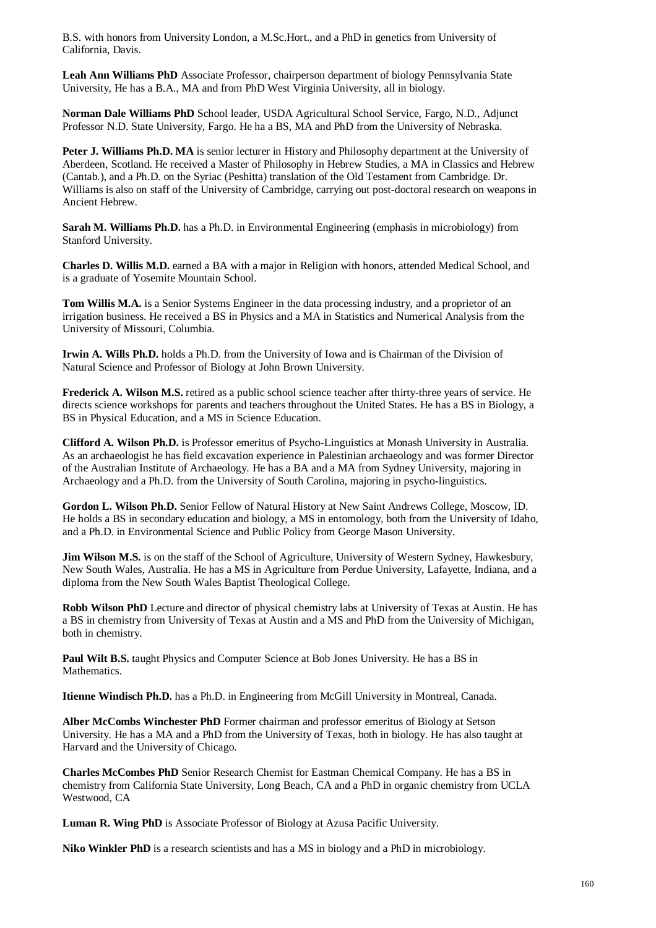B.S. with honors from University London, a M.Sc.Hort., and a PhD in genetics from University of California, Davis.

**Leah Ann Williams PhD** Associate Professor, chairperson department of biology Pennsylvania State University, He has a B.A., MA and from PhD West Virginia University, all in biology.

**Norman Dale Williams PhD** School leader, USDA Agricultural School Service, Fargo, N.D., Adjunct Professor N.D. State University, Fargo. He ha a BS, MA and PhD from the University of Nebraska.

**Peter J. Williams Ph.D. MA** is senior lecturer in History and Philosophy department at the University of Aberdeen, Scotland. He received a Master of Philosophy in Hebrew Studies, a MA in Classics and Hebrew (Cantab.), and a Ph.D. on the Syriac (Peshitta) translation of the Old Testament from Cambridge. Dr. Williams is also on staff of the University of Cambridge, carrying out post-doctoral research on weapons in Ancient Hebrew.

**Sarah M. Williams Ph.D.** has a Ph.D. in Environmental Engineering (emphasis in microbiology) from Stanford University.

**Charles D. Willis M.D.** earned a BA with a major in Religion with honors, attended Medical School, and is a graduate of Yosemite Mountain School.

**Tom Willis M.A.** is a Senior Systems Engineer in the data processing industry, and a proprietor of an irrigation business. He received a BS in Physics and a MA in Statistics and Numerical Analysis from the University of Missouri, Columbia.

**Irwin A. Wills Ph.D.** holds a Ph.D. from the University of Iowa and is Chairman of the Division of Natural Science and Professor of Biology at John Brown University.

**Frederick A. Wilson M.S.** retired as a public school science teacher after thirty-three years of service. He directs science workshops for parents and teachers throughout the United States. He has a BS in Biology, a BS in Physical Education, and a MS in Science Education.

**Clifford A. Wilson Ph.D.** is Professor emeritus of Psycho-Linguistics at Monash University in Australia. As an archaeologist he has field excavation experience in Palestinian archaeology and was former Director of the Australian Institute of Archaeology. He has a BA and a MA from Sydney University, majoring in Archaeology and a Ph.D. from the University of South Carolina, majoring in psycho-linguistics.

**Gordon L. Wilson Ph.D.** Senior Fellow of Natural History at New Saint Andrews College, Moscow, ID. He holds a BS in secondary education and biology, a MS in entomology, both from the University of Idaho, and a Ph.D. in Environmental Science and Public Policy from George Mason University.

**Jim Wilson M.S.** is on the staff of the School of Agriculture, University of Western Sydney, Hawkesbury, New South Wales, Australia. He has a MS in Agriculture from Perdue University, Lafayette, Indiana, and a diploma from the New South Wales Baptist Theological College.

**Robb Wilson PhD** Lecture and director of physical chemistry labs at University of Texas at Austin. He has a BS in chemistry from University of Texas at Austin and a MS and PhD from the University of Michigan, both in chemistry.

**Paul Wilt B.S.** taught Physics and Computer Science at Bob Jones University. He has a BS in Mathematics.

**Itienne Windisch Ph.D.** has a Ph.D. in Engineering from McGill University in Montreal, Canada.

**Alber McCombs Winchester PhD** Former chairman and professor emeritus of Biology at Setson University. He has a MA and a PhD from the University of Texas, both in biology. He has also taught at Harvard and the University of Chicago.

**Charles McCombes PhD** Senior Research Chemist for Eastman Chemical Company. He has a BS in chemistry from California State University, Long Beach, CA and a PhD in organic chemistry from UCLA Westwood, CA

**Luman R. Wing PhD** is Associate Professor of Biology at Azusa Pacific University.

**Niko Winkler PhD** is a research scientists and has a MS in biology and a PhD in microbiology.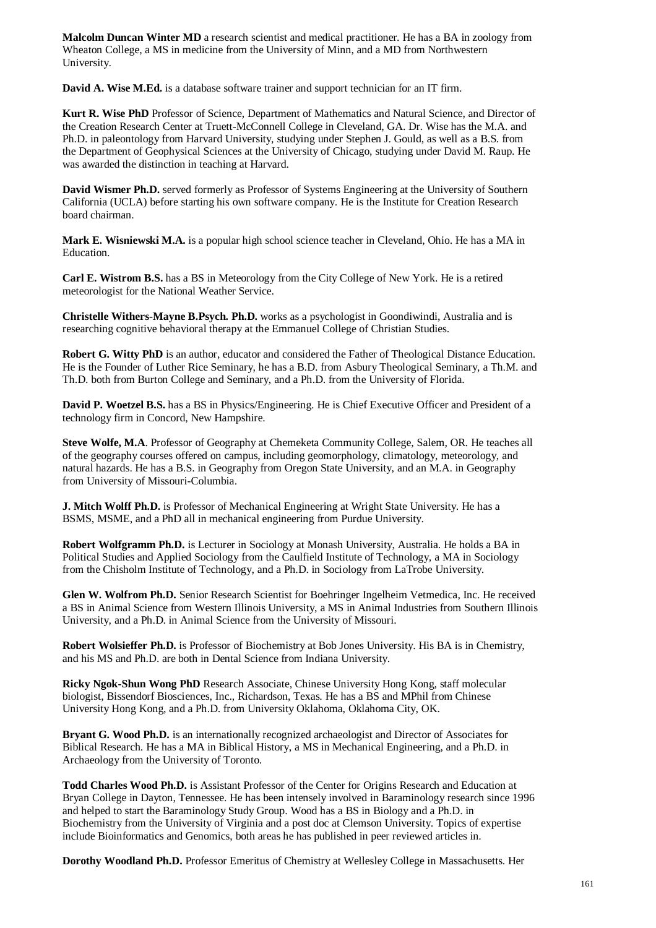**Malcolm Duncan Winter MD** a research scientist and medical practitioner. He has a BA in zoology from Wheaton College, a MS in medicine from the University of Minn, and a MD from Northwestern University.

**David A. Wise M.Ed.** is a database software trainer and support technician for an IT firm.

**Kurt R. Wise PhD** Professor of Science, Department of Mathematics and Natural Science, and Director of the Creation Research Center at Truett-McConnell College in Cleveland, GA. Dr. Wise has the M.A. and Ph.D. in paleontology from Harvard University, studying under Stephen J. Gould, as well as a B.S. from the Department of Geophysical Sciences at the University of Chicago, studying under David M. Raup. He was awarded the distinction in teaching at Harvard.

**David Wismer Ph.D.** served formerly as Professor of Systems Engineering at the University of Southern California (UCLA) before starting his own software company. He is the Institute for Creation Research board chairman.

**Mark E. Wisniewski M.A.** is a popular high school science teacher in Cleveland, Ohio. He has a MA in Education.

**Carl E. Wistrom B.S.** has a BS in Meteorology from the City College of New York. He is a retired meteorologist for the National Weather Service.

**Christelle Withers-Mayne B.Psych. Ph.D.** works as a psychologist in Goondiwindi, Australia and is researching cognitive behavioral therapy at the Emmanuel College of Christian Studies.

**Robert G. Witty PhD** is an author, educator and considered the Father of Theological Distance Education. He is the Founder of Luther Rice Seminary, he has a B.D. from Asbury Theological Seminary, a Th.M. and Th.D. both from Burton College and Seminary, and a Ph.D. from the University of Florida.

**David P. Woetzel B.S.** has a BS in Physics/Engineering. He is Chief Executive Officer and President of a technology firm in Concord, New Hampshire.

**Steve Wolfe, M.A**. Professor of Geography at Chemeketa Community College, Salem, OR. He teaches all of the geography courses offered on campus, including geomorphology, climatology, meteorology, and natural hazards. He has a B.S. in Geography from Oregon State University, and an M.A. in Geography from University of Missouri-Columbia.

**J. Mitch Wolff Ph.D.** is Professor of Mechanical Engineering at Wright State University. He has a BSMS, MSME, and a PhD all in mechanical engineering from Purdue University.

**Robert Wolfgramm Ph.D.** is Lecturer in Sociology at Monash University, Australia. He holds a BA in Political Studies and Applied Sociology from the Caulfield Institute of Technology, a MA in Sociology from the Chisholm Institute of Technology, and a Ph.D. in Sociology from LaTrobe University.

**Glen W. Wolfrom Ph.D.** Senior Research Scientist for Boehringer Ingelheim Vetmedica, Inc. He received a BS in Animal Science from Western Illinois University, a MS in Animal Industries from Southern Illinois University, and a Ph.D. in Animal Science from the University of Missouri.

**Robert Wolsieffer Ph.D.** is Professor of Biochemistry at Bob Jones University. His BA is in Chemistry, and his MS and Ph.D. are both in Dental Science from Indiana University.

**Ricky Ngok-Shun Wong PhD** Research Associate, Chinese University Hong Kong, staff molecular biologist, Bissendorf Biosciences, Inc., Richardson, Texas. He has a BS and MPhil from Chinese University Hong Kong, and a Ph.D. from University Oklahoma, Oklahoma City, OK.

**Bryant G. Wood Ph.D.** is an internationally recognized archaeologist and Director of Associates for Biblical Research. He has a MA in Biblical History, a MS in Mechanical Engineering, and a Ph.D. in Archaeology from the University of Toronto.

**Todd Charles Wood Ph.D.** is Assistant Professor of the Center for Origins Research and Education at Bryan College in Dayton, Tennessee. He has been intensely involved in Baraminology research since 1996 and helped to start the Baraminology Study Group. Wood has a BS in Biology and a Ph.D. in Biochemistry from the University of Virginia and a post doc at Clemson University. Topics of expertise include Bioinformatics and Genomics, both areas he has published in peer reviewed articles in.

**Dorothy Woodland Ph.D.** Professor Emeritus of Chemistry at Wellesley College in Massachusetts. Her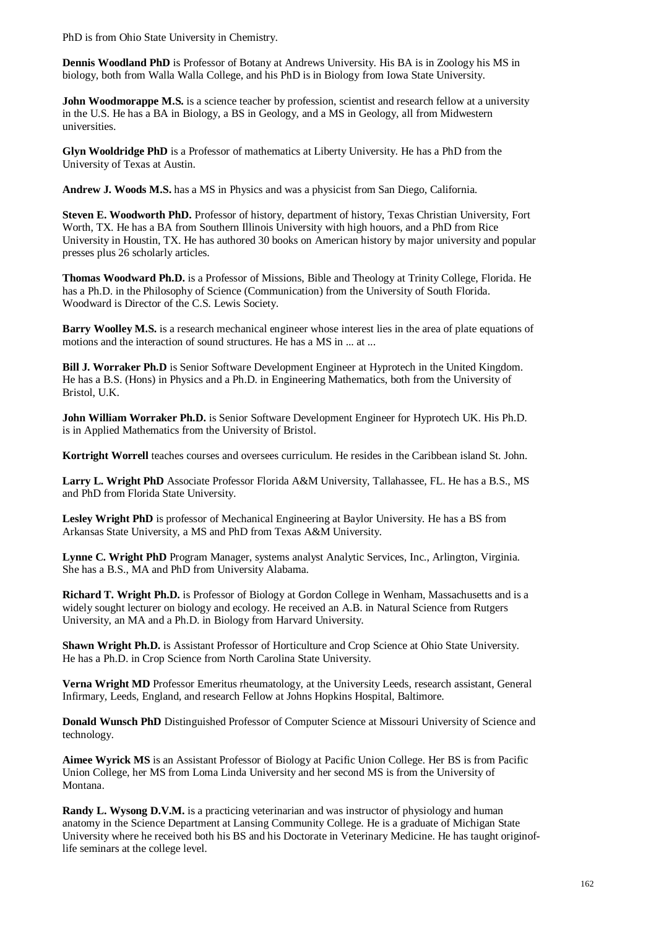PhD is from Ohio State University in Chemistry.

**Dennis Woodland PhD** is Professor of Botany at Andrews University. His BA is in Zoology his MS in biology, both from Walla Walla College, and his PhD is in Biology from Iowa State University.

**John Woodmorappe M.S.** is a science teacher by profession, scientist and research fellow at a university in the U.S. He has a BA in Biology, a BS in Geology, and a MS in Geology, all from Midwestern universities.

**Glyn Wooldridge PhD** is a Professor of mathematics at Liberty University. He has a PhD from the University of Texas at Austin.

**Andrew J. Woods M.S.** has a MS in Physics and was a physicist from San Diego, California.

**Steven E. Woodworth PhD.** Professor of history, department of history, Texas Christian University, Fort Worth, TX. He has a BA from Southern Illinois University with high houors, and a PhD from Rice University in Houstin, TX. He has authored 30 books on American history by major university and popular presses plus 26 scholarly articles.

**Thomas Woodward Ph.D.** is a Professor of Missions, Bible and Theology at Trinity College, Florida. He has a Ph.D. in the Philosophy of Science (Communication) from the University of South Florida. Woodward is Director of the C.S. Lewis Society.

**Barry Woolley M.S.** is a research mechanical engineer whose interest lies in the area of plate equations of motions and the interaction of sound structures. He has a MS in ... at ...

**Bill J. Worraker Ph.D** is Senior Software Development Engineer at Hyprotech in the United Kingdom. He has a B.S. (Hons) in Physics and a Ph.D. in Engineering Mathematics, both from the University of Bristol, U.K.

**John William Worraker Ph.D.** is Senior Software Development Engineer for Hyprotech UK. His Ph.D. is in Applied Mathematics from the University of Bristol.

**Kortright Worrell** teaches courses and oversees curriculum. He resides in the Caribbean island St. John.

**Larry L. Wright PhD** Associate Professor Florida A&M University, Tallahassee, FL. He has a B.S., MS and PhD from Florida State University.

**Lesley Wright PhD** is professor of Mechanical Engineering at Baylor University. He has a BS from Arkansas State University, a MS and PhD from Texas A&M University.

**Lynne C. Wright PhD** Program Manager, systems analyst Analytic Services, Inc., Arlington, Virginia. She has a B.S., MA and PhD from University Alabama.

**Richard T. Wright Ph.D.** is Professor of Biology at Gordon College in Wenham, Massachusetts and is a widely sought lecturer on biology and ecology. He received an A.B. in Natural Science from Rutgers University, an MA and a Ph.D. in Biology from Harvard University.

**Shawn Wright Ph.D.** is Assistant Professor of Horticulture and Crop Science at Ohio State University. He has a Ph.D. in Crop Science from North Carolina State University.

**Verna Wright MD** Professor Emeritus rheumatology, at the University Leeds, research assistant, General Infirmary, Leeds, England, and research Fellow at Johns Hopkins Hospital, Baltimore.

**Donald Wunsch PhD** Distinguished Professor of Computer Science at Missouri University of Science and technology.

**Aimee Wyrick MS** is an Assistant Professor of Biology at Pacific Union College. Her BS is from Pacific Union College, her MS from Loma Linda University and her second MS is from the University of Montana.

**Randy L. Wysong D.V.M.** is a practicing veterinarian and was instructor of physiology and human anatomy in the Science Department at Lansing Community College. He is a graduate of Michigan State University where he received both his BS and his Doctorate in Veterinary Medicine. He has taught originoflife seminars at the college level.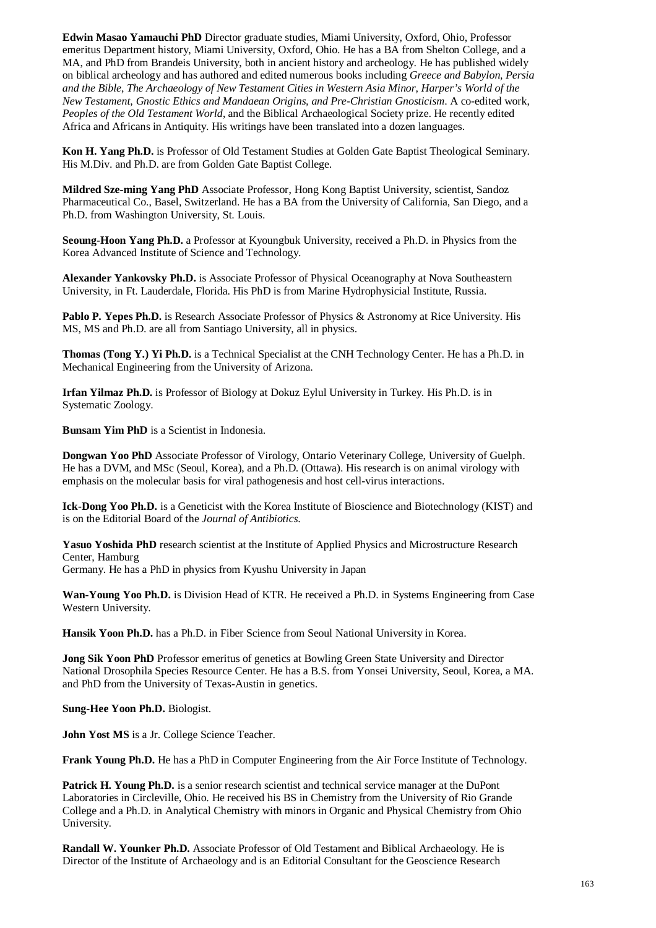**Edwin Masao Yamauchi PhD** Director graduate studies, Miami University, Oxford, Ohio, Professor emeritus Department history, Miami University, Oxford, Ohio. He has a BA from Shelton College, and a MA, and PhD from Brandeis University, both in ancient history and archeology. He has published widely on biblical archeology and has authored and edited numerous books including *Greece and Babylon, Persia and the Bible*, *The Archaeology of New Testament Cities in Western Asia Minor*, *Harper's World of the New Testament*, *Gnostic Ethics and Mandaean Origins, and Pre-Christian Gnosticism*. A co-edited work, *Peoples of the Old Testament World*, and the Biblical Archaeological Society prize. He recently edited Africa and Africans in Antiquity. His writings have been translated into a dozen languages.

**Kon H. Yang Ph.D.** is Professor of Old Testament Studies at Golden Gate Baptist Theological Seminary. His M.Div. and Ph.D. are from Golden Gate Baptist College.

**Mildred Sze-ming Yang PhD** Associate Professor, Hong Kong Baptist University, scientist, Sandoz Pharmaceutical Co., Basel, Switzerland. He has a BA from the University of California, San Diego, and a Ph.D. from Washington University, St. Louis.

**Seoung-Hoon Yang Ph.D.** a Professor at Kyoungbuk University, received a Ph.D. in Physics from the Korea Advanced Institute of Science and Technology.

**Alexander Yankovsky Ph.D.** is Associate Professor of Physical Oceanography at Nova Southeastern University, in Ft. Lauderdale, Florida. His PhD is from Marine Hydrophysicial Institute, Russia.

**Pablo P. Yepes Ph.D.** is Research Associate Professor of Physics & Astronomy at Rice University. His MS, MS and Ph.D. are all from Santiago University, all in physics.

**Thomas (Tong Y.) Yi Ph.D.** is a Technical Specialist at the CNH Technology Center. He has a Ph.D. in Mechanical Engineering from the University of Arizona.

**Irfan Yilmaz Ph.D.** is Professor of Biology at Dokuz Eylul University in Turkey. His Ph.D. is in Systematic Zoology.

**Bunsam Yim PhD** is a Scientist in Indonesia.

**Dongwan Yoo PhD** Associate Professor of Virology, Ontario Veterinary College, University of Guelph. He has a DVM, and MSc (Seoul, Korea), and a Ph.D. (Ottawa). His research is on animal virology with emphasis on the molecular basis for viral pathogenesis and host cell-virus interactions.

**Ick-Dong Yoo Ph.D.** is a Geneticist with the Korea Institute of Bioscience and Biotechnology (KIST) and is on the Editorial Board of the *Journal of Antibiotics*.

**Yasuo Yoshida PhD** research scientist at the Institute of Applied Physics and Microstructure Research Center, Hamburg Germany. He has a PhD in physics from Kyushu University in Japan

**Wan-Young Yoo Ph.D.** is Division Head of KTR. He received a Ph.D. in Systems Engineering from Case Western University.

**Hansik Yoon Ph.D.** has a Ph.D. in Fiber Science from Seoul National University in Korea.

**Jong Sik Yoon PhD** Professor emeritus of genetics at Bowling Green State University and Director National Drosophila Species Resource Center. He has a B.S. from Yonsei University, Seoul, Korea, a MA. and PhD from the University of Texas-Austin in genetics.

**Sung-Hee Yoon Ph.D.** Biologist.

**John Yost MS** is a Jr. College Science Teacher.

**Frank Young Ph.D.** He has a PhD in Computer Engineering from the Air Force Institute of Technology.

**Patrick H. Young Ph.D.** is a senior research scientist and technical service manager at the DuPont Laboratories in Circleville, Ohio. He received his BS in Chemistry from the University of Rio Grande College and a Ph.D. in Analytical Chemistry with minors in Organic and Physical Chemistry from Ohio University.

**Randall W. Younker Ph.D.** Associate Professor of Old Testament and Biblical Archaeology. He is Director of the Institute of Archaeology and is an Editorial Consultant for the Geoscience Research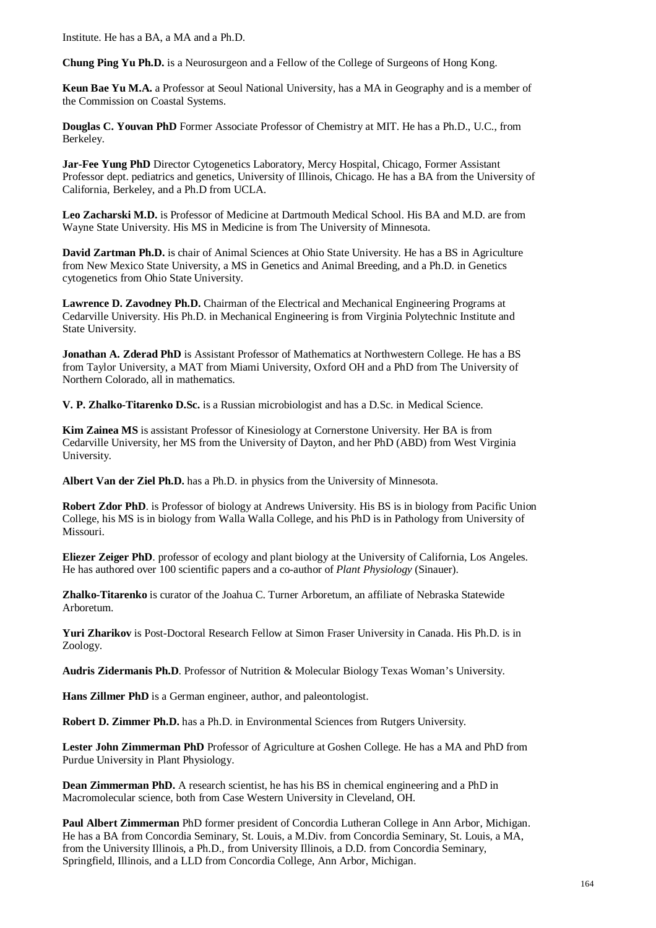Institute. He has a BA, a MA and a Ph.D.

**Chung Ping Yu Ph.D.** is a Neurosurgeon and a Fellow of the College of Surgeons of Hong Kong.

**Keun Bae Yu M.A.** a Professor at Seoul National University, has a MA in Geography and is a member of the Commission on Coastal Systems.

**Douglas C. Youvan PhD** Former Associate Professor of Chemistry at MIT. He has a Ph.D., U.C., from Berkeley.

**Jar-Fee Yung PhD** Director Cytogenetics Laboratory, Mercy Hospital, Chicago, Former Assistant Professor dept. pediatrics and genetics, University of Illinois, Chicago. He has a BA from the University of California, Berkeley, and a Ph.D from UCLA.

**Leo Zacharski M.D.** is Professor of Medicine at Dartmouth Medical School. His BA and M.D. are from Wayne State University. His MS in Medicine is from The University of Minnesota.

**David Zartman Ph.D.** is chair of Animal Sciences at Ohio State University. He has a BS in Agriculture from New Mexico State University, a MS in Genetics and Animal Breeding, and a Ph.D. in Genetics cytogenetics from Ohio State University.

**Lawrence D. Zavodney Ph.D.** Chairman of the Electrical and Mechanical Engineering Programs at Cedarville University. His Ph.D. in Mechanical Engineering is from Virginia Polytechnic Institute and State University.

**Jonathan A. Zderad PhD** is Assistant Professor of Mathematics at Northwestern College. He has a BS from Taylor University, a MAT from Miami University, Oxford OH and a PhD from The University of Northern Colorado, all in mathematics.

**V. P. Zhalko-Titarenko D.Sc.** is a Russian microbiologist and has a D.Sc. in Medical Science.

**Kim Zainea MS** is assistant Professor of Kinesiology at Cornerstone University. Her BA is from Cedarville University, her MS from the University of Dayton, and her PhD (ABD) from West Virginia University.

**Albert Van der Ziel Ph.D.** has a Ph.D. in physics from the University of Minnesota.

**Robert Zdor PhD**. is Professor of biology at Andrews University. His BS is in biology from Pacific Union College, his MS is in biology from Walla Walla College, and his PhD is in Pathology from University of Missouri.

**Eliezer Zeiger PhD**. professor of ecology and plant biology at the University of California, Los Angeles. He has authored over 100 scientific papers and a co-author of *Plant Physiology* (Sinauer).

**Zhalko-Titarenko** is curator of the Joahua C. Turner Arboretum, an affiliate of Nebraska Statewide Arboretum.

**Yuri Zharikov** is Post-Doctoral Research Fellow at Simon Fraser University in Canada. His Ph.D. is in Zoology.

**Audris Zidermanis Ph.D**. Professor of Nutrition & Molecular Biology Texas Woman's University.

**Hans Zillmer PhD** is a German engineer, author, and paleontologist.

**Robert D. Zimmer Ph.D.** has a Ph.D. in Environmental Sciences from Rutgers University.

**Lester John Zimmerman PhD** Professor of Agriculture at Goshen College. He has a MA and PhD from Purdue University in Plant Physiology.

**Dean Zimmerman PhD.** A research scientist, he has his BS in chemical engineering and a PhD in Macromolecular science, both from Case Western University in Cleveland, OH.

**Paul Albert Zimmerman** PhD former president of Concordia Lutheran College in Ann Arbor, Michigan. He has a BA from Concordia Seminary, St. Louis, a M.Div. from Concordia Seminary, St. Louis, a MA, from the University Illinois, a Ph.D., from University Illinois, a D.D. from Concordia Seminary, Springfield, Illinois, and a LLD from Concordia College, Ann Arbor, Michigan.